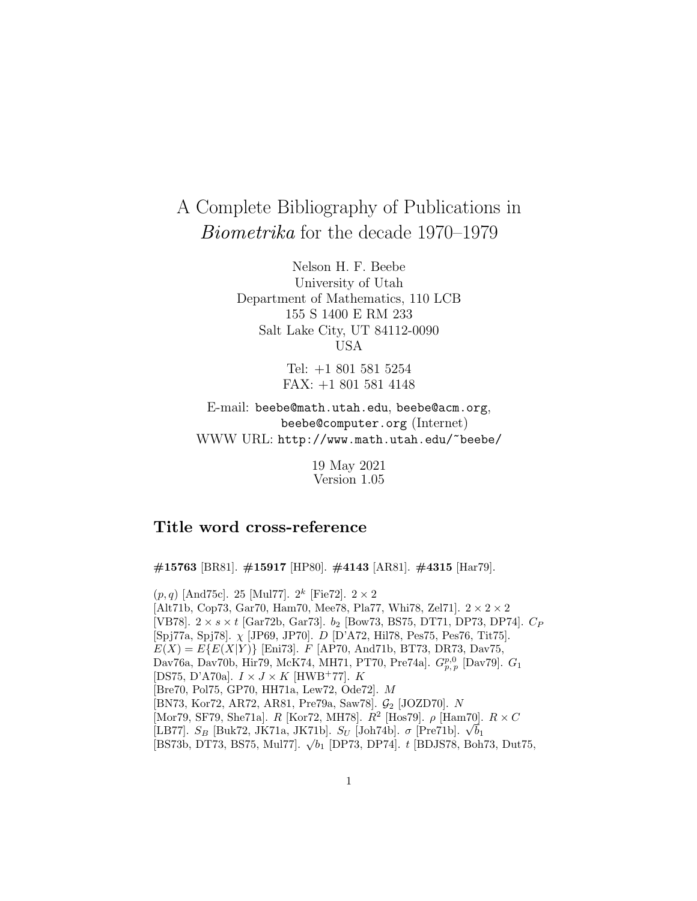# A Complete Bibliography of Publications in Biometrika for the decade 1970–1979

Nelson H. F. Beebe University of Utah Department of Mathematics, 110 LCB 155 S 1400 E RM 233 Salt Lake City, UT 84112-0090 USA

> Tel: +1 801 581 5254 FAX: +1 801 581 4148

E-mail: beebe@math.utah.edu, beebe@acm.org, beebe@computer.org (Internet) WWW URL: http://www.math.utah.edu/~beebe/

> 19 May 2021 Version 1.05

# **Title word cross-reference**

**#15763** [BR81]. **#15917** [HP80]. **#4143** [AR81]. **#4315** [Har79].

 $(p, q)$  [And75c]. 25 [Mul77]. 2<sup>k</sup> [Fie72]. 2 × 2 [Alt71b, Cop73, Gar70, Ham70, Mee78, Pla77, Whi78, Zel71].  $2 \times 2 \times 2$ [VB78].  $2 \times s \times t$  [Gar72b, Gar73].  $b_2$  [Bow73, BS75, DT71, DP73, DP74].  $C_P$ [Spj77a, Spj78]. χ [JP69, JP70]. D [D'A72, Hil78, Pes75, Pes76, Tit75].  $E(X) = E\{E(X|Y)\}\$  [Eni73]. F [AP70, And71b, BT73, DR73, Dav75, Dav76a, Dav70b, Hir79, McK74, MH71, PT70, Pre74a].  $G_{p, p}^{p, 0}$  [Dav79].  $G_1$ [DS75, D'A70a].  $I \times J \times K$  [HWB+77]. K [Bre70, Pol75, GP70, HH71a, Lew72, Ode72]. M [BN73, Kor72, AR72, AR81, Pre79a, Saw78].  $\mathcal{G}_2$  [JOZD70]. N [Mor79, SF79, She71a]. R [Kor72, MH78].  $R^2$  [Hos79].  $\rho$  [Ham70].  $R \times C$  $[$ Mor*(9*, SF*(9*, Sne*f* 1a]. *K* [Kor*(2*, MH*(8*]. *K*<sup>-</sup> [Hos*(9*]. *ρ* [Ham*(0*].<br>[LB77]. *S<sub>B</sub>* [Buk72, JK71a, JK71b]. *S<sub>U</sub>* [Joh74b]. *σ* [Pre71b].  $\sqrt{b_1}$ [BS73b, DT73, BS75, Mul77]. $\surd{b}_1$  [DP73, DP74].  $t$  [BDJS78, Boh73, Dut75,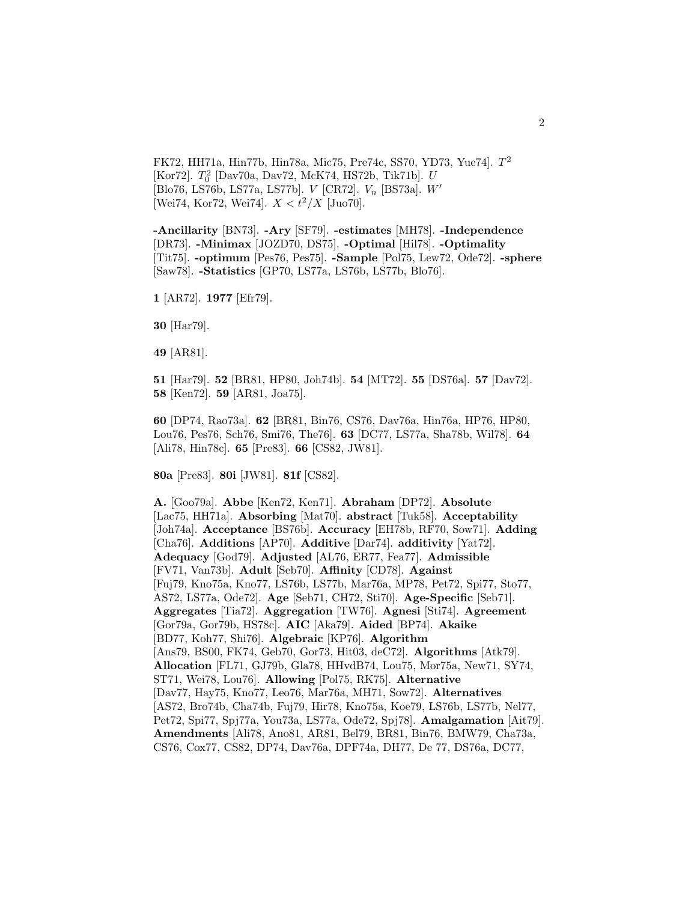FK72, HH71a, Hin77b, Hin78a, Mic75, Pre74c, SS70, YD73, Yue74.  $T^2$  $\left[ \mathrm{Kor72}\right]$ .  $T_{0}^{2}$   $\left[ \mathrm{Dav70a, \,Dav72, \,McK74, \,HS72b, \,Tik71b}\right]$ . $U$ [Blo76, LS76b, LS77a, LS77b].  $V$  [CR72].  $V_n$  [BS73a].  $W'$ [Wei74, Kor72, Wei74].  $X < t^2/X$  [Juo70].

**-Ancillarity** [BN73]. **-Ary** [SF79]. **-estimates** [MH78]. **-Independence** [DR73]. **-Minimax** [JOZD70, DS75]. **-Optimal** [Hil78]. **-Optimality** [Tit75]. **-optimum** [Pes76, Pes75]. **-Sample** [Pol75, Lew72, Ode72]. **-sphere** [Saw78]. **-Statistics** [GP70, LS77a, LS76b, LS77b, Blo76].

**1** [AR72]. **1977** [Efr79].

**30** [Har79].

**49** [AR81].

**51** [Har79]. **52** [BR81, HP80, Joh74b]. **54** [MT72]. **55** [DS76a]. **57** [Dav72]. **58** [Ken72]. **59** [AR81, Joa75].

**60** [DP74, Rao73a]. **62** [BR81, Bin76, CS76, Dav76a, Hin76a, HP76, HP80, Lou76, Pes76, Sch76, Smi76, The76]. **63** [DC77, LS77a, Sha78b, Wil78]. **64** [Ali78, Hin78c]. **65** [Pre83]. **66** [CS82, JW81].

**80a** [Pre83]. **80i** [JW81]. **81f** [CS82].

**A.** [Goo79a]. **Abbe** [Ken72, Ken71]. **Abraham** [DP72]. **Absolute** [Lac75, HH71a]. **Absorbing** [Mat70]. **abstract** [Tuk58]. **Acceptability** [Joh74a]. **Acceptance** [BS76b]. **Accuracy** [EH78b, RF70, Sow71]. **Adding** [Cha76]. **Additions** [AP70]. **Additive** [Dar74]. **additivity** [Yat72]. **Adequacy** [God79]. **Adjusted** [AL76, ER77, Fea77]. **Admissible** [FV71, Van73b]. **Adult** [Seb70]. **Affinity** [CD78]. **Against** [Fuj79, Kno75a, Kno77, LS76b, LS77b, Mar76a, MP78, Pet72, Spi77, Sto77, AS72, LS77a, Ode72]. **Age** [Seb71, CH72, Sti70]. **Age-Specific** [Seb71]. **Aggregates** [Tia72]. **Aggregation** [TW76]. **Agnesi** [Sti74]. **Agreement** [Gor79a, Gor79b, HS78c]. **AIC** [Aka79]. **Aided** [BP74]. **Akaike** [BD77, Koh77, Shi76]. **Algebraic** [KP76]. **Algorithm** [Ans79, BS00, FK74, Geb70, Gor73, Hit03, deC72]. **Algorithms** [Atk79]. **Allocation** [FL71, GJ79b, Gla78, HHvdB74, Lou75, Mor75a, New71, SY74, ST71, Wei78, Lou76]. **Allowing** [Pol75, RK75]. **Alternative** [Dav77, Hay75, Kno77, Leo76, Mar76a, MH71, Sow72]. **Alternatives** [AS72, Bro74b, Cha74b, Fuj79, Hir78, Kno75a, Koe79, LS76b, LS77b, Nel77, Pet72, Spi77, Spj77a, You73a, LS77a, Ode72, Spj78]. **Amalgamation** [Ait79]. **Amendments** [Ali78, Ano81, AR81, Bel79, BR81, Bin76, BMW79, Cha73a, CS76, Cox77, CS82, DP74, Dav76a, DPF74a, DH77, De 77, DS76a, DC77,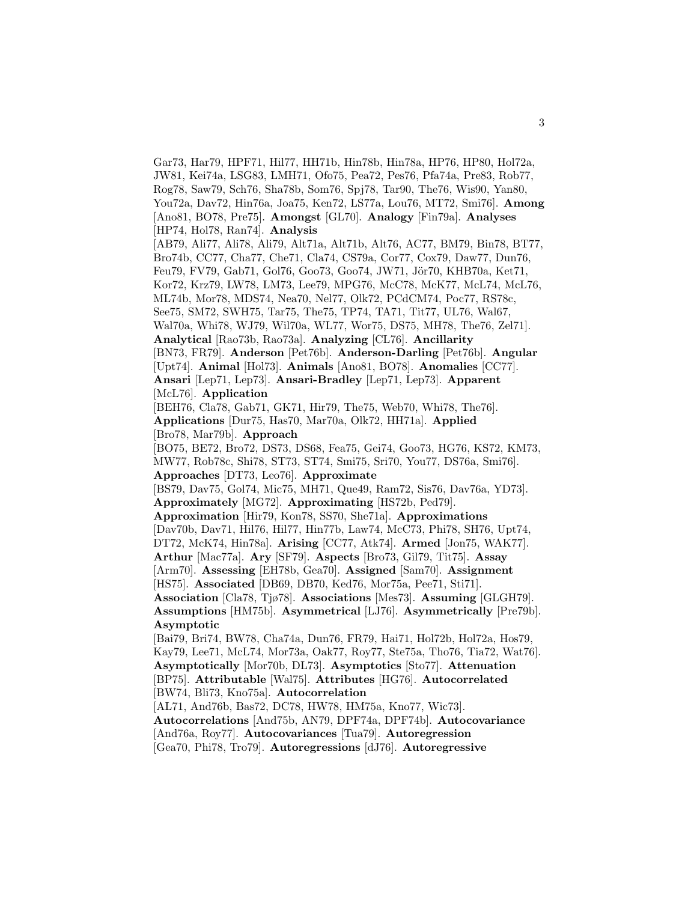Gar73, Har79, HPF71, Hil77, HH71b, Hin78b, Hin78a, HP76, HP80, Hol72a, JW81, Kei74a, LSG83, LMH71, Ofo75, Pea72, Pes76, Pfa74a, Pre83, Rob77, Rog78, Saw79, Sch76, Sha78b, Som76, Spj78, Tar90, The76, Wis90, Yan80, You72a, Dav72, Hin76a, Joa75, Ken72, LS77a, Lou76, MT72, Smi76]. **Among** [Ano81, BO78, Pre75]. **Amongst** [GL70]. **Analogy** [Fin79a]. **Analyses** [HP74, Hol78, Ran74]. **Analysis** [AB79, Ali77, Ali78, Ali79, Alt71a, Alt71b, Alt76, AC77, BM79, Bin78, BT77, Bro74b, CC77, Cha77, Che71, Cla74, CS79a, Cor77, Cox79, Daw77, Dun76, Feu79, FV79, Gab71, Gol76, Goo73, Goo74, JW71, Jör70, KHB70a, Ket71, Kor72, Krz79, LW78, LM73, Lee79, MPG76, McC78, McK77, McL74, McL76, ML74b, Mor78, MDS74, Nea70, Nel77, Olk72, PCdCM74, Poc77, RS78c, See75, SM72, SWH75, Tar75, The75, TP74, TA71, Tit77, UL76, Wal67, Wal70a, Whi78, WJ79, Wil70a, WL77, Wor75, DS75, MH78, The76, Zel71]. **Analytical** [Rao73b, Rao73a]. **Analyzing** [CL76]. **Ancillarity** [BN73, FR79]. **Anderson** [Pet76b]. **Anderson-Darling** [Pet76b]. **Angular** [Upt74]. **Animal** [Hol73]. **Animals** [Ano81, BO78]. **Anomalies** [CC77]. **Ansari** [Lep71, Lep73]. **Ansari-Bradley** [Lep71, Lep73]. **Apparent** [McL76]. **Application** [BEH76, Cla78, Gab71, GK71, Hir79, The75, Web70, Whi78, The76]. **Applications** [Dur75, Has70, Mar70a, Olk72, HH71a]. **Applied** [Bro78, Mar79b]. **Approach** [BO75, BE72, Bro72, DS73, DS68, Fea75, Gei74, Goo73, HG76, KS72, KM73, MW77, Rob78c, Shi78, ST73, ST74, Smi75, Sri70, You77, DS76a, Smi76]. **Approaches** [DT73, Leo76]. **Approximate** [BS79, Dav75, Gol74, Mic75, MH71, Que49, Ram72, Sis76, Dav76a, YD73]. **Approximately** [MG72]. **Approximating** [HS72b, Ped79]. **Approximation** [Hir79, Kon78, SS70, She71a]. **Approximations** [Dav70b, Dav71, Hil76, Hil77, Hin77b, Law74, McC73, Phi78, SH76, Upt74, DT72, McK74, Hin78a]. **Arising** [CC77, Atk74]. **Armed** [Jon75, WAK77]. **Arthur** [Mac77a]. **Ary** [SF79]. **Aspects** [Bro73, Gil79, Tit75]. **Assay** [Arm70]. **Assessing** [EH78b, Gea70]. **Assigned** [Sam70]. **Assignment** [HS75]. **Associated** [DB69, DB70, Ked76, Mor75a, Pee71, Sti71]. **Association** [Cla78, Tjø78]. **Associations** [Mes73]. **Assuming** [GLGH79]. **Assumptions** [HM75b]. **Asymmetrical** [LJ76]. **Asymmetrically** [Pre79b]. **Asymptotic** [Bai79, Bri74, BW78, Cha74a, Dun76, FR79, Hai71, Hol72b, Hol72a, Hos79, Kay79, Lee71, McL74, Mor73a, Oak77, Roy77, Ste75a, Tho76, Tia72, Wat76]. **Asymptotically** [Mor70b, DL73]. **Asymptotics** [Sto77]. **Attenuation** [BP75]. **Attributable** [Wal75]. **Attributes** [HG76]. **Autocorrelated** [BW74, Bli73, Kno75a]. **Autocorrelation** [AL71, And76b, Bas72, DC78, HW78, HM75a, Kno77, Wic73]. **Autocorrelations** [And75b, AN79, DPF74a, DPF74b]. **Autocovariance** [And76a, Roy77]. **Autocovariances** [Tua79]. **Autoregression** [Gea70, Phi78, Tro79]. **Autoregressions** [dJ76]. **Autoregressive**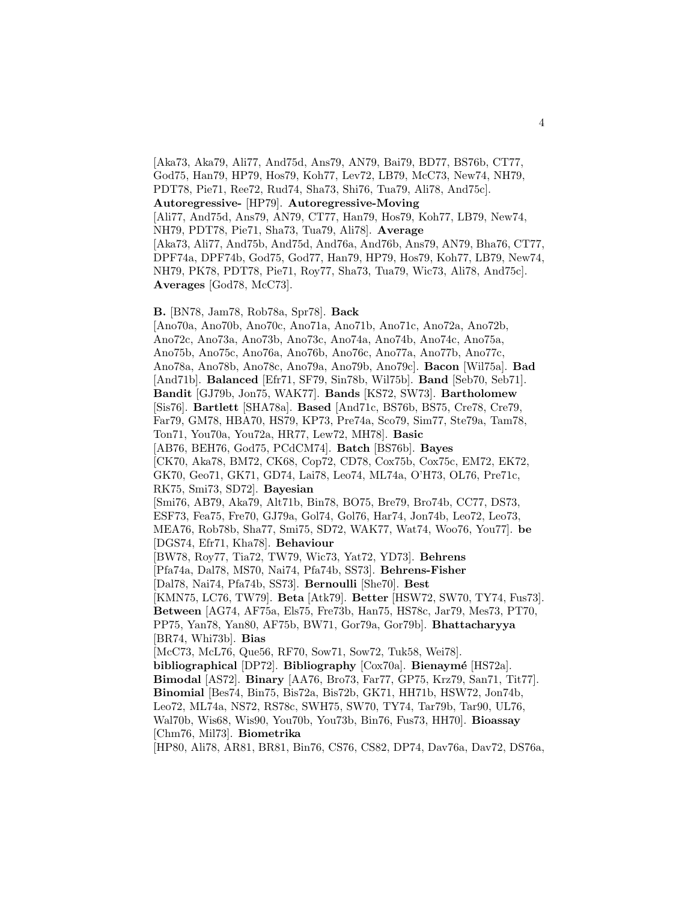[Aka73, Aka79, Ali77, And75d, Ans79, AN79, Bai79, BD77, BS76b, CT77, God75, Han79, HP79, Hos79, Koh77, Lev72, LB79, McC73, New74, NH79, PDT78, Pie71, Ree72, Rud74, Sha73, Shi76, Tua79, Ali78, And75c]. **Autoregressive-** [HP79]. **Autoregressive-Moving** [Ali77, And75d, Ans79, AN79, CT77, Han79, Hos79, Koh77, LB79, New74, NH79, PDT78, Pie71, Sha73, Tua79, Ali78]. **Average** [Aka73, Ali77, And75b, And75d, And76a, And76b, Ans79, AN79, Bha76, CT77, DPF74a, DPF74b, God75, God77, Han79, HP79, Hos79, Koh77, LB79, New74, NH79, PK78, PDT78, Pie71, Roy77, Sha73, Tua79, Wic73, Ali78, And75c]. **Averages** [God78, McC73].

**B.** [BN78, Jam78, Rob78a, Spr78]. **Back** [Ano70a, Ano70b, Ano70c, Ano71a, Ano71b, Ano71c, Ano72a, Ano72b, Ano72c, Ano73a, Ano73b, Ano73c, Ano74a, Ano74b, Ano74c, Ano75a, Ano75b, Ano75c, Ano76a, Ano76b, Ano76c, Ano77a, Ano77b, Ano77c, Ano78a, Ano78b, Ano78c, Ano79a, Ano79b, Ano79c]. **Bacon** [Wil75a]. **Bad** [And71b]. **Balanced** [Efr71, SF79, Sin78b, Wil75b]. **Band** [Seb70, Seb71]. **Bandit** [GJ79b, Jon75, WAK77]. **Bands** [KS72, SW73]. **Bartholomew** [Sis76]. **Bartlett** [SHA78a]. **Based** [And71c, BS76b, BS75, Cre78, Cre79, Far79, GM78, HBA70, HS79, KP73, Pre74a, Sco79, Sim77, Ste79a, Tam78, Ton71, You70a, You72a, HR77, Lew72, MH78]. **Basic** [AB76, BEH76, God75, PCdCM74]. **Batch** [BS76b]. **Bayes** [CK70, Aka78, BM72, CK68, Cop72, CD78, Cox75b, Cox75c, EM72, EK72, GK70, Geo71, GK71, GD74, Lai78, Leo74, ML74a, O'H73, OL76, Pre71c, RK75, Smi73, SD72]. **Bayesian** [Smi76, AB79, Aka79, Alt71b, Bin78, BO75, Bre79, Bro74b, CC77, DS73, ESF73, Fea75, Fre70, GJ79a, Gol74, Gol76, Har74, Jon74b, Leo72, Leo73, MEA76, Rob78b, Sha77, Smi75, SD72, WAK77, Wat74, Woo76, You77]. **be** [DGS74, Efr71, Kha78]. **Behaviour** [BW78, Roy77, Tia72, TW79, Wic73, Yat72, YD73]. **Behrens** [Pfa74a, Dal78, MS70, Nai74, Pfa74b, SS73]. **Behrens-Fisher** [Dal78, Nai74, Pfa74b, SS73]. **Bernoulli** [She70]. **Best** [KMN75, LC76, TW79]. **Beta** [Atk79]. **Better** [HSW72, SW70, TY74, Fus73]. **Between** [AG74, AF75a, Els75, Fre73b, Han75, HS78c, Jar79, Mes73, PT70, PP75, Yan78, Yan80, AF75b, BW71, Gor79a, Gor79b]. **Bhattacharyya** [BR74, Whi73b]. **Bias** [McC73, McL76, Que56, RF70, Sow71, Sow72, Tuk58, Wei78]. **bibliographical** [DP72]. **Bibliography** [Cox70a]. **Bienaymé** [HS72a]. **Bimodal** [AS72]. **Binary** [AA76, Bro73, Far77, GP75, Krz79, San71, Tit77]. **Binomial** [Bes74, Bin75, Bis72a, Bis72b, GK71, HH71b, HSW72, Jon74b, Leo72, ML74a, NS72, RS78c, SWH75, SW70, TY74, Tar79b, Tar90, UL76, Wal70b, Wis68, Wis90, You70b, You73b, Bin76, Fus73, HH70]. **Bioassay** [Chm76, Mil73]. **Biometrika**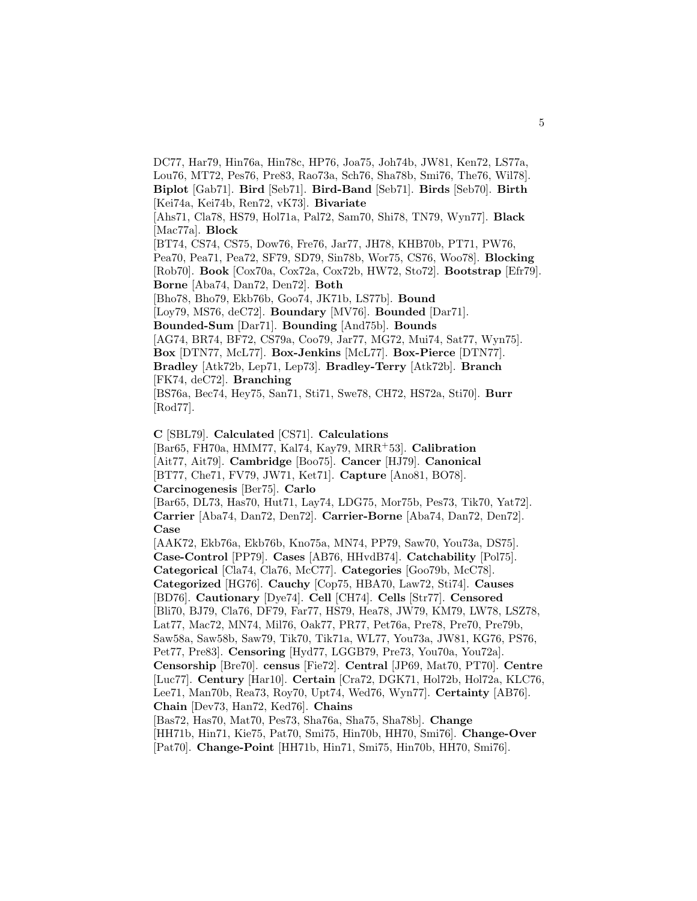DC77, Har79, Hin76a, Hin78c, HP76, Joa75, Joh74b, JW81, Ken72, LS77a, Lou76, MT72, Pes76, Pre83, Rao73a, Sch76, Sha78b, Smi76, The76, Wil78]. **Biplot** [Gab71]. **Bird** [Seb71]. **Bird-Band** [Seb71]. **Birds** [Seb70]. **Birth** [Kei74a, Kei74b, Ren72, vK73]. **Bivariate** [Ahs71, Cla78, HS79, Hol71a, Pal72, Sam70, Shi78, TN79, Wyn77]. **Black** [Mac77a]. **Block** [BT74, CS74, CS75, Dow76, Fre76, Jar77, JH78, KHB70b, PT71, PW76, Pea70, Pea71, Pea72, SF79, SD79, Sin78b, Wor75, CS76, Woo78]. **Blocking** [Rob70]. **Book** [Cox70a, Cox72a, Cox72b, HW72, Sto72]. **Bootstrap** [Efr79]. **Borne** [Aba74, Dan72, Den72]. **Both** [Bho78, Bho79, Ekb76b, Goo74, JK71b, LS77b]. **Bound** [Loy79, MS76, deC72]. **Boundary** [MV76]. **Bounded** [Dar71]. **Bounded-Sum** [Dar71]. **Bounding** [And75b]. **Bounds** [AG74, BR74, BF72, CS79a, Coo79, Jar77, MG72, Mui74, Sat77, Wyn75]. **Box** [DTN77, McL77]. **Box-Jenkins** [McL77]. **Box-Pierce** [DTN77]. **Bradley** [Atk72b, Lep71, Lep73]. **Bradley-Terry** [Atk72b]. **Branch** [FK74, deC72]. **Branching** [BS76a, Bec74, Hey75, San71, Sti71, Swe78, CH72, HS72a, Sti70]. **Burr** [Rod77].

5

**C** [SBL79]. **Calculated** [CS71]. **Calculations** [Bar65, FH70a, HMM77, Kal74, Kay79, MRR<sup>+</sup>53]. **Calibration** [Ait77, Ait79]. **Cambridge** [Boo75]. **Cancer** [HJ79]. **Canonical** [BT77, Che71, FV79, JW71, Ket71]. **Capture** [Ano81, BO78]. **Carcinogenesis** [Ber75]. **Carlo** [Bar65, DL73, Has70, Hut71, Lay74, LDG75, Mor75b, Pes73, Tik70, Yat72].

**Carrier** [Aba74, Dan72, Den72]. **Carrier-Borne** [Aba74, Dan72, Den72]. **Case**

[AAK72, Ekb76a, Ekb76b, Kno75a, MN74, PP79, Saw70, You73a, DS75]. **Case-Control** [PP79]. **Cases** [AB76, HHvdB74]. **Catchability** [Pol75]. **Categorical** [Cla74, Cla76, McC77]. **Categories** [Goo79b, McC78]. **Categorized** [HG76]. **Cauchy** [Cop75, HBA70, Law72, Sti74]. **Causes** [BD76]. **Cautionary** [Dye74]. **Cell** [CH74]. **Cells** [Str77]. **Censored** [Bli70, BJ79, Cla76, DF79, Far77, HS79, Hea78, JW79, KM79, LW78, LSZ78, Lat77, Mac72, MN74, Mil76, Oak77, PR77, Pet76a, Pre78, Pre70, Pre79b, Saw58a, Saw58b, Saw79, Tik70, Tik71a, WL77, You73a, JW81, KG76, PS76, Pet77, Pre83]. **Censoring** [Hyd77, LGGB79, Pre73, You70a, You72a]. **Censorship** [Bre70]. **census** [Fie72]. **Central** [JP69, Mat70, PT70]. **Centre** [Luc77]. **Century** [Har10]. **Certain** [Cra72, DGK71, Hol72b, Hol72a, KLC76, Lee71, Man70b, Rea73, Roy70, Upt74, Wed76, Wyn77]. **Certainty** [AB76]. **Chain** [Dev73, Han72, Ked76]. **Chains** [Bas72, Has70, Mat70, Pes73, Sha76a, Sha75, Sha78b]. **Change** [HH71b, Hin71, Kie75, Pat70, Smi75, Hin70b, HH70, Smi76]. **Change-Over** [Pat70]. **Change-Point** [HH71b, Hin71, Smi75, Hin70b, HH70, Smi76].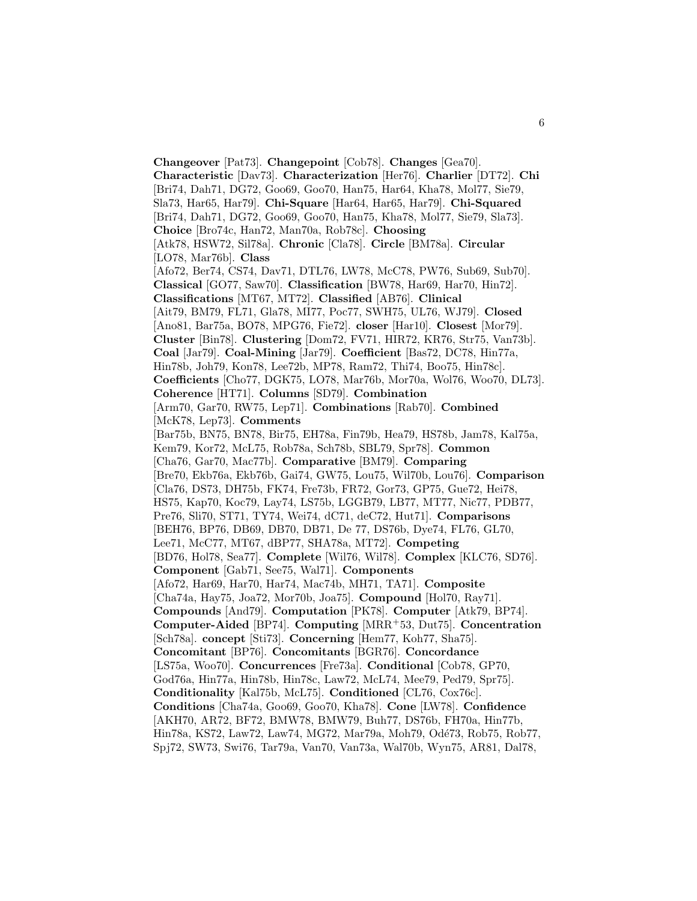**Changeover** [Pat73]. **Changepoint** [Cob78]. **Changes** [Gea70]. **Characteristic** [Dav73]. **Characterization** [Her76]. **Charlier** [DT72]. **Chi** [Bri74, Dah71, DG72, Goo69, Goo70, Han75, Har64, Kha78, Mol77, Sie79, Sla73, Har65, Har79]. **Chi-Square** [Har64, Har65, Har79]. **Chi-Squared** [Bri74, Dah71, DG72, Goo69, Goo70, Han75, Kha78, Mol77, Sie79, Sla73]. **Choice** [Bro74c, Han72, Man70a, Rob78c]. **Choosing** [Atk78, HSW72, Sil78a]. **Chronic** [Cla78]. **Circle** [BM78a]. **Circular** [LO78, Mar76b]. **Class** [Afo72, Ber74, CS74, Dav71, DTL76, LW78, McC78, PW76, Sub69, Sub70]. **Classical** [GO77, Saw70]. **Classification** [BW78, Har69, Har70, Hin72]. **Classifications** [MT67, MT72]. **Classified** [AB76]. **Clinical** [Ait79, BM79, FL71, Gla78, MI77, Poc77, SWH75, UL76, WJ79]. **Closed** [Ano81, Bar75a, BO78, MPG76, Fie72]. **closer** [Har10]. **Closest** [Mor79]. **Cluster** [Bin78]. **Clustering** [Dom72, FV71, HIR72, KR76, Str75, Van73b]. **Coal** [Jar79]. **Coal-Mining** [Jar79]. **Coefficient** [Bas72, DC78, Hin77a, Hin78b, Joh79, Kon78, Lee72b, MP78, Ram72, Thi74, Boo75, Hin78c]. **Coefficients** [Cho77, DGK75, LO78, Mar76b, Mor70a, Wol76, Woo70, DL73]. **Coherence** [HT71]. **Columns** [SD79]. **Combination** [Arm70, Gar70, RW75, Lep71]. **Combinations** [Rab70]. **Combined** [McK78, Lep73]. **Comments** [Bar75b, BN75, BN78, Bir75, EH78a, Fin79b, Hea79, HS78b, Jam78, Kal75a, Kem79, Kor72, McL75, Rob78a, Sch78b, SBL79, Spr78]. **Common** [Cha76, Gar70, Mac77b]. **Comparative** [BM79]. **Comparing** [Bre70, Ekb76a, Ekb76b, Gai74, GW75, Lou75, Wil70b, Lou76]. **Comparison** [Cla76, DS73, DH75b, FK74, Fre73b, FR72, Gor73, GP75, Gue72, Hei78, HS75, Kap70, Koc79, Lay74, LS75b, LGGB79, LB77, MT77, Nic77, PDB77, Pre76, Sli70, ST71, TY74, Wei74, dC71, deC72, Hut71]. **Comparisons** [BEH76, BP76, DB69, DB70, DB71, De 77, DS76b, Dye74, FL76, GL70, Lee71, McC77, MT67, dBP77, SHA78a, MT72]. **Competing** [BD76, Hol78, Sea77]. **Complete** [Wil76, Wil78]. **Complex** [KLC76, SD76]. **Component** [Gab71, See75, Wal71]. **Components** [Afo72, Har69, Har70, Har74, Mac74b, MH71, TA71]. **Composite** [Cha74a, Hay75, Joa72, Mor70b, Joa75]. **Compound** [Hol70, Ray71]. **Compounds** [And79]. **Computation** [PK78]. **Computer** [Atk79, BP74]. **Computer-Aided** [BP74]. **Computing** [MRR<sup>+</sup>53, Dut75]. **Concentration** [Sch78a]. **concept** [Sti73]. **Concerning** [Hem77, Koh77, Sha75]. **Concomitant** [BP76]. **Concomitants** [BGR76]. **Concordance** [LS75a, Woo70]. **Concurrences** [Fre73a]. **Conditional** [Cob78, GP70, God76a, Hin77a, Hin78b, Hin78c, Law72, McL74, Mee79, Ped79, Spr75]. **Conditionality** [Kal75b, McL75]. **Conditioned** [CL76, Cox76c]. **Conditions** [Cha74a, Goo69, Goo70, Kha78]. **Cone** [LW78]. **Confidence** [AKH70, AR72, BF72, BMW78, BMW79, Buh77, DS76b, FH70a, Hin77b, Hin78a, KS72, Law72, Law74, MG72, Mar79a, Moh79, Odé73, Rob75, Rob77, Spj72, SW73, Swi76, Tar79a, Van70, Van73a, Wal70b, Wyn75, AR81, Dal78,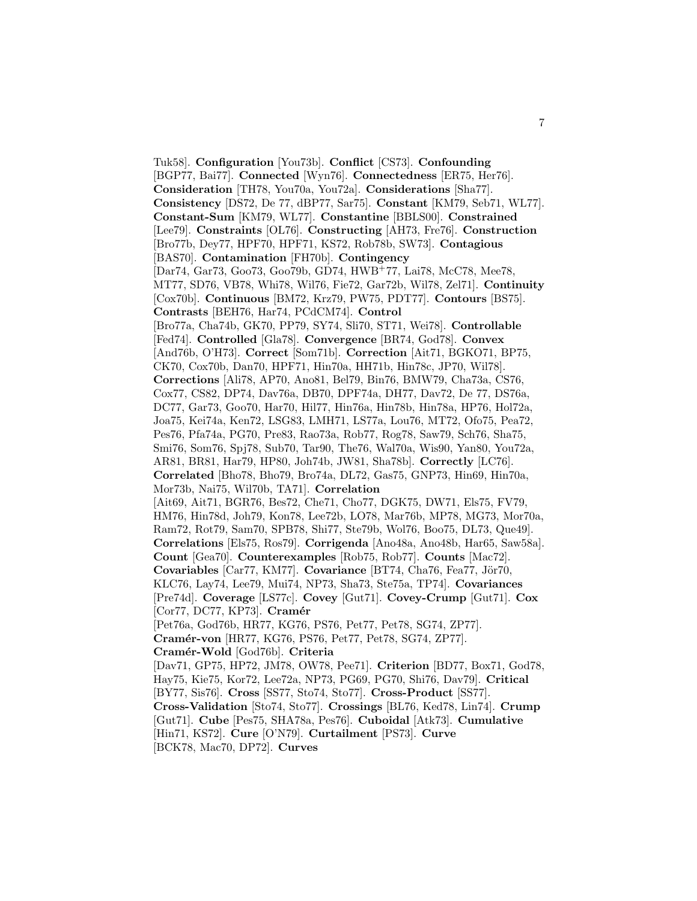Tuk58]. **Configuration** [You73b]. **Conflict** [CS73]. **Confounding** [BGP77, Bai77]. **Connected** [Wyn76]. **Connectedness** [ER75, Her76]. **Consideration** [TH78, You70a, You72a]. **Considerations** [Sha77]. **Consistency** [DS72, De 77, dBP77, Sar75]. **Constant** [KM79, Seb71, WL77]. **Constant-Sum** [KM79, WL77]. **Constantine** [BBLS00]. **Constrained** [Lee79]. **Constraints** [OL76]. **Constructing** [AH73, Fre76]. **Construction** [Bro77b, Dey77, HPF70, HPF71, KS72, Rob78b, SW73]. **Contagious** [BAS70]. **Contamination** [FH70b]. **Contingency** [Dar74, Gar73, Goo73, Goo79b, GD74, HWB<sup>+</sup>77, Lai78, McC78, Mee78, MT77, SD76, VB78, Whi78, Wil76, Fie72, Gar72b, Wil78, Zel71]. **Continuity** [Cox70b]. **Continuous** [BM72, Krz79, PW75, PDT77]. **Contours** [BS75]. **Contrasts** [BEH76, Har74, PCdCM74]. **Control** [Bro77a, Cha74b, GK70, PP79, SY74, Sli70, ST71, Wei78]. **Controllable** [Fed74]. **Controlled** [Gla78]. **Convergence** [BR74, God78]. **Convex** [And76b, O'H73]. **Correct** [Som71b]. **Correction** [Ait71, BGKO71, BP75, CK70, Cox70b, Dan70, HPF71, Hin70a, HH71b, Hin78c, JP70, Wil78]. **Corrections** [Ali78, AP70, Ano81, Bel79, Bin76, BMW79, Cha73a, CS76, Cox77, CS82, DP74, Dav76a, DB70, DPF74a, DH77, Dav72, De 77, DS76a, DC77, Gar73, Goo70, Har70, Hil77, Hin76a, Hin78b, Hin78a, HP76, Hol72a, Joa75, Kei74a, Ken72, LSG83, LMH71, LS77a, Lou76, MT72, Ofo75, Pea72, Pes76, Pfa74a, PG70, Pre83, Rao73a, Rob77, Rog78, Saw79, Sch76, Sha75, Smi76, Som76, Spj78, Sub70, Tar90, The76, Wal70a, Wis90, Yan80, You72a, AR81, BR81, Har79, HP80, Joh74b, JW81, Sha78b]. **Correctly** [LC76]. **Correlated** [Bho78, Bho79, Bro74a, DL72, Gas75, GNP73, Hin69, Hin70a, Mor73b, Nai75, Wil70b, TA71]. **Correlation** [Ait69, Ait71, BGR76, Bes72, Che71, Cho77, DGK75, DW71, Els75, FV79, HM76, Hin78d, Joh79, Kon78, Lee72b, LO78, Mar76b, MP78, MG73, Mor70a, Ram72, Rot79, Sam70, SPB78, Shi77, Ste79b, Wol76, Boo75, DL73, Que49]. **Correlations** [Els75, Ros79]. **Corrigenda** [Ano48a, Ano48b, Har65, Saw58a]. **Count** [Gea70]. **Counterexamples** [Rob75, Rob77]. **Counts** [Mac72]. **Covariables** [Car77, KM77]. **Covariance** [BT74, Cha76, Fea77, Jör70, KLC76, Lay74, Lee79, Mui74, NP73, Sha73, Ste75a, TP74]. **Covariances** [Pre74d]. **Coverage** [LS77c]. **Covey** [Gut71]. **Covey-Crump** [Gut71]. **Cox** [Cor77, DC77, KP73]. **Cramér** [Pet76a, God76b, HR77, KG76, PS76, Pet77, Pet78, SG74, ZP77]. **Cram´er-von** [HR77, KG76, PS76, Pet77, Pet78, SG74, ZP77]. **Cram´er-Wold** [God76b]. **Criteria** [Dav71, GP75, HP72, JM78, OW78, Pee71]. **Criterion** [BD77, Box71, God78, Hay75, Kie75, Kor72, Lee72a, NP73, PG69, PG70, Shi76, Dav79]. **Critical** [BY77, Sis76]. **Cross** [SS77, Sto74, Sto77]. **Cross-Product** [SS77]. **Cross-Validation** [Sto74, Sto77]. **Crossings** [BL76, Ked78, Lin74]. **Crump** [Gut71]. **Cube** [Pes75, SHA78a, Pes76]. **Cuboidal** [Atk73]. **Cumulative** [Hin71, KS72]. **Cure** [O'N79]. **Curtailment** [PS73]. **Curve** [BCK78, Mac70, DP72]. **Curves**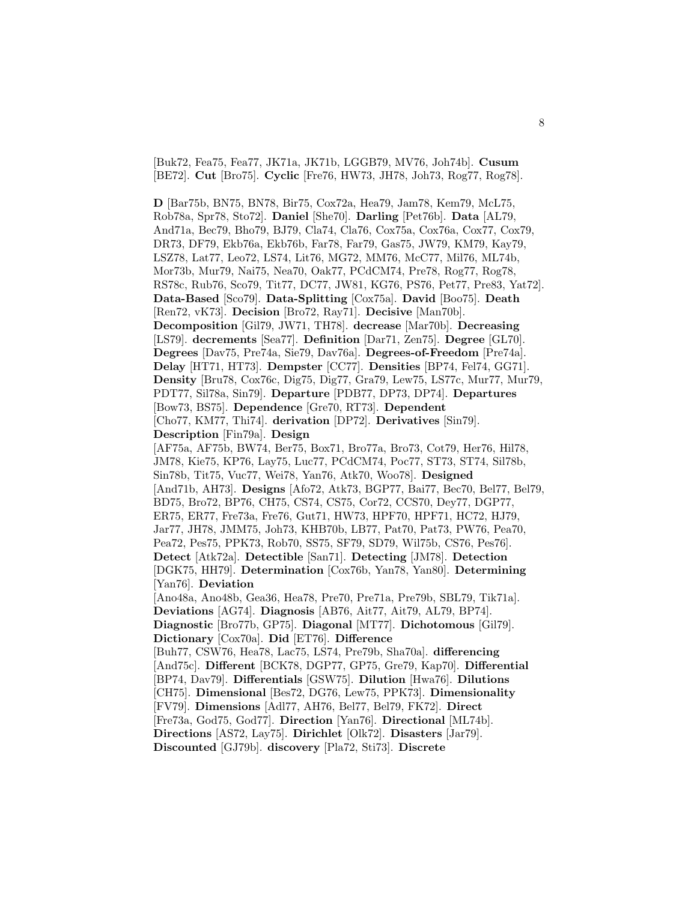[Buk72, Fea75, Fea77, JK71a, JK71b, LGGB79, MV76, Joh74b]. **Cusum** [BE72]. **Cut** [Bro75]. **Cyclic** [Fre76, HW73, JH78, Joh73, Rog77, Rog78].

**D** [Bar75b, BN75, BN78, Bir75, Cox72a, Hea79, Jam78, Kem79, McL75, Rob78a, Spr78, Sto72]. **Daniel** [She70]. **Darling** [Pet76b]. **Data** [AL79, And71a, Bec79, Bho79, BJ79, Cla74, Cla76, Cox75a, Cox76a, Cox77, Cox79, DR73, DF79, Ekb76a, Ekb76b, Far78, Far79, Gas75, JW79, KM79, Kay79, LSZ78, Lat77, Leo72, LS74, Lit76, MG72, MM76, McC77, Mil76, ML74b, Mor73b, Mur79, Nai75, Nea70, Oak77, PCdCM74, Pre78, Rog77, Rog78, RS78c, Rub76, Sco79, Tit77, DC77, JW81, KG76, PS76, Pet77, Pre83, Yat72]. **Data-Based** [Sco79]. **Data-Splitting** [Cox75a]. **David** [Boo75]. **Death** [Ren72, vK73]. **Decision** [Bro72, Ray71]. **Decisive** [Man70b]. **Decomposition** [Gil79, JW71, TH78]. **decrease** [Mar70b]. **Decreasing** [LS79]. **decrements** [Sea77]. **Definition** [Dar71, Zen75]. **Degree** [GL70]. **Degrees** [Dav75, Pre74a, Sie79, Dav76a]. **Degrees-of-Freedom** [Pre74a]. **Delay** [HT71, HT73]. **Dempster** [CC77]. **Densities** [BP74, Fel74, GG71]. **Density** [Bru78, Cox76c, Dig75, Dig77, Gra79, Lew75, LS77c, Mur77, Mur79, PDT77, Sil78a, Sin79]. **Departure** [PDB77, DP73, DP74]. **Departures** [Bow73, BS75]. **Dependence** [Gre70, RT73]. **Dependent** [Cho77, KM77, Thi74]. **derivation** [DP72]. **Derivatives** [Sin79]. **Description** [Fin79a]. **Design** [AF75a, AF75b, BW74, Ber75, Box71, Bro77a, Bro73, Cot79, Her76, Hil78, JM78, Kie75, KP76, Lay75, Luc77, PCdCM74, Poc77, ST73, ST74, Sil78b, Sin78b, Tit75, Vuc77, Wei78, Yan76, Atk70, Woo78]. **Designed** [And71b, AH73]. **Designs** [Afo72, Atk73, BGP77, Bai77, Bec70, Bel77, Bel79, BD75, Bro72, BP76, CH75, CS74, CS75, Cor72, CCS70, Dey77, DGP77, ER75, ER77, Fre73a, Fre76, Gut71, HW73, HPF70, HPF71, HC72, HJ79, Jar77, JH78, JMM75, Joh73, KHB70b, LB77, Pat70, Pat73, PW76, Pea70, Pea72, Pes75, PPK73, Rob70, SS75, SF79, SD79, Wil75b, CS76, Pes76]. **Detect** [Atk72a]. **Detectible** [San71]. **Detecting** [JM78]. **Detection** [DGK75, HH79]. **Determination** [Cox76b, Yan78, Yan80]. **Determining** [Yan76]. **Deviation** [Ano48a, Ano48b, Gea36, Hea78, Pre70, Pre71a, Pre79b, SBL79, Tik71a]. **Deviations** [AG74]. **Diagnosis** [AB76, Ait77, Ait79, AL79, BP74]. **Diagnostic** [Bro77b, GP75]. **Diagonal** [MT77]. **Dichotomous** [Gil79]. **Dictionary** [Cox70a]. **Did** [ET76]. **Difference** [Buh77, CSW76, Hea78, Lac75, LS74, Pre79b, Sha70a]. **differencing** [And75c]. **Different** [BCK78, DGP77, GP75, Gre79, Kap70]. **Differential** [BP74, Dav79]. **Differentials** [GSW75]. **Dilution** [Hwa76]. **Dilutions** [CH75]. **Dimensional** [Bes72, DG76, Lew75, PPK73]. **Dimensionality** [FV79]. **Dimensions** [Adl77, AH76, Bel77, Bel79, FK72]. **Direct** [Fre73a, God75, God77]. **Direction** [Yan76]. **Directional** [ML74b]. **Directions** [AS72, Lay75]. **Dirichlet** [Olk72]. **Disasters** [Jar79].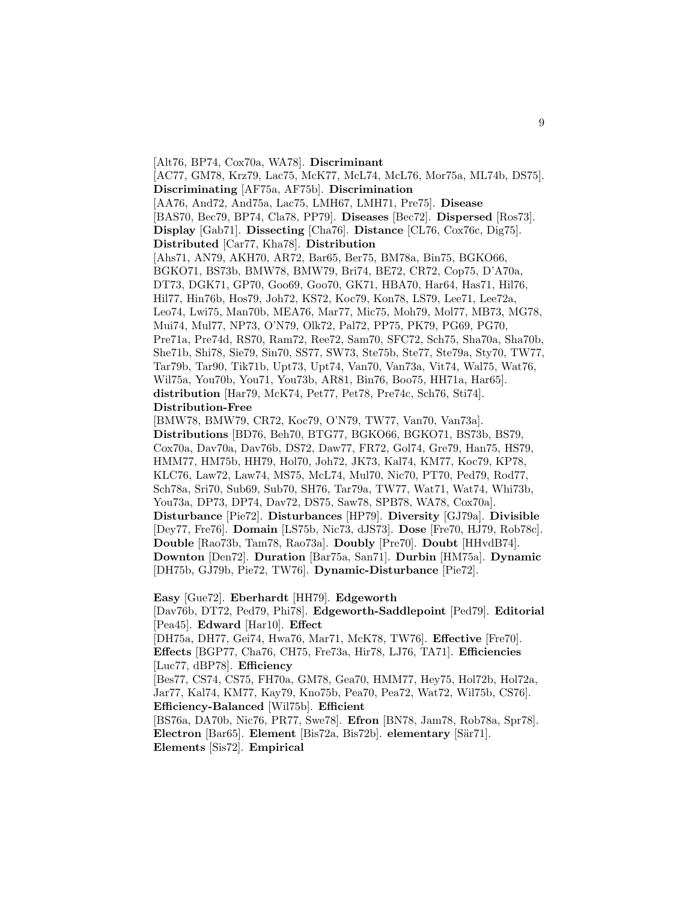[Alt76, BP74, Cox70a, WA78]. **Discriminant**

[AC77, GM78, Krz79, Lac75, McK77, McL74, McL76, Mor75a, ML74b, DS75]. **Discriminating** [AF75a, AF75b]. **Discrimination** [AA76, And72, And75a, Lac75, LMH67, LMH71, Pre75]. **Disease** [BAS70, Bec79, BP74, Cla78, PP79]. **Diseases** [Bec72]. **Dispersed** [Ros73]. **Display** [Gab71]. **Dissecting** [Cha76]. **Distance** [CL76, Cox76c, Dig75]. **Distributed** [Car77, Kha78]. **Distribution** [Ahs71, AN79, AKH70, AR72, Bar65, Ber75, BM78a, Bin75, BGKO66, BGKO71, BS73b, BMW78, BMW79, Bri74, BE72, CR72, Cop75, D'A70a, DT73, DGK71, GP70, Goo69, Goo70, GK71, HBA70, Har64, Has71, Hil76, Hil77, Hin76b, Hos79, Joh72, KS72, Koc79, Kon78, LS79, Lee71, Lee72a, Leo74, Lwi75, Man70b, MEA76, Mar77, Mic75, Moh79, Mol77, MB73, MG78, Mui74, Mul77, NP73, O'N79, Olk72, Pal72, PP75, PK79, PG69, PG70, Pre71a, Pre74d, RS70, Ram72, Ree72, Sam70, SFC72, Sch75, Sha70a, Sha70b, She71b, Shi78, Sie79, Sin70, SS77, SW73, Ste75b, Ste77, Ste79a, Sty70, TW77, Tar79b, Tar90, Tik71b, Upt73, Upt74, Van70, Van73a, Vit74, Wal75, Wat76, Wil75a, You70b, You71, You73b, AR81, Bin76, Boo75, HH71a, Har65]. **distribution** [Har79, McK74, Pet77, Pet78, Pre74c, Sch76, Sti74]. **Distribution-Free**

[BMW78, BMW79, CR72, Koc79, O'N79, TW77, Van70, Van73a]. **Distributions** [BD76, Beh70, BTG77, BGKO66, BGKO71, BS73b, BS79, Cox70a, Dav70a, Dav76b, DS72, Daw77, FR72, Gol74, Gre79, Han75, HS79, HMM77, HM75b, HH79, Hol70, Joh72, JK73, Kal74, KM77, Koc79, KP78, KLC76, Law72, Law74, MS75, McL74, Mul70, Nic70, PT70, Ped79, Rod77, Sch78a, Sri70, Sub69, Sub70, SH76, Tar79a, TW77, Wat71, Wat74, Whi73b, You73a, DP73, DP74, Dav72, DS75, Saw78, SPB78, WA78, Cox70a]. **Disturbance** [Pie72]. **Disturbances** [HP79]. **Diversity** [GJ79a]. **Divisible** [Dey77, Fre76]. **Domain** [LS75b, Nic73, dJS73]. **Dose** [Fre70, HJ79, Rob78c]. **Double** [Rao73b, Tam78, Rao73a]. **Doubly** [Pre70]. **Doubt** [HHvdB74]. **Downton** [Den72]. **Duration** [Bar75a, San71]. **Durbin** [HM75a]. **Dynamic** [DH75b, GJ79b, Pie72, TW76]. **Dynamic-Disturbance** [Pie72].

**Easy** [Gue72]. **Eberhardt** [HH79]. **Edgeworth** [Dav76b, DT72, Ped79, Phi78]. **Edgeworth-Saddlepoint** [Ped79]. **Editorial** [Pea45]. **Edward** [Har10]. **Effect** [DH75a, DH77, Gei74, Hwa76, Mar71, McK78, TW76]. **Effective** [Fre70]. **Effects** [BGP77, Cha76, CH75, Fre73a, Hir78, LJ76, TA71]. **Efficiencies** [Luc77, dBP78]. **Efficiency** [Bes77, CS74, CS75, FH70a, GM78, Gea70, HMM77, Hey75, Hol72b, Hol72a, Jar77, Kal74, KM77, Kay79, Kno75b, Pea70, Pea72, Wat72, Wil75b, CS76]. **Efficiency-Balanced** [Wil75b]. **Efficient** [BS76a, DA70b, Nic76, PR77, Swe78]. **Efron** [BN78, Jam78, Rob78a, Spr78]. Electron [Bar65]. **Element** [Bis72a, Bis72b]. **elementary** [Sär71]. **Elements** [Sis72]. **Empirical**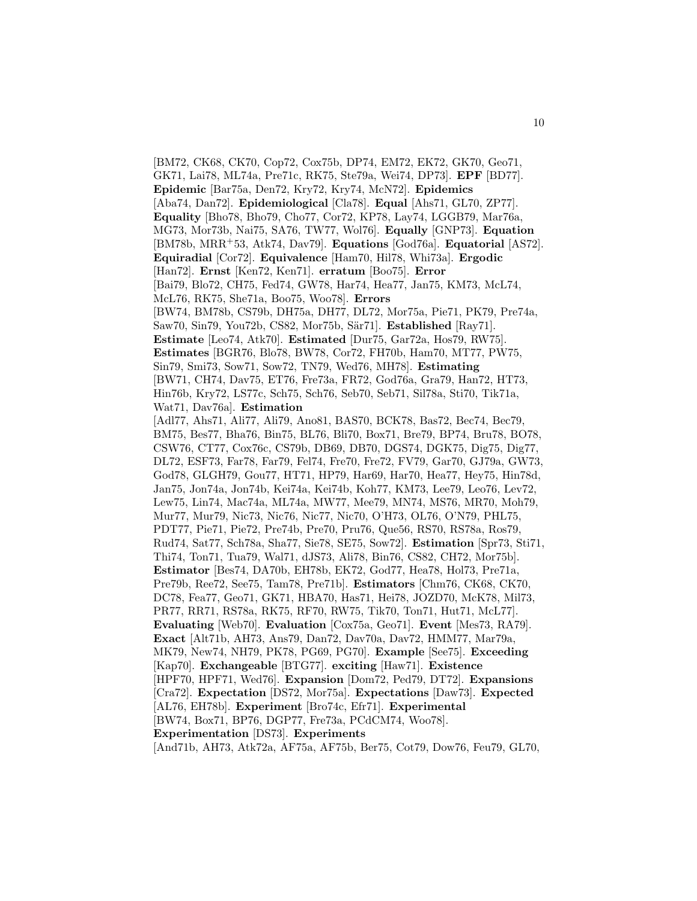[BM72, CK68, CK70, Cop72, Cox75b, DP74, EM72, EK72, GK70, Geo71, GK71, Lai78, ML74a, Pre71c, RK75, Ste79a, Wei74, DP73]. **EPF** [BD77]. **Epidemic** [Bar75a, Den72, Kry72, Kry74, McN72]. **Epidemics** [Aba74, Dan72]. **Epidemiological** [Cla78]. **Equal** [Ahs71, GL70, ZP77]. **Equality** [Bho78, Bho79, Cho77, Cor72, KP78, Lay74, LGGB79, Mar76a, MG73, Mor73b, Nai75, SA76, TW77, Wol76]. **Equally** [GNP73]. **Equation** [BM78b, MRR<sup>+</sup>53, Atk74, Dav79]. **Equations** [God76a]. **Equatorial** [AS72]. **Equiradial** [Cor72]. **Equivalence** [Ham70, Hil78, Whi73a]. **Ergodic** [Han72]. **Ernst** [Ken72, Ken71]. **erratum** [Boo75]. **Error** [Bai79, Blo72, CH75, Fed74, GW78, Har74, Hea77, Jan75, KM73, McL74, McL76, RK75, She71a, Boo75, Woo78]. **Errors** [BW74, BM78b, CS79b, DH75a, DH77, DL72, Mor75a, Pie71, PK79, Pre74a, Saw70, Sin79, You72b, CS82, Mor75b, Sär71]. Established [Ray71]. **Estimate** [Leo74, Atk70]. **Estimated** [Dur75, Gar72a, Hos79, RW75]. **Estimates** [BGR76, Blo78, BW78, Cor72, FH70b, Ham70, MT77, PW75, Sin79, Smi73, Sow71, Sow72, TN79, Wed76, MH78]. **Estimating** [BW71, CH74, Dav75, ET76, Fre73a, FR72, God76a, Gra79, Han72, HT73, Hin76b, Kry72, LS77c, Sch75, Sch76, Seb70, Seb71, Sil78a, Sti70, Tik71a, Wat71, Dav76a]. **Estimation** [Adl77, Ahs71, Ali77, Ali79, Ano81, BAS70, BCK78, Bas72, Bec74, Bec79, BM75, Bes77, Bha76, Bin75, BL76, Bli70, Box71, Bre79, BP74, Bru78, BO78, CSW76, CT77, Cox76c, CS79b, DB69, DB70, DGS74, DGK75, Dig75, Dig77, DL72, ESF73, Far78, Far79, Fel74, Fre70, Fre72, FV79, Gar70, GJ79a, GW73, God78, GLGH79, Gou77, HT71, HP79, Har69, Har70, Hea77, Hey75, Hin78d, Jan75, Jon74a, Jon74b, Kei74a, Kei74b, Koh77, KM73, Lee79, Leo76, Lev72, Lew75, Lin74, Mac74a, ML74a, MW77, Mee79, MN74, MS76, MR70, Moh79, Mur77, Mur79, Nic73, Nic76, Nic77, Nic70, O'H73, OL76, O'N79, PHL75, PDT77, Pie71, Pie72, Pre74b, Pre70, Pru76, Que56, RS70, RS78a, Ros79, Rud74, Sat77, Sch78a, Sha77, Sie78, SE75, Sow72]. **Estimation** [Spr73, Sti71, Thi74, Ton71, Tua79, Wal71, dJS73, Ali78, Bin76, CS82, CH72, Mor75b]. **Estimator** [Bes74, DA70b, EH78b, EK72, God77, Hea78, Hol73, Pre71a, Pre79b, Ree72, See75, Tam78, Pre71b]. **Estimators** [Chm76, CK68, CK70, DC78, Fea77, Geo71, GK71, HBA70, Has71, Hei78, JOZD70, McK78, Mil73, PR77, RR71, RS78a, RK75, RF70, RW75, Tik70, Ton71, Hut71, McL77]. **Evaluating** [Web70]. **Evaluation** [Cox75a, Geo71]. **Event** [Mes73, RA79]. **Exact** [Alt71b, AH73, Ans79, Dan72, Dav70a, Dav72, HMM77, Mar79a, MK79, New74, NH79, PK78, PG69, PG70]. **Example** [See75]. **Exceeding** [Kap70]. **Exchangeable** [BTG77]. **exciting** [Haw71]. **Existence** [HPF70, HPF71, Wed76]. **Expansion** [Dom72, Ped79, DT72]. **Expansions** [Cra72]. **Expectation** [DS72, Mor75a]. **Expectations** [Daw73]. **Expected** [AL76, EH78b]. **Experiment** [Bro74c, Efr71]. **Experimental** [BW74, Box71, BP76, DGP77, Fre73a, PCdCM74, Woo78]. **Experimentation** [DS73]. **Experiments** [And71b, AH73, Atk72a, AF75a, AF75b, Ber75, Cot79, Dow76, Feu79, GL70,

10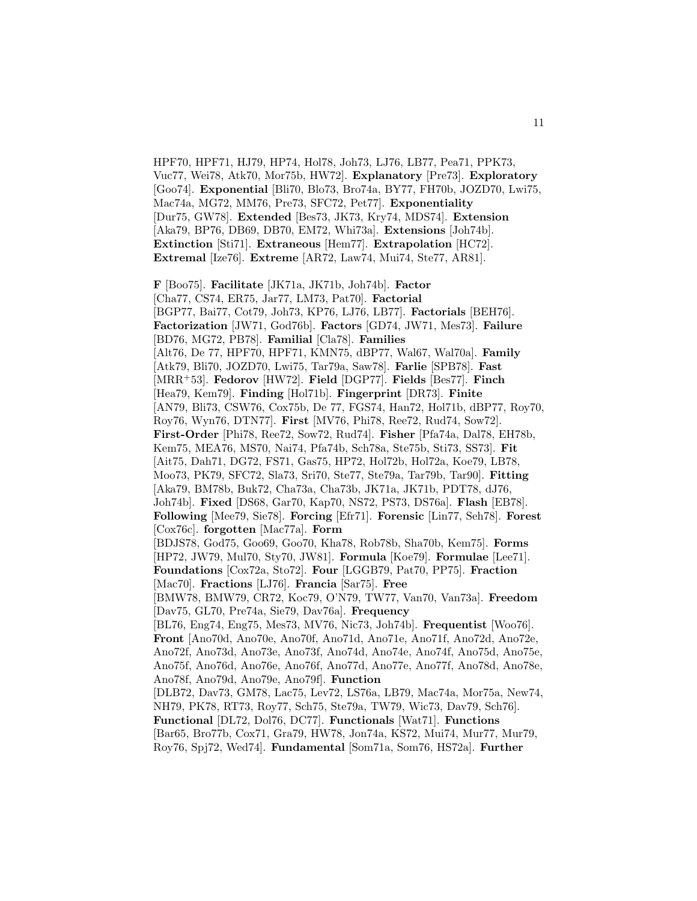HPF70, HPF71, HJ79, HP74, Hol78, Joh73, LJ76, LB77, Pea71, PPK73, Vuc77, Wei78, Atk70, Mor75b, HW72]. **Explanatory** [Pre73]. **Exploratory** [Goo74]. **Exponential** [Bli70, Blo73, Bro74a, BY77, FH70b, JOZD70, Lwi75, Mac74a, MG72, MM76, Pre73, SFC72, Pet77]. **Exponentiality** [Dur75, GW78]. **Extended** [Bes73, JK73, Kry74, MDS74]. **Extension** [Aka79, BP76, DB69, DB70, EM72, Whi73a]. **Extensions** [Joh74b]. **Extinction** [Sti71]. **Extraneous** [Hem77]. **Extrapolation** [HC72]. **Extremal** [Ize76]. **Extreme** [AR72, Law74, Mui74, Ste77, AR81].

**F** [Boo75]. **Facilitate** [JK71a, JK71b, Joh74b]. **Factor** [Cha77, CS74, ER75, Jar77, LM73, Pat70]. **Factorial** [BGP77, Bai77, Cot79, Joh73, KP76, LJ76, LB77]. **Factorials** [BEH76]. **Factorization** [JW71, God76b]. **Factors** [GD74, JW71, Mes73]. **Failure** [BD76, MG72, PB78]. **Familial** [Cla78]. **Families** [Alt76, De 77, HPF70, HPF71, KMN75, dBP77, Wal67, Wal70a]. **Family** [Atk79, Bli70, JOZD70, Lwi75, Tar79a, Saw78]. **Farlie** [SPB78]. **Fast** [MRR<sup>+</sup>53]. **Fedorov** [HW72]. **Field** [DGP77]. **Fields** [Bes77]. **Finch** [Hea79, Kem79]. **Finding** [Hol71b]. **Fingerprint** [DR73]. **Finite** [AN79, Bli73, CSW76, Cox75b, De 77, FGS74, Han72, Hol71b, dBP77, Roy70, Roy76, Wyn76, DTN77]. **First** [MV76, Phi78, Ree72, Rud74, Sow72]. **First-Order** [Phi78, Ree72, Sow72, Rud74]. **Fisher** [Pfa74a, Dal78, EH78b, Kem75, MEA76, MS70, Nai74, Pfa74b, Sch78a, Ste75b, Sti73, SS73]. **Fit** [Ait75, Dah71, DG72, FS71, Gas75, HP72, Hol72b, Hol72a, Koe79, LB78, Moo73, PK79, SFC72, Sla73, Sri70, Ste77, Ste79a, Tar79b, Tar90]. **Fitting** [Aka79, BM78b, Buk72, Cha73a, Cha73b, JK71a, JK71b, PDT78, dJ76, Joh74b]. **Fixed** [DS68, Gar70, Kap70, NS72, PS73, DS76a]. **Flash** [EB78]. **Following** [Mee79, Sie78]. **Forcing** [Efr71]. **Forensic** [Lin77, Seh78]. **Forest** [Cox76c]. **forgotten** [Mac77a]. **Form** [BDJS78, God75, Goo69, Goo70, Kha78, Rob78b, Sha70b, Kem75]. **Forms** [HP72, JW79, Mul70, Sty70, JW81]. **Formula** [Koe79]. **Formulae** [Lee71]. **Foundations** [Cox72a, Sto72]. **Four** [LGGB79, Pat70, PP75]. **Fraction** [Mac70]. **Fractions** [LJ76]. **Francia** [Sar75]. **Free** [BMW78, BMW79, CR72, Koc79, O'N79, TW77, Van70, Van73a]. **Freedom** [Dav75, GL70, Pre74a, Sie79, Dav76a]. **Frequency** [BL76, Eng74, Eng75, Mes73, MV76, Nic73, Joh74b]. **Frequentist** [Woo76]. **Front** [Ano70d, Ano70e, Ano70f, Ano71d, Ano71e, Ano71f, Ano72d, Ano72e, Ano72f, Ano73d, Ano73e, Ano73f, Ano74d, Ano74e, Ano74f, Ano75d, Ano75e, Ano75f, Ano76d, Ano76e, Ano76f, Ano77d, Ano77e, Ano77f, Ano78d, Ano78e, Ano78f, Ano79d, Ano79e, Ano79f]. **Function** [DLB72, Dav73, GM78, Lac75, Lev72, LS76a, LB79, Mac74a, Mor75a, New74, NH79, PK78, RT73, Roy77, Sch75, Ste79a, TW79, Wic73, Dav79, Sch76]. **Functional** [DL72, Dol76, DC77]. **Functionals** [Wat71]. **Functions** [Bar65, Bro77b, Cox71, Gra79, HW78, Jon74a, KS72, Mui74, Mur77, Mur79, Roy76, Spj72, Wed74]. **Fundamental** [Som71a, Som76, HS72a]. **Further**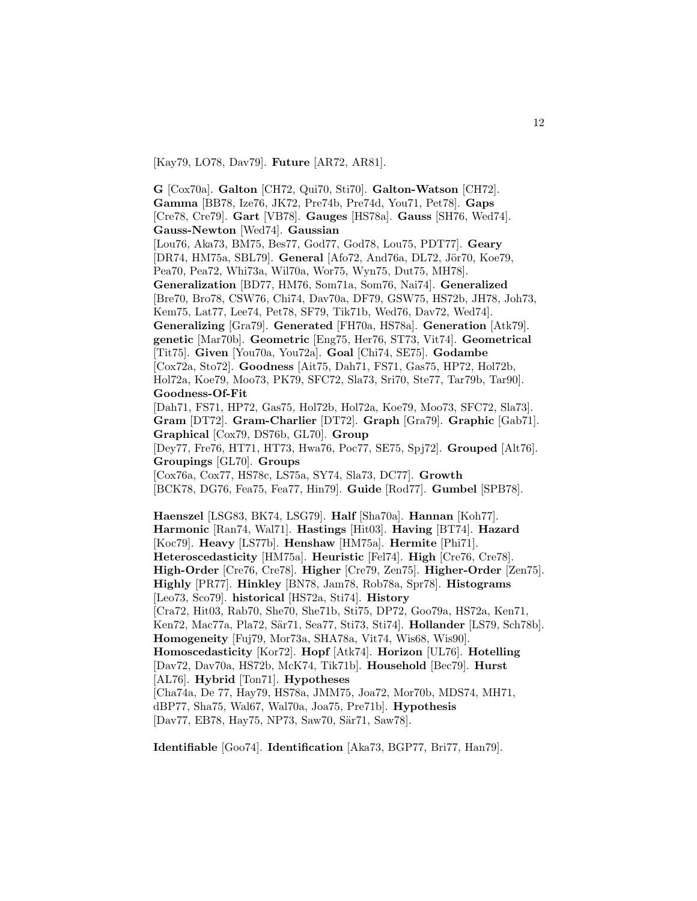[Kay79, LO78, Dav79]. **Future** [AR72, AR81].

**G** [Cox70a]. **Galton** [CH72, Qui70, Sti70]. **Galton-Watson** [CH72]. **Gamma** [BB78, Ize76, JK72, Pre74b, Pre74d, You71, Pet78]. **Gaps** [Cre78, Cre79]. **Gart** [VB78]. **Gauges** [HS78a]. **Gauss** [SH76, Wed74]. **Gauss-Newton** [Wed74]. **Gaussian** [Lou76, Aka73, BM75, Bes77, God77, God78, Lou75, PDT77]. **Geary** [DR74, HM75a, SBL79]. General [Afo72, And76a, DL72, Jör70, Koe79, Pea70, Pea72, Whi73a, Wil70a, Wor75, Wyn75, Dut75, MH78]. **Generalization** [BD77, HM76, Som71a, Som76, Nai74]. **Generalized** [Bre70, Bro78, CSW76, Chi74, Dav70a, DF79, GSW75, HS72b, JH78, Joh73, Kem75, Lat77, Lee74, Pet78, SF79, Tik71b, Wed76, Dav72, Wed74]. **Generalizing** [Gra79]. **Generated** [FH70a, HS78a]. **Generation** [Atk79]. **genetic** [Mar70b]. **Geometric** [Eng75, Her76, ST73, Vit74]. **Geometrical** [Tit75]. **Given** [You70a, You72a]. **Goal** [Chi74, SE75]. **Godambe** [Cox72a, Sto72]. **Goodness** [Ait75, Dah71, FS71, Gas75, HP72, Hol72b, Hol72a, Koe79, Moo73, PK79, SFC72, Sla73, Sri70, Ste77, Tar79b, Tar90]. **Goodness-Of-Fit** [Dah71, FS71, HP72, Gas75, Hol72b, Hol72a, Koe79, Moo73, SFC72, Sla73]. **Gram** [DT72]. **Gram-Charlier** [DT72]. **Graph** [Gra79]. **Graphic** [Gab71]. **Graphical** [Cox79, DS76b, GL70]. **Group** [Dey77, Fre76, HT71, HT73, Hwa76, Poc77, SE75, Spj72]. **Grouped** [Alt76]. **Groupings** [GL70]. **Groups** [Cox76a, Cox77, HS78c, LS75a, SY74, Sla73, DC77]. **Growth** [BCK78, DG76, Fea75, Fea77, Hin79]. **Guide** [Rod77]. **Gumbel** [SPB78]. **Haenszel** [LSG83, BK74, LSG79]. **Half** [Sha70a]. **Hannan** [Koh77]. **Harmonic** [Ran74, Wal71]. **Hastings** [Hit03]. **Having** [BT74]. **Hazard** [Koc79]. **Heavy** [LS77b]. **Henshaw** [HM75a]. **Hermite** [Phi71]. **Heteroscedasticity** [HM75a]. **Heuristic** [Fel74]. **High** [Cre76, Cre78]. **High-Order** [Cre76, Cre78]. **Higher** [Cre79, Zen75]. **Higher-Order** [Zen75]. **Highly** [PR77]. **Hinkley** [BN78, Jam78, Rob78a, Spr78]. **Histograms** [Leo73, Sco79]. **historical** [HS72a, Sti74]. **History** [Cra72, Hit03, Rab70, She70, She71b, Sti75, DP72, Goo79a, HS72a, Ken71, Ken72, Mac77a, Pla72, Sär71, Sea77, Sti73, Sti74]. **Hollander** [LS79, Sch78b]. **Homogeneity** [Fuj79, Mor73a, SHA78a, Vit74, Wis68, Wis90]. **Homoscedasticity** [Kor72]. **Hopf** [Atk74]. **Horizon** [UL76]. **Hotelling** [Dav72, Dav70a, HS72b, McK74, Tik71b]. **Household** [Bec79]. **Hurst** [AL76]. **Hybrid** [Ton71]. **Hypotheses** [Cha74a, De 77, Hay79, HS78a, JMM75, Joa72, Mor70b, MDS74, MH71, dBP77, Sha75, Wal67, Wal70a, Joa75, Pre71b]. **Hypothesis** [Dav77, EB78, Hay75, NP73, Saw70, Sär71, Saw78].

**Identifiable** [Goo74]. **Identification** [Aka73, BGP77, Bri77, Han79].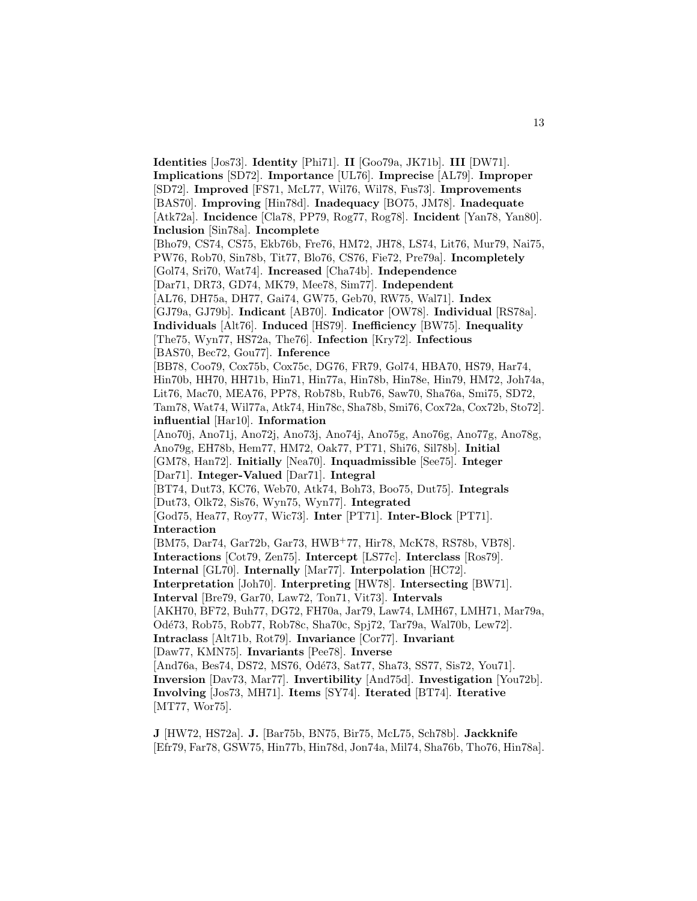**Identities** [Jos73]. **Identity** [Phi71]. **II** [Goo79a, JK71b]. **III** [DW71]. **Implications** [SD72]. **Importance** [UL76]. **Imprecise** [AL79]. **Improper** [SD72]. **Improved** [FS71, McL77, Wil76, Wil78, Fus73]. **Improvements** [BAS70]. **Improving** [Hin78d]. **Inadequacy** [BO75, JM78]. **Inadequate** [Atk72a]. **Incidence** [Cla78, PP79, Rog77, Rog78]. **Incident** [Yan78, Yan80]. **Inclusion** [Sin78a]. **Incomplete** [Bho79, CS74, CS75, Ekb76b, Fre76, HM72, JH78, LS74, Lit76, Mur79, Nai75, PW76, Rob70, Sin78b, Tit77, Blo76, CS76, Fie72, Pre79a]. **Incompletely** [Gol74, Sri70, Wat74]. **Increased** [Cha74b]. **Independence** [Dar71, DR73, GD74, MK79, Mee78, Sim77]. **Independent** [AL76, DH75a, DH77, Gai74, GW75, Geb70, RW75, Wal71]. **Index** [GJ79a, GJ79b]. **Indicant** [AB70]. **Indicator** [OW78]. **Individual** [RS78a]. **Individuals** [Alt76]. **Induced** [HS79]. **Inefficiency** [BW75]. **Inequality** [The75, Wyn77, HS72a, The76]. **Infection** [Kry72]. **Infectious** [BAS70, Bec72, Gou77]. **Inference** [BB78, Coo79, Cox75b, Cox75c, DG76, FR79, Gol74, HBA70, HS79, Har74, Hin70b, HH70, HH71b, Hin71, Hin77a, Hin78b, Hin78e, Hin79, HM72, Joh74a, Lit76, Mac70, MEA76, PP78, Rob78b, Rub76, Saw70, Sha76a, Smi75, SD72, Tam78, Wat74, Wil77a, Atk74, Hin78c, Sha78b, Smi76, Cox72a, Cox72b, Sto72]. **influential** [Har10]. **Information** [Ano70j, Ano71j, Ano72j, Ano73j, Ano74j, Ano75g, Ano76g, Ano77g, Ano78g, Ano79g, EH78b, Hem77, HM72, Oak77, PT71, Shi76, Sil78b]. **Initial** [GM78, Han72]. **Initially** [Nea70]. **Inquadmissible** [See75]. **Integer** [Dar71]. **Integer-Valued** [Dar71]. **Integral** [BT74, Dut73, KC76, Web70, Atk74, Boh73, Boo75, Dut75]. **Integrals** [Dut73, Olk72, Sis76, Wyn75, Wyn77]. **Integrated** [God75, Hea77, Roy77, Wic73]. **Inter** [PT71]. **Inter-Block** [PT71]. **Interaction** [BM75, Dar74, Gar72b, Gar73, HWB<sup>+</sup>77, Hir78, McK78, RS78b, VB78]. **Interactions** [Cot79, Zen75]. **Intercept** [LS77c]. **Interclass** [Ros79]. **Internal** [GL70]. **Internally** [Mar77]. **Interpolation** [HC72]. **Interpretation** [Joh70]. **Interpreting** [HW78]. **Intersecting** [BW71]. **Interval** [Bre79, Gar70, Law72, Ton71, Vit73]. **Intervals** [AKH70, BF72, Buh77, DG72, FH70a, Jar79, Law74, LMH67, LMH71, Mar79a, Odé73, Rob75, Rob77, Rob78c, Sha70c, Spj72, Tar79a, Wal70b, Lew72]. **Intraclass** [Alt71b, Rot79]. **Invariance** [Cor77]. **Invariant** [Daw77, KMN75]. **Invariants** [Pee78]. **Inverse** [And76a, Bes74, DS72, MS76, Odé73, Sat77, Sha73, SS77, Sis72, You71]. **Inversion** [Dav73, Mar77]. **Invertibility** [And75d]. **Investigation** [You72b]. **Involving** [Jos73, MH71]. **Items** [SY74]. **Iterated** [BT74]. **Iterative** [MT77, Wor75].

**J** [HW72, HS72a]. **J.** [Bar75b, BN75, Bir75, McL75, Sch78b]. **Jackknife** [Efr79, Far78, GSW75, Hin77b, Hin78d, Jon74a, Mil74, Sha76b, Tho76, Hin78a].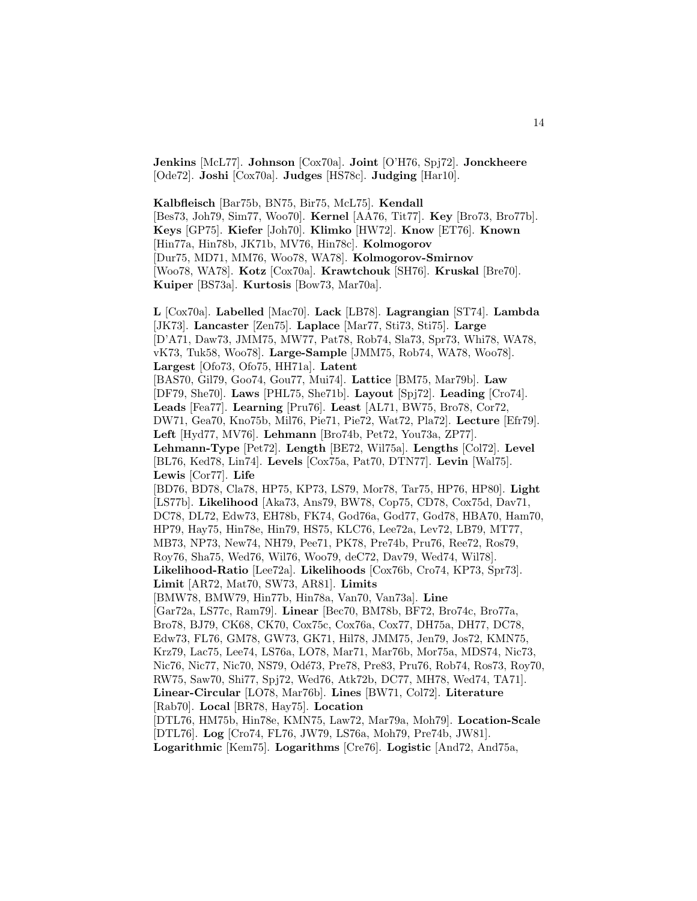**Jenkins** [McL77]. **Johnson** [Cox70a]. **Joint** [O'H76, Spj72]. **Jonckheere** [Ode72]. **Joshi** [Cox70a]. **Judges** [HS78c]. **Judging** [Har10].

**Kalbfleisch** [Bar75b, BN75, Bir75, McL75]. **Kendall** [Bes73, Joh79, Sim77, Woo70]. **Kernel** [AA76, Tit77]. **Key** [Bro73, Bro77b]. **Keys** [GP75]. **Kiefer** [Joh70]. **Klimko** [HW72]. **Know** [ET76]. **Known** [Hin77a, Hin78b, JK71b, MV76, Hin78c]. **Kolmogorov** [Dur75, MD71, MM76, Woo78, WA78]. **Kolmogorov-Smirnov** [Woo78, WA78]. **Kotz** [Cox70a]. **Krawtchouk** [SH76]. **Kruskal** [Bre70]. **Kuiper** [BS73a]. **Kurtosis** [Bow73, Mar70a].

**L** [Cox70a]. **Labelled** [Mac70]. **Lack** [LB78]. **Lagrangian** [ST74]. **Lambda** [JK73]. **Lancaster** [Zen75]. **Laplace** [Mar77, Sti73, Sti75]. **Large** [D'A71, Daw73, JMM75, MW77, Pat78, Rob74, Sla73, Spr73, Whi78, WA78, vK73, Tuk58, Woo78]. **Large-Sample** [JMM75, Rob74, WA78, Woo78]. **Largest** [Ofo73, Ofo75, HH71a]. **Latent** [BAS70, Gil79, Goo74, Gou77, Mui74]. **Lattice** [BM75, Mar79b]. **Law** [DF79, She70]. **Laws** [PHL75, She71b]. **Layout** [Spj72]. **Leading** [Cro74]. **Leads** [Fea77]. **Learning** [Pru76]. **Least** [AL71, BW75, Bro78, Cor72, DW71, Gea70, Kno75b, Mil76, Pie71, Pie72, Wat72, Pla72]. **Lecture** [Efr79]. **Left** [Hyd77, MV76]. **Lehmann** [Bro74b, Pet72, You73a, ZP77]. **Lehmann-Type** [Pet72]. **Length** [BE72, Wil75a]. **Lengths** [Col72]. **Level** [BL76, Ked78, Lin74]. **Levels** [Cox75a, Pat70, DTN77]. **Levin** [Wal75]. **Lewis** [Cor77]. **Life** [BD76, BD78, Cla78, HP75, KP73, LS79, Mor78, Tar75, HP76, HP80]. **Light** [LS77b]. **Likelihood** [Aka73, Ans79, BW78, Cop75, CD78, Cox75d, Dav71, DC78, DL72, Edw73, EH78b, FK74, God76a, God77, God78, HBA70, Ham70, HP79, Hay75, Hin78e, Hin79, HS75, KLC76, Lee72a, Lev72, LB79, MT77, MB73, NP73, New74, NH79, Pee71, PK78, Pre74b, Pru76, Ree72, Ros79, Roy76, Sha75, Wed76, Wil76, Woo79, deC72, Dav79, Wed74, Wil78]. **Likelihood-Ratio** [Lee72a]. **Likelihoods** [Cox76b, Cro74, KP73, Spr73]. **Limit** [AR72, Mat70, SW73, AR81]. **Limits** [BMW78, BMW79, Hin77b, Hin78a, Van70, Van73a]. **Line** [Gar72a, LS77c, Ram79]. **Linear** [Bec70, BM78b, BF72, Bro74c, Bro77a, Bro78, BJ79, CK68, CK70, Cox75c, Cox76a, Cox77, DH75a, DH77, DC78, Edw73, FL76, GM78, GW73, GK71, Hil78, JMM75, Jen79, Jos72, KMN75, Krz79, Lac75, Lee74, LS76a, LO78, Mar71, Mar76b, Mor75a, MDS74, Nic73, Nic76, Nic77, Nic70, NS79, Odé73, Pre78, Pre83, Pru76, Rob74, Ros73, Roy70, RW75, Saw70, Shi77, Spj72, Wed76, Atk72b, DC77, MH78, Wed74, TA71]. **Linear-Circular** [LO78, Mar76b]. **Lines** [BW71, Col72]. **Literature** [Rab70]. **Local** [BR78, Hay75]. **Location** [DTL76, HM75b, Hin78e, KMN75, Law72, Mar79a, Moh79]. **Location-Scale** [DTL76]. **Log** [Cro74, FL76, JW79, LS76a, Moh79, Pre74b, JW81].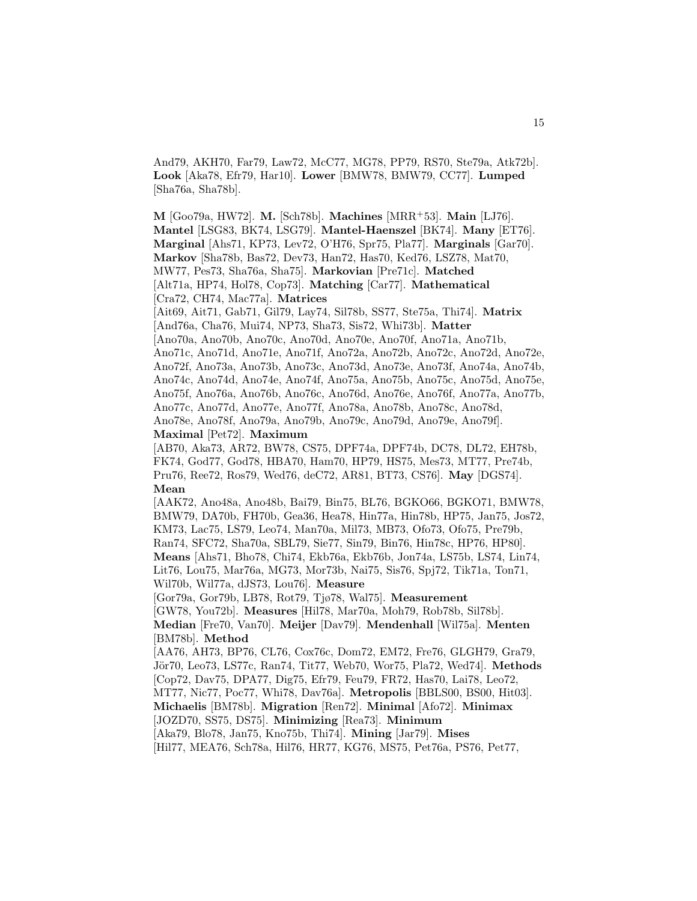And79, AKH70, Far79, Law72, McC77, MG78, PP79, RS70, Ste79a, Atk72b]. **Look** [Aka78, Efr79, Har10]. **Lower** [BMW78, BMW79, CC77]. **Lumped** [Sha76a, Sha78b].

**M** [Goo79a, HW72]. **M.** [Sch78b]. **Machines** [MRR<sup>+</sup>53]. **Main** [LJ76]. **Mantel** [LSG83, BK74, LSG79]. **Mantel-Haenszel** [BK74]. **Many** [ET76]. **Marginal** [Ahs71, KP73, Lev72, O'H76, Spr75, Pla77]. **Marginals** [Gar70]. **Markov** [Sha78b, Bas72, Dev73, Han72, Has70, Ked76, LSZ78, Mat70, MW77, Pes73, Sha76a, Sha75]. **Markovian** [Pre71c]. **Matched** [Alt71a, HP74, Hol78, Cop73]. **Matching** [Car77]. **Mathematical** [Cra72, CH74, Mac77a]. **Matrices** [Ait69, Ait71, Gab71, Gil79, Lay74, Sil78b, SS77, Ste75a, Thi74]. **Matrix** [And76a, Cha76, Mui74, NP73, Sha73, Sis72, Whi73b]. **Matter** [Ano70a, Ano70b, Ano70c, Ano70d, Ano70e, Ano70f, Ano71a, Ano71b, Ano71c, Ano71d, Ano71e, Ano71f, Ano72a, Ano72b, Ano72c, Ano72d, Ano72e, Ano72f, Ano73a, Ano73b, Ano73c, Ano73d, Ano73e, Ano73f, Ano74a, Ano74b, Ano74c, Ano74d, Ano74e, Ano74f, Ano75a, Ano75b, Ano75c, Ano75d, Ano75e,

Ano75f, Ano76a, Ano76b, Ano76c, Ano76d, Ano76e, Ano76f, Ano77a, Ano77b, Ano77c, Ano77d, Ano77e, Ano77f, Ano78a, Ano78b, Ano78c, Ano78d,

Ano78e, Ano78f, Ano79a, Ano79b, Ano79c, Ano79d, Ano79e, Ano79f]. **Maximal** [Pet72]. **Maximum**

[AB70, Aka73, AR72, BW78, CS75, DPF74a, DPF74b, DC78, DL72, EH78b, FK74, God77, God78, HBA70, Ham70, HP79, HS75, Mes73, MT77, Pre74b, Pru76, Ree72, Ros79, Wed76, deC72, AR81, BT73, CS76]. **May** [DGS74]. **Mean**

[AAK72, Ano48a, Ano48b, Bai79, Bin75, BL76, BGKO66, BGKO71, BMW78, BMW79, DA70b, FH70b, Gea36, Hea78, Hin77a, Hin78b, HP75, Jan75, Jos72, KM73, Lac75, LS79, Leo74, Man70a, Mil73, MB73, Ofo73, Ofo75, Pre79b, Ran74, SFC72, Sha70a, SBL79, Sie77, Sin79, Bin76, Hin78c, HP76, HP80]. **Means** [Ahs71, Bho78, Chi74, Ekb76a, Ekb76b, Jon74a, LS75b, LS74, Lin74, Lit76, Lou75, Mar76a, MG73, Mor73b, Nai75, Sis76, Spj72, Tik71a, Ton71, Wil70b, Wil77a, dJS73, Lou76]. **Measure**

[Gor79a, Gor79b, LB78, Rot79, Tjø78, Wal75]. **Measurement**

[GW78, You72b]. **Measures** [Hil78, Mar70a, Moh79, Rob78b, Sil78b].

**Median** [Fre70, Van70]. **Meijer** [Dav79]. **Mendenhall** [Wil75a]. **Menten** [BM78b]. **Method**

[AA76, AH73, BP76, CL76, Cox76c, Dom72, EM72, Fre76, GLGH79, Gra79, Jör70, Leo73, LS77c, Ran74, Tit77, Web70, Wor75, Pla72, Wed74. Methods [Cop72, Dav75, DPA77, Dig75, Efr79, Feu79, FR72, Has70, Lai78, Leo72, MT77, Nic77, Poc77, Whi78, Dav76a]. **Metropolis** [BBLS00, BS00, Hit03]. **Michaelis** [BM78b]. **Migration** [Ren72]. **Minimal** [Afo72]. **Minimax** [JOZD70, SS75, DS75]. **Minimizing** [Rea73]. **Minimum** [Aka79, Blo78, Jan75, Kno75b, Thi74]. **Mining** [Jar79]. **Mises**

[Hil77, MEA76, Sch78a, Hil76, HR77, KG76, MS75, Pet76a, PS76, Pet77,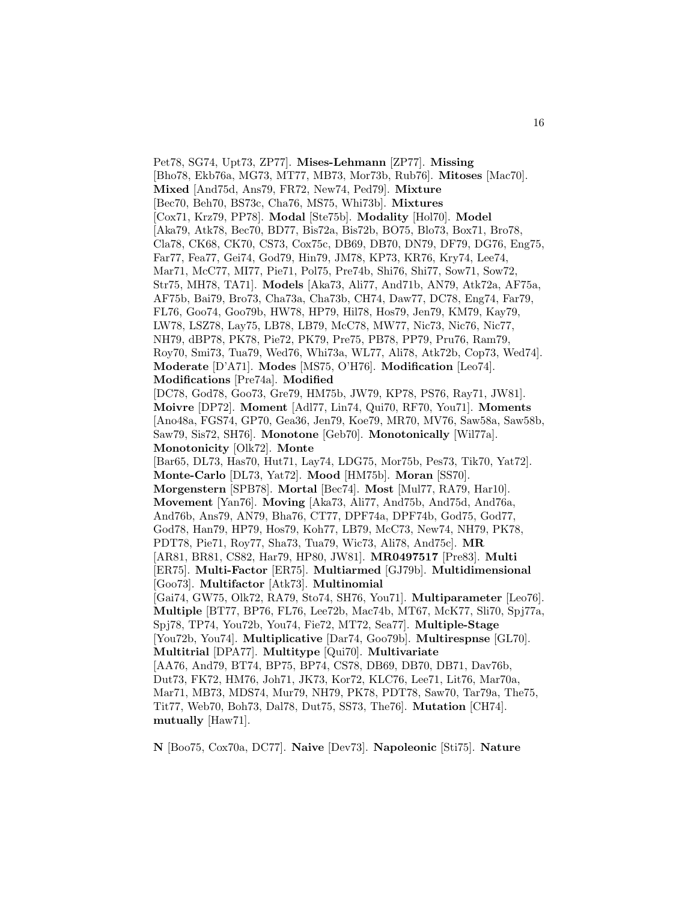Pet78, SG74, Upt73, ZP77]. **Mises-Lehmann** [ZP77]. **Missing** [Bho78, Ekb76a, MG73, MT77, MB73, Mor73b, Rub76]. **Mitoses** [Mac70]. **Mixed** [And75d, Ans79, FR72, New74, Ped79]. **Mixture** [Bec70, Beh70, BS73c, Cha76, MS75, Whi73b]. **Mixtures** [Cox71, Krz79, PP78]. **Modal** [Ste75b]. **Modality** [Hol70]. **Model** [Aka79, Atk78, Bec70, BD77, Bis72a, Bis72b, BO75, Blo73, Box71, Bro78, Cla78, CK68, CK70, CS73, Cox75c, DB69, DB70, DN79, DF79, DG76, Eng75, Far77, Fea77, Gei74, God79, Hin79, JM78, KP73, KR76, Kry74, Lee74, Mar71, McC77, MI77, Pie71, Pol75, Pre74b, Shi76, Shi77, Sow71, Sow72, Str75, MH78, TA71]. **Models** [Aka73, Ali77, And71b, AN79, Atk72a, AF75a, AF75b, Bai79, Bro73, Cha73a, Cha73b, CH74, Daw77, DC78, Eng74, Far79, FL76, Goo74, Goo79b, HW78, HP79, Hil78, Hos79, Jen79, KM79, Kay79, LW78, LSZ78, Lay75, LB78, LB79, McC78, MW77, Nic73, Nic76, Nic77, NH79, dBP78, PK78, Pie72, PK79, Pre75, PB78, PP79, Pru76, Ram79, Roy70, Smi73, Tua79, Wed76, Whi73a, WL77, Ali78, Atk72b, Cop73, Wed74]. **Moderate** [D'A71]. **Modes** [MS75, O'H76]. **Modification** [Leo74]. **Modifications** [Pre74a]. **Modified** [DC78, God78, Goo73, Gre79, HM75b, JW79, KP78, PS76, Ray71, JW81]. **Moivre** [DP72]. **Moment** [Adl77, Lin74, Qui70, RF70, You71]. **Moments** [Ano48a, FGS74, GP70, Gea36, Jen79, Koe79, MR70, MV76, Saw58a, Saw58b, Saw79, Sis72, SH76]. **Monotone** [Geb70]. **Monotonically** [Wil77a]. **Monotonicity** [Olk72]. **Monte** [Bar65, DL73, Has70, Hut71, Lay74, LDG75, Mor75b, Pes73, Tik70, Yat72]. **Monte-Carlo** [DL73, Yat72]. **Mood** [HM75b]. **Moran** [SS70]. **Morgenstern** [SPB78]. **Mortal** [Bec74]. **Most** [Mul77, RA79, Har10]. **Movement** [Yan76]. **Moving** [Aka73, Ali77, And75b, And75d, And76a, And76b, Ans79, AN79, Bha76, CT77, DPF74a, DPF74b, God75, God77, God78, Han79, HP79, Hos79, Koh77, LB79, McC73, New74, NH79, PK78, PDT78, Pie71, Roy77, Sha73, Tua79, Wic73, Ali78, And75c]. **MR** [AR81, BR81, CS82, Har79, HP80, JW81]. **MR0497517** [Pre83]. **Multi** [ER75]. **Multi-Factor** [ER75]. **Multiarmed** [GJ79b]. **Multidimensional** [Goo73]. **Multifactor** [Atk73]. **Multinomial** [Gai74, GW75, Olk72, RA79, Sto74, SH76, You71]. **Multiparameter** [Leo76]. **Multiple** [BT77, BP76, FL76, Lee72b, Mac74b, MT67, McK77, Sli70, Spj77a, Spj78, TP74, You72b, You74, Fie72, MT72, Sea77]. **Multiple-Stage** [You72b, You74]. **Multiplicative** [Dar74, Goo79b]. **Multirespnse** [GL70]. **Multitrial** [DPA77]. **Multitype** [Qui70]. **Multivariate** [AA76, And79, BT74, BP75, BP74, CS78, DB69, DB70, DB71, Dav76b, Dut73, FK72, HM76, Joh71, JK73, Kor72, KLC76, Lee71, Lit76, Mar70a, Mar71, MB73, MDS74, Mur79, NH79, PK78, PDT78, Saw70, Tar79a, The75, Tit77, Web70, Boh73, Dal78, Dut75, SS73, The76]. **Mutation** [CH74]. **mutually** [Haw71].

**N** [Boo75, Cox70a, DC77]. **Naive** [Dev73]. **Napoleonic** [Sti75]. **Nature**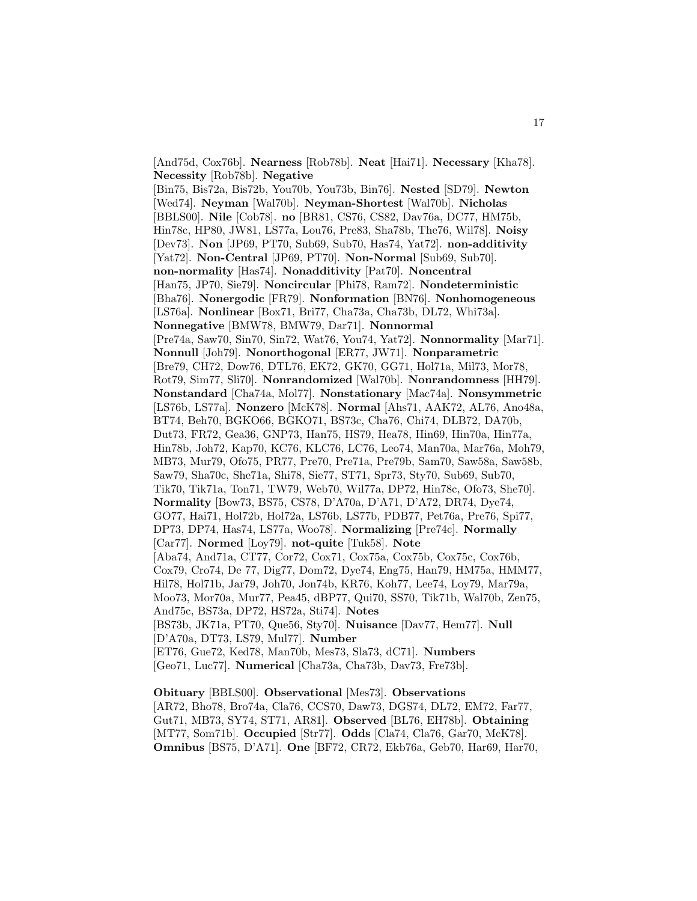[And75d, Cox76b]. **Nearness** [Rob78b]. **Neat** [Hai71]. **Necessary** [Kha78]. **Necessity** [Rob78b]. **Negative**

[Bin75, Bis72a, Bis72b, You70b, You73b, Bin76]. **Nested** [SD79]. **Newton** [Wed74]. **Neyman** [Wal70b]. **Neyman-Shortest** [Wal70b]. **Nicholas** [BBLS00]. **Nile** [Cob78]. **no** [BR81, CS76, CS82, Dav76a, DC77, HM75b, Hin78c, HP80, JW81, LS77a, Lou76, Pre83, Sha78b, The76, Wil78]. **Noisy** [Dev73]. **Non** [JP69, PT70, Sub69, Sub70, Has74, Yat72]. **non-additivity** [Yat72]. **Non-Central** [JP69, PT70]. **Non-Normal** [Sub69, Sub70]. **non-normality** [Has74]. **Nonadditivity** [Pat70]. **Noncentral** [Han75, JP70, Sie79]. **Noncircular** [Phi78, Ram72]. **Nondeterministic** [Bha76]. **Nonergodic** [FR79]. **Nonformation** [BN76]. **Nonhomogeneous** [LS76a]. **Nonlinear** [Box71, Bri77, Cha73a, Cha73b, DL72, Whi73a]. **Nonnegative** [BMW78, BMW79, Dar71]. **Nonnormal** [Pre74a, Saw70, Sin70, Sin72, Wat76, You74, Yat72]. **Nonnormality** [Mar71]. **Nonnull** [Joh79]. **Nonorthogonal** [ER77, JW71]. **Nonparametric** [Bre79, CH72, Dow76, DTL76, EK72, GK70, GG71, Hol71a, Mil73, Mor78, Rot79, Sim77, Sli70]. **Nonrandomized** [Wal70b]. **Nonrandomness** [HH79]. **Nonstandard** [Cha74a, Mol77]. **Nonstationary** [Mac74a]. **Nonsymmetric** [LS76b, LS77a]. **Nonzero** [McK78]. **Normal** [Ahs71, AAK72, AL76, Ano48a, BT74, Beh70, BGKO66, BGKO71, BS73c, Cha76, Chi74, DLB72, DA70b, Dut73, FR72, Gea36, GNP73, Han75, HS79, Hea78, Hin69, Hin70a, Hin77a, Hin78b, Joh72, Kap70, KC76, KLC76, LC76, Leo74, Man70a, Mar76a, Moh79, MB73, Mur79, Ofo75, PR77, Pre70, Pre71a, Pre79b, Sam70, Saw58a, Saw58b, Saw79, Sha70c, She71a, Shi78, Sie77, ST71, Spr73, Sty70, Sub69, Sub70, Tik70, Tik71a, Ton71, TW79, Web70, Wil77a, DP72, Hin78c, Ofo73, She70]. **Normality** [Bow73, BS75, CS78, D'A70a, D'A71, D'A72, DR74, Dye74, GO77, Hai71, Hol72b, Hol72a, LS76b, LS77b, PDB77, Pet76a, Pre76, Spi77, DP73, DP74, Has74, LS77a, Woo78]. **Normalizing** [Pre74c]. **Normally** [Car77]. **Normed** [Loy79]. **not-quite** [Tuk58]. **Note** [Aba74, And71a, CT77, Cor72, Cox71, Cox75a, Cox75b, Cox75c, Cox76b, Cox79, Cro74, De 77, Dig77, Dom72, Dye74, Eng75, Han79, HM75a, HMM77, Hil78, Hol71b, Jar79, Joh70, Jon74b, KR76, Koh77, Lee74, Loy79, Mar79a, Moo73, Mor70a, Mur77, Pea45, dBP77, Qui70, SS70, Tik71b, Wal70b, Zen75, And75c, BS73a, DP72, HS72a, Sti74]. **Notes** [BS73b, JK71a, PT70, Que56, Sty70]. **Nuisance** [Dav77, Hem77]. **Null** [D'A70a, DT73, LS79, Mul77]. **Number** [ET76, Gue72, Ked78, Man70b, Mes73, Sla73, dC71]. **Numbers** [Geo71, Luc77]. **Numerical** [Cha73a, Cha73b, Dav73, Fre73b].

**Obituary** [BBLS00]. **Observational** [Mes73]. **Observations** [AR72, Bho78, Bro74a, Cla76, CCS70, Daw73, DGS74, DL72, EM72, Far77, Gut71, MB73, SY74, ST71, AR81]. **Observed** [BL76, EH78b]. **Obtaining** [MT77, Som71b]. **Occupied** [Str77]. **Odds** [Cla74, Cla76, Gar70, McK78]. **Omnibus** [BS75, D'A71]. **One** [BF72, CR72, Ekb76a, Geb70, Har69, Har70,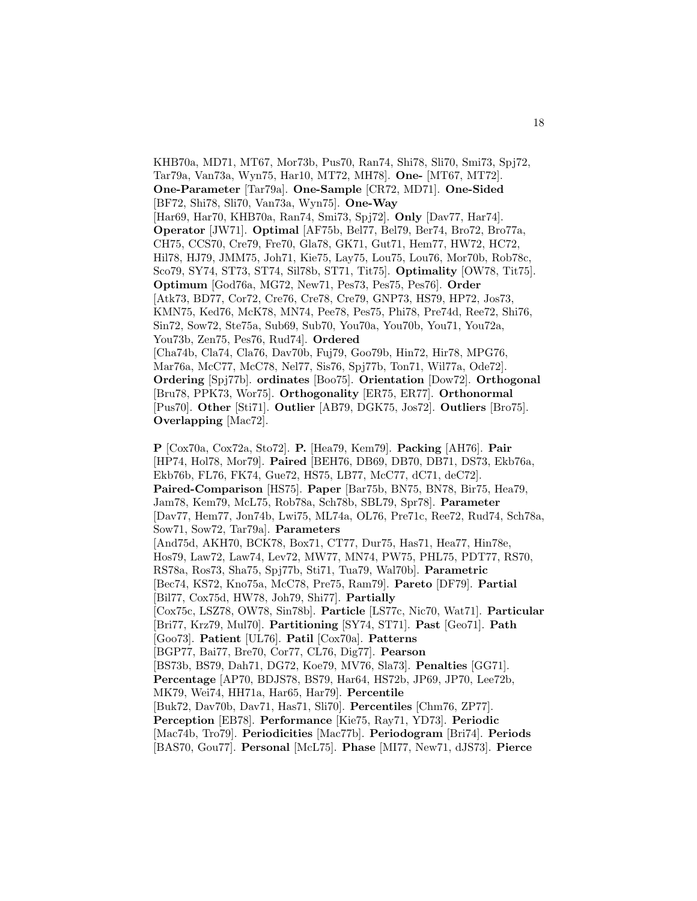KHB70a, MD71, MT67, Mor73b, Pus70, Ran74, Shi78, Sli70, Smi73, Spj72, Tar79a, Van73a, Wyn75, Har10, MT72, MH78]. **One-** [MT67, MT72]. **One-Parameter** [Tar79a]. **One-Sample** [CR72, MD71]. **One-Sided** [BF72, Shi78, Sli70, Van73a, Wyn75]. **One-Way** [Har69, Har70, KHB70a, Ran74, Smi73, Spj72]. **Only** [Dav77, Har74]. **Operator** [JW71]. **Optimal** [AF75b, Bel77, Bel79, Ber74, Bro72, Bro77a, CH75, CCS70, Cre79, Fre70, Gla78, GK71, Gut71, Hem77, HW72, HC72, Hil78, HJ79, JMM75, Joh71, Kie75, Lay75, Lou75, Lou76, Mor70b, Rob78c, Sco79, SY74, ST73, ST74, Sil78b, ST71, Tit75]. **Optimality** [OW78, Tit75]. **Optimum** [God76a, MG72, New71, Pes73, Pes75, Pes76]. **Order** [Atk73, BD77, Cor72, Cre76, Cre78, Cre79, GNP73, HS79, HP72, Jos73, KMN75, Ked76, McK78, MN74, Pee78, Pes75, Phi78, Pre74d, Ree72, Shi76, Sin72, Sow72, Ste75a, Sub69, Sub70, You70a, You70b, You71, You72a, You73b, Zen75, Pes76, Rud74]. **Ordered** [Cha74b, Cla74, Cla76, Dav70b, Fuj79, Goo79b, Hin72, Hir78, MPG76, Mar76a, McC77, McC78, Nel77, Sis76, Spj77b, Ton71, Wil77a, Ode72]. **Ordering** [Spj77b]. **ordinates** [Boo75]. **Orientation** [Dow72]. **Orthogonal** [Bru78, PPK73, Wor75]. **Orthogonality** [ER75, ER77]. **Orthonormal** [Pus70]. **Other** [Sti71]. **Outlier** [AB79, DGK75, Jos72]. **Outliers** [Bro75]. **Overlapping** [Mac72].

**P** [Cox70a, Cox72a, Sto72]. **P.** [Hea79, Kem79]. **Packing** [AH76]. **Pair** [HP74, Hol78, Mor79]. **Paired** [BEH76, DB69, DB70, DB71, DS73, Ekb76a, Ekb76b, FL76, FK74, Gue72, HS75, LB77, McC77, dC71, deC72]. **Paired-Comparison** [HS75]. **Paper** [Bar75b, BN75, BN78, Bir75, Hea79, Jam78, Kem79, McL75, Rob78a, Sch78b, SBL79, Spr78]. **Parameter** [Dav77, Hem77, Jon74b, Lwi75, ML74a, OL76, Pre71c, Ree72, Rud74, Sch78a, Sow71, Sow72, Tar79a]. **Parameters** [And75d, AKH70, BCK78, Box71, CT77, Dur75, Has71, Hea77, Hin78e, Hos79, Law72, Law74, Lev72, MW77, MN74, PW75, PHL75, PDT77, RS70, RS78a, Ros73, Sha75, Spj77b, Sti71, Tua79, Wal70b]. **Parametric** [Bec74, KS72, Kno75a, McC78, Pre75, Ram79]. **Pareto** [DF79]. **Partial** [Bil77, Cox75d, HW78, Joh79, Shi77]. **Partially** [Cox75c, LSZ78, OW78, Sin78b]. **Particle** [LS77c, Nic70, Wat71]. **Particular** [Bri77, Krz79, Mul70]. **Partitioning** [SY74, ST71]. **Past** [Geo71]. **Path** [Goo73]. **Patient** [UL76]. **Patil** [Cox70a]. **Patterns** [BGP77, Bai77, Bre70, Cor77, CL76, Dig77]. **Pearson** [BS73b, BS79, Dah71, DG72, Koe79, MV76, Sla73]. **Penalties** [GG71]. **Percentage** [AP70, BDJS78, BS79, Har64, HS72b, JP69, JP70, Lee72b, MK79, Wei74, HH71a, Har65, Har79]. **Percentile** [Buk72, Dav70b, Dav71, Has71, Sli70]. **Percentiles** [Chm76, ZP77]. **Perception** [EB78]. **Performance** [Kie75, Ray71, YD73]. **Periodic** [Mac74b, Tro79]. **Periodicities** [Mac77b]. **Periodogram** [Bri74]. **Periods** [BAS70, Gou77]. **Personal** [McL75]. **Phase** [MI77, New71, dJS73]. **Pierce**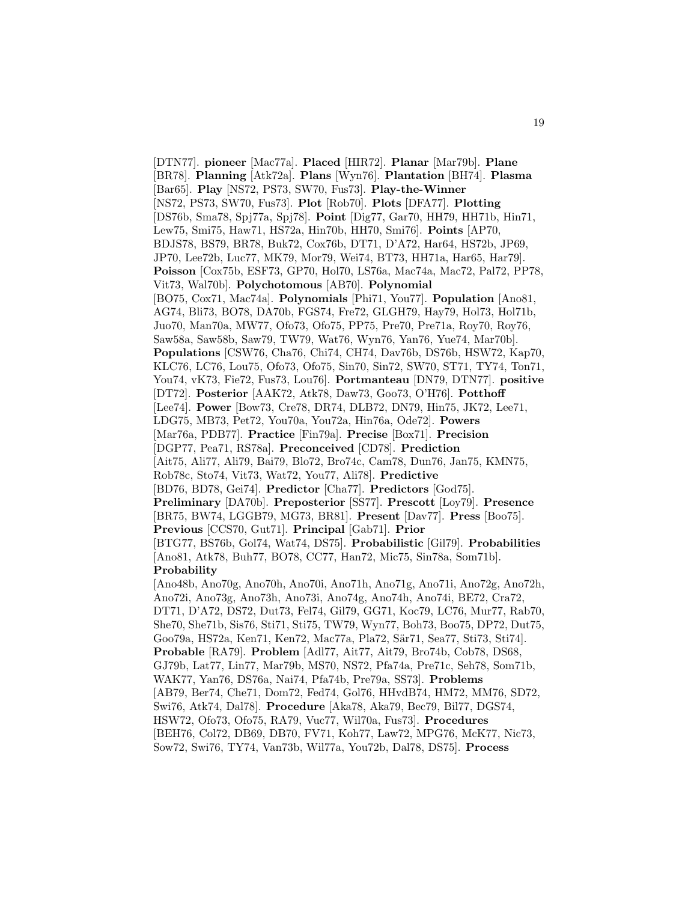[DTN77]. **pioneer** [Mac77a]. **Placed** [HIR72]. **Planar** [Mar79b]. **Plane** [BR78]. **Planning** [Atk72a]. **Plans** [Wyn76]. **Plantation** [BH74]. **Plasma** [Bar65]. **Play** [NS72, PS73, SW70, Fus73]. **Play-the-Winner** [NS72, PS73, SW70, Fus73]. **Plot** [Rob70]. **Plots** [DFA77]. **Plotting** [DS76b, Sma78, Spj77a, Spj78]. **Point** [Dig77, Gar70, HH79, HH71b, Hin71, Lew75, Smi75, Haw71, HS72a, Hin70b, HH70, Smi76]. **Points** [AP70, BDJS78, BS79, BR78, Buk72, Cox76b, DT71, D'A72, Har64, HS72b, JP69, JP70, Lee72b, Luc77, MK79, Mor79, Wei74, BT73, HH71a, Har65, Har79]. **Poisson** [Cox75b, ESF73, GP70, Hol70, LS76a, Mac74a, Mac72, Pal72, PP78, Vit73, Wal70b]. **Polychotomous** [AB70]. **Polynomial** [BO75, Cox71, Mac74a]. **Polynomials** [Phi71, You77]. **Population** [Ano81, AG74, Bli73, BO78, DA70b, FGS74, Fre72, GLGH79, Hay79, Hol73, Hol71b, Juo70, Man70a, MW77, Ofo73, Ofo75, PP75, Pre70, Pre71a, Roy70, Roy76, Saw58a, Saw58b, Saw79, TW79, Wat76, Wyn76, Yan76, Yue74, Mar70b]. **Populations** [CSW76, Cha76, Chi74, CH74, Dav76b, DS76b, HSW72, Kap70, KLC76, LC76, Lou75, Ofo73, Ofo75, Sin70, Sin72, SW70, ST71, TY74, Ton71, You74, vK73, Fie72, Fus73, Lou76]. **Portmanteau** [DN79, DTN77]. **positive** [DT72]. **Posterior** [AAK72, Atk78, Daw73, Goo73, O'H76]. **Potthoff** [Lee74]. **Power** [Bow73, Cre78, DR74, DLB72, DN79, Hin75, JK72, Lee71, LDG75, MB73, Pet72, You70a, You72a, Hin76a, Ode72]. **Powers** [Mar76a, PDB77]. **Practice** [Fin79a]. **Precise** [Box71]. **Precision** [DGP77, Pea71, RS78a]. **Preconceived** [CD78]. **Prediction** [Ait75, Ali77, Ali79, Bai79, Blo72, Bro74c, Cam78, Dun76, Jan75, KMN75, Rob78c, Sto74, Vit73, Wat72, You77, Ali78]. **Predictive** [BD76, BD78, Gei74]. **Predictor** [Cha77]. **Predictors** [God75]. **Preliminary** [DA70b]. **Preposterior** [SS77]. **Prescott** [Loy79]. **Presence** [BR75, BW74, LGGB79, MG73, BR81]. **Present** [Dav77]. **Press** [Boo75]. **Previous** [CCS70, Gut71]. **Principal** [Gab71]. **Prior** [BTG77, BS76b, Gol74, Wat74, DS75]. **Probabilistic** [Gil79]. **Probabilities** [Ano81, Atk78, Buh77, BO78, CC77, Han72, Mic75, Sin78a, Som71b]. **Probability** [Ano48b, Ano70g, Ano70h, Ano70i, Ano71h, Ano71g, Ano71i, Ano72g, Ano72h, Ano72i, Ano73g, Ano73h, Ano73i, Ano74g, Ano74h, Ano74i, BE72, Cra72, DT71, D'A72, DS72, Dut73, Fel74, Gil79, GG71, Koc79, LC76, Mur77, Rab70, She70, She71b, Sis76, Sti71, Sti75, TW79, Wyn77, Boh73, Boo75, DP72, Dut75, Goo79a, HS72a, Ken71, Ken72, Mac77a, Pla72, Sär71, Sea77, Sti73, Sti74. **Probable** [RA79]. **Problem** [Adl77, Ait77, Ait79, Bro74b, Cob78, DS68, GJ79b, Lat77, Lin77, Mar79b, MS70, NS72, Pfa74a, Pre71c, Seh78, Som71b, WAK77, Yan76, DS76a, Nai74, Pfa74b, Pre79a, SS73]. **Problems** [AB79, Ber74, Che71, Dom72, Fed74, Gol76, HHvdB74, HM72, MM76, SD72, Swi76, Atk74, Dal78]. **Procedure** [Aka78, Aka79, Bec79, Bil77, DGS74, HSW72, Ofo73, Ofo75, RA79, Vuc77, Wil70a, Fus73]. **Procedures** [BEH76, Col72, DB69, DB70, FV71, Koh77, Law72, MPG76, McK77, Nic73, Sow72, Swi76, TY74, Van73b, Wil77a, You72b, Dal78, DS75]. **Process**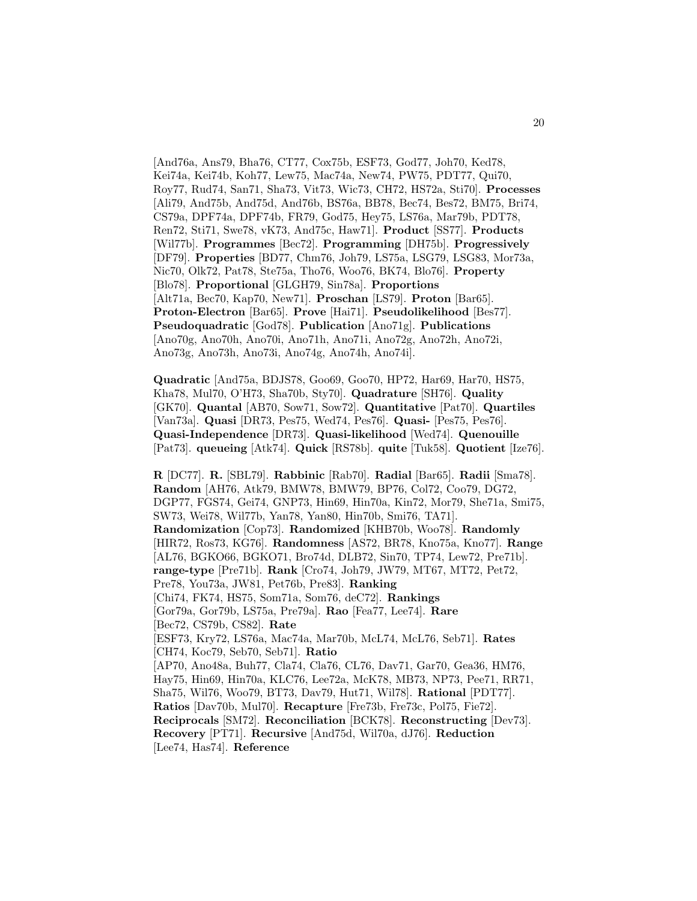[And76a, Ans79, Bha76, CT77, Cox75b, ESF73, God77, Joh70, Ked78, Kei74a, Kei74b, Koh77, Lew75, Mac74a, New74, PW75, PDT77, Qui70, Roy77, Rud74, San71, Sha73, Vit73, Wic73, CH72, HS72a, Sti70]. **Processes** [Ali79, And75b, And75d, And76b, BS76a, BB78, Bec74, Bes72, BM75, Bri74, CS79a, DPF74a, DPF74b, FR79, God75, Hey75, LS76a, Mar79b, PDT78, Ren72, Sti71, Swe78, vK73, And75c, Haw71]. **Product** [SS77]. **Products** [Wil77b]. **Programmes** [Bec72]. **Programming** [DH75b]. **Progressively** [DF79]. **Properties** [BD77, Chm76, Joh79, LS75a, LSG79, LSG83, Mor73a, Nic70, Olk72, Pat78, Ste75a, Tho76, Woo76, BK74, Blo76]. **Property** [Blo78]. **Proportional** [GLGH79, Sin78a]. **Proportions** [Alt71a, Bec70, Kap70, New71]. **Proschan** [LS79]. **Proton** [Bar65]. **Proton-Electron** [Bar65]. **Prove** [Hai71]. **Pseudolikelihood** [Bes77]. **Pseudoquadratic** [God78]. **Publication** [Ano71g]. **Publications** [Ano70g, Ano70h, Ano70i, Ano71h, Ano71i, Ano72g, Ano72h, Ano72i, Ano73g, Ano73h, Ano73i, Ano74g, Ano74h, Ano74i].

**Quadratic** [And75a, BDJS78, Goo69, Goo70, HP72, Har69, Har70, HS75, Kha78, Mul70, O'H73, Sha70b, Sty70]. **Quadrature** [SH76]. **Quality** [GK70]. **Quantal** [AB70, Sow71, Sow72]. **Quantitative** [Pat70]. **Quartiles** [Van73a]. **Quasi** [DR73, Pes75, Wed74, Pes76]. **Quasi-** [Pes75, Pes76]. **Quasi-Independence** [DR73]. **Quasi-likelihood** [Wed74]. **Quenouille** [Pat73]. **queueing** [Atk74]. **Quick** [RS78b]. **quite** [Tuk58]. **Quotient** [Ize76].

**R** [DC77]. **R.** [SBL79]. **Rabbinic** [Rab70]. **Radial** [Bar65]. **Radii** [Sma78]. **Random** [AH76, Atk79, BMW78, BMW79, BP76, Col72, Coo79, DG72, DGP77, FGS74, Gei74, GNP73, Hin69, Hin70a, Kin72, Mor79, She71a, Smi75, SW73, Wei78, Wil77b, Yan78, Yan80, Hin70b, Smi76, TA71]. **Randomization** [Cop73]. **Randomized** [KHB70b, Woo78]. **Randomly** [HIR72, Ros73, KG76]. **Randomness** [AS72, BR78, Kno75a, Kno77]. **Range** [AL76, BGKO66, BGKO71, Bro74d, DLB72, Sin70, TP74, Lew72, Pre71b]. **range-type** [Pre71b]. **Rank** [Cro74, Joh79, JW79, MT67, MT72, Pet72, Pre78, You73a, JW81, Pet76b, Pre83]. **Ranking** [Chi74, FK74, HS75, Som71a, Som76, deC72]. **Rankings** [Gor79a, Gor79b, LS75a, Pre79a]. **Rao** [Fea77, Lee74]. **Rare** [Bec72, CS79b, CS82]. **Rate** [ESF73, Kry72, LS76a, Mac74a, Mar70b, McL74, McL76, Seb71]. **Rates** [CH74, Koc79, Seb70, Seb71]. **Ratio** [AP70, Ano48a, Buh77, Cla74, Cla76, CL76, Dav71, Gar70, Gea36, HM76, Hay75, Hin69, Hin70a, KLC76, Lee72a, McK78, MB73, NP73, Pee71, RR71, Sha75, Wil76, Woo79, BT73, Dav79, Hut71, Wil78]. **Rational** [PDT77]. **Ratios** [Dav70b, Mul70]. **Recapture** [Fre73b, Fre73c, Pol75, Fie72]. **Reciprocals** [SM72]. **Reconciliation** [BCK78]. **Reconstructing** [Dev73]. **Recovery** [PT71]. **Recursive** [And75d, Wil70a, dJ76]. **Reduction** [Lee74, Has74]. **Reference**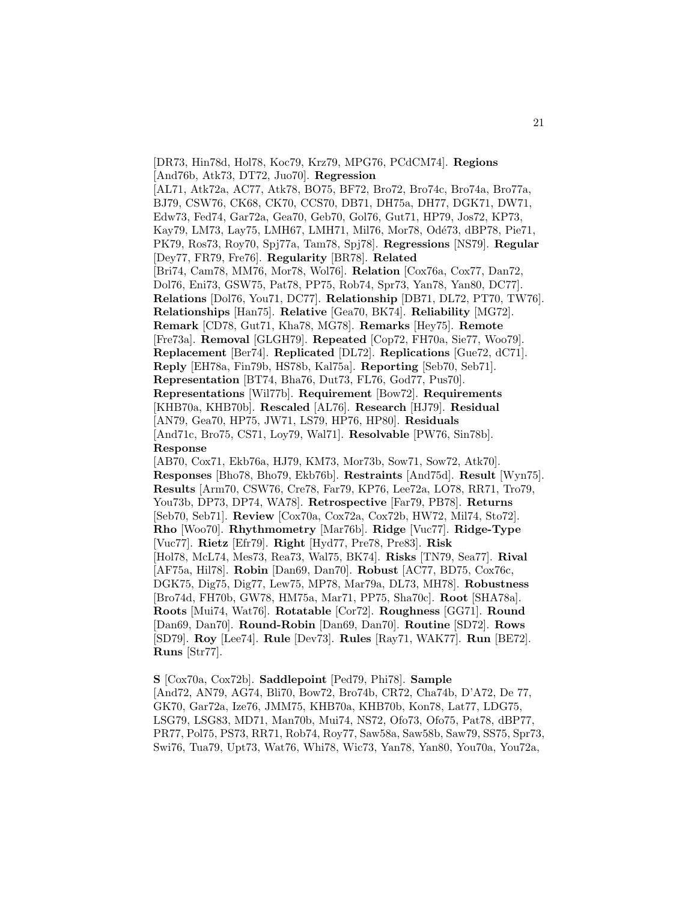[DR73, Hin78d, Hol78, Koc79, Krz79, MPG76, PCdCM74]. **Regions** [And76b, Atk73, DT72, Juo70]. **Regression** [AL71, Atk72a, AC77, Atk78, BO75, BF72, Bro72, Bro74c, Bro74a, Bro77a, BJ79, CSW76, CK68, CK70, CCS70, DB71, DH75a, DH77, DGK71, DW71, Edw73, Fed74, Gar72a, Gea70, Geb70, Gol76, Gut71, HP79, Jos72, KP73, Kay79, LM73, Lay75, LMH67, LMH71, Mil76, Mor78, Odé73, dBP78, Pie71, PK79, Ros73, Roy70, Spj77a, Tam78, Spj78]. **Regressions** [NS79]. **Regular** [Dey77, FR79, Fre76]. **Regularity** [BR78]. **Related** [Bri74, Cam78, MM76, Mor78, Wol76]. **Relation** [Cox76a, Cox77, Dan72, Dol76, Eni73, GSW75, Pat78, PP75, Rob74, Spr73, Yan78, Yan80, DC77]. **Relations** [Dol76, You71, DC77]. **Relationship** [DB71, DL72, PT70, TW76]. **Relationships** [Han75]. **Relative** [Gea70, BK74]. **Reliability** [MG72]. **Remark** [CD78, Gut71, Kha78, MG78]. **Remarks** [Hey75]. **Remote** [Fre73a]. **Removal** [GLGH79]. **Repeated** [Cop72, FH70a, Sie77, Woo79]. **Replacement** [Ber74]. **Replicated** [DL72]. **Replications** [Gue72, dC71]. **Reply** [EH78a, Fin79b, HS78b, Kal75a]. **Reporting** [Seb70, Seb71]. **Representation** [BT74, Bha76, Dut73, FL76, God77, Pus70]. **Representations** [Wil77b]. **Requirement** [Bow72]. **Requirements** [KHB70a, KHB70b]. **Rescaled** [AL76]. **Research** [HJ79]. **Residual** [AN79, Gea70, HP75, JW71, LS79, HP76, HP80]. **Residuals** [And71c, Bro75, CS71, Loy79, Wal71]. **Resolvable** [PW76, Sin78b]. **Response** [AB70, Cox71, Ekb76a, HJ79, KM73, Mor73b, Sow71, Sow72, Atk70]. **Responses** [Bho78, Bho79, Ekb76b]. **Restraints** [And75d]. **Result** [Wyn75]. **Results** [Arm70, CSW76, Cre78, Far79, KP76, Lee72a, LO78, RR71, Tro79, You73b, DP73, DP74, WA78]. **Retrospective** [Far79, PB78]. **Returns** [Seb70, Seb71]. **Review** [Cox70a, Cox72a, Cox72b, HW72, Mil74, Sto72]. **Rho** [Woo70]. **Rhythmometry** [Mar76b]. **Ridge** [Vuc77]. **Ridge-Type** [Vuc77]. **Rietz** [Efr79]. **Right** [Hyd77, Pre78, Pre83]. **Risk** [Hol78, McL74, Mes73, Rea73, Wal75, BK74]. **Risks** [TN79, Sea77]. **Rival** [AF75a, Hil78]. **Robin** [Dan69, Dan70]. **Robust** [AC77, BD75, Cox76c, DGK75, Dig75, Dig77, Lew75, MP78, Mar79a, DL73, MH78]. **Robustness** [Bro74d, FH70b, GW78, HM75a, Mar71, PP75, Sha70c]. **Root** [SHA78a]. **Roots** [Mui74, Wat76]. **Rotatable** [Cor72]. **Roughness** [GG71]. **Round** [Dan69, Dan70]. **Round-Robin** [Dan69, Dan70]. **Routine** [SD72]. **Rows** [SD79]. **Roy** [Lee74]. **Rule** [Dev73]. **Rules** [Ray71, WAK77]. **Run** [BE72]. **Runs** [Str77].

**S** [Cox70a, Cox72b]. **Saddlepoint** [Ped79, Phi78]. **Sample** [And72, AN79, AG74, Bli70, Bow72, Bro74b, CR72, Cha74b, D'A72, De 77, GK70, Gar72a, Ize76, JMM75, KHB70a, KHB70b, Kon78, Lat77, LDG75, LSG79, LSG83, MD71, Man70b, Mui74, NS72, Ofo73, Ofo75, Pat78, dBP77, PR77, Pol75, PS73, RR71, Rob74, Roy77, Saw58a, Saw58b, Saw79, SS75, Spr73, Swi76, Tua79, Upt73, Wat76, Whi78, Wic73, Yan78, Yan80, You70a, You72a,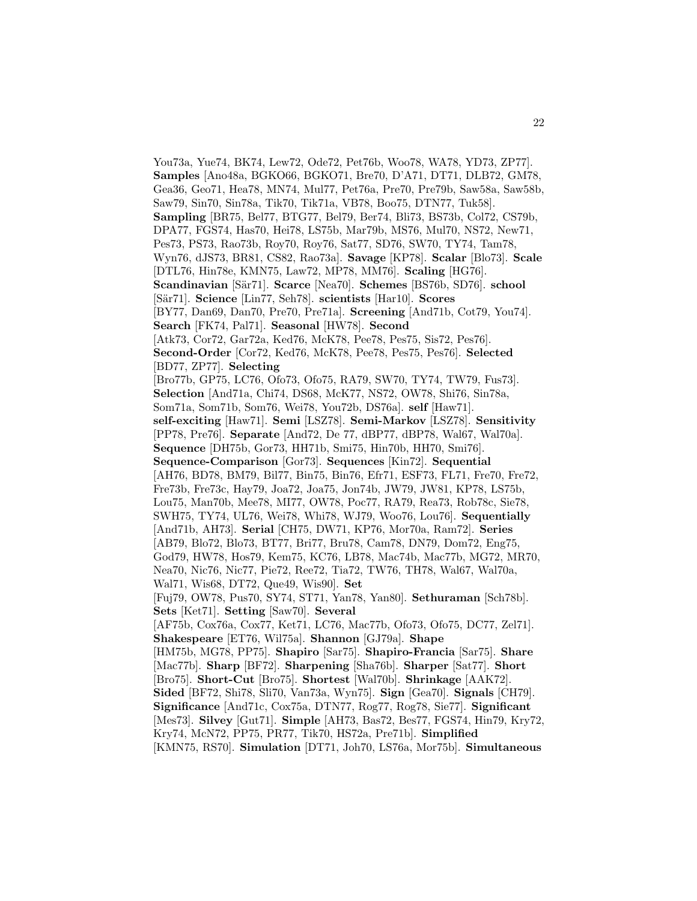You73a, Yue74, BK74, Lew72, Ode72, Pet76b, Woo78, WA78, YD73, ZP77]. **Samples** [Ano48a, BGKO66, BGKO71, Bre70, D'A71, DT71, DLB72, GM78, Gea36, Geo71, Hea78, MN74, Mul77, Pet76a, Pre70, Pre79b, Saw58a, Saw58b, Saw79, Sin70, Sin78a, Tik70, Tik71a, VB78, Boo75, DTN77, Tuk58]. **Sampling** [BR75, Bel77, BTG77, Bel79, Ber74, Bli73, BS73b, Col72, CS79b, DPA77, FGS74, Has70, Hei78, LS75b, Mar79b, MS76, Mul70, NS72, New71, Pes73, PS73, Rao73b, Roy70, Roy76, Sat77, SD76, SW70, TY74, Tam78, Wyn76, dJS73, BR81, CS82, Rao73a]. **Savage** [KP78]. **Scalar** [Blo73]. **Scale** [DTL76, Hin78e, KMN75, Law72, MP78, MM76]. **Scaling** [HG76]. **Scandinavian** [Sär71]. **Scarce** [Nea70]. **Schemes** [BS76b, SD76]. **school** [S¨ar71]. **Science** [Lin77, Seh78]. **scientists** [Har10]. **Scores** [BY77, Dan69, Dan70, Pre70, Pre71a]. **Screening** [And71b, Cot79, You74]. **Search** [FK74, Pal71]. **Seasonal** [HW78]. **Second** [Atk73, Cor72, Gar72a, Ked76, McK78, Pee78, Pes75, Sis72, Pes76]. **Second-Order** [Cor72, Ked76, McK78, Pee78, Pes75, Pes76]. **Selected** [BD77, ZP77]. **Selecting** [Bro77b, GP75, LC76, Ofo73, Ofo75, RA79, SW70, TY74, TW79, Fus73]. **Selection** [And71a, Chi74, DS68, McK77, NS72, OW78, Shi76, Sin78a, Som71a, Som71b, Som76, Wei78, You72b, DS76a]. **self** [Haw71]. **self-exciting** [Haw71]. **Semi** [LSZ78]. **Semi-Markov** [LSZ78]. **Sensitivity** [PP78, Pre76]. **Separate** [And72, De 77, dBP77, dBP78, Wal67, Wal70a]. **Sequence** [DH75b, Gor73, HH71b, Smi75, Hin70b, HH70, Smi76]. **Sequence-Comparison** [Gor73]. **Sequences** [Kin72]. **Sequential** [AH76, BD78, BM79, Bil77, Bin75, Bin76, Efr71, ESF73, FL71, Fre70, Fre72, Fre73b, Fre73c, Hay79, Joa72, Joa75, Jon74b, JW79, JW81, KP78, LS75b, Lou75, Man70b, Mee78, MI77, OW78, Poc77, RA79, Rea73, Rob78c, Sie78, SWH75, TY74, UL76, Wei78, Whi78, WJ79, Woo76, Lou76]. **Sequentially** [And71b, AH73]. **Serial** [CH75, DW71, KP76, Mor70a, Ram72]. **Series** [AB79, Blo72, Blo73, BT77, Bri77, Bru78, Cam78, DN79, Dom72, Eng75, God79, HW78, Hos79, Kem75, KC76, LB78, Mac74b, Mac77b, MG72, MR70, Nea70, Nic76, Nic77, Pie72, Ree72, Tia72, TW76, TH78, Wal67, Wal70a, Wal71, Wis68, DT72, Que49, Wis90]. **Set** [Fuj79, OW78, Pus70, SY74, ST71, Yan78, Yan80]. **Sethuraman** [Sch78b]. **Sets** [Ket71]. **Setting** [Saw70]. **Several** [AF75b, Cox76a, Cox77, Ket71, LC76, Mac77b, Ofo73, Ofo75, DC77, Zel71]. **Shakespeare** [ET76, Wil75a]. **Shannon** [GJ79a]. **Shape** [HM75b, MG78, PP75]. **Shapiro** [Sar75]. **Shapiro-Francia** [Sar75]. **Share** [Mac77b]. **Sharp** [BF72]. **Sharpening** [Sha76b]. **Sharper** [Sat77]. **Short** [Bro75]. **Short-Cut** [Bro75]. **Shortest** [Wal70b]. **Shrinkage** [AAK72]. **Sided** [BF72, Shi78, Sli70, Van73a, Wyn75]. **Sign** [Gea70]. **Signals** [CH79]. **Significance** [And71c, Cox75a, DTN77, Rog77, Rog78, Sie77]. **Significant** [Mes73]. **Silvey** [Gut71]. **Simple** [AH73, Bas72, Bes77, FGS74, Hin79, Kry72, Kry74, McN72, PP75, PR77, Tik70, HS72a, Pre71b]. **Simplified** [KMN75, RS70]. **Simulation** [DT71, Joh70, LS76a, Mor75b]. **Simultaneous**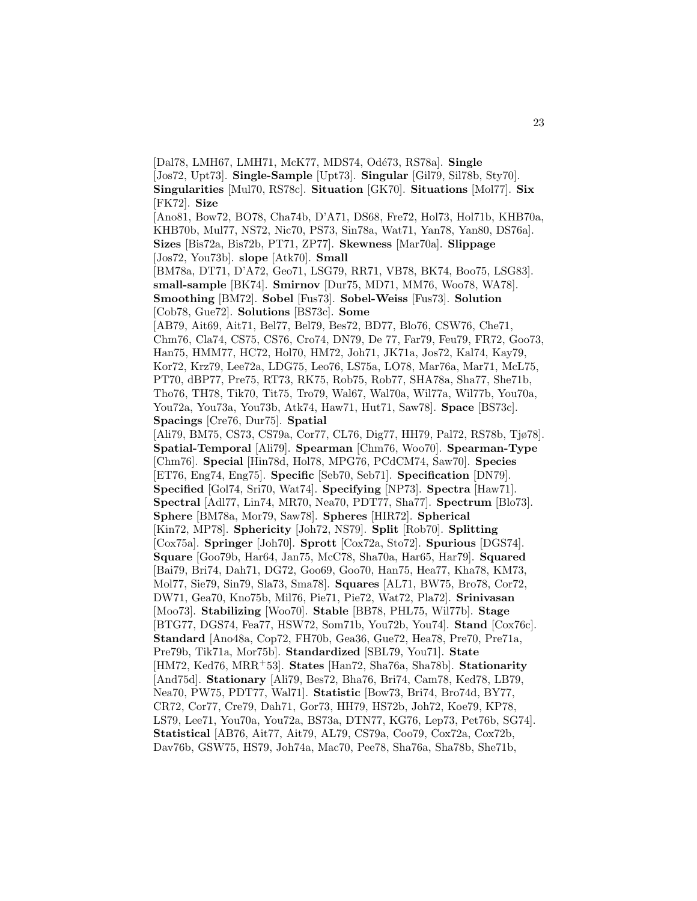[Dal78, LMH67, LMH71, McK77, MDS74, Odé73, RS78a]. **Single** [Jos72, Upt73]. **Single-Sample** [Upt73]. **Singular** [Gil79, Sil78b, Sty70]. **Singularities** [Mul70, RS78c]. **Situation** [GK70]. **Situations** [Mol77]. **Six** [FK72]. **Size** [Ano81, Bow72, BO78, Cha74b, D'A71, DS68, Fre72, Hol73, Hol71b, KHB70a, KHB70b, Mul77, NS72, Nic70, PS73, Sin78a, Wat71, Yan78, Yan80, DS76a]. **Sizes** [Bis72a, Bis72b, PT71, ZP77]. **Skewness** [Mar70a]. **Slippage** [Jos72, You73b]. **slope** [Atk70]. **Small** [BM78a, DT71, D'A72, Geo71, LSG79, RR71, VB78, BK74, Boo75, LSG83]. **small-sample** [BK74]. **Smirnov** [Dur75, MD71, MM76, Woo78, WA78]. **Smoothing** [BM72]. **Sobel** [Fus73]. **Sobel-Weiss** [Fus73]. **Solution** [Cob78, Gue72]. **Solutions** [BS73c]. **Some** [AB79, Ait69, Ait71, Bel77, Bel79, Bes72, BD77, Blo76, CSW76, Che71, Chm76, Cla74, CS75, CS76, Cro74, DN79, De 77, Far79, Feu79, FR72, Goo73, Han75, HMM77, HC72, Hol70, HM72, Joh71, JK71a, Jos72, Kal74, Kay79, Kor72, Krz79, Lee72a, LDG75, Leo76, LS75a, LO78, Mar76a, Mar71, McL75, PT70, dBP77, Pre75, RT73, RK75, Rob75, Rob77, SHA78a, Sha77, She71b, Tho76, TH78, Tik70, Tit75, Tro79, Wal67, Wal70a, Wil77a, Wil77b, You70a, You72a, You73a, You73b, Atk74, Haw71, Hut71, Saw78]. **Space** [BS73c]. **Spacings** [Cre76, Dur75]. **Spatial** [Ali79, BM75, CS73, CS79a, Cor77, CL76, Dig77, HH79, Pal72, RS78b, Tjø78]. **Spatial-Temporal** [Ali79]. **Spearman** [Chm76, Woo70]. **Spearman-Type** [Chm76]. **Special** [Hin78d, Hol78, MPG76, PCdCM74, Saw70]. **Species** [ET76, Eng74, Eng75]. **Specific** [Seb70, Seb71]. **Specification** [DN79]. **Specified** [Gol74, Sri70, Wat74]. **Specifying** [NP73]. **Spectra** [Haw71]. **Spectral** [Adl77, Lin74, MR70, Nea70, PDT77, Sha77]. **Spectrum** [Blo73]. **Sphere** [BM78a, Mor79, Saw78]. **Spheres** [HIR72]. **Spherical** [Kin72, MP78]. **Sphericity** [Joh72, NS79]. **Split** [Rob70]. **Splitting** [Cox75a]. **Springer** [Joh70]. **Sprott** [Cox72a, Sto72]. **Spurious** [DGS74]. **Square** [Goo79b, Har64, Jan75, McC78, Sha70a, Har65, Har79]. **Squared** [Bai79, Bri74, Dah71, DG72, Goo69, Goo70, Han75, Hea77, Kha78, KM73, Mol77, Sie79, Sin79, Sla73, Sma78]. **Squares** [AL71, BW75, Bro78, Cor72, DW71, Gea70, Kno75b, Mil76, Pie71, Pie72, Wat72, Pla72]. **Srinivasan** [Moo73]. **Stabilizing** [Woo70]. **Stable** [BB78, PHL75, Wil77b]. **Stage** [BTG77, DGS74, Fea77, HSW72, Som71b, You72b, You74]. **Stand** [Cox76c]. **Standard** [Ano48a, Cop72, FH70b, Gea36, Gue72, Hea78, Pre70, Pre71a, Pre79b, Tik71a, Mor75b]. **Standardized** [SBL79, You71]. **State** [HM72, Ked76, MRR<sup>+</sup>53]. **States** [Han72, Sha76a, Sha78b]. **Stationarity** [And75d]. **Stationary** [Ali79, Bes72, Bha76, Bri74, Cam78, Ked78, LB79, Nea70, PW75, PDT77, Wal71]. **Statistic** [Bow73, Bri74, Bro74d, BY77, CR72, Cor77, Cre79, Dah71, Gor73, HH79, HS72b, Joh72, Koe79, KP78, LS79, Lee71, You70a, You72a, BS73a, DTN77, KG76, Lep73, Pet76b, SG74]. **Statistical** [AB76, Ait77, Ait79, AL79, CS79a, Coo79, Cox72a, Cox72b, Dav76b, GSW75, HS79, Joh74a, Mac70, Pee78, Sha76a, Sha78b, She71b,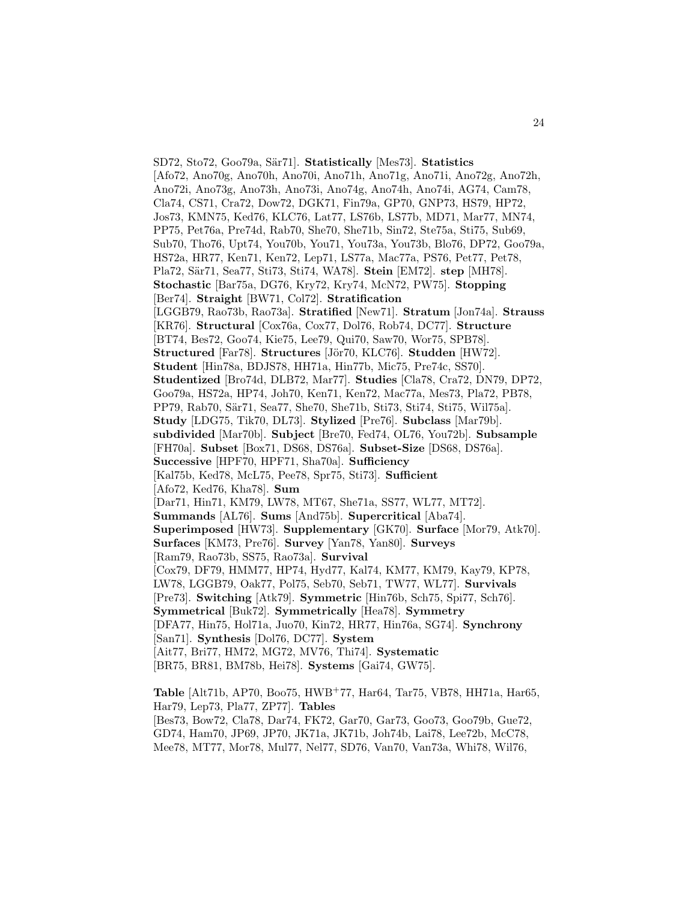SD72, Sto72, Goo79a, S¨ar71]. **Statistically** [Mes73]. **Statistics** [Afo72, Ano70g, Ano70h, Ano70i, Ano71h, Ano71g, Ano71i, Ano72g, Ano72h, Ano72i, Ano73g, Ano73h, Ano73i, Ano74g, Ano74h, Ano74i, AG74, Cam78, Cla74, CS71, Cra72, Dow72, DGK71, Fin79a, GP70, GNP73, HS79, HP72, Jos73, KMN75, Ked76, KLC76, Lat77, LS76b, LS77b, MD71, Mar77, MN74, PP75, Pet76a, Pre74d, Rab70, She70, She71b, Sin72, Ste75a, Sti75, Sub69, Sub70, Tho76, Upt74, You70b, You71, You73a, You73b, Blo76, DP72, Goo79a, HS72a, HR77, Ken71, Ken72, Lep71, LS77a, Mac77a, PS76, Pet77, Pet78, Pla72, Sär71, Sea77, Sti73, Sti74, WA78]. Stein [EM72]. step [MH78]. **Stochastic** [Bar75a, DG76, Kry72, Kry74, McN72, PW75]. **Stopping** [Ber74]. **Straight** [BW71, Col72]. **Stratification** [LGGB79, Rao73b, Rao73a]. **Stratified** [New71]. **Stratum** [Jon74a]. **Strauss** [KR76]. **Structural** [Cox76a, Cox77, Dol76, Rob74, DC77]. **Structure** [BT74, Bes72, Goo74, Kie75, Lee79, Qui70, Saw70, Wor75, SPB78]. **Structured** [Far78]. **Structures** [Jör70, KLC76]. **Studden** [HW72]. **Student** [Hin78a, BDJS78, HH71a, Hin77b, Mic75, Pre74c, SS70]. **Studentized** [Bro74d, DLB72, Mar77]. **Studies** [Cla78, Cra72, DN79, DP72, Goo79a, HS72a, HP74, Joh70, Ken71, Ken72, Mac77a, Mes73, Pla72, PB78, PP79, Rab70, Sär71, Sea77, She70, She71b, Sti73, Sti74, Sti75, Wil75a]. **Study** [LDG75, Tik70, DL73]. **Stylized** [Pre76]. **Subclass** [Mar79b]. **subdivided** [Mar70b]. **Subject** [Bre70, Fed74, OL76, You72b]. **Subsample** [FH70a]. **Subset** [Box71, DS68, DS76a]. **Subset-Size** [DS68, DS76a]. **Successive** [HPF70, HPF71, Sha70a]. **Sufficiency** [Kal75b, Ked78, McL75, Pee78, Spr75, Sti73]. **Sufficient** [Afo72, Ked76, Kha78]. **Sum** [Dar71, Hin71, KM79, LW78, MT67, She71a, SS77, WL77, MT72]. **Summands** [AL76]. **Sums** [And75b]. **Supercritical** [Aba74]. **Superimposed** [HW73]. **Supplementary** [GK70]. **Surface** [Mor79, Atk70]. **Surfaces** [KM73, Pre76]. **Survey** [Yan78, Yan80]. **Surveys** [Ram79, Rao73b, SS75, Rao73a]. **Survival** [Cox79, DF79, HMM77, HP74, Hyd77, Kal74, KM77, KM79, Kay79, KP78, LW78, LGGB79, Oak77, Pol75, Seb70, Seb71, TW77, WL77]. **Survivals** [Pre73]. **Switching** [Atk79]. **Symmetric** [Hin76b, Sch75, Spi77, Sch76]. **Symmetrical** [Buk72]. **Symmetrically** [Hea78]. **Symmetry** [DFA77, Hin75, Hol71a, Juo70, Kin72, HR77, Hin76a, SG74]. **Synchrony** [San71]. **Synthesis** [Dol76, DC77]. **System** [Ait77, Bri77, HM72, MG72, MV76, Thi74]. **Systematic** [BR75, BR81, BM78b, Hei78]. **Systems** [Gai74, GW75]. **Table** [Alt71b, AP70, Boo75, HWB<sup>+</sup>77, Har64, Tar75, VB78, HH71a, Har65,

Har79, Lep73, Pla77, ZP77]. **Tables**

[Bes73, Bow72, Cla78, Dar74, FK72, Gar70, Gar73, Goo73, Goo79b, Gue72, GD74, Ham70, JP69, JP70, JK71a, JK71b, Joh74b, Lai78, Lee72b, McC78, Mee78, MT77, Mor78, Mul77, Nel77, SD76, Van70, Van73a, Whi78, Wil76,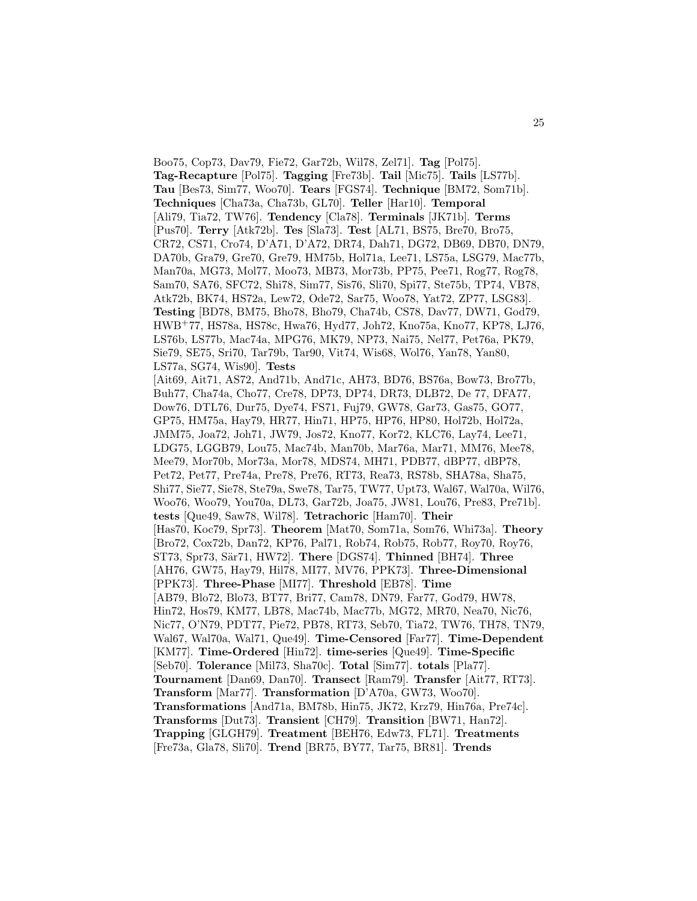Boo75, Cop73, Dav79, Fie72, Gar72b, Wil78, Zel71]. **Tag** [Pol75]. **Tag-Recapture** [Pol75]. **Tagging** [Fre73b]. **Tail** [Mic75]. **Tails** [LS77b]. **Tau** [Bes73, Sim77, Woo70]. **Tears** [FGS74]. **Technique** [BM72, Som71b]. **Techniques** [Cha73a, Cha73b, GL70]. **Teller** [Har10]. **Temporal** [Ali79, Tia72, TW76]. **Tendency** [Cla78]. **Terminals** [JK71b]. **Terms** [Pus70]. **Terry** [Atk72b]. **Tes** [Sla73]. **Test** [AL71, BS75, Bre70, Bro75, CR72, CS71, Cro74, D'A71, D'A72, DR74, Dah71, DG72, DB69, DB70, DN79, DA70b, Gra79, Gre70, Gre79, HM75b, Hol71a, Lee71, LS75a, LSG79, Mac77b, Man70a, MG73, Mol77, Moo73, MB73, Mor73b, PP75, Pee71, Rog77, Rog78, Sam70, SA76, SFC72, Shi78, Sim77, Sis76, Sli70, Spi77, Ste75b, TP74, VB78, Atk72b, BK74, HS72a, Lew72, Ode72, Sar75, Woo78, Yat72, ZP77, LSG83]. **Testing** [BD78, BM75, Bho78, Bho79, Cha74b, CS78, Dav77, DW71, God79, HWB<sup>+</sup>77, HS78a, HS78c, Hwa76, Hyd77, Joh72, Kno75a, Kno77, KP78, LJ76, LS76b, LS77b, Mac74a, MPG76, MK79, NP73, Nai75, Nel77, Pet76a, PK79, Sie79, SE75, Sri70, Tar79b, Tar90, Vit74, Wis68, Wol76, Yan78, Yan80, LS77a, SG74, Wis90]. **Tests** [Ait69, Ait71, AS72, And71b, And71c, AH73, BD76, BS76a, Bow73, Bro77b, Buh77, Cha74a, Cho77, Cre78, DP73, DP74, DR73, DLB72, De 77, DFA77, Dow76, DTL76, Dur75, Dye74, FS71, Fuj79, GW78, Gar73, Gas75, GO77, GP75, HM75a, Hay79, HR77, Hin71, HP75, HP76, HP80, Hol72b, Hol72a, JMM75, Joa72, Joh71, JW79, Jos72, Kno77, Kor72, KLC76, Lay74, Lee71, LDG75, LGGB79, Lou75, Mac74b, Man70b, Mar76a, Mar71, MM76, Mee78, Mee79, Mor70b, Mor73a, Mor78, MDS74, MH71, PDB77, dBP77, dBP78, Pet72, Pet77, Pre74a, Pre78, Pre76, RT73, Rea73, RS78b, SHA78a, Sha75, Shi77, Sie77, Sie78, Ste79a, Swe78, Tar75, TW77, Upt73, Wal67, Wal70a, Wil76, Woo76, Woo79, You70a, DL73, Gar72b, Joa75, JW81, Lou76, Pre83, Pre71b]. **tests** [Que49, Saw78, Wil78]. **Tetrachoric** [Ham70]. **Their** [Has70, Koc79, Spr73]. **Theorem** [Mat70, Som71a, Som76, Whi73a]. **Theory** [Bro72, Cox72b, Dan72, KP76, Pal71, Rob74, Rob75, Rob77, Roy70, Roy76, ST73, Spr73, Sär71, HW72]. **There** [DGS74]. **Thinned** [BH74]. **Three** [AH76, GW75, Hay79, Hil78, MI77, MV76, PPK73]. **Three-Dimensional** [PPK73]. **Three-Phase** [MI77]. **Threshold** [EB78]. **Time** [AB79, Blo72, Blo73, BT77, Bri77, Cam78, DN79, Far77, God79, HW78, Hin72, Hos79, KM77, LB78, Mac74b, Mac77b, MG72, MR70, Nea70, Nic76, Nic77, O'N79, PDT77, Pie72, PB78, RT73, Seb70, Tia72, TW76, TH78, TN79, Wal67, Wal70a, Wal71, Que49]. **Time-Censored** [Far77]. **Time-Dependent** [KM77]. **Time-Ordered** [Hin72]. **time-series** [Que49]. **Time-Specific** [Seb70]. **Tolerance** [Mil73, Sha70c]. **Total** [Sim77]. **totals** [Pla77]. **Tournament** [Dan69, Dan70]. **Transect** [Ram79]. **Transfer** [Ait77, RT73]. **Transform** [Mar77]. **Transformation** [D'A70a, GW73, Woo70]. **Transformations** [And71a, BM78b, Hin75, JK72, Krz79, Hin76a, Pre74c]. **Transforms** [Dut73]. **Transient** [CH79]. **Transition** [BW71, Han72]. **Trapping** [GLGH79]. **Treatment** [BEH76, Edw73, FL71]. **Treatments** [Fre73a, Gla78, Sli70]. **Trend** [BR75, BY77, Tar75, BR81]. **Trends**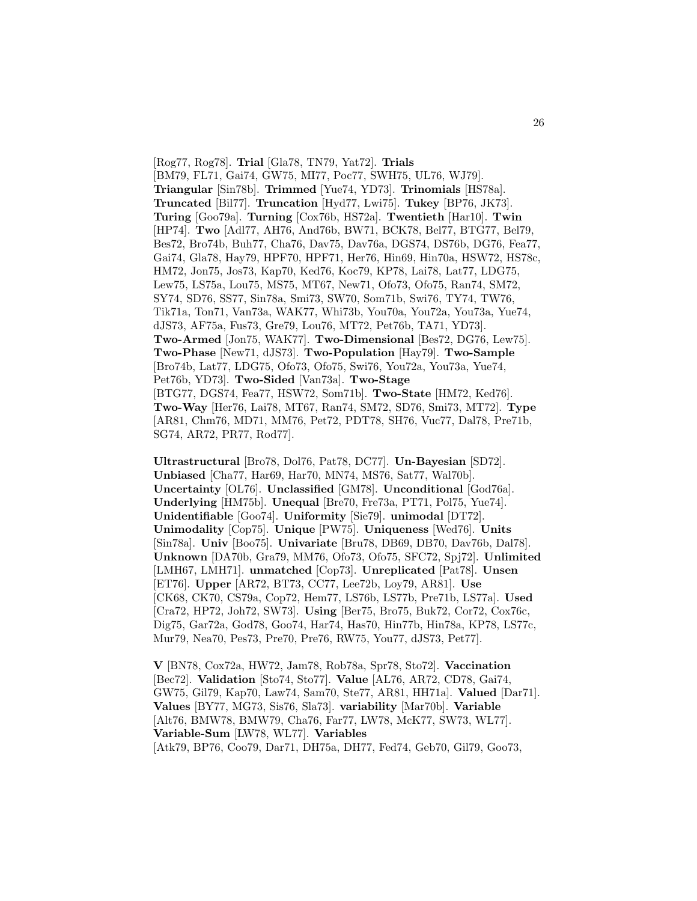[Rog77, Rog78]. **Trial** [Gla78, TN79, Yat72]. **Trials** [BM79, FL71, Gai74, GW75, MI77, Poc77, SWH75, UL76, WJ79]. **Triangular** [Sin78b]. **Trimmed** [Yue74, YD73]. **Trinomials** [HS78a]. **Truncated** [Bil77]. **Truncation** [Hyd77, Lwi75]. **Tukey** [BP76, JK73]. **Turing** [Goo79a]. **Turning** [Cox76b, HS72a]. **Twentieth** [Har10]. **Twin** [HP74]. **Two** [Adl77, AH76, And76b, BW71, BCK78, Bel77, BTG77, Bel79, Bes72, Bro74b, Buh77, Cha76, Dav75, Dav76a, DGS74, DS76b, DG76, Fea77, Gai74, Gla78, Hay79, HPF70, HPF71, Her76, Hin69, Hin70a, HSW72, HS78c, HM72, Jon75, Jos73, Kap70, Ked76, Koc79, KP78, Lai78, Lat77, LDG75, Lew75, LS75a, Lou75, MS75, MT67, New71, Ofo73, Ofo75, Ran74, SM72, SY74, SD76, SS77, Sin78a, Smi73, SW70, Som71b, Swi76, TY74, TW76, Tik71a, Ton71, Van73a, WAK77, Whi73b, You70a, You72a, You73a, Yue74, dJS73, AF75a, Fus73, Gre79, Lou76, MT72, Pet76b, TA71, YD73]. **Two-Armed** [Jon75, WAK77]. **Two-Dimensional** [Bes72, DG76, Lew75]. **Two-Phase** [New71, dJS73]. **Two-Population** [Hay79]. **Two-Sample** [Bro74b, Lat77, LDG75, Ofo73, Ofo75, Swi76, You72a, You73a, Yue74, Pet76b, YD73]. **Two-Sided** [Van73a]. **Two-Stage** [BTG77, DGS74, Fea77, HSW72, Som71b]. **Two-State** [HM72, Ked76]. **Two-Way** [Her76, Lai78, MT67, Ran74, SM72, SD76, Smi73, MT72]. **Type** [AR81, Chm76, MD71, MM76, Pet72, PDT78, SH76, Vuc77, Dal78, Pre71b, SG74, AR72, PR77, Rod77].

**Ultrastructural** [Bro78, Dol76, Pat78, DC77]. **Un-Bayesian** [SD72]. **Unbiased** [Cha77, Har69, Har70, MN74, MS76, Sat77, Wal70b]. **Uncertainty** [OL76]. **Unclassified** [GM78]. **Unconditional** [God76a]. **Underlying** [HM75b]. **Unequal** [Bre70, Fre73a, PT71, Pol75, Yue74]. **Unidentifiable** [Goo74]. **Uniformity** [Sie79]. **unimodal** [DT72]. **Unimodality** [Cop75]. **Unique** [PW75]. **Uniqueness** [Wed76]. **Units** [Sin78a]. **Univ** [Boo75]. **Univariate** [Bru78, DB69, DB70, Dav76b, Dal78]. **Unknown** [DA70b, Gra79, MM76, Ofo73, Ofo75, SFC72, Spj72]. **Unlimited** [LMH67, LMH71]. **unmatched** [Cop73]. **Unreplicated** [Pat78]. **Unsen** [ET76]. **Upper** [AR72, BT73, CC77, Lee72b, Loy79, AR81]. **Use** [CK68, CK70, CS79a, Cop72, Hem77, LS76b, LS77b, Pre71b, LS77a]. **Used** [Cra72, HP72, Joh72, SW73]. **Using** [Ber75, Bro75, Buk72, Cor72, Cox76c, Dig75, Gar72a, God78, Goo74, Har74, Has70, Hin77b, Hin78a, KP78, LS77c, Mur79, Nea70, Pes73, Pre70, Pre76, RW75, You77, dJS73, Pet77].

**V** [BN78, Cox72a, HW72, Jam78, Rob78a, Spr78, Sto72]. **Vaccination** [Bec72]. **Validation** [Sto74, Sto77]. **Value** [AL76, AR72, CD78, Gai74, GW75, Gil79, Kap70, Law74, Sam70, Ste77, AR81, HH71a]. **Valued** [Dar71]. **Values** [BY77, MG73, Sis76, Sla73]. **variability** [Mar70b]. **Variable** [Alt76, BMW78, BMW79, Cha76, Far77, LW78, McK77, SW73, WL77]. **Variable-Sum** [LW78, WL77]. **Variables** [Atk79, BP76, Coo79, Dar71, DH75a, DH77, Fed74, Geb70, Gil79, Goo73,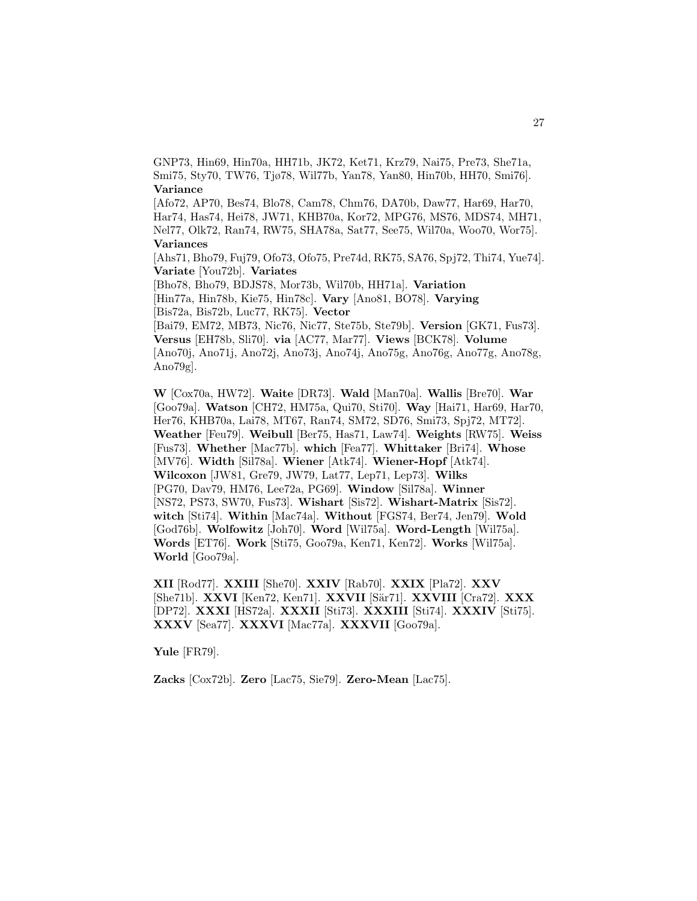GNP73, Hin69, Hin70a, HH71b, JK72, Ket71, Krz79, Nai75, Pre73, She71a, Smi75, Sty70, TW76, Tjø78, Wil77b, Yan78, Yan80, Hin70b, HH70, Smi76]. **Variance**

[Afo72, AP70, Bes74, Blo78, Cam78, Chm76, DA70b, Daw77, Har69, Har70, Har74, Has74, Hei78, JW71, KHB70a, Kor72, MPG76, MS76, MDS74, MH71, Nel77, Olk72, Ran74, RW75, SHA78a, Sat77, See75, Wil70a, Woo70, Wor75]. **Variances**

[Ahs71, Bho79, Fuj79, Ofo73, Ofo75, Pre74d, RK75, SA76, Spj72, Thi74, Yue74]. **Variate** [You72b]. **Variates**

[Bho78, Bho79, BDJS78, Mor73b, Wil70b, HH71a]. **Variation** [Hin77a, Hin78b, Kie75, Hin78c]. **Vary** [Ano81, BO78]. **Varying** [Bis72a, Bis72b, Luc77, RK75]. **Vector** [Bai79, EM72, MB73, Nic76, Nic77, Ste75b, Ste79b]. **Version** [GK71, Fus73]. **Versus** [EH78b, Sli70]. **via** [AC77, Mar77]. **Views** [BCK78]. **Volume** [Ano70j, Ano71j, Ano72j, Ano73j, Ano74j, Ano75g, Ano76g, Ano77g, Ano78g, Ano79g].

**W** [Cox70a, HW72]. **Waite** [DR73]. **Wald** [Man70a]. **Wallis** [Bre70]. **War** [Goo79a]. **Watson** [CH72, HM75a, Qui70, Sti70]. **Way** [Hai71, Har69, Har70, Her76, KHB70a, Lai78, MT67, Ran74, SM72, SD76, Smi73, Spj72, MT72]. **Weather** [Feu79]. **Weibull** [Ber75, Has71, Law74]. **Weights** [RW75]. **Weiss** [Fus73]. **Whether** [Mac77b]. **which** [Fea77]. **Whittaker** [Bri74]. **Whose** [MV76]. **Width** [Sil78a]. **Wiener** [Atk74]. **Wiener-Hopf** [Atk74]. **Wilcoxon** [JW81, Gre79, JW79, Lat77, Lep71, Lep73]. **Wilks** [PG70, Dav79, HM76, Lee72a, PG69]. **Window** [Sil78a]. **Winner** [NS72, PS73, SW70, Fus73]. **Wishart** [Sis72]. **Wishart-Matrix** [Sis72]. **witch** [Sti74]. **Within** [Mac74a]. **Without** [FGS74, Ber74, Jen79]. **Wold** [God76b]. **Wolfowitz** [Joh70]. **Word** [Wil75a]. **Word-Length** [Wil75a]. **Words** [ET76]. **Work** [Sti75, Goo79a, Ken71, Ken72]. **Works** [Wil75a]. **World** [Goo79a].

**XII** [Rod77]. **XXIII** [She70]. **XXIV** [Rab70]. **XXIX** [Pla72]. **XXV** [She71b]. **XXVI** [Ken72, Ken71]. **XXVII** [S¨ar71]. **XXVIII** [Cra72]. **XXX** [DP72]. **XXXI** [HS72a]. **XXXII** [Sti73]. **XXXIII** [Sti74]. **XXXIV** [Sti75]. **XXXV** [Sea77]. **XXXVI** [Mac77a]. **XXXVII** [Goo79a].

**Yule** [FR79].

**Zacks** [Cox72b]. **Zero** [Lac75, Sie79]. **Zero-Mean** [Lac75].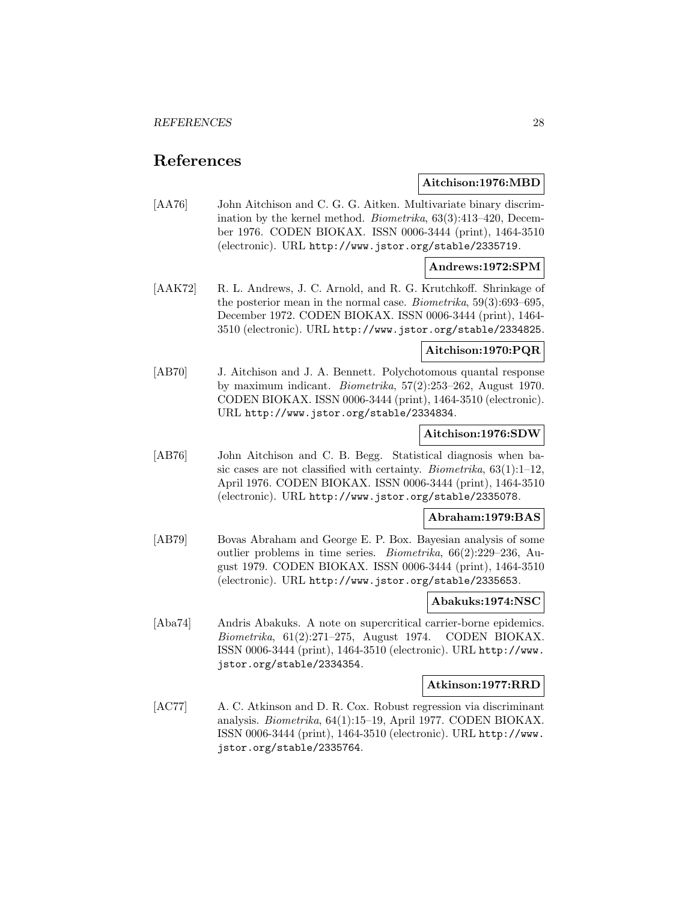## **References**

## **Aitchison:1976:MBD**

[AA76] John Aitchison and C. G. G. Aitken. Multivariate binary discrimination by the kernel method. Biometrika, 63(3):413–420, December 1976. CODEN BIOKAX. ISSN 0006-3444 (print), 1464-3510 (electronic). URL http://www.jstor.org/stable/2335719.

## **Andrews:1972:SPM**

[AAK72] R. L. Andrews, J. C. Arnold, and R. G. Krutchkoff. Shrinkage of the posterior mean in the normal case. Biometrika, 59(3):693–695, December 1972. CODEN BIOKAX. ISSN 0006-3444 (print), 1464- 3510 (electronic). URL http://www.jstor.org/stable/2334825.

## **Aitchison:1970:PQR**

[AB70] J. Aitchison and J. A. Bennett. Polychotomous quantal response by maximum indicant. Biometrika, 57(2):253–262, August 1970. CODEN BIOKAX. ISSN 0006-3444 (print), 1464-3510 (electronic). URL http://www.jstor.org/stable/2334834.

#### **Aitchison:1976:SDW**

[AB76] John Aitchison and C. B. Begg. Statistical diagnosis when basic cases are not classified with certainty. Biometrika, 63(1):1–12, April 1976. CODEN BIOKAX. ISSN 0006-3444 (print), 1464-3510 (electronic). URL http://www.jstor.org/stable/2335078.

#### **Abraham:1979:BAS**

[AB79] Bovas Abraham and George E. P. Box. Bayesian analysis of some outlier problems in time series. Biometrika, 66(2):229–236, August 1979. CODEN BIOKAX. ISSN 0006-3444 (print), 1464-3510 (electronic). URL http://www.jstor.org/stable/2335653.

## **Abakuks:1974:NSC**

[Aba74] Andris Abakuks. A note on supercritical carrier-borne epidemics. Biometrika, 61(2):271–275, August 1974. CODEN BIOKAX. ISSN 0006-3444 (print), 1464-3510 (electronic). URL http://www. jstor.org/stable/2334354.

## **Atkinson:1977:RRD**

[AC77] A. C. Atkinson and D. R. Cox. Robust regression via discriminant analysis. Biometrika, 64(1):15–19, April 1977. CODEN BIOKAX. ISSN 0006-3444 (print), 1464-3510 (electronic). URL http://www. jstor.org/stable/2335764.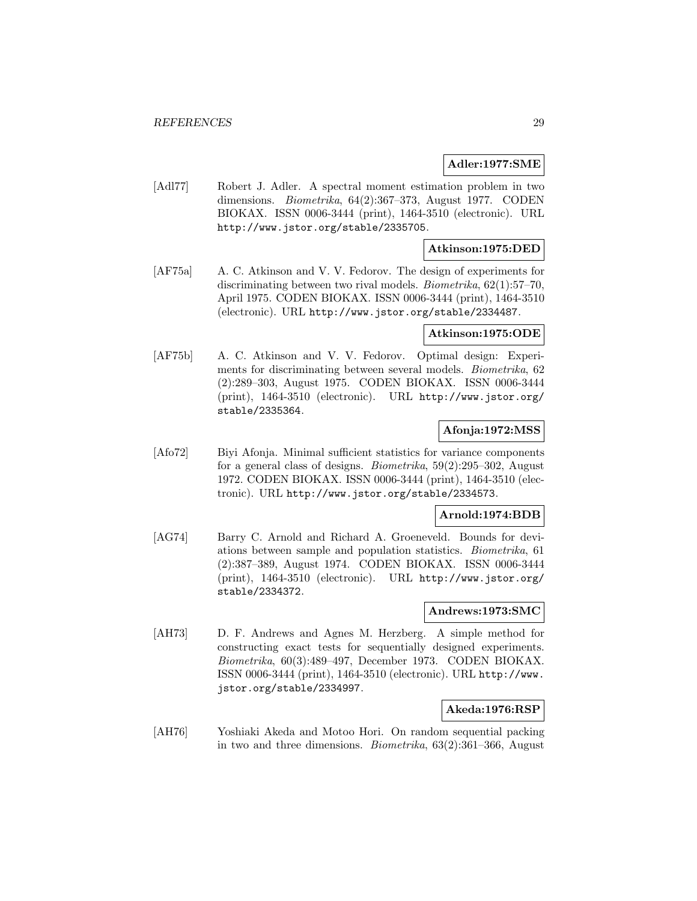## **Adler:1977:SME**

[Adl77] Robert J. Adler. A spectral moment estimation problem in two dimensions. Biometrika, 64(2):367–373, August 1977. CODEN BIOKAX. ISSN 0006-3444 (print), 1464-3510 (electronic). URL http://www.jstor.org/stable/2335705.

## **Atkinson:1975:DED**

[AF75a] A. C. Atkinson and V. V. Fedorov. The design of experiments for discriminating between two rival models. Biometrika, 62(1):57–70, April 1975. CODEN BIOKAX. ISSN 0006-3444 (print), 1464-3510 (electronic). URL http://www.jstor.org/stable/2334487.

#### **Atkinson:1975:ODE**

[AF75b] A. C. Atkinson and V. V. Fedorov. Optimal design: Experiments for discriminating between several models. Biometrika, 62 (2):289–303, August 1975. CODEN BIOKAX. ISSN 0006-3444 (print), 1464-3510 (electronic). URL http://www.jstor.org/ stable/2335364.

## **Afonja:1972:MSS**

[Afo72] Biyi Afonja. Minimal sufficient statistics for variance components for a general class of designs. Biometrika, 59(2):295–302, August 1972. CODEN BIOKAX. ISSN 0006-3444 (print), 1464-3510 (electronic). URL http://www.jstor.org/stable/2334573.

#### **Arnold:1974:BDB**

[AG74] Barry C. Arnold and Richard A. Groeneveld. Bounds for deviations between sample and population statistics. Biometrika, 61 (2):387–389, August 1974. CODEN BIOKAX. ISSN 0006-3444 (print), 1464-3510 (electronic). URL http://www.jstor.org/ stable/2334372.

#### **Andrews:1973:SMC**

[AH73] D. F. Andrews and Agnes M. Herzberg. A simple method for constructing exact tests for sequentially designed experiments. Biometrika, 60(3):489–497, December 1973. CODEN BIOKAX. ISSN 0006-3444 (print), 1464-3510 (electronic). URL http://www. jstor.org/stable/2334997.

## **Akeda:1976:RSP**

[AH76] Yoshiaki Akeda and Motoo Hori. On random sequential packing in two and three dimensions. Biometrika, 63(2):361–366, August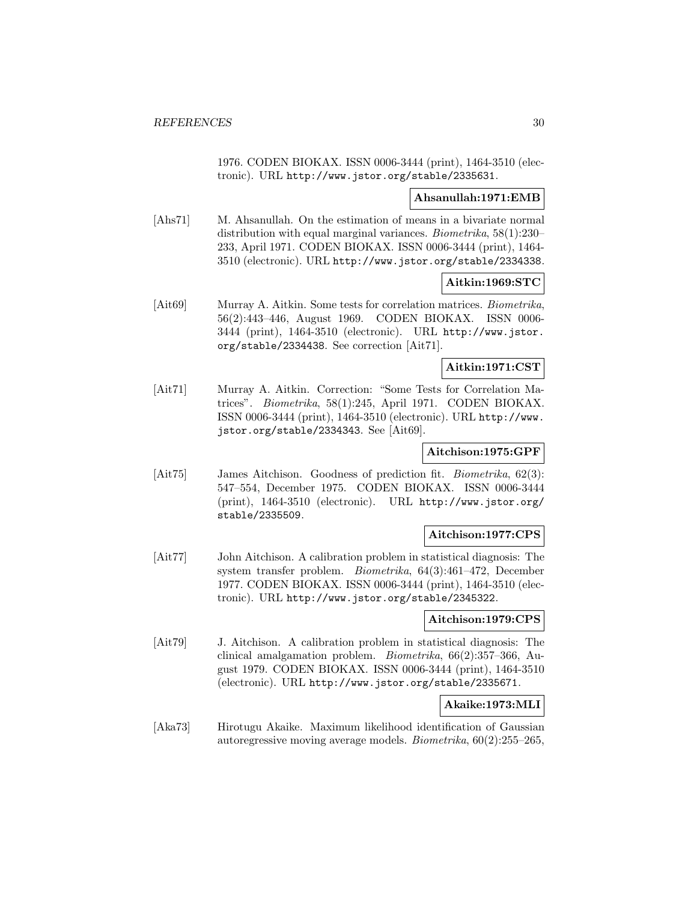1976. CODEN BIOKAX. ISSN 0006-3444 (print), 1464-3510 (electronic). URL http://www.jstor.org/stable/2335631.

## **Ahsanullah:1971:EMB**

[Ahs71] M. Ahsanullah. On the estimation of means in a bivariate normal distribution with equal marginal variances. Biometrika, 58(1):230– 233, April 1971. CODEN BIOKAX. ISSN 0006-3444 (print), 1464- 3510 (electronic). URL http://www.jstor.org/stable/2334338.

## **Aitkin:1969:STC**

[Ait69] Murray A. Aitkin. Some tests for correlation matrices. Biometrika, 56(2):443–446, August 1969. CODEN BIOKAX. ISSN 0006- 3444 (print), 1464-3510 (electronic). URL http://www.jstor. org/stable/2334438. See correction [Ait71].

## **Aitkin:1971:CST**

[Ait71] Murray A. Aitkin. Correction: "Some Tests for Correlation Matrices". Biometrika, 58(1):245, April 1971. CODEN BIOKAX. ISSN 0006-3444 (print), 1464-3510 (electronic). URL http://www. jstor.org/stable/2334343. See [Ait69].

## **Aitchison:1975:GPF**

[Ait75] James Aitchison. Goodness of prediction fit. *Biometrika*, 62(3): 547–554, December 1975. CODEN BIOKAX. ISSN 0006-3444 (print), 1464-3510 (electronic). URL http://www.jstor.org/ stable/2335509.

## **Aitchison:1977:CPS**

[Ait77] John Aitchison. A calibration problem in statistical diagnosis: The system transfer problem. Biometrika, 64(3):461–472, December 1977. CODEN BIOKAX. ISSN 0006-3444 (print), 1464-3510 (electronic). URL http://www.jstor.org/stable/2345322.

## **Aitchison:1979:CPS**

[Ait79] J. Aitchison. A calibration problem in statistical diagnosis: The clinical amalgamation problem. Biometrika, 66(2):357–366, August 1979. CODEN BIOKAX. ISSN 0006-3444 (print), 1464-3510 (electronic). URL http://www.jstor.org/stable/2335671.

## **Akaike:1973:MLI**

[Aka73] Hirotugu Akaike. Maximum likelihood identification of Gaussian autoregressive moving average models. Biometrika, 60(2):255–265,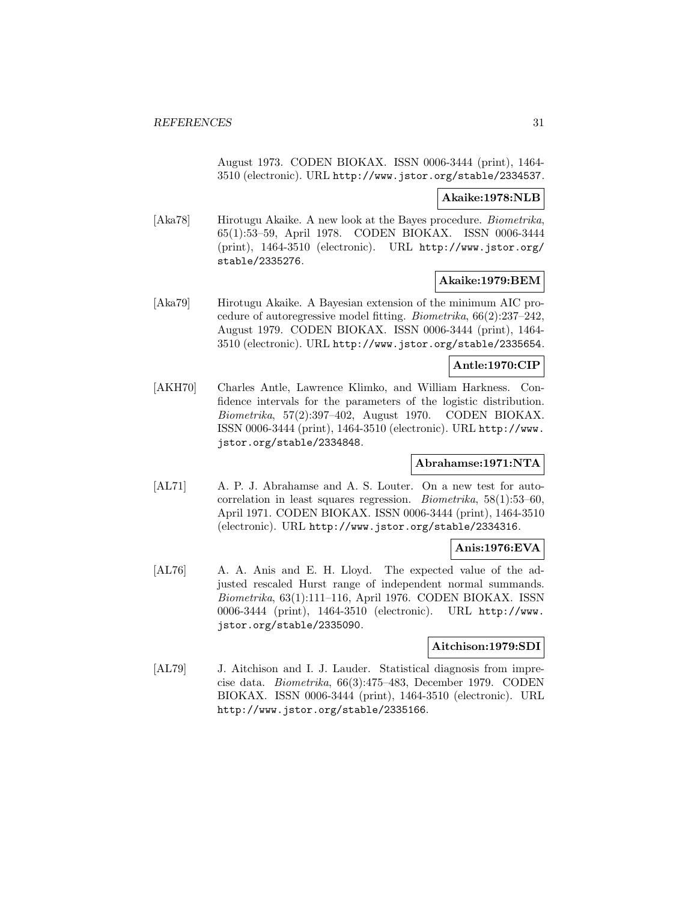August 1973. CODEN BIOKAX. ISSN 0006-3444 (print), 1464- 3510 (electronic). URL http://www.jstor.org/stable/2334537.

## **Akaike:1978:NLB**

[Aka78] Hirotugu Akaike. A new look at the Bayes procedure. Biometrika, 65(1):53–59, April 1978. CODEN BIOKAX. ISSN 0006-3444 (print), 1464-3510 (electronic). URL http://www.jstor.org/ stable/2335276.

## **Akaike:1979:BEM**

[Aka79] Hirotugu Akaike. A Bayesian extension of the minimum AIC procedure of autoregressive model fitting. Biometrika, 66(2):237–242, August 1979. CODEN BIOKAX. ISSN 0006-3444 (print), 1464- 3510 (electronic). URL http://www.jstor.org/stable/2335654.

## **Antle:1970:CIP**

[AKH70] Charles Antle, Lawrence Klimko, and William Harkness. Confidence intervals for the parameters of the logistic distribution. Biometrika, 57(2):397–402, August 1970. CODEN BIOKAX. ISSN 0006-3444 (print), 1464-3510 (electronic). URL http://www. jstor.org/stable/2334848.

## **Abrahamse:1971:NTA**

[AL71] A. P. J. Abrahamse and A. S. Louter. On a new test for autocorrelation in least squares regression. Biometrika, 58(1):53–60, April 1971. CODEN BIOKAX. ISSN 0006-3444 (print), 1464-3510 (electronic). URL http://www.jstor.org/stable/2334316.

## **Anis:1976:EVA**

[AL76] A. A. Anis and E. H. Lloyd. The expected value of the adjusted rescaled Hurst range of independent normal summands. Biometrika, 63(1):111–116, April 1976. CODEN BIOKAX. ISSN 0006-3444 (print), 1464-3510 (electronic). URL http://www. jstor.org/stable/2335090.

## **Aitchison:1979:SDI**

[AL79] J. Aitchison and I. J. Lauder. Statistical diagnosis from imprecise data. Biometrika, 66(3):475–483, December 1979. CODEN BIOKAX. ISSN 0006-3444 (print), 1464-3510 (electronic). URL http://www.jstor.org/stable/2335166.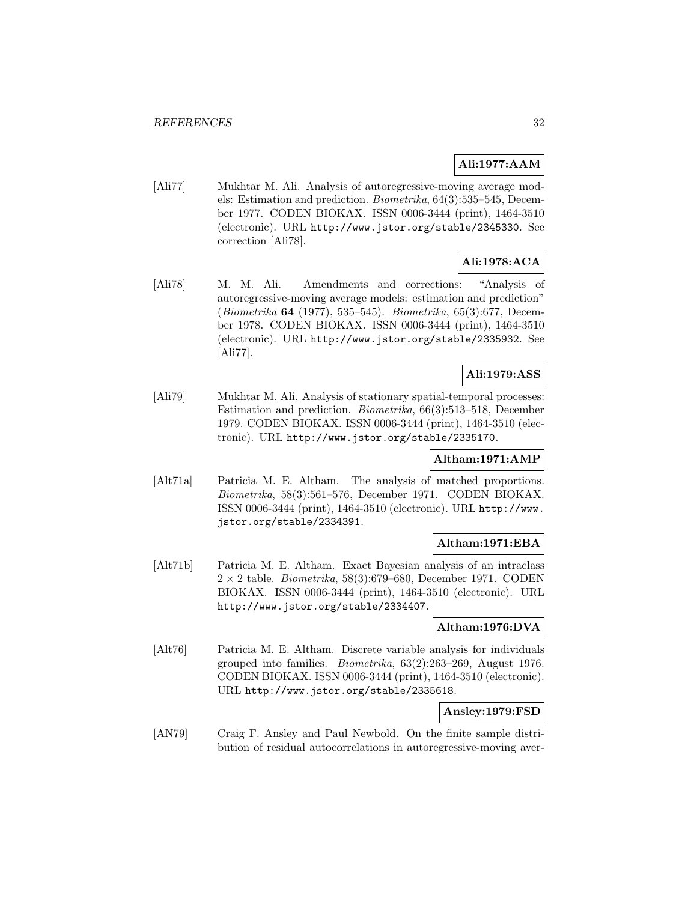## **Ali:1977:AAM**

[Ali77] Mukhtar M. Ali. Analysis of autoregressive-moving average models: Estimation and prediction. Biometrika, 64(3):535–545, December 1977. CODEN BIOKAX. ISSN 0006-3444 (print), 1464-3510 (electronic). URL http://www.jstor.org/stable/2345330. See correction [Ali78].

# **Ali:1978:ACA**

[Ali78] M. M. Ali. Amendments and corrections: "Analysis of autoregressive-moving average models: estimation and prediction" (Biometrika **64** (1977), 535–545). Biometrika, 65(3):677, December 1978. CODEN BIOKAX. ISSN 0006-3444 (print), 1464-3510 (electronic). URL http://www.jstor.org/stable/2335932. See [Ali77].

## **Ali:1979:ASS**

[Ali79] Mukhtar M. Ali. Analysis of stationary spatial-temporal processes: Estimation and prediction. Biometrika, 66(3):513–518, December 1979. CODEN BIOKAX. ISSN 0006-3444 (print), 1464-3510 (electronic). URL http://www.jstor.org/stable/2335170.

## **Altham:1971:AMP**

[Alt71a] Patricia M. E. Altham. The analysis of matched proportions. Biometrika, 58(3):561–576, December 1971. CODEN BIOKAX. ISSN 0006-3444 (print), 1464-3510 (electronic). URL http://www. jstor.org/stable/2334391.

## **Altham:1971:EBA**

[Alt71b] Patricia M. E. Altham. Exact Bayesian analysis of an intraclass  $2 \times 2$  table. *Biometrika*, 58(3):679–680, December 1971. CODEN BIOKAX. ISSN 0006-3444 (print), 1464-3510 (electronic). URL http://www.jstor.org/stable/2334407.

## **Altham:1976:DVA**

[Alt76] Patricia M. E. Altham. Discrete variable analysis for individuals grouped into families. Biometrika, 63(2):263–269, August 1976. CODEN BIOKAX. ISSN 0006-3444 (print), 1464-3510 (electronic). URL http://www.jstor.org/stable/2335618.

## **Ansley:1979:FSD**

[AN79] Craig F. Ansley and Paul Newbold. On the finite sample distribution of residual autocorrelations in autoregressive-moving aver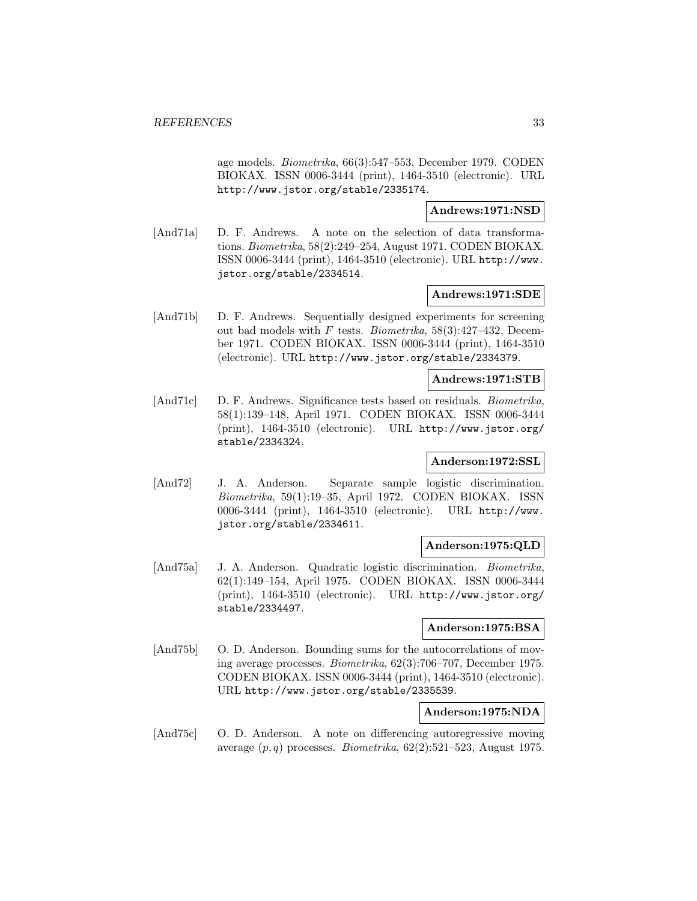age models. Biometrika, 66(3):547–553, December 1979. CODEN BIOKAX. ISSN 0006-3444 (print), 1464-3510 (electronic). URL http://www.jstor.org/stable/2335174.

## **Andrews:1971:NSD**

[And71a] D. F. Andrews. A note on the selection of data transformations. Biometrika, 58(2):249–254, August 1971. CODEN BIOKAX. ISSN 0006-3444 (print), 1464-3510 (electronic). URL http://www. jstor.org/stable/2334514.

## **Andrews:1971:SDE**

[And71b] D. F. Andrews. Sequentially designed experiments for screening out bad models with F tests. Biometrika,  $58(3):427-432$ , December 1971. CODEN BIOKAX. ISSN 0006-3444 (print), 1464-3510 (electronic). URL http://www.jstor.org/stable/2334379.

## **Andrews:1971:STB**

[And71c] D. F. Andrews. Significance tests based on residuals. *Biometrika*, 58(1):139–148, April 1971. CODEN BIOKAX. ISSN 0006-3444 (print), 1464-3510 (electronic). URL http://www.jstor.org/ stable/2334324.

## **Anderson:1972:SSL**

[And72] J. A. Anderson. Separate sample logistic discrimination. Biometrika, 59(1):19–35, April 1972. CODEN BIOKAX. ISSN 0006-3444 (print), 1464-3510 (electronic). URL http://www. jstor.org/stable/2334611.

## **Anderson:1975:QLD**

[And75a] J. A. Anderson. Quadratic logistic discrimination. Biometrika, 62(1):149–154, April 1975. CODEN BIOKAX. ISSN 0006-3444 (print), 1464-3510 (electronic). URL http://www.jstor.org/ stable/2334497.

## **Anderson:1975:BSA**

[And75b] O. D. Anderson. Bounding sums for the autocorrelations of moving average processes. Biometrika, 62(3):706–707, December 1975. CODEN BIOKAX. ISSN 0006-3444 (print), 1464-3510 (electronic). URL http://www.jstor.org/stable/2335539.

## **Anderson:1975:NDA**

[And75c] O. D. Anderson. A note on differencing autoregressive moving average  $(p, q)$  processes. *Biometrika*,  $62(2):521-523$ , August 1975.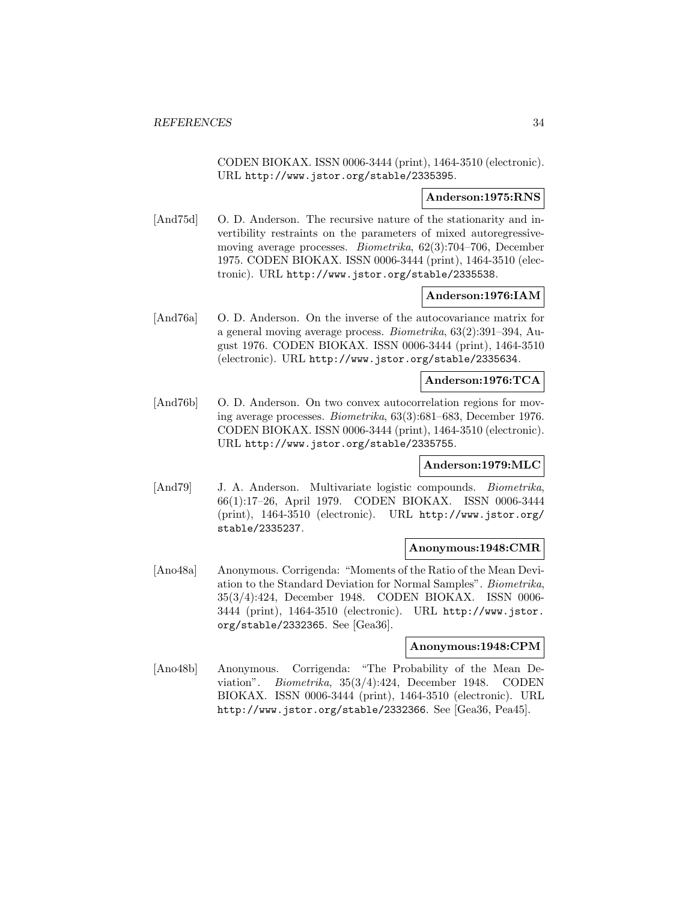CODEN BIOKAX. ISSN 0006-3444 (print), 1464-3510 (electronic). URL http://www.jstor.org/stable/2335395.

## **Anderson:1975:RNS**

[And75d] O. D. Anderson. The recursive nature of the stationarity and invertibility restraints on the parameters of mixed autoregressivemoving average processes. Biometrika, 62(3):704–706, December 1975. CODEN BIOKAX. ISSN 0006-3444 (print), 1464-3510 (electronic). URL http://www.jstor.org/stable/2335538.

## **Anderson:1976:IAM**

[And76a] O. D. Anderson. On the inverse of the autocovariance matrix for a general moving average process. Biometrika, 63(2):391–394, August 1976. CODEN BIOKAX. ISSN 0006-3444 (print), 1464-3510 (electronic). URL http://www.jstor.org/stable/2335634.

## **Anderson:1976:TCA**

[And76b] O. D. Anderson. On two convex autocorrelation regions for moving average processes. Biometrika, 63(3):681–683, December 1976. CODEN BIOKAX. ISSN 0006-3444 (print), 1464-3510 (electronic). URL http://www.jstor.org/stable/2335755.

#### **Anderson:1979:MLC**

[And79] J. A. Anderson. Multivariate logistic compounds. *Biometrika*, 66(1):17–26, April 1979. CODEN BIOKAX. ISSN 0006-3444 (print), 1464-3510 (electronic). URL http://www.jstor.org/ stable/2335237.

#### **Anonymous:1948:CMR**

[Ano48a] Anonymous. Corrigenda: "Moments of the Ratio of the Mean Deviation to the Standard Deviation for Normal Samples". Biometrika, 35(3/4):424, December 1948. CODEN BIOKAX. ISSN 0006- 3444 (print), 1464-3510 (electronic). URL http://www.jstor. org/stable/2332365. See [Gea36].

#### **Anonymous:1948:CPM**

[Ano48b] Anonymous. Corrigenda: "The Probability of the Mean Deviation". Biometrika, 35(3/4):424, December 1948. CODEN BIOKAX. ISSN 0006-3444 (print), 1464-3510 (electronic). URL http://www.jstor.org/stable/2332366. See [Gea36, Pea45].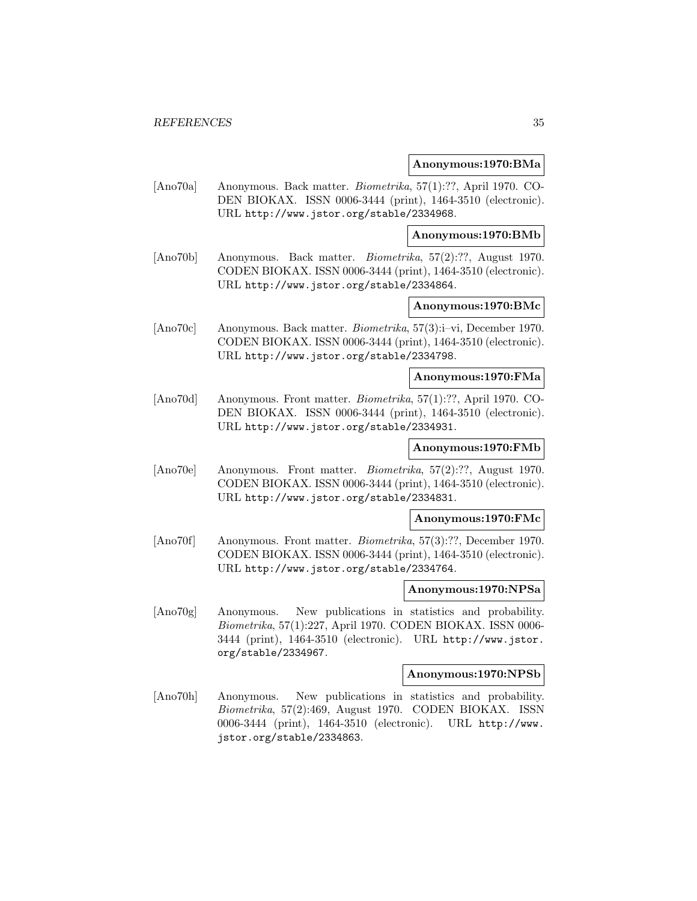#### **Anonymous:1970:BMa**

[Ano70a] Anonymous. Back matter. Biometrika, 57(1):??, April 1970. CO-DEN BIOKAX. ISSN 0006-3444 (print), 1464-3510 (electronic). URL http://www.jstor.org/stable/2334968.

#### **Anonymous:1970:BMb**

[Ano70b] Anonymous. Back matter. Biometrika, 57(2):??, August 1970. CODEN BIOKAX. ISSN 0006-3444 (print), 1464-3510 (electronic). URL http://www.jstor.org/stable/2334864.

## **Anonymous:1970:BMc**

[Ano70c] Anonymous. Back matter. Biometrika, 57(3):i–vi, December 1970. CODEN BIOKAX. ISSN 0006-3444 (print), 1464-3510 (electronic). URL http://www.jstor.org/stable/2334798.

## **Anonymous:1970:FMa**

[Ano70d] Anonymous. Front matter. Biometrika, 57(1):??, April 1970. CO-DEN BIOKAX. ISSN 0006-3444 (print), 1464-3510 (electronic). URL http://www.jstor.org/stable/2334931.

## **Anonymous:1970:FMb**

[Ano70e] Anonymous. Front matter. Biometrika, 57(2):??, August 1970. CODEN BIOKAX. ISSN 0006-3444 (print), 1464-3510 (electronic). URL http://www.jstor.org/stable/2334831.

## **Anonymous:1970:FMc**

[Ano70f] Anonymous. Front matter. Biometrika, 57(3):??, December 1970. CODEN BIOKAX. ISSN 0006-3444 (print), 1464-3510 (electronic). URL http://www.jstor.org/stable/2334764.

## **Anonymous:1970:NPSa**

[Ano70g] Anonymous. New publications in statistics and probability. Biometrika, 57(1):227, April 1970. CODEN BIOKAX. ISSN 0006- 3444 (print), 1464-3510 (electronic). URL http://www.jstor. org/stable/2334967.

#### **Anonymous:1970:NPSb**

[Ano70h] Anonymous. New publications in statistics and probability. Biometrika, 57(2):469, August 1970. CODEN BIOKAX. ISSN 0006-3444 (print), 1464-3510 (electronic). URL http://www. jstor.org/stable/2334863.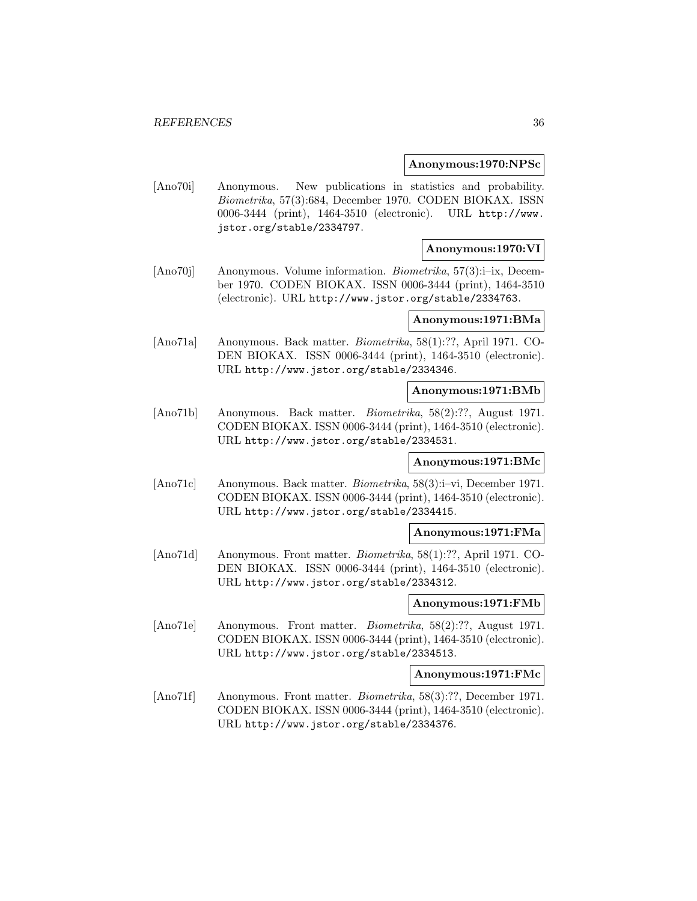#### **Anonymous:1970:NPSc**

[Ano70i] Anonymous. New publications in statistics and probability. Biometrika, 57(3):684, December 1970. CODEN BIOKAX. ISSN 0006-3444 (print), 1464-3510 (electronic). URL http://www. jstor.org/stable/2334797.

## **Anonymous:1970:VI**

[Ano70j] Anonymous. Volume information. Biometrika, 57(3):i–ix, December 1970. CODEN BIOKAX. ISSN 0006-3444 (print), 1464-3510 (electronic). URL http://www.jstor.org/stable/2334763.

#### **Anonymous:1971:BMa**

[Ano71a] Anonymous. Back matter. Biometrika, 58(1):??, April 1971. CO-DEN BIOKAX. ISSN 0006-3444 (print), 1464-3510 (electronic). URL http://www.jstor.org/stable/2334346.

## **Anonymous:1971:BMb**

[Ano71b] Anonymous. Back matter. Biometrika, 58(2):??, August 1971. CODEN BIOKAX. ISSN 0006-3444 (print), 1464-3510 (electronic). URL http://www.jstor.org/stable/2334531.

## **Anonymous:1971:BMc**

[Ano71c] Anonymous. Back matter. Biometrika, 58(3):i–vi, December 1971. CODEN BIOKAX. ISSN 0006-3444 (print), 1464-3510 (electronic). URL http://www.jstor.org/stable/2334415.

## **Anonymous:1971:FMa**

[Ano71d] Anonymous. Front matter. Biometrika, 58(1):??, April 1971. CO-DEN BIOKAX. ISSN 0006-3444 (print), 1464-3510 (electronic). URL http://www.jstor.org/stable/2334312.

#### **Anonymous:1971:FMb**

[Ano71e] Anonymous. Front matter. Biometrika, 58(2):??, August 1971. CODEN BIOKAX. ISSN 0006-3444 (print), 1464-3510 (electronic). URL http://www.jstor.org/stable/2334513.

## **Anonymous:1971:FMc**

[Ano71f] Anonymous. Front matter. Biometrika, 58(3):??, December 1971. CODEN BIOKAX. ISSN 0006-3444 (print), 1464-3510 (electronic). URL http://www.jstor.org/stable/2334376.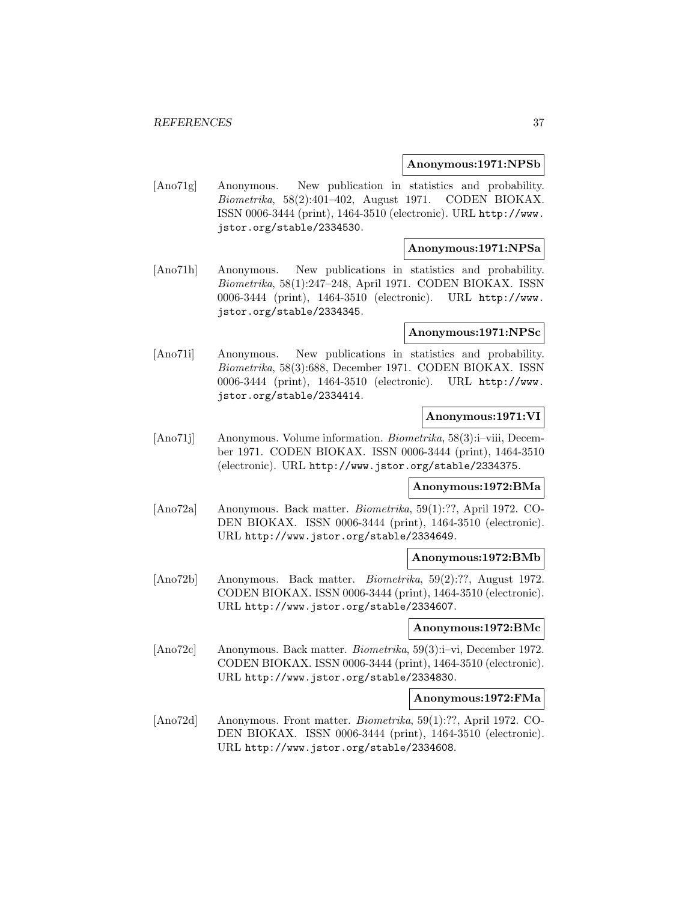#### **Anonymous:1971:NPSb**

[Ano71g] Anonymous. New publication in statistics and probability. Biometrika, 58(2):401–402, August 1971. CODEN BIOKAX. ISSN 0006-3444 (print), 1464-3510 (electronic). URL http://www. jstor.org/stable/2334530.

## **Anonymous:1971:NPSa**

[Ano71h] Anonymous. New publications in statistics and probability. Biometrika, 58(1):247–248, April 1971. CODEN BIOKAX. ISSN 0006-3444 (print), 1464-3510 (electronic). URL http://www. jstor.org/stable/2334345.

#### **Anonymous:1971:NPSc**

[Ano71i] Anonymous. New publications in statistics and probability. Biometrika, 58(3):688, December 1971. CODEN BIOKAX. ISSN 0006-3444 (print), 1464-3510 (electronic). URL http://www. jstor.org/stable/2334414.

## **Anonymous:1971:VI**

[Ano71j] Anonymous. Volume information. Biometrika, 58(3):i–viii, December 1971. CODEN BIOKAX. ISSN 0006-3444 (print), 1464-3510 (electronic). URL http://www.jstor.org/stable/2334375.

## **Anonymous:1972:BMa**

[Ano72a] Anonymous. Back matter. Biometrika, 59(1):??, April 1972. CO-DEN BIOKAX. ISSN 0006-3444 (print), 1464-3510 (electronic). URL http://www.jstor.org/stable/2334649.

#### **Anonymous:1972:BMb**

[Ano72b] Anonymous. Back matter. *Biometrika*, 59(2):??, August 1972. CODEN BIOKAX. ISSN 0006-3444 (print), 1464-3510 (electronic). URL http://www.jstor.org/stable/2334607.

### **Anonymous:1972:BMc**

[Ano72c] Anonymous. Back matter. Biometrika, 59(3):i–vi, December 1972. CODEN BIOKAX. ISSN 0006-3444 (print), 1464-3510 (electronic). URL http://www.jstor.org/stable/2334830.

#### **Anonymous:1972:FMa**

[Ano72d] Anonymous. Front matter. Biometrika, 59(1):??, April 1972. CO-DEN BIOKAX. ISSN 0006-3444 (print), 1464-3510 (electronic). URL http://www.jstor.org/stable/2334608.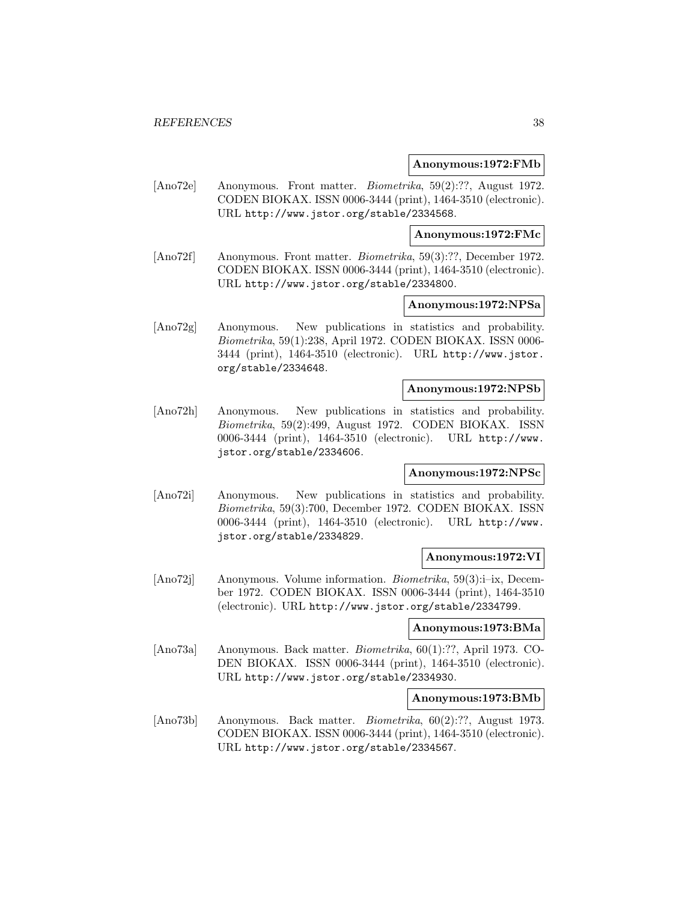#### **Anonymous:1972:FMb**

[Ano72e] Anonymous. Front matter. Biometrika, 59(2):??, August 1972. CODEN BIOKAX. ISSN 0006-3444 (print), 1464-3510 (electronic). URL http://www.jstor.org/stable/2334568.

**Anonymous:1972:FMc**

[Ano72f] Anonymous. Front matter. Biometrika, 59(3):??, December 1972. CODEN BIOKAX. ISSN 0006-3444 (print), 1464-3510 (electronic). URL http://www.jstor.org/stable/2334800.

## **Anonymous:1972:NPSa**

[Ano72g] Anonymous. New publications in statistics and probability. Biometrika, 59(1):238, April 1972. CODEN BIOKAX. ISSN 0006- 3444 (print), 1464-3510 (electronic). URL http://www.jstor. org/stable/2334648.

### **Anonymous:1972:NPSb**

[Ano72h] Anonymous. New publications in statistics and probability. Biometrika, 59(2):499, August 1972. CODEN BIOKAX. ISSN 0006-3444 (print), 1464-3510 (electronic). URL http://www. jstor.org/stable/2334606.

## **Anonymous:1972:NPSc**

[Ano72i] Anonymous. New publications in statistics and probability. Biometrika, 59(3):700, December 1972. CODEN BIOKAX. ISSN 0006-3444 (print), 1464-3510 (electronic). URL http://www. jstor.org/stable/2334829.

#### **Anonymous:1972:VI**

[Ano72j] Anonymous. Volume information. Biometrika, 59(3):i–ix, December 1972. CODEN BIOKAX. ISSN 0006-3444 (print), 1464-3510 (electronic). URL http://www.jstor.org/stable/2334799.

## **Anonymous:1973:BMa**

[Ano73a] Anonymous. Back matter. Biometrika, 60(1):??, April 1973. CO-DEN BIOKAX. ISSN 0006-3444 (print), 1464-3510 (electronic). URL http://www.jstor.org/stable/2334930.

#### **Anonymous:1973:BMb**

[Ano73b] Anonymous. Back matter. Biometrika, 60(2):??, August 1973. CODEN BIOKAX. ISSN 0006-3444 (print), 1464-3510 (electronic). URL http://www.jstor.org/stable/2334567.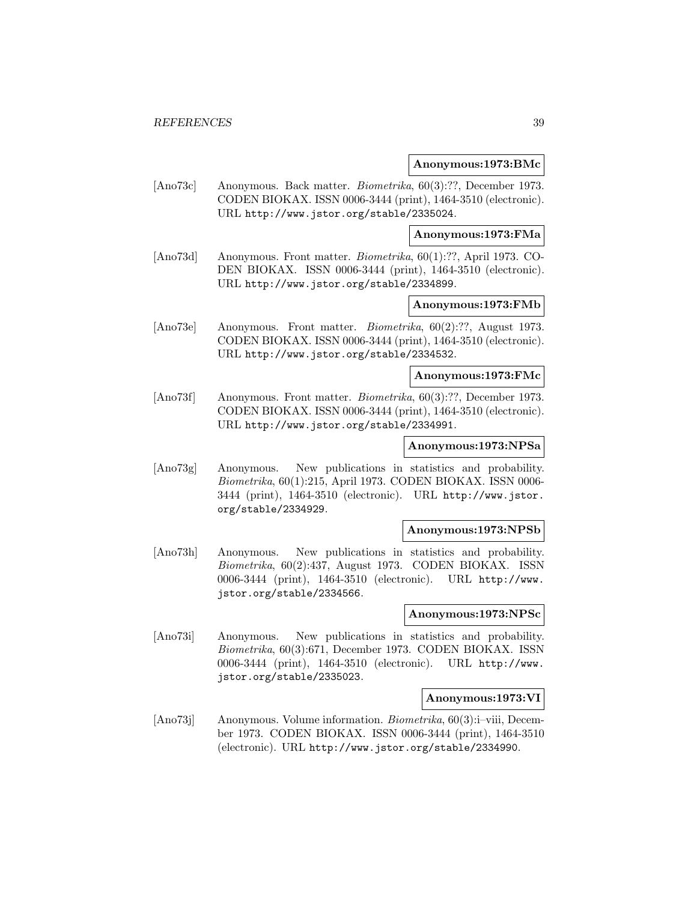#### **Anonymous:1973:BMc**

[Ano73c] Anonymous. Back matter. *Biometrika*, 60(3):??, December 1973. CODEN BIOKAX. ISSN 0006-3444 (print), 1464-3510 (electronic). URL http://www.jstor.org/stable/2335024.

**Anonymous:1973:FMa**

[Ano73d] Anonymous. Front matter. Biometrika, 60(1):??, April 1973. CO-DEN BIOKAX. ISSN 0006-3444 (print), 1464-3510 (electronic). URL http://www.jstor.org/stable/2334899.

## **Anonymous:1973:FMb**

[Ano73e] Anonymous. Front matter. *Biometrika*, 60(2):??, August 1973. CODEN BIOKAX. ISSN 0006-3444 (print), 1464-3510 (electronic). URL http://www.jstor.org/stable/2334532.

## **Anonymous:1973:FMc**

[Ano73f] Anonymous. Front matter. *Biometrika*, 60(3):??, December 1973. CODEN BIOKAX. ISSN 0006-3444 (print), 1464-3510 (electronic). URL http://www.jstor.org/stable/2334991.

### **Anonymous:1973:NPSa**

[Ano73g] Anonymous. New publications in statistics and probability. Biometrika, 60(1):215, April 1973. CODEN BIOKAX. ISSN 0006- 3444 (print), 1464-3510 (electronic). URL http://www.jstor. org/stable/2334929.

## **Anonymous:1973:NPSb**

[Ano73h] Anonymous. New publications in statistics and probability. Biometrika, 60(2):437, August 1973. CODEN BIOKAX. ISSN 0006-3444 (print), 1464-3510 (electronic). URL http://www. jstor.org/stable/2334566.

### **Anonymous:1973:NPSc**

[Ano73i] Anonymous. New publications in statistics and probability. Biometrika, 60(3):671, December 1973. CODEN BIOKAX. ISSN 0006-3444 (print), 1464-3510 (electronic). URL http://www. jstor.org/stable/2335023.

# **Anonymous:1973:VI**

[Ano73j] Anonymous. Volume information. Biometrika, 60(3):i–viii, December 1973. CODEN BIOKAX. ISSN 0006-3444 (print), 1464-3510 (electronic). URL http://www.jstor.org/stable/2334990.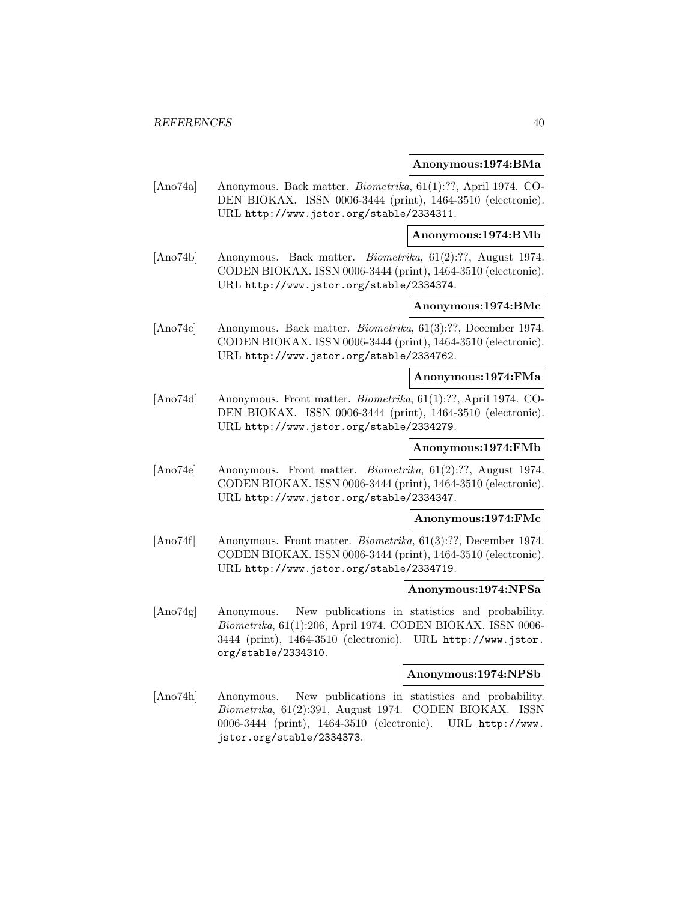#### **Anonymous:1974:BMa**

[Ano74a] Anonymous. Back matter. Biometrika, 61(1):??, April 1974. CO-DEN BIOKAX. ISSN 0006-3444 (print), 1464-3510 (electronic). URL http://www.jstor.org/stable/2334311.

**Anonymous:1974:BMb**

[Ano74b] Anonymous. Back matter. Biometrika, 61(2):??, August 1974. CODEN BIOKAX. ISSN 0006-3444 (print), 1464-3510 (electronic). URL http://www.jstor.org/stable/2334374.

## **Anonymous:1974:BMc**

[Ano74c] Anonymous. Back matter. Biometrika, 61(3):??, December 1974. CODEN BIOKAX. ISSN 0006-3444 (print), 1464-3510 (electronic). URL http://www.jstor.org/stable/2334762.

## **Anonymous:1974:FMa**

[Ano74d] Anonymous. Front matter. Biometrika, 61(1):??, April 1974. CO-DEN BIOKAX. ISSN 0006-3444 (print), 1464-3510 (electronic). URL http://www.jstor.org/stable/2334279.

# **Anonymous:1974:FMb**

[Ano74e] Anonymous. Front matter. Biometrika, 61(2):??, August 1974. CODEN BIOKAX. ISSN 0006-3444 (print), 1464-3510 (electronic). URL http://www.jstor.org/stable/2334347.

### **Anonymous:1974:FMc**

[Ano74f] Anonymous. Front matter. Biometrika, 61(3):??, December 1974. CODEN BIOKAX. ISSN 0006-3444 (print), 1464-3510 (electronic). URL http://www.jstor.org/stable/2334719.

#### **Anonymous:1974:NPSa**

[Ano74g] Anonymous. New publications in statistics and probability. Biometrika, 61(1):206, April 1974. CODEN BIOKAX. ISSN 0006- 3444 (print), 1464-3510 (electronic). URL http://www.jstor. org/stable/2334310.

#### **Anonymous:1974:NPSb**

[Ano74h] Anonymous. New publications in statistics and probability. Biometrika, 61(2):391, August 1974. CODEN BIOKAX. ISSN 0006-3444 (print), 1464-3510 (electronic). URL http://www. jstor.org/stable/2334373.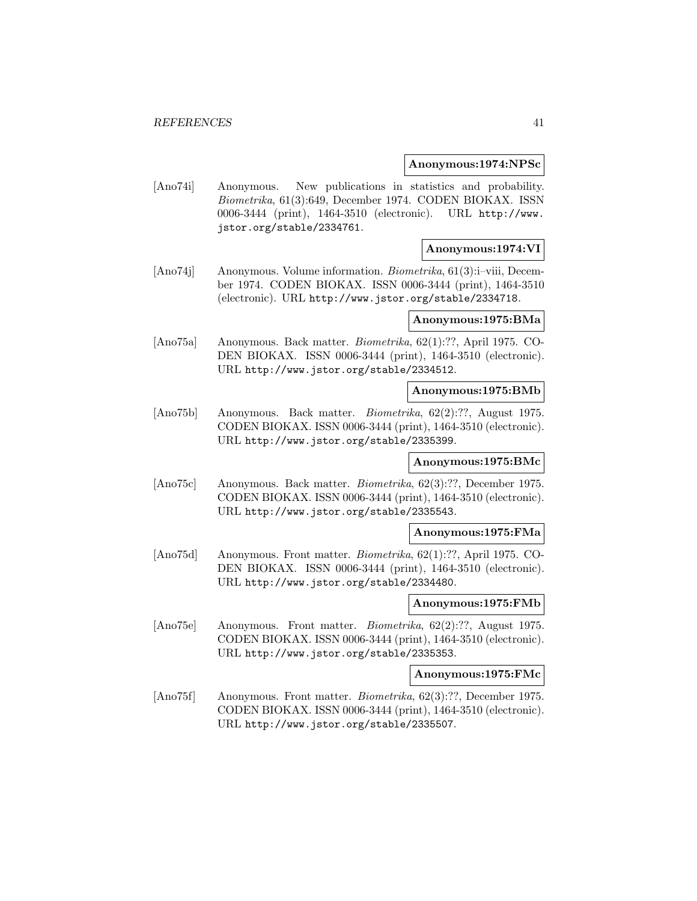#### **Anonymous:1974:NPSc**

[Ano74i] Anonymous. New publications in statistics and probability. Biometrika, 61(3):649, December 1974. CODEN BIOKAX. ISSN 0006-3444 (print), 1464-3510 (electronic). URL http://www. jstor.org/stable/2334761.

## **Anonymous:1974:VI**

[Ano74j] Anonymous. Volume information. Biometrika, 61(3):i–viii, December 1974. CODEN BIOKAX. ISSN 0006-3444 (print), 1464-3510 (electronic). URL http://www.jstor.org/stable/2334718.

#### **Anonymous:1975:BMa**

[Ano75a] Anonymous. Back matter. Biometrika, 62(1):??, April 1975. CO-DEN BIOKAX. ISSN 0006-3444 (print), 1464-3510 (electronic). URL http://www.jstor.org/stable/2334512.

### **Anonymous:1975:BMb**

[Ano75b] Anonymous. Back matter. Biometrika, 62(2):??, August 1975. CODEN BIOKAX. ISSN 0006-3444 (print), 1464-3510 (electronic). URL http://www.jstor.org/stable/2335399.

### **Anonymous:1975:BMc**

[Ano75c] Anonymous. Back matter. Biometrika, 62(3):??, December 1975. CODEN BIOKAX. ISSN 0006-3444 (print), 1464-3510 (electronic). URL http://www.jstor.org/stable/2335543.

### **Anonymous:1975:FMa**

[Ano75d] Anonymous. Front matter. Biometrika, 62(1):??, April 1975. CO-DEN BIOKAX. ISSN 0006-3444 (print), 1464-3510 (electronic). URL http://www.jstor.org/stable/2334480.

## **Anonymous:1975:FMb**

[Ano75e] Anonymous. Front matter. Biometrika, 62(2):??, August 1975. CODEN BIOKAX. ISSN 0006-3444 (print), 1464-3510 (electronic). URL http://www.jstor.org/stable/2335353.

## **Anonymous:1975:FMc**

[Ano75f] Anonymous. Front matter. Biometrika, 62(3):??, December 1975. CODEN BIOKAX. ISSN 0006-3444 (print), 1464-3510 (electronic). URL http://www.jstor.org/stable/2335507.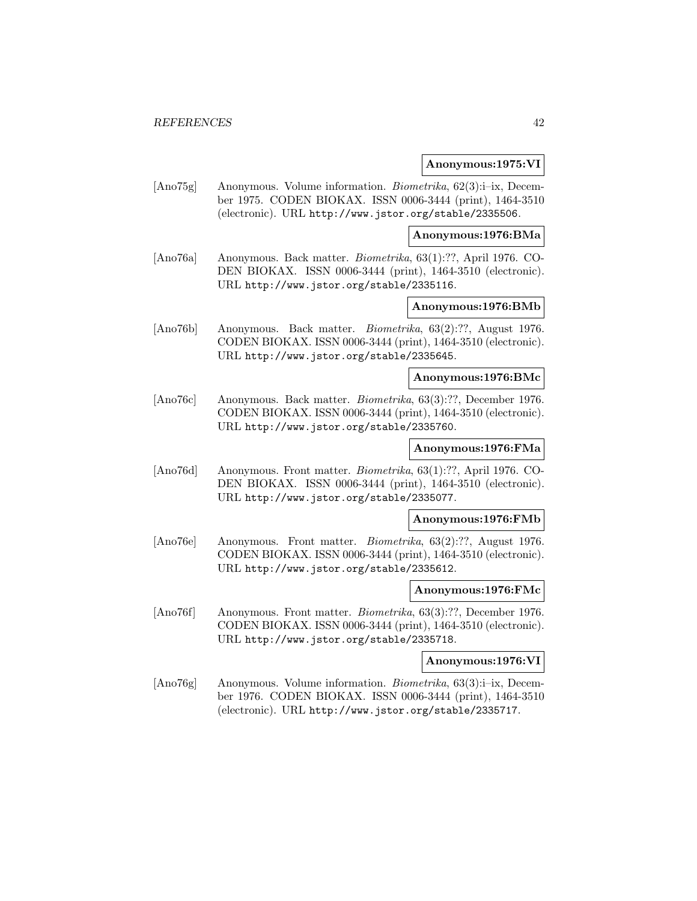#### **Anonymous:1975:VI**

[Ano75g] Anonymous. Volume information. Biometrika, 62(3):i–ix, December 1975. CODEN BIOKAX. ISSN 0006-3444 (print), 1464-3510 (electronic). URL http://www.jstor.org/stable/2335506.

**Anonymous:1976:BMa**

[Ano76a] Anonymous. Back matter. Biometrika, 63(1):??, April 1976. CO-DEN BIOKAX. ISSN 0006-3444 (print), 1464-3510 (electronic). URL http://www.jstor.org/stable/2335116.

## **Anonymous:1976:BMb**

[Ano76b] Anonymous. Back matter. Biometrika, 63(2):??, August 1976. CODEN BIOKAX. ISSN 0006-3444 (print), 1464-3510 (electronic). URL http://www.jstor.org/stable/2335645.

#### **Anonymous:1976:BMc**

[Ano76c] Anonymous. Back matter. Biometrika, 63(3):??, December 1976. CODEN BIOKAX. ISSN 0006-3444 (print), 1464-3510 (electronic). URL http://www.jstor.org/stable/2335760.

## **Anonymous:1976:FMa**

[Ano76d] Anonymous. Front matter. Biometrika, 63(1):??, April 1976. CO-DEN BIOKAX. ISSN 0006-3444 (print), 1464-3510 (electronic). URL http://www.jstor.org/stable/2335077.

#### **Anonymous:1976:FMb**

[Ano76e] Anonymous. Front matter. Biometrika, 63(2):??, August 1976. CODEN BIOKAX. ISSN 0006-3444 (print), 1464-3510 (electronic). URL http://www.jstor.org/stable/2335612.

#### **Anonymous:1976:FMc**

[Ano76f] Anonymous. Front matter. Biometrika, 63(3):??, December 1976. CODEN BIOKAX. ISSN 0006-3444 (print), 1464-3510 (electronic). URL http://www.jstor.org/stable/2335718.

**Anonymous:1976:VI**

[Ano76g] Anonymous. Volume information. Biometrika, 63(3):i–ix, December 1976. CODEN BIOKAX. ISSN 0006-3444 (print), 1464-3510 (electronic). URL http://www.jstor.org/stable/2335717.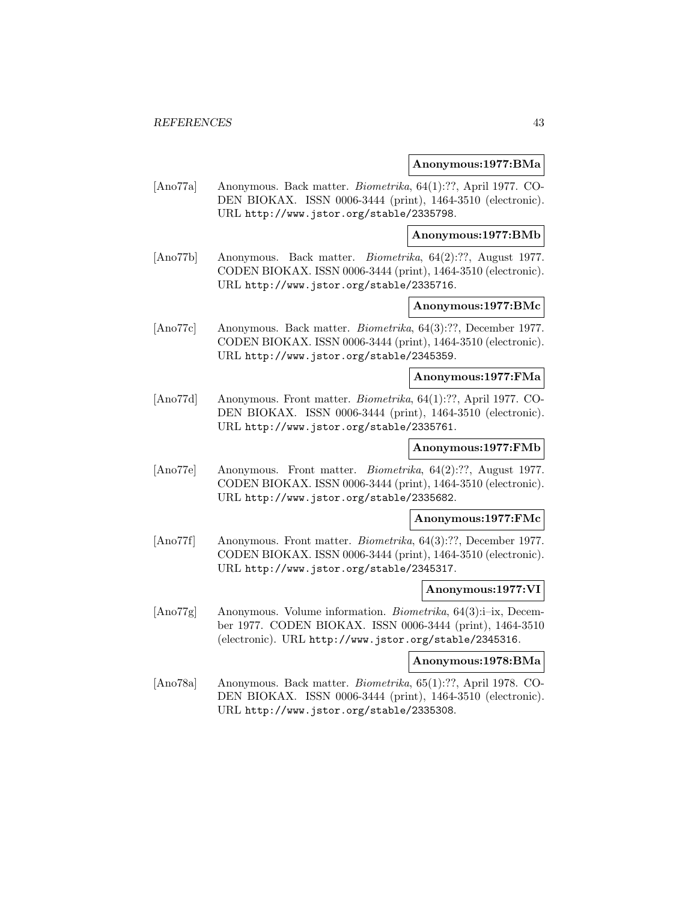#### **Anonymous:1977:BMa**

[Ano77a] Anonymous. Back matter. Biometrika, 64(1):??, April 1977. CO-DEN BIOKAX. ISSN 0006-3444 (print), 1464-3510 (electronic). URL http://www.jstor.org/stable/2335798.

**Anonymous:1977:BMb**

[Ano77b] Anonymous. Back matter. Biometrika, 64(2):??, August 1977. CODEN BIOKAX. ISSN 0006-3444 (print), 1464-3510 (electronic). URL http://www.jstor.org/stable/2335716.

### **Anonymous:1977:BMc**

[Ano77c] Anonymous. Back matter. Biometrika, 64(3):??, December 1977. CODEN BIOKAX. ISSN 0006-3444 (print), 1464-3510 (electronic). URL http://www.jstor.org/stable/2345359.

## **Anonymous:1977:FMa**

[Ano77d] Anonymous. Front matter. Biometrika, 64(1):??, April 1977. CO-DEN BIOKAX. ISSN 0006-3444 (print), 1464-3510 (electronic). URL http://www.jstor.org/stable/2335761.

## **Anonymous:1977:FMb**

[Ano77e] Anonymous. Front matter. Biometrika, 64(2):??, August 1977. CODEN BIOKAX. ISSN 0006-3444 (print), 1464-3510 (electronic). URL http://www.jstor.org/stable/2335682.

### **Anonymous:1977:FMc**

[Ano77f] Anonymous. Front matter. Biometrika, 64(3):??, December 1977. CODEN BIOKAX. ISSN 0006-3444 (print), 1464-3510 (electronic). URL http://www.jstor.org/stable/2345317.

### **Anonymous:1977:VI**

[Ano77g] Anonymous. Volume information. Biometrika, 64(3):i–ix, December 1977. CODEN BIOKAX. ISSN 0006-3444 (print), 1464-3510 (electronic). URL http://www.jstor.org/stable/2345316.

### **Anonymous:1978:BMa**

[Ano78a] Anonymous. Back matter. Biometrika, 65(1):??, April 1978. CO-DEN BIOKAX. ISSN 0006-3444 (print), 1464-3510 (electronic). URL http://www.jstor.org/stable/2335308.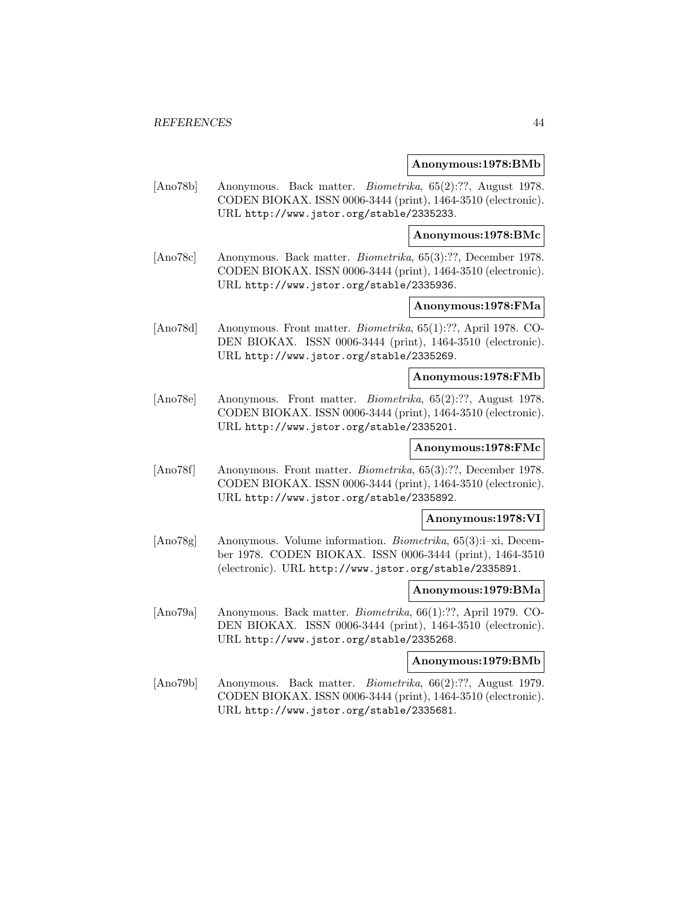#### **Anonymous:1978:BMb**

[Ano78b] Anonymous. Back matter. Biometrika, 65(2):??, August 1978. CODEN BIOKAX. ISSN 0006-3444 (print), 1464-3510 (electronic). URL http://www.jstor.org/stable/2335233.

**Anonymous:1978:BMc**

[Ano78c] Anonymous. Back matter. Biometrika, 65(3):??, December 1978. CODEN BIOKAX. ISSN 0006-3444 (print), 1464-3510 (electronic). URL http://www.jstor.org/stable/2335936.

## **Anonymous:1978:FMa**

[Ano78d] Anonymous. Front matter. Biometrika, 65(1):??, April 1978. CO-DEN BIOKAX. ISSN 0006-3444 (print), 1464-3510 (electronic). URL http://www.jstor.org/stable/2335269.

## **Anonymous:1978:FMb**

[Ano78e] Anonymous. Front matter. Biometrika, 65(2):??, August 1978. CODEN BIOKAX. ISSN 0006-3444 (print), 1464-3510 (electronic). URL http://www.jstor.org/stable/2335201.

## **Anonymous:1978:FMc**

[Ano78f] Anonymous. Front matter. Biometrika, 65(3):??, December 1978. CODEN BIOKAX. ISSN 0006-3444 (print), 1464-3510 (electronic). URL http://www.jstor.org/stable/2335892.

### **Anonymous:1978:VI**

[Ano78g] Anonymous. Volume information. *Biometrika*, 65(3):i–xi, December 1978. CODEN BIOKAX. ISSN 0006-3444 (print), 1464-3510 (electronic). URL http://www.jstor.org/stable/2335891.

#### **Anonymous:1979:BMa**

[Ano79a] Anonymous. Back matter. Biometrika, 66(1):??, April 1979. CO-DEN BIOKAX. ISSN 0006-3444 (print), 1464-3510 (electronic). URL http://www.jstor.org/stable/2335268.

## **Anonymous:1979:BMb**

[Ano79b] Anonymous. Back matter. Biometrika, 66(2):??, August 1979. CODEN BIOKAX. ISSN 0006-3444 (print), 1464-3510 (electronic). URL http://www.jstor.org/stable/2335681.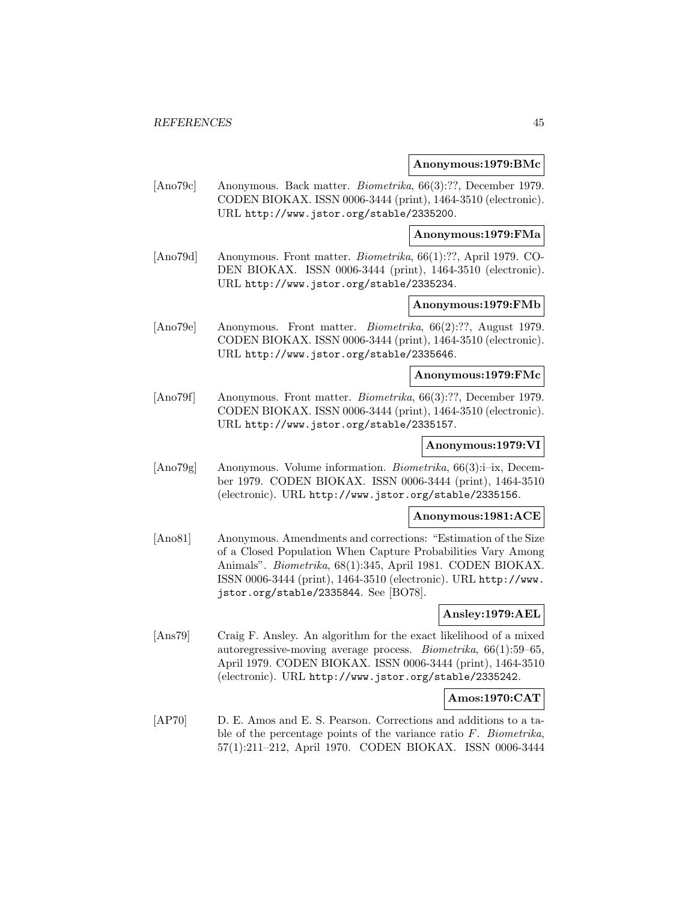#### **Anonymous:1979:BMc**

[Ano79c] Anonymous. Back matter. Biometrika, 66(3):??, December 1979. CODEN BIOKAX. ISSN 0006-3444 (print), 1464-3510 (electronic). URL http://www.jstor.org/stable/2335200.

**Anonymous:1979:FMa**

[Ano79d] Anonymous. Front matter. Biometrika, 66(1):??, April 1979. CO-DEN BIOKAX. ISSN 0006-3444 (print), 1464-3510 (electronic). URL http://www.jstor.org/stable/2335234.

## **Anonymous:1979:FMb**

[Ano79e] Anonymous. Front matter. Biometrika, 66(2):??, August 1979. CODEN BIOKAX. ISSN 0006-3444 (print), 1464-3510 (electronic). URL http://www.jstor.org/stable/2335646.

## **Anonymous:1979:FMc**

[Ano79f] Anonymous. Front matter. Biometrika, 66(3):??, December 1979. CODEN BIOKAX. ISSN 0006-3444 (print), 1464-3510 (electronic). URL http://www.jstor.org/stable/2335157.

## **Anonymous:1979:VI**

[Ano79g] Anonymous. Volume information. Biometrika, 66(3):i–ix, December 1979. CODEN BIOKAX. ISSN 0006-3444 (print), 1464-3510 (electronic). URL http://www.jstor.org/stable/2335156.

**Anonymous:1981:ACE**

[Ano81] Anonymous. Amendments and corrections: "Estimation of the Size of a Closed Population When Capture Probabilities Vary Among Animals". Biometrika, 68(1):345, April 1981. CODEN BIOKAX. ISSN 0006-3444 (print), 1464-3510 (electronic). URL http://www. jstor.org/stable/2335844. See [BO78].

### **Ansley:1979:AEL**

[Ans79] Craig F. Ansley. An algorithm for the exact likelihood of a mixed autoregressive-moving average process. Biometrika, 66(1):59–65, April 1979. CODEN BIOKAX. ISSN 0006-3444 (print), 1464-3510 (electronic). URL http://www.jstor.org/stable/2335242.

## **Amos:1970:CAT**

[AP70] D. E. Amos and E. S. Pearson. Corrections and additions to a table of the percentage points of the variance ratio F. Biometrika, 57(1):211–212, April 1970. CODEN BIOKAX. ISSN 0006-3444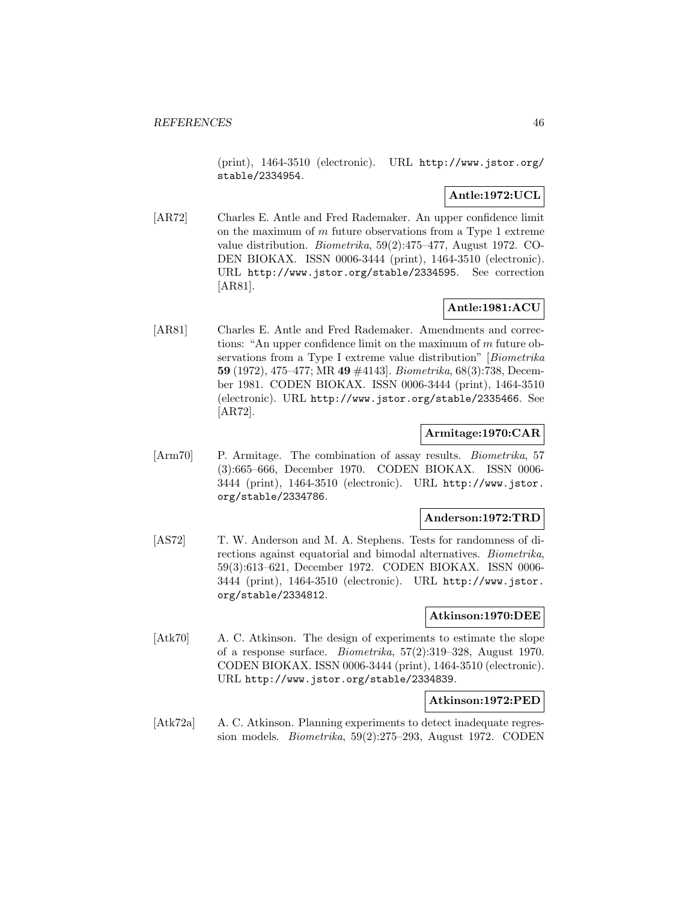(print), 1464-3510 (electronic). URL http://www.jstor.org/ stable/2334954.

# **Antle:1972:UCL**

[AR72] Charles E. Antle and Fred Rademaker. An upper confidence limit on the maximum of  $m$  future observations from a Type 1 extreme value distribution. Biometrika, 59(2):475–477, August 1972. CO-DEN BIOKAX. ISSN 0006-3444 (print), 1464-3510 (electronic). URL http://www.jstor.org/stable/2334595. See correction [AR81].

# **Antle:1981:ACU**

[AR81] Charles E. Antle and Fred Rademaker. Amendments and corrections: "An upper confidence limit on the maximum of m future observations from a Type I extreme value distribution" [Biometrika **59** (1972), 475–477; MR **49** #4143]. Biometrika, 68(3):738, December 1981. CODEN BIOKAX. ISSN 0006-3444 (print), 1464-3510 (electronic). URL http://www.jstor.org/stable/2335466. See [AR72].

## **Armitage:1970:CAR**

[Arm70] P. Armitage. The combination of assay results. *Biometrika*, 57 (3):665–666, December 1970. CODEN BIOKAX. ISSN 0006- 3444 (print), 1464-3510 (electronic). URL http://www.jstor. org/stable/2334786.

#### **Anderson:1972:TRD**

[AS72] T. W. Anderson and M. A. Stephens. Tests for randomness of directions against equatorial and bimodal alternatives. Biometrika, 59(3):613–621, December 1972. CODEN BIOKAX. ISSN 0006- 3444 (print), 1464-3510 (electronic). URL http://www.jstor. org/stable/2334812.

## **Atkinson:1970:DEE**

[Atk70] A. C. Atkinson. The design of experiments to estimate the slope of a response surface. Biometrika, 57(2):319–328, August 1970. CODEN BIOKAX. ISSN 0006-3444 (print), 1464-3510 (electronic). URL http://www.jstor.org/stable/2334839.

## **Atkinson:1972:PED**

[Atk72a] A. C. Atkinson. Planning experiments to detect inadequate regression models. Biometrika, 59(2):275–293, August 1972. CODEN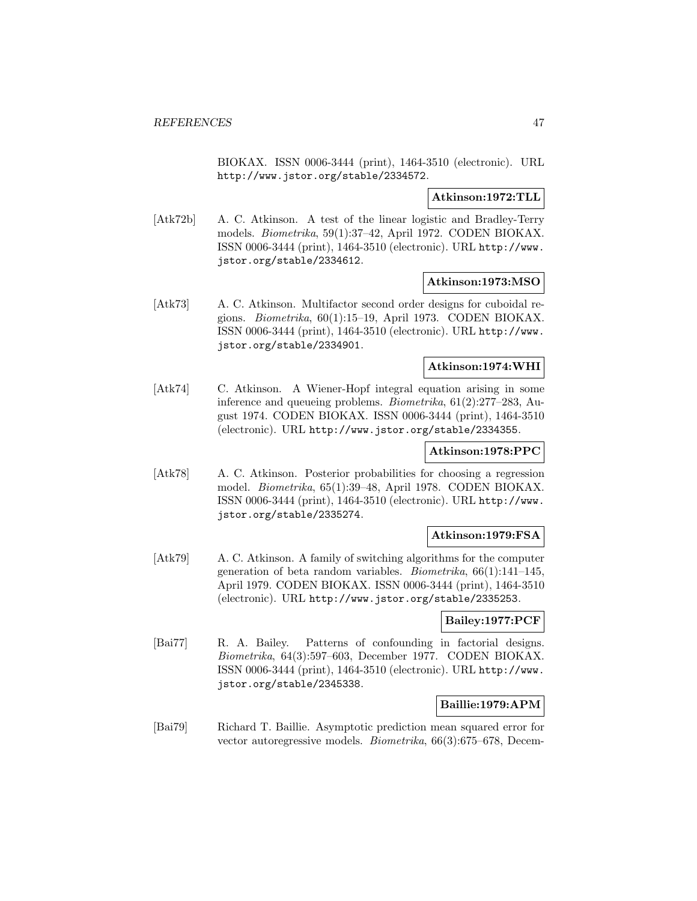BIOKAX. ISSN 0006-3444 (print), 1464-3510 (electronic). URL http://www.jstor.org/stable/2334572.

## **Atkinson:1972:TLL**

[Atk72b] A. C. Atkinson. A test of the linear logistic and Bradley-Terry models. Biometrika, 59(1):37–42, April 1972. CODEN BIOKAX. ISSN 0006-3444 (print), 1464-3510 (electronic). URL http://www. jstor.org/stable/2334612.

## **Atkinson:1973:MSO**

[Atk73] A. C. Atkinson. Multifactor second order designs for cuboidal regions. Biometrika, 60(1):15–19, April 1973. CODEN BIOKAX. ISSN 0006-3444 (print), 1464-3510 (electronic). URL http://www. jstor.org/stable/2334901.

## **Atkinson:1974:WHI**

[Atk74] C. Atkinson. A Wiener-Hopf integral equation arising in some inference and queueing problems. Biometrika, 61(2):277–283, August 1974. CODEN BIOKAX. ISSN 0006-3444 (print), 1464-3510 (electronic). URL http://www.jstor.org/stable/2334355.

## **Atkinson:1978:PPC**

[Atk78] A. C. Atkinson. Posterior probabilities for choosing a regression model. Biometrika, 65(1):39–48, April 1978. CODEN BIOKAX. ISSN 0006-3444 (print), 1464-3510 (electronic). URL http://www. jstor.org/stable/2335274.

## **Atkinson:1979:FSA**

[Atk79] A. C. Atkinson. A family of switching algorithms for the computer generation of beta random variables. Biometrika, 66(1):141–145, April 1979. CODEN BIOKAX. ISSN 0006-3444 (print), 1464-3510 (electronic). URL http://www.jstor.org/stable/2335253.

#### **Bailey:1977:PCF**

[Bai77] R. A. Bailey. Patterns of confounding in factorial designs. Biometrika, 64(3):597–603, December 1977. CODEN BIOKAX. ISSN 0006-3444 (print), 1464-3510 (electronic). URL http://www. jstor.org/stable/2345338.

## **Baillie:1979:APM**

[Bai79] Richard T. Baillie. Asymptotic prediction mean squared error for vector autoregressive models. Biometrika, 66(3):675–678, Decem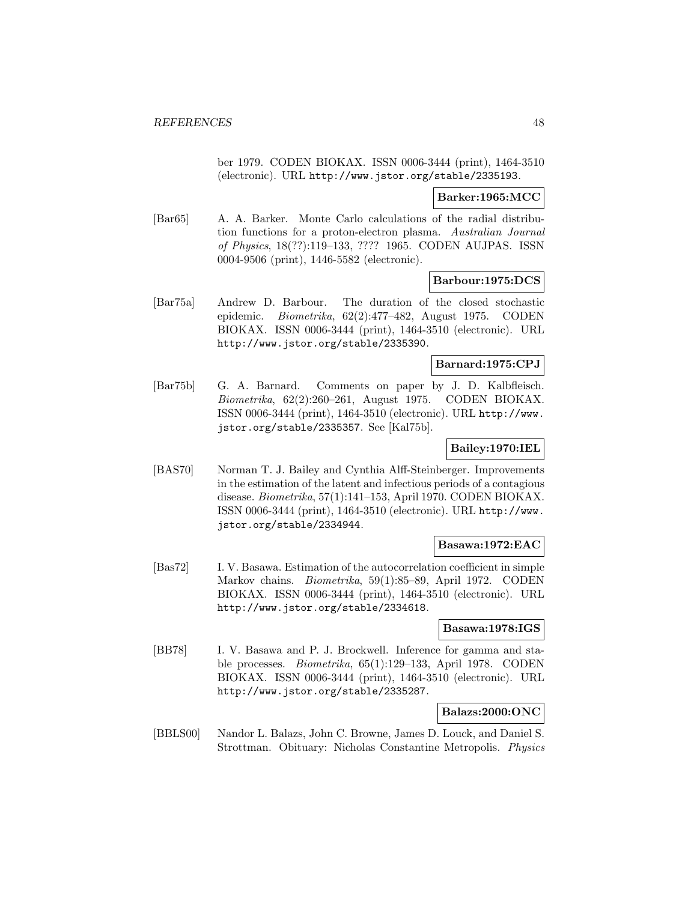ber 1979. CODEN BIOKAX. ISSN 0006-3444 (print), 1464-3510 (electronic). URL http://www.jstor.org/stable/2335193.

### **Barker:1965:MCC**

[Bar65] A. A. Barker. Monte Carlo calculations of the radial distribution functions for a proton-electron plasma. Australian Journal of Physics, 18(??):119–133, ???? 1965. CODEN AUJPAS. ISSN 0004-9506 (print), 1446-5582 (electronic).

## **Barbour:1975:DCS**

[Bar75a] Andrew D. Barbour. The duration of the closed stochastic epidemic. Biometrika, 62(2):477–482, August 1975. CODEN BIOKAX. ISSN 0006-3444 (print), 1464-3510 (electronic). URL http://www.jstor.org/stable/2335390.

## **Barnard:1975:CPJ**

[Bar75b] G. A. Barnard. Comments on paper by J. D. Kalbfleisch. Biometrika, 62(2):260–261, August 1975. CODEN BIOKAX. ISSN 0006-3444 (print), 1464-3510 (electronic). URL http://www. jstor.org/stable/2335357. See [Kal75b].

## **Bailey:1970:IEL**

[BAS70] Norman T. J. Bailey and Cynthia Alff-Steinberger. Improvements in the estimation of the latent and infectious periods of a contagious disease. Biometrika, 57(1):141–153, April 1970. CODEN BIOKAX. ISSN 0006-3444 (print), 1464-3510 (electronic). URL http://www. jstor.org/stable/2334944.

### **Basawa:1972:EAC**

[Bas72] I. V. Basawa. Estimation of the autocorrelation coefficient in simple Markov chains. Biometrika, 59(1):85–89, April 1972. CODEN BIOKAX. ISSN 0006-3444 (print), 1464-3510 (electronic). URL http://www.jstor.org/stable/2334618.

## **Basawa:1978:IGS**

[BB78] I. V. Basawa and P. J. Brockwell. Inference for gamma and stable processes. Biometrika, 65(1):129–133, April 1978. CODEN BIOKAX. ISSN 0006-3444 (print), 1464-3510 (electronic). URL http://www.jstor.org/stable/2335287.

## **Balazs:2000:ONC**

[BBLS00] Nandor L. Balazs, John C. Browne, James D. Louck, and Daniel S. Strottman. Obituary: Nicholas Constantine Metropolis. Physics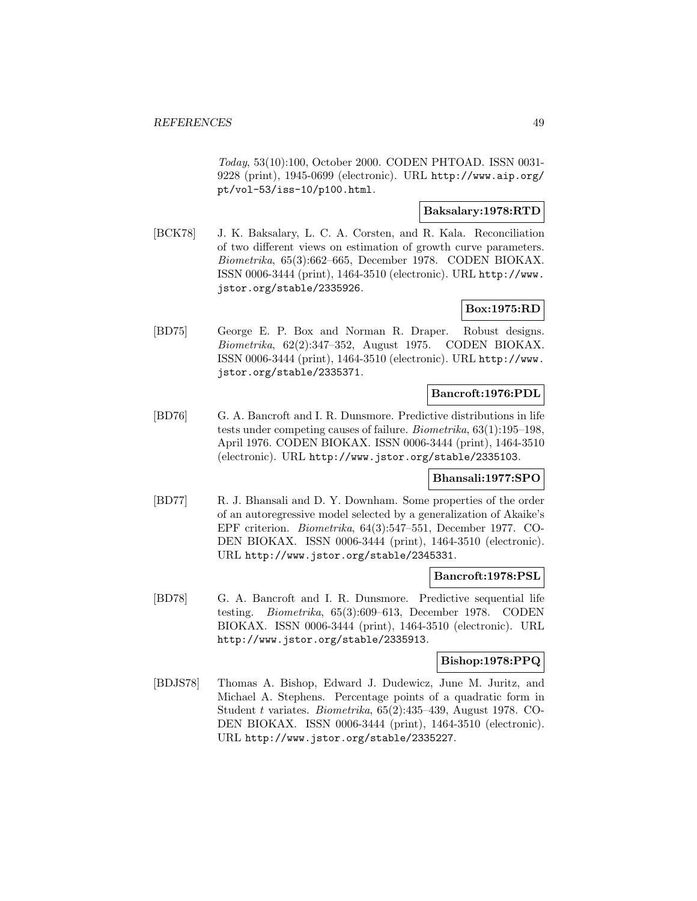Today, 53(10):100, October 2000. CODEN PHTOAD. ISSN 0031- 9228 (print), 1945-0699 (electronic). URL http://www.aip.org/ pt/vol-53/iss-10/p100.html.

## **Baksalary:1978:RTD**

[BCK78] J. K. Baksalary, L. C. A. Corsten, and R. Kala. Reconciliation of two different views on estimation of growth curve parameters. Biometrika, 65(3):662–665, December 1978. CODEN BIOKAX. ISSN 0006-3444 (print), 1464-3510 (electronic). URL http://www. jstor.org/stable/2335926.

## **Box:1975:RD**

[BD75] George E. P. Box and Norman R. Draper. Robust designs. Biometrika, 62(2):347–352, August 1975. CODEN BIOKAX. ISSN 0006-3444 (print), 1464-3510 (electronic). URL http://www. jstor.org/stable/2335371.

## **Bancroft:1976:PDL**

[BD76] G. A. Bancroft and I. R. Dunsmore. Predictive distributions in life tests under competing causes of failure. Biometrika, 63(1):195–198, April 1976. CODEN BIOKAX. ISSN 0006-3444 (print), 1464-3510 (electronic). URL http://www.jstor.org/stable/2335103.

## **Bhansali:1977:SPO**

[BD77] R. J. Bhansali and D. Y. Downham. Some properties of the order of an autoregressive model selected by a generalization of Akaike's EPF criterion. Biometrika, 64(3):547–551, December 1977. CO-DEN BIOKAX. ISSN 0006-3444 (print), 1464-3510 (electronic). URL http://www.jstor.org/stable/2345331.

## **Bancroft:1978:PSL**

[BD78] G. A. Bancroft and I. R. Dunsmore. Predictive sequential life testing. Biometrika, 65(3):609–613, December 1978. CODEN BIOKAX. ISSN 0006-3444 (print), 1464-3510 (electronic). URL http://www.jstor.org/stable/2335913.

## **Bishop:1978:PPQ**

[BDJS78] Thomas A. Bishop, Edward J. Dudewicz, June M. Juritz, and Michael A. Stephens. Percentage points of a quadratic form in Student t variates. Biometrika, 65(2):435–439, August 1978. CO-DEN BIOKAX. ISSN 0006-3444 (print), 1464-3510 (electronic). URL http://www.jstor.org/stable/2335227.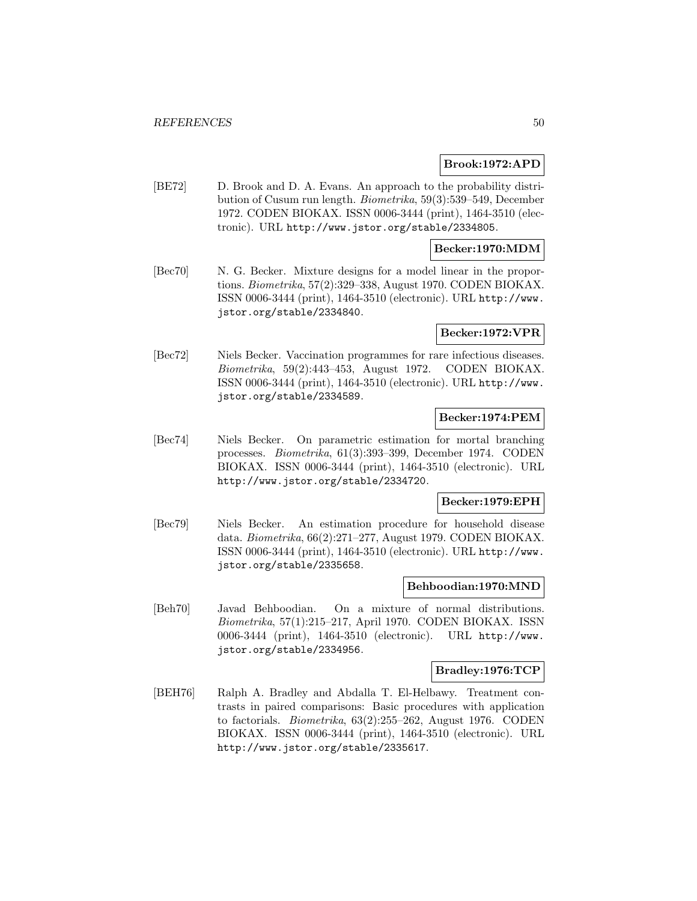#### **Brook:1972:APD**

[BE72] D. Brook and D. A. Evans. An approach to the probability distribution of Cusum run length. Biometrika, 59(3):539–549, December 1972. CODEN BIOKAX. ISSN 0006-3444 (print), 1464-3510 (electronic). URL http://www.jstor.org/stable/2334805.

### **Becker:1970:MDM**

[Bec70] N. G. Becker. Mixture designs for a model linear in the proportions. Biometrika, 57(2):329–338, August 1970. CODEN BIOKAX. ISSN 0006-3444 (print), 1464-3510 (electronic). URL http://www. jstor.org/stable/2334840.

#### **Becker:1972:VPR**

[Bec72] Niels Becker. Vaccination programmes for rare infectious diseases. Biometrika, 59(2):443–453, August 1972. CODEN BIOKAX. ISSN 0006-3444 (print), 1464-3510 (electronic). URL http://www. jstor.org/stable/2334589.

### **Becker:1974:PEM**

[Bec74] Niels Becker. On parametric estimation for mortal branching processes. Biometrika, 61(3):393–399, December 1974. CODEN BIOKAX. ISSN 0006-3444 (print), 1464-3510 (electronic). URL http://www.jstor.org/stable/2334720.

### **Becker:1979:EPH**

[Bec79] Niels Becker. An estimation procedure for household disease data. Biometrika, 66(2):271–277, August 1979. CODEN BIOKAX. ISSN 0006-3444 (print), 1464-3510 (electronic). URL http://www. jstor.org/stable/2335658.

### **Behboodian:1970:MND**

[Beh70] Javad Behboodian. On a mixture of normal distributions. Biometrika, 57(1):215–217, April 1970. CODEN BIOKAX. ISSN 0006-3444 (print), 1464-3510 (electronic). URL http://www. jstor.org/stable/2334956.

### **Bradley:1976:TCP**

[BEH76] Ralph A. Bradley and Abdalla T. El-Helbawy. Treatment contrasts in paired comparisons: Basic procedures with application to factorials. Biometrika, 63(2):255–262, August 1976. CODEN BIOKAX. ISSN 0006-3444 (print), 1464-3510 (electronic). URL http://www.jstor.org/stable/2335617.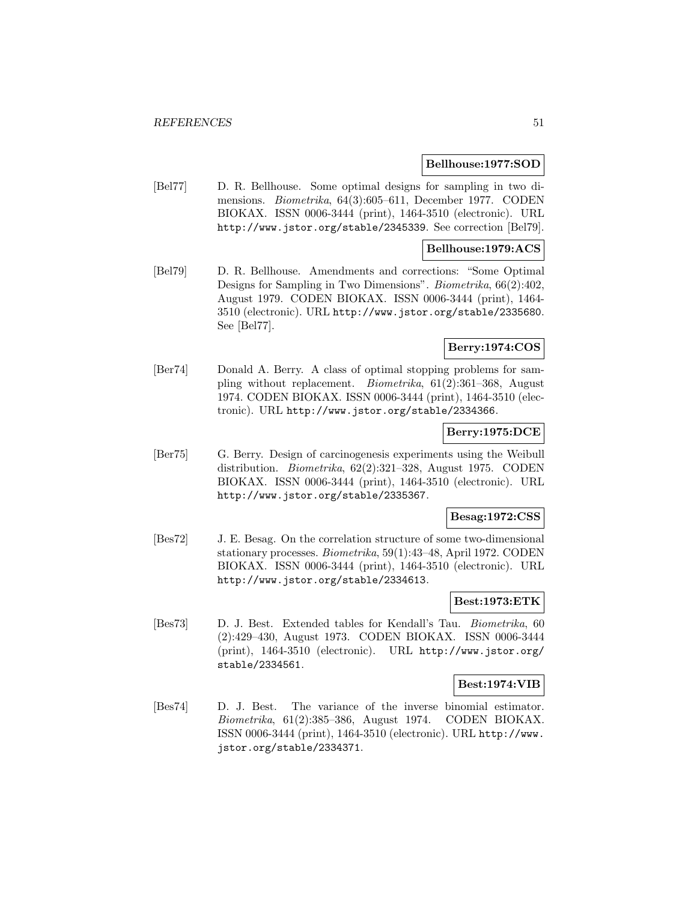#### **Bellhouse:1977:SOD**

[Bel77] D. R. Bellhouse. Some optimal designs for sampling in two dimensions. Biometrika, 64(3):605–611, December 1977. CODEN BIOKAX. ISSN 0006-3444 (print), 1464-3510 (electronic). URL http://www.jstor.org/stable/2345339. See correction [Bel79].

## **Bellhouse:1979:ACS**

[Bel79] D. R. Bellhouse. Amendments and corrections: "Some Optimal Designs for Sampling in Two Dimensions". *Biometrika*, 66(2):402, August 1979. CODEN BIOKAX. ISSN 0006-3444 (print), 1464- 3510 (electronic). URL http://www.jstor.org/stable/2335680. See [Bel77].

## **Berry:1974:COS**

[Ber74] Donald A. Berry. A class of optimal stopping problems for sampling without replacement. Biometrika, 61(2):361–368, August 1974. CODEN BIOKAX. ISSN 0006-3444 (print), 1464-3510 (electronic). URL http://www.jstor.org/stable/2334366.

## **Berry:1975:DCE**

[Ber75] G. Berry. Design of carcinogenesis experiments using the Weibull distribution. Biometrika, 62(2):321–328, August 1975. CODEN BIOKAX. ISSN 0006-3444 (print), 1464-3510 (electronic). URL http://www.jstor.org/stable/2335367.

## **Besag:1972:CSS**

[Bes72] J. E. Besag. On the correlation structure of some two-dimensional stationary processes. Biometrika, 59(1):43–48, April 1972. CODEN BIOKAX. ISSN 0006-3444 (print), 1464-3510 (electronic). URL http://www.jstor.org/stable/2334613.

## **Best:1973:ETK**

[Bes73] D. J. Best. Extended tables for Kendall's Tau. Biometrika, 60 (2):429–430, August 1973. CODEN BIOKAX. ISSN 0006-3444 (print), 1464-3510 (electronic). URL http://www.jstor.org/ stable/2334561.

## **Best:1974:VIB**

[Bes74] D. J. Best. The variance of the inverse binomial estimator. Biometrika, 61(2):385–386, August 1974. CODEN BIOKAX. ISSN 0006-3444 (print), 1464-3510 (electronic). URL http://www. jstor.org/stable/2334371.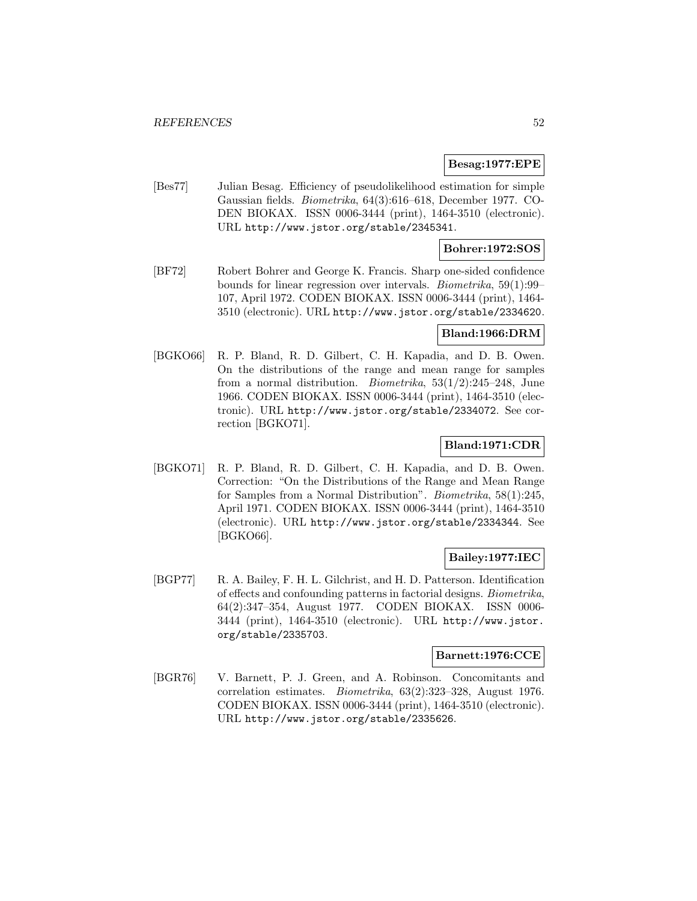### **Besag:1977:EPE**

[Bes77] Julian Besag. Efficiency of pseudolikelihood estimation for simple Gaussian fields. Biometrika, 64(3):616–618, December 1977. CO-DEN BIOKAX. ISSN 0006-3444 (print), 1464-3510 (electronic). URL http://www.jstor.org/stable/2345341.

## **Bohrer:1972:SOS**

[BF72] Robert Bohrer and George K. Francis. Sharp one-sided confidence bounds for linear regression over intervals. Biometrika, 59(1):99– 107, April 1972. CODEN BIOKAX. ISSN 0006-3444 (print), 1464- 3510 (electronic). URL http://www.jstor.org/stable/2334620.

## **Bland:1966:DRM**

[BGKO66] R. P. Bland, R. D. Gilbert, C. H. Kapadia, and D. B. Owen. On the distributions of the range and mean range for samples from a normal distribution. *Biometrika*,  $53(1/2):245-248$ , June 1966. CODEN BIOKAX. ISSN 0006-3444 (print), 1464-3510 (electronic). URL http://www.jstor.org/stable/2334072. See correction [BGKO71].

## **Bland:1971:CDR**

[BGKO71] R. P. Bland, R. D. Gilbert, C. H. Kapadia, and D. B. Owen. Correction: "On the Distributions of the Range and Mean Range for Samples from a Normal Distribution". Biometrika, 58(1):245, April 1971. CODEN BIOKAX. ISSN 0006-3444 (print), 1464-3510 (electronic). URL http://www.jstor.org/stable/2334344. See [BGKO66].

## **Bailey:1977:IEC**

[BGP77] R. A. Bailey, F. H. L. Gilchrist, and H. D. Patterson. Identification of effects and confounding patterns in factorial designs. Biometrika, 64(2):347–354, August 1977. CODEN BIOKAX. ISSN 0006- 3444 (print), 1464-3510 (electronic). URL http://www.jstor. org/stable/2335703.

# **Barnett:1976:CCE**

[BGR76] V. Barnett, P. J. Green, and A. Robinson. Concomitants and correlation estimates. Biometrika, 63(2):323–328, August 1976. CODEN BIOKAX. ISSN 0006-3444 (print), 1464-3510 (electronic). URL http://www.jstor.org/stable/2335626.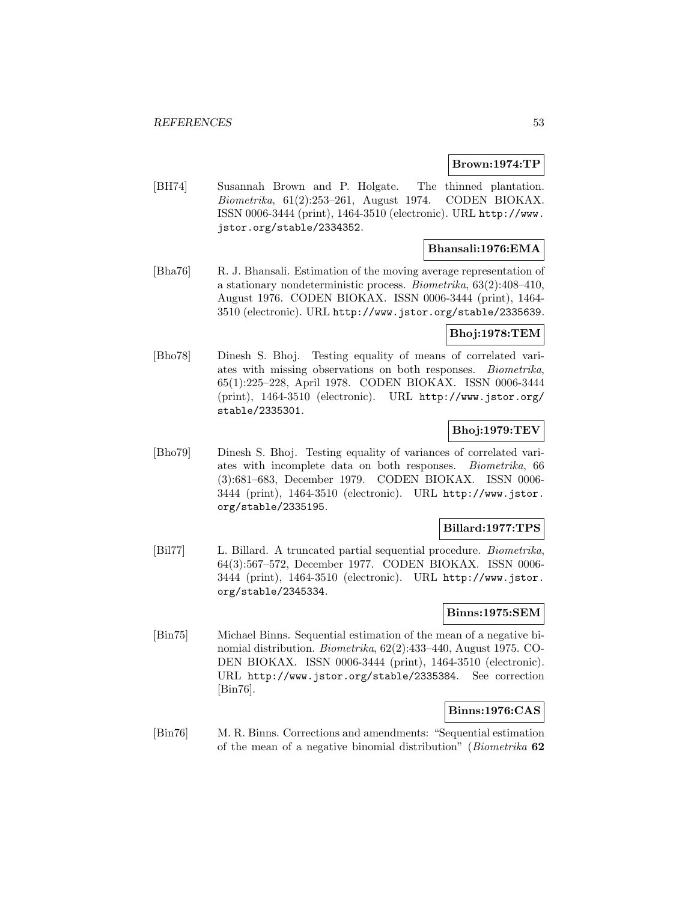### **Brown:1974:TP**

[BH74] Susannah Brown and P. Holgate. The thinned plantation. Biometrika, 61(2):253–261, August 1974. CODEN BIOKAX. ISSN 0006-3444 (print), 1464-3510 (electronic). URL http://www. jstor.org/stable/2334352.

### **Bhansali:1976:EMA**

[Bha76] R. J. Bhansali. Estimation of the moving average representation of a stationary nondeterministic process. Biometrika, 63(2):408–410, August 1976. CODEN BIOKAX. ISSN 0006-3444 (print), 1464- 3510 (electronic). URL http://www.jstor.org/stable/2335639.

## **Bhoj:1978:TEM**

[Bho78] Dinesh S. Bhoj. Testing equality of means of correlated variates with missing observations on both responses. Biometrika, 65(1):225–228, April 1978. CODEN BIOKAX. ISSN 0006-3444 (print), 1464-3510 (electronic). URL http://www.jstor.org/ stable/2335301.

## **Bhoj:1979:TEV**

[Bho79] Dinesh S. Bhoj. Testing equality of variances of correlated variates with incomplete data on both responses. Biometrika, 66 (3):681–683, December 1979. CODEN BIOKAX. ISSN 0006- 3444 (print), 1464-3510 (electronic). URL http://www.jstor. org/stable/2335195.

## **Billard:1977:TPS**

[Bil77] L. Billard. A truncated partial sequential procedure. Biometrika, 64(3):567–572, December 1977. CODEN BIOKAX. ISSN 0006- 3444 (print), 1464-3510 (electronic). URL http://www.jstor. org/stable/2345334.

### **Binns:1975:SEM**

[Bin75] Michael Binns. Sequential estimation of the mean of a negative binomial distribution. Biometrika, 62(2):433–440, August 1975. CO-DEN BIOKAX. ISSN 0006-3444 (print), 1464-3510 (electronic). URL http://www.jstor.org/stable/2335384. See correction [Bin76].

## **Binns:1976:CAS**

[Bin76] M. R. Binns. Corrections and amendments: "Sequential estimation of the mean of a negative binomial distribution" (Biometrika **62**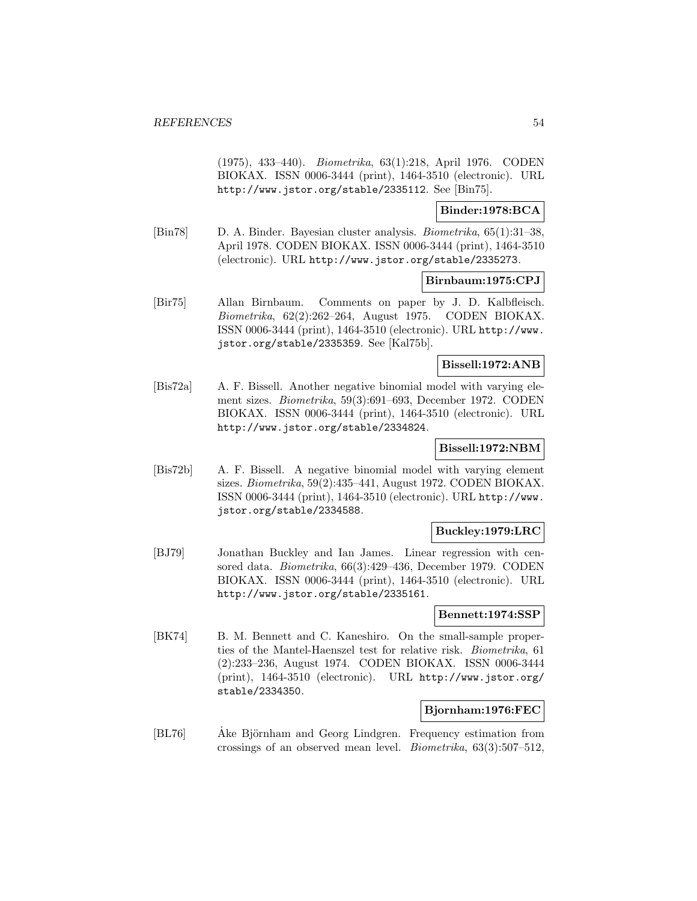(1975), 433–440). Biometrika, 63(1):218, April 1976. CODEN BIOKAX. ISSN 0006-3444 (print), 1464-3510 (electronic). URL http://www.jstor.org/stable/2335112. See [Bin75].

## **Binder:1978:BCA**

[Bin78] D. A. Binder. Bayesian cluster analysis. Biometrika, 65(1):31–38, April 1978. CODEN BIOKAX. ISSN 0006-3444 (print), 1464-3510 (electronic). URL http://www.jstor.org/stable/2335273.

## **Birnbaum:1975:CPJ**

[Bir75] Allan Birnbaum. Comments on paper by J. D. Kalbfleisch. Biometrika, 62(2):262–264, August 1975. CODEN BIOKAX. ISSN 0006-3444 (print), 1464-3510 (electronic). URL http://www. jstor.org/stable/2335359. See [Kal75b].

## **Bissell:1972:ANB**

[Bis72a] A. F. Bissell. Another negative binomial model with varying element sizes. Biometrika, 59(3):691–693, December 1972. CODEN BIOKAX. ISSN 0006-3444 (print), 1464-3510 (electronic). URL http://www.jstor.org/stable/2334824.

#### **Bissell:1972:NBM**

[Bis72b] A. F. Bissell. A negative binomial model with varying element sizes. Biometrika, 59(2):435–441, August 1972. CODEN BIOKAX. ISSN 0006-3444 (print), 1464-3510 (electronic). URL http://www. jstor.org/stable/2334588.

## **Buckley:1979:LRC**

[BJ79] Jonathan Buckley and Ian James. Linear regression with censored data. Biometrika, 66(3):429–436, December 1979. CODEN BIOKAX. ISSN 0006-3444 (print), 1464-3510 (electronic). URL http://www.jstor.org/stable/2335161.

#### **Bennett:1974:SSP**

[BK74] B. M. Bennett and C. Kaneshiro. On the small-sample properties of the Mantel-Haenszel test for relative risk. Biometrika, 61 (2):233–236, August 1974. CODEN BIOKAX. ISSN 0006-3444 (print), 1464-3510 (electronic). URL http://www.jstor.org/ stable/2334350.

## **Bjornham:1976:FEC**

[BL76] Ake Björnham and Georg Lindgren. Frequency estimation from crossings of an observed mean level. Biometrika, 63(3):507–512,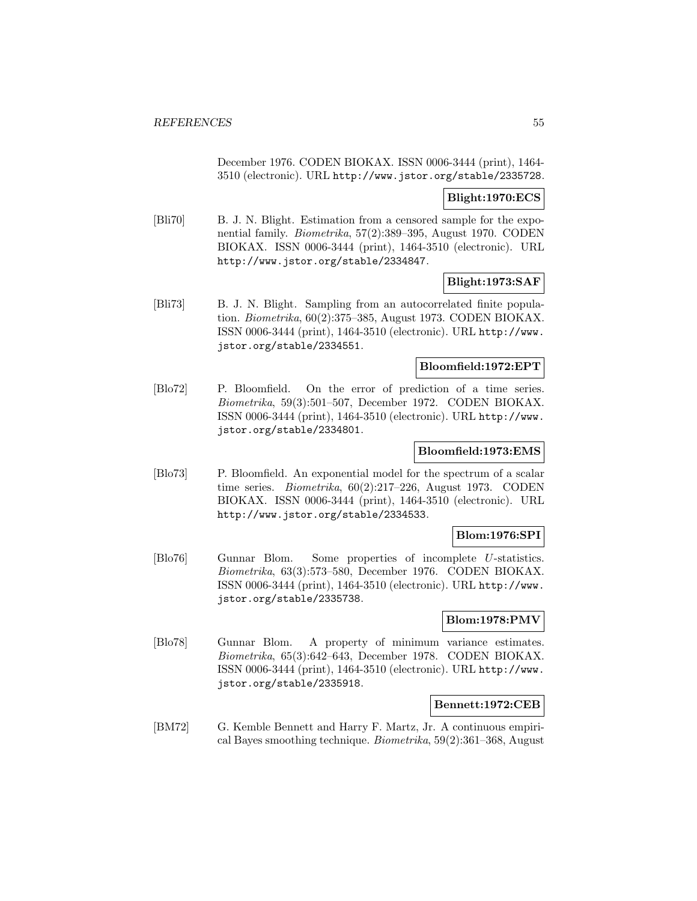December 1976. CODEN BIOKAX. ISSN 0006-3444 (print), 1464- 3510 (electronic). URL http://www.jstor.org/stable/2335728.

## **Blight:1970:ECS**

[Bli70] B. J. N. Blight. Estimation from a censored sample for the exponential family. Biometrika, 57(2):389–395, August 1970. CODEN BIOKAX. ISSN 0006-3444 (print), 1464-3510 (electronic). URL http://www.jstor.org/stable/2334847.

## **Blight:1973:SAF**

[Bli73] B. J. N. Blight. Sampling from an autocorrelated finite population. Biometrika, 60(2):375–385, August 1973. CODEN BIOKAX. ISSN 0006-3444 (print), 1464-3510 (electronic). URL http://www. jstor.org/stable/2334551.

### **Bloomfield:1972:EPT**

[Blo72] P. Bloomfield. On the error of prediction of a time series. Biometrika, 59(3):501–507, December 1972. CODEN BIOKAX. ISSN 0006-3444 (print), 1464-3510 (electronic). URL http://www. jstor.org/stable/2334801.

## **Bloomfield:1973:EMS**

[Blo73] P. Bloomfield. An exponential model for the spectrum of a scalar time series. Biometrika, 60(2):217–226, August 1973. CODEN BIOKAX. ISSN 0006-3444 (print), 1464-3510 (electronic). URL http://www.jstor.org/stable/2334533.

## **Blom:1976:SPI**

[Blo76] Gunnar Blom. Some properties of incomplete U-statistics. Biometrika, 63(3):573–580, December 1976. CODEN BIOKAX. ISSN 0006-3444 (print), 1464-3510 (electronic). URL http://www. jstor.org/stable/2335738.

## **Blom:1978:PMV**

[Blo78] Gunnar Blom. A property of minimum variance estimates. Biometrika, 65(3):642–643, December 1978. CODEN BIOKAX. ISSN 0006-3444 (print), 1464-3510 (electronic). URL http://www. jstor.org/stable/2335918.

## **Bennett:1972:CEB**

[BM72] G. Kemble Bennett and Harry F. Martz, Jr. A continuous empirical Bayes smoothing technique. Biometrika, 59(2):361–368, August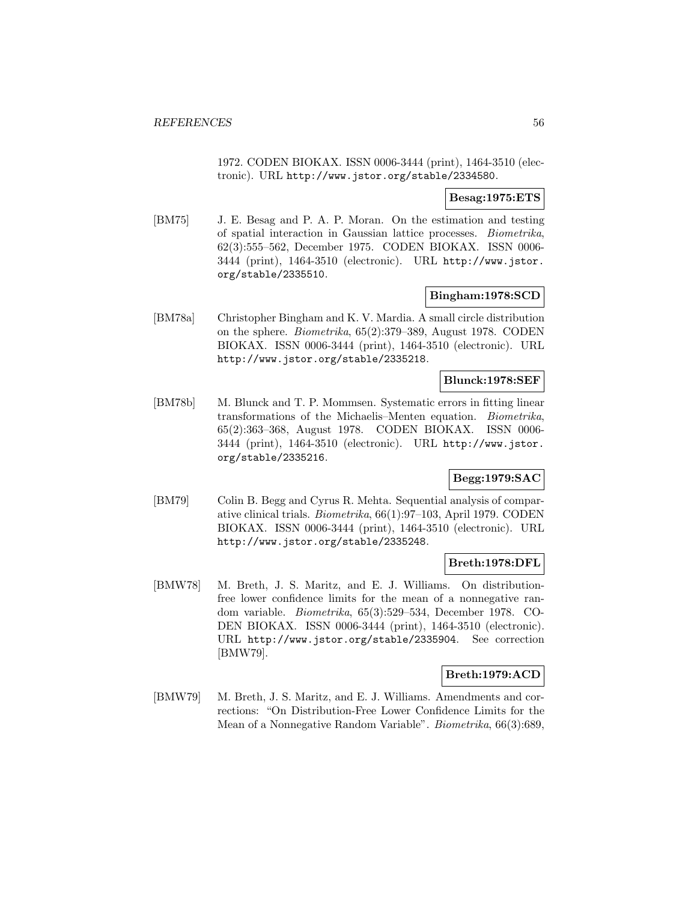1972. CODEN BIOKAX. ISSN 0006-3444 (print), 1464-3510 (electronic). URL http://www.jstor.org/stable/2334580.

## **Besag:1975:ETS**

[BM75] J. E. Besag and P. A. P. Moran. On the estimation and testing of spatial interaction in Gaussian lattice processes. Biometrika, 62(3):555–562, December 1975. CODEN BIOKAX. ISSN 0006- 3444 (print), 1464-3510 (electronic). URL http://www.jstor. org/stable/2335510.

## **Bingham:1978:SCD**

[BM78a] Christopher Bingham and K. V. Mardia. A small circle distribution on the sphere. Biometrika, 65(2):379–389, August 1978. CODEN BIOKAX. ISSN 0006-3444 (print), 1464-3510 (electronic). URL http://www.jstor.org/stable/2335218.

## **Blunck:1978:SEF**

[BM78b] M. Blunck and T. P. Mommsen. Systematic errors in fitting linear transformations of the Michaelis–Menten equation. Biometrika, 65(2):363–368, August 1978. CODEN BIOKAX. ISSN 0006- 3444 (print), 1464-3510 (electronic). URL http://www.jstor. org/stable/2335216.

## **Begg:1979:SAC**

[BM79] Colin B. Begg and Cyrus R. Mehta. Sequential analysis of comparative clinical trials. Biometrika, 66(1):97–103, April 1979. CODEN BIOKAX. ISSN 0006-3444 (print), 1464-3510 (electronic). URL http://www.jstor.org/stable/2335248.

## **Breth:1978:DFL**

[BMW78] M. Breth, J. S. Maritz, and E. J. Williams. On distributionfree lower confidence limits for the mean of a nonnegative random variable. Biometrika, 65(3):529–534, December 1978. CO-DEN BIOKAX. ISSN 0006-3444 (print), 1464-3510 (electronic). URL http://www.jstor.org/stable/2335904. See correction [BMW79].

## **Breth:1979:ACD**

[BMW79] M. Breth, J. S. Maritz, and E. J. Williams. Amendments and corrections: "On Distribution-Free Lower Confidence Limits for the Mean of a Nonnegative Random Variable". Biometrika, 66(3):689,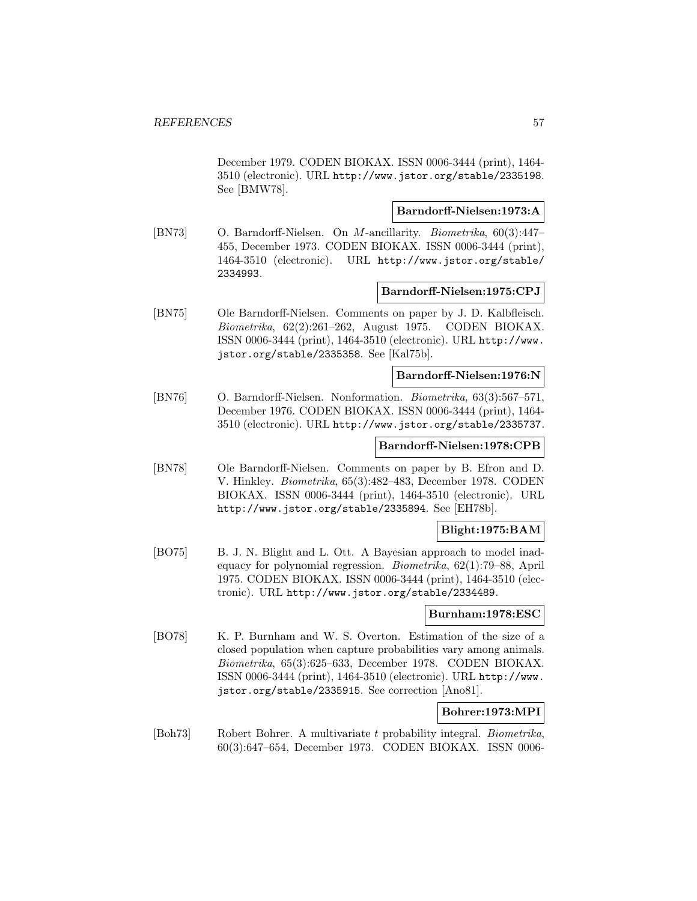December 1979. CODEN BIOKAX. ISSN 0006-3444 (print), 1464- 3510 (electronic). URL http://www.jstor.org/stable/2335198. See [BMW78].

## **Barndorff-Nielsen:1973:A**

[BN73] O. Barndorff-Nielsen. On M-ancillarity. Biometrika, 60(3):447– 455, December 1973. CODEN BIOKAX. ISSN 0006-3444 (print), 1464-3510 (electronic). URL http://www.jstor.org/stable/ 2334993.

#### **Barndorff-Nielsen:1975:CPJ**

[BN75] Ole Barndorff-Nielsen. Comments on paper by J. D. Kalbfleisch. Biometrika, 62(2):261–262, August 1975. CODEN BIOKAX. ISSN 0006-3444 (print), 1464-3510 (electronic). URL http://www. jstor.org/stable/2335358. See [Kal75b].

## **Barndorff-Nielsen:1976:N**

[BN76] O. Barndorff-Nielsen. Nonformation. Biometrika, 63(3):567–571, December 1976. CODEN BIOKAX. ISSN 0006-3444 (print), 1464- 3510 (electronic). URL http://www.jstor.org/stable/2335737.

## **Barndorff-Nielsen:1978:CPB**

[BN78] Ole Barndorff-Nielsen. Comments on paper by B. Efron and D. V. Hinkley. Biometrika, 65(3):482–483, December 1978. CODEN BIOKAX. ISSN 0006-3444 (print), 1464-3510 (electronic). URL http://www.jstor.org/stable/2335894. See [EH78b].

## **Blight:1975:BAM**

[BO75] B. J. N. Blight and L. Ott. A Bayesian approach to model inadequacy for polynomial regression. Biometrika, 62(1):79–88, April 1975. CODEN BIOKAX. ISSN 0006-3444 (print), 1464-3510 (electronic). URL http://www.jstor.org/stable/2334489.

### **Burnham:1978:ESC**

[BO78] K. P. Burnham and W. S. Overton. Estimation of the size of a closed population when capture probabilities vary among animals. Biometrika, 65(3):625–633, December 1978. CODEN BIOKAX. ISSN 0006-3444 (print), 1464-3510 (electronic). URL http://www. jstor.org/stable/2335915. See correction [Ano81].

# **Bohrer:1973:MPI**

[Boh73] Robert Bohrer. A multivariate t probability integral. Biometrika, 60(3):647–654, December 1973. CODEN BIOKAX. ISSN 0006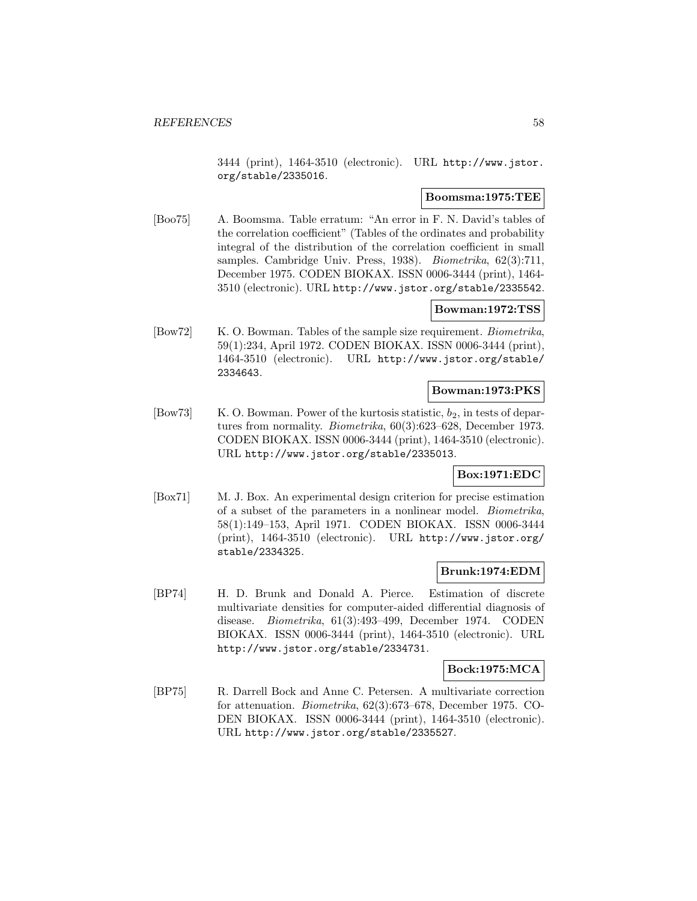3444 (print), 1464-3510 (electronic). URL http://www.jstor. org/stable/2335016.

## **Boomsma:1975:TEE**

[Boo75] A. Boomsma. Table erratum: "An error in F. N. David's tables of the correlation coefficient" (Tables of the ordinates and probability integral of the distribution of the correlation coefficient in small samples. Cambridge Univ. Press, 1938). Biometrika, 62(3):711, December 1975. CODEN BIOKAX. ISSN 0006-3444 (print), 1464- 3510 (electronic). URL http://www.jstor.org/stable/2335542.

## **Bowman:1972:TSS**

[Bow72] K. O. Bowman. Tables of the sample size requirement. *Biometrika*, 59(1):234, April 1972. CODEN BIOKAX. ISSN 0006-3444 (print), 1464-3510 (electronic). URL http://www.jstor.org/stable/ 2334643.

## **Bowman:1973:PKS**

[Bow73] K. O. Bowman. Power of the kurtosis statistic,  $b_2$ , in tests of departures from normality. Biometrika, 60(3):623–628, December 1973. CODEN BIOKAX. ISSN 0006-3444 (print), 1464-3510 (electronic). URL http://www.jstor.org/stable/2335013.

## **Box:1971:EDC**

[Box71] M. J. Box. An experimental design criterion for precise estimation of a subset of the parameters in a nonlinear model. Biometrika, 58(1):149–153, April 1971. CODEN BIOKAX. ISSN 0006-3444 (print), 1464-3510 (electronic). URL http://www.jstor.org/ stable/2334325.

## **Brunk:1974:EDM**

[BP74] H. D. Brunk and Donald A. Pierce. Estimation of discrete multivariate densities for computer-aided differential diagnosis of disease. Biometrika, 61(3):493–499, December 1974. CODEN BIOKAX. ISSN 0006-3444 (print), 1464-3510 (electronic). URL http://www.jstor.org/stable/2334731.

## **Bock:1975:MCA**

[BP75] R. Darrell Bock and Anne C. Petersen. A multivariate correction for attenuation. Biometrika, 62(3):673–678, December 1975. CO-DEN BIOKAX. ISSN 0006-3444 (print), 1464-3510 (electronic). URL http://www.jstor.org/stable/2335527.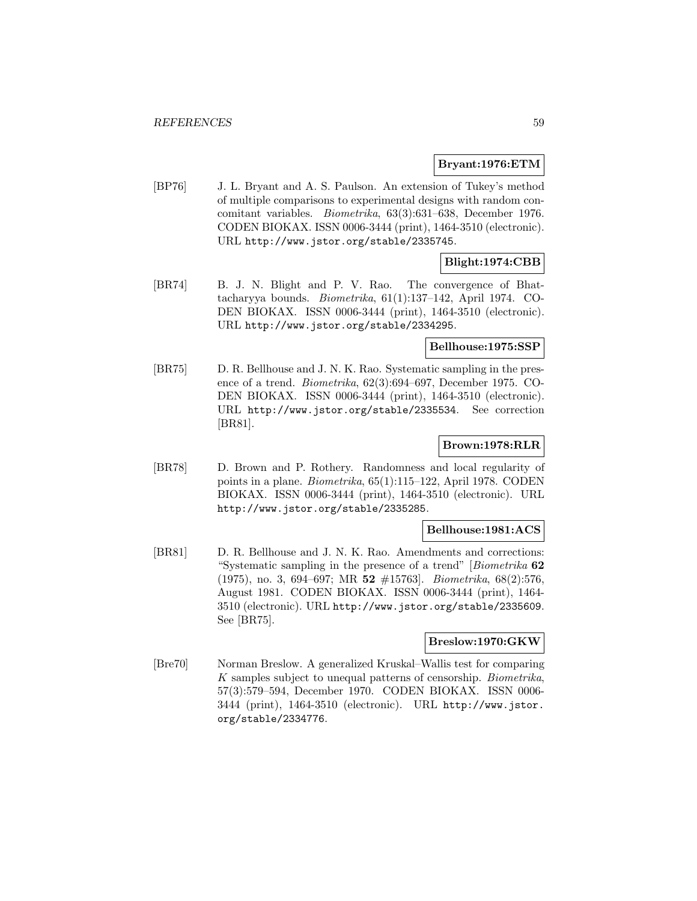### **Bryant:1976:ETM**

[BP76] J. L. Bryant and A. S. Paulson. An extension of Tukey's method of multiple comparisons to experimental designs with random concomitant variables. Biometrika, 63(3):631–638, December 1976. CODEN BIOKAX. ISSN 0006-3444 (print), 1464-3510 (electronic). URL http://www.jstor.org/stable/2335745.

# **Blight:1974:CBB**

[BR74] B. J. N. Blight and P. V. Rao. The convergence of Bhattacharyya bounds. Biometrika, 61(1):137–142, April 1974. CO-DEN BIOKAX. ISSN 0006-3444 (print), 1464-3510 (electronic). URL http://www.jstor.org/stable/2334295.

### **Bellhouse:1975:SSP**

[BR75] D. R. Bellhouse and J. N. K. Rao. Systematic sampling in the presence of a trend. Biometrika, 62(3):694–697, December 1975. CO-DEN BIOKAX. ISSN 0006-3444 (print), 1464-3510 (electronic). URL http://www.jstor.org/stable/2335534. See correction [BR81].

## **Brown:1978:RLR**

[BR78] D. Brown and P. Rothery. Randomness and local regularity of points in a plane. Biometrika, 65(1):115–122, April 1978. CODEN BIOKAX. ISSN 0006-3444 (print), 1464-3510 (electronic). URL http://www.jstor.org/stable/2335285.

## **Bellhouse:1981:ACS**

[BR81] D. R. Bellhouse and J. N. K. Rao. Amendments and corrections: "Systematic sampling in the presence of a trend" [Biometrika **62** (1975), no. 3, 694–697; MR **52** #15763]. Biometrika, 68(2):576, August 1981. CODEN BIOKAX. ISSN 0006-3444 (print), 1464- 3510 (electronic). URL http://www.jstor.org/stable/2335609. See [BR75].

## **Breslow:1970:GKW**

[Bre70] Norman Breslow. A generalized Kruskal–Wallis test for comparing K samples subject to unequal patterns of censorship. Biometrika, 57(3):579–594, December 1970. CODEN BIOKAX. ISSN 0006- 3444 (print), 1464-3510 (electronic). URL http://www.jstor. org/stable/2334776.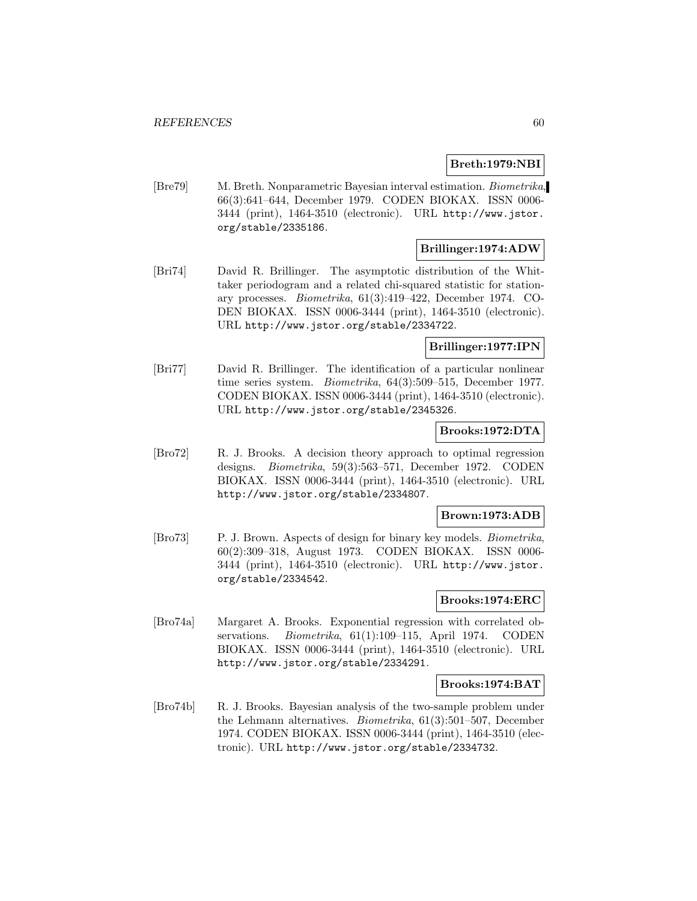## **Breth:1979:NBI**

[Bre79] M. Breth. Nonparametric Bayesian interval estimation. Biometrika, 66(3):641–644, December 1979. CODEN BIOKAX. ISSN 0006- 3444 (print), 1464-3510 (electronic). URL http://www.jstor. org/stable/2335186.

## **Brillinger:1974:ADW**

[Bri74] David R. Brillinger. The asymptotic distribution of the Whittaker periodogram and a related chi-squared statistic for stationary processes. Biometrika, 61(3):419–422, December 1974. CO-DEN BIOKAX. ISSN 0006-3444 (print), 1464-3510 (electronic). URL http://www.jstor.org/stable/2334722.

## **Brillinger:1977:IPN**

[Bri77] David R. Brillinger. The identification of a particular nonlinear time series system. Biometrika, 64(3):509–515, December 1977. CODEN BIOKAX. ISSN 0006-3444 (print), 1464-3510 (electronic). URL http://www.jstor.org/stable/2345326.

## **Brooks:1972:DTA**

[Bro72] R. J. Brooks. A decision theory approach to optimal regression designs. Biometrika, 59(3):563–571, December 1972. CODEN BIOKAX. ISSN 0006-3444 (print), 1464-3510 (electronic). URL http://www.jstor.org/stable/2334807.

## **Brown:1973:ADB**

[Bro73] P. J. Brown. Aspects of design for binary key models. Biometrika, 60(2):309–318, August 1973. CODEN BIOKAX. ISSN 0006- 3444 (print), 1464-3510 (electronic). URL http://www.jstor. org/stable/2334542.

## **Brooks:1974:ERC**

[Bro74a] Margaret A. Brooks. Exponential regression with correlated observations. Biometrika, 61(1):109–115, April 1974. CODEN BIOKAX. ISSN 0006-3444 (print), 1464-3510 (electronic). URL http://www.jstor.org/stable/2334291.

### **Brooks:1974:BAT**

[Bro74b] R. J. Brooks. Bayesian analysis of the two-sample problem under the Lehmann alternatives. Biometrika, 61(3):501–507, December 1974. CODEN BIOKAX. ISSN 0006-3444 (print), 1464-3510 (electronic). URL http://www.jstor.org/stable/2334732.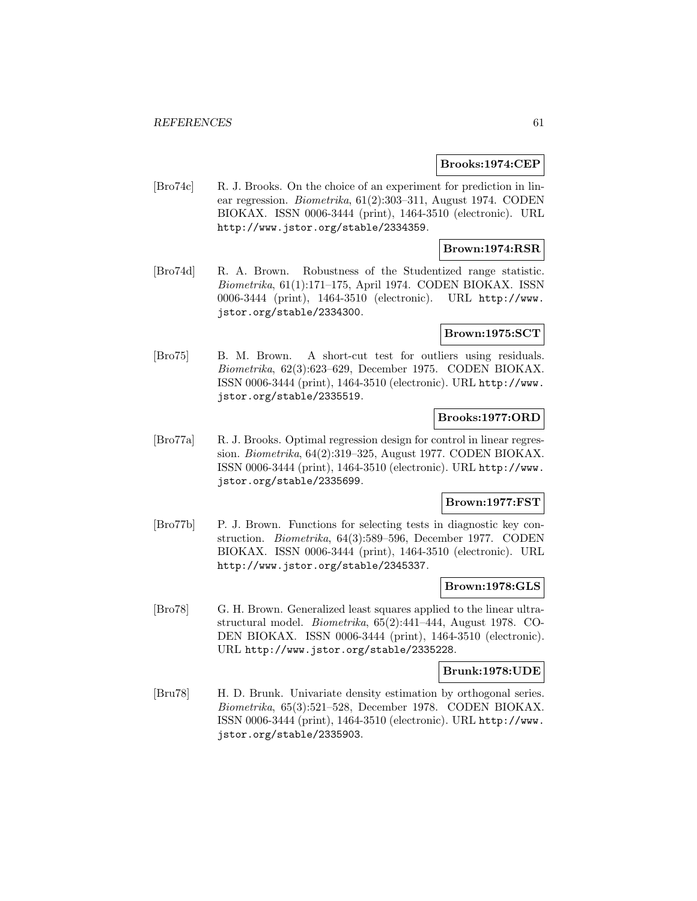#### **Brooks:1974:CEP**

[Bro74c] R. J. Brooks. On the choice of an experiment for prediction in linear regression. Biometrika, 61(2):303–311, August 1974. CODEN BIOKAX. ISSN 0006-3444 (print), 1464-3510 (electronic). URL http://www.jstor.org/stable/2334359.

## **Brown:1974:RSR**

[Bro74d] R. A. Brown. Robustness of the Studentized range statistic. Biometrika, 61(1):171–175, April 1974. CODEN BIOKAX. ISSN 0006-3444 (print), 1464-3510 (electronic). URL http://www. jstor.org/stable/2334300.

### **Brown:1975:SCT**

[Bro75] B. M. Brown. A short-cut test for outliers using residuals. Biometrika, 62(3):623–629, December 1975. CODEN BIOKAX. ISSN 0006-3444 (print), 1464-3510 (electronic). URL http://www. jstor.org/stable/2335519.

#### **Brooks:1977:ORD**

[Bro77a] R. J. Brooks. Optimal regression design for control in linear regression. Biometrika, 64(2):319–325, August 1977. CODEN BIOKAX. ISSN 0006-3444 (print), 1464-3510 (electronic). URL http://www. jstor.org/stable/2335699.

## **Brown:1977:FST**

[Bro77b] P. J. Brown. Functions for selecting tests in diagnostic key construction. Biometrika, 64(3):589–596, December 1977. CODEN BIOKAX. ISSN 0006-3444 (print), 1464-3510 (electronic). URL http://www.jstor.org/stable/2345337.

## **Brown:1978:GLS**

[Bro78] G. H. Brown. Generalized least squares applied to the linear ultrastructural model. Biometrika, 65(2):441–444, August 1978. CO-DEN BIOKAX. ISSN 0006-3444 (print), 1464-3510 (electronic). URL http://www.jstor.org/stable/2335228.

#### **Brunk:1978:UDE**

[Bru78] H. D. Brunk. Univariate density estimation by orthogonal series. Biometrika, 65(3):521–528, December 1978. CODEN BIOKAX. ISSN 0006-3444 (print), 1464-3510 (electronic). URL http://www. jstor.org/stable/2335903.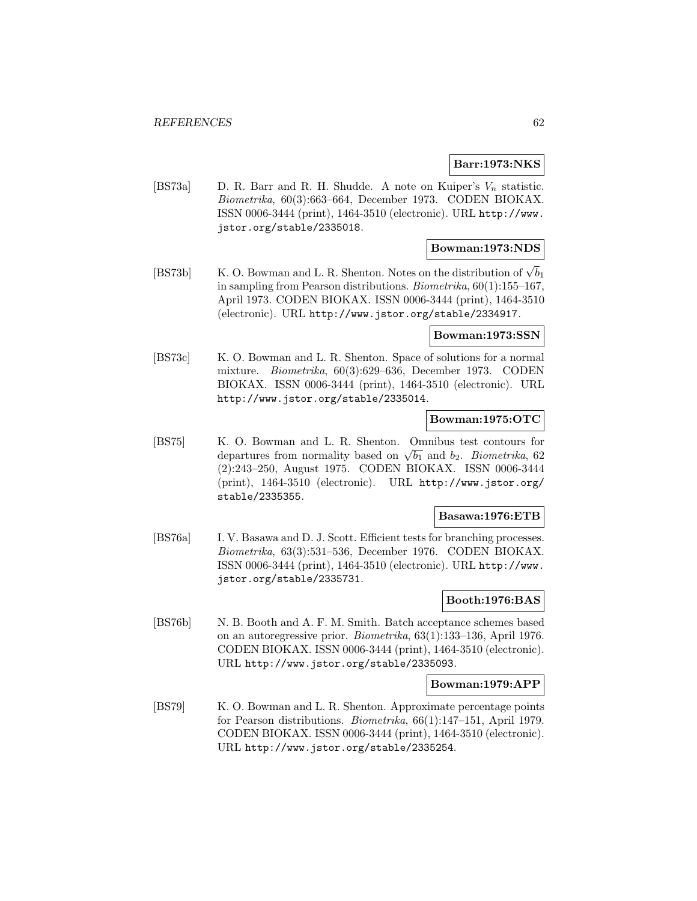### **Barr:1973:NKS**

[BS73a] D. R. Barr and R. H. Shudde. A note on Kuiper's  $V_n$  statistic. Biometrika, 60(3):663–664, December 1973. CODEN BIOKAX. ISSN 0006-3444 (print), 1464-3510 (electronic). URL http://www. jstor.org/stable/2335018.

### **Bowman:1973:NDS**

[BS73b] K. O. Bowman and L. R. Shenton. Notes on the distribution of  $\sqrt{b_1}$ in sampling from Pearson distributions. Biometrika, 60(1):155–167, April 1973. CODEN BIOKAX. ISSN 0006-3444 (print), 1464-3510 (electronic). URL http://www.jstor.org/stable/2334917.

### **Bowman:1973:SSN**

[BS73c] K. O. Bowman and L. R. Shenton. Space of solutions for a normal mixture. Biometrika, 60(3):629–636, December 1973. CODEN BIOKAX. ISSN 0006-3444 (print), 1464-3510 (electronic). URL http://www.jstor.org/stable/2335014.

## **Bowman:1975:OTC**

[BS75] K. O. Bowman and L. R. Shenton. Omnibus test contours for departures from normality based on  $\sqrt{b_1}$  and  $b_2$ . Biometrika, 62 (2):243–250, August 1975. CODEN BIOKAX. ISSN 0006-3444 (print), 1464-3510 (electronic). URL http://www.jstor.org/ stable/2335355.

#### **Basawa:1976:ETB**

[BS76a] I. V. Basawa and D. J. Scott. Efficient tests for branching processes. Biometrika, 63(3):531–536, December 1976. CODEN BIOKAX. ISSN 0006-3444 (print), 1464-3510 (electronic). URL http://www. jstor.org/stable/2335731.

## **Booth:1976:BAS**

[BS76b] N. B. Booth and A. F. M. Smith. Batch acceptance schemes based on an autoregressive prior. Biometrika, 63(1):133–136, April 1976. CODEN BIOKAX. ISSN 0006-3444 (print), 1464-3510 (electronic). URL http://www.jstor.org/stable/2335093.

#### **Bowman:1979:APP**

[BS79] K. O. Bowman and L. R. Shenton. Approximate percentage points for Pearson distributions. Biometrika, 66(1):147–151, April 1979. CODEN BIOKAX. ISSN 0006-3444 (print), 1464-3510 (electronic). URL http://www.jstor.org/stable/2335254.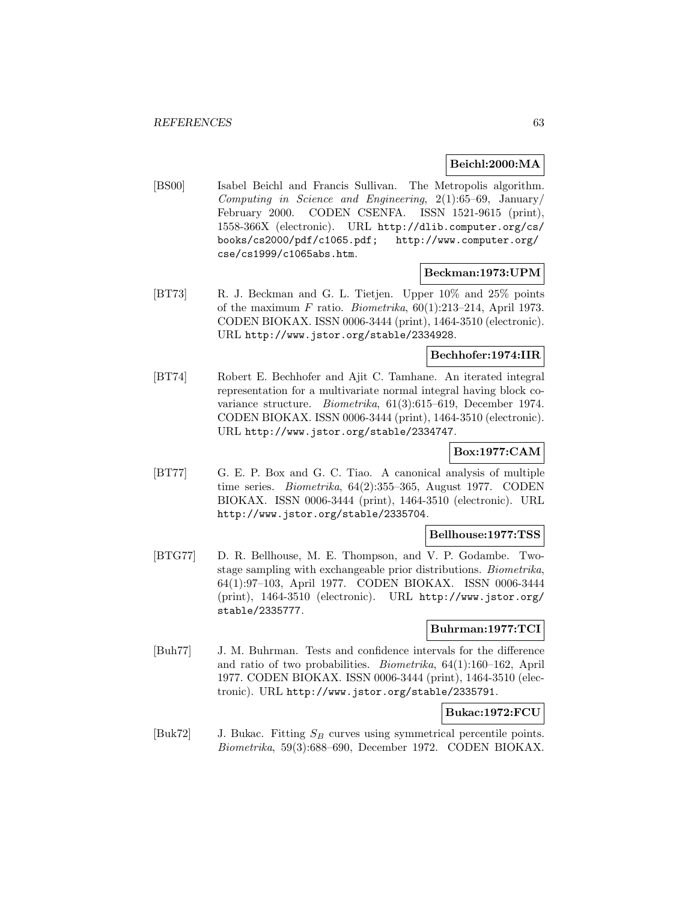## **Beichl:2000:MA**

[BS00] Isabel Beichl and Francis Sullivan. The Metropolis algorithm. Computing in Science and Engineering,  $2(1):65-69$ , January/ February 2000. CODEN CSENFA. ISSN 1521-9615 (print), 1558-366X (electronic). URL http://dlib.computer.org/cs/ books/cs2000/pdf/c1065.pdf; http://www.computer.org/ cse/cs1999/c1065abs.htm.

## **Beckman:1973:UPM**

[BT73] R. J. Beckman and G. L. Tietjen. Upper 10% and 25% points of the maximum F ratio. Biometrika,  $60(1):213-214$ , April 1973. CODEN BIOKAX. ISSN 0006-3444 (print), 1464-3510 (electronic). URL http://www.jstor.org/stable/2334928.

## **Bechhofer:1974:IIR**

[BT74] Robert E. Bechhofer and Ajit C. Tamhane. An iterated integral representation for a multivariate normal integral having block covariance structure. Biometrika, 61(3):615–619, December 1974. CODEN BIOKAX. ISSN 0006-3444 (print), 1464-3510 (electronic). URL http://www.jstor.org/stable/2334747.

## **Box:1977:CAM**

[BT77] G. E. P. Box and G. C. Tiao. A canonical analysis of multiple time series. Biometrika, 64(2):355–365, August 1977. CODEN BIOKAX. ISSN 0006-3444 (print), 1464-3510 (electronic). URL http://www.jstor.org/stable/2335704.

## **Bellhouse:1977:TSS**

[BTG77] D. R. Bellhouse, M. E. Thompson, and V. P. Godambe. Twostage sampling with exchangeable prior distributions. Biometrika, 64(1):97–103, April 1977. CODEN BIOKAX. ISSN 0006-3444 (print), 1464-3510 (electronic). URL http://www.jstor.org/ stable/2335777.

## **Buhrman:1977:TCI**

[Buh77] J. M. Buhrman. Tests and confidence intervals for the difference and ratio of two probabilities. Biometrika, 64(1):160–162, April 1977. CODEN BIOKAX. ISSN 0006-3444 (print), 1464-3510 (electronic). URL http://www.jstor.org/stable/2335791.

## **Bukac:1972:FCU**

[Buk72] J. Bukac. Fitting  $S_B$  curves using symmetrical percentile points. Biometrika, 59(3):688–690, December 1972. CODEN BIOKAX.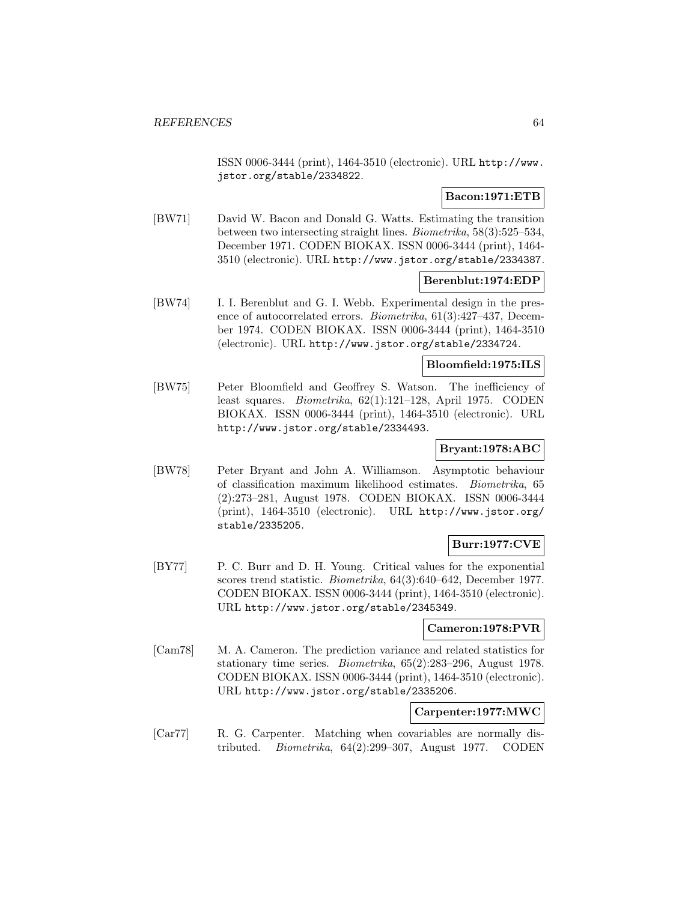ISSN 0006-3444 (print), 1464-3510 (electronic). URL http://www. jstor.org/stable/2334822.

## **Bacon:1971:ETB**

[BW71] David W. Bacon and Donald G. Watts. Estimating the transition between two intersecting straight lines. Biometrika, 58(3):525–534, December 1971. CODEN BIOKAX. ISSN 0006-3444 (print), 1464- 3510 (electronic). URL http://www.jstor.org/stable/2334387.

## **Berenblut:1974:EDP**

[BW74] I. I. Berenblut and G. I. Webb. Experimental design in the presence of autocorrelated errors. Biometrika, 61(3):427–437, December 1974. CODEN BIOKAX. ISSN 0006-3444 (print), 1464-3510 (electronic). URL http://www.jstor.org/stable/2334724.

#### **Bloomfield:1975:ILS**

[BW75] Peter Bloomfield and Geoffrey S. Watson. The inefficiency of least squares. Biometrika, 62(1):121–128, April 1975. CODEN BIOKAX. ISSN 0006-3444 (print), 1464-3510 (electronic). URL http://www.jstor.org/stable/2334493.

## **Bryant:1978:ABC**

[BW78] Peter Bryant and John A. Williamson. Asymptotic behaviour of classification maximum likelihood estimates. Biometrika, 65 (2):273–281, August 1978. CODEN BIOKAX. ISSN 0006-3444 (print), 1464-3510 (electronic). URL http://www.jstor.org/ stable/2335205.

## **Burr:1977:CVE**

[BY77] P. C. Burr and D. H. Young. Critical values for the exponential scores trend statistic. Biometrika, 64(3):640–642, December 1977. CODEN BIOKAX. ISSN 0006-3444 (print), 1464-3510 (electronic). URL http://www.jstor.org/stable/2345349.

# **Cameron:1978:PVR**

[Cam78] M. A. Cameron. The prediction variance and related statistics for stationary time series. Biometrika, 65(2):283–296, August 1978. CODEN BIOKAX. ISSN 0006-3444 (print), 1464-3510 (electronic). URL http://www.jstor.org/stable/2335206.

# **Carpenter:1977:MWC**

[Car77] R. G. Carpenter. Matching when covariables are normally distributed. Biometrika, 64(2):299–307, August 1977. CODEN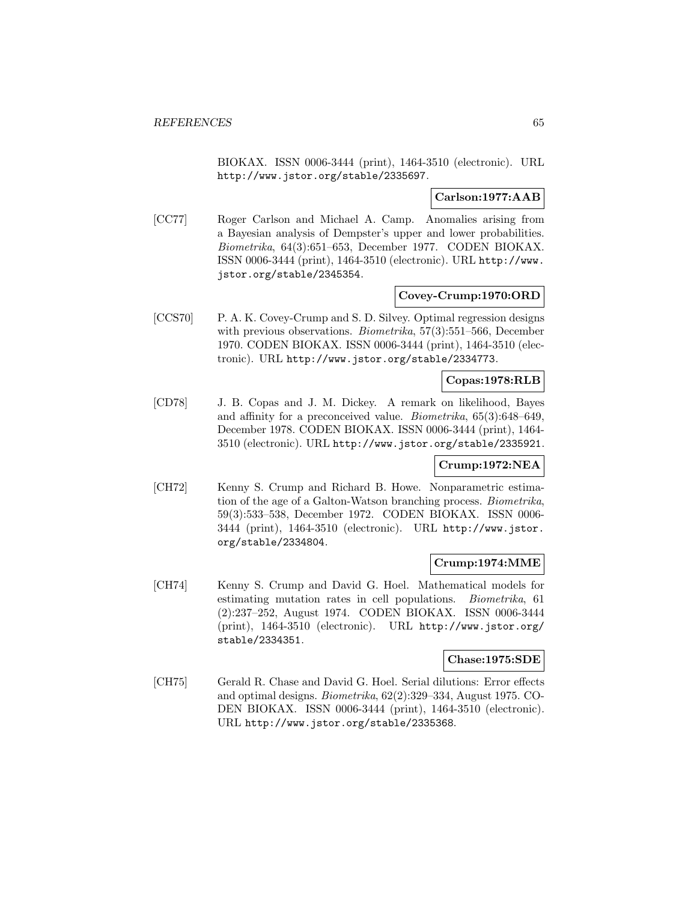BIOKAX. ISSN 0006-3444 (print), 1464-3510 (electronic). URL http://www.jstor.org/stable/2335697.

## **Carlson:1977:AAB**

[CC77] Roger Carlson and Michael A. Camp. Anomalies arising from a Bayesian analysis of Dempster's upper and lower probabilities. Biometrika, 64(3):651–653, December 1977. CODEN BIOKAX. ISSN 0006-3444 (print), 1464-3510 (electronic). URL http://www. jstor.org/stable/2345354.

## **Covey-Crump:1970:ORD**

[CCS70] P. A. K. Covey-Crump and S. D. Silvey. Optimal regression designs with previous observations. *Biometrika*, 57(3):551–566, December 1970. CODEN BIOKAX. ISSN 0006-3444 (print), 1464-3510 (electronic). URL http://www.jstor.org/stable/2334773.

## **Copas:1978:RLB**

[CD78] J. B. Copas and J. M. Dickey. A remark on likelihood, Bayes and affinity for a preconceived value. Biometrika, 65(3):648–649, December 1978. CODEN BIOKAX. ISSN 0006-3444 (print), 1464- 3510 (electronic). URL http://www.jstor.org/stable/2335921.

### **Crump:1972:NEA**

[CH72] Kenny S. Crump and Richard B. Howe. Nonparametric estimation of the age of a Galton-Watson branching process. Biometrika, 59(3):533–538, December 1972. CODEN BIOKAX. ISSN 0006- 3444 (print), 1464-3510 (electronic). URL http://www.jstor. org/stable/2334804.

## **Crump:1974:MME**

[CH74] Kenny S. Crump and David G. Hoel. Mathematical models for estimating mutation rates in cell populations. Biometrika, 61 (2):237–252, August 1974. CODEN BIOKAX. ISSN 0006-3444 (print), 1464-3510 (electronic). URL http://www.jstor.org/ stable/2334351.

## **Chase:1975:SDE**

[CH75] Gerald R. Chase and David G. Hoel. Serial dilutions: Error effects and optimal designs. Biometrika, 62(2):329–334, August 1975. CO-DEN BIOKAX. ISSN 0006-3444 (print), 1464-3510 (electronic). URL http://www.jstor.org/stable/2335368.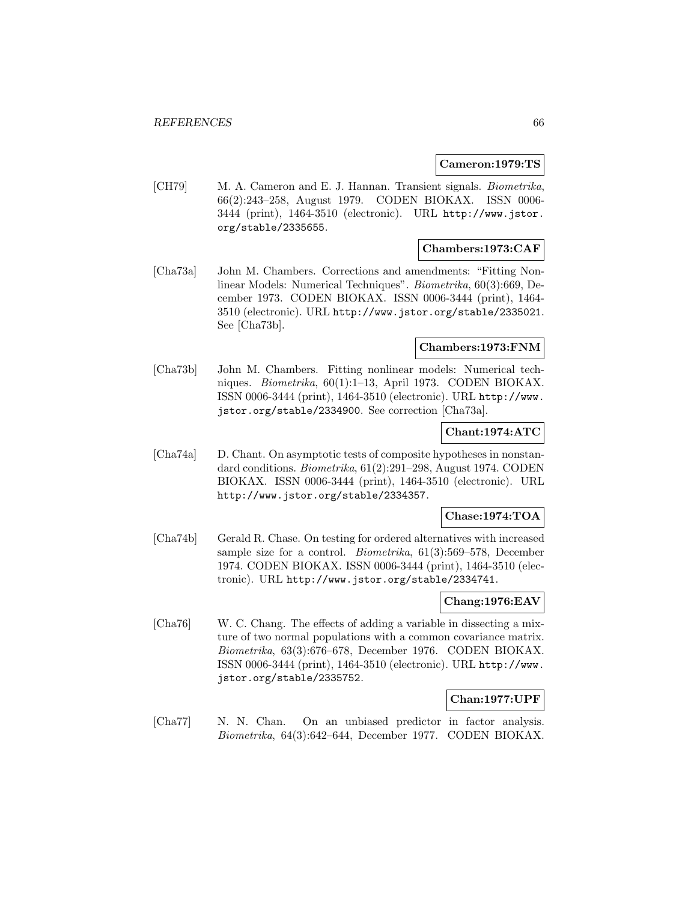#### **Cameron:1979:TS**

[CH79] M. A. Cameron and E. J. Hannan. Transient signals. Biometrika, 66(2):243–258, August 1979. CODEN BIOKAX. ISSN 0006- 3444 (print), 1464-3510 (electronic). URL http://www.jstor. org/stable/2335655.

## **Chambers:1973:CAF**

[Cha73a] John M. Chambers. Corrections and amendments: "Fitting Nonlinear Models: Numerical Techniques". Biometrika, 60(3):669, December 1973. CODEN BIOKAX. ISSN 0006-3444 (print), 1464- 3510 (electronic). URL http://www.jstor.org/stable/2335021. See [Cha73b].

## **Chambers:1973:FNM**

[Cha73b] John M. Chambers. Fitting nonlinear models: Numerical techniques. Biometrika, 60(1):1–13, April 1973. CODEN BIOKAX. ISSN 0006-3444 (print), 1464-3510 (electronic). URL http://www. jstor.org/stable/2334900. See correction [Cha73a].

## **Chant:1974:ATC**

[Cha74a] D. Chant. On asymptotic tests of composite hypotheses in nonstandard conditions. Biometrika, 61(2):291–298, August 1974. CODEN BIOKAX. ISSN 0006-3444 (print), 1464-3510 (electronic). URL http://www.jstor.org/stable/2334357.

## **Chase:1974:TOA**

[Cha74b] Gerald R. Chase. On testing for ordered alternatives with increased sample size for a control. Biometrika, 61(3):569–578, December 1974. CODEN BIOKAX. ISSN 0006-3444 (print), 1464-3510 (electronic). URL http://www.jstor.org/stable/2334741.

## **Chang:1976:EAV**

[Cha76] W. C. Chang. The effects of adding a variable in dissecting a mixture of two normal populations with a common covariance matrix. Biometrika, 63(3):676–678, December 1976. CODEN BIOKAX. ISSN 0006-3444 (print), 1464-3510 (electronic). URL http://www. jstor.org/stable/2335752.

## **Chan:1977:UPF**

[Cha77] N. N. Chan. On an unbiased predictor in factor analysis. Biometrika, 64(3):642–644, December 1977. CODEN BIOKAX.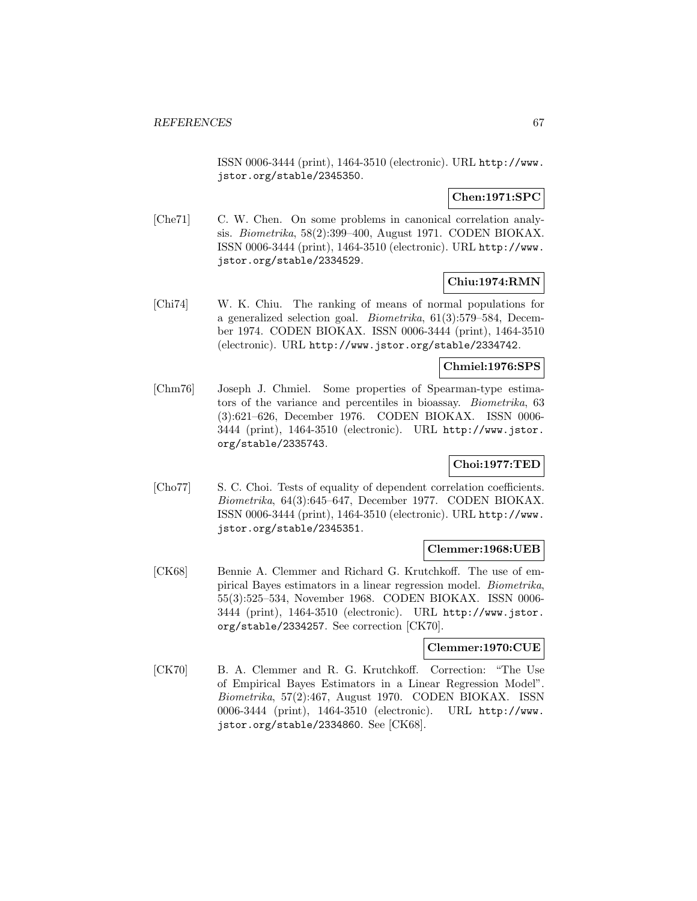ISSN 0006-3444 (print), 1464-3510 (electronic). URL http://www. jstor.org/stable/2345350.

## **Chen:1971:SPC**

[Che71] C. W. Chen. On some problems in canonical correlation analysis. Biometrika, 58(2):399–400, August 1971. CODEN BIOKAX. ISSN 0006-3444 (print), 1464-3510 (electronic). URL http://www. jstor.org/stable/2334529.

# **Chiu:1974:RMN**

[Chi74] W. K. Chiu. The ranking of means of normal populations for a generalized selection goal. Biometrika, 61(3):579–584, December 1974. CODEN BIOKAX. ISSN 0006-3444 (print), 1464-3510 (electronic). URL http://www.jstor.org/stable/2334742.

## **Chmiel:1976:SPS**

[Chm76] Joseph J. Chmiel. Some properties of Spearman-type estimators of the variance and percentiles in bioassay. Biometrika, 63 (3):621–626, December 1976. CODEN BIOKAX. ISSN 0006- 3444 (print), 1464-3510 (electronic). URL http://www.jstor. org/stable/2335743.

## **Choi:1977:TED**

[Cho77] S. C. Choi. Tests of equality of dependent correlation coefficients. Biometrika, 64(3):645–647, December 1977. CODEN BIOKAX. ISSN 0006-3444 (print), 1464-3510 (electronic). URL http://www. jstor.org/stable/2345351.

## **Clemmer:1968:UEB**

[CK68] Bennie A. Clemmer and Richard G. Krutchkoff. The use of empirical Bayes estimators in a linear regression model. Biometrika, 55(3):525–534, November 1968. CODEN BIOKAX. ISSN 0006- 3444 (print), 1464-3510 (electronic). URL http://www.jstor. org/stable/2334257. See correction [CK70].

## **Clemmer:1970:CUE**

[CK70] B. A. Clemmer and R. G. Krutchkoff. Correction: "The Use of Empirical Bayes Estimators in a Linear Regression Model". Biometrika, 57(2):467, August 1970. CODEN BIOKAX. ISSN 0006-3444 (print), 1464-3510 (electronic). URL http://www. jstor.org/stable/2334860. See [CK68].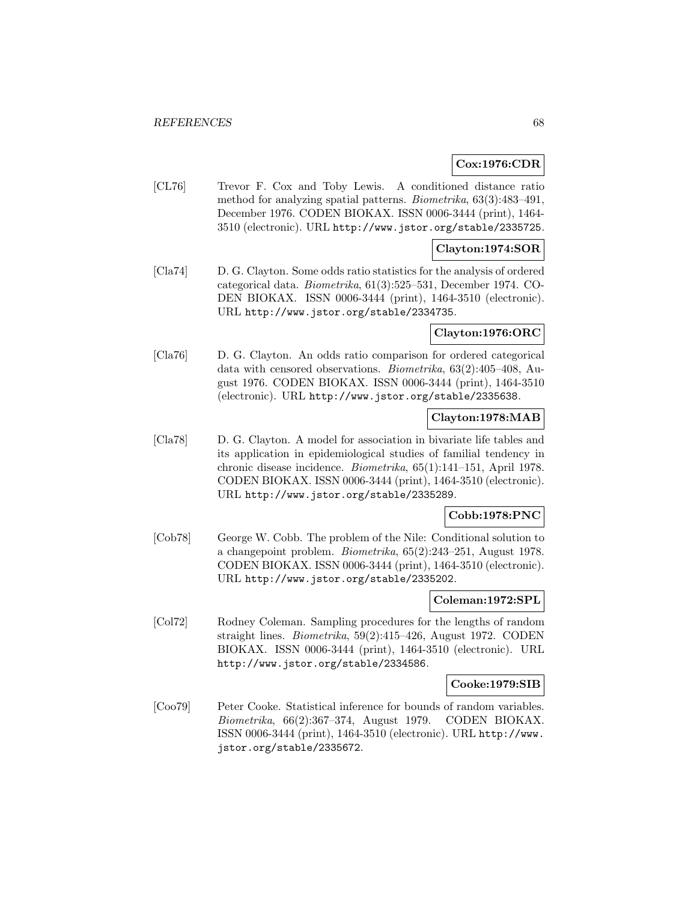## **Cox:1976:CDR**

[CL76] Trevor F. Cox and Toby Lewis. A conditioned distance ratio method for analyzing spatial patterns. Biometrika, 63(3):483–491, December 1976. CODEN BIOKAX. ISSN 0006-3444 (print), 1464- 3510 (electronic). URL http://www.jstor.org/stable/2335725.

## **Clayton:1974:SOR**

[Cla74] D. G. Clayton. Some odds ratio statistics for the analysis of ordered categorical data. Biometrika, 61(3):525–531, December 1974. CO-DEN BIOKAX. ISSN 0006-3444 (print), 1464-3510 (electronic). URL http://www.jstor.org/stable/2334735.

### **Clayton:1976:ORC**

[Cla76] D. G. Clayton. An odds ratio comparison for ordered categorical data with censored observations. Biometrika, 63(2):405–408, August 1976. CODEN BIOKAX. ISSN 0006-3444 (print), 1464-3510 (electronic). URL http://www.jstor.org/stable/2335638.

## **Clayton:1978:MAB**

[Cla78] D. G. Clayton. A model for association in bivariate life tables and its application in epidemiological studies of familial tendency in chronic disease incidence. Biometrika, 65(1):141–151, April 1978. CODEN BIOKAX. ISSN 0006-3444 (print), 1464-3510 (electronic). URL http://www.jstor.org/stable/2335289.

## **Cobb:1978:PNC**

[Cob78] George W. Cobb. The problem of the Nile: Conditional solution to a changepoint problem. Biometrika, 65(2):243–251, August 1978. CODEN BIOKAX. ISSN 0006-3444 (print), 1464-3510 (electronic). URL http://www.jstor.org/stable/2335202.

## **Coleman:1972:SPL**

[Col72] Rodney Coleman. Sampling procedures for the lengths of random straight lines. Biometrika, 59(2):415–426, August 1972. CODEN BIOKAX. ISSN 0006-3444 (print), 1464-3510 (electronic). URL http://www.jstor.org/stable/2334586.

## **Cooke:1979:SIB**

[Coo79] Peter Cooke. Statistical inference for bounds of random variables. Biometrika, 66(2):367–374, August 1979. CODEN BIOKAX. ISSN 0006-3444 (print), 1464-3510 (electronic). URL http://www. jstor.org/stable/2335672.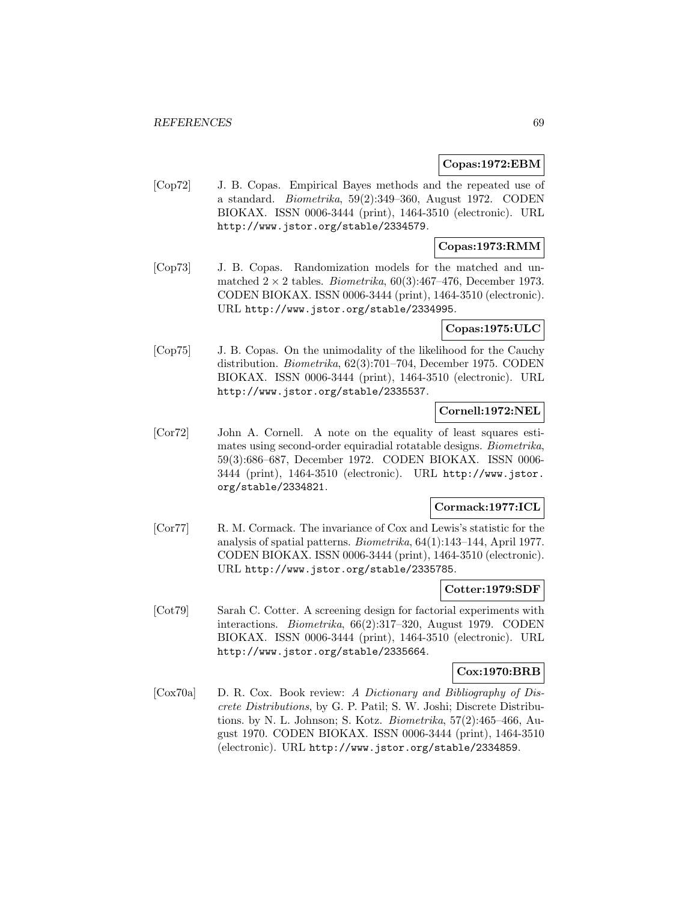## **Copas:1972:EBM**

[Cop72] J. B. Copas. Empirical Bayes methods and the repeated use of a standard. Biometrika, 59(2):349–360, August 1972. CODEN BIOKAX. ISSN 0006-3444 (print), 1464-3510 (electronic). URL http://www.jstor.org/stable/2334579.

## **Copas:1973:RMM**

[Cop73] J. B. Copas. Randomization models for the matched and unmatched  $2 \times 2$  tables. *Biometrika*,  $60(3):467-476$ , December 1973. CODEN BIOKAX. ISSN 0006-3444 (print), 1464-3510 (electronic). URL http://www.jstor.org/stable/2334995.

## **Copas:1975:ULC**

[Cop75] J. B. Copas. On the unimodality of the likelihood for the Cauchy distribution. Biometrika, 62(3):701–704, December 1975. CODEN BIOKAX. ISSN 0006-3444 (print), 1464-3510 (electronic). URL http://www.jstor.org/stable/2335537.

## **Cornell:1972:NEL**

[Cor72] John A. Cornell. A note on the equality of least squares estimates using second-order equiradial rotatable designs. Biometrika, 59(3):686–687, December 1972. CODEN BIOKAX. ISSN 0006- 3444 (print), 1464-3510 (electronic). URL http://www.jstor. org/stable/2334821.

## **Cormack:1977:ICL**

[Cor77] R. M. Cormack. The invariance of Cox and Lewis's statistic for the analysis of spatial patterns. Biometrika, 64(1):143–144, April 1977. CODEN BIOKAX. ISSN 0006-3444 (print), 1464-3510 (electronic). URL http://www.jstor.org/stable/2335785.

## **Cotter:1979:SDF**

[Cot79] Sarah C. Cotter. A screening design for factorial experiments with interactions. Biometrika, 66(2):317–320, August 1979. CODEN BIOKAX. ISSN 0006-3444 (print), 1464-3510 (electronic). URL http://www.jstor.org/stable/2335664.

## **Cox:1970:BRB**

[Cox70a] D. R. Cox. Book review: A Dictionary and Bibliography of Discrete Distributions, by G. P. Patil; S. W. Joshi; Discrete Distributions. by N. L. Johnson; S. Kotz. Biometrika, 57(2):465–466, August 1970. CODEN BIOKAX. ISSN 0006-3444 (print), 1464-3510 (electronic). URL http://www.jstor.org/stable/2334859.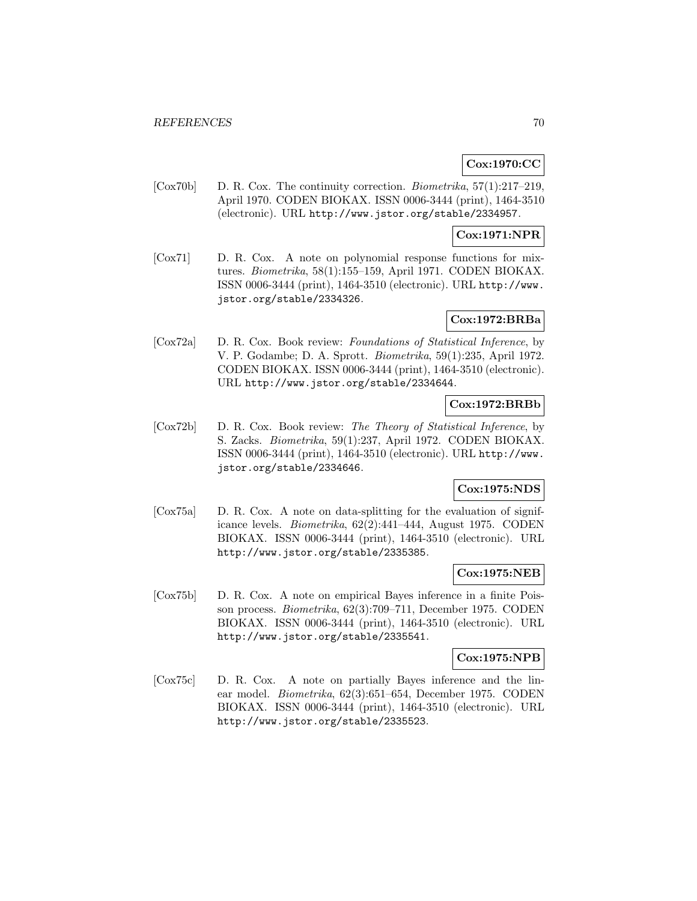# **Cox:1970:CC**

[Cox70b] D. R. Cox. The continuity correction. *Biometrika*, 57(1):217–219, April 1970. CODEN BIOKAX. ISSN 0006-3444 (print), 1464-3510 (electronic). URL http://www.jstor.org/stable/2334957.

# **Cox:1971:NPR**

[Cox71] D. R. Cox. A note on polynomial response functions for mixtures. Biometrika, 58(1):155–159, April 1971. CODEN BIOKAX. ISSN 0006-3444 (print), 1464-3510 (electronic). URL http://www. jstor.org/stable/2334326.

## **Cox:1972:BRBa**

[Cox72a] D. R. Cox. Book review: Foundations of Statistical Inference, by V. P. Godambe; D. A. Sprott. Biometrika, 59(1):235, April 1972. CODEN BIOKAX. ISSN 0006-3444 (print), 1464-3510 (electronic). URL http://www.jstor.org/stable/2334644.

## **Cox:1972:BRBb**

[Cox72b] D. R. Cox. Book review: The Theory of Statistical Inference, by S. Zacks. Biometrika, 59(1):237, April 1972. CODEN BIOKAX. ISSN 0006-3444 (print), 1464-3510 (electronic). URL http://www. jstor.org/stable/2334646.

## **Cox:1975:NDS**

[Cox75a] D. R. Cox. A note on data-splitting for the evaluation of significance levels. Biometrika, 62(2):441–444, August 1975. CODEN BIOKAX. ISSN 0006-3444 (print), 1464-3510 (electronic). URL http://www.jstor.org/stable/2335385.

## **Cox:1975:NEB**

[Cox75b] D. R. Cox. A note on empirical Bayes inference in a finite Poisson process. Biometrika, 62(3):709–711, December 1975. CODEN BIOKAX. ISSN 0006-3444 (print), 1464-3510 (electronic). URL http://www.jstor.org/stable/2335541.

## **Cox:1975:NPB**

[Cox75c] D. R. Cox. A note on partially Bayes inference and the linear model. Biometrika, 62(3):651–654, December 1975. CODEN BIOKAX. ISSN 0006-3444 (print), 1464-3510 (electronic). URL http://www.jstor.org/stable/2335523.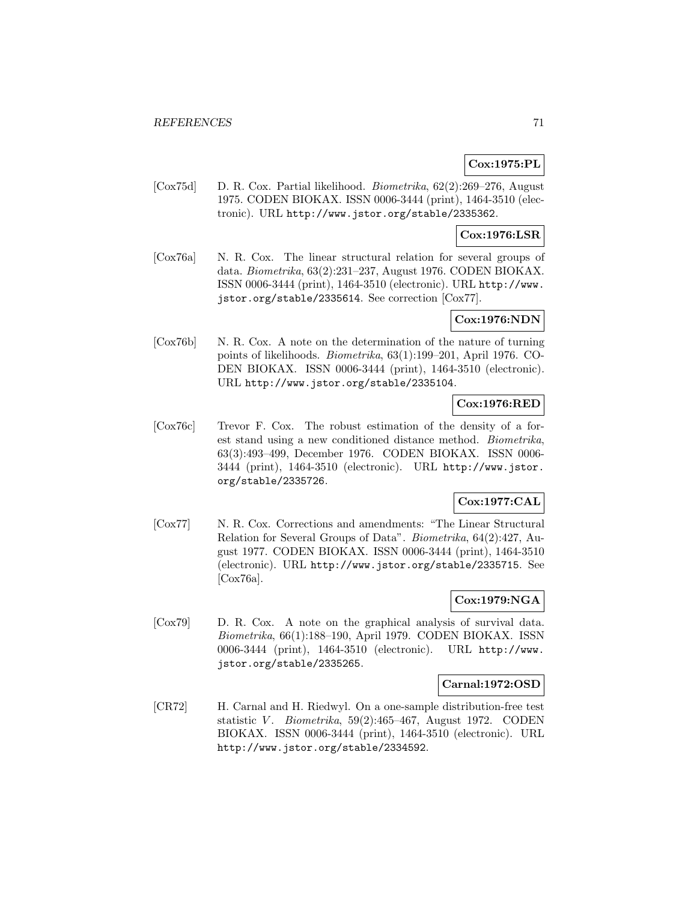# **Cox:1975:PL**

[Cox75d] D. R. Cox. Partial likelihood. Biometrika, 62(2):269–276, August 1975. CODEN BIOKAX. ISSN 0006-3444 (print), 1464-3510 (electronic). URL http://www.jstor.org/stable/2335362.

# **Cox:1976:LSR**

[Cox76a] N. R. Cox. The linear structural relation for several groups of data. Biometrika, 63(2):231–237, August 1976. CODEN BIOKAX. ISSN 0006-3444 (print), 1464-3510 (electronic). URL http://www. jstor.org/stable/2335614. See correction [Cox77].

## **Cox:1976:NDN**

[Cox76b] N. R. Cox. A note on the determination of the nature of turning points of likelihoods. Biometrika, 63(1):199–201, April 1976. CO-DEN BIOKAX. ISSN 0006-3444 (print), 1464-3510 (electronic). URL http://www.jstor.org/stable/2335104.

## **Cox:1976:RED**

[Cox76c] Trevor F. Cox. The robust estimation of the density of a forest stand using a new conditioned distance method. Biometrika, 63(3):493–499, December 1976. CODEN BIOKAX. ISSN 0006- 3444 (print), 1464-3510 (electronic). URL http://www.jstor. org/stable/2335726.

# **Cox:1977:CAL**

[Cox77] N. R. Cox. Corrections and amendments: "The Linear Structural Relation for Several Groups of Data". Biometrika, 64(2):427, August 1977. CODEN BIOKAX. ISSN 0006-3444 (print), 1464-3510 (electronic). URL http://www.jstor.org/stable/2335715. See [Cox76a].

# **Cox:1979:NGA**

[Cox79] D. R. Cox. A note on the graphical analysis of survival data. Biometrika, 66(1):188–190, April 1979. CODEN BIOKAX. ISSN 0006-3444 (print), 1464-3510 (electronic). URL http://www. jstor.org/stable/2335265.

## **Carnal:1972:OSD**

[CR72] H. Carnal and H. Riedwyl. On a one-sample distribution-free test statistic V. Biometrika,  $59(2):465-467$ , August 1972. CODEN BIOKAX. ISSN 0006-3444 (print), 1464-3510 (electronic). URL http://www.jstor.org/stable/2334592.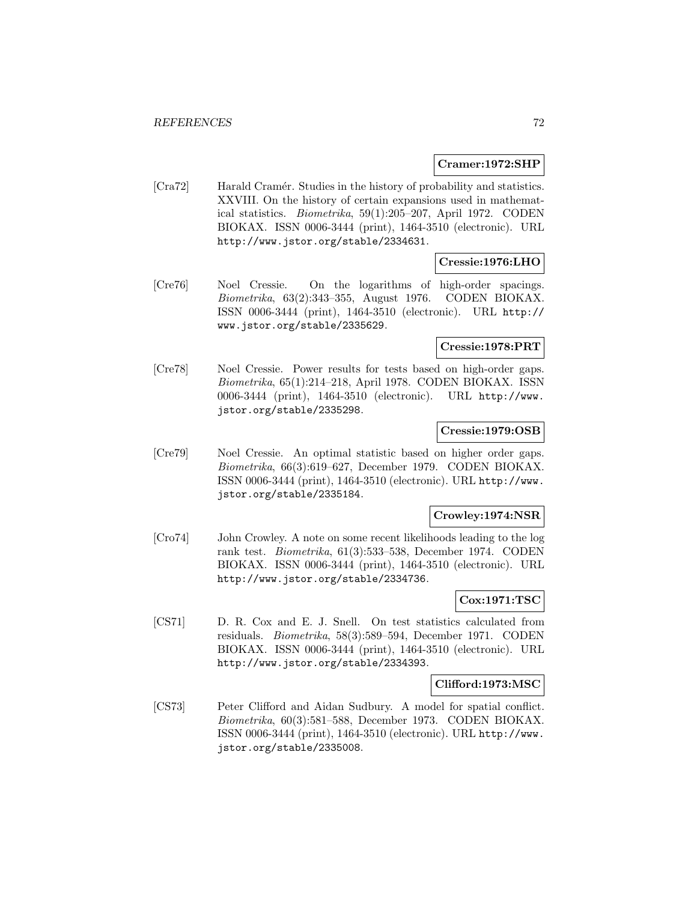#### **Cramer:1972:SHP**

[Cra72] Harald Cramér. Studies in the history of probability and statistics. XXVIII. On the history of certain expansions used in mathematical statistics. Biometrika, 59(1):205–207, April 1972. CODEN BIOKAX. ISSN 0006-3444 (print), 1464-3510 (electronic). URL http://www.jstor.org/stable/2334631.

### **Cressie:1976:LHO**

[Cre76] Noel Cressie. On the logarithms of high-order spacings. Biometrika, 63(2):343–355, August 1976. CODEN BIOKAX. ISSN 0006-3444 (print), 1464-3510 (electronic). URL http:// www.jstor.org/stable/2335629.

## **Cressie:1978:PRT**

[Cre78] Noel Cressie. Power results for tests based on high-order gaps. Biometrika, 65(1):214–218, April 1978. CODEN BIOKAX. ISSN 0006-3444 (print), 1464-3510 (electronic). URL http://www. jstor.org/stable/2335298.

### **Cressie:1979:OSB**

[Cre79] Noel Cressie. An optimal statistic based on higher order gaps. Biometrika, 66(3):619–627, December 1979. CODEN BIOKAX. ISSN 0006-3444 (print), 1464-3510 (electronic). URL http://www. jstor.org/stable/2335184.

## **Crowley:1974:NSR**

[Cro74] John Crowley. A note on some recent likelihoods leading to the log rank test. Biometrika, 61(3):533–538, December 1974. CODEN BIOKAX. ISSN 0006-3444 (print), 1464-3510 (electronic). URL http://www.jstor.org/stable/2334736.

# **Cox:1971:TSC**

[CS71] D. R. Cox and E. J. Snell. On test statistics calculated from residuals. Biometrika, 58(3):589–594, December 1971. CODEN BIOKAX. ISSN 0006-3444 (print), 1464-3510 (electronic). URL http://www.jstor.org/stable/2334393.

#### **Clifford:1973:MSC**

[CS73] Peter Clifford and Aidan Sudbury. A model for spatial conflict. Biometrika, 60(3):581–588, December 1973. CODEN BIOKAX. ISSN 0006-3444 (print), 1464-3510 (electronic). URL http://www. jstor.org/stable/2335008.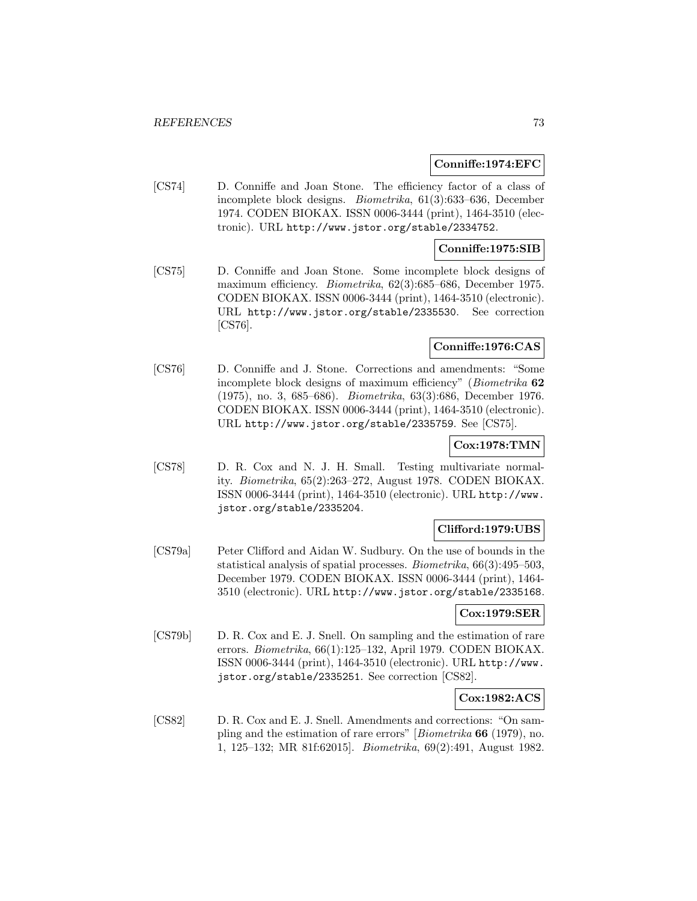#### **Conniffe:1974:EFC**

[CS74] D. Conniffe and Joan Stone. The efficiency factor of a class of incomplete block designs. Biometrika, 61(3):633–636, December 1974. CODEN BIOKAX. ISSN 0006-3444 (print), 1464-3510 (electronic). URL http://www.jstor.org/stable/2334752.

## **Conniffe:1975:SIB**

[CS75] D. Conniffe and Joan Stone. Some incomplete block designs of maximum efficiency. Biometrika, 62(3):685–686, December 1975. CODEN BIOKAX. ISSN 0006-3444 (print), 1464-3510 (electronic). URL http://www.jstor.org/stable/2335530. See correction [CS76].

## **Conniffe:1976:CAS**

[CS76] D. Conniffe and J. Stone. Corrections and amendments: "Some incomplete block designs of maximum efficiency" (Biometrika **62** (1975), no. 3, 685–686). Biometrika, 63(3):686, December 1976. CODEN BIOKAX. ISSN 0006-3444 (print), 1464-3510 (electronic). URL http://www.jstor.org/stable/2335759. See [CS75].

## **Cox:1978:TMN**

[CS78] D. R. Cox and N. J. H. Small. Testing multivariate normality. Biometrika, 65(2):263–272, August 1978. CODEN BIOKAX. ISSN 0006-3444 (print), 1464-3510 (electronic). URL http://www. jstor.org/stable/2335204.

## **Clifford:1979:UBS**

[CS79a] Peter Clifford and Aidan W. Sudbury. On the use of bounds in the statistical analysis of spatial processes. Biometrika, 66(3):495–503, December 1979. CODEN BIOKAX. ISSN 0006-3444 (print), 1464- 3510 (electronic). URL http://www.jstor.org/stable/2335168.

## **Cox:1979:SER**

[CS79b] D. R. Cox and E. J. Snell. On sampling and the estimation of rare errors. Biometrika, 66(1):125–132, April 1979. CODEN BIOKAX. ISSN 0006-3444 (print), 1464-3510 (electronic). URL http://www. jstor.org/stable/2335251. See correction [CS82].

## **Cox:1982:ACS**

[CS82] D. R. Cox and E. J. Snell. Amendments and corrections: "On sampling and the estimation of rare errors" [Biometrika **66** (1979), no. 1, 125–132; MR 81f:62015]. Biometrika, 69(2):491, August 1982.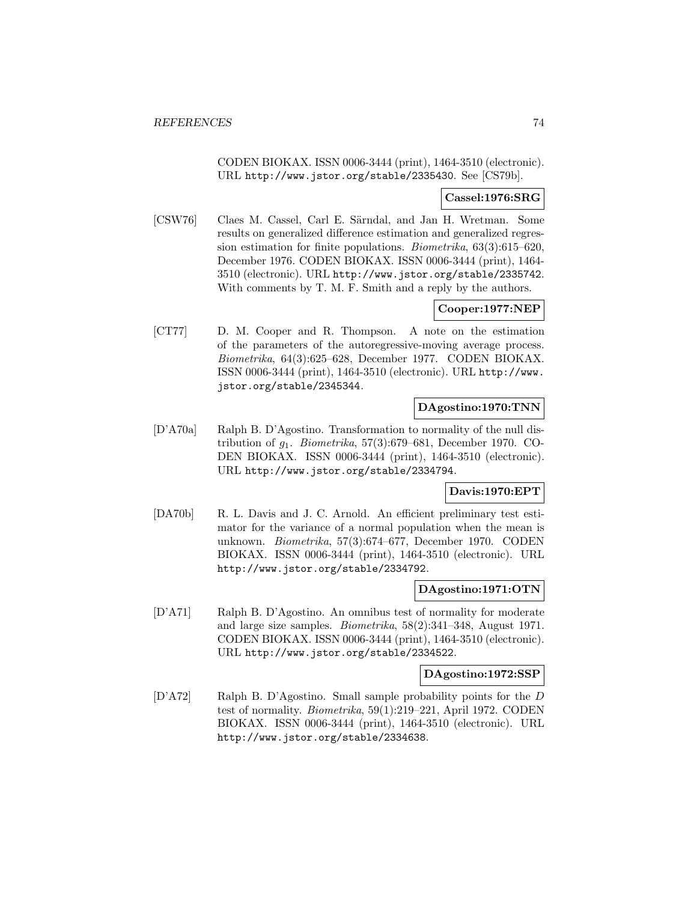CODEN BIOKAX. ISSN 0006-3444 (print), 1464-3510 (electronic). URL http://www.jstor.org/stable/2335430. See [CS79b].

## **Cassel:1976:SRG**

[CSW76] Claes M. Cassel, Carl E. Särndal, and Jan H. Wretman. Some results on generalized difference estimation and generalized regression estimation for finite populations. Biometrika, 63(3):615–620, December 1976. CODEN BIOKAX. ISSN 0006-3444 (print), 1464- 3510 (electronic). URL http://www.jstor.org/stable/2335742. With comments by T. M. F. Smith and a reply by the authors.

## **Cooper:1977:NEP**

[CT77] D. M. Cooper and R. Thompson. A note on the estimation of the parameters of the autoregressive-moving average process. Biometrika, 64(3):625–628, December 1977. CODEN BIOKAX. ISSN 0006-3444 (print), 1464-3510 (electronic). URL http://www. jstor.org/stable/2345344.

## **DAgostino:1970:TNN**

[D'A70a] Ralph B. D'Agostino. Transformation to normality of the null distribution of  $g_1$ . Biometrika, 57(3):679–681, December 1970. CO-DEN BIOKAX. ISSN 0006-3444 (print), 1464-3510 (electronic). URL http://www.jstor.org/stable/2334794.

## **Davis:1970:EPT**

[DA70b] R. L. Davis and J. C. Arnold. An efficient preliminary test estimator for the variance of a normal population when the mean is unknown. Biometrika, 57(3):674–677, December 1970. CODEN BIOKAX. ISSN 0006-3444 (print), 1464-3510 (electronic). URL http://www.jstor.org/stable/2334792.

#### **DAgostino:1971:OTN**

[D'A71] Ralph B. D'Agostino. An omnibus test of normality for moderate and large size samples. Biometrika, 58(2):341–348, August 1971. CODEN BIOKAX. ISSN 0006-3444 (print), 1464-3510 (electronic). URL http://www.jstor.org/stable/2334522.

#### **DAgostino:1972:SSP**

[D'A72] Ralph B. D'Agostino. Small sample probability points for the D test of normality. Biometrika, 59(1):219–221, April 1972. CODEN BIOKAX. ISSN 0006-3444 (print), 1464-3510 (electronic). URL http://www.jstor.org/stable/2334638.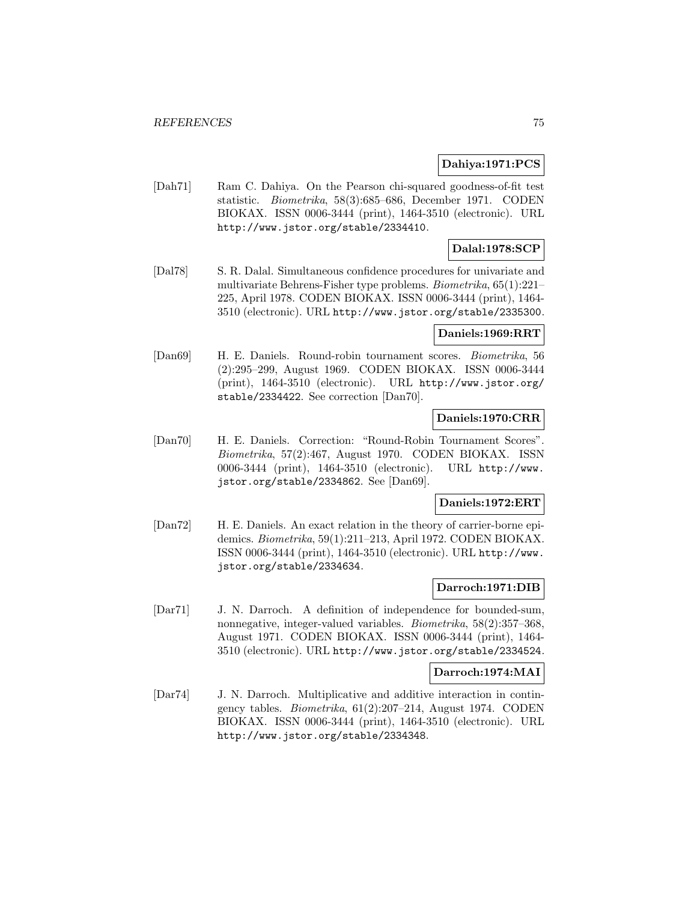## **Dahiya:1971:PCS**

[Dah71] Ram C. Dahiya. On the Pearson chi-squared goodness-of-fit test statistic. Biometrika, 58(3):685–686, December 1971. CODEN BIOKAX. ISSN 0006-3444 (print), 1464-3510 (electronic). URL http://www.jstor.org/stable/2334410.

## **Dalal:1978:SCP**

[Dal78] S. R. Dalal. Simultaneous confidence procedures for univariate and multivariate Behrens-Fisher type problems. Biometrika, 65(1):221– 225, April 1978. CODEN BIOKAX. ISSN 0006-3444 (print), 1464- 3510 (electronic). URL http://www.jstor.org/stable/2335300.

## **Daniels:1969:RRT**

[Dan69] H. E. Daniels. Round-robin tournament scores. Biometrika, 56 (2):295–299, August 1969. CODEN BIOKAX. ISSN 0006-3444 (print), 1464-3510 (electronic). URL http://www.jstor.org/ stable/2334422. See correction [Dan70].

## **Daniels:1970:CRR**

[Dan70] H. E. Daniels. Correction: "Round-Robin Tournament Scores". Biometrika, 57(2):467, August 1970. CODEN BIOKAX. ISSN 0006-3444 (print), 1464-3510 (electronic). URL http://www. jstor.org/stable/2334862. See [Dan69].

## **Daniels:1972:ERT**

[Dan72] H. E. Daniels. An exact relation in the theory of carrier-borne epidemics. Biometrika, 59(1):211–213, April 1972. CODEN BIOKAX. ISSN 0006-3444 (print), 1464-3510 (electronic). URL http://www. jstor.org/stable/2334634.

#### **Darroch:1971:DIB**

[Dar71] J. N. Darroch. A definition of independence for bounded-sum, nonnegative, integer-valued variables. Biometrika, 58(2):357–368, August 1971. CODEN BIOKAX. ISSN 0006-3444 (print), 1464- 3510 (electronic). URL http://www.jstor.org/stable/2334524.

#### **Darroch:1974:MAI**

[Dar74] J. N. Darroch. Multiplicative and additive interaction in contingency tables. Biometrika, 61(2):207–214, August 1974. CODEN BIOKAX. ISSN 0006-3444 (print), 1464-3510 (electronic). URL http://www.jstor.org/stable/2334348.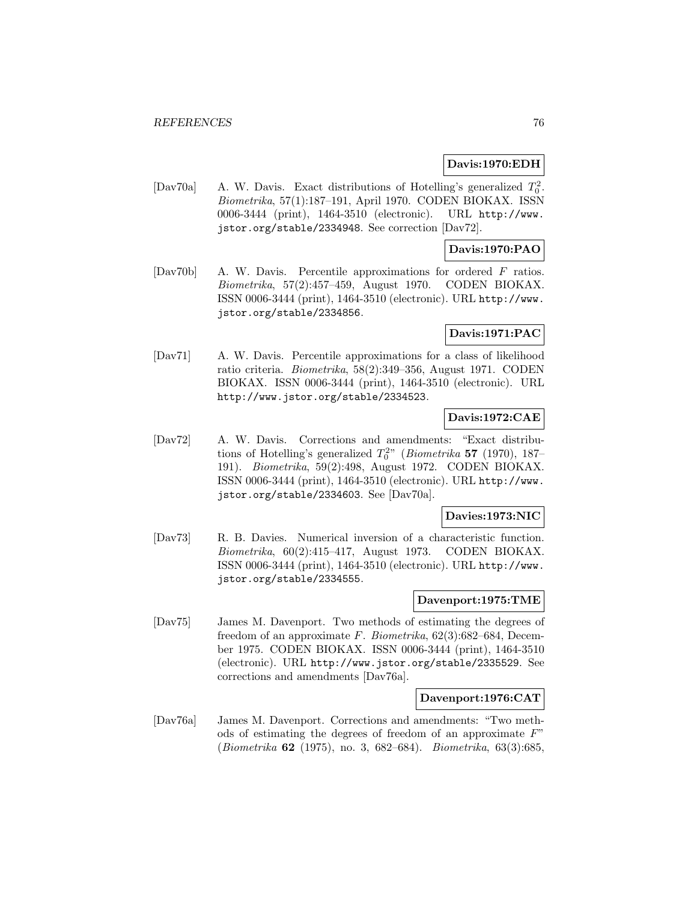## **Davis:1970:EDH**

[Dav70a] A. W. Davis. Exact distributions of Hotelling's generalized  $T_0^2$ . Biometrika, 57(1):187–191, April 1970. CODEN BIOKAX. ISSN 0006-3444 (print), 1464-3510 (electronic). URL http://www. jstor.org/stable/2334948. See correction [Dav72].

## **Davis:1970:PAO**

[Dav70b] A. W. Davis. Percentile approximations for ordered F ratios. Biometrika, 57(2):457–459, August 1970. CODEN BIOKAX. ISSN 0006-3444 (print), 1464-3510 (electronic). URL http://www. jstor.org/stable/2334856.

### **Davis:1971:PAC**

[Dav71] A. W. Davis. Percentile approximations for a class of likelihood ratio criteria. Biometrika, 58(2):349–356, August 1971. CODEN BIOKAX. ISSN 0006-3444 (print), 1464-3510 (electronic). URL http://www.jstor.org/stable/2334523.

## **Davis:1972:CAE**

[Dav72] A. W. Davis. Corrections and amendments: "Exact distributions of Hotelling's generalized  $T_0^{2n}$  (*Biometrika* 57 (1970), 187– 191). Biometrika, 59(2):498, August 1972. CODEN BIOKAX. ISSN 0006-3444 (print), 1464-3510 (electronic). URL http://www. jstor.org/stable/2334603. See [Dav70a].

#### **Davies:1973:NIC**

[Dav73] R. B. Davies. Numerical inversion of a characteristic function. Biometrika, 60(2):415–417, August 1973. CODEN BIOKAX. ISSN 0006-3444 (print), 1464-3510 (electronic). URL http://www. jstor.org/stable/2334555.

## **Davenport:1975:TME**

[Dav75] James M. Davenport. Two methods of estimating the degrees of freedom of an approximate F. Biometrika,  $62(3):682-684$ , December 1975. CODEN BIOKAX. ISSN 0006-3444 (print), 1464-3510 (electronic). URL http://www.jstor.org/stable/2335529. See corrections and amendments [Dav76a].

## **Davenport:1976:CAT**

[Dav76a] James M. Davenport. Corrections and amendments: "Two methods of estimating the degrees of freedom of an approximate  $F''$ (Biometrika **62** (1975), no. 3, 682–684). Biometrika, 63(3):685,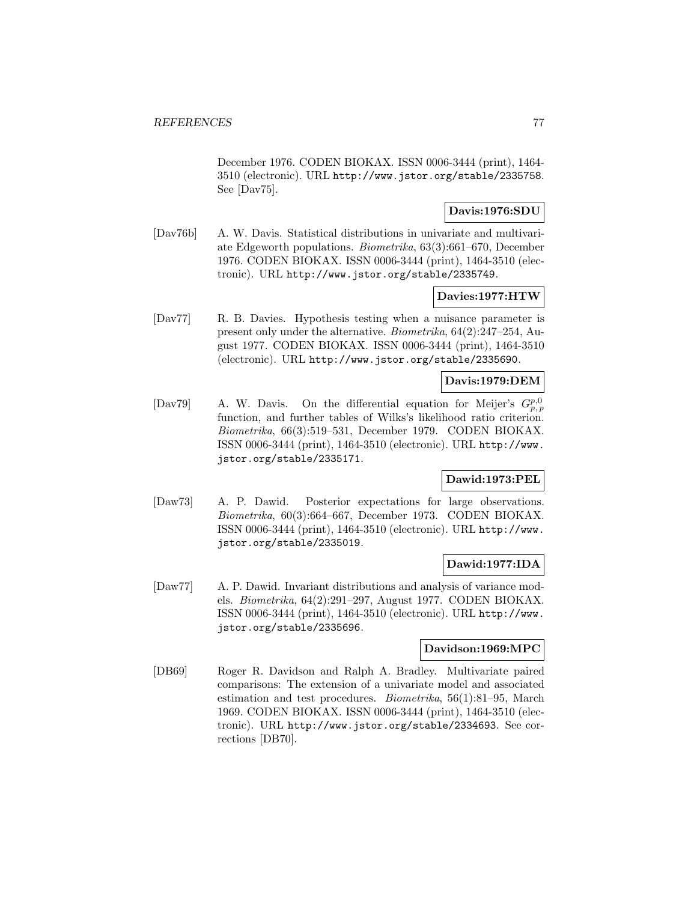December 1976. CODEN BIOKAX. ISSN 0006-3444 (print), 1464- 3510 (electronic). URL http://www.jstor.org/stable/2335758. See [Dav75].

## **Davis:1976:SDU**

[Dav76b] A. W. Davis. Statistical distributions in univariate and multivariate Edgeworth populations. Biometrika, 63(3):661–670, December 1976. CODEN BIOKAX. ISSN 0006-3444 (print), 1464-3510 (electronic). URL http://www.jstor.org/stable/2335749.

#### **Davies:1977:HTW**

[Dav77] R. B. Davies. Hypothesis testing when a nuisance parameter is present only under the alternative. Biometrika, 64(2):247–254, August 1977. CODEN BIOKAX. ISSN 0006-3444 (print), 1464-3510 (electronic). URL http://www.jstor.org/stable/2335690.

## **Davis:1979:DEM**

[Dav79] A. W. Davis. On the differential equation for Meijer's  $G_{p, p}^{p, 0}$ function, and further tables of Wilks's likelihood ratio criterion. Biometrika, 66(3):519–531, December 1979. CODEN BIOKAX. ISSN 0006-3444 (print), 1464-3510 (electronic). URL http://www. jstor.org/stable/2335171.

## **Dawid:1973:PEL**

[Daw73] A. P. Dawid. Posterior expectations for large observations. Biometrika, 60(3):664–667, December 1973. CODEN BIOKAX. ISSN 0006-3444 (print), 1464-3510 (electronic). URL http://www. jstor.org/stable/2335019.

## **Dawid:1977:IDA**

[Daw77] A. P. Dawid. Invariant distributions and analysis of variance models. Biometrika, 64(2):291–297, August 1977. CODEN BIOKAX. ISSN 0006-3444 (print), 1464-3510 (electronic). URL http://www. jstor.org/stable/2335696.

#### **Davidson:1969:MPC**

[DB69] Roger R. Davidson and Ralph A. Bradley. Multivariate paired comparisons: The extension of a univariate model and associated estimation and test procedures. Biometrika, 56(1):81–95, March 1969. CODEN BIOKAX. ISSN 0006-3444 (print), 1464-3510 (electronic). URL http://www.jstor.org/stable/2334693. See corrections [DB70].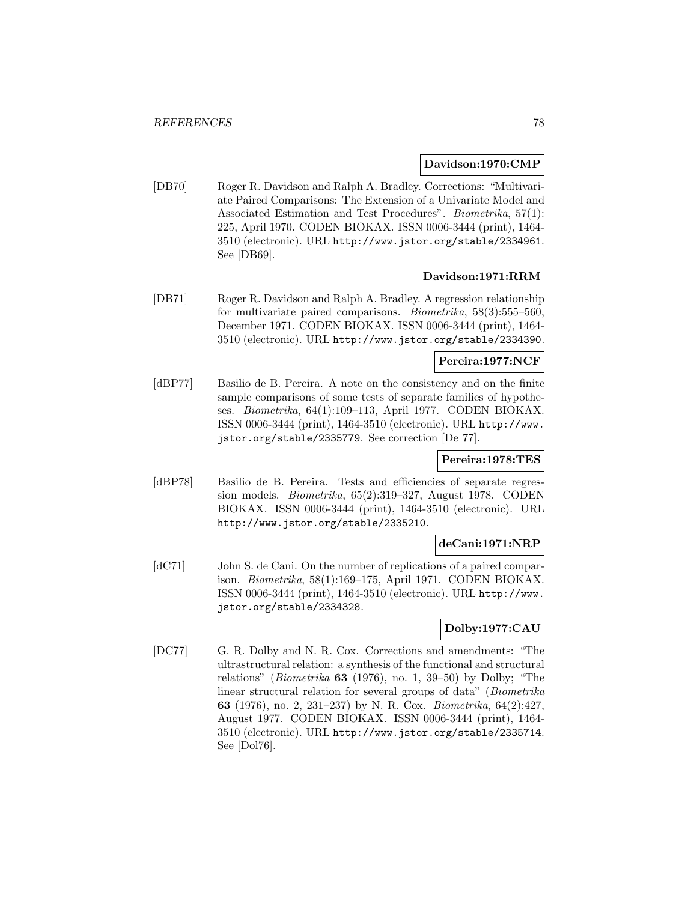#### **Davidson:1970:CMP**

[DB70] Roger R. Davidson and Ralph A. Bradley. Corrections: "Multivariate Paired Comparisons: The Extension of a Univariate Model and Associated Estimation and Test Procedures". Biometrika, 57(1): 225, April 1970. CODEN BIOKAX. ISSN 0006-3444 (print), 1464- 3510 (electronic). URL http://www.jstor.org/stable/2334961. See [DB69].

## **Davidson:1971:RRM**

[DB71] Roger R. Davidson and Ralph A. Bradley. A regression relationship for multivariate paired comparisons. Biometrika, 58(3):555–560, December 1971. CODEN BIOKAX. ISSN 0006-3444 (print), 1464- 3510 (electronic). URL http://www.jstor.org/stable/2334390.

### **Pereira:1977:NCF**

[dBP77] Basilio de B. Pereira. A note on the consistency and on the finite sample comparisons of some tests of separate families of hypotheses. Biometrika, 64(1):109–113, April 1977. CODEN BIOKAX. ISSN 0006-3444 (print), 1464-3510 (electronic). URL http://www. jstor.org/stable/2335779. See correction [De 77].

## **Pereira:1978:TES**

[dBP78] Basilio de B. Pereira. Tests and efficiencies of separate regression models. Biometrika, 65(2):319–327, August 1978. CODEN BIOKAX. ISSN 0006-3444 (print), 1464-3510 (electronic). URL http://www.jstor.org/stable/2335210.

#### **deCani:1971:NRP**

[dC71] John S. de Cani. On the number of replications of a paired comparison. Biometrika, 58(1):169–175, April 1971. CODEN BIOKAX. ISSN 0006-3444 (print), 1464-3510 (electronic). URL http://www. jstor.org/stable/2334328.

# **Dolby:1977:CAU**

[DC77] G. R. Dolby and N. R. Cox. Corrections and amendments: "The ultrastructural relation: a synthesis of the functional and structural relations" (Biometrika **63** (1976), no. 1, 39–50) by Dolby; "The linear structural relation for several groups of data" (Biometrika **63** (1976), no. 2, 231–237) by N. R. Cox. Biometrika, 64(2):427, August 1977. CODEN BIOKAX. ISSN 0006-3444 (print), 1464- 3510 (electronic). URL http://www.jstor.org/stable/2335714. See [Dol76].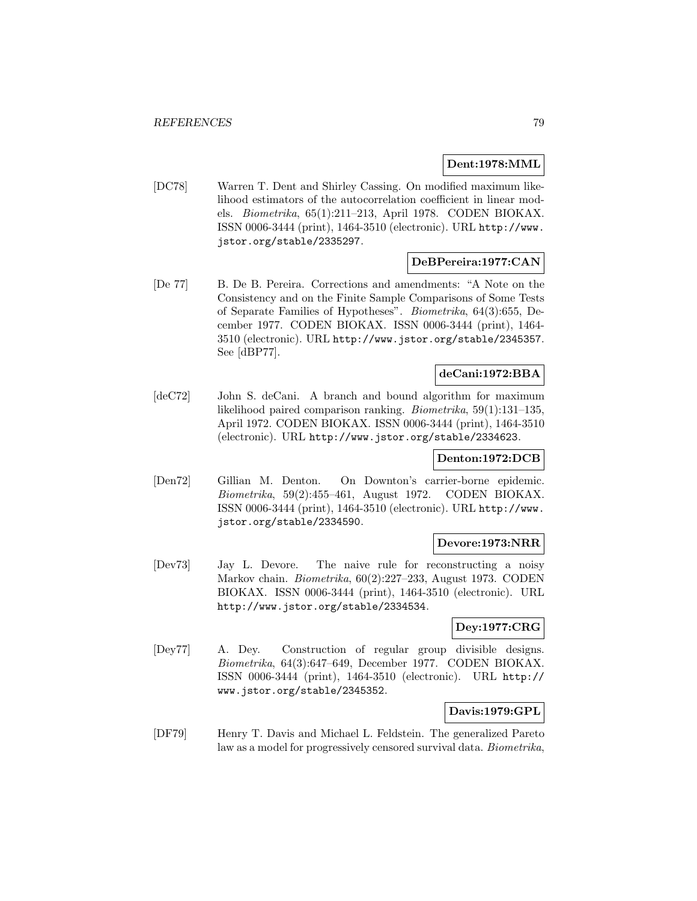## **Dent:1978:MML**

[DC78] Warren T. Dent and Shirley Cassing. On modified maximum likelihood estimators of the autocorrelation coefficient in linear models. Biometrika, 65(1):211–213, April 1978. CODEN BIOKAX. ISSN 0006-3444 (print), 1464-3510 (electronic). URL http://www. jstor.org/stable/2335297.

# **DeBPereira:1977:CAN**

[De 77] B. De B. Pereira. Corrections and amendments: "A Note on the Consistency and on the Finite Sample Comparisons of Some Tests of Separate Families of Hypotheses". Biometrika, 64(3):655, December 1977. CODEN BIOKAX. ISSN 0006-3444 (print), 1464- 3510 (electronic). URL http://www.jstor.org/stable/2345357. See [dBP77].

# **deCani:1972:BBA**

[deC72] John S. deCani. A branch and bound algorithm for maximum likelihood paired comparison ranking. Biometrika, 59(1):131–135, April 1972. CODEN BIOKAX. ISSN 0006-3444 (print), 1464-3510 (electronic). URL http://www.jstor.org/stable/2334623.

## **Denton:1972:DCB**

[Den72] Gillian M. Denton. On Downton's carrier-borne epidemic. Biometrika, 59(2):455–461, August 1972. CODEN BIOKAX. ISSN 0006-3444 (print), 1464-3510 (electronic). URL http://www. jstor.org/stable/2334590.

## **Devore:1973:NRR**

[Dev73] Jay L. Devore. The naive rule for reconstructing a noisy Markov chain. Biometrika, 60(2):227–233, August 1973. CODEN BIOKAX. ISSN 0006-3444 (print), 1464-3510 (electronic). URL http://www.jstor.org/stable/2334534.

## **Dey:1977:CRG**

[Dey77] A. Dey. Construction of regular group divisible designs. Biometrika, 64(3):647–649, December 1977. CODEN BIOKAX. ISSN 0006-3444 (print), 1464-3510 (electronic). URL http:// www.jstor.org/stable/2345352.

## **Davis:1979:GPL**

[DF79] Henry T. Davis and Michael L. Feldstein. The generalized Pareto law as a model for progressively censored survival data. Biometrika,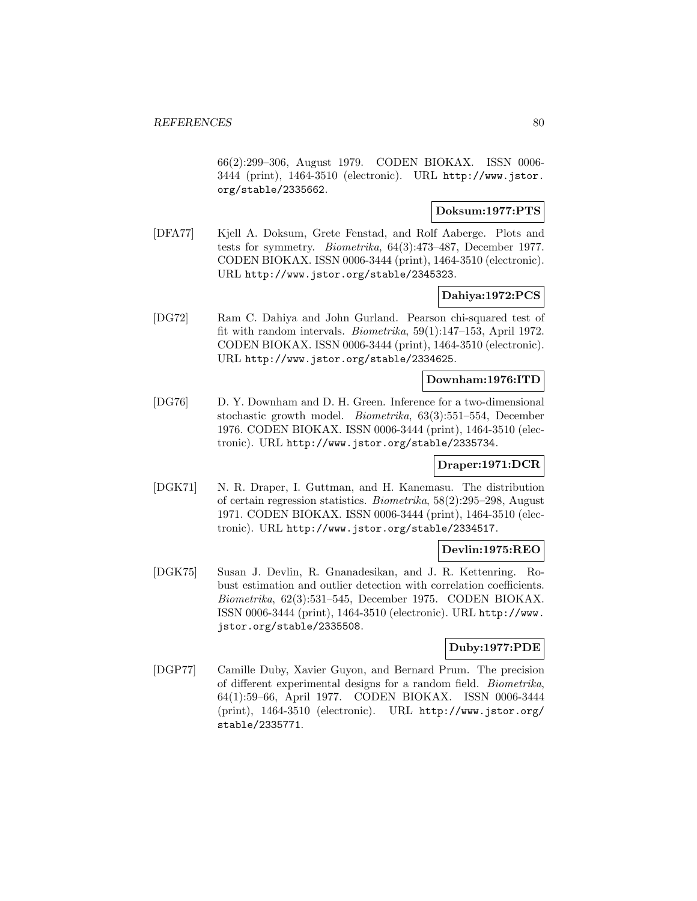66(2):299–306, August 1979. CODEN BIOKAX. ISSN 0006- 3444 (print), 1464-3510 (electronic). URL http://www.jstor. org/stable/2335662.

## **Doksum:1977:PTS**

[DFA77] Kjell A. Doksum, Grete Fenstad, and Rolf Aaberge. Plots and tests for symmetry. Biometrika, 64(3):473–487, December 1977. CODEN BIOKAX. ISSN 0006-3444 (print), 1464-3510 (electronic). URL http://www.jstor.org/stable/2345323.

## **Dahiya:1972:PCS**

[DG72] Ram C. Dahiya and John Gurland. Pearson chi-squared test of fit with random intervals. Biometrika, 59(1):147–153, April 1972. CODEN BIOKAX. ISSN 0006-3444 (print), 1464-3510 (electronic). URL http://www.jstor.org/stable/2334625.

#### **Downham:1976:ITD**

[DG76] D. Y. Downham and D. H. Green. Inference for a two-dimensional stochastic growth model. Biometrika, 63(3):551–554, December 1976. CODEN BIOKAX. ISSN 0006-3444 (print), 1464-3510 (electronic). URL http://www.jstor.org/stable/2335734.

## **Draper:1971:DCR**

[DGK71] N. R. Draper, I. Guttman, and H. Kanemasu. The distribution of certain regression statistics. Biometrika, 58(2):295–298, August 1971. CODEN BIOKAX. ISSN 0006-3444 (print), 1464-3510 (electronic). URL http://www.jstor.org/stable/2334517.

#### **Devlin:1975:REO**

[DGK75] Susan J. Devlin, R. Gnanadesikan, and J. R. Kettenring. Robust estimation and outlier detection with correlation coefficients. Biometrika, 62(3):531–545, December 1975. CODEN BIOKAX. ISSN 0006-3444 (print), 1464-3510 (electronic). URL http://www. jstor.org/stable/2335508.

## **Duby:1977:PDE**

[DGP77] Camille Duby, Xavier Guyon, and Bernard Prum. The precision of different experimental designs for a random field. Biometrika, 64(1):59–66, April 1977. CODEN BIOKAX. ISSN 0006-3444 (print), 1464-3510 (electronic). URL http://www.jstor.org/ stable/2335771.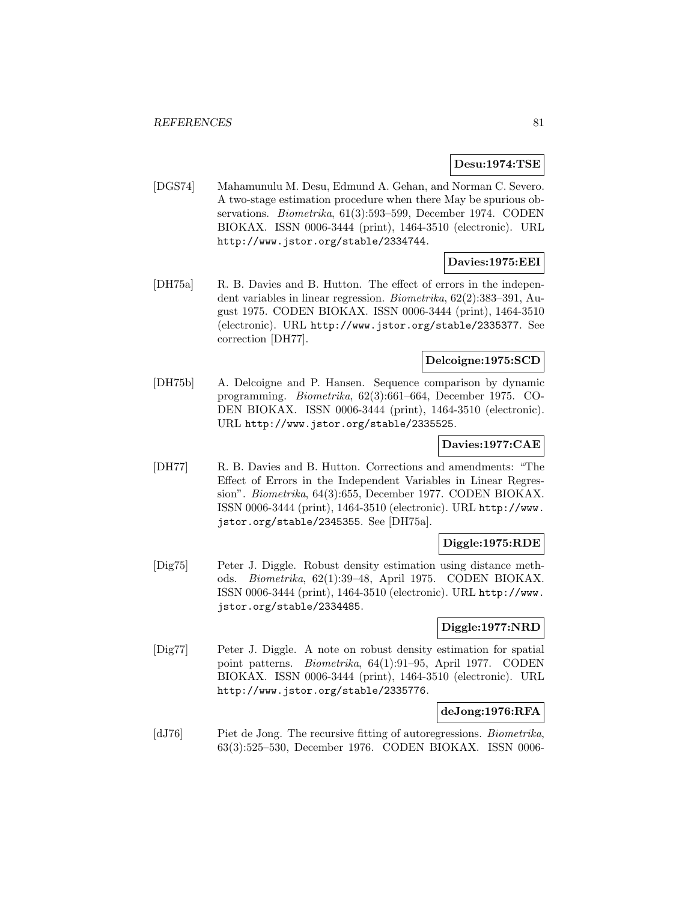## **Desu:1974:TSE**

[DGS74] Mahamunulu M. Desu, Edmund A. Gehan, and Norman C. Severo. A two-stage estimation procedure when there May be spurious observations. Biometrika, 61(3):593–599, December 1974. CODEN BIOKAX. ISSN 0006-3444 (print), 1464-3510 (electronic). URL http://www.jstor.org/stable/2334744.

# **Davies:1975:EEI**

[DH75a] R. B. Davies and B. Hutton. The effect of errors in the independent variables in linear regression. Biometrika, 62(2):383–391, August 1975. CODEN BIOKAX. ISSN 0006-3444 (print), 1464-3510 (electronic). URL http://www.jstor.org/stable/2335377. See correction [DH77].

# **Delcoigne:1975:SCD**

[DH75b] A. Delcoigne and P. Hansen. Sequence comparison by dynamic programming. Biometrika, 62(3):661–664, December 1975. CO-DEN BIOKAX. ISSN 0006-3444 (print), 1464-3510 (electronic). URL http://www.jstor.org/stable/2335525.

## **Davies:1977:CAE**

[DH77] R. B. Davies and B. Hutton. Corrections and amendments: "The Effect of Errors in the Independent Variables in Linear Regression". Biometrika, 64(3):655, December 1977. CODEN BIOKAX. ISSN 0006-3444 (print), 1464-3510 (electronic). URL http://www. jstor.org/stable/2345355. See [DH75a].

## **Diggle:1975:RDE**

[Dig75] Peter J. Diggle. Robust density estimation using distance methods. Biometrika, 62(1):39–48, April 1975. CODEN BIOKAX. ISSN 0006-3444 (print), 1464-3510 (electronic). URL http://www. jstor.org/stable/2334485.

## **Diggle:1977:NRD**

[Dig77] Peter J. Diggle. A note on robust density estimation for spatial point patterns. Biometrika, 64(1):91–95, April 1977. CODEN BIOKAX. ISSN 0006-3444 (print), 1464-3510 (electronic). URL http://www.jstor.org/stable/2335776.

## **deJong:1976:RFA**

[dJ76] Piet de Jong. The recursive fitting of autoregressions. *Biometrika*, 63(3):525–530, December 1976. CODEN BIOKAX. ISSN 0006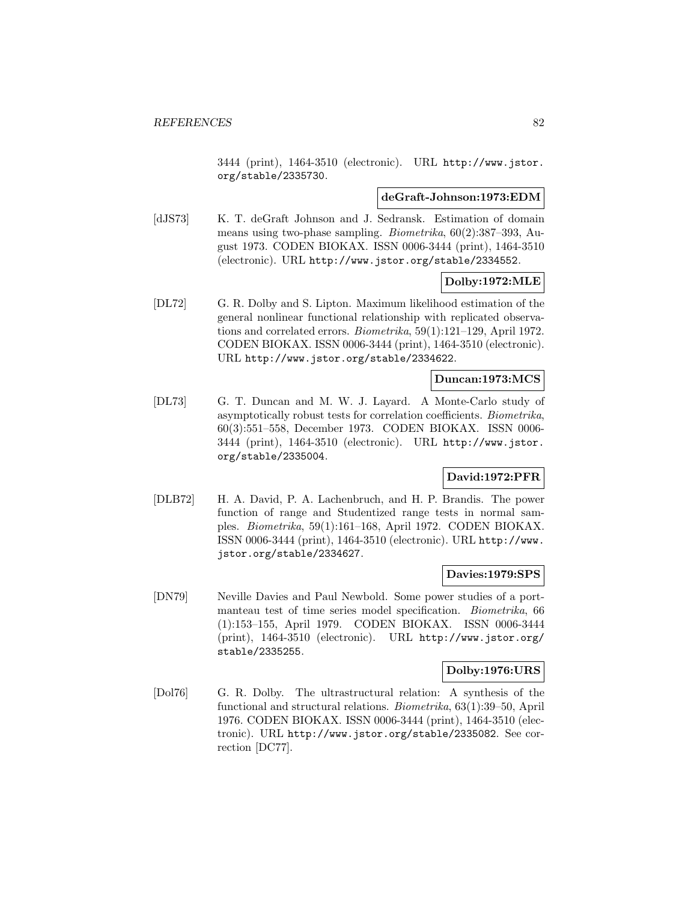3444 (print), 1464-3510 (electronic). URL http://www.jstor. org/stable/2335730.

#### **deGraft-Johnson:1973:EDM**

[dJS73] K. T. deGraft Johnson and J. Sedransk. Estimation of domain means using two-phase sampling. Biometrika, 60(2):387–393, August 1973. CODEN BIOKAX. ISSN 0006-3444 (print), 1464-3510 (electronic). URL http://www.jstor.org/stable/2334552.

#### **Dolby:1972:MLE**

[DL72] G. R. Dolby and S. Lipton. Maximum likelihood estimation of the general nonlinear functional relationship with replicated observations and correlated errors. Biometrika, 59(1):121–129, April 1972. CODEN BIOKAX. ISSN 0006-3444 (print), 1464-3510 (electronic). URL http://www.jstor.org/stable/2334622.

## **Duncan:1973:MCS**

[DL73] G. T. Duncan and M. W. J. Layard. A Monte-Carlo study of asymptotically robust tests for correlation coefficients. Biometrika, 60(3):551–558, December 1973. CODEN BIOKAX. ISSN 0006- 3444 (print), 1464-3510 (electronic). URL http://www.jstor. org/stable/2335004.

## **David:1972:PFR**

[DLB72] H. A. David, P. A. Lachenbruch, and H. P. Brandis. The power function of range and Studentized range tests in normal samples. Biometrika, 59(1):161–168, April 1972. CODEN BIOKAX. ISSN 0006-3444 (print), 1464-3510 (electronic). URL http://www. jstor.org/stable/2334627.

#### **Davies:1979:SPS**

[DN79] Neville Davies and Paul Newbold. Some power studies of a portmanteau test of time series model specification. Biometrika, 66 (1):153–155, April 1979. CODEN BIOKAX. ISSN 0006-3444 (print), 1464-3510 (electronic). URL http://www.jstor.org/ stable/2335255.

## **Dolby:1976:URS**

[Dol76] G. R. Dolby. The ultrastructural relation: A synthesis of the functional and structural relations. Biometrika, 63(1):39–50, April 1976. CODEN BIOKAX. ISSN 0006-3444 (print), 1464-3510 (electronic). URL http://www.jstor.org/stable/2335082. See correction [DC77].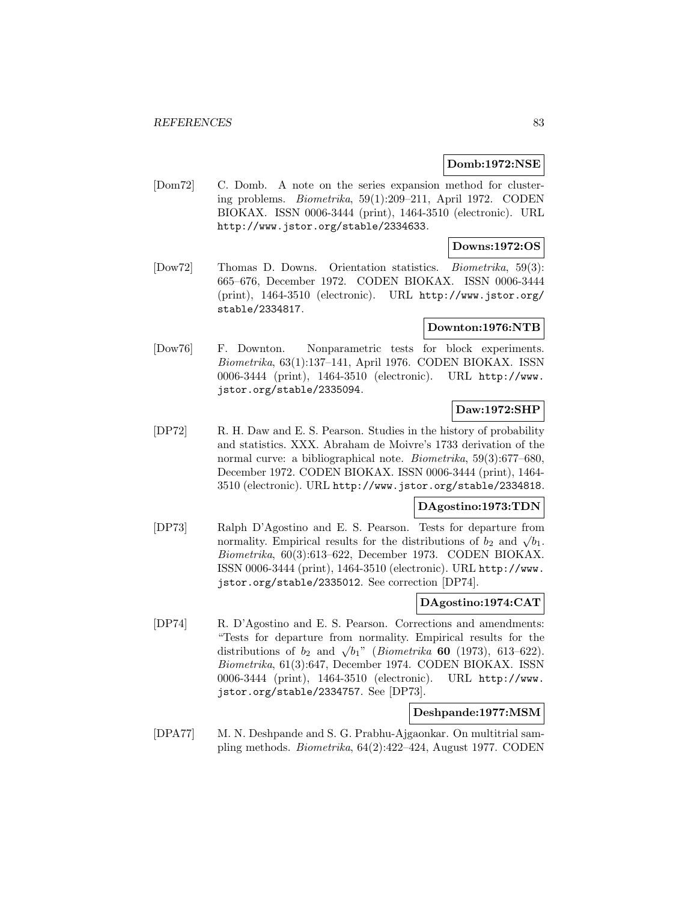## **Domb:1972:NSE**

[Dom72] C. Domb. A note on the series expansion method for clustering problems. Biometrika, 59(1):209–211, April 1972. CODEN BIOKAX. ISSN 0006-3444 (print), 1464-3510 (electronic). URL http://www.jstor.org/stable/2334633.

## **Downs:1972:OS**

[Dow72] Thomas D. Downs. Orientation statistics. Biometrika, 59(3): 665–676, December 1972. CODEN BIOKAX. ISSN 0006-3444 (print), 1464-3510 (electronic). URL http://www.jstor.org/ stable/2334817.

## **Downton:1976:NTB**

[Dow76] F. Downton. Nonparametric tests for block experiments. Biometrika, 63(1):137–141, April 1976. CODEN BIOKAX. ISSN 0006-3444 (print), 1464-3510 (electronic). URL http://www. jstor.org/stable/2335094.

## **Daw:1972:SHP**

[DP72] R. H. Daw and E. S. Pearson. Studies in the history of probability and statistics. XXX. Abraham de Moivre's 1733 derivation of the normal curve: a bibliographical note. Biometrika, 59(3):677–680, December 1972. CODEN BIOKAX. ISSN 0006-3444 (print), 1464- 3510 (electronic). URL http://www.jstor.org/stable/2334818.

## **DAgostino:1973:TDN**

[DP73] Ralph D'Agostino and E. S. Pearson. Tests for departure from normality. Empirical results for the distributions of  $b_2$  and  $\sqrt{b_1}$ . Biometrika, 60(3):613–622, December 1973. CODEN BIOKAX. ISSN 0006-3444 (print), 1464-3510 (electronic). URL http://www. jstor.org/stable/2335012. See correction [DP74].

## **DAgostino:1974:CAT**

[DP74] R. D'Agostino and E. S. Pearson. Corrections and amendments: "Tests for departure from normality. Empirical results for the distributions of  $b_2$  and  $\sqrt{b_1}$ " (*Biometrika* **60** (1973), 613–622). Biometrika, 61(3):647, December 1974. CODEN BIOKAX. ISSN 0006-3444 (print), 1464-3510 (electronic). URL http://www. jstor.org/stable/2334757. See [DP73].

## **Deshpande:1977:MSM**

[DPA77] M. N. Deshpande and S. G. Prabhu-Ajgaonkar. On multitrial sampling methods. Biometrika, 64(2):422–424, August 1977. CODEN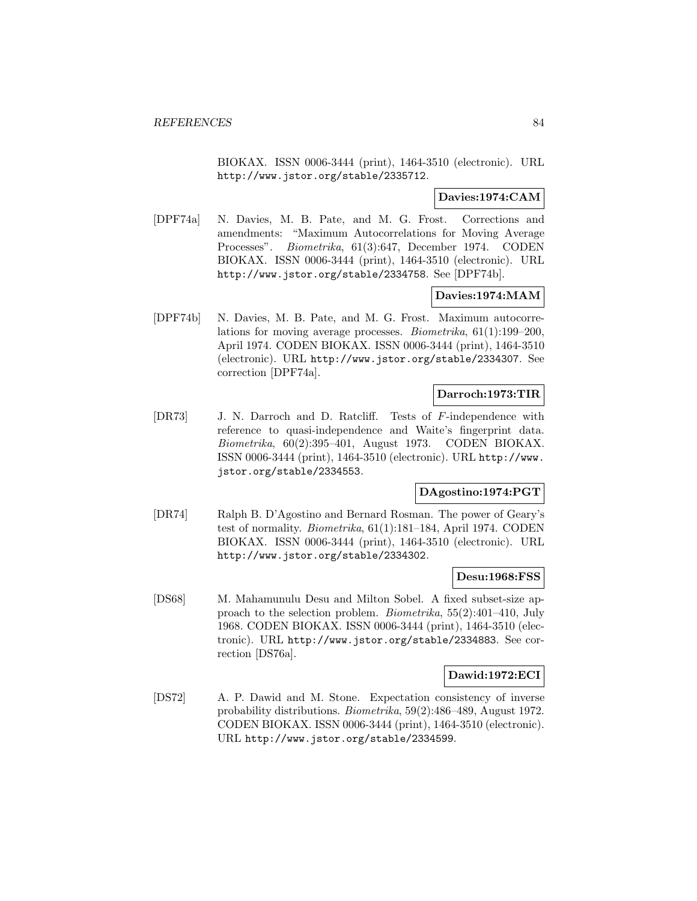BIOKAX. ISSN 0006-3444 (print), 1464-3510 (electronic). URL http://www.jstor.org/stable/2335712.

# **Davies:1974:CAM**

[DPF74a] N. Davies, M. B. Pate, and M. G. Frost. Corrections and amendments: "Maximum Autocorrelations for Moving Average Processes". Biometrika, 61(3):647, December 1974. CODEN BIOKAX. ISSN 0006-3444 (print), 1464-3510 (electronic). URL http://www.jstor.org/stable/2334758. See [DPF74b].

## **Davies:1974:MAM**

[DPF74b] N. Davies, M. B. Pate, and M. G. Frost. Maximum autocorrelations for moving average processes. Biometrika, 61(1):199–200, April 1974. CODEN BIOKAX. ISSN 0006-3444 (print), 1464-3510 (electronic). URL http://www.jstor.org/stable/2334307. See correction [DPF74a].

## **Darroch:1973:TIR**

[DR73] J. N. Darroch and D. Ratcliff. Tests of F-independence with reference to quasi-independence and Waite's fingerprint data. Biometrika, 60(2):395–401, August 1973. CODEN BIOKAX. ISSN 0006-3444 (print), 1464-3510 (electronic). URL http://www. jstor.org/stable/2334553.

## **DAgostino:1974:PGT**

[DR74] Ralph B. D'Agostino and Bernard Rosman. The power of Geary's test of normality. Biometrika, 61(1):181–184, April 1974. CODEN BIOKAX. ISSN 0006-3444 (print), 1464-3510 (electronic). URL http://www.jstor.org/stable/2334302.

## **Desu:1968:FSS**

[DS68] M. Mahamunulu Desu and Milton Sobel. A fixed subset-size approach to the selection problem. Biometrika, 55(2):401–410, July 1968. CODEN BIOKAX. ISSN 0006-3444 (print), 1464-3510 (electronic). URL http://www.jstor.org/stable/2334883. See correction [DS76a].

## **Dawid:1972:ECI**

[DS72] A. P. Dawid and M. Stone. Expectation consistency of inverse probability distributions. Biometrika, 59(2):486–489, August 1972. CODEN BIOKAX. ISSN 0006-3444 (print), 1464-3510 (electronic). URL http://www.jstor.org/stable/2334599.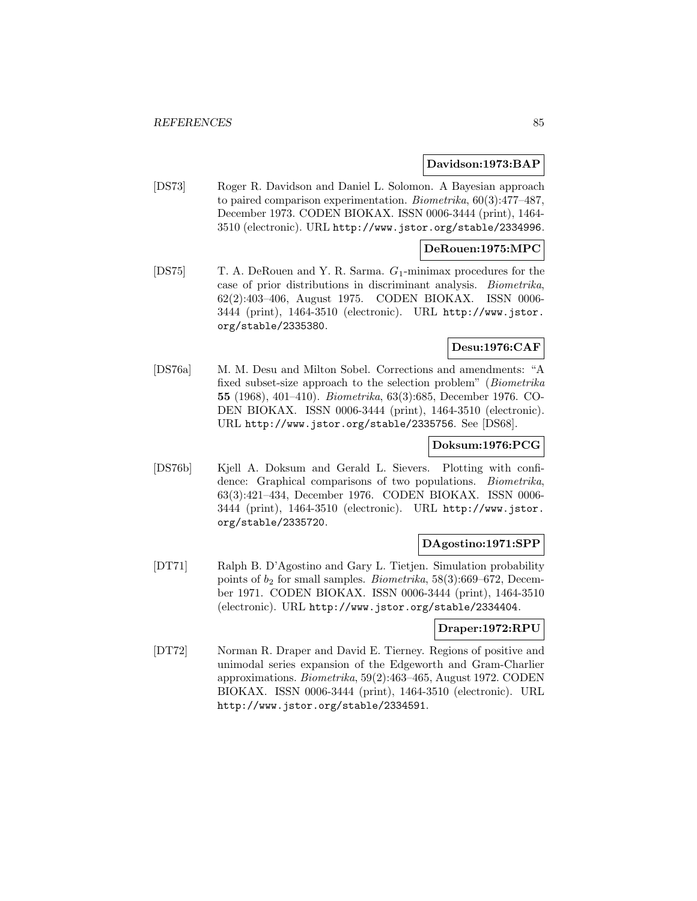#### **Davidson:1973:BAP**

[DS73] Roger R. Davidson and Daniel L. Solomon. A Bayesian approach to paired comparison experimentation. Biometrika, 60(3):477–487, December 1973. CODEN BIOKAX. ISSN 0006-3444 (print), 1464- 3510 (electronic). URL http://www.jstor.org/stable/2334996.

## **DeRouen:1975:MPC**

[DS75] T. A. DeRouen and Y. R. Sarma.  $G_1$ -minimax procedures for the case of prior distributions in discriminant analysis. Biometrika, 62(2):403–406, August 1975. CODEN BIOKAX. ISSN 0006- 3444 (print), 1464-3510 (electronic). URL http://www.jstor. org/stable/2335380.

## **Desu:1976:CAF**

[DS76a] M. M. Desu and Milton Sobel. Corrections and amendments: "A fixed subset-size approach to the selection problem" (Biometrika **55** (1968), 401–410). Biometrika, 63(3):685, December 1976. CO-DEN BIOKAX. ISSN 0006-3444 (print), 1464-3510 (electronic). URL http://www.jstor.org/stable/2335756. See [DS68].

#### **Doksum:1976:PCG**

[DS76b] Kjell A. Doksum and Gerald L. Sievers. Plotting with confidence: Graphical comparisons of two populations. Biometrika, 63(3):421–434, December 1976. CODEN BIOKAX. ISSN 0006- 3444 (print), 1464-3510 (electronic). URL http://www.jstor. org/stable/2335720.

# **DAgostino:1971:SPP**

[DT71] Ralph B. D'Agostino and Gary L. Tietjen. Simulation probability points of  $b_2$  for small samples. *Biometrika*, 58(3):669–672, December 1971. CODEN BIOKAX. ISSN 0006-3444 (print), 1464-3510 (electronic). URL http://www.jstor.org/stable/2334404.

# **Draper:1972:RPU**

[DT72] Norman R. Draper and David E. Tierney. Regions of positive and unimodal series expansion of the Edgeworth and Gram-Charlier approximations. Biometrika, 59(2):463–465, August 1972. CODEN BIOKAX. ISSN 0006-3444 (print), 1464-3510 (electronic). URL http://www.jstor.org/stable/2334591.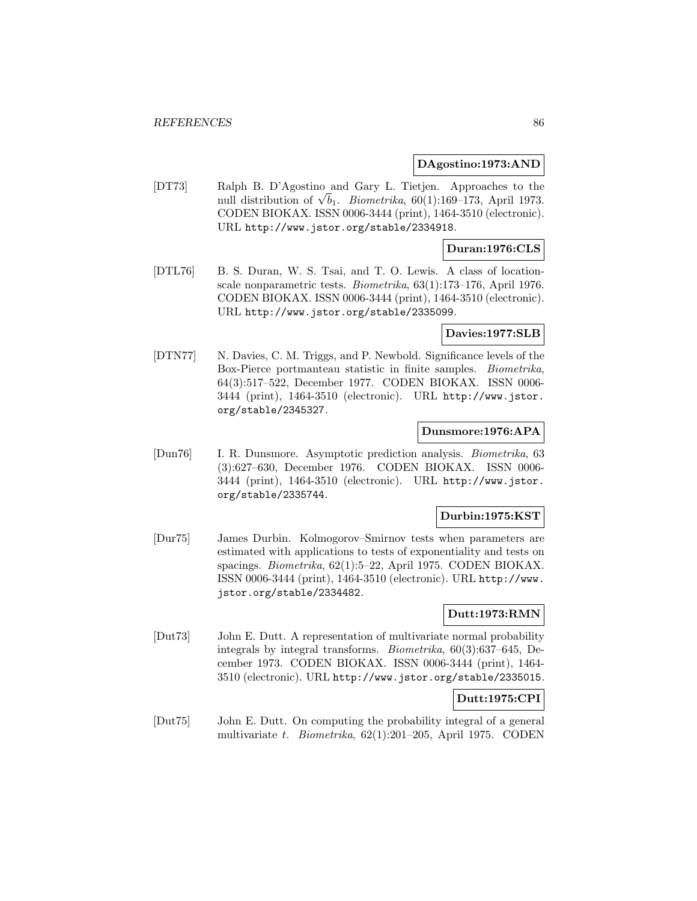#### **DAgostino:1973:AND**

[DT73] Ralph B. D'Agostino and Gary L. Tietjen. Approaches to the raiph B. D'Agostino and Gary L. Tietjen. Approacnes to the<br>null distribution of  $\sqrt{b_1}$ . Biometrika, 60(1):169–173, April 1973. CODEN BIOKAX. ISSN 0006-3444 (print), 1464-3510 (electronic). URL http://www.jstor.org/stable/2334918.

## **Duran:1976:CLS**

[DTL76] B. S. Duran, W. S. Tsai, and T. O. Lewis. A class of locationscale nonparametric tests. Biometrika, 63(1):173–176, April 1976. CODEN BIOKAX. ISSN 0006-3444 (print), 1464-3510 (electronic). URL http://www.jstor.org/stable/2335099.

## **Davies:1977:SLB**

[DTN77] N. Davies, C. M. Triggs, and P. Newbold. Significance levels of the Box-Pierce portmanteau statistic in finite samples. Biometrika, 64(3):517–522, December 1977. CODEN BIOKAX. ISSN 0006- 3444 (print), 1464-3510 (electronic). URL http://www.jstor. org/stable/2345327.

## **Dunsmore:1976:APA**

[Dun76] I. R. Dunsmore. Asymptotic prediction analysis. Biometrika, 63 (3):627–630, December 1976. CODEN BIOKAX. ISSN 0006- 3444 (print), 1464-3510 (electronic). URL http://www.jstor. org/stable/2335744.

## **Durbin:1975:KST**

[Dur75] James Durbin. Kolmogorov–Smirnov tests when parameters are estimated with applications to tests of exponentiality and tests on spacings. Biometrika, 62(1):5–22, April 1975. CODEN BIOKAX. ISSN 0006-3444 (print), 1464-3510 (electronic). URL http://www. jstor.org/stable/2334482.

## **Dutt:1973:RMN**

[Dut73] John E. Dutt. A representation of multivariate normal probability integrals by integral transforms. Biometrika, 60(3):637–645, December 1973. CODEN BIOKAX. ISSN 0006-3444 (print), 1464- 3510 (electronic). URL http://www.jstor.org/stable/2335015.

## **Dutt:1975:CPI**

[Dut75] John E. Dutt. On computing the probability integral of a general multivariate t. Biometrika, 62(1):201–205, April 1975. CODEN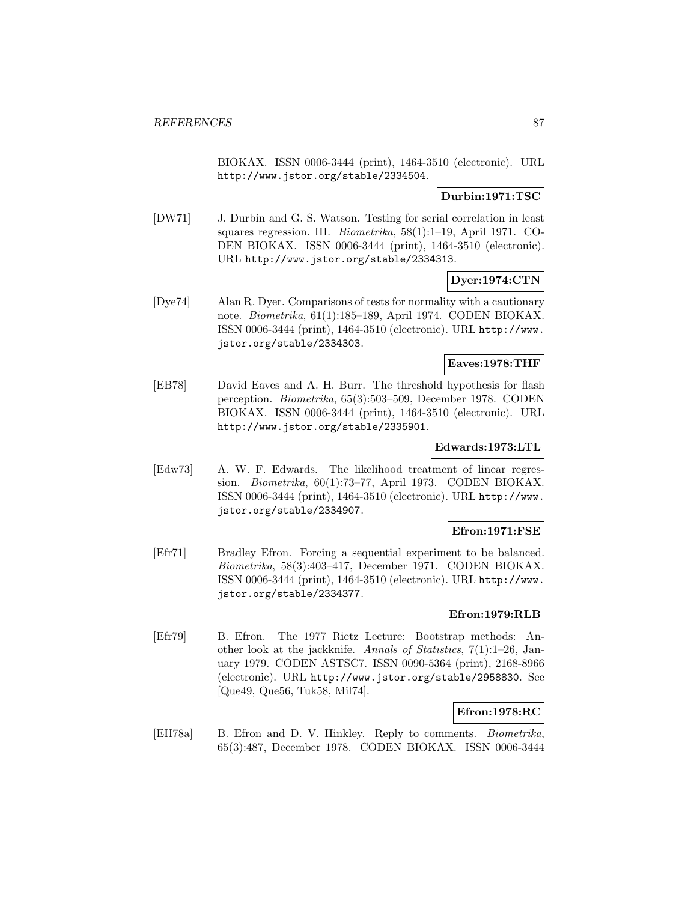BIOKAX. ISSN 0006-3444 (print), 1464-3510 (electronic). URL http://www.jstor.org/stable/2334504.

## **Durbin:1971:TSC**

[DW71] J. Durbin and G. S. Watson. Testing for serial correlation in least squares regression. III. Biometrika, 58(1):1–19, April 1971. CO-DEN BIOKAX. ISSN 0006-3444 (print), 1464-3510 (electronic). URL http://www.jstor.org/stable/2334313.

# **Dyer:1974:CTN**

[Dye74] Alan R. Dyer. Comparisons of tests for normality with a cautionary note. Biometrika, 61(1):185–189, April 1974. CODEN BIOKAX. ISSN 0006-3444 (print), 1464-3510 (electronic). URL http://www. jstor.org/stable/2334303.

## **Eaves:1978:THF**

[EB78] David Eaves and A. H. Burr. The threshold hypothesis for flash perception. Biometrika, 65(3):503–509, December 1978. CODEN BIOKAX. ISSN 0006-3444 (print), 1464-3510 (electronic). URL http://www.jstor.org/stable/2335901.

## **Edwards:1973:LTL**

[Edw73] A. W. F. Edwards. The likelihood treatment of linear regression. Biometrika, 60(1):73–77, April 1973. CODEN BIOKAX. ISSN 0006-3444 (print), 1464-3510 (electronic). URL http://www. jstor.org/stable/2334907.

## **Efron:1971:FSE**

[Efr71] Bradley Efron. Forcing a sequential experiment to be balanced. Biometrika, 58(3):403–417, December 1971. CODEN BIOKAX. ISSN 0006-3444 (print), 1464-3510 (electronic). URL http://www. jstor.org/stable/2334377.

## **Efron:1979:RLB**

[Efr79] B. Efron. The 1977 Rietz Lecture: Bootstrap methods: Another look at the jackknife. Annals of Statistics, 7(1):1–26, January 1979. CODEN ASTSC7. ISSN 0090-5364 (print), 2168-8966 (electronic). URL http://www.jstor.org/stable/2958830. See [Que49, Que56, Tuk58, Mil74].

## **Efron:1978:RC**

[EH78a] B. Efron and D. V. Hinkley. Reply to comments. *Biometrika*, 65(3):487, December 1978. CODEN BIOKAX. ISSN 0006-3444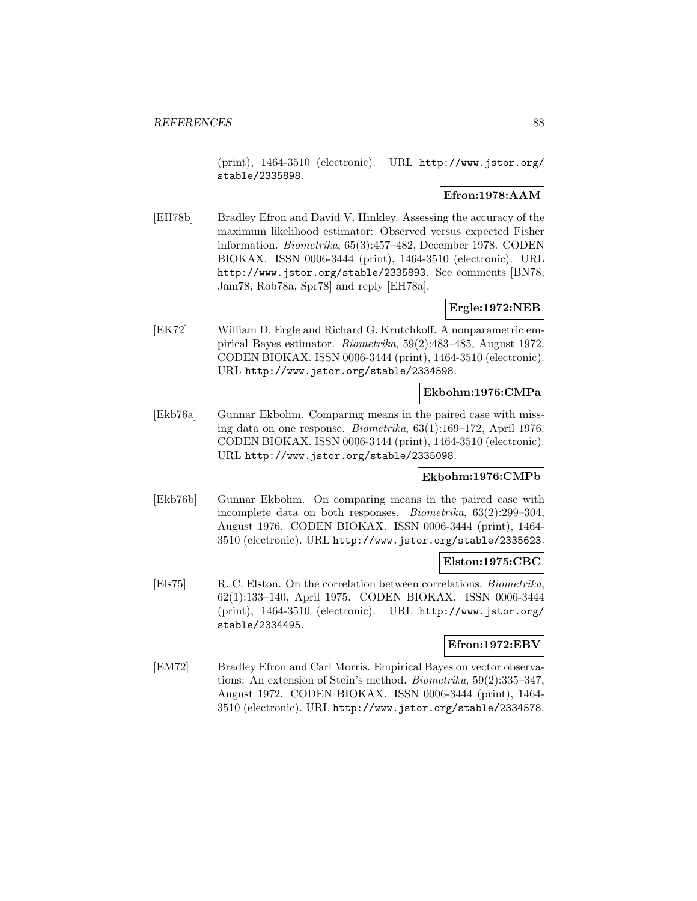(print), 1464-3510 (electronic). URL http://www.jstor.org/ stable/2335898.

## **Efron:1978:AAM**

[EH78b] Bradley Efron and David V. Hinkley. Assessing the accuracy of the maximum likelihood estimator: Observed versus expected Fisher information. Biometrika, 65(3):457–482, December 1978. CODEN BIOKAX. ISSN 0006-3444 (print), 1464-3510 (electronic). URL http://www.jstor.org/stable/2335893. See comments [BN78, Jam78, Rob78a, Spr78] and reply [EH78a].

# **Ergle:1972:NEB**

[EK72] William D. Ergle and Richard G. Krutchkoff. A nonparametric empirical Bayes estimator. Biometrika, 59(2):483–485, August 1972. CODEN BIOKAX. ISSN 0006-3444 (print), 1464-3510 (electronic). URL http://www.jstor.org/stable/2334598.

## **Ekbohm:1976:CMPa**

[Ekb76a] Gunnar Ekbohm. Comparing means in the paired case with missing data on one response. Biometrika, 63(1):169–172, April 1976. CODEN BIOKAX. ISSN 0006-3444 (print), 1464-3510 (electronic). URL http://www.jstor.org/stable/2335098.

## **Ekbohm:1976:CMPb**

[Ekb76b] Gunnar Ekbohm. On comparing means in the paired case with incomplete data on both responses. Biometrika, 63(2):299–304, August 1976. CODEN BIOKAX. ISSN 0006-3444 (print), 1464- 3510 (electronic). URL http://www.jstor.org/stable/2335623.

## **Elston:1975:CBC**

[Els75] R. C. Elston. On the correlation between correlations. Biometrika, 62(1):133–140, April 1975. CODEN BIOKAX. ISSN 0006-3444 (print), 1464-3510 (electronic). URL http://www.jstor.org/ stable/2334495.

## **Efron:1972:EBV**

[EM72] Bradley Efron and Carl Morris. Empirical Bayes on vector observations: An extension of Stein's method. Biometrika, 59(2):335–347, August 1972. CODEN BIOKAX. ISSN 0006-3444 (print), 1464- 3510 (electronic). URL http://www.jstor.org/stable/2334578.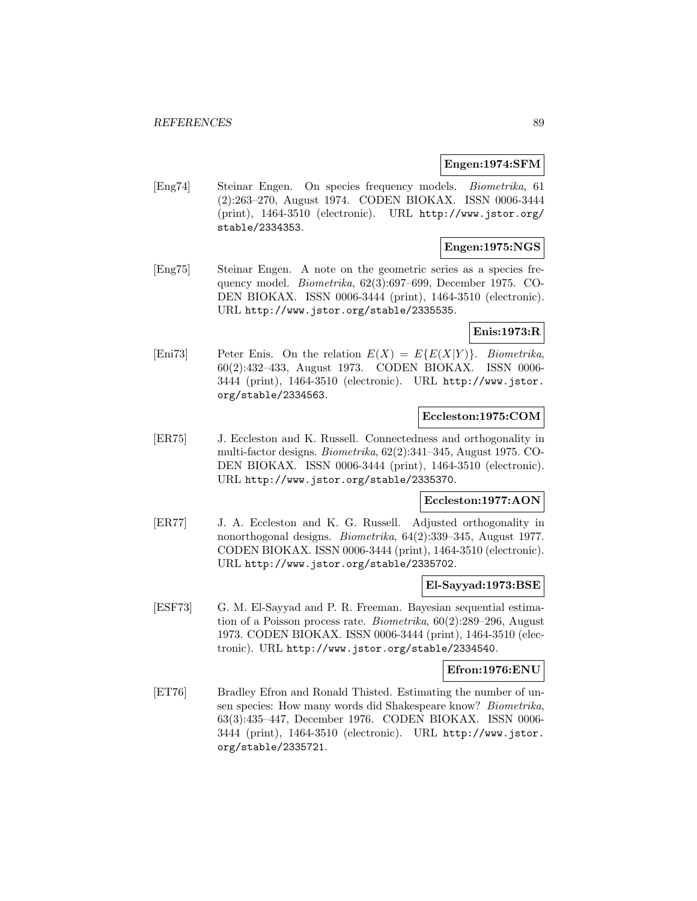#### **Engen:1974:SFM**

[Eng74] Steinar Engen. On species frequency models. Biometrika, 61 (2):263–270, August 1974. CODEN BIOKAX. ISSN 0006-3444 (print), 1464-3510 (electronic). URL http://www.jstor.org/ stable/2334353.

## **Engen:1975:NGS**

[Eng75] Steinar Engen. A note on the geometric series as a species frequency model. Biometrika, 62(3):697–699, December 1975. CO-DEN BIOKAX. ISSN 0006-3444 (print), 1464-3510 (electronic). URL http://www.jstor.org/stable/2335535.

## **Enis:1973:R**

[Eniz3] Peter Enis. On the relation  $E(X) = E\{E(X|Y)\}\$ . Biometrika, 60(2):432–433, August 1973. CODEN BIOKAX. ISSN 0006- 3444 (print), 1464-3510 (electronic). URL http://www.jstor. org/stable/2334563.

## **Eccleston:1975:COM**

[ER75] J. Eccleston and K. Russell. Connectedness and orthogonality in multi-factor designs. Biometrika, 62(2):341–345, August 1975. CO-DEN BIOKAX. ISSN 0006-3444 (print), 1464-3510 (electronic). URL http://www.jstor.org/stable/2335370.

## **Eccleston:1977:AON**

[ER77] J. A. Eccleston and K. G. Russell. Adjusted orthogonality in nonorthogonal designs. Biometrika, 64(2):339–345, August 1977. CODEN BIOKAX. ISSN 0006-3444 (print), 1464-3510 (electronic). URL http://www.jstor.org/stable/2335702.

#### **El-Sayyad:1973:BSE**

[ESF73] G. M. El-Sayyad and P. R. Freeman. Bayesian sequential estimation of a Poisson process rate. Biometrika, 60(2):289–296, August 1973. CODEN BIOKAX. ISSN 0006-3444 (print), 1464-3510 (electronic). URL http://www.jstor.org/stable/2334540.

#### **Efron:1976:ENU**

[ET76] Bradley Efron and Ronald Thisted. Estimating the number of unsen species: How many words did Shakespeare know? Biometrika, 63(3):435–447, December 1976. CODEN BIOKAX. ISSN 0006- 3444 (print), 1464-3510 (electronic). URL http://www.jstor. org/stable/2335721.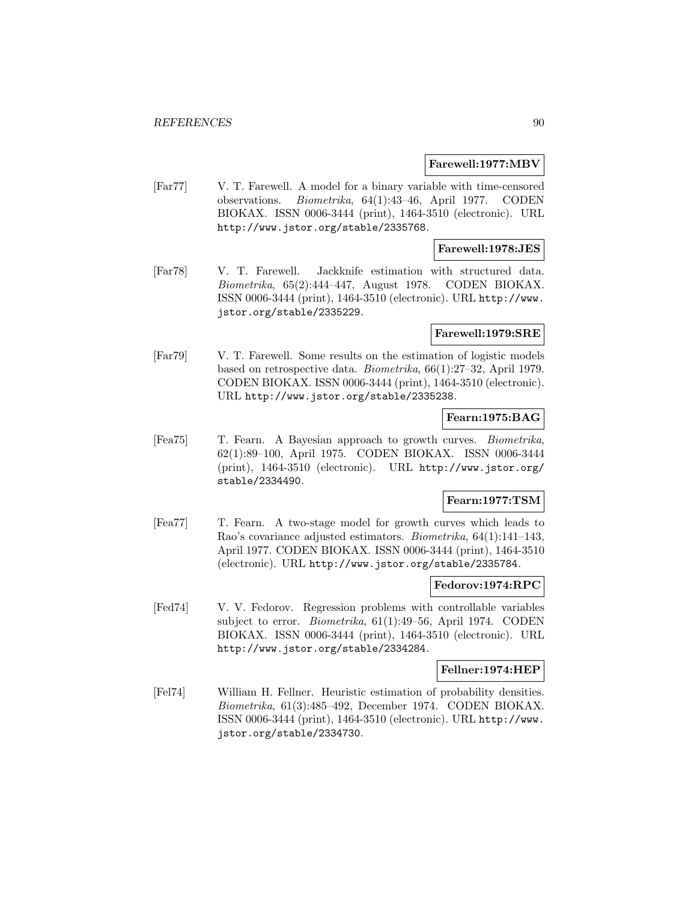#### **Farewell:1977:MBV**

[Far77] V. T. Farewell. A model for a binary variable with time-censored observations. Biometrika, 64(1):43–46, April 1977. CODEN BIOKAX. ISSN 0006-3444 (print), 1464-3510 (electronic). URL http://www.jstor.org/stable/2335768.

### **Farewell:1978:JES**

[Far78] V. T. Farewell. Jackknife estimation with structured data. Biometrika, 65(2):444–447, August 1978. CODEN BIOKAX. ISSN 0006-3444 (print), 1464-3510 (electronic). URL http://www. jstor.org/stable/2335229.

#### **Farewell:1979:SRE**

[Far79] V. T. Farewell. Some results on the estimation of logistic models based on retrospective data. Biometrika, 66(1):27–32, April 1979. CODEN BIOKAX. ISSN 0006-3444 (print), 1464-3510 (electronic). URL http://www.jstor.org/stable/2335238.

## **Fearn:1975:BAG**

[Fea75] T. Fearn. A Bayesian approach to growth curves. Biometrika, 62(1):89–100, April 1975. CODEN BIOKAX. ISSN 0006-3444 (print), 1464-3510 (electronic). URL http://www.jstor.org/ stable/2334490.

## **Fearn:1977:TSM**

[Fea77] T. Fearn. A two-stage model for growth curves which leads to Rao's covariance adjusted estimators. Biometrika, 64(1):141–143, April 1977. CODEN BIOKAX. ISSN 0006-3444 (print), 1464-3510 (electronic). URL http://www.jstor.org/stable/2335784.

#### **Fedorov:1974:RPC**

[Fed74] V. V. Fedorov. Regression problems with controllable variables subject to error. Biometrika, 61(1):49–56, April 1974. CODEN BIOKAX. ISSN 0006-3444 (print), 1464-3510 (electronic). URL http://www.jstor.org/stable/2334284.

#### **Fellner:1974:HEP**

[Fel74] William H. Fellner. Heuristic estimation of probability densities. Biometrika, 61(3):485–492, December 1974. CODEN BIOKAX. ISSN 0006-3444 (print), 1464-3510 (electronic). URL http://www. jstor.org/stable/2334730.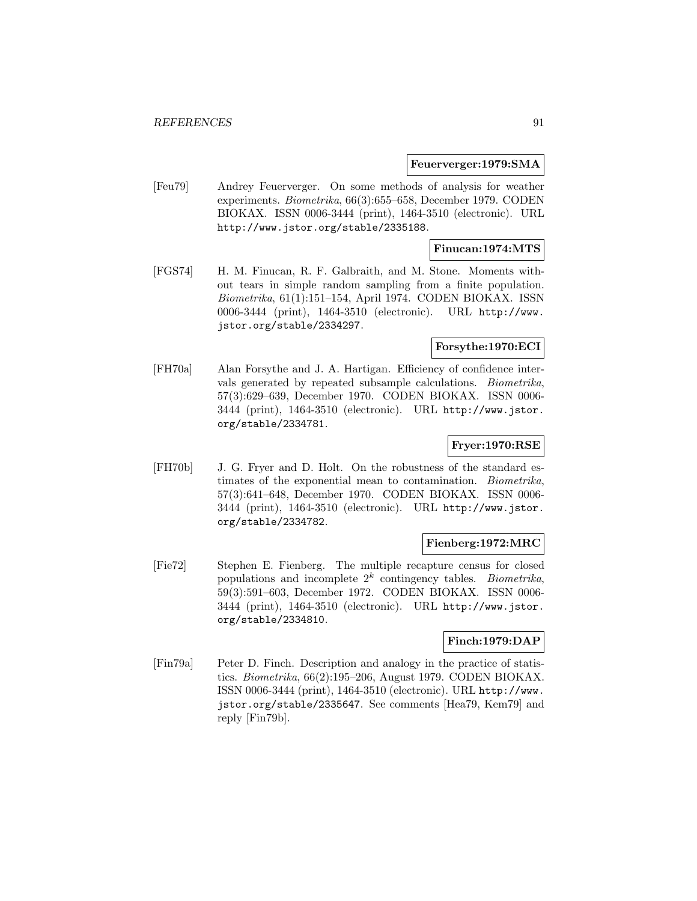#### **Feuerverger:1979:SMA**

[Feu79] Andrey Feuerverger. On some methods of analysis for weather experiments. Biometrika, 66(3):655–658, December 1979. CODEN BIOKAX. ISSN 0006-3444 (print), 1464-3510 (electronic). URL http://www.jstor.org/stable/2335188.

## **Finucan:1974:MTS**

[FGS74] H. M. Finucan, R. F. Galbraith, and M. Stone. Moments without tears in simple random sampling from a finite population. Biometrika, 61(1):151–154, April 1974. CODEN BIOKAX. ISSN 0006-3444 (print), 1464-3510 (electronic). URL http://www. jstor.org/stable/2334297.

## **Forsythe:1970:ECI**

[FH70a] Alan Forsythe and J. A. Hartigan. Efficiency of confidence intervals generated by repeated subsample calculations. Biometrika, 57(3):629–639, December 1970. CODEN BIOKAX. ISSN 0006- 3444 (print), 1464-3510 (electronic). URL http://www.jstor. org/stable/2334781.

## **Fryer:1970:RSE**

[FH70b] J. G. Fryer and D. Holt. On the robustness of the standard estimates of the exponential mean to contamination. Biometrika, 57(3):641–648, December 1970. CODEN BIOKAX. ISSN 0006- 3444 (print), 1464-3510 (electronic). URL http://www.jstor. org/stable/2334782.

# **Fienberg:1972:MRC**

[Fie72] Stephen E. Fienberg. The multiple recapture census for closed populations and incomplete  $2^k$  contingency tables. *Biometrika*, 59(3):591–603, December 1972. CODEN BIOKAX. ISSN 0006- 3444 (print), 1464-3510 (electronic). URL http://www.jstor. org/stable/2334810.

## **Finch:1979:DAP**

[Fin79a] Peter D. Finch. Description and analogy in the practice of statistics. Biometrika, 66(2):195–206, August 1979. CODEN BIOKAX. ISSN 0006-3444 (print), 1464-3510 (electronic). URL http://www. jstor.org/stable/2335647. See comments [Hea79, Kem79] and reply [Fin79b].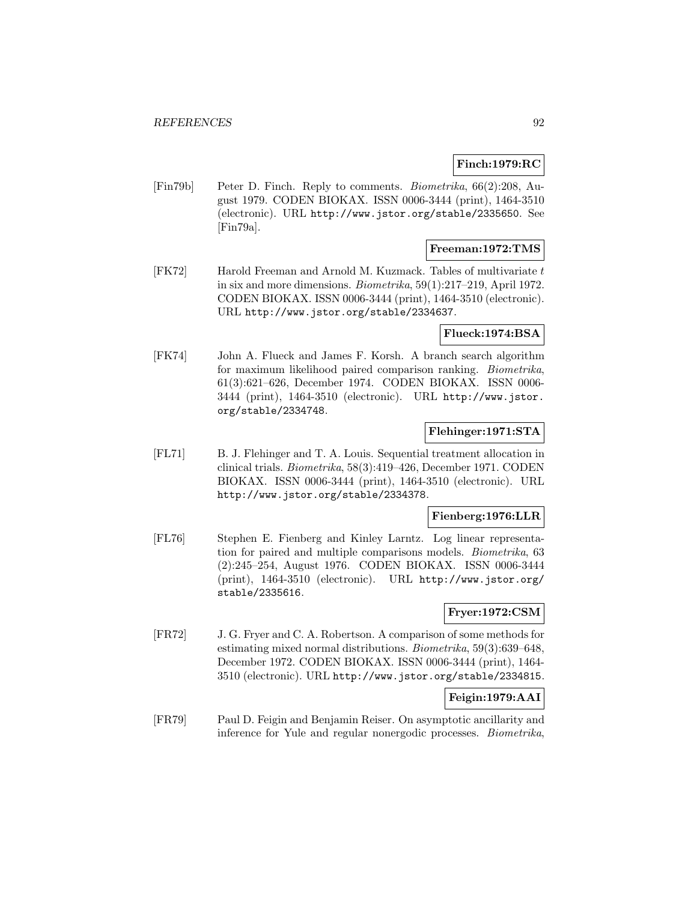## **Finch:1979:RC**

[Fin79b] Peter D. Finch. Reply to comments. Biometrika, 66(2):208, August 1979. CODEN BIOKAX. ISSN 0006-3444 (print), 1464-3510 (electronic). URL http://www.jstor.org/stable/2335650. See  $|Fin79a|$ .

## **Freeman:1972:TMS**

[FK72] Harold Freeman and Arnold M. Kuzmack. Tables of multivariate t in six and more dimensions. Biometrika, 59(1):217–219, April 1972. CODEN BIOKAX. ISSN 0006-3444 (print), 1464-3510 (electronic). URL http://www.jstor.org/stable/2334637.

#### **Flueck:1974:BSA**

[FK74] John A. Flueck and James F. Korsh. A branch search algorithm for maximum likelihood paired comparison ranking. Biometrika, 61(3):621–626, December 1974. CODEN BIOKAX. ISSN 0006- 3444 (print), 1464-3510 (electronic). URL http://www.jstor. org/stable/2334748.

## **Flehinger:1971:STA**

[FL71] B. J. Flehinger and T. A. Louis. Sequential treatment allocation in clinical trials. Biometrika, 58(3):419–426, December 1971. CODEN BIOKAX. ISSN 0006-3444 (print), 1464-3510 (electronic). URL http://www.jstor.org/stable/2334378.

## **Fienberg:1976:LLR**

[FL76] Stephen E. Fienberg and Kinley Larntz. Log linear representation for paired and multiple comparisons models. Biometrika, 63 (2):245–254, August 1976. CODEN BIOKAX. ISSN 0006-3444 (print), 1464-3510 (electronic). URL http://www.jstor.org/ stable/2335616.

## **Fryer:1972:CSM**

[FR72] J. G. Fryer and C. A. Robertson. A comparison of some methods for estimating mixed normal distributions. Biometrika, 59(3):639–648, December 1972. CODEN BIOKAX. ISSN 0006-3444 (print), 1464- 3510 (electronic). URL http://www.jstor.org/stable/2334815.

## **Feigin:1979:AAI**

[FR79] Paul D. Feigin and Benjamin Reiser. On asymptotic ancillarity and inference for Yule and regular nonergodic processes. Biometrika,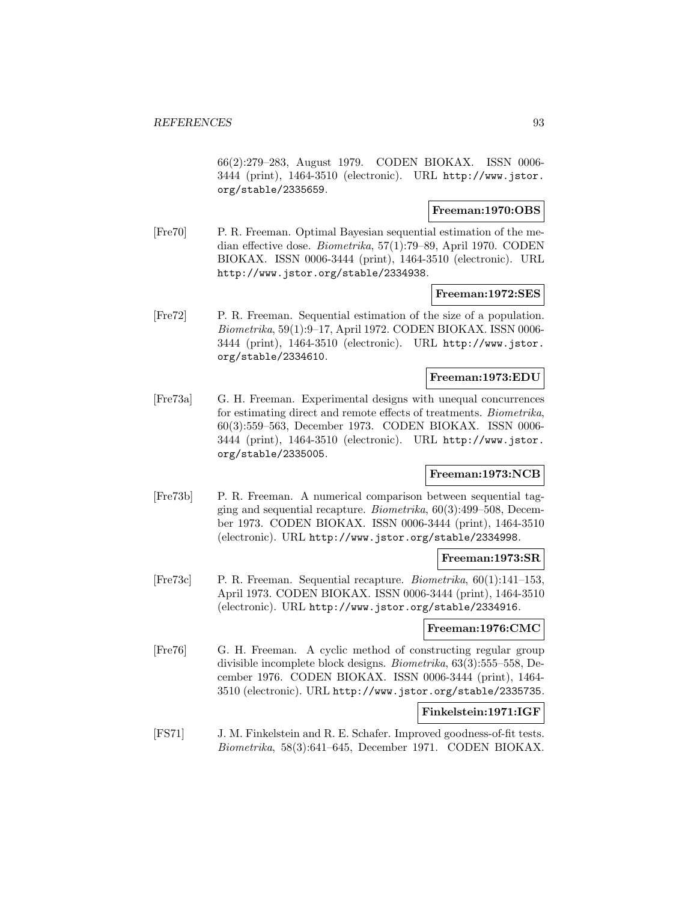66(2):279–283, August 1979. CODEN BIOKAX. ISSN 0006- 3444 (print), 1464-3510 (electronic). URL http://www.jstor. org/stable/2335659.

## **Freeman:1970:OBS**

[Fre70] P. R. Freeman. Optimal Bayesian sequential estimation of the median effective dose. Biometrika, 57(1):79–89, April 1970. CODEN BIOKAX. ISSN 0006-3444 (print), 1464-3510 (electronic). URL http://www.jstor.org/stable/2334938.

#### **Freeman:1972:SES**

[Fre72] P. R. Freeman. Sequential estimation of the size of a population. Biometrika, 59(1):9–17, April 1972. CODEN BIOKAX. ISSN 0006- 3444 (print), 1464-3510 (electronic). URL http://www.jstor. org/stable/2334610.

#### **Freeman:1973:EDU**

[Fre73a] G. H. Freeman. Experimental designs with unequal concurrences for estimating direct and remote effects of treatments. Biometrika, 60(3):559–563, December 1973. CODEN BIOKAX. ISSN 0006- 3444 (print), 1464-3510 (electronic). URL http://www.jstor. org/stable/2335005.

## **Freeman:1973:NCB**

[Fre73b] P. R. Freeman. A numerical comparison between sequential tagging and sequential recapture. Biometrika, 60(3):499–508, December 1973. CODEN BIOKAX. ISSN 0006-3444 (print), 1464-3510 (electronic). URL http://www.jstor.org/stable/2334998.

#### **Freeman:1973:SR**

[Fre73c] P. R. Freeman. Sequential recapture. Biometrika, 60(1):141–153, April 1973. CODEN BIOKAX. ISSN 0006-3444 (print), 1464-3510 (electronic). URL http://www.jstor.org/stable/2334916.

## **Freeman:1976:CMC**

[Fre76] G. H. Freeman. A cyclic method of constructing regular group divisible incomplete block designs. Biometrika, 63(3):555–558, December 1976. CODEN BIOKAX. ISSN 0006-3444 (print), 1464- 3510 (electronic). URL http://www.jstor.org/stable/2335735.

## **Finkelstein:1971:IGF**

[FS71] J. M. Finkelstein and R. E. Schafer. Improved goodness-of-fit tests. Biometrika, 58(3):641–645, December 1971. CODEN BIOKAX.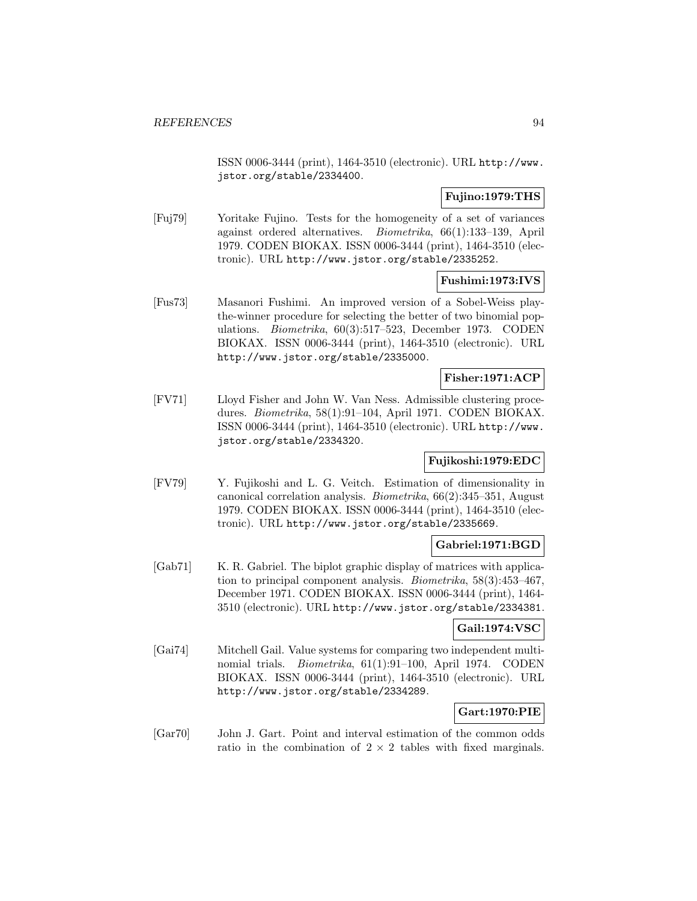ISSN 0006-3444 (print), 1464-3510 (electronic). URL http://www. jstor.org/stable/2334400.

## **Fujino:1979:THS**

[Fuj79] Yoritake Fujino. Tests for the homogeneity of a set of variances against ordered alternatives. Biometrika, 66(1):133–139, April 1979. CODEN BIOKAX. ISSN 0006-3444 (print), 1464-3510 (electronic). URL http://www.jstor.org/stable/2335252.

# **Fushimi:1973:IVS**

[Fus73] Masanori Fushimi. An improved version of a Sobel-Weiss playthe-winner procedure for selecting the better of two binomial populations. Biometrika, 60(3):517–523, December 1973. CODEN BIOKAX. ISSN 0006-3444 (print), 1464-3510 (electronic). URL http://www.jstor.org/stable/2335000.

## **Fisher:1971:ACP**

[FV71] Lloyd Fisher and John W. Van Ness. Admissible clustering procedures. Biometrika, 58(1):91–104, April 1971. CODEN BIOKAX. ISSN 0006-3444 (print), 1464-3510 (electronic). URL http://www. jstor.org/stable/2334320.

## **Fujikoshi:1979:EDC**

[FV79] Y. Fujikoshi and L. G. Veitch. Estimation of dimensionality in canonical correlation analysis. Biometrika, 66(2):345–351, August 1979. CODEN BIOKAX. ISSN 0006-3444 (print), 1464-3510 (electronic). URL http://www.jstor.org/stable/2335669.

## **Gabriel:1971:BGD**

[Gab71] K. R. Gabriel. The biplot graphic display of matrices with application to principal component analysis. Biometrika, 58(3):453–467, December 1971. CODEN BIOKAX. ISSN 0006-3444 (print), 1464- 3510 (electronic). URL http://www.jstor.org/stable/2334381.

## **Gail:1974:VSC**

[Gai74] Mitchell Gail. Value systems for comparing two independent multinomial trials. Biometrika, 61(1):91–100, April 1974. CODEN BIOKAX. ISSN 0006-3444 (print), 1464-3510 (electronic). URL http://www.jstor.org/stable/2334289.

# **Gart:1970:PIE**

[Gar70] John J. Gart. Point and interval estimation of the common odds ratio in the combination of  $2 \times 2$  tables with fixed marginals.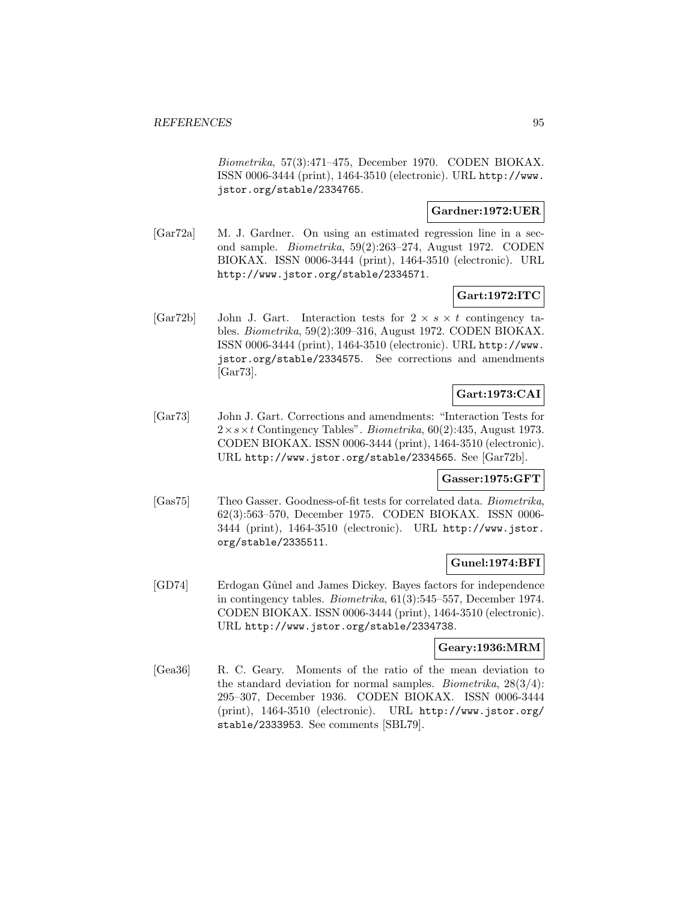Biometrika, 57(3):471–475, December 1970. CODEN BIOKAX. ISSN 0006-3444 (print), 1464-3510 (electronic). URL http://www. jstor.org/stable/2334765.

## **Gardner:1972:UER**

[Gar72a] M. J. Gardner. On using an estimated regression line in a second sample. Biometrika, 59(2):263–274, August 1972. CODEN BIOKAX. ISSN 0006-3444 (print), 1464-3510 (electronic). URL http://www.jstor.org/stable/2334571.

## **Gart:1972:ITC**

[Gar72b] John J. Gart. Interaction tests for  $2 \times s \times t$  contingency tables. Biometrika, 59(2):309–316, August 1972. CODEN BIOKAX. ISSN 0006-3444 (print), 1464-3510 (electronic). URL http://www. jstor.org/stable/2334575. See corrections and amendments [Gar73].

# **Gart:1973:CAI**

[Gar73] John J. Gart. Corrections and amendments: "Interaction Tests for  $2 \times s \times t$  Contingency Tables". *Biometrika*, 60(2):435, August 1973. CODEN BIOKAX. ISSN 0006-3444 (print), 1464-3510 (electronic). URL http://www.jstor.org/stable/2334565. See [Gar72b].

#### **Gasser:1975:GFT**

[Gas75] Theo Gasser. Goodness-of-fit tests for correlated data. Biometrika, 62(3):563–570, December 1975. CODEN BIOKAX. ISSN 0006- 3444 (print), 1464-3510 (electronic). URL http://www.jstor. org/stable/2335511.

## **Gunel:1974:BFI**

[GD74] Erdogan Gûnel and James Dickey. Bayes factors for independence in contingency tables. Biometrika, 61(3):545–557, December 1974. CODEN BIOKAX. ISSN 0006-3444 (print), 1464-3510 (electronic). URL http://www.jstor.org/stable/2334738.

## **Geary:1936:MRM**

[Gea36] R. C. Geary. Moments of the ratio of the mean deviation to the standard deviation for normal samples. Biometrika, 28(3/4): 295–307, December 1936. CODEN BIOKAX. ISSN 0006-3444 (print), 1464-3510 (electronic). URL http://www.jstor.org/ stable/2333953. See comments [SBL79].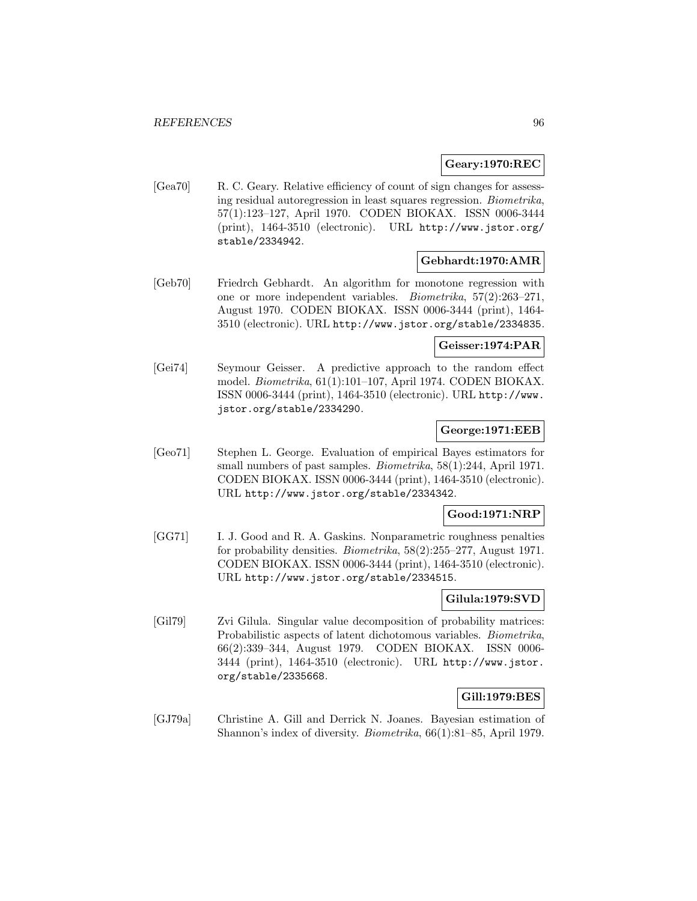## **Geary:1970:REC**

[Gea70] R. C. Geary. Relative efficiency of count of sign changes for assessing residual autoregression in least squares regression. Biometrika, 57(1):123–127, April 1970. CODEN BIOKAX. ISSN 0006-3444 (print), 1464-3510 (electronic). URL http://www.jstor.org/ stable/2334942.

#### **Gebhardt:1970:AMR**

[Geb70] Friedrch Gebhardt. An algorithm for monotone regression with one or more independent variables. Biometrika, 57(2):263–271, August 1970. CODEN BIOKAX. ISSN 0006-3444 (print), 1464- 3510 (electronic). URL http://www.jstor.org/stable/2334835.

## **Geisser:1974:PAR**

[Gei74] Seymour Geisser. A predictive approach to the random effect model. Biometrika, 61(1):101–107, April 1974. CODEN BIOKAX. ISSN 0006-3444 (print), 1464-3510 (electronic). URL http://www. jstor.org/stable/2334290.

## **George:1971:EEB**

[Geo71] Stephen L. George. Evaluation of empirical Bayes estimators for small numbers of past samples. *Biometrika*, 58(1):244, April 1971. CODEN BIOKAX. ISSN 0006-3444 (print), 1464-3510 (electronic). URL http://www.jstor.org/stable/2334342.

#### **Good:1971:NRP**

[GG71] I. J. Good and R. A. Gaskins. Nonparametric roughness penalties for probability densities. Biometrika, 58(2):255–277, August 1971. CODEN BIOKAX. ISSN 0006-3444 (print), 1464-3510 (electronic). URL http://www.jstor.org/stable/2334515.

# **Gilula:1979:SVD**

[Gil79] Zvi Gilula. Singular value decomposition of probability matrices: Probabilistic aspects of latent dichotomous variables. Biometrika, 66(2):339–344, August 1979. CODEN BIOKAX. ISSN 0006- 3444 (print), 1464-3510 (electronic). URL http://www.jstor. org/stable/2335668.

#### **Gill:1979:BES**

[GJ79a] Christine A. Gill and Derrick N. Joanes. Bayesian estimation of Shannon's index of diversity. Biometrika, 66(1):81–85, April 1979.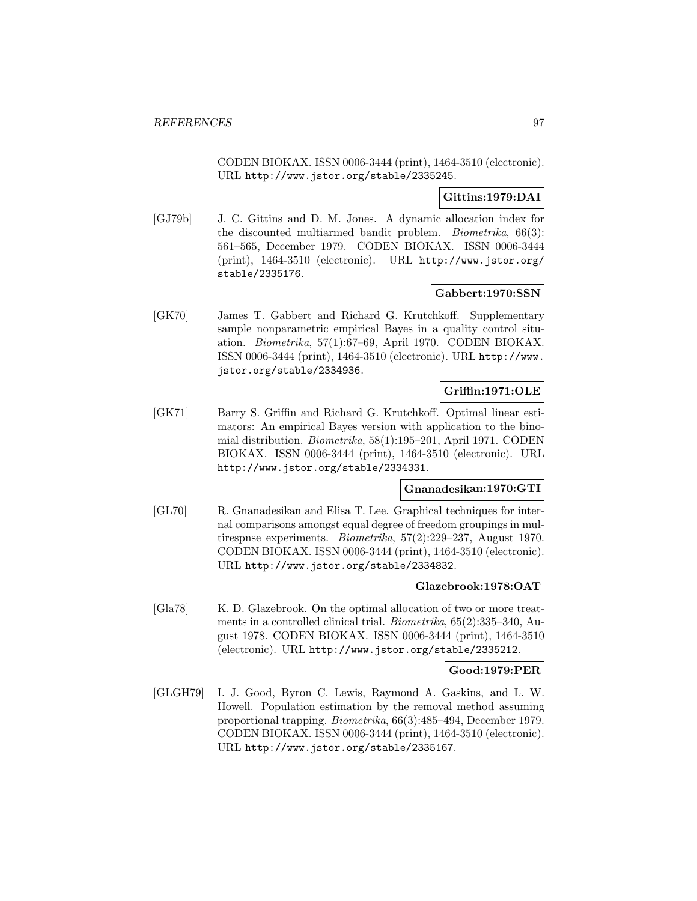CODEN BIOKAX. ISSN 0006-3444 (print), 1464-3510 (electronic). URL http://www.jstor.org/stable/2335245.

## **Gittins:1979:DAI**

[GJ79b] J. C. Gittins and D. M. Jones. A dynamic allocation index for the discounted multiarmed bandit problem. Biometrika, 66(3): 561–565, December 1979. CODEN BIOKAX. ISSN 0006-3444 (print), 1464-3510 (electronic). URL http://www.jstor.org/ stable/2335176.

## **Gabbert:1970:SSN**

[GK70] James T. Gabbert and Richard G. Krutchkoff. Supplementary sample nonparametric empirical Bayes in a quality control situation. Biometrika, 57(1):67–69, April 1970. CODEN BIOKAX. ISSN 0006-3444 (print), 1464-3510 (electronic). URL http://www. jstor.org/stable/2334936.

## **Griffin:1971:OLE**

[GK71] Barry S. Griffin and Richard G. Krutchkoff. Optimal linear estimators: An empirical Bayes version with application to the binomial distribution. Biometrika, 58(1):195–201, April 1971. CODEN BIOKAX. ISSN 0006-3444 (print), 1464-3510 (electronic). URL http://www.jstor.org/stable/2334331.

## **Gnanadesikan:1970:GTI**

[GL70] R. Gnanadesikan and Elisa T. Lee. Graphical techniques for internal comparisons amongst equal degree of freedom groupings in multirespnse experiments. Biometrika, 57(2):229–237, August 1970. CODEN BIOKAX. ISSN 0006-3444 (print), 1464-3510 (electronic). URL http://www.jstor.org/stable/2334832.

#### **Glazebrook:1978:OAT**

[Gla78] K. D. Glazebrook. On the optimal allocation of two or more treatments in a controlled clinical trial. Biometrika, 65(2):335–340, August 1978. CODEN BIOKAX. ISSN 0006-3444 (print), 1464-3510 (electronic). URL http://www.jstor.org/stable/2335212.

## **Good:1979:PER**

[GLGH79] I. J. Good, Byron C. Lewis, Raymond A. Gaskins, and L. W. Howell. Population estimation by the removal method assuming proportional trapping. Biometrika, 66(3):485–494, December 1979. CODEN BIOKAX. ISSN 0006-3444 (print), 1464-3510 (electronic). URL http://www.jstor.org/stable/2335167.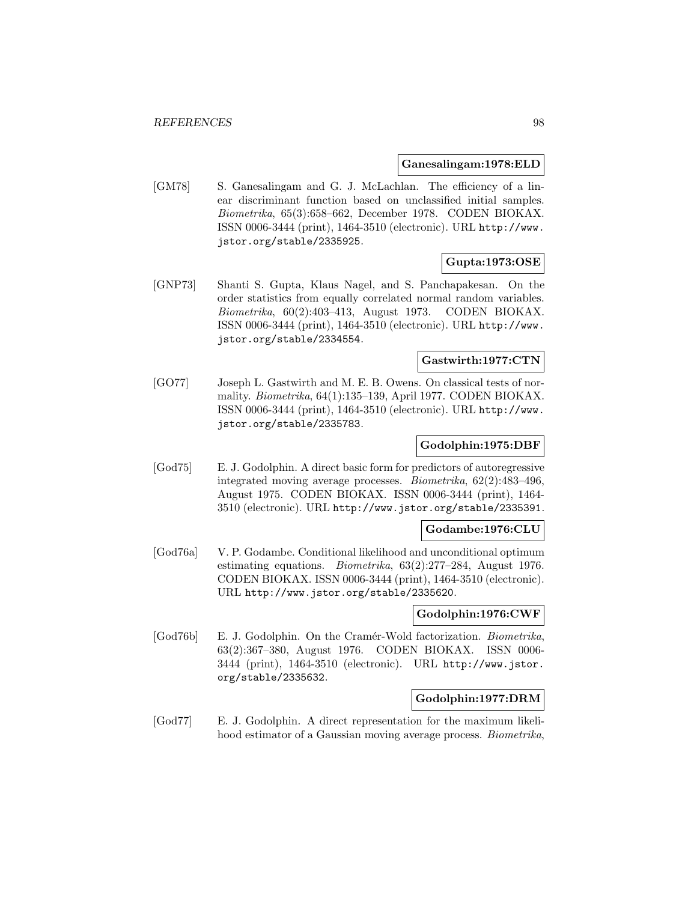#### **Ganesalingam:1978:ELD**

[GM78] S. Ganesalingam and G. J. McLachlan. The efficiency of a linear discriminant function based on unclassified initial samples. Biometrika, 65(3):658–662, December 1978. CODEN BIOKAX. ISSN 0006-3444 (print), 1464-3510 (electronic). URL http://www. jstor.org/stable/2335925.

## **Gupta:1973:OSE**

[GNP73] Shanti S. Gupta, Klaus Nagel, and S. Panchapakesan. On the order statistics from equally correlated normal random variables. Biometrika, 60(2):403–413, August 1973. CODEN BIOKAX. ISSN 0006-3444 (print), 1464-3510 (electronic). URL http://www. jstor.org/stable/2334554.

## **Gastwirth:1977:CTN**

[GO77] Joseph L. Gastwirth and M. E. B. Owens. On classical tests of normality. Biometrika, 64(1):135–139, April 1977. CODEN BIOKAX. ISSN 0006-3444 (print), 1464-3510 (electronic). URL http://www. jstor.org/stable/2335783.

#### **Godolphin:1975:DBF**

[God75] E. J. Godolphin. A direct basic form for predictors of autoregressive integrated moving average processes. Biometrika, 62(2):483–496, August 1975. CODEN BIOKAX. ISSN 0006-3444 (print), 1464- 3510 (electronic). URL http://www.jstor.org/stable/2335391.

## **Godambe:1976:CLU**

[God76a] V. P. Godambe. Conditional likelihood and unconditional optimum estimating equations. Biometrika, 63(2):277–284, August 1976. CODEN BIOKAX. ISSN 0006-3444 (print), 1464-3510 (electronic). URL http://www.jstor.org/stable/2335620.

#### **Godolphin:1976:CWF**

[God76b] E. J. Godolphin. On the Cramér-Wold factorization. *Biometrika*, 63(2):367–380, August 1976. CODEN BIOKAX. ISSN 0006- 3444 (print), 1464-3510 (electronic). URL http://www.jstor. org/stable/2335632.

## **Godolphin:1977:DRM**

[God77] E. J. Godolphin. A direct representation for the maximum likelihood estimator of a Gaussian moving average process. Biometrika,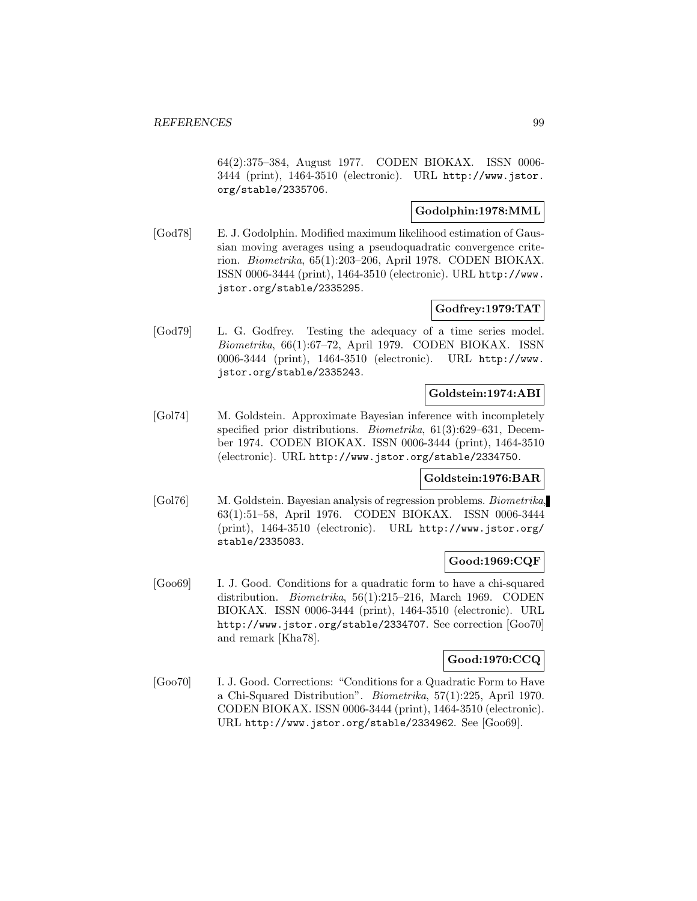64(2):375–384, August 1977. CODEN BIOKAX. ISSN 0006- 3444 (print), 1464-3510 (electronic). URL http://www.jstor. org/stable/2335706.

# **Godolphin:1978:MML**

[God78] E. J. Godolphin. Modified maximum likelihood estimation of Gaussian moving averages using a pseudoquadratic convergence criterion. Biometrika, 65(1):203–206, April 1978. CODEN BIOKAX. ISSN 0006-3444 (print), 1464-3510 (electronic). URL http://www. jstor.org/stable/2335295.

## **Godfrey:1979:TAT**

[God79] L. G. Godfrey. Testing the adequacy of a time series model. Biometrika, 66(1):67–72, April 1979. CODEN BIOKAX. ISSN 0006-3444 (print), 1464-3510 (electronic). URL http://www. jstor.org/stable/2335243.

## **Goldstein:1974:ABI**

[Gol74] M. Goldstein. Approximate Bayesian inference with incompletely specified prior distributions. Biometrika, 61(3):629–631, December 1974. CODEN BIOKAX. ISSN 0006-3444 (print), 1464-3510 (electronic). URL http://www.jstor.org/stable/2334750.

## **Goldstein:1976:BAR**

[Gol76] M. Goldstein. Bayesian analysis of regression problems. Biometrika, 63(1):51–58, April 1976. CODEN BIOKAX. ISSN 0006-3444 (print), 1464-3510 (electronic). URL http://www.jstor.org/ stable/2335083.

## **Good:1969:CQF**

[Goo69] I. J. Good. Conditions for a quadratic form to have a chi-squared distribution. Biometrika, 56(1):215–216, March 1969. CODEN BIOKAX. ISSN 0006-3444 (print), 1464-3510 (electronic). URL http://www.jstor.org/stable/2334707. See correction [Goo70] and remark [Kha78].

## **Good:1970:CCQ**

[Goo70] I. J. Good. Corrections: "Conditions for a Quadratic Form to Have a Chi-Squared Distribution". Biometrika, 57(1):225, April 1970. CODEN BIOKAX. ISSN 0006-3444 (print), 1464-3510 (electronic). URL http://www.jstor.org/stable/2334962. See [Goo69].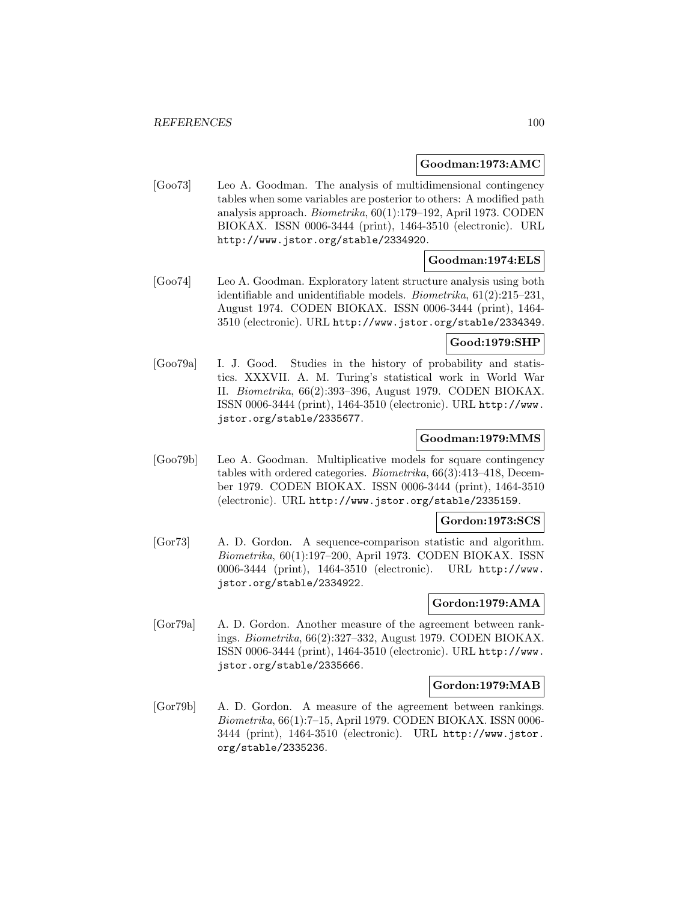#### **Goodman:1973:AMC**

[Goo73] Leo A. Goodman. The analysis of multidimensional contingency tables when some variables are posterior to others: A modified path analysis approach. Biometrika, 60(1):179–192, April 1973. CODEN BIOKAX. ISSN 0006-3444 (print), 1464-3510 (electronic). URL http://www.jstor.org/stable/2334920.

## **Goodman:1974:ELS**

[Goo74] Leo A. Goodman. Exploratory latent structure analysis using both identifiable and unidentifiable models. Biometrika, 61(2):215–231, August 1974. CODEN BIOKAX. ISSN 0006-3444 (print), 1464- 3510 (electronic). URL http://www.jstor.org/stable/2334349.

## **Good:1979:SHP**

[Goo79a] I. J. Good. Studies in the history of probability and statistics. XXXVII. A. M. Turing's statistical work in World War II. Biometrika, 66(2):393–396, August 1979. CODEN BIOKAX. ISSN 0006-3444 (print), 1464-3510 (electronic). URL http://www. jstor.org/stable/2335677.

## **Goodman:1979:MMS**

[Goo79b] Leo A. Goodman. Multiplicative models for square contingency tables with ordered categories. Biometrika, 66(3):413–418, December 1979. CODEN BIOKAX. ISSN 0006-3444 (print), 1464-3510 (electronic). URL http://www.jstor.org/stable/2335159.

## **Gordon:1973:SCS**

[Gor73] A. D. Gordon. A sequence-comparison statistic and algorithm. Biometrika, 60(1):197–200, April 1973. CODEN BIOKAX. ISSN 0006-3444 (print), 1464-3510 (electronic). URL http://www. jstor.org/stable/2334922.

## **Gordon:1979:AMA**

[Gor79a] A. D. Gordon. Another measure of the agreement between rankings. Biometrika, 66(2):327–332, August 1979. CODEN BIOKAX. ISSN 0006-3444 (print), 1464-3510 (electronic). URL http://www. jstor.org/stable/2335666.

#### **Gordon:1979:MAB**

[Gor79b] A. D. Gordon. A measure of the agreement between rankings. Biometrika, 66(1):7–15, April 1979. CODEN BIOKAX. ISSN 0006- 3444 (print), 1464-3510 (electronic). URL http://www.jstor. org/stable/2335236.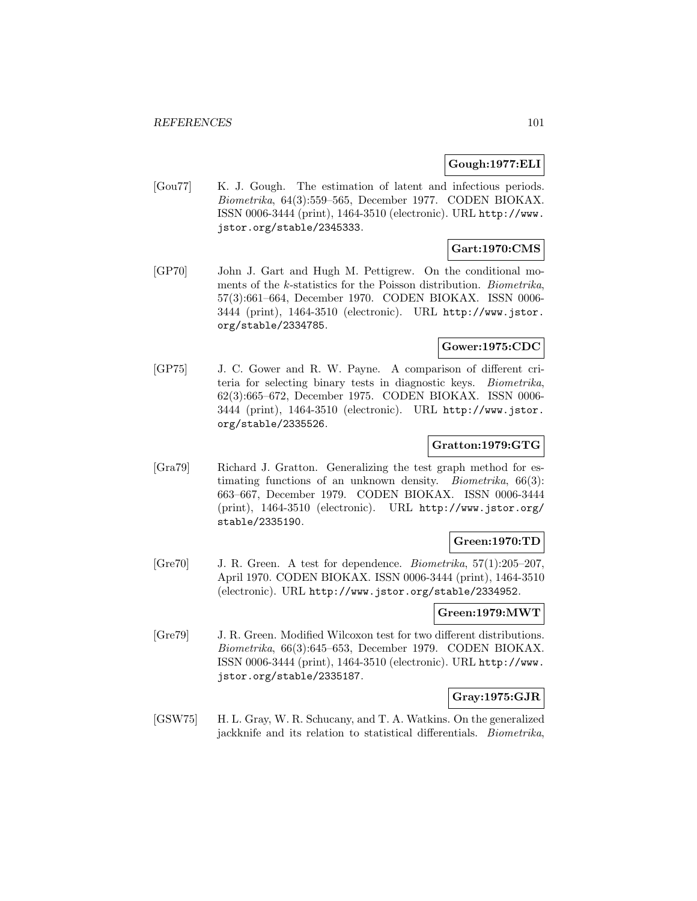## **Gough:1977:ELI**

[Gou77] K. J. Gough. The estimation of latent and infectious periods. Biometrika, 64(3):559–565, December 1977. CODEN BIOKAX. ISSN 0006-3444 (print), 1464-3510 (electronic). URL http://www. jstor.org/stable/2345333.

## **Gart:1970:CMS**

[GP70] John J. Gart and Hugh M. Pettigrew. On the conditional moments of the k-statistics for the Poisson distribution. Biometrika, 57(3):661–664, December 1970. CODEN BIOKAX. ISSN 0006- 3444 (print), 1464-3510 (electronic). URL http://www.jstor. org/stable/2334785.

## **Gower:1975:CDC**

[GP75] J. C. Gower and R. W. Payne. A comparison of different criteria for selecting binary tests in diagnostic keys. Biometrika, 62(3):665–672, December 1975. CODEN BIOKAX. ISSN 0006- 3444 (print), 1464-3510 (electronic). URL http://www.jstor. org/stable/2335526.

## **Gratton:1979:GTG**

[Gra79] Richard J. Gratton. Generalizing the test graph method for estimating functions of an unknown density. Biometrika, 66(3): 663–667, December 1979. CODEN BIOKAX. ISSN 0006-3444 (print), 1464-3510 (electronic). URL http://www.jstor.org/ stable/2335190.

## **Green:1970:TD**

[Gre70] J. R. Green. A test for dependence. Biometrika, 57(1):205–207, April 1970. CODEN BIOKAX. ISSN 0006-3444 (print), 1464-3510 (electronic). URL http://www.jstor.org/stable/2334952.

#### **Green:1979:MWT**

[Gre79] J. R. Green. Modified Wilcoxon test for two different distributions. Biometrika, 66(3):645–653, December 1979. CODEN BIOKAX. ISSN 0006-3444 (print), 1464-3510 (electronic). URL http://www. jstor.org/stable/2335187.

## **Gray:1975:GJR**

[GSW75] H. L. Gray, W. R. Schucany, and T. A. Watkins. On the generalized jackknife and its relation to statistical differentials. Biometrika,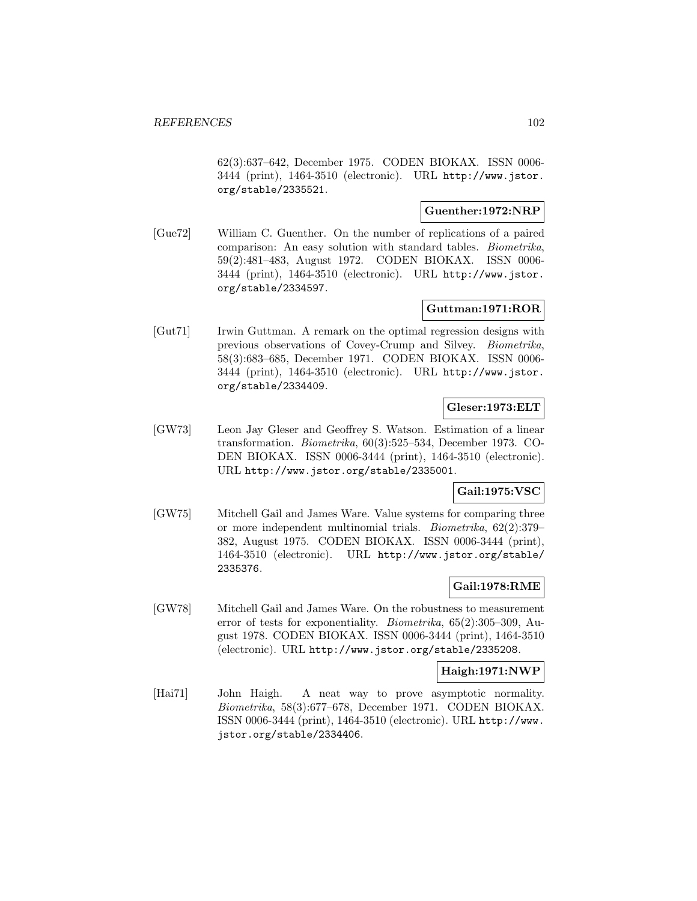62(3):637–642, December 1975. CODEN BIOKAX. ISSN 0006- 3444 (print), 1464-3510 (electronic). URL http://www.jstor. org/stable/2335521.

## **Guenther:1972:NRP**

[Gue72] William C. Guenther. On the number of replications of a paired comparison: An easy solution with standard tables. Biometrika, 59(2):481–483, August 1972. CODEN BIOKAX. ISSN 0006- 3444 (print), 1464-3510 (electronic). URL http://www.jstor. org/stable/2334597.

## **Guttman:1971:ROR**

[Gut71] Irwin Guttman. A remark on the optimal regression designs with previous observations of Covey-Crump and Silvey. Biometrika, 58(3):683–685, December 1971. CODEN BIOKAX. ISSN 0006- 3444 (print), 1464-3510 (electronic). URL http://www.jstor. org/stable/2334409.

## **Gleser:1973:ELT**

[GW73] Leon Jay Gleser and Geoffrey S. Watson. Estimation of a linear transformation. Biometrika, 60(3):525–534, December 1973. CO-DEN BIOKAX. ISSN 0006-3444 (print), 1464-3510 (electronic). URL http://www.jstor.org/stable/2335001.

## **Gail:1975:VSC**

[GW75] Mitchell Gail and James Ware. Value systems for comparing three or more independent multinomial trials. Biometrika, 62(2):379– 382, August 1975. CODEN BIOKAX. ISSN 0006-3444 (print), 1464-3510 (electronic). URL http://www.jstor.org/stable/ 2335376.

## **Gail:1978:RME**

[GW78] Mitchell Gail and James Ware. On the robustness to measurement error of tests for exponentiality. Biometrika, 65(2):305–309, August 1978. CODEN BIOKAX. ISSN 0006-3444 (print), 1464-3510 (electronic). URL http://www.jstor.org/stable/2335208.

## **Haigh:1971:NWP**

[Hai71] John Haigh. A neat way to prove asymptotic normality. Biometrika, 58(3):677–678, December 1971. CODEN BIOKAX. ISSN 0006-3444 (print), 1464-3510 (electronic). URL http://www. jstor.org/stable/2334406.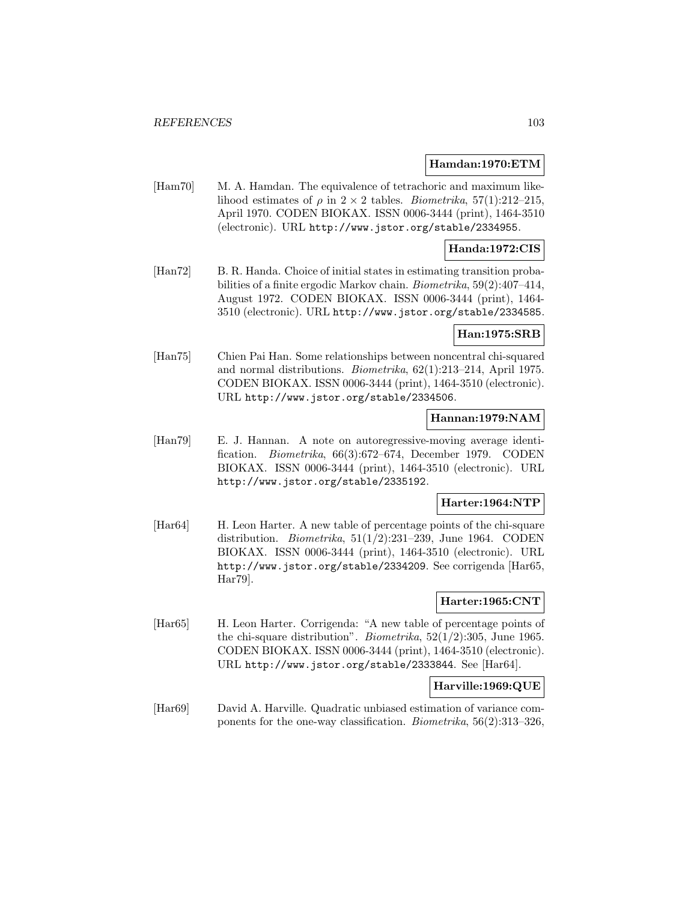## **Hamdan:1970:ETM**

[Ham70] M. A. Hamdan. The equivalence of tetrachoric and maximum likelihood estimates of  $\rho$  in  $2 \times 2$  tables. *Biometrika*, 57(1):212–215, April 1970. CODEN BIOKAX. ISSN 0006-3444 (print), 1464-3510 (electronic). URL http://www.jstor.org/stable/2334955.

### **Handa:1972:CIS**

[Han72] B. R. Handa. Choice of initial states in estimating transition probabilities of a finite ergodic Markov chain. Biometrika, 59(2):407–414, August 1972. CODEN BIOKAX. ISSN 0006-3444 (print), 1464- 3510 (electronic). URL http://www.jstor.org/stable/2334585.

## **Han:1975:SRB**

[Han75] Chien Pai Han. Some relationships between noncentral chi-squared and normal distributions. Biometrika, 62(1):213–214, April 1975. CODEN BIOKAX. ISSN 0006-3444 (print), 1464-3510 (electronic). URL http://www.jstor.org/stable/2334506.

### **Hannan:1979:NAM**

[Han79] E. J. Hannan. A note on autoregressive-moving average identification. Biometrika, 66(3):672–674, December 1979. CODEN BIOKAX. ISSN 0006-3444 (print), 1464-3510 (electronic). URL http://www.jstor.org/stable/2335192.

## **Harter:1964:NTP**

[Har64] H. Leon Harter. A new table of percentage points of the chi-square distribution. *Biometrika*,  $51(1/2):231-239$ , June 1964. CODEN BIOKAX. ISSN 0006-3444 (print), 1464-3510 (electronic). URL http://www.jstor.org/stable/2334209. See corrigenda [Har65, Har79].

## **Harter:1965:CNT**

[Har65] H. Leon Harter. Corrigenda: "A new table of percentage points of the chi-square distribution". Biometrika, 52(1/2):305, June 1965. CODEN BIOKAX. ISSN 0006-3444 (print), 1464-3510 (electronic). URL http://www.jstor.org/stable/2333844. See [Har64].

#### **Harville:1969:QUE**

[Har69] David A. Harville. Quadratic unbiased estimation of variance components for the one-way classification. Biometrika, 56(2):313–326,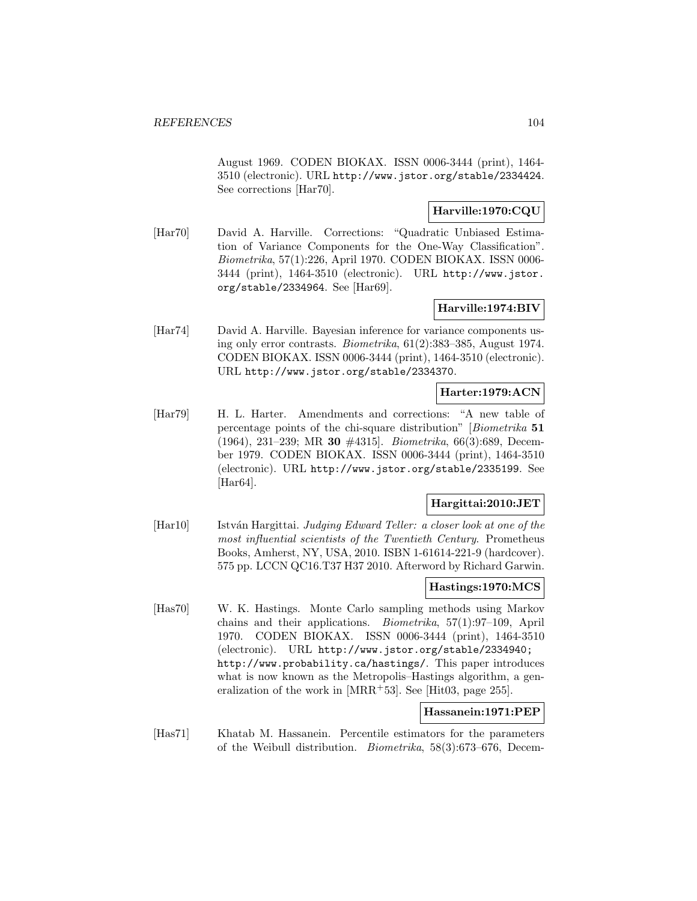August 1969. CODEN BIOKAX. ISSN 0006-3444 (print), 1464- 3510 (electronic). URL http://www.jstor.org/stable/2334424. See corrections [Har70].

## **Harville:1970:CQU**

[Har70] David A. Harville. Corrections: "Quadratic Unbiased Estimation of Variance Components for the One-Way Classification". Biometrika, 57(1):226, April 1970. CODEN BIOKAX. ISSN 0006- 3444 (print), 1464-3510 (electronic). URL http://www.jstor. org/stable/2334964. See [Har69].

## **Harville:1974:BIV**

[Har74] David A. Harville. Bayesian inference for variance components using only error contrasts. Biometrika, 61(2):383–385, August 1974. CODEN BIOKAX. ISSN 0006-3444 (print), 1464-3510 (electronic). URL http://www.jstor.org/stable/2334370.

# **Harter:1979:ACN**

[Har79] H. L. Harter. Amendments and corrections: "A new table of percentage points of the chi-square distribution" [Biometrika **51** (1964), 231–239; MR **30** #4315]. Biometrika, 66(3):689, December 1979. CODEN BIOKAX. ISSN 0006-3444 (print), 1464-3510 (electronic). URL http://www.jstor.org/stable/2335199. See [Har64].

## **Hargittai:2010:JET**

[Har10] István Hargittai. Judging Edward Teller: a closer look at one of the most influential scientists of the Twentieth Century. Prometheus Books, Amherst, NY, USA, 2010. ISBN 1-61614-221-9 (hardcover). 575 pp. LCCN QC16.T37 H37 2010. Afterword by Richard Garwin.

## **Hastings:1970:MCS**

[Has70] W. K. Hastings. Monte Carlo sampling methods using Markov chains and their applications. Biometrika, 57(1):97–109, April 1970. CODEN BIOKAX. ISSN 0006-3444 (print), 1464-3510 (electronic). URL http://www.jstor.org/stable/2334940; http://www.probability.ca/hastings/. This paper introduces what is now known as the Metropolis–Hastings algorithm, a generalization of the work in [MRR<sup>+</sup>53]. See [Hit03, page 255].

## **Hassanein:1971:PEP**

[Has71] Khatab M. Hassanein. Percentile estimators for the parameters of the Weibull distribution. Biometrika, 58(3):673–676, Decem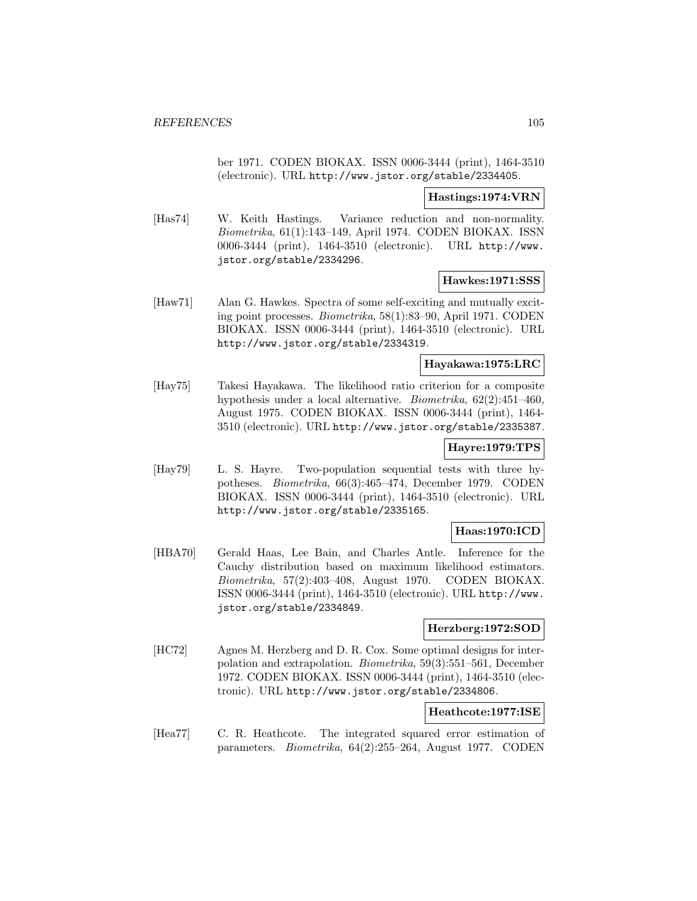ber 1971. CODEN BIOKAX. ISSN 0006-3444 (print), 1464-3510 (electronic). URL http://www.jstor.org/stable/2334405.

#### **Hastings:1974:VRN**

[Has74] W. Keith Hastings. Variance reduction and non-normality. Biometrika, 61(1):143–149, April 1974. CODEN BIOKAX. ISSN 0006-3444 (print), 1464-3510 (electronic). URL http://www. jstor.org/stable/2334296.

## **Hawkes:1971:SSS**

[Haw71] Alan G. Hawkes. Spectra of some self-exciting and mutually exciting point processes. Biometrika, 58(1):83–90, April 1971. CODEN BIOKAX. ISSN 0006-3444 (print), 1464-3510 (electronic). URL http://www.jstor.org/stable/2334319.

### **Hayakawa:1975:LRC**

[Hay75] Takesi Hayakawa. The likelihood ratio criterion for a composite hypothesis under a local alternative. Biometrika, 62(2):451–460, August 1975. CODEN BIOKAX. ISSN 0006-3444 (print), 1464- 3510 (electronic). URL http://www.jstor.org/stable/2335387.

## **Hayre:1979:TPS**

[Hay79] L. S. Hayre. Two-population sequential tests with three hypotheses. Biometrika, 66(3):465–474, December 1979. CODEN BIOKAX. ISSN 0006-3444 (print), 1464-3510 (electronic). URL http://www.jstor.org/stable/2335165.

## **Haas:1970:ICD**

[HBA70] Gerald Haas, Lee Bain, and Charles Antle. Inference for the Cauchy distribution based on maximum likelihood estimators. Biometrika, 57(2):403–408, August 1970. CODEN BIOKAX. ISSN 0006-3444 (print), 1464-3510 (electronic). URL http://www. jstor.org/stable/2334849.

## **Herzberg:1972:SOD**

[HC72] Agnes M. Herzberg and D. R. Cox. Some optimal designs for interpolation and extrapolation. Biometrika, 59(3):551–561, December 1972. CODEN BIOKAX. ISSN 0006-3444 (print), 1464-3510 (electronic). URL http://www.jstor.org/stable/2334806.

## **Heathcote:1977:ISE**

[Hea77] C. R. Heathcote. The integrated squared error estimation of parameters. Biometrika, 64(2):255–264, August 1977. CODEN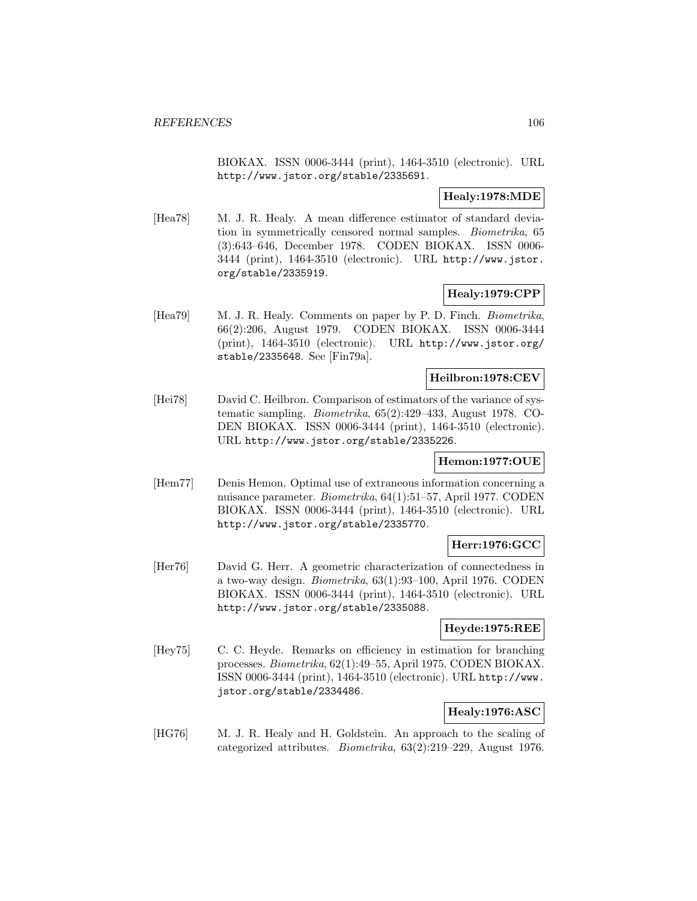BIOKAX. ISSN 0006-3444 (print), 1464-3510 (electronic). URL http://www.jstor.org/stable/2335691.

## **Healy:1978:MDE**

[Hea78] M. J. R. Healy. A mean difference estimator of standard deviation in symmetrically censored normal samples. Biometrika, 65 (3):643–646, December 1978. CODEN BIOKAX. ISSN 0006- 3444 (print), 1464-3510 (electronic). URL http://www.jstor. org/stable/2335919.

## **Healy:1979:CPP**

[Hea79] M. J. R. Healy. Comments on paper by P. D. Finch. Biometrika, 66(2):206, August 1979. CODEN BIOKAX. ISSN 0006-3444 (print), 1464-3510 (electronic). URL http://www.jstor.org/ stable/2335648. See [Fin79a].

## **Heilbron:1978:CEV**

[Hei78] David C. Heilbron. Comparison of estimators of the variance of systematic sampling. Biometrika, 65(2):429–433, August 1978. CO-DEN BIOKAX. ISSN 0006-3444 (print), 1464-3510 (electronic). URL http://www.jstor.org/stable/2335226.

## **Hemon:1977:OUE**

[Hem77] Denis Hemon. Optimal use of extraneous information concerning a nuisance parameter. Biometrika, 64(1):51–57, April 1977. CODEN BIOKAX. ISSN 0006-3444 (print), 1464-3510 (electronic). URL http://www.jstor.org/stable/2335770.

## **Herr:1976:GCC**

[Her76] David G. Herr. A geometric characterization of connectedness in a two-way design. Biometrika, 63(1):93–100, April 1976. CODEN BIOKAX. ISSN 0006-3444 (print), 1464-3510 (electronic). URL http://www.jstor.org/stable/2335088.

## **Heyde:1975:REE**

[Hey75] C. C. Heyde. Remarks on efficiency in estimation for branching processes. Biometrika, 62(1):49–55, April 1975. CODEN BIOKAX. ISSN 0006-3444 (print), 1464-3510 (electronic). URL http://www. jstor.org/stable/2334486.

## **Healy:1976:ASC**

[HG76] M. J. R. Healy and H. Goldstein. An approach to the scaling of categorized attributes. Biometrika, 63(2):219–229, August 1976.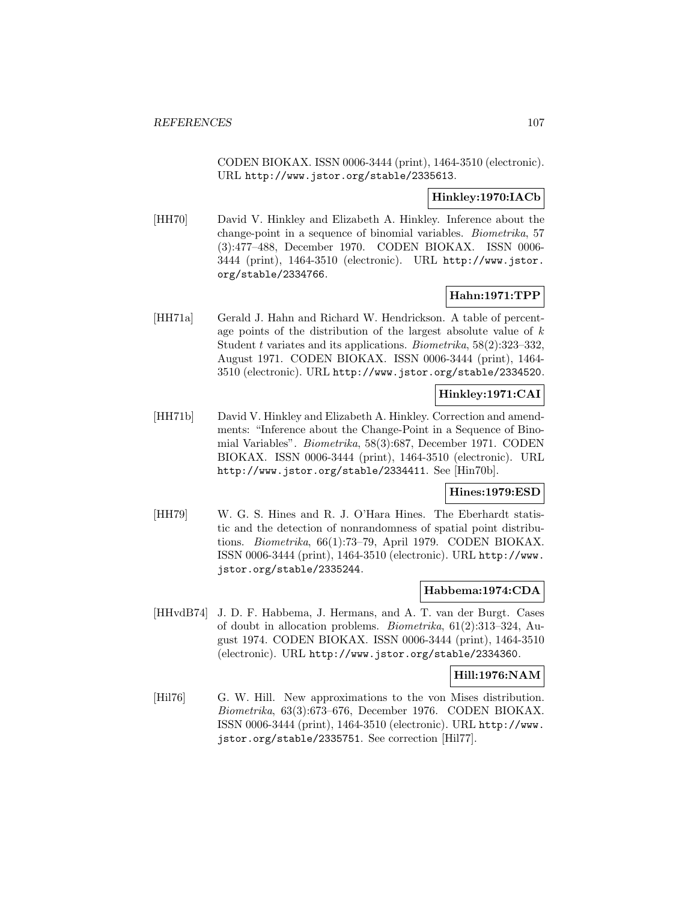CODEN BIOKAX. ISSN 0006-3444 (print), 1464-3510 (electronic). URL http://www.jstor.org/stable/2335613.

## **Hinkley:1970:IACb**

[HH70] David V. Hinkley and Elizabeth A. Hinkley. Inference about the change-point in a sequence of binomial variables. Biometrika, 57 (3):477–488, December 1970. CODEN BIOKAX. ISSN 0006- 3444 (print), 1464-3510 (electronic). URL http://www.jstor. org/stable/2334766.

# **Hahn:1971:TPP**

[HH71a] Gerald J. Hahn and Richard W. Hendrickson. A table of percentage points of the distribution of the largest absolute value of k Student t variates and its applications. *Biometrika*,  $58(2):323-332$ , August 1971. CODEN BIOKAX. ISSN 0006-3444 (print), 1464- 3510 (electronic). URL http://www.jstor.org/stable/2334520.

# **Hinkley:1971:CAI**

[HH71b] David V. Hinkley and Elizabeth A. Hinkley. Correction and amendments: "Inference about the Change-Point in a Sequence of Binomial Variables". Biometrika, 58(3):687, December 1971. CODEN BIOKAX. ISSN 0006-3444 (print), 1464-3510 (electronic). URL http://www.jstor.org/stable/2334411. See [Hin70b].

## **Hines:1979:ESD**

[HH79] W. G. S. Hines and R. J. O'Hara Hines. The Eberhardt statistic and the detection of nonrandomness of spatial point distributions. Biometrika, 66(1):73–79, April 1979. CODEN BIOKAX. ISSN 0006-3444 (print), 1464-3510 (electronic). URL http://www. jstor.org/stable/2335244.

#### **Habbema:1974:CDA**

[HHvdB74] J. D. F. Habbema, J. Hermans, and A. T. van der Burgt. Cases of doubt in allocation problems. Biometrika, 61(2):313–324, August 1974. CODEN BIOKAX. ISSN 0006-3444 (print), 1464-3510 (electronic). URL http://www.jstor.org/stable/2334360.

# **Hill:1976:NAM**

[Hil76] G. W. Hill. New approximations to the von Mises distribution. Biometrika, 63(3):673–676, December 1976. CODEN BIOKAX. ISSN 0006-3444 (print), 1464-3510 (electronic). URL http://www. jstor.org/stable/2335751. See correction [Hil77].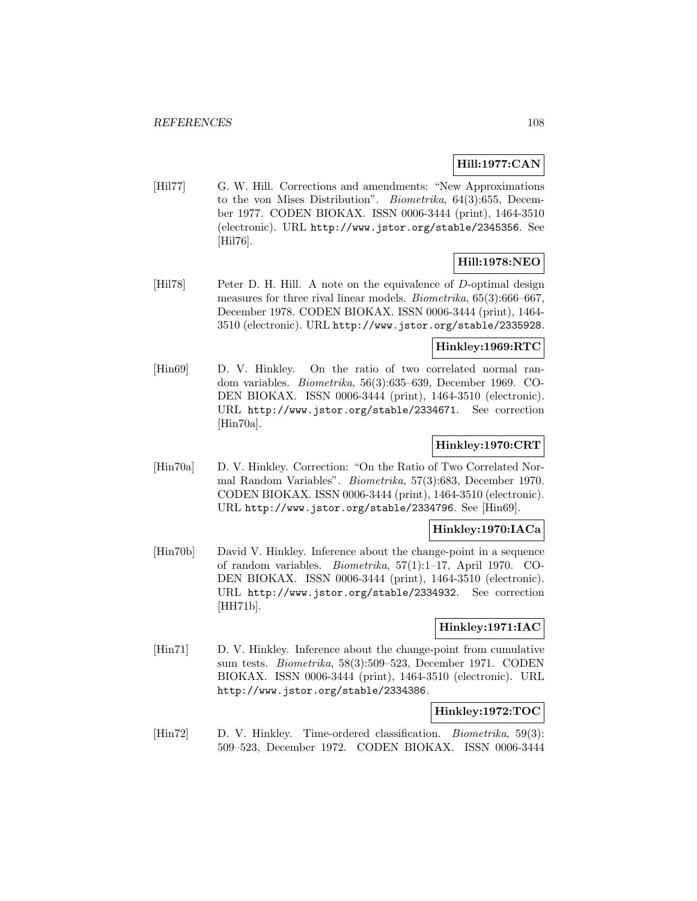## **Hill:1977:CAN**

[Hil77] G. W. Hill. Corrections and amendments: "New Approximations to the von Mises Distribution". Biometrika, 64(3):655, December 1977. CODEN BIOKAX. ISSN 0006-3444 (print), 1464-3510 (electronic). URL http://www.jstor.org/stable/2345356. See [Hil76].

# **Hill:1978:NEO**

[Hil78] Peter D. H. Hill. A note on the equivalence of D-optimal design measures for three rival linear models. *Biometrika*, 65(3):666–667, December 1978. CODEN BIOKAX. ISSN 0006-3444 (print), 1464- 3510 (electronic). URL http://www.jstor.org/stable/2335928.

## **Hinkley:1969:RTC**

[Hin69] D. V. Hinkley. On the ratio of two correlated normal random variables. Biometrika, 56(3):635–639, December 1969. CO-DEN BIOKAX. ISSN 0006-3444 (print), 1464-3510 (electronic). URL http://www.jstor.org/stable/2334671. See correction [Hin70a].

## **Hinkley:1970:CRT**

[Hin70a] D. V. Hinkley. Correction: "On the Ratio of Two Correlated Normal Random Variables". Biometrika, 57(3):683, December 1970. CODEN BIOKAX. ISSN 0006-3444 (print), 1464-3510 (electronic). URL http://www.jstor.org/stable/2334796. See [Hin69].

## **Hinkley:1970:IACa**

[Hin70b] David V. Hinkley. Inference about the change-point in a sequence of random variables. Biometrika, 57(1):1–17, April 1970. CO-DEN BIOKAX. ISSN 0006-3444 (print), 1464-3510 (electronic). URL http://www.jstor.org/stable/2334932. See correction [HH71b].

## **Hinkley:1971:IAC**

[Hin71] D. V. Hinkley. Inference about the change-point from cumulative sum tests. Biometrika, 58(3):509–523, December 1971. CODEN BIOKAX. ISSN 0006-3444 (print), 1464-3510 (electronic). URL http://www.jstor.org/stable/2334386.

## **Hinkley:1972:TOC**

[Hin72] D. V. Hinkley. Time-ordered classification. Biometrika, 59(3): 509–523, December 1972. CODEN BIOKAX. ISSN 0006-3444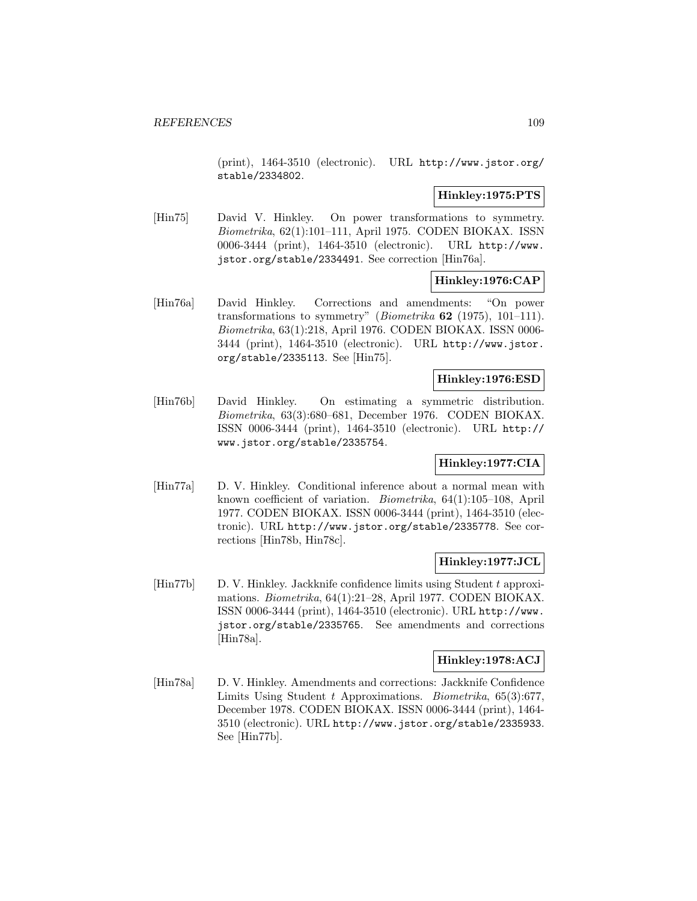(print), 1464-3510 (electronic). URL http://www.jstor.org/ stable/2334802.

#### **Hinkley:1975:PTS**

[Hin75] David V. Hinkley. On power transformations to symmetry. Biometrika, 62(1):101–111, April 1975. CODEN BIOKAX. ISSN 0006-3444 (print), 1464-3510 (electronic). URL http://www. jstor.org/stable/2334491. See correction [Hin76a].

# **Hinkley:1976:CAP**

[Hin76a] David Hinkley. Corrections and amendments: "On power transformations to symmetry" (Biometrika **62** (1975), 101–111). Biometrika, 63(1):218, April 1976. CODEN BIOKAX. ISSN 0006- 3444 (print), 1464-3510 (electronic). URL http://www.jstor. org/stable/2335113. See [Hin75].

### **Hinkley:1976:ESD**

[Hin76b] David Hinkley. On estimating a symmetric distribution. Biometrika, 63(3):680–681, December 1976. CODEN BIOKAX. ISSN 0006-3444 (print), 1464-3510 (electronic). URL http:// www.jstor.org/stable/2335754.

### **Hinkley:1977:CIA**

[Hin77a] D. V. Hinkley. Conditional inference about a normal mean with known coefficient of variation. Biometrika, 64(1):105–108, April 1977. CODEN BIOKAX. ISSN 0006-3444 (print), 1464-3510 (electronic). URL http://www.jstor.org/stable/2335778. See corrections [Hin78b, Hin78c].

### **Hinkley:1977:JCL**

[Hin77b] D. V. Hinkley. Jackknife confidence limits using Student t approximations. Biometrika, 64(1):21–28, April 1977. CODEN BIOKAX. ISSN 0006-3444 (print), 1464-3510 (electronic). URL http://www. jstor.org/stable/2335765. See amendments and corrections [Hin78a].

# **Hinkley:1978:ACJ**

[Hin78a] D. V. Hinkley. Amendments and corrections: Jackknife Confidence Limits Using Student t Approximations. Biometrika, 65(3):677, December 1978. CODEN BIOKAX. ISSN 0006-3444 (print), 1464- 3510 (electronic). URL http://www.jstor.org/stable/2335933. See [Hin77b].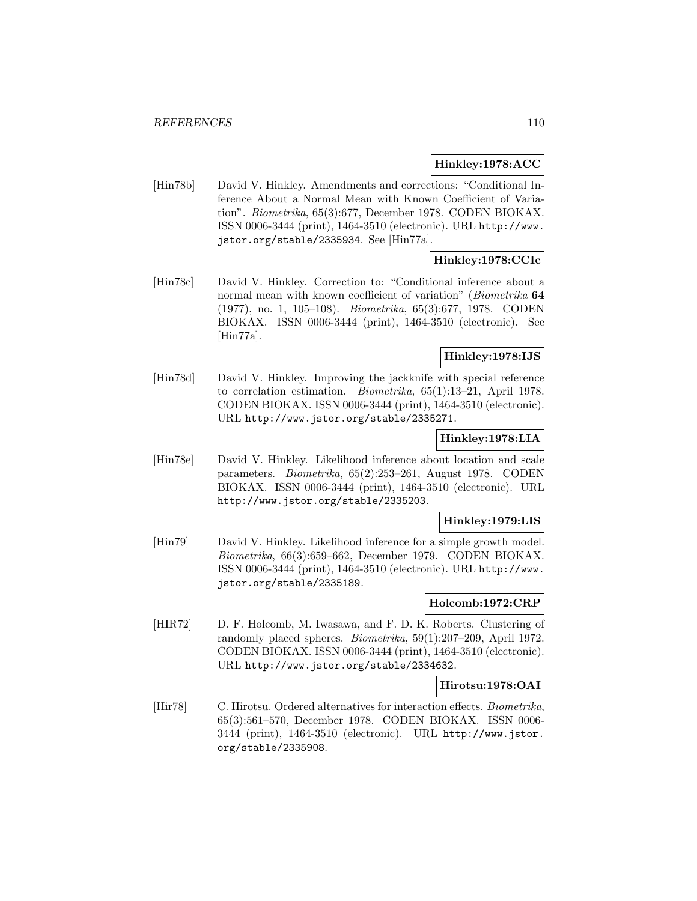### **Hinkley:1978:ACC**

[Hin78b] David V. Hinkley. Amendments and corrections: "Conditional Inference About a Normal Mean with Known Coefficient of Variation". Biometrika, 65(3):677, December 1978. CODEN BIOKAX. ISSN 0006-3444 (print), 1464-3510 (electronic). URL http://www. jstor.org/stable/2335934. See [Hin77a].

### **Hinkley:1978:CCIc**

[Hin78c] David V. Hinkley. Correction to: "Conditional inference about a normal mean with known coefficient of variation" (Biometrika **64** (1977), no. 1, 105–108). Biometrika, 65(3):677, 1978. CODEN BIOKAX. ISSN 0006-3444 (print), 1464-3510 (electronic). See [Hin77a].

### **Hinkley:1978:IJS**

[Hin78d] David V. Hinkley. Improving the jackknife with special reference to correlation estimation. Biometrika, 65(1):13–21, April 1978. CODEN BIOKAX. ISSN 0006-3444 (print), 1464-3510 (electronic). URL http://www.jstor.org/stable/2335271.

### **Hinkley:1978:LIA**

[Hin78e] David V. Hinkley. Likelihood inference about location and scale parameters. Biometrika, 65(2):253–261, August 1978. CODEN BIOKAX. ISSN 0006-3444 (print), 1464-3510 (electronic). URL http://www.jstor.org/stable/2335203.

### **Hinkley:1979:LIS**

[Hin79] David V. Hinkley. Likelihood inference for a simple growth model. Biometrika, 66(3):659–662, December 1979. CODEN BIOKAX. ISSN 0006-3444 (print), 1464-3510 (electronic). URL http://www. jstor.org/stable/2335189.

#### **Holcomb:1972:CRP**

[HIR72] D. F. Holcomb, M. Iwasawa, and F. D. K. Roberts. Clustering of randomly placed spheres. Biometrika, 59(1):207–209, April 1972. CODEN BIOKAX. ISSN 0006-3444 (print), 1464-3510 (electronic). URL http://www.jstor.org/stable/2334632.

### **Hirotsu:1978:OAI**

[Hir78] C. Hirotsu. Ordered alternatives for interaction effects. Biometrika, 65(3):561–570, December 1978. CODEN BIOKAX. ISSN 0006- 3444 (print), 1464-3510 (electronic). URL http://www.jstor. org/stable/2335908.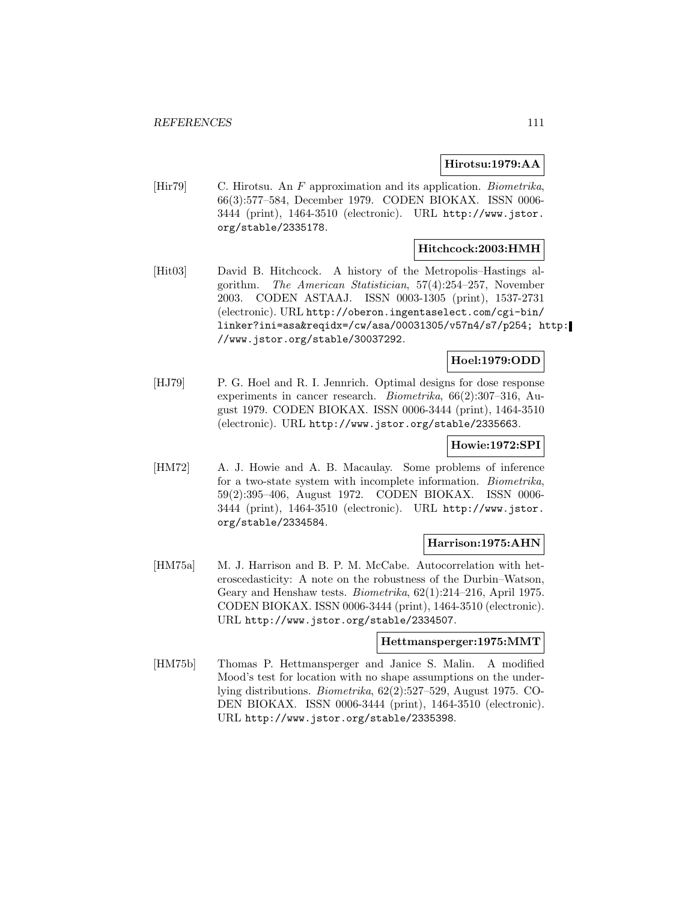### **Hirotsu:1979:AA**

[Hir79] C. Hirotsu. An F approximation and its application. Biometrika, 66(3):577–584, December 1979. CODEN BIOKAX. ISSN 0006- 3444 (print), 1464-3510 (electronic). URL http://www.jstor. org/stable/2335178.

### **Hitchcock:2003:HMH**

[Hit03] David B. Hitchcock. A history of the Metropolis–Hastings algorithm. The American Statistician, 57(4):254–257, November 2003. CODEN ASTAAJ. ISSN 0003-1305 (print), 1537-2731 (electronic). URL http://oberon.ingentaselect.com/cgi-bin/ linker?ini=asa&reqidx=/cw/asa/00031305/v57n4/s7/p254; http: //www.jstor.org/stable/30037292.

## **Hoel:1979:ODD**

[HJ79] P. G. Hoel and R. I. Jennrich. Optimal designs for dose response experiments in cancer research. Biometrika, 66(2):307–316, August 1979. CODEN BIOKAX. ISSN 0006-3444 (print), 1464-3510 (electronic). URL http://www.jstor.org/stable/2335663.

### **Howie:1972:SPI**

[HM72] A. J. Howie and A. B. Macaulay. Some problems of inference for a two-state system with incomplete information. Biometrika, 59(2):395–406, August 1972. CODEN BIOKAX. ISSN 0006- 3444 (print), 1464-3510 (electronic). URL http://www.jstor. org/stable/2334584.

### **Harrison:1975:AHN**

[HM75a] M. J. Harrison and B. P. M. McCabe. Autocorrelation with heteroscedasticity: A note on the robustness of the Durbin–Watson, Geary and Henshaw tests. Biometrika, 62(1):214–216, April 1975. CODEN BIOKAX. ISSN 0006-3444 (print), 1464-3510 (electronic). URL http://www.jstor.org/stable/2334507.

#### **Hettmansperger:1975:MMT**

[HM75b] Thomas P. Hettmansperger and Janice S. Malin. A modified Mood's test for location with no shape assumptions on the underlying distributions. Biometrika, 62(2):527–529, August 1975. CO-DEN BIOKAX. ISSN 0006-3444 (print), 1464-3510 (electronic). URL http://www.jstor.org/stable/2335398.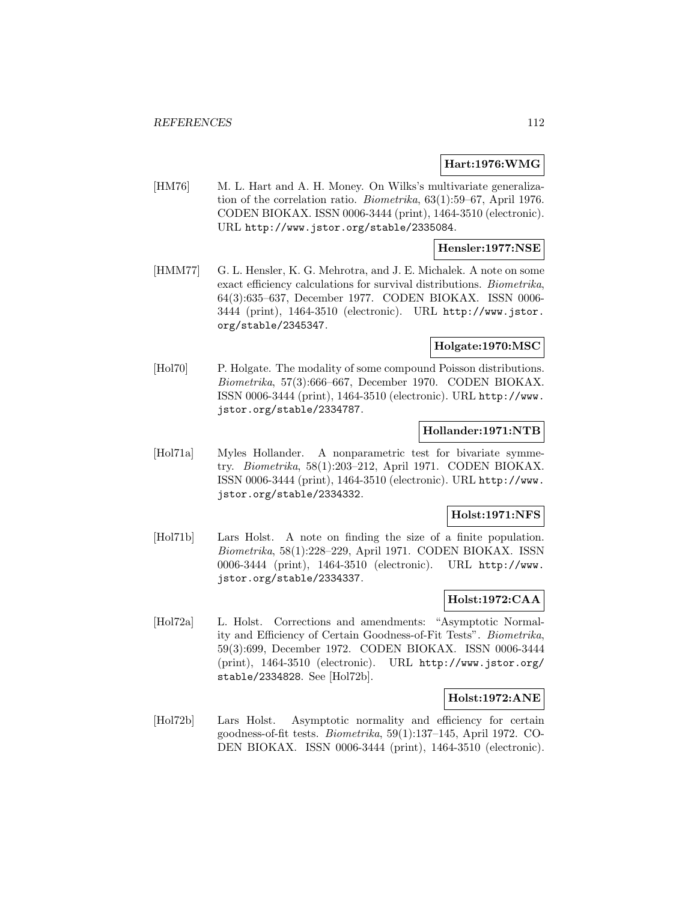### **Hart:1976:WMG**

[HM76] M. L. Hart and A. H. Money. On Wilks's multivariate generalization of the correlation ratio. Biometrika, 63(1):59–67, April 1976. CODEN BIOKAX. ISSN 0006-3444 (print), 1464-3510 (electronic). URL http://www.jstor.org/stable/2335084.

### **Hensler:1977:NSE**

[HMM77] G. L. Hensler, K. G. Mehrotra, and J. E. Michalek. A note on some exact efficiency calculations for survival distributions. Biometrika, 64(3):635–637, December 1977. CODEN BIOKAX. ISSN 0006- 3444 (print), 1464-3510 (electronic). URL http://www.jstor. org/stable/2345347.

### **Holgate:1970:MSC**

[Hol70] P. Holgate. The modality of some compound Poisson distributions. Biometrika, 57(3):666–667, December 1970. CODEN BIOKAX. ISSN 0006-3444 (print), 1464-3510 (electronic). URL http://www. jstor.org/stable/2334787.

#### **Hollander:1971:NTB**

[Hol71a] Myles Hollander. A nonparametric test for bivariate symmetry. Biometrika, 58(1):203–212, April 1971. CODEN BIOKAX. ISSN 0006-3444 (print), 1464-3510 (electronic). URL http://www. jstor.org/stable/2334332.

### **Holst:1971:NFS**

[Hol71b] Lars Holst. A note on finding the size of a finite population. Biometrika, 58(1):228–229, April 1971. CODEN BIOKAX. ISSN 0006-3444 (print), 1464-3510 (electronic). URL http://www. jstor.org/stable/2334337.

# **Holst:1972:CAA**

[Hol72a] L. Holst. Corrections and amendments: "Asymptotic Normality and Efficiency of Certain Goodness-of-Fit Tests". Biometrika, 59(3):699, December 1972. CODEN BIOKAX. ISSN 0006-3444 (print), 1464-3510 (electronic). URL http://www.jstor.org/ stable/2334828. See [Hol72b].

### **Holst:1972:ANE**

[Hol72b] Lars Holst. Asymptotic normality and efficiency for certain goodness-of-fit tests. Biometrika, 59(1):137–145, April 1972. CO-DEN BIOKAX. ISSN 0006-3444 (print), 1464-3510 (electronic).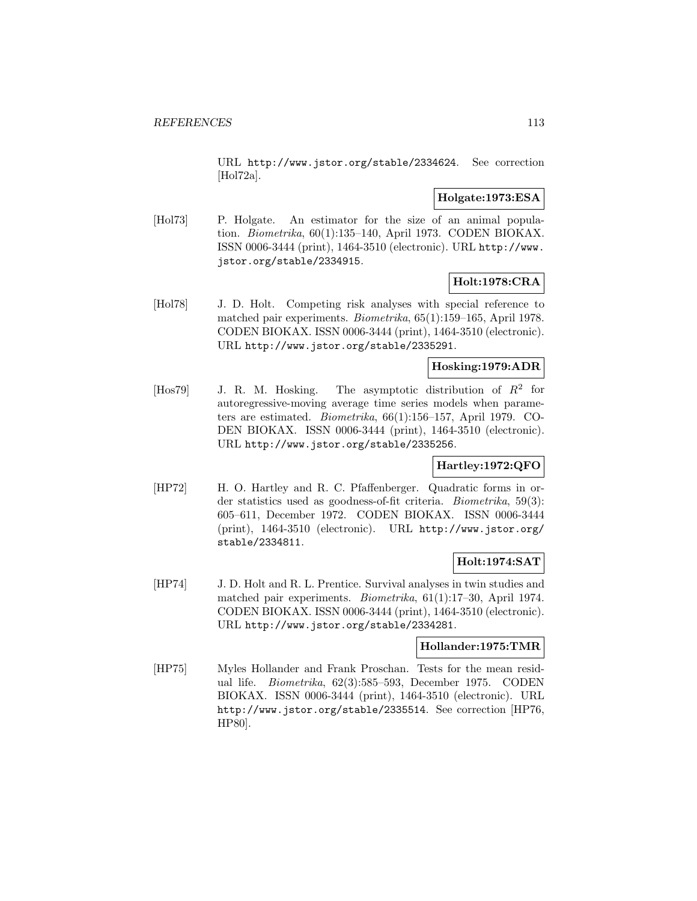URL http://www.jstor.org/stable/2334624. See correction [Hol72a].

### **Holgate:1973:ESA**

[Hol73] P. Holgate. An estimator for the size of an animal population. Biometrika, 60(1):135–140, April 1973. CODEN BIOKAX. ISSN 0006-3444 (print), 1464-3510 (electronic). URL http://www. jstor.org/stable/2334915.

### **Holt:1978:CRA**

[Hol78] J. D. Holt. Competing risk analyses with special reference to matched pair experiments. Biometrika, 65(1):159–165, April 1978. CODEN BIOKAX. ISSN 0006-3444 (print), 1464-3510 (electronic). URL http://www.jstor.org/stable/2335291.

### **Hosking:1979:ADR**

[Hos79] J. R. M. Hosking. The asymptotic distribution of  $R^2$  for autoregressive-moving average time series models when parameters are estimated. Biometrika, 66(1):156–157, April 1979. CO-DEN BIOKAX. ISSN 0006-3444 (print), 1464-3510 (electronic). URL http://www.jstor.org/stable/2335256.

# **Hartley:1972:QFO**

[HP72] H. O. Hartley and R. C. Pfaffenberger. Quadratic forms in order statistics used as goodness-of-fit criteria. Biometrika, 59(3): 605–611, December 1972. CODEN BIOKAX. ISSN 0006-3444 (print), 1464-3510 (electronic). URL http://www.jstor.org/ stable/2334811.

# **Holt:1974:SAT**

[HP74] J. D. Holt and R. L. Prentice. Survival analyses in twin studies and matched pair experiments. Biometrika, 61(1):17–30, April 1974. CODEN BIOKAX. ISSN 0006-3444 (print), 1464-3510 (electronic). URL http://www.jstor.org/stable/2334281.

### **Hollander:1975:TMR**

[HP75] Myles Hollander and Frank Proschan. Tests for the mean residual life. Biometrika, 62(3):585–593, December 1975. CODEN BIOKAX. ISSN 0006-3444 (print), 1464-3510 (electronic). URL http://www.jstor.org/stable/2335514. See correction [HP76, HP80].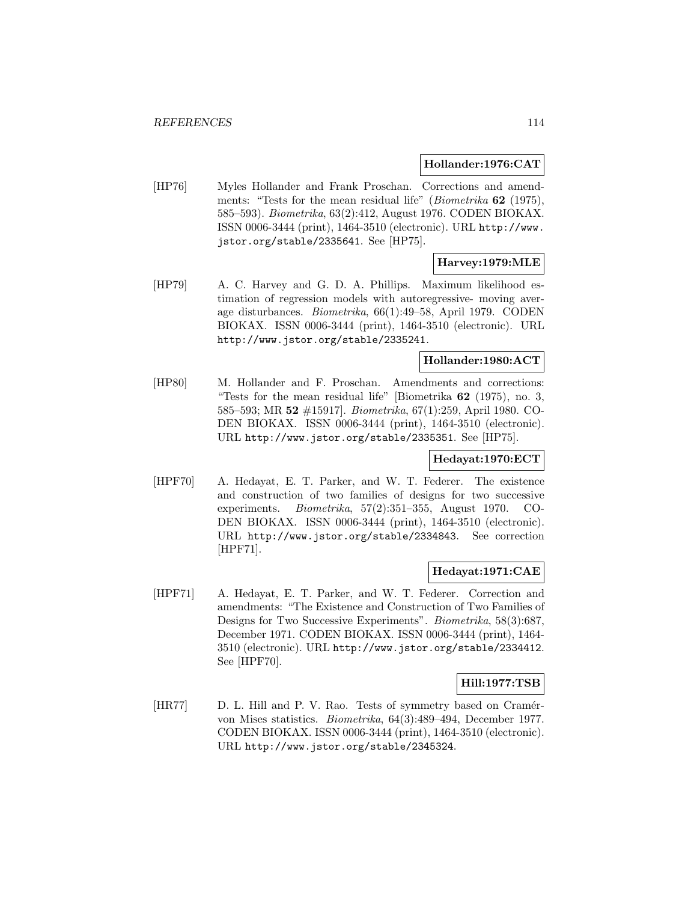#### **Hollander:1976:CAT**

[HP76] Myles Hollander and Frank Proschan. Corrections and amendments: "Tests for the mean residual life" (Biometrika **62** (1975), 585–593). Biometrika, 63(2):412, August 1976. CODEN BIOKAX. ISSN 0006-3444 (print), 1464-3510 (electronic). URL http://www. jstor.org/stable/2335641. See [HP75].

### **Harvey:1979:MLE**

[HP79] A. C. Harvey and G. D. A. Phillips. Maximum likelihood estimation of regression models with autoregressive- moving average disturbances. Biometrika, 66(1):49–58, April 1979. CODEN BIOKAX. ISSN 0006-3444 (print), 1464-3510 (electronic). URL http://www.jstor.org/stable/2335241.

### **Hollander:1980:ACT**

[HP80] M. Hollander and F. Proschan. Amendments and corrections: "Tests for the mean residual life" [Biometrika **62** (1975), no. 3, 585–593; MR **52** #15917]. Biometrika, 67(1):259, April 1980. CO-DEN BIOKAX. ISSN 0006-3444 (print), 1464-3510 (electronic). URL http://www.jstor.org/stable/2335351. See [HP75].

# **Hedayat:1970:ECT**

[HPF70] A. Hedayat, E. T. Parker, and W. T. Federer. The existence and construction of two families of designs for two successive experiments. Biometrika, 57(2):351–355, August 1970. CO-DEN BIOKAX. ISSN 0006-3444 (print), 1464-3510 (electronic). URL http://www.jstor.org/stable/2334843. See correction [HPF71].

### **Hedayat:1971:CAE**

[HPF71] A. Hedayat, E. T. Parker, and W. T. Federer. Correction and amendments: "The Existence and Construction of Two Families of Designs for Two Successive Experiments". *Biometrika*, 58(3):687, December 1971. CODEN BIOKAX. ISSN 0006-3444 (print), 1464- 3510 (electronic). URL http://www.jstor.org/stable/2334412. See [HPF70].

### **Hill:1977:TSB**

[HR77] D. L. Hill and P. V. Rao. Tests of symmetry based on Cramérvon Mises statistics. Biometrika, 64(3):489–494, December 1977. CODEN BIOKAX. ISSN 0006-3444 (print), 1464-3510 (electronic). URL http://www.jstor.org/stable/2345324.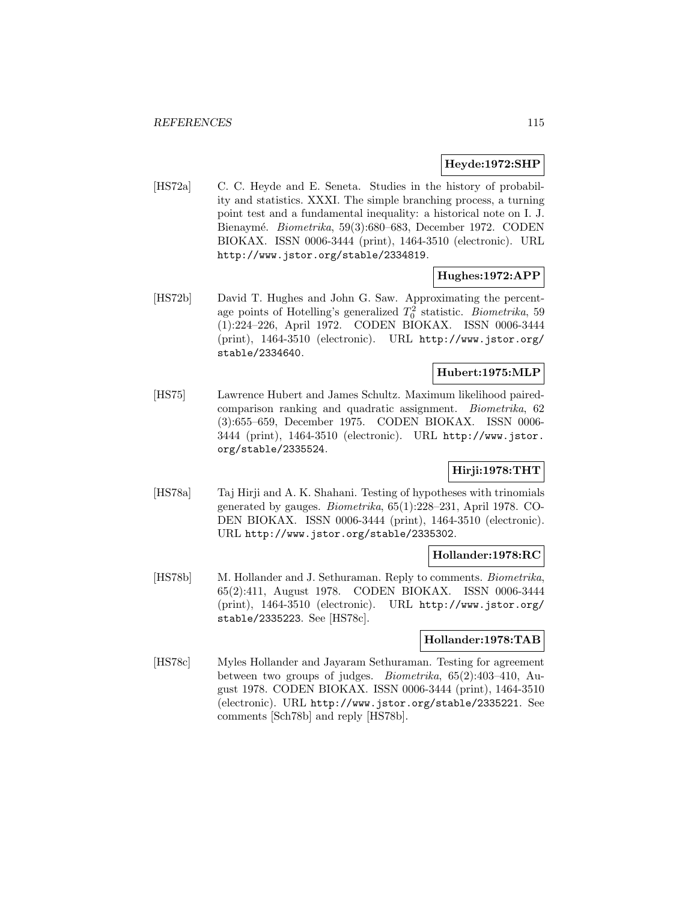### **Heyde:1972:SHP**

[HS72a] C. C. Heyde and E. Seneta. Studies in the history of probability and statistics. XXXI. The simple branching process, a turning point test and a fundamental inequality: a historical note on I. J. Bienaymé. Biometrika, 59(3):680–683, December 1972. CODEN BIOKAX. ISSN 0006-3444 (print), 1464-3510 (electronic). URL http://www.jstor.org/stable/2334819.

### **Hughes:1972:APP**

[HS72b] David T. Hughes and John G. Saw. Approximating the percentage points of Hotelling's generalized  $T_0^2$  statistic. *Biometrika*, 59 (1):224–226, April 1972. CODEN BIOKAX. ISSN 0006-3444 (print), 1464-3510 (electronic). URL http://www.jstor.org/ stable/2334640.

# **Hubert:1975:MLP**

[HS75] Lawrence Hubert and James Schultz. Maximum likelihood pairedcomparison ranking and quadratic assignment. Biometrika, 62 (3):655–659, December 1975. CODEN BIOKAX. ISSN 0006- 3444 (print), 1464-3510 (electronic). URL http://www.jstor. org/stable/2335524.

# **Hirji:1978:THT**

[HS78a] Taj Hirji and A. K. Shahani. Testing of hypotheses with trinomials generated by gauges. Biometrika, 65(1):228–231, April 1978. CO-DEN BIOKAX. ISSN 0006-3444 (print), 1464-3510 (electronic). URL http://www.jstor.org/stable/2335302.

### **Hollander:1978:RC**

[HS78b] M. Hollander and J. Sethuraman. Reply to comments. *Biometrika*, 65(2):411, August 1978. CODEN BIOKAX. ISSN 0006-3444 (print), 1464-3510 (electronic). URL http://www.jstor.org/ stable/2335223. See [HS78c].

### **Hollander:1978:TAB**

[HS78c] Myles Hollander and Jayaram Sethuraman. Testing for agreement between two groups of judges. Biometrika, 65(2):403–410, August 1978. CODEN BIOKAX. ISSN 0006-3444 (print), 1464-3510 (electronic). URL http://www.jstor.org/stable/2335221. See comments [Sch78b] and reply [HS78b].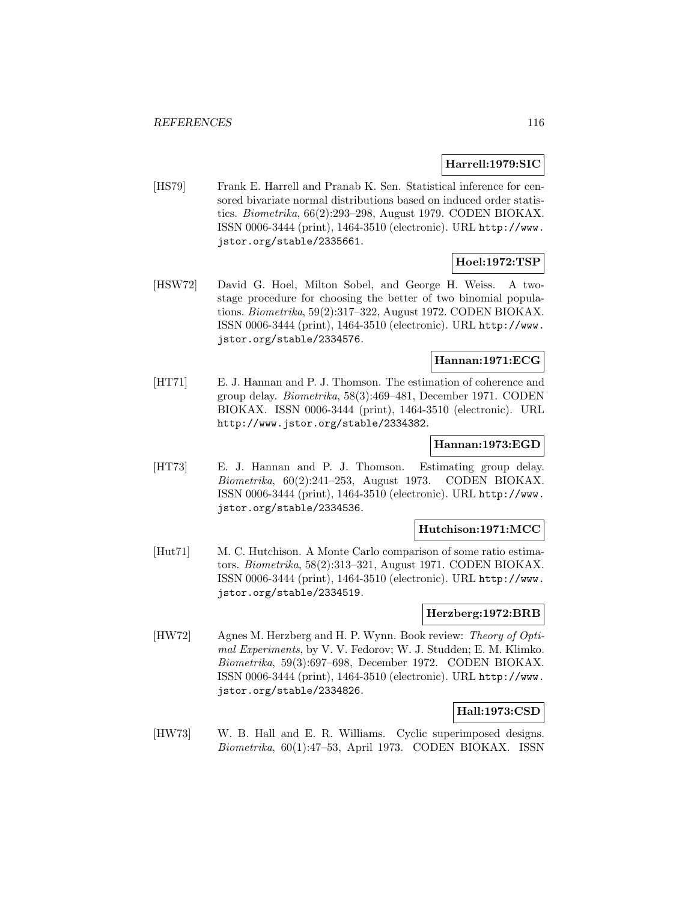### **Harrell:1979:SIC**

[HS79] Frank E. Harrell and Pranab K. Sen. Statistical inference for censored bivariate normal distributions based on induced order statistics. Biometrika, 66(2):293–298, August 1979. CODEN BIOKAX. ISSN 0006-3444 (print), 1464-3510 (electronic). URL http://www. jstor.org/stable/2335661.

# **Hoel:1972:TSP**

[HSW72] David G. Hoel, Milton Sobel, and George H. Weiss. A twostage procedure for choosing the better of two binomial populations. Biometrika, 59(2):317–322, August 1972. CODEN BIOKAX. ISSN 0006-3444 (print), 1464-3510 (electronic). URL http://www. jstor.org/stable/2334576.

# **Hannan:1971:ECG**

[HT71] E. J. Hannan and P. J. Thomson. The estimation of coherence and group delay. Biometrika, 58(3):469–481, December 1971. CODEN BIOKAX. ISSN 0006-3444 (print), 1464-3510 (electronic). URL http://www.jstor.org/stable/2334382.

### **Hannan:1973:EGD**

[HT73] E. J. Hannan and P. J. Thomson. Estimating group delay. Biometrika, 60(2):241–253, August 1973. CODEN BIOKAX. ISSN 0006-3444 (print), 1464-3510 (electronic). URL http://www. jstor.org/stable/2334536.

### **Hutchison:1971:MCC**

[Hut71] M. C. Hutchison. A Monte Carlo comparison of some ratio estimators. Biometrika, 58(2):313–321, August 1971. CODEN BIOKAX. ISSN 0006-3444 (print), 1464-3510 (electronic). URL http://www. jstor.org/stable/2334519.

### **Herzberg:1972:BRB**

[HW72] Agnes M. Herzberg and H. P. Wynn. Book review: Theory of Optimal Experiments, by V. V. Fedorov; W. J. Studden; E. M. Klimko. Biometrika, 59(3):697–698, December 1972. CODEN BIOKAX. ISSN 0006-3444 (print), 1464-3510 (electronic). URL http://www. jstor.org/stable/2334826.

# **Hall:1973:CSD**

[HW73] W. B. Hall and E. R. Williams. Cyclic superimposed designs. Biometrika, 60(1):47–53, April 1973. CODEN BIOKAX. ISSN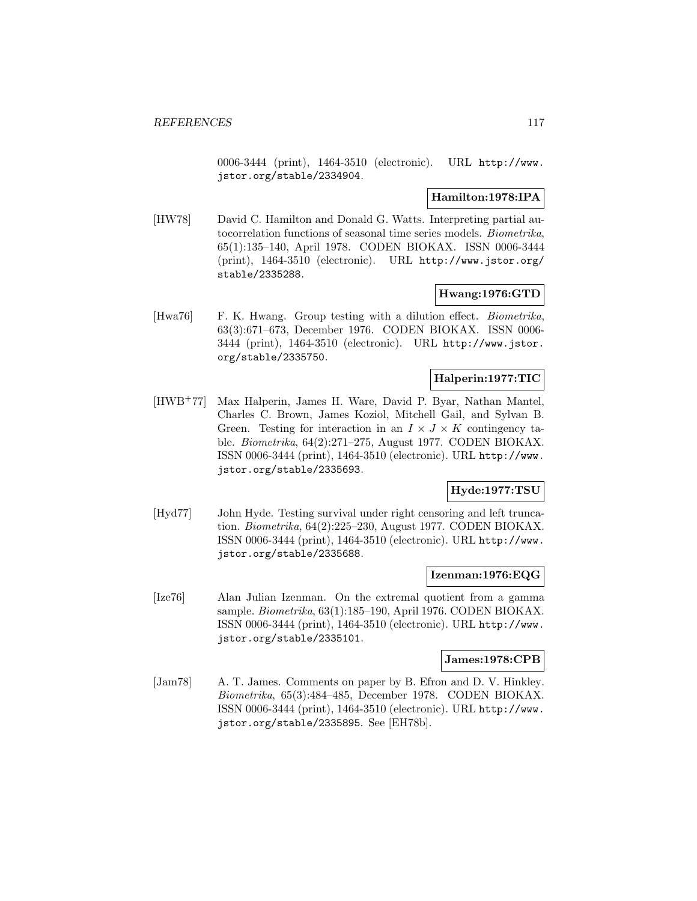0006-3444 (print), 1464-3510 (electronic). URL http://www. jstor.org/stable/2334904.

# **Hamilton:1978:IPA**

[HW78] David C. Hamilton and Donald G. Watts. Interpreting partial autocorrelation functions of seasonal time series models. Biometrika, 65(1):135–140, April 1978. CODEN BIOKAX. ISSN 0006-3444 (print), 1464-3510 (electronic). URL http://www.jstor.org/ stable/2335288.

### **Hwang:1976:GTD**

[Hwa76] F. K. Hwang. Group testing with a dilution effect. *Biometrika*, 63(3):671–673, December 1976. CODEN BIOKAX. ISSN 0006- 3444 (print), 1464-3510 (electronic). URL http://www.jstor. org/stable/2335750.

## **Halperin:1977:TIC**

[HWB<sup>+</sup>77] Max Halperin, James H. Ware, David P. Byar, Nathan Mantel, Charles C. Brown, James Koziol, Mitchell Gail, and Sylvan B. Green. Testing for interaction in an  $I \times J \times K$  contingency table. Biometrika, 64(2):271–275, August 1977. CODEN BIOKAX. ISSN 0006-3444 (print), 1464-3510 (electronic). URL http://www. jstor.org/stable/2335693.

# **Hyde:1977:TSU**

[Hyd77] John Hyde. Testing survival under right censoring and left truncation. Biometrika, 64(2):225–230, August 1977. CODEN BIOKAX. ISSN 0006-3444 (print), 1464-3510 (electronic). URL http://www. jstor.org/stable/2335688.

#### **Izenman:1976:EQG**

[Ize76] Alan Julian Izenman. On the extremal quotient from a gamma sample. Biometrika, 63(1):185–190, April 1976. CODEN BIOKAX. ISSN 0006-3444 (print), 1464-3510 (electronic). URL http://www. jstor.org/stable/2335101.

### **James:1978:CPB**

[Jam78] A. T. James. Comments on paper by B. Efron and D. V. Hinkley. Biometrika, 65(3):484–485, December 1978. CODEN BIOKAX. ISSN 0006-3444 (print), 1464-3510 (electronic). URL http://www. jstor.org/stable/2335895. See [EH78b].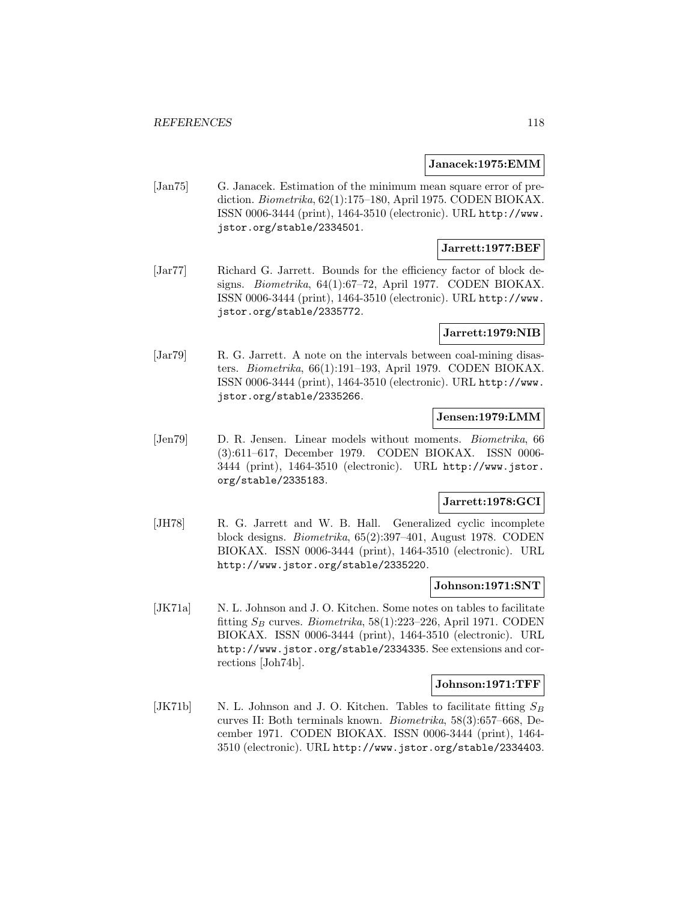#### **Janacek:1975:EMM**

[Jan75] G. Janacek. Estimation of the minimum mean square error of prediction. Biometrika, 62(1):175–180, April 1975. CODEN BIOKAX. ISSN 0006-3444 (print), 1464-3510 (electronic). URL http://www. jstor.org/stable/2334501.

### **Jarrett:1977:BEF**

[Jar77] Richard G. Jarrett. Bounds for the efficiency factor of block designs. Biometrika, 64(1):67–72, April 1977. CODEN BIOKAX. ISSN 0006-3444 (print), 1464-3510 (electronic). URL http://www. jstor.org/stable/2335772.

### **Jarrett:1979:NIB**

[Jar79] R. G. Jarrett. A note on the intervals between coal-mining disasters. Biometrika, 66(1):191–193, April 1979. CODEN BIOKAX. ISSN 0006-3444 (print), 1464-3510 (electronic). URL http://www. jstor.org/stable/2335266.

### **Jensen:1979:LMM**

[Jen79] D. R. Jensen. Linear models without moments. Biometrika, 66 (3):611–617, December 1979. CODEN BIOKAX. ISSN 0006- 3444 (print), 1464-3510 (electronic). URL http://www.jstor. org/stable/2335183.

### **Jarrett:1978:GCI**

[JH78] R. G. Jarrett and W. B. Hall. Generalized cyclic incomplete block designs. Biometrika, 65(2):397–401, August 1978. CODEN BIOKAX. ISSN 0006-3444 (print), 1464-3510 (electronic). URL http://www.jstor.org/stable/2335220.

#### **Johnson:1971:SNT**

[JK71a] N. L. Johnson and J. O. Kitchen. Some notes on tables to facilitate fitting  $S_B$  curves. *Biometrika*, 58(1):223-226, April 1971. CODEN BIOKAX. ISSN 0006-3444 (print), 1464-3510 (electronic). URL http://www.jstor.org/stable/2334335. See extensions and corrections [Joh74b].

#### **Johnson:1971:TFF**

[JK71b] N. L. Johnson and J. O. Kitchen. Tables to facilitate fitting  $S_B$ curves II: Both terminals known. Biometrika, 58(3):657–668, December 1971. CODEN BIOKAX. ISSN 0006-3444 (print), 1464- 3510 (electronic). URL http://www.jstor.org/stable/2334403.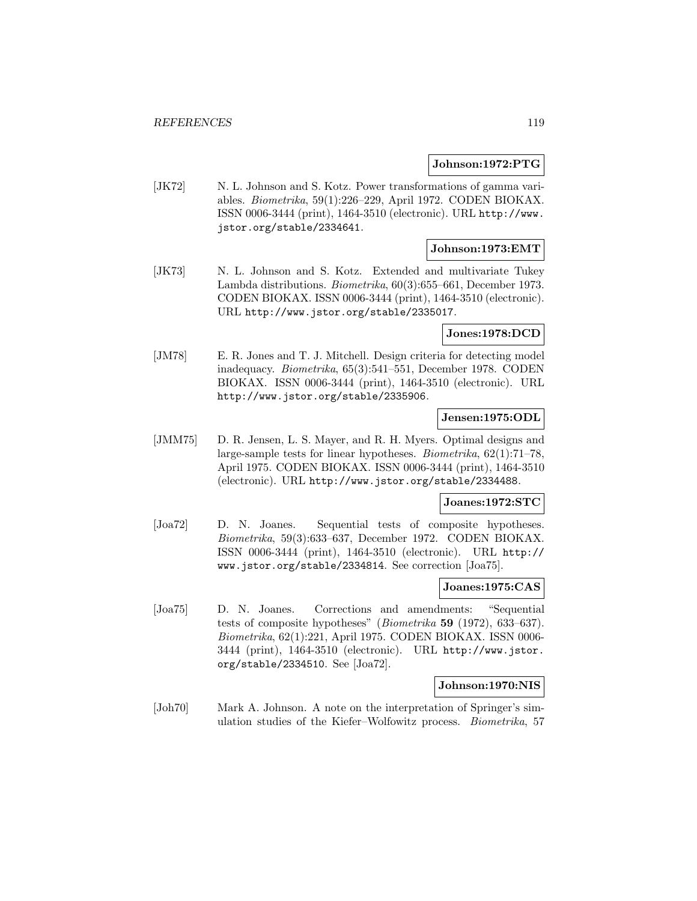#### **Johnson:1972:PTG**

[JK72] N. L. Johnson and S. Kotz. Power transformations of gamma variables. Biometrika, 59(1):226–229, April 1972. CODEN BIOKAX. ISSN 0006-3444 (print), 1464-3510 (electronic). URL http://www. jstor.org/stable/2334641.

### **Johnson:1973:EMT**

[JK73] N. L. Johnson and S. Kotz. Extended and multivariate Tukey Lambda distributions. Biometrika, 60(3):655–661, December 1973. CODEN BIOKAX. ISSN 0006-3444 (print), 1464-3510 (electronic). URL http://www.jstor.org/stable/2335017.

### **Jones:1978:DCD**

[JM78] E. R. Jones and T. J. Mitchell. Design criteria for detecting model inadequacy. Biometrika, 65(3):541–551, December 1978. CODEN BIOKAX. ISSN 0006-3444 (print), 1464-3510 (electronic). URL http://www.jstor.org/stable/2335906.

### **Jensen:1975:ODL**

[JMM75] D. R. Jensen, L. S. Mayer, and R. H. Myers. Optimal designs and large-sample tests for linear hypotheses. Biometrika, 62(1):71–78, April 1975. CODEN BIOKAX. ISSN 0006-3444 (print), 1464-3510 (electronic). URL http://www.jstor.org/stable/2334488.

### **Joanes:1972:STC**

[Joa72] D. N. Joanes. Sequential tests of composite hypotheses. Biometrika, 59(3):633–637, December 1972. CODEN BIOKAX. ISSN 0006-3444 (print), 1464-3510 (electronic). URL http:// www.jstor.org/stable/2334814. See correction [Joa75].

#### **Joanes:1975:CAS**

[Joa75] D. N. Joanes. Corrections and amendments: "Sequential tests of composite hypotheses" (Biometrika **59** (1972), 633–637). Biometrika, 62(1):221, April 1975. CODEN BIOKAX. ISSN 0006- 3444 (print), 1464-3510 (electronic). URL http://www.jstor. org/stable/2334510. See [Joa72].

#### **Johnson:1970:NIS**

[Joh70] Mark A. Johnson. A note on the interpretation of Springer's simulation studies of the Kiefer–Wolfowitz process. Biometrika, 57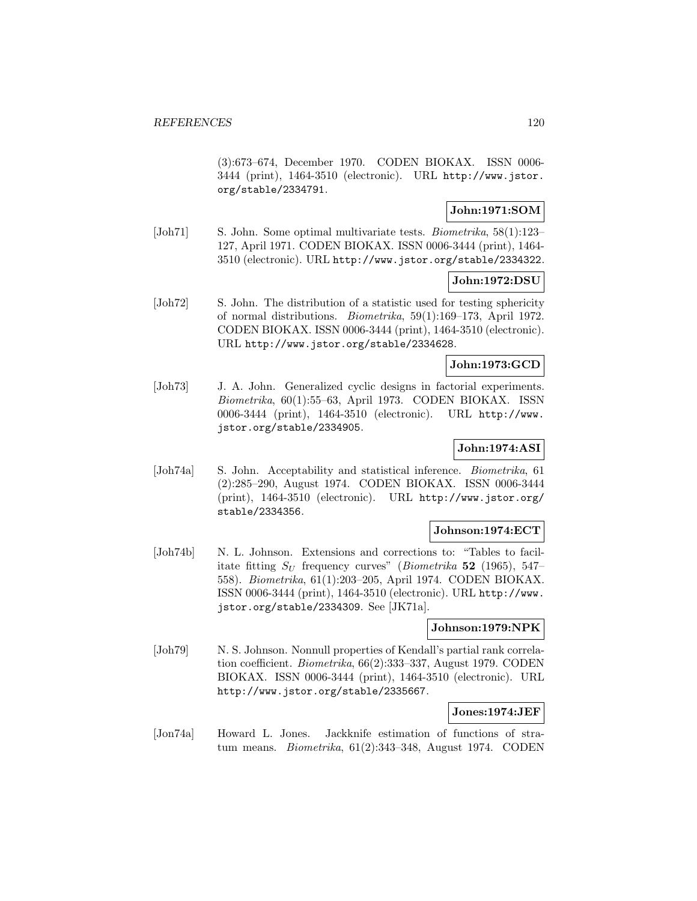(3):673–674, December 1970. CODEN BIOKAX. ISSN 0006- 3444 (print), 1464-3510 (electronic). URL http://www.jstor. org/stable/2334791.

# **John:1971:SOM**

[Joh71] S. John. Some optimal multivariate tests. Biometrika, 58(1):123– 127, April 1971. CODEN BIOKAX. ISSN 0006-3444 (print), 1464- 3510 (electronic). URL http://www.jstor.org/stable/2334322.

### **John:1972:DSU**

[Joh72] S. John. The distribution of a statistic used for testing sphericity of normal distributions. Biometrika, 59(1):169–173, April 1972. CODEN BIOKAX. ISSN 0006-3444 (print), 1464-3510 (electronic). URL http://www.jstor.org/stable/2334628.

### **John:1973:GCD**

[Joh73] J. A. John. Generalized cyclic designs in factorial experiments. Biometrika, 60(1):55–63, April 1973. CODEN BIOKAX. ISSN 0006-3444 (print), 1464-3510 (electronic). URL http://www. jstor.org/stable/2334905.

# **John:1974:ASI**

[Joh74a] S. John. Acceptability and statistical inference. Biometrika, 61 (2):285–290, August 1974. CODEN BIOKAX. ISSN 0006-3444 (print), 1464-3510 (electronic). URL http://www.jstor.org/ stable/2334356.

### **Johnson:1974:ECT**

[Joh74b] N. L. Johnson. Extensions and corrections to: "Tables to facilitate fitting  $S_U$  frequency curves" (*Biometrika* **52** (1965), 547– 558). Biometrika, 61(1):203–205, April 1974. CODEN BIOKAX. ISSN 0006-3444 (print), 1464-3510 (electronic). URL http://www. jstor.org/stable/2334309. See [JK71a].

### **Johnson:1979:NPK**

[Joh79] N. S. Johnson. Nonnull properties of Kendall's partial rank correlation coefficient. Biometrika, 66(2):333–337, August 1979. CODEN BIOKAX. ISSN 0006-3444 (print), 1464-3510 (electronic). URL http://www.jstor.org/stable/2335667.

# **Jones:1974:JEF**

[Jon74a] Howard L. Jones. Jackknife estimation of functions of stratum means. Biometrika, 61(2):343–348, August 1974. CODEN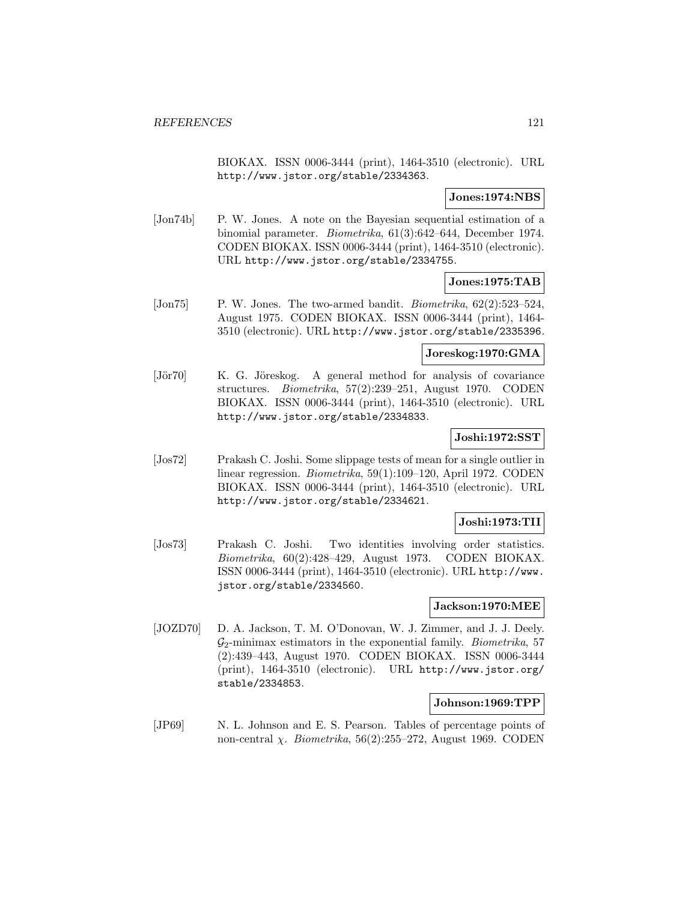BIOKAX. ISSN 0006-3444 (print), 1464-3510 (electronic). URL http://www.jstor.org/stable/2334363.

### **Jones:1974:NBS**

[Jon74b] P. W. Jones. A note on the Bayesian sequential estimation of a binomial parameter. Biometrika, 61(3):642–644, December 1974. CODEN BIOKAX. ISSN 0006-3444 (print), 1464-3510 (electronic). URL http://www.jstor.org/stable/2334755.

### **Jones:1975:TAB**

[Jon75] P. W. Jones. The two-armed bandit. *Biometrika*, 62(2):523–524, August 1975. CODEN BIOKAX. ISSN 0006-3444 (print), 1464- 3510 (electronic). URL http://www.jstor.org/stable/2335396.

### **Joreskog:1970:GMA**

[Jör70] K. G. Jöreskog. A general method for analysis of covariance structures. Biometrika, 57(2):239–251, August 1970. CODEN BIOKAX. ISSN 0006-3444 (print), 1464-3510 (electronic). URL http://www.jstor.org/stable/2334833.

### **Joshi:1972:SST**

[Jos72] Prakash C. Joshi. Some slippage tests of mean for a single outlier in linear regression. Biometrika, 59(1):109–120, April 1972. CODEN BIOKAX. ISSN 0006-3444 (print), 1464-3510 (electronic). URL http://www.jstor.org/stable/2334621.

### **Joshi:1973:TII**

[Jos73] Prakash C. Joshi. Two identities involving order statistics. Biometrika, 60(2):428–429, August 1973. CODEN BIOKAX. ISSN 0006-3444 (print), 1464-3510 (electronic). URL http://www. jstor.org/stable/2334560.

### **Jackson:1970:MEE**

[JOZD70] D. A. Jackson, T. M. O'Donovan, W. J. Zimmer, and J. J. Deely.  $\mathcal{G}_2$ -minimax estimators in the exponential family. *Biometrika*, 57 (2):439–443, August 1970. CODEN BIOKAX. ISSN 0006-3444 (print), 1464-3510 (electronic). URL http://www.jstor.org/ stable/2334853.

#### **Johnson:1969:TPP**

[JP69] N. L. Johnson and E. S. Pearson. Tables of percentage points of non-central *χ. Biometrika*,  $56(2):255-272$ , August 1969. CODEN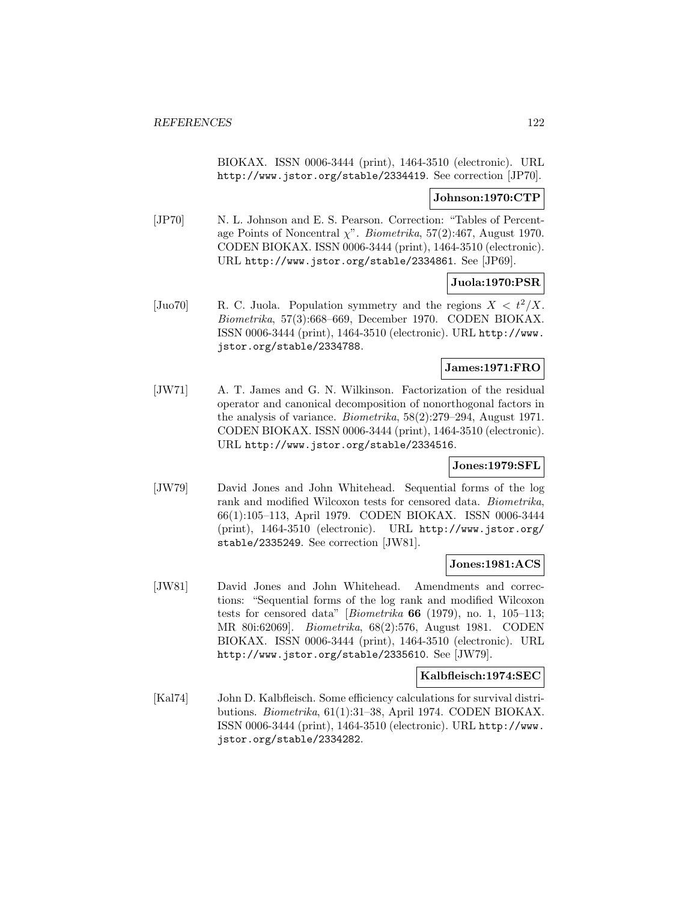BIOKAX. ISSN 0006-3444 (print), 1464-3510 (electronic). URL http://www.jstor.org/stable/2334419. See correction [JP70].

### **Johnson:1970:CTP**

[JP70] N. L. Johnson and E. S. Pearson. Correction: "Tables of Percentage Points of Noncentral  $\chi$ ". *Biometrika*, 57(2):467, August 1970. CODEN BIOKAX. ISSN 0006-3444 (print), 1464-3510 (electronic). URL http://www.jstor.org/stable/2334861. See [JP69].

# **Juola:1970:PSR**

[Juo70] R. C. Juola. Population symmetry and the regions  $X < t^2/X$ . Biometrika, 57(3):668–669, December 1970. CODEN BIOKAX. ISSN 0006-3444 (print), 1464-3510 (electronic). URL http://www. jstor.org/stable/2334788.

### **James:1971:FRO**

[JW71] A. T. James and G. N. Wilkinson. Factorization of the residual operator and canonical decomposition of nonorthogonal factors in the analysis of variance. Biometrika, 58(2):279–294, August 1971. CODEN BIOKAX. ISSN 0006-3444 (print), 1464-3510 (electronic). URL http://www.jstor.org/stable/2334516.

### **Jones:1979:SFL**

[JW79] David Jones and John Whitehead. Sequential forms of the log rank and modified Wilcoxon tests for censored data. Biometrika, 66(1):105–113, April 1979. CODEN BIOKAX. ISSN 0006-3444 (print), 1464-3510 (electronic). URL http://www.jstor.org/ stable/2335249. See correction [JW81].

# **Jones:1981:ACS**

[JW81] David Jones and John Whitehead. Amendments and corrections: "Sequential forms of the log rank and modified Wilcoxon tests for censored data" [Biometrika **66** (1979), no. 1, 105–113; MR 80i:62069]. Biometrika, 68(2):576, August 1981. CODEN BIOKAX. ISSN 0006-3444 (print), 1464-3510 (electronic). URL http://www.jstor.org/stable/2335610. See [JW79].

### **Kalbfleisch:1974:SEC**

[Kal74] John D. Kalbfleisch. Some efficiency calculations for survival distributions. Biometrika, 61(1):31–38, April 1974. CODEN BIOKAX. ISSN 0006-3444 (print), 1464-3510 (electronic). URL http://www. jstor.org/stable/2334282.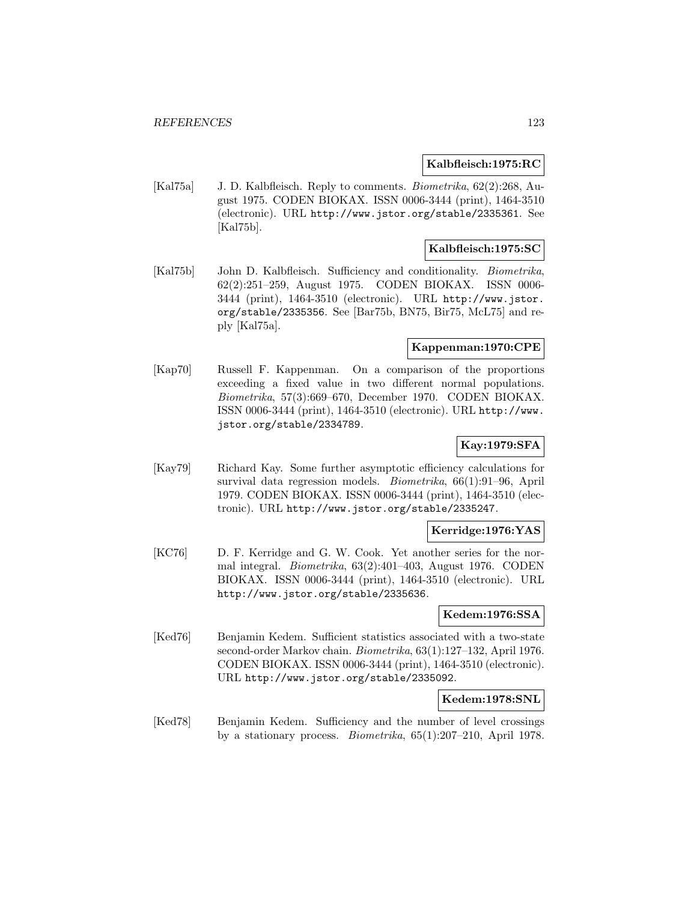#### **Kalbfleisch:1975:RC**

[Kal75a] J. D. Kalbfleisch. Reply to comments. *Biometrika*, 62(2):268, August 1975. CODEN BIOKAX. ISSN 0006-3444 (print), 1464-3510 (electronic). URL http://www.jstor.org/stable/2335361. See [Kal75b].

### **Kalbfleisch:1975:SC**

[Kal75b] John D. Kalbfleisch. Sufficiency and conditionality. *Biometrika*, 62(2):251–259, August 1975. CODEN BIOKAX. ISSN 0006- 3444 (print), 1464-3510 (electronic). URL http://www.jstor. org/stable/2335356. See [Bar75b, BN75, Bir75, McL75] and reply [Kal75a].

#### **Kappenman:1970:CPE**

[Kap70] Russell F. Kappenman. On a comparison of the proportions exceeding a fixed value in two different normal populations. Biometrika, 57(3):669–670, December 1970. CODEN BIOKAX. ISSN 0006-3444 (print), 1464-3510 (electronic). URL http://www. jstor.org/stable/2334789.

# **Kay:1979:SFA**

[Kay79] Richard Kay. Some further asymptotic efficiency calculations for survival data regression models. Biometrika, 66(1):91–96, April 1979. CODEN BIOKAX. ISSN 0006-3444 (print), 1464-3510 (electronic). URL http://www.jstor.org/stable/2335247.

### **Kerridge:1976:YAS**

[KC76] D. F. Kerridge and G. W. Cook. Yet another series for the normal integral. Biometrika, 63(2):401–403, August 1976. CODEN BIOKAX. ISSN 0006-3444 (print), 1464-3510 (electronic). URL http://www.jstor.org/stable/2335636.

#### **Kedem:1976:SSA**

[Ked76] Benjamin Kedem. Sufficient statistics associated with a two-state second-order Markov chain. Biometrika, 63(1):127–132, April 1976. CODEN BIOKAX. ISSN 0006-3444 (print), 1464-3510 (electronic). URL http://www.jstor.org/stable/2335092.

### **Kedem:1978:SNL**

[Ked78] Benjamin Kedem. Sufficiency and the number of level crossings by a stationary process. Biometrika, 65(1):207–210, April 1978.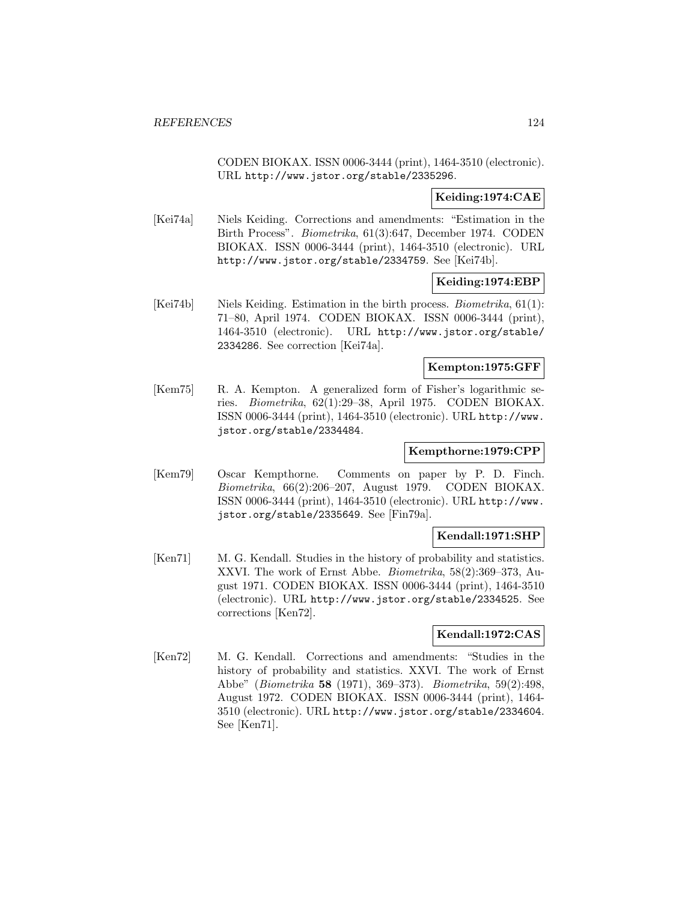CODEN BIOKAX. ISSN 0006-3444 (print), 1464-3510 (electronic). URL http://www.jstor.org/stable/2335296.

### **Keiding:1974:CAE**

[Kei74a] Niels Keiding. Corrections and amendments: "Estimation in the Birth Process". Biometrika, 61(3):647, December 1974. CODEN BIOKAX. ISSN 0006-3444 (print), 1464-3510 (electronic). URL http://www.jstor.org/stable/2334759. See [Kei74b].

### **Keiding:1974:EBP**

[Kei74b] Niels Keiding. Estimation in the birth process. Biometrika, 61(1): 71–80, April 1974. CODEN BIOKAX. ISSN 0006-3444 (print), 1464-3510 (electronic). URL http://www.jstor.org/stable/ 2334286. See correction [Kei74a].

### **Kempton:1975:GFF**

[Kem75] R. A. Kempton. A generalized form of Fisher's logarithmic series. Biometrika, 62(1):29–38, April 1975. CODEN BIOKAX. ISSN 0006-3444 (print), 1464-3510 (electronic). URL http://www. jstor.org/stable/2334484.

# **Kempthorne:1979:CPP**

[Kem79] Oscar Kempthorne. Comments on paper by P. D. Finch. Biometrika, 66(2):206–207, August 1979. CODEN BIOKAX. ISSN 0006-3444 (print), 1464-3510 (electronic). URL http://www. jstor.org/stable/2335649. See [Fin79a].

### **Kendall:1971:SHP**

[Ken71] M. G. Kendall. Studies in the history of probability and statistics. XXVI. The work of Ernst Abbe. Biometrika, 58(2):369–373, August 1971. CODEN BIOKAX. ISSN 0006-3444 (print), 1464-3510 (electronic). URL http://www.jstor.org/stable/2334525. See corrections [Ken72].

### **Kendall:1972:CAS**

[Ken72] M. G. Kendall. Corrections and amendments: "Studies in the history of probability and statistics. XXVI. The work of Ernst Abbe" (Biometrika **58** (1971), 369–373). Biometrika, 59(2):498, August 1972. CODEN BIOKAX. ISSN 0006-3444 (print), 1464- 3510 (electronic). URL http://www.jstor.org/stable/2334604. See [Ken71].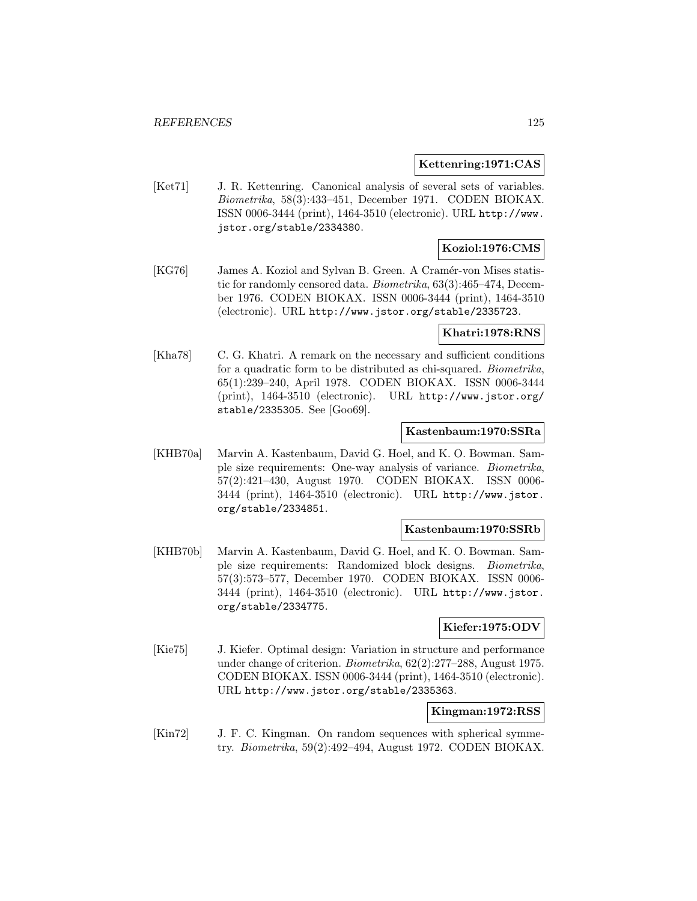### **Kettenring:1971:CAS**

[Ket71] J. R. Kettenring. Canonical analysis of several sets of variables. Biometrika, 58(3):433–451, December 1971. CODEN BIOKAX. ISSN 0006-3444 (print), 1464-3510 (electronic). URL http://www. jstor.org/stable/2334380.

### **Koziol:1976:CMS**

[KG76] James A. Koziol and Sylvan B. Green. A Cramér-von Mises statistic for randomly censored data. Biometrika, 63(3):465–474, December 1976. CODEN BIOKAX. ISSN 0006-3444 (print), 1464-3510 (electronic). URL http://www.jstor.org/stable/2335723.

#### **Khatri:1978:RNS**

[Kha78] C. G. Khatri. A remark on the necessary and sufficient conditions for a quadratic form to be distributed as chi-squared. Biometrika, 65(1):239–240, April 1978. CODEN BIOKAX. ISSN 0006-3444 (print), 1464-3510 (electronic). URL http://www.jstor.org/ stable/2335305. See [Goo69].

### **Kastenbaum:1970:SSRa**

[KHB70a] Marvin A. Kastenbaum, David G. Hoel, and K. O. Bowman. Sample size requirements: One-way analysis of variance. Biometrika, 57(2):421–430, August 1970. CODEN BIOKAX. ISSN 0006- 3444 (print), 1464-3510 (electronic). URL http://www.jstor. org/stable/2334851.

### **Kastenbaum:1970:SSRb**

[KHB70b] Marvin A. Kastenbaum, David G. Hoel, and K. O. Bowman. Sample size requirements: Randomized block designs. Biometrika, 57(3):573–577, December 1970. CODEN BIOKAX. ISSN 0006- 3444 (print), 1464-3510 (electronic). URL http://www.jstor. org/stable/2334775.

### **Kiefer:1975:ODV**

[Kie75] J. Kiefer. Optimal design: Variation in structure and performance under change of criterion. Biometrika, 62(2):277–288, August 1975. CODEN BIOKAX. ISSN 0006-3444 (print), 1464-3510 (electronic). URL http://www.jstor.org/stable/2335363.

### **Kingman:1972:RSS**

[Kin72] J. F. C. Kingman. On random sequences with spherical symmetry. Biometrika, 59(2):492–494, August 1972. CODEN BIOKAX.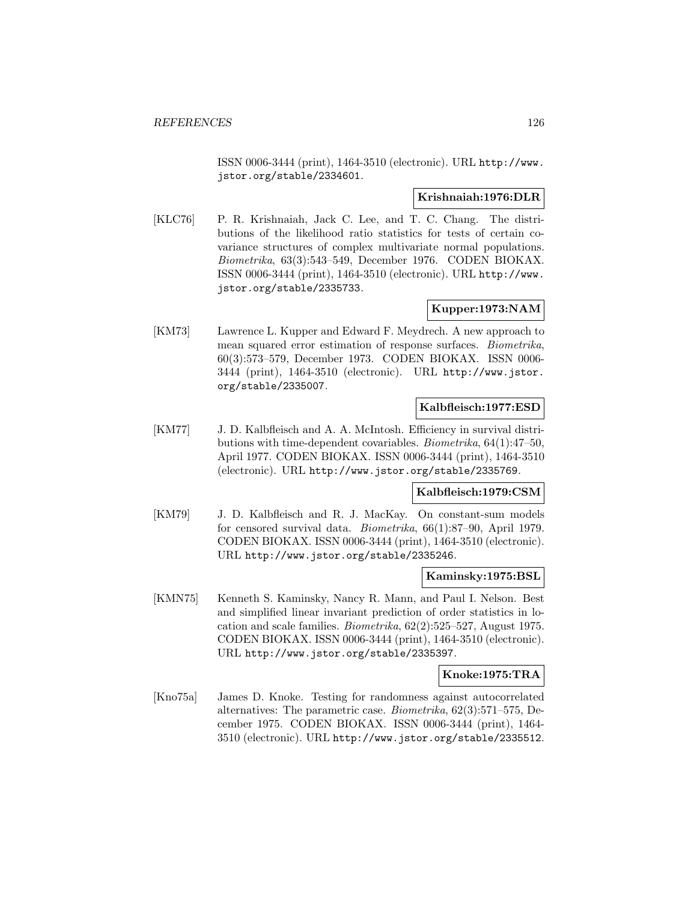ISSN 0006-3444 (print), 1464-3510 (electronic). URL http://www. jstor.org/stable/2334601.

# **Krishnaiah:1976:DLR**

[KLC76] P. R. Krishnaiah, Jack C. Lee, and T. C. Chang. The distributions of the likelihood ratio statistics for tests of certain covariance structures of complex multivariate normal populations. Biometrika, 63(3):543–549, December 1976. CODEN BIOKAX. ISSN 0006-3444 (print), 1464-3510 (electronic). URL http://www. jstor.org/stable/2335733.

# **Kupper:1973:NAM**

[KM73] Lawrence L. Kupper and Edward F. Meydrech. A new approach to mean squared error estimation of response surfaces. Biometrika, 60(3):573–579, December 1973. CODEN BIOKAX. ISSN 0006- 3444 (print), 1464-3510 (electronic). URL http://www.jstor. org/stable/2335007.

### **Kalbfleisch:1977:ESD**

[KM77] J. D. Kalbfleisch and A. A. McIntosh. Efficiency in survival distributions with time-dependent covariables. Biometrika, 64(1):47–50, April 1977. CODEN BIOKAX. ISSN 0006-3444 (print), 1464-3510 (electronic). URL http://www.jstor.org/stable/2335769.

### **Kalbfleisch:1979:CSM**

[KM79] J. D. Kalbfleisch and R. J. MacKay. On constant-sum models for censored survival data. Biometrika, 66(1):87–90, April 1979. CODEN BIOKAX. ISSN 0006-3444 (print), 1464-3510 (electronic). URL http://www.jstor.org/stable/2335246.

#### **Kaminsky:1975:BSL**

[KMN75] Kenneth S. Kaminsky, Nancy R. Mann, and Paul I. Nelson. Best and simplified linear invariant prediction of order statistics in location and scale families. Biometrika, 62(2):525–527, August 1975. CODEN BIOKAX. ISSN 0006-3444 (print), 1464-3510 (electronic). URL http://www.jstor.org/stable/2335397.

### **Knoke:1975:TRA**

[Kno75a] James D. Knoke. Testing for randomness against autocorrelated alternatives: The parametric case. Biometrika, 62(3):571–575, December 1975. CODEN BIOKAX. ISSN 0006-3444 (print), 1464- 3510 (electronic). URL http://www.jstor.org/stable/2335512.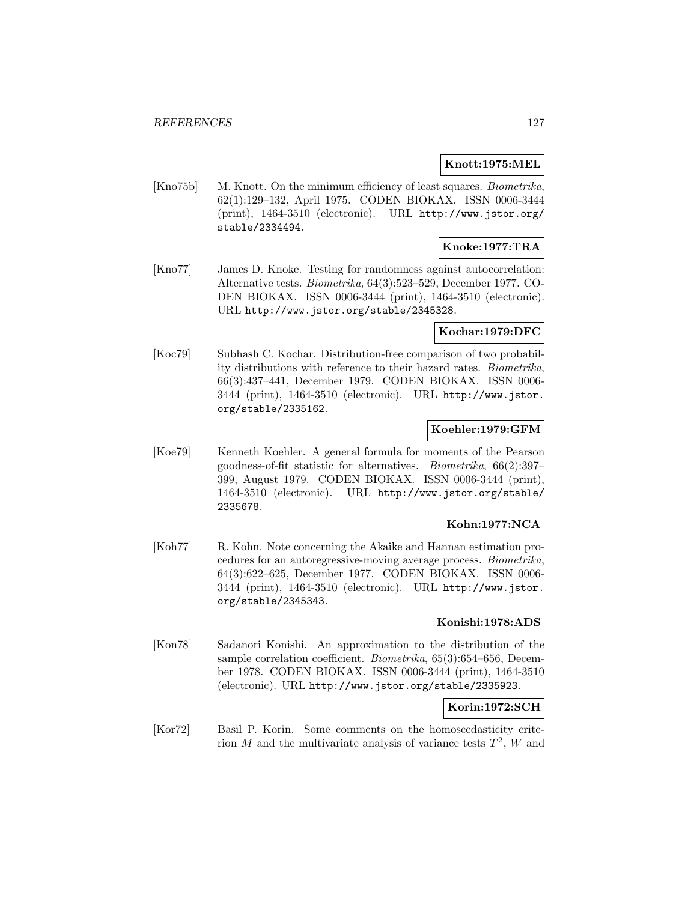### **Knott:1975:MEL**

[Kno75b] M. Knott. On the minimum efficiency of least squares. *Biometrika*, 62(1):129–132, April 1975. CODEN BIOKAX. ISSN 0006-3444 (print), 1464-3510 (electronic). URL http://www.jstor.org/ stable/2334494.

# **Knoke:1977:TRA**

[Kno77] James D. Knoke. Testing for randomness against autocorrelation: Alternative tests. Biometrika, 64(3):523–529, December 1977. CO-DEN BIOKAX. ISSN 0006-3444 (print), 1464-3510 (electronic). URL http://www.jstor.org/stable/2345328.

### **Kochar:1979:DFC**

[Koc79] Subhash C. Kochar. Distribution-free comparison of two probability distributions with reference to their hazard rates. Biometrika, 66(3):437–441, December 1979. CODEN BIOKAX. ISSN 0006- 3444 (print), 1464-3510 (electronic). URL http://www.jstor. org/stable/2335162.

# **Koehler:1979:GFM**

[Koe79] Kenneth Koehler. A general formula for moments of the Pearson goodness-of-fit statistic for alternatives. Biometrika, 66(2):397– 399, August 1979. CODEN BIOKAX. ISSN 0006-3444 (print), 1464-3510 (electronic). URL http://www.jstor.org/stable/ 2335678.

# **Kohn:1977:NCA**

[Koh77] R. Kohn. Note concerning the Akaike and Hannan estimation procedures for an autoregressive-moving average process. Biometrika, 64(3):622–625, December 1977. CODEN BIOKAX. ISSN 0006- 3444 (print), 1464-3510 (electronic). URL http://www.jstor. org/stable/2345343.

# **Konishi:1978:ADS**

[Kon78] Sadanori Konishi. An approximation to the distribution of the sample correlation coefficient. Biometrika, 65(3):654–656, December 1978. CODEN BIOKAX. ISSN 0006-3444 (print), 1464-3510 (electronic). URL http://www.jstor.org/stable/2335923.

# **Korin:1972:SCH**

[Kor72] Basil P. Korin. Some comments on the homoscedasticity criterion M and the multivariate analysis of variance tests  $T^2$ , W and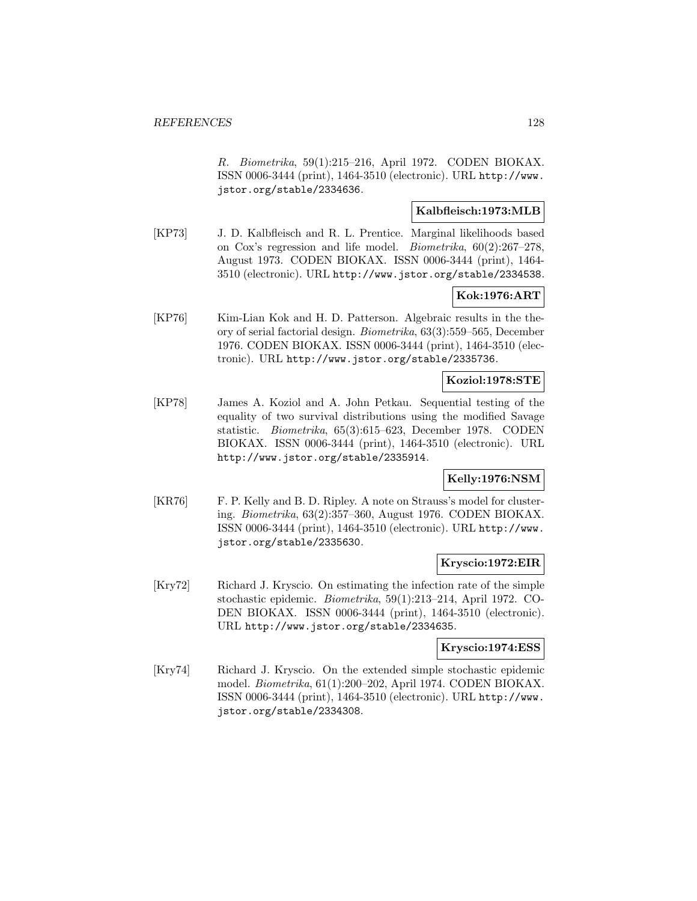R. Biometrika, 59(1):215–216, April 1972. CODEN BIOKAX. ISSN 0006-3444 (print), 1464-3510 (electronic). URL http://www. jstor.org/stable/2334636.

## **Kalbfleisch:1973:MLB**

[KP73] J. D. Kalbfleisch and R. L. Prentice. Marginal likelihoods based on Cox's regression and life model. Biometrika, 60(2):267–278, August 1973. CODEN BIOKAX. ISSN 0006-3444 (print), 1464- 3510 (electronic). URL http://www.jstor.org/stable/2334538.

# **Kok:1976:ART**

[KP76] Kim-Lian Kok and H. D. Patterson. Algebraic results in the theory of serial factorial design. Biometrika, 63(3):559–565, December 1976. CODEN BIOKAX. ISSN 0006-3444 (print), 1464-3510 (electronic). URL http://www.jstor.org/stable/2335736.

### **Koziol:1978:STE**

[KP78] James A. Koziol and A. John Petkau. Sequential testing of the equality of two survival distributions using the modified Savage statistic. Biometrika, 65(3):615–623, December 1978. CODEN BIOKAX. ISSN 0006-3444 (print), 1464-3510 (electronic). URL http://www.jstor.org/stable/2335914.

# **Kelly:1976:NSM**

[KR76] F. P. Kelly and B. D. Ripley. A note on Strauss's model for clustering. Biometrika, 63(2):357–360, August 1976. CODEN BIOKAX. ISSN 0006-3444 (print), 1464-3510 (electronic). URL http://www. jstor.org/stable/2335630.

### **Kryscio:1972:EIR**

[Kry72] Richard J. Kryscio. On estimating the infection rate of the simple stochastic epidemic. Biometrika, 59(1):213–214, April 1972. CO-DEN BIOKAX. ISSN 0006-3444 (print), 1464-3510 (electronic). URL http://www.jstor.org/stable/2334635.

### **Kryscio:1974:ESS**

[Kry74] Richard J. Kryscio. On the extended simple stochastic epidemic model. Biometrika, 61(1):200–202, April 1974. CODEN BIOKAX. ISSN 0006-3444 (print), 1464-3510 (electronic). URL http://www. jstor.org/stable/2334308.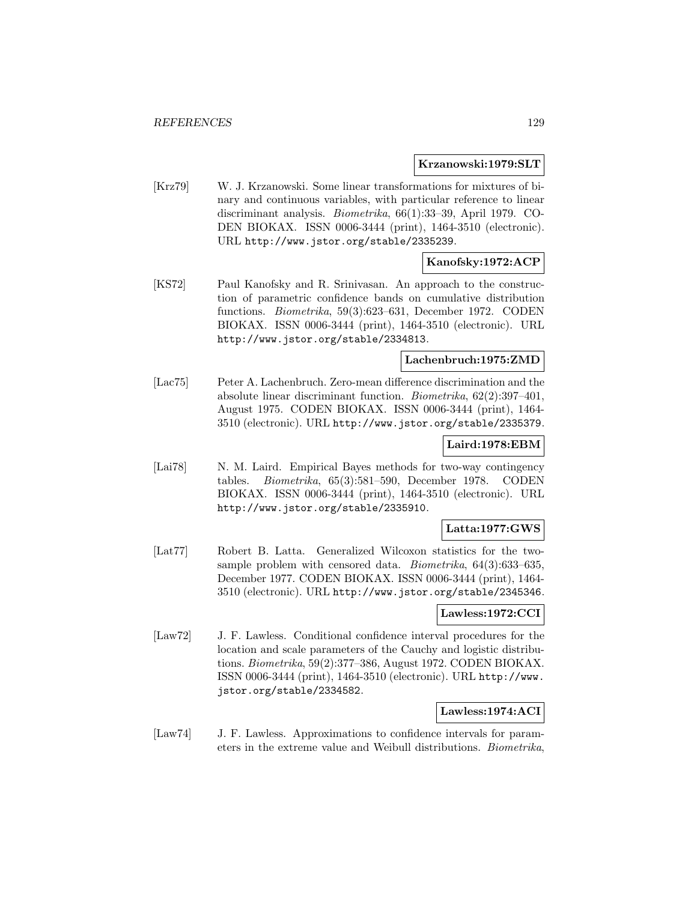#### **Krzanowski:1979:SLT**

[Krz79] W. J. Krzanowski. Some linear transformations for mixtures of binary and continuous variables, with particular reference to linear discriminant analysis. Biometrika, 66(1):33–39, April 1979. CO-DEN BIOKAX. ISSN 0006-3444 (print), 1464-3510 (electronic). URL http://www.jstor.org/stable/2335239.

# **Kanofsky:1972:ACP**

[KS72] Paul Kanofsky and R. Srinivasan. An approach to the construction of parametric confidence bands on cumulative distribution functions. Biometrika, 59(3):623–631, December 1972. CODEN BIOKAX. ISSN 0006-3444 (print), 1464-3510 (electronic). URL http://www.jstor.org/stable/2334813.

### **Lachenbruch:1975:ZMD**

[Lac75] Peter A. Lachenbruch. Zero-mean difference discrimination and the absolute linear discriminant function. Biometrika, 62(2):397–401, August 1975. CODEN BIOKAX. ISSN 0006-3444 (print), 1464- 3510 (electronic). URL http://www.jstor.org/stable/2335379.

### **Laird:1978:EBM**

[Lai78] N. M. Laird. Empirical Bayes methods for two-way contingency tables. Biometrika, 65(3):581–590, December 1978. CODEN BIOKAX. ISSN 0006-3444 (print), 1464-3510 (electronic). URL http://www.jstor.org/stable/2335910.

# **Latta:1977:GWS**

[Lat77] Robert B. Latta. Generalized Wilcoxon statistics for the twosample problem with censored data. Biometrika, 64(3):633–635, December 1977. CODEN BIOKAX. ISSN 0006-3444 (print), 1464- 3510 (electronic). URL http://www.jstor.org/stable/2345346.

### **Lawless:1972:CCI**

[Law72] J. F. Lawless. Conditional confidence interval procedures for the location and scale parameters of the Cauchy and logistic distributions. Biometrika, 59(2):377–386, August 1972. CODEN BIOKAX. ISSN 0006-3444 (print), 1464-3510 (electronic). URL http://www. jstor.org/stable/2334582.

### **Lawless:1974:ACI**

[Law74] J. F. Lawless. Approximations to confidence intervals for parameters in the extreme value and Weibull distributions. Biometrika,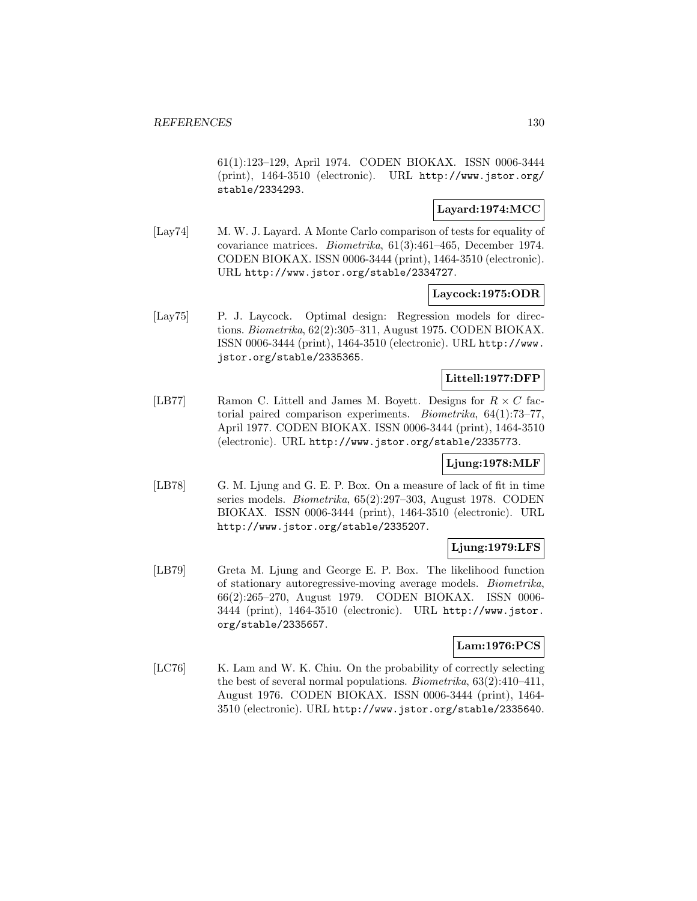61(1):123–129, April 1974. CODEN BIOKAX. ISSN 0006-3444 (print), 1464-3510 (electronic). URL http://www.jstor.org/ stable/2334293.

## **Layard:1974:MCC**

[Lay74] M. W. J. Layard. A Monte Carlo comparison of tests for equality of covariance matrices. Biometrika, 61(3):461–465, December 1974. CODEN BIOKAX. ISSN 0006-3444 (print), 1464-3510 (electronic). URL http://www.jstor.org/stable/2334727.

### **Laycock:1975:ODR**

[Lay75] P. J. Laycock. Optimal design: Regression models for directions. Biometrika, 62(2):305–311, August 1975. CODEN BIOKAX. ISSN 0006-3444 (print), 1464-3510 (electronic). URL http://www. jstor.org/stable/2335365.

### **Littell:1977:DFP**

[LB77] Ramon C. Littell and James M. Boyett. Designs for  $R \times C$  factorial paired comparison experiments. Biometrika, 64(1):73–77, April 1977. CODEN BIOKAX. ISSN 0006-3444 (print), 1464-3510 (electronic). URL http://www.jstor.org/stable/2335773.

# **Ljung:1978:MLF**

[LB78] G. M. Ljung and G. E. P. Box. On a measure of lack of fit in time series models. Biometrika, 65(2):297–303, August 1978. CODEN BIOKAX. ISSN 0006-3444 (print), 1464-3510 (electronic). URL http://www.jstor.org/stable/2335207.

# **Ljung:1979:LFS**

[LB79] Greta M. Ljung and George E. P. Box. The likelihood function of stationary autoregressive-moving average models. Biometrika, 66(2):265–270, August 1979. CODEN BIOKAX. ISSN 0006- 3444 (print), 1464-3510 (electronic). URL http://www.jstor. org/stable/2335657.

### **Lam:1976:PCS**

[LC76] K. Lam and W. K. Chiu. On the probability of correctly selecting the best of several normal populations. Biometrika, 63(2):410–411, August 1976. CODEN BIOKAX. ISSN 0006-3444 (print), 1464- 3510 (electronic). URL http://www.jstor.org/stable/2335640.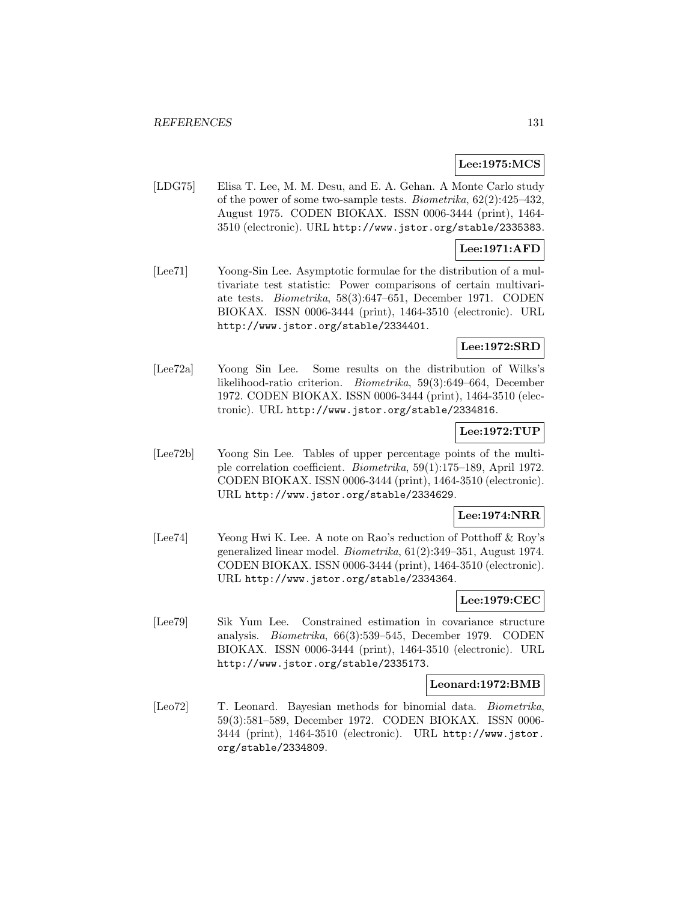# **Lee:1975:MCS**

[LDG75] Elisa T. Lee, M. M. Desu, and E. A. Gehan. A Monte Carlo study of the power of some two-sample tests. Biometrika, 62(2):425–432, August 1975. CODEN BIOKAX. ISSN 0006-3444 (print), 1464- 3510 (electronic). URL http://www.jstor.org/stable/2335383.

# **Lee:1971:AFD**

[Lee71] Yoong-Sin Lee. Asymptotic formulae for the distribution of a multivariate test statistic: Power comparisons of certain multivariate tests. Biometrika, 58(3):647–651, December 1971. CODEN BIOKAX. ISSN 0006-3444 (print), 1464-3510 (electronic). URL http://www.jstor.org/stable/2334401.

# **Lee:1972:SRD**

[Lee72a] Yoong Sin Lee. Some results on the distribution of Wilks's likelihood-ratio criterion. Biometrika, 59(3):649–664, December 1972. CODEN BIOKAX. ISSN 0006-3444 (print), 1464-3510 (electronic). URL http://www.jstor.org/stable/2334816.

## **Lee:1972:TUP**

[Lee72b] Yoong Sin Lee. Tables of upper percentage points of the multiple correlation coefficient. Biometrika, 59(1):175–189, April 1972. CODEN BIOKAX. ISSN 0006-3444 (print), 1464-3510 (electronic). URL http://www.jstor.org/stable/2334629.

### **Lee:1974:NRR**

[Lee74] Yeong Hwi K. Lee. A note on Rao's reduction of Potthoff & Roy's generalized linear model. Biometrika, 61(2):349–351, August 1974. CODEN BIOKAX. ISSN 0006-3444 (print), 1464-3510 (electronic). URL http://www.jstor.org/stable/2334364.

# **Lee:1979:CEC**

[Lee79] Sik Yum Lee. Constrained estimation in covariance structure analysis. Biometrika, 66(3):539–545, December 1979. CODEN BIOKAX. ISSN 0006-3444 (print), 1464-3510 (electronic). URL http://www.jstor.org/stable/2335173.

#### **Leonard:1972:BMB**

[Leo72] T. Leonard. Bayesian methods for binomial data. Biometrika, 59(3):581–589, December 1972. CODEN BIOKAX. ISSN 0006- 3444 (print), 1464-3510 (electronic). URL http://www.jstor. org/stable/2334809.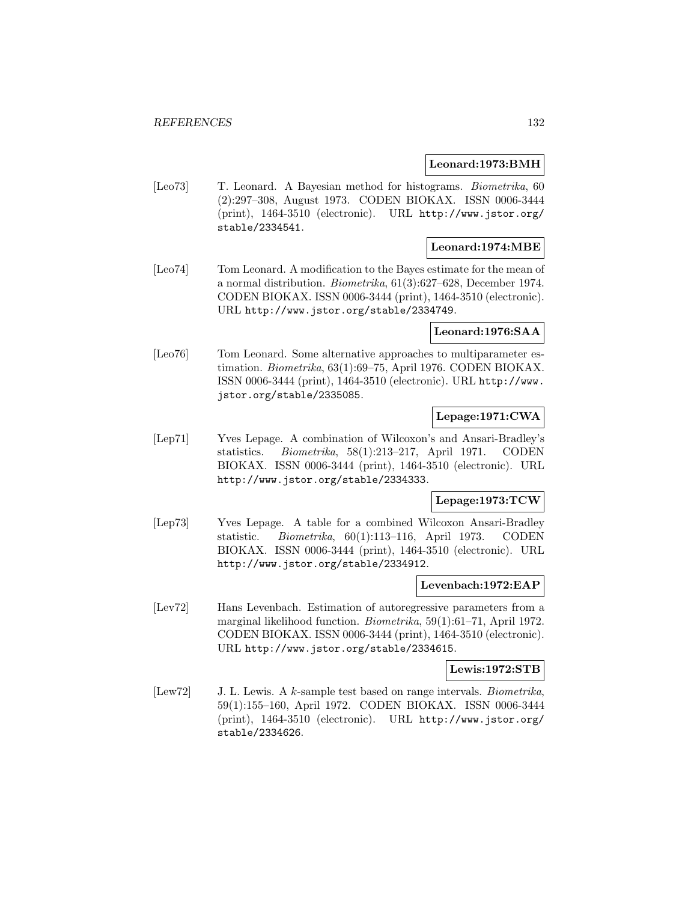#### **Leonard:1973:BMH**

[Leo73] T. Leonard. A Bayesian method for histograms. *Biometrika*, 60 (2):297–308, August 1973. CODEN BIOKAX. ISSN 0006-3444 (print), 1464-3510 (electronic). URL http://www.jstor.org/ stable/2334541.

# **Leonard:1974:MBE**

[Leo74] Tom Leonard. A modification to the Bayes estimate for the mean of a normal distribution. Biometrika, 61(3):627–628, December 1974. CODEN BIOKAX. ISSN 0006-3444 (print), 1464-3510 (electronic). URL http://www.jstor.org/stable/2334749.

### **Leonard:1976:SAA**

[Leo76] Tom Leonard. Some alternative approaches to multiparameter estimation. Biometrika, 63(1):69–75, April 1976. CODEN BIOKAX. ISSN 0006-3444 (print), 1464-3510 (electronic). URL http://www. jstor.org/stable/2335085.

# **Lepage:1971:CWA**

[Lep71] Yves Lepage. A combination of Wilcoxon's and Ansari-Bradley's statistics. Biometrika, 58(1):213–217, April 1971. CODEN BIOKAX. ISSN 0006-3444 (print), 1464-3510 (electronic). URL http://www.jstor.org/stable/2334333.

### **Lepage:1973:TCW**

[Lep73] Yves Lepage. A table for a combined Wilcoxon Ansari-Bradley statistic. Biometrika, 60(1):113–116, April 1973. CODEN BIOKAX. ISSN 0006-3444 (print), 1464-3510 (electronic). URL http://www.jstor.org/stable/2334912.

### **Levenbach:1972:EAP**

[Lev72] Hans Levenbach. Estimation of autoregressive parameters from a marginal likelihood function. Biometrika, 59(1):61–71, April 1972. CODEN BIOKAX. ISSN 0006-3444 (print), 1464-3510 (electronic). URL http://www.jstor.org/stable/2334615.

**Lewis:1972:STB**

[Lew72] J. L. Lewis. A k-sample test based on range intervals. *Biometrika*, 59(1):155–160, April 1972. CODEN BIOKAX. ISSN 0006-3444 (print), 1464-3510 (electronic). URL http://www.jstor.org/ stable/2334626.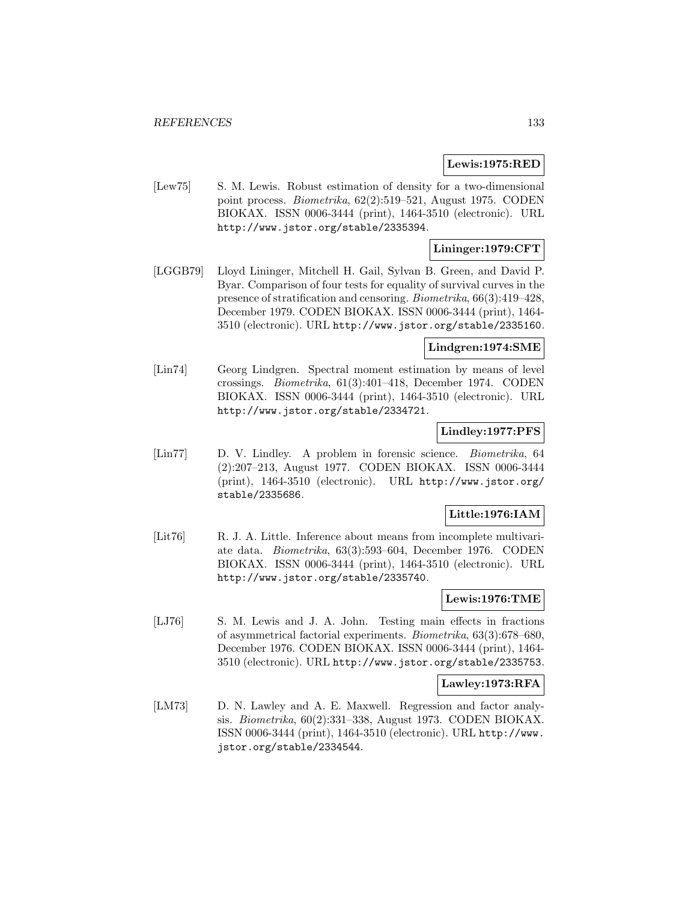### **Lewis:1975:RED**

[Lew75] S. M. Lewis. Robust estimation of density for a two-dimensional point process. Biometrika, 62(2):519–521, August 1975. CODEN BIOKAX. ISSN 0006-3444 (print), 1464-3510 (electronic). URL http://www.jstor.org/stable/2335394.

### **Lininger:1979:CFT**

[LGGB79] Lloyd Lininger, Mitchell H. Gail, Sylvan B. Green, and David P. Byar. Comparison of four tests for equality of survival curves in the presence of stratification and censoring. Biometrika, 66(3):419–428, December 1979. CODEN BIOKAX. ISSN 0006-3444 (print), 1464- 3510 (electronic). URL http://www.jstor.org/stable/2335160.

### **Lindgren:1974:SME**

[Lin74] Georg Lindgren. Spectral moment estimation by means of level crossings. Biometrika, 61(3):401–418, December 1974. CODEN BIOKAX. ISSN 0006-3444 (print), 1464-3510 (electronic). URL http://www.jstor.org/stable/2334721.

### **Lindley:1977:PFS**

[Lin77] D. V. Lindley. A problem in forensic science. Biometrika, 64 (2):207–213, August 1977. CODEN BIOKAX. ISSN 0006-3444 (print), 1464-3510 (electronic). URL http://www.jstor.org/ stable/2335686.

# **Little:1976:IAM**

[Lit76] R. J. A. Little. Inference about means from incomplete multivariate data. Biometrika, 63(3):593–604, December 1976. CODEN BIOKAX. ISSN 0006-3444 (print), 1464-3510 (electronic). URL http://www.jstor.org/stable/2335740.

### **Lewis:1976:TME**

[LJ76] S. M. Lewis and J. A. John. Testing main effects in fractions of asymmetrical factorial experiments. Biometrika, 63(3):678–680, December 1976. CODEN BIOKAX. ISSN 0006-3444 (print), 1464- 3510 (electronic). URL http://www.jstor.org/stable/2335753.

### **Lawley:1973:RFA**

[LM73] D. N. Lawley and A. E. Maxwell. Regression and factor analysis. Biometrika, 60(2):331–338, August 1973. CODEN BIOKAX. ISSN 0006-3444 (print), 1464-3510 (electronic). URL http://www. jstor.org/stable/2334544.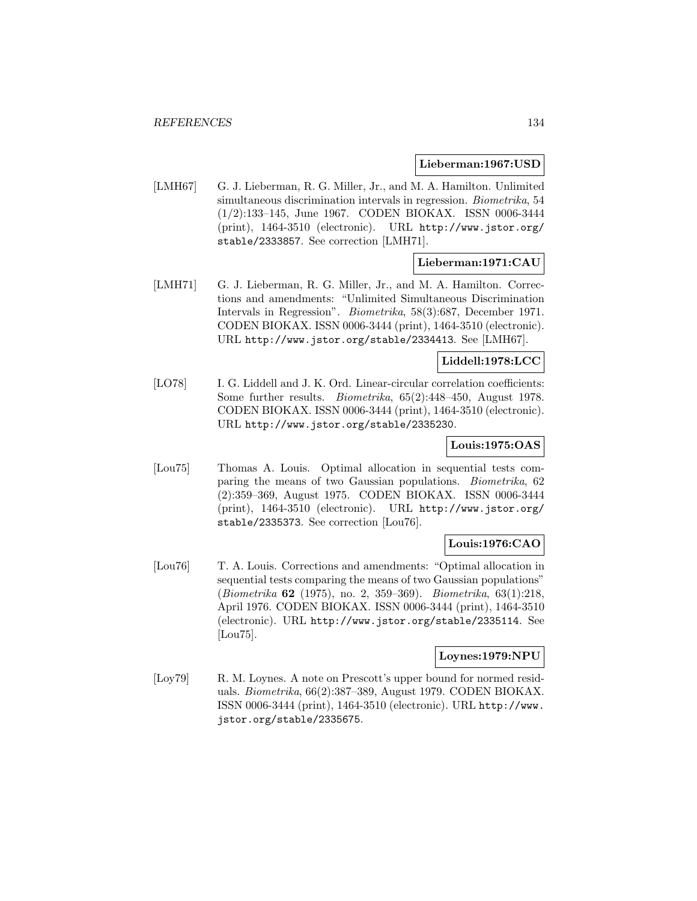#### **Lieberman:1967:USD**

[LMH67] G. J. Lieberman, R. G. Miller, Jr., and M. A. Hamilton. Unlimited simultaneous discrimination intervals in regression. Biometrika, 54 (1/2):133–145, June 1967. CODEN BIOKAX. ISSN 0006-3444 (print), 1464-3510 (electronic). URL http://www.jstor.org/ stable/2333857. See correction [LMH71].

# **Lieberman:1971:CAU**

[LMH71] G. J. Lieberman, R. G. Miller, Jr., and M. A. Hamilton. Corrections and amendments: "Unlimited Simultaneous Discrimination Intervals in Regression". Biometrika, 58(3):687, December 1971. CODEN BIOKAX. ISSN 0006-3444 (print), 1464-3510 (electronic). URL http://www.jstor.org/stable/2334413. See [LMH67].

#### **Liddell:1978:LCC**

[LO78] I. G. Liddell and J. K. Ord. Linear-circular correlation coefficients: Some further results. Biometrika, 65(2):448–450, August 1978. CODEN BIOKAX. ISSN 0006-3444 (print), 1464-3510 (electronic). URL http://www.jstor.org/stable/2335230.

### **Louis:1975:OAS**

[Lou75] Thomas A. Louis. Optimal allocation in sequential tests comparing the means of two Gaussian populations. Biometrika, 62 (2):359–369, August 1975. CODEN BIOKAX. ISSN 0006-3444 (print), 1464-3510 (electronic). URL http://www.jstor.org/ stable/2335373. See correction [Lou76].

# **Louis:1976:CAO**

[Lou76] T. A. Louis. Corrections and amendments: "Optimal allocation in sequential tests comparing the means of two Gaussian populations" (Biometrika **62** (1975), no. 2, 359–369). Biometrika, 63(1):218, April 1976. CODEN BIOKAX. ISSN 0006-3444 (print), 1464-3510 (electronic). URL http://www.jstor.org/stable/2335114. See [Lou75].

# **Loynes:1979:NPU**

[Loy79] R. M. Loynes. A note on Prescott's upper bound for normed residuals. Biometrika, 66(2):387–389, August 1979. CODEN BIOKAX. ISSN 0006-3444 (print), 1464-3510 (electronic). URL http://www. jstor.org/stable/2335675.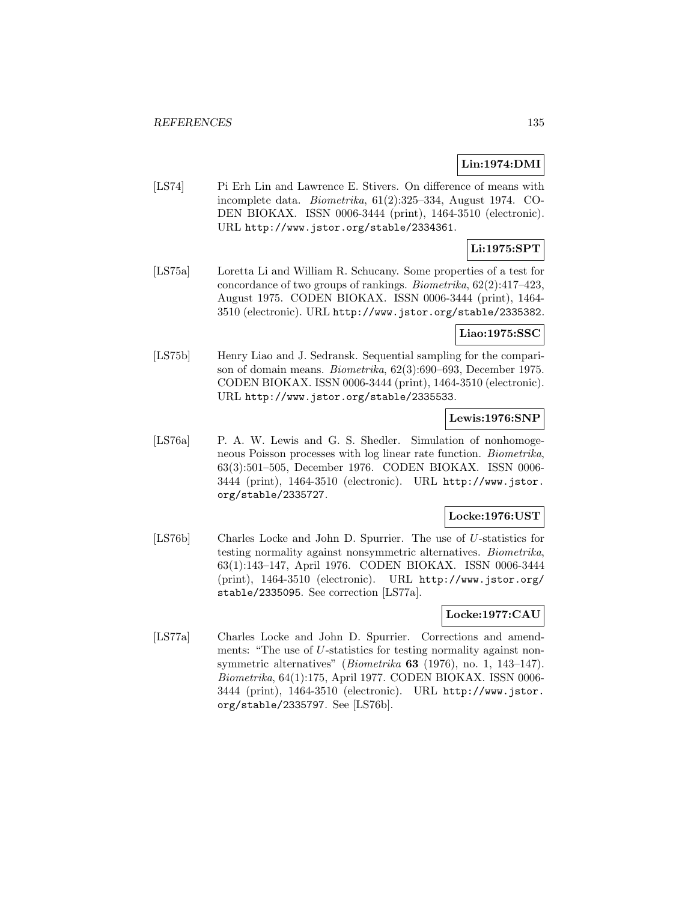# **Lin:1974:DMI**

[LS74] Pi Erh Lin and Lawrence E. Stivers. On difference of means with incomplete data. Biometrika, 61(2):325–334, August 1974. CO-DEN BIOKAX. ISSN 0006-3444 (print), 1464-3510 (electronic). URL http://www.jstor.org/stable/2334361.

# **Li:1975:SPT**

[LS75a] Loretta Li and William R. Schucany. Some properties of a test for concordance of two groups of rankings. Biometrika, 62(2):417–423, August 1975. CODEN BIOKAX. ISSN 0006-3444 (print), 1464- 3510 (electronic). URL http://www.jstor.org/stable/2335382.

### **Liao:1975:SSC**

[LS75b] Henry Liao and J. Sedransk. Sequential sampling for the comparison of domain means. Biometrika, 62(3):690–693, December 1975. CODEN BIOKAX. ISSN 0006-3444 (print), 1464-3510 (electronic). URL http://www.jstor.org/stable/2335533.

### **Lewis:1976:SNP**

[LS76a] P. A. W. Lewis and G. S. Shedler. Simulation of nonhomogeneous Poisson processes with log linear rate function. Biometrika, 63(3):501–505, December 1976. CODEN BIOKAX. ISSN 0006- 3444 (print), 1464-3510 (electronic). URL http://www.jstor. org/stable/2335727.

### **Locke:1976:UST**

[LS76b] Charles Locke and John D. Spurrier. The use of U-statistics for testing normality against nonsymmetric alternatives. Biometrika, 63(1):143–147, April 1976. CODEN BIOKAX. ISSN 0006-3444 (print), 1464-3510 (electronic). URL http://www.jstor.org/ stable/2335095. See correction [LS77a].

### **Locke:1977:CAU**

[LS77a] Charles Locke and John D. Spurrier. Corrections and amendments: "The use of U-statistics for testing normality against nonsymmetric alternatives" (Biometrika **63** (1976), no. 1, 143–147). Biometrika, 64(1):175, April 1977. CODEN BIOKAX. ISSN 0006- 3444 (print), 1464-3510 (electronic). URL http://www.jstor. org/stable/2335797. See [LS76b].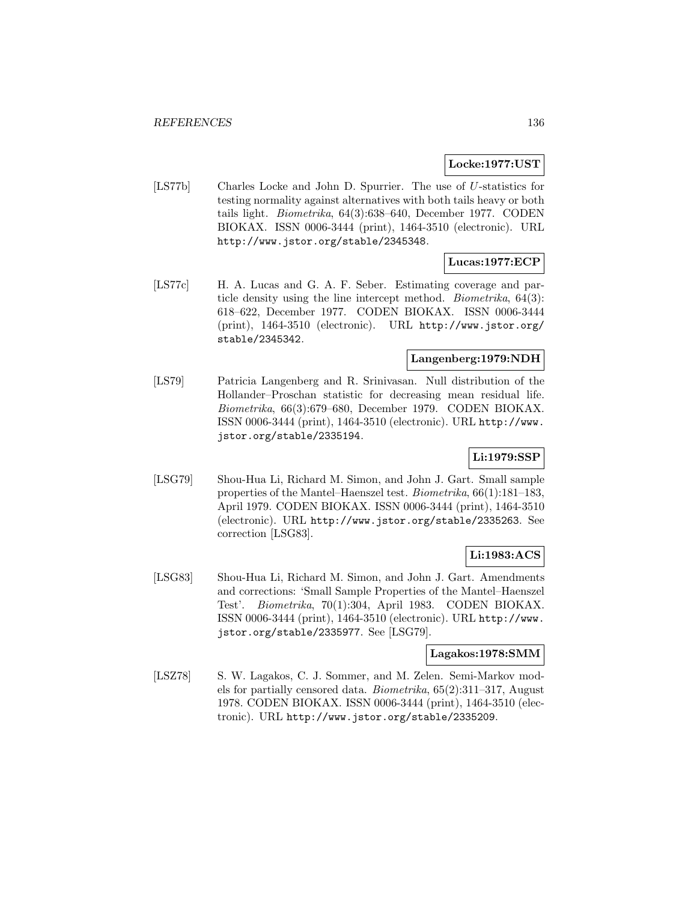### **Locke:1977:UST**

[LS77b] Charles Locke and John D. Spurrier. The use of U-statistics for testing normality against alternatives with both tails heavy or both tails light. Biometrika, 64(3):638–640, December 1977. CODEN BIOKAX. ISSN 0006-3444 (print), 1464-3510 (electronic). URL http://www.jstor.org/stable/2345348.

# **Lucas:1977:ECP**

[LS77c] H. A. Lucas and G. A. F. Seber. Estimating coverage and particle density using the line intercept method. Biometrika, 64(3): 618–622, December 1977. CODEN BIOKAX. ISSN 0006-3444 (print), 1464-3510 (electronic). URL http://www.jstor.org/ stable/2345342.

# **Langenberg:1979:NDH**

[LS79] Patricia Langenberg and R. Srinivasan. Null distribution of the Hollander–Proschan statistic for decreasing mean residual life. Biometrika, 66(3):679–680, December 1979. CODEN BIOKAX. ISSN 0006-3444 (print), 1464-3510 (electronic). URL http://www. jstor.org/stable/2335194.

# **Li:1979:SSP**

[LSG79] Shou-Hua Li, Richard M. Simon, and John J. Gart. Small sample properties of the Mantel–Haenszel test. Biometrika, 66(1):181–183, April 1979. CODEN BIOKAX. ISSN 0006-3444 (print), 1464-3510 (electronic). URL http://www.jstor.org/stable/2335263. See correction [LSG83].

# **Li:1983:ACS**

[LSG83] Shou-Hua Li, Richard M. Simon, and John J. Gart. Amendments and corrections: 'Small Sample Properties of the Mantel–Haenszel Test'. Biometrika, 70(1):304, April 1983. CODEN BIOKAX. ISSN 0006-3444 (print), 1464-3510 (electronic). URL http://www. jstor.org/stable/2335977. See [LSG79].

# **Lagakos:1978:SMM**

[LSZ78] S. W. Lagakos, C. J. Sommer, and M. Zelen. Semi-Markov models for partially censored data. Biometrika, 65(2):311–317, August 1978. CODEN BIOKAX. ISSN 0006-3444 (print), 1464-3510 (electronic). URL http://www.jstor.org/stable/2335209.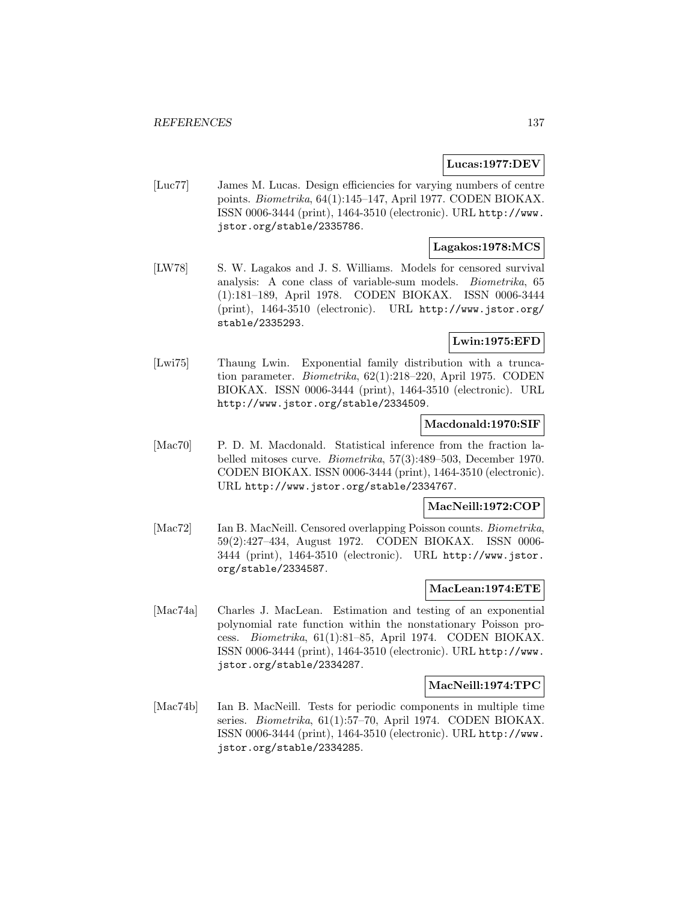### **Lucas:1977:DEV**

[Luc77] James M. Lucas. Design efficiencies for varying numbers of centre points. Biometrika, 64(1):145–147, April 1977. CODEN BIOKAX. ISSN 0006-3444 (print), 1464-3510 (electronic). URL http://www. jstor.org/stable/2335786.

### **Lagakos:1978:MCS**

[LW78] S. W. Lagakos and J. S. Williams. Models for censored survival analysis: A cone class of variable-sum models. Biometrika, 65 (1):181–189, April 1978. CODEN BIOKAX. ISSN 0006-3444 (print), 1464-3510 (electronic). URL http://www.jstor.org/ stable/2335293.

### **Lwin:1975:EFD**

[Lwi75] Thaung Lwin. Exponential family distribution with a truncation parameter. Biometrika, 62(1):218–220, April 1975. CODEN BIOKAX. ISSN 0006-3444 (print), 1464-3510 (electronic). URL http://www.jstor.org/stable/2334509.

### **Macdonald:1970:SIF**

[Mac70] P. D. M. Macdonald. Statistical inference from the fraction labelled mitoses curve. Biometrika, 57(3):489–503, December 1970. CODEN BIOKAX. ISSN 0006-3444 (print), 1464-3510 (electronic). URL http://www.jstor.org/stable/2334767.

# **MacNeill:1972:COP**

[Mac72] Ian B. MacNeill. Censored overlapping Poisson counts. *Biometrika*, 59(2):427–434, August 1972. CODEN BIOKAX. ISSN 0006- 3444 (print), 1464-3510 (electronic). URL http://www.jstor. org/stable/2334587.

#### **MacLean:1974:ETE**

[Mac74a] Charles J. MacLean. Estimation and testing of an exponential polynomial rate function within the nonstationary Poisson process. Biometrika, 61(1):81–85, April 1974. CODEN BIOKAX. ISSN 0006-3444 (print), 1464-3510 (electronic). URL http://www. jstor.org/stable/2334287.

#### **MacNeill:1974:TPC**

[Mac74b] Ian B. MacNeill. Tests for periodic components in multiple time series. Biometrika, 61(1):57–70, April 1974. CODEN BIOKAX. ISSN 0006-3444 (print), 1464-3510 (electronic). URL http://www. jstor.org/stable/2334285.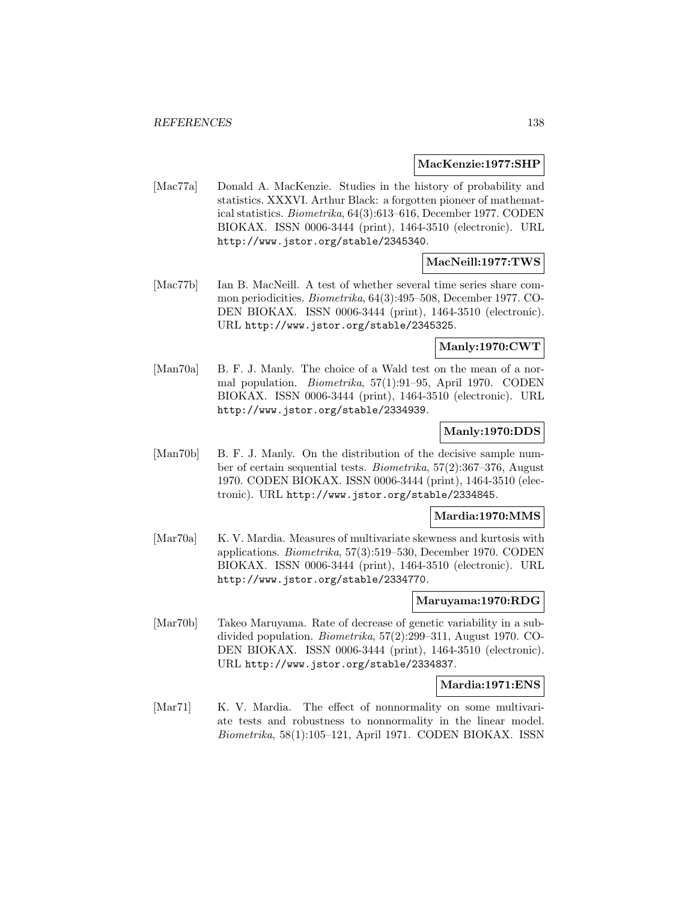#### **MacKenzie:1977:SHP**

[Mac77a] Donald A. MacKenzie. Studies in the history of probability and statistics. XXXVI. Arthur Black: a forgotten pioneer of mathematical statistics. Biometrika, 64(3):613–616, December 1977. CODEN BIOKAX. ISSN 0006-3444 (print), 1464-3510 (electronic). URL http://www.jstor.org/stable/2345340.

### **MacNeill:1977:TWS**

[Mac77b] Ian B. MacNeill. A test of whether several time series share common periodicities. Biometrika, 64(3):495–508, December 1977. CO-DEN BIOKAX. ISSN 0006-3444 (print), 1464-3510 (electronic). URL http://www.jstor.org/stable/2345325.

### **Manly:1970:CWT**

[Man70a] B. F. J. Manly. The choice of a Wald test on the mean of a normal population. Biometrika, 57(1):91–95, April 1970. CODEN BIOKAX. ISSN 0006-3444 (print), 1464-3510 (electronic). URL http://www.jstor.org/stable/2334939.

### **Manly:1970:DDS**

[Man70b] B. F. J. Manly. On the distribution of the decisive sample number of certain sequential tests. Biometrika, 57(2):367–376, August 1970. CODEN BIOKAX. ISSN 0006-3444 (print), 1464-3510 (electronic). URL http://www.jstor.org/stable/2334845.

#### **Mardia:1970:MMS**

[Mar70a] K. V. Mardia. Measures of multivariate skewness and kurtosis with applications. Biometrika, 57(3):519–530, December 1970. CODEN BIOKAX. ISSN 0006-3444 (print), 1464-3510 (electronic). URL http://www.jstor.org/stable/2334770.

### **Maruyama:1970:RDG**

[Mar70b] Takeo Maruyama. Rate of decrease of genetic variability in a subdivided population. Biometrika, 57(2):299–311, August 1970. CO-DEN BIOKAX. ISSN 0006-3444 (print), 1464-3510 (electronic). URL http://www.jstor.org/stable/2334837.

### **Mardia:1971:ENS**

[Mar71] K. V. Mardia. The effect of nonnormality on some multivariate tests and robustness to nonnormality in the linear model. Biometrika, 58(1):105–121, April 1971. CODEN BIOKAX. ISSN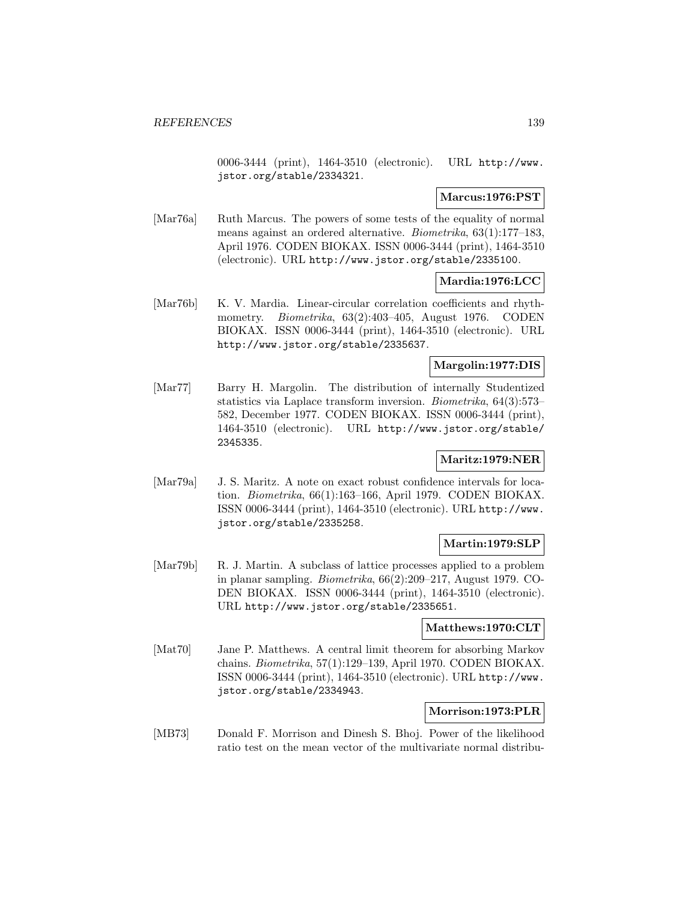0006-3444 (print), 1464-3510 (electronic). URL http://www. jstor.org/stable/2334321.

### **Marcus:1976:PST**

[Mar76a] Ruth Marcus. The powers of some tests of the equality of normal means against an ordered alternative. Biometrika, 63(1):177–183, April 1976. CODEN BIOKAX. ISSN 0006-3444 (print), 1464-3510 (electronic). URL http://www.jstor.org/stable/2335100.

# **Mardia:1976:LCC**

[Mar76b] K. V. Mardia. Linear-circular correlation coefficients and rhythmometry. Biometrika, 63(2):403–405, August 1976. CODEN BIOKAX. ISSN 0006-3444 (print), 1464-3510 (electronic). URL http://www.jstor.org/stable/2335637.

# **Margolin:1977:DIS**

[Mar77] Barry H. Margolin. The distribution of internally Studentized statistics via Laplace transform inversion. Biometrika, 64(3):573– 582, December 1977. CODEN BIOKAX. ISSN 0006-3444 (print), 1464-3510 (electronic). URL http://www.jstor.org/stable/ 2345335.

# **Maritz:1979:NER**

[Mar79a] J. S. Maritz. A note on exact robust confidence intervals for location. Biometrika, 66(1):163–166, April 1979. CODEN BIOKAX. ISSN 0006-3444 (print), 1464-3510 (electronic). URL http://www. jstor.org/stable/2335258.

# **Martin:1979:SLP**

[Mar79b] R. J. Martin. A subclass of lattice processes applied to a problem in planar sampling. Biometrika, 66(2):209–217, August 1979. CO-DEN BIOKAX. ISSN 0006-3444 (print), 1464-3510 (electronic). URL http://www.jstor.org/stable/2335651.

### **Matthews:1970:CLT**

[Mat70] Jane P. Matthews. A central limit theorem for absorbing Markov chains. Biometrika, 57(1):129–139, April 1970. CODEN BIOKAX. ISSN 0006-3444 (print), 1464-3510 (electronic). URL http://www. jstor.org/stable/2334943.

# **Morrison:1973:PLR**

[MB73] Donald F. Morrison and Dinesh S. Bhoj. Power of the likelihood ratio test on the mean vector of the multivariate normal distribu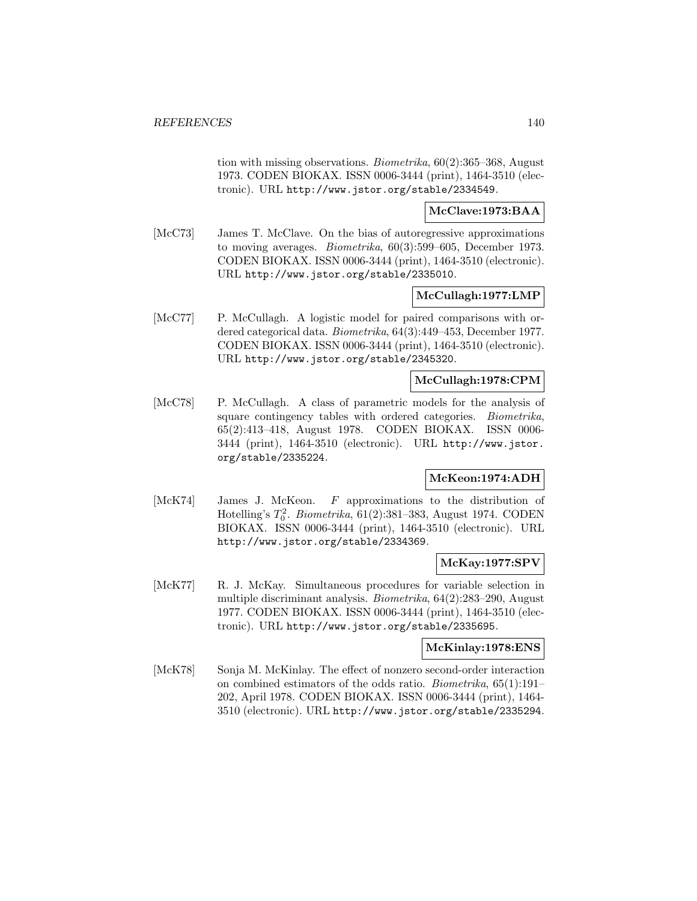tion with missing observations. Biometrika, 60(2):365–368, August 1973. CODEN BIOKAX. ISSN 0006-3444 (print), 1464-3510 (electronic). URL http://www.jstor.org/stable/2334549.

### **McClave:1973:BAA**

[McC73] James T. McClave. On the bias of autoregressive approximations to moving averages. Biometrika, 60(3):599–605, December 1973. CODEN BIOKAX. ISSN 0006-3444 (print), 1464-3510 (electronic). URL http://www.jstor.org/stable/2335010.

# **McCullagh:1977:LMP**

[McC77] P. McCullagh. A logistic model for paired comparisons with ordered categorical data. Biometrika, 64(3):449–453, December 1977. CODEN BIOKAX. ISSN 0006-3444 (print), 1464-3510 (electronic). URL http://www.jstor.org/stable/2345320.

### **McCullagh:1978:CPM**

[McC78] P. McCullagh. A class of parametric models for the analysis of square contingency tables with ordered categories. Biometrika, 65(2):413–418, August 1978. CODEN BIOKAX. ISSN 0006- 3444 (print), 1464-3510 (electronic). URL http://www.jstor. org/stable/2335224.

# **McKeon:1974:ADH**

[McK74] James J. McKeon. F approximations to the distribution of Hotelling's  $T_0^2$ . *Biometrika*, 61(2):381–383, August 1974. CODEN BIOKAX. ISSN 0006-3444 (print), 1464-3510 (electronic). URL http://www.jstor.org/stable/2334369.

# **McKay:1977:SPV**

[McK77] R. J. McKay. Simultaneous procedures for variable selection in multiple discriminant analysis. Biometrika, 64(2):283–290, August 1977. CODEN BIOKAX. ISSN 0006-3444 (print), 1464-3510 (electronic). URL http://www.jstor.org/stable/2335695.

#### **McKinlay:1978:ENS**

[McK78] Sonja M. McKinlay. The effect of nonzero second-order interaction on combined estimators of the odds ratio. Biometrika, 65(1):191– 202, April 1978. CODEN BIOKAX. ISSN 0006-3444 (print), 1464- 3510 (electronic). URL http://www.jstor.org/stable/2335294.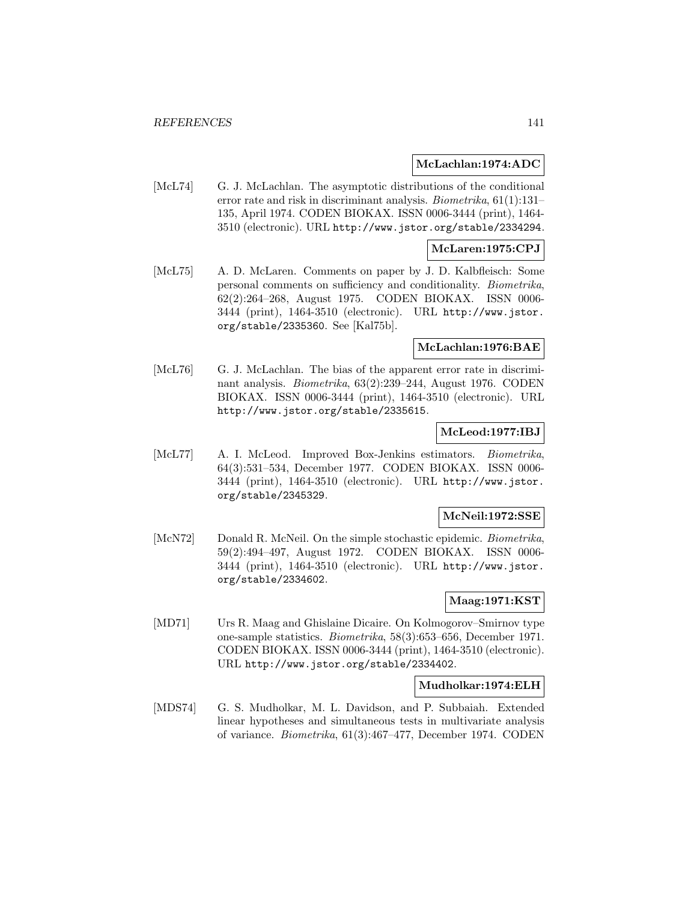#### **McLachlan:1974:ADC**

[McL74] G. J. McLachlan. The asymptotic distributions of the conditional error rate and risk in discriminant analysis. Biometrika, 61(1):131– 135, April 1974. CODEN BIOKAX. ISSN 0006-3444 (print), 1464- 3510 (electronic). URL http://www.jstor.org/stable/2334294.

### **McLaren:1975:CPJ**

[McL75] A. D. McLaren. Comments on paper by J. D. Kalbfleisch: Some personal comments on sufficiency and conditionality. Biometrika, 62(2):264–268, August 1975. CODEN BIOKAX. ISSN 0006- 3444 (print), 1464-3510 (electronic). URL http://www.jstor. org/stable/2335360. See [Kal75b].

#### **McLachlan:1976:BAE**

[McL76] G. J. McLachlan. The bias of the apparent error rate in discriminant analysis. Biometrika, 63(2):239–244, August 1976. CODEN BIOKAX. ISSN 0006-3444 (print), 1464-3510 (electronic). URL http://www.jstor.org/stable/2335615.

### **McLeod:1977:IBJ**

[McL77] A. I. McLeod. Improved Box-Jenkins estimators. *Biometrika*, 64(3):531–534, December 1977. CODEN BIOKAX. ISSN 0006- 3444 (print), 1464-3510 (electronic). URL http://www.jstor. org/stable/2345329.

### **McNeil:1972:SSE**

[McN72] Donald R. McNeil. On the simple stochastic epidemic. *Biometrika*, 59(2):494–497, August 1972. CODEN BIOKAX. ISSN 0006- 3444 (print), 1464-3510 (electronic). URL http://www.jstor. org/stable/2334602.

# **Maag:1971:KST**

[MD71] Urs R. Maag and Ghislaine Dicaire. On Kolmogorov–Smirnov type one-sample statistics. Biometrika, 58(3):653–656, December 1971. CODEN BIOKAX. ISSN 0006-3444 (print), 1464-3510 (electronic). URL http://www.jstor.org/stable/2334402.

### **Mudholkar:1974:ELH**

[MDS74] G. S. Mudholkar, M. L. Davidson, and P. Subbaiah. Extended linear hypotheses and simultaneous tests in multivariate analysis of variance. Biometrika, 61(3):467–477, December 1974. CODEN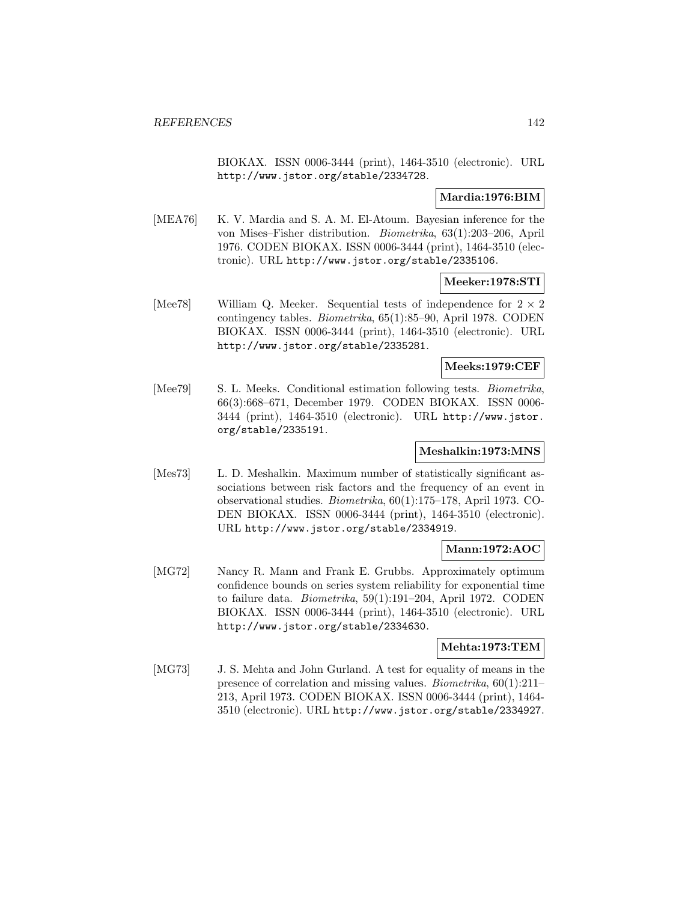BIOKAX. ISSN 0006-3444 (print), 1464-3510 (electronic). URL http://www.jstor.org/stable/2334728.

### **Mardia:1976:BIM**

[MEA76] K. V. Mardia and S. A. M. El-Atoum. Bayesian inference for the von Mises–Fisher distribution. Biometrika, 63(1):203–206, April 1976. CODEN BIOKAX. ISSN 0006-3444 (print), 1464-3510 (electronic). URL http://www.jstor.org/stable/2335106.

### **Meeker:1978:STI**

[Mee78] William Q. Meeker. Sequential tests of independence for  $2 \times 2$ contingency tables. Biometrika, 65(1):85–90, April 1978. CODEN BIOKAX. ISSN 0006-3444 (print), 1464-3510 (electronic). URL http://www.jstor.org/stable/2335281.

### **Meeks:1979:CEF**

[Mee79] S. L. Meeks. Conditional estimation following tests. *Biometrika*, 66(3):668–671, December 1979. CODEN BIOKAX. ISSN 0006- 3444 (print), 1464-3510 (electronic). URL http://www.jstor. org/stable/2335191.

# **Meshalkin:1973:MNS**

[Mes73] L. D. Meshalkin. Maximum number of statistically significant associations between risk factors and the frequency of an event in observational studies. Biometrika, 60(1):175–178, April 1973. CO-DEN BIOKAX. ISSN 0006-3444 (print), 1464-3510 (electronic). URL http://www.jstor.org/stable/2334919.

# **Mann:1972:AOC**

[MG72] Nancy R. Mann and Frank E. Grubbs. Approximately optimum confidence bounds on series system reliability for exponential time to failure data. Biometrika, 59(1):191–204, April 1972. CODEN BIOKAX. ISSN 0006-3444 (print), 1464-3510 (electronic). URL http://www.jstor.org/stable/2334630.

# **Mehta:1973:TEM**

[MG73] J. S. Mehta and John Gurland. A test for equality of means in the presence of correlation and missing values. Biometrika, 60(1):211– 213, April 1973. CODEN BIOKAX. ISSN 0006-3444 (print), 1464- 3510 (electronic). URL http://www.jstor.org/stable/2334927.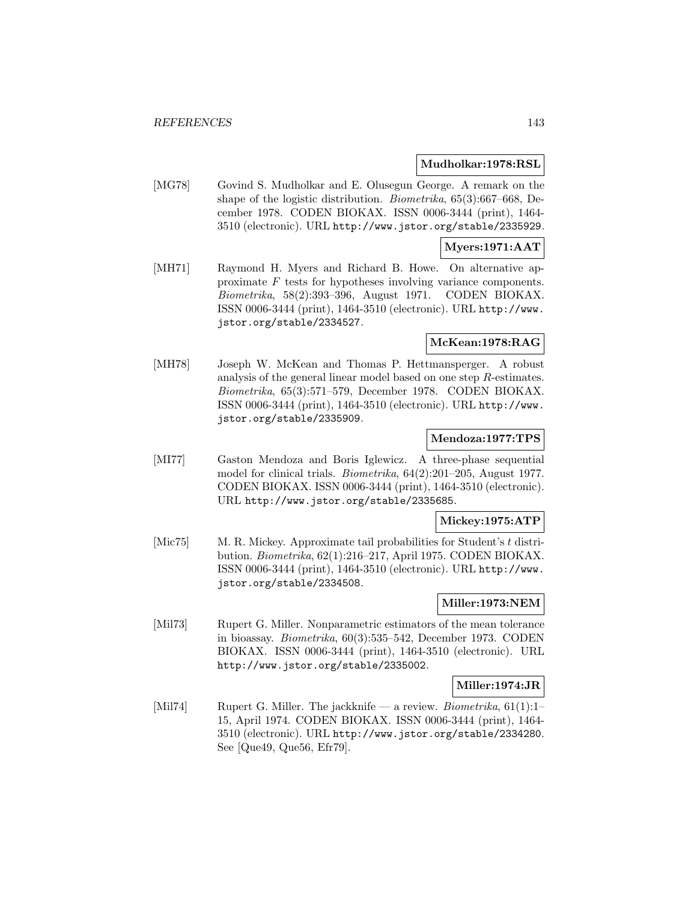#### **Mudholkar:1978:RSL**

[MG78] Govind S. Mudholkar and E. Olusegun George. A remark on the shape of the logistic distribution. Biometrika, 65(3):667–668, December 1978. CODEN BIOKAX. ISSN 0006-3444 (print), 1464- 3510 (electronic). URL http://www.jstor.org/stable/2335929.

### **Myers:1971:AAT**

[MH71] Raymond H. Myers and Richard B. Howe. On alternative approximate F tests for hypotheses involving variance components. Biometrika, 58(2):393–396, August 1971. CODEN BIOKAX. ISSN 0006-3444 (print), 1464-3510 (electronic). URL http://www. jstor.org/stable/2334527.

# **McKean:1978:RAG**

[MH78] Joseph W. McKean and Thomas P. Hettmansperger. A robust analysis of the general linear model based on one step R-estimates. Biometrika, 65(3):571–579, December 1978. CODEN BIOKAX. ISSN 0006-3444 (print), 1464-3510 (electronic). URL http://www. jstor.org/stable/2335909.

### **Mendoza:1977:TPS**

[MI77] Gaston Mendoza and Boris Iglewicz. A three-phase sequential model for clinical trials. Biometrika, 64(2):201–205, August 1977. CODEN BIOKAX. ISSN 0006-3444 (print), 1464-3510 (electronic). URL http://www.jstor.org/stable/2335685.

#### **Mickey:1975:ATP**

[Mic75] M. R. Mickey. Approximate tail probabilities for Student's t distribution. Biometrika, 62(1):216–217, April 1975. CODEN BIOKAX. ISSN 0006-3444 (print), 1464-3510 (electronic). URL http://www. jstor.org/stable/2334508.

### **Miller:1973:NEM**

[Mil73] Rupert G. Miller. Nonparametric estimators of the mean tolerance in bioassay. Biometrika, 60(3):535–542, December 1973. CODEN BIOKAX. ISSN 0006-3444 (print), 1464-3510 (electronic). URL http://www.jstor.org/stable/2335002.

# **Miller:1974:JR**

[Mil74] Rupert G. Miller. The jackknife — a review. *Biometrika*, 61(1):1– 15, April 1974. CODEN BIOKAX. ISSN 0006-3444 (print), 1464- 3510 (electronic). URL http://www.jstor.org/stable/2334280. See [Que49, Que56, Efr79].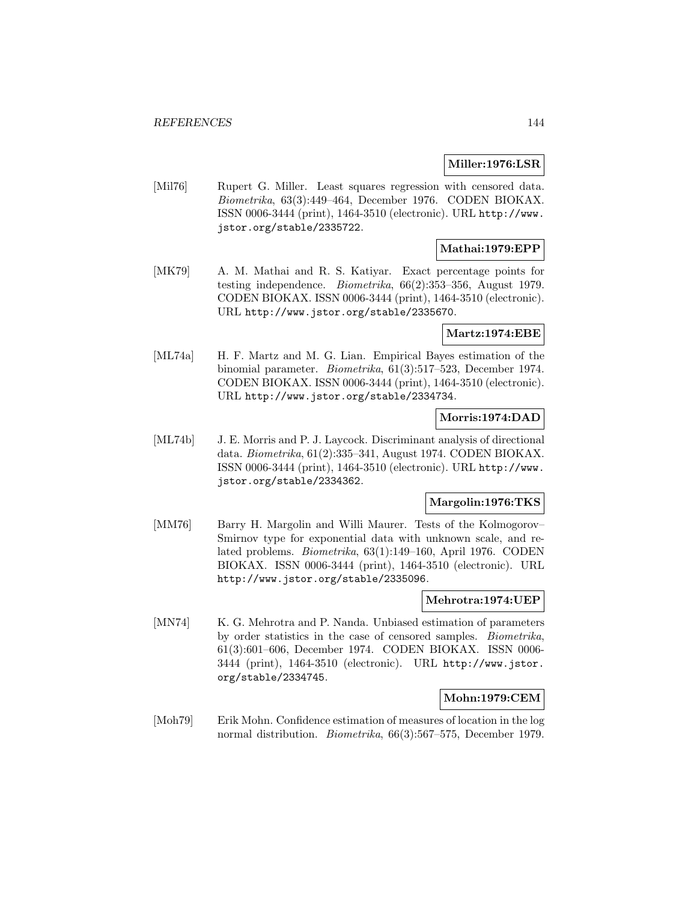#### **Miller:1976:LSR**

[Mil76] Rupert G. Miller. Least squares regression with censored data. Biometrika, 63(3):449–464, December 1976. CODEN BIOKAX. ISSN 0006-3444 (print), 1464-3510 (electronic). URL http://www. jstor.org/stable/2335722.

### **Mathai:1979:EPP**

[MK79] A. M. Mathai and R. S. Katiyar. Exact percentage points for testing independence. Biometrika, 66(2):353–356, August 1979. CODEN BIOKAX. ISSN 0006-3444 (print), 1464-3510 (electronic). URL http://www.jstor.org/stable/2335670.

### **Martz:1974:EBE**

[ML74a] H. F. Martz and M. G. Lian. Empirical Bayes estimation of the binomial parameter. Biometrika, 61(3):517–523, December 1974. CODEN BIOKAX. ISSN 0006-3444 (print), 1464-3510 (electronic). URL http://www.jstor.org/stable/2334734.

### **Morris:1974:DAD**

[ML74b] J. E. Morris and P. J. Laycock. Discriminant analysis of directional data. Biometrika, 61(2):335–341, August 1974. CODEN BIOKAX. ISSN 0006-3444 (print), 1464-3510 (electronic). URL http://www. jstor.org/stable/2334362.

### **Margolin:1976:TKS**

[MM76] Barry H. Margolin and Willi Maurer. Tests of the Kolmogorov– Smirnov type for exponential data with unknown scale, and related problems. Biometrika, 63(1):149–160, April 1976. CODEN BIOKAX. ISSN 0006-3444 (print), 1464-3510 (electronic). URL http://www.jstor.org/stable/2335096.

### **Mehrotra:1974:UEP**

[MN74] K. G. Mehrotra and P. Nanda. Unbiased estimation of parameters by order statistics in the case of censored samples. Biometrika, 61(3):601–606, December 1974. CODEN BIOKAX. ISSN 0006- 3444 (print), 1464-3510 (electronic). URL http://www.jstor. org/stable/2334745.

### **Mohn:1979:CEM**

[Moh79] Erik Mohn. Confidence estimation of measures of location in the log normal distribution. Biometrika, 66(3):567–575, December 1979.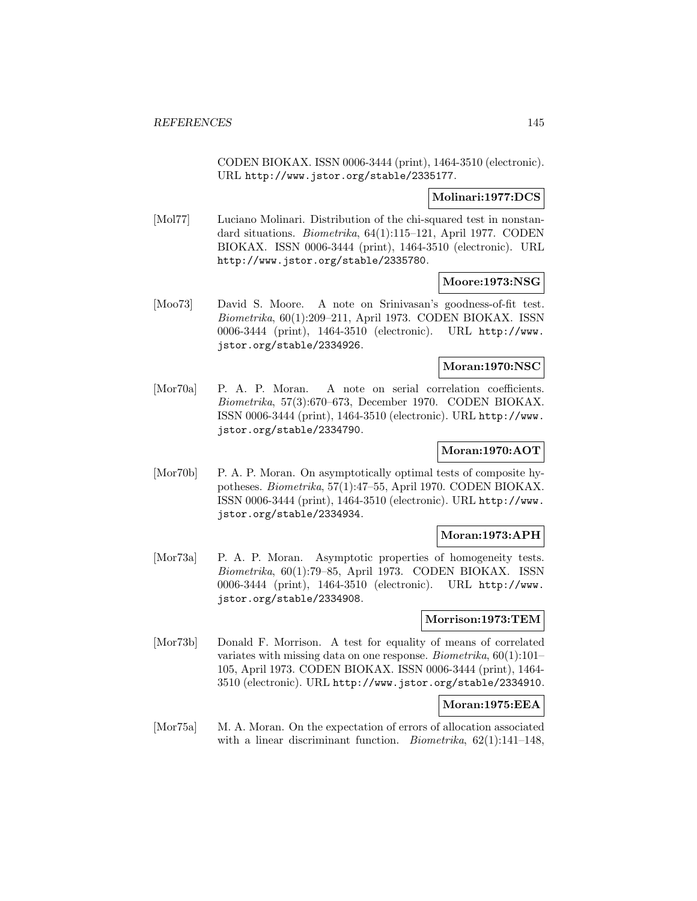CODEN BIOKAX. ISSN 0006-3444 (print), 1464-3510 (electronic). URL http://www.jstor.org/stable/2335177.

# **Molinari:1977:DCS**

[Mol77] Luciano Molinari. Distribution of the chi-squared test in nonstandard situations. Biometrika, 64(1):115–121, April 1977. CODEN BIOKAX. ISSN 0006-3444 (print), 1464-3510 (electronic). URL http://www.jstor.org/stable/2335780.

# **Moore:1973:NSG**

[Moo73] David S. Moore. A note on Srinivasan's goodness-of-fit test. Biometrika, 60(1):209–211, April 1973. CODEN BIOKAX. ISSN 0006-3444 (print), 1464-3510 (electronic). URL http://www. jstor.org/stable/2334926.

# **Moran:1970:NSC**

[Mor70a] P. A. P. Moran. A note on serial correlation coefficients. Biometrika, 57(3):670–673, December 1970. CODEN BIOKAX. ISSN 0006-3444 (print), 1464-3510 (electronic). URL http://www. jstor.org/stable/2334790.

# **Moran:1970:AOT**

[Mor70b] P. A. P. Moran. On asymptotically optimal tests of composite hypotheses. Biometrika, 57(1):47–55, April 1970. CODEN BIOKAX. ISSN 0006-3444 (print), 1464-3510 (electronic). URL http://www. jstor.org/stable/2334934.

# **Moran:1973:APH**

[Mor73a] P. A. P. Moran. Asymptotic properties of homogeneity tests. Biometrika, 60(1):79–85, April 1973. CODEN BIOKAX. ISSN 0006-3444 (print), 1464-3510 (electronic). URL http://www. jstor.org/stable/2334908.

# **Morrison:1973:TEM**

[Mor73b] Donald F. Morrison. A test for equality of means of correlated variates with missing data on one response. Biometrika, 60(1):101– 105, April 1973. CODEN BIOKAX. ISSN 0006-3444 (print), 1464- 3510 (electronic). URL http://www.jstor.org/stable/2334910.

# **Moran:1975:EEA**

[Mor75a] M. A. Moran. On the expectation of errors of allocation associated with a linear discriminant function. *Biometrika*, 62(1):141-148,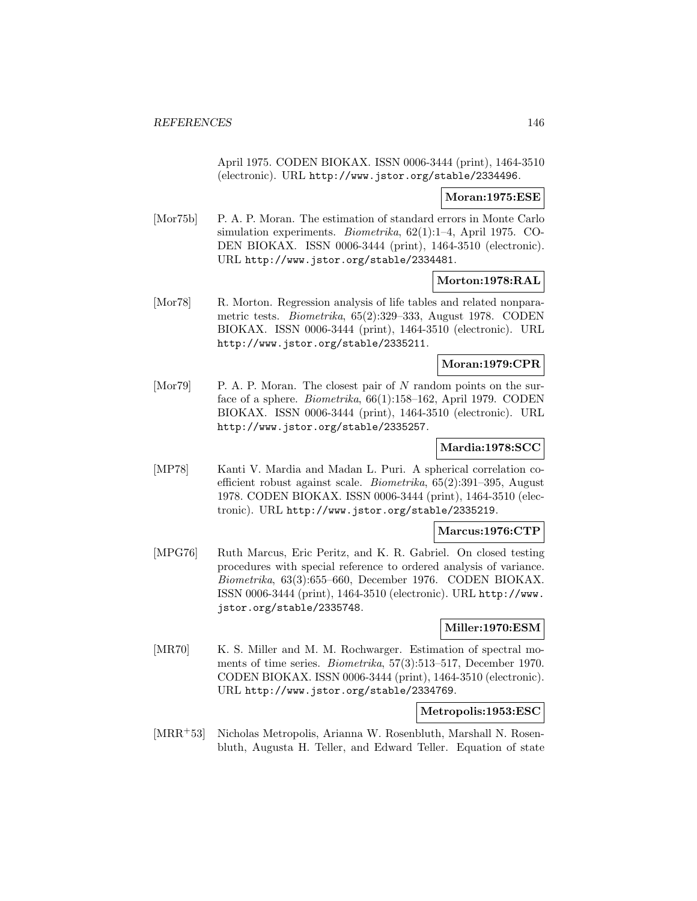April 1975. CODEN BIOKAX. ISSN 0006-3444 (print), 1464-3510 (electronic). URL http://www.jstor.org/stable/2334496.

# **Moran:1975:ESE**

[Mor75b] P. A. P. Moran. The estimation of standard errors in Monte Carlo simulation experiments. Biometrika, 62(1):1–4, April 1975. CO-DEN BIOKAX. ISSN 0006-3444 (print), 1464-3510 (electronic). URL http://www.jstor.org/stable/2334481.

# **Morton:1978:RAL**

[Mor78] R. Morton. Regression analysis of life tables and related nonparametric tests. Biometrika, 65(2):329–333, August 1978. CODEN BIOKAX. ISSN 0006-3444 (print), 1464-3510 (electronic). URL http://www.jstor.org/stable/2335211.

# **Moran:1979:CPR**

[Mor79] P. A. P. Moran. The closest pair of N random points on the surface of a sphere. Biometrika, 66(1):158–162, April 1979. CODEN BIOKAX. ISSN 0006-3444 (print), 1464-3510 (electronic). URL http://www.jstor.org/stable/2335257.

# **Mardia:1978:SCC**

[MP78] Kanti V. Mardia and Madan L. Puri. A spherical correlation coefficient robust against scale. Biometrika, 65(2):391–395, August 1978. CODEN BIOKAX. ISSN 0006-3444 (print), 1464-3510 (electronic). URL http://www.jstor.org/stable/2335219.

# **Marcus:1976:CTP**

[MPG76] Ruth Marcus, Eric Peritz, and K. R. Gabriel. On closed testing procedures with special reference to ordered analysis of variance. Biometrika, 63(3):655–660, December 1976. CODEN BIOKAX. ISSN 0006-3444 (print), 1464-3510 (electronic). URL http://www. jstor.org/stable/2335748.

# **Miller:1970:ESM**

[MR70] K. S. Miller and M. M. Rochwarger. Estimation of spectral moments of time series. Biometrika, 57(3):513–517, December 1970. CODEN BIOKAX. ISSN 0006-3444 (print), 1464-3510 (electronic). URL http://www.jstor.org/stable/2334769.

# **Metropolis:1953:ESC**

[MRR<sup>+</sup>53] Nicholas Metropolis, Arianna W. Rosenbluth, Marshall N. Rosenbluth, Augusta H. Teller, and Edward Teller. Equation of state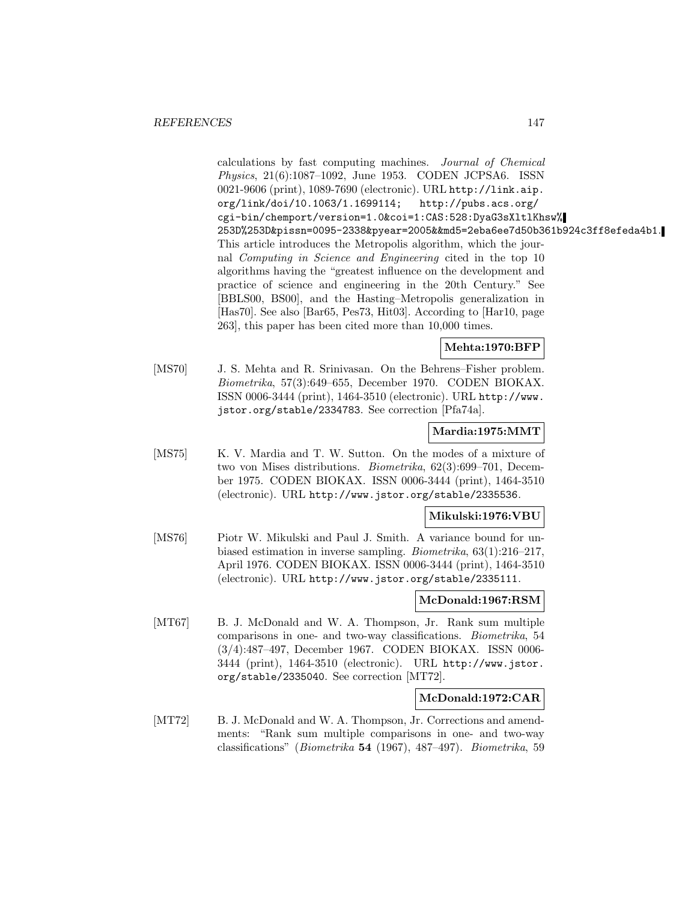calculations by fast computing machines. Journal of Chemical Physics, 21(6):1087–1092, June 1953. CODEN JCPSA6. ISSN 0021-9606 (print), 1089-7690 (electronic). URL http://link.aip. org/link/doi/10.1063/1.1699114; http://pubs.acs.org/ cgi-bin/chemport/version=1.0&coi=1:CAS:528:DyaG3sXltlKhsw% 253D%253D&pissn=0095-2338&pyear=2005&&md5=2eba6ee7d50b361b924c3ff8efeda4b1. This article introduces the Metropolis algorithm, which the journal Computing in Science and Engineering cited in the top 10 algorithms having the "greatest influence on the development and practice of science and engineering in the 20th Century." See [BBLS00, BS00], and the Hasting–Metropolis generalization in [Has70]. See also [Bar65, Pes73, Hit03]. According to [Har10, page 263], this paper has been cited more than 10,000 times.

# **Mehta:1970:BFP**

[MS70] J. S. Mehta and R. Srinivasan. On the Behrens–Fisher problem. Biometrika, 57(3):649–655, December 1970. CODEN BIOKAX. ISSN 0006-3444 (print), 1464-3510 (electronic). URL http://www. jstor.org/stable/2334783. See correction [Pfa74a].

# **Mardia:1975:MMT**

[MS75] K. V. Mardia and T. W. Sutton. On the modes of a mixture of two von Mises distributions. Biometrika, 62(3):699–701, December 1975. CODEN BIOKAX. ISSN 0006-3444 (print), 1464-3510 (electronic). URL http://www.jstor.org/stable/2335536.

#### **Mikulski:1976:VBU**

[MS76] Piotr W. Mikulski and Paul J. Smith. A variance bound for unbiased estimation in inverse sampling. Biometrika, 63(1):216–217, April 1976. CODEN BIOKAX. ISSN 0006-3444 (print), 1464-3510 (electronic). URL http://www.jstor.org/stable/2335111.

# **McDonald:1967:RSM**

[MT67] B. J. McDonald and W. A. Thompson, Jr. Rank sum multiple comparisons in one- and two-way classifications. Biometrika, 54 (3/4):487–497, December 1967. CODEN BIOKAX. ISSN 0006- 3444 (print), 1464-3510 (electronic). URL http://www.jstor. org/stable/2335040. See correction [MT72].

# **McDonald:1972:CAR**

[MT72] B. J. McDonald and W. A. Thompson, Jr. Corrections and amendments: "Rank sum multiple comparisons in one- and two-way classifications" (Biometrika **54** (1967), 487–497). Biometrika, 59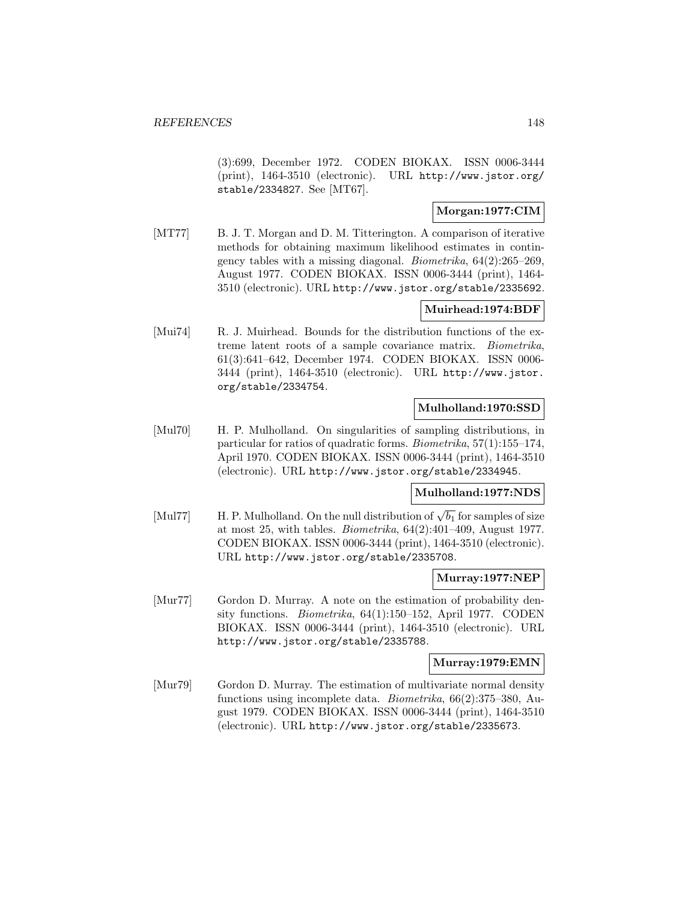(3):699, December 1972. CODEN BIOKAX. ISSN 0006-3444 (print), 1464-3510 (electronic). URL http://www.jstor.org/ stable/2334827. See [MT67].

# **Morgan:1977:CIM**

[MT77] B. J. T. Morgan and D. M. Titterington. A comparison of iterative methods for obtaining maximum likelihood estimates in contingency tables with a missing diagonal. Biometrika, 64(2):265–269, August 1977. CODEN BIOKAX. ISSN 0006-3444 (print), 1464- 3510 (electronic). URL http://www.jstor.org/stable/2335692.

# **Muirhead:1974:BDF**

[Mui74] R. J. Muirhead. Bounds for the distribution functions of the extreme latent roots of a sample covariance matrix. Biometrika, 61(3):641–642, December 1974. CODEN BIOKAX. ISSN 0006- 3444 (print), 1464-3510 (electronic). URL http://www.jstor. org/stable/2334754.

# **Mulholland:1970:SSD**

[Mul70] H. P. Mulholland. On singularities of sampling distributions, in particular for ratios of quadratic forms. Biometrika, 57(1):155–174, April 1970. CODEN BIOKAX. ISSN 0006-3444 (print), 1464-3510 (electronic). URL http://www.jstor.org/stable/2334945.

# **Mulholland:1977:NDS**

[Mul77] H. P. Mulholland. On the null distribution of  $\sqrt{b_1}$  for samples of size at most 25, with tables. Biometrika, 64(2):401–409, August 1977. CODEN BIOKAX. ISSN 0006-3444 (print), 1464-3510 (electronic). URL http://www.jstor.org/stable/2335708.

# **Murray:1977:NEP**

[Mur77] Gordon D. Murray. A note on the estimation of probability density functions. Biometrika, 64(1):150–152, April 1977. CODEN BIOKAX. ISSN 0006-3444 (print), 1464-3510 (electronic). URL http://www.jstor.org/stable/2335788.

# **Murray:1979:EMN**

[Mur79] Gordon D. Murray. The estimation of multivariate normal density functions using incomplete data. Biometrika, 66(2):375–380, August 1979. CODEN BIOKAX. ISSN 0006-3444 (print), 1464-3510 (electronic). URL http://www.jstor.org/stable/2335673.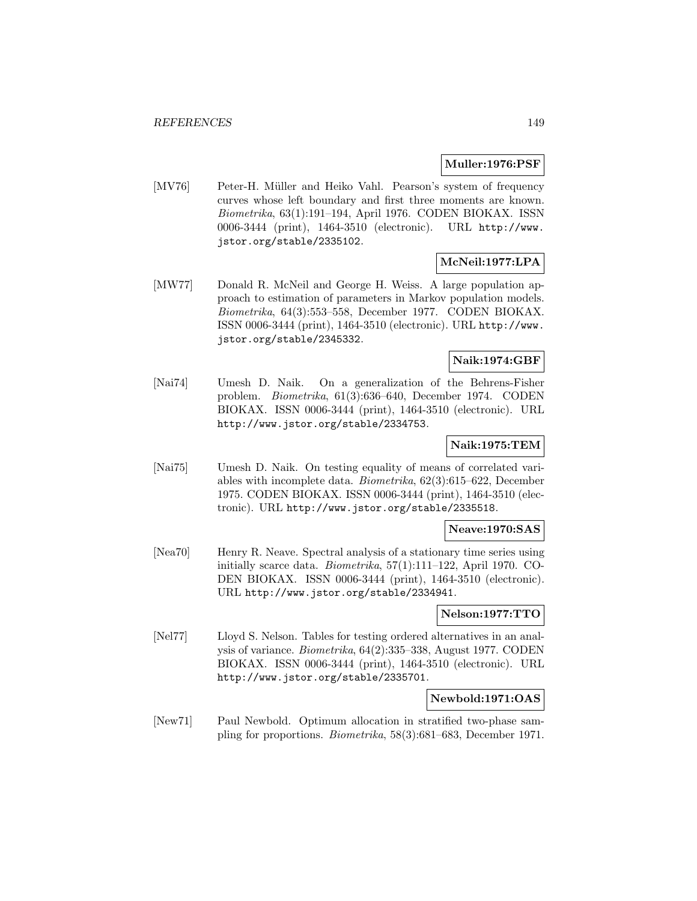### **Muller:1976:PSF**

[MV76] Peter-H. Müller and Heiko Vahl. Pearson's system of frequency curves whose left boundary and first three moments are known. Biometrika, 63(1):191–194, April 1976. CODEN BIOKAX. ISSN 0006-3444 (print), 1464-3510 (electronic). URL http://www. jstor.org/stable/2335102.

# **McNeil:1977:LPA**

[MW77] Donald R. McNeil and George H. Weiss. A large population approach to estimation of parameters in Markov population models. Biometrika, 64(3):553–558, December 1977. CODEN BIOKAX. ISSN 0006-3444 (print), 1464-3510 (electronic). URL http://www. jstor.org/stable/2345332.

# **Naik:1974:GBF**

[Nai74] Umesh D. Naik. On a generalization of the Behrens-Fisher problem. Biometrika, 61(3):636–640, December 1974. CODEN BIOKAX. ISSN 0006-3444 (print), 1464-3510 (electronic). URL http://www.jstor.org/stable/2334753.

# **Naik:1975:TEM**

[Nai75] Umesh D. Naik. On testing equality of means of correlated variables with incomplete data. Biometrika, 62(3):615–622, December 1975. CODEN BIOKAX. ISSN 0006-3444 (print), 1464-3510 (electronic). URL http://www.jstor.org/stable/2335518.

# **Neave:1970:SAS**

[Nea70] Henry R. Neave. Spectral analysis of a stationary time series using initially scarce data. Biometrika, 57(1):111–122, April 1970. CO-DEN BIOKAX. ISSN 0006-3444 (print), 1464-3510 (electronic). URL http://www.jstor.org/stable/2334941.

#### **Nelson:1977:TTO**

[Nel77] Lloyd S. Nelson. Tables for testing ordered alternatives in an analysis of variance. Biometrika, 64(2):335–338, August 1977. CODEN BIOKAX. ISSN 0006-3444 (print), 1464-3510 (electronic). URL http://www.jstor.org/stable/2335701.

# **Newbold:1971:OAS**

[New71] Paul Newbold. Optimum allocation in stratified two-phase sampling for proportions. Biometrika, 58(3):681–683, December 1971.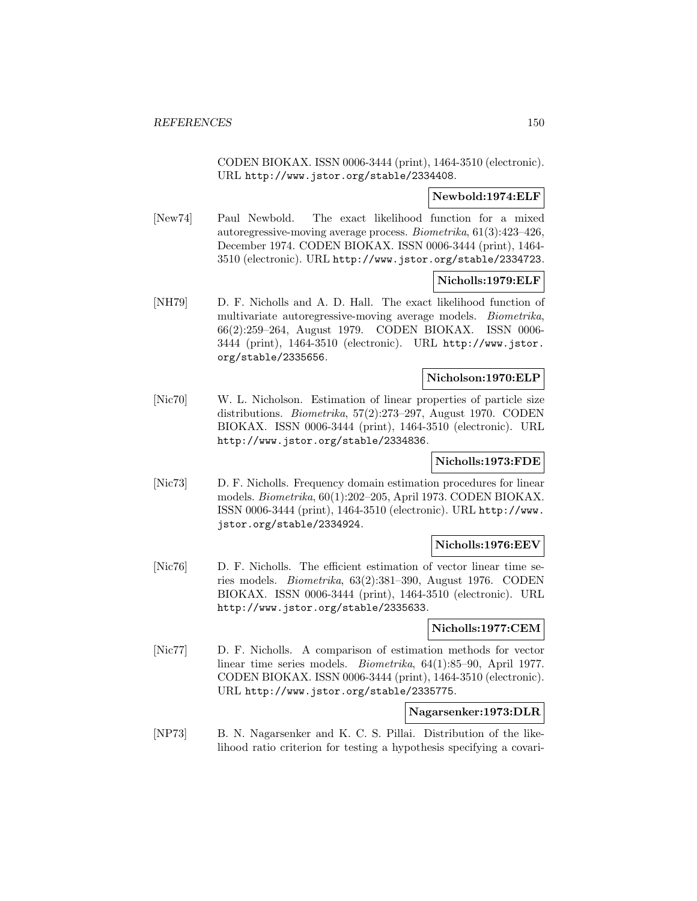CODEN BIOKAX. ISSN 0006-3444 (print), 1464-3510 (electronic). URL http://www.jstor.org/stable/2334408.

# **Newbold:1974:ELF**

[New74] Paul Newbold. The exact likelihood function for a mixed autoregressive-moving average process. Biometrika, 61(3):423–426, December 1974. CODEN BIOKAX. ISSN 0006-3444 (print), 1464- 3510 (electronic). URL http://www.jstor.org/stable/2334723.

#### **Nicholls:1979:ELF**

[NH79] D. F. Nicholls and A. D. Hall. The exact likelihood function of multivariate autoregressive-moving average models. Biometrika, 66(2):259–264, August 1979. CODEN BIOKAX. ISSN 0006- 3444 (print), 1464-3510 (electronic). URL http://www.jstor. org/stable/2335656.

# **Nicholson:1970:ELP**

[Nic70] W. L. Nicholson. Estimation of linear properties of particle size distributions. Biometrika, 57(2):273–297, August 1970. CODEN BIOKAX. ISSN 0006-3444 (print), 1464-3510 (electronic). URL http://www.jstor.org/stable/2334836.

# **Nicholls:1973:FDE**

[Nic73] D. F. Nicholls. Frequency domain estimation procedures for linear models. Biometrika, 60(1):202–205, April 1973. CODEN BIOKAX. ISSN 0006-3444 (print), 1464-3510 (electronic). URL http://www. jstor.org/stable/2334924.

# **Nicholls:1976:EEV**

[Nic76] D. F. Nicholls. The efficient estimation of vector linear time series models. Biometrika, 63(2):381–390, August 1976. CODEN BIOKAX. ISSN 0006-3444 (print), 1464-3510 (electronic). URL http://www.jstor.org/stable/2335633.

# **Nicholls:1977:CEM**

[Nic77] D. F. Nicholls. A comparison of estimation methods for vector linear time series models. Biometrika, 64(1):85–90, April 1977. CODEN BIOKAX. ISSN 0006-3444 (print), 1464-3510 (electronic). URL http://www.jstor.org/stable/2335775.

# **Nagarsenker:1973:DLR**

[NP73] B. N. Nagarsenker and K. C. S. Pillai. Distribution of the likelihood ratio criterion for testing a hypothesis specifying a covari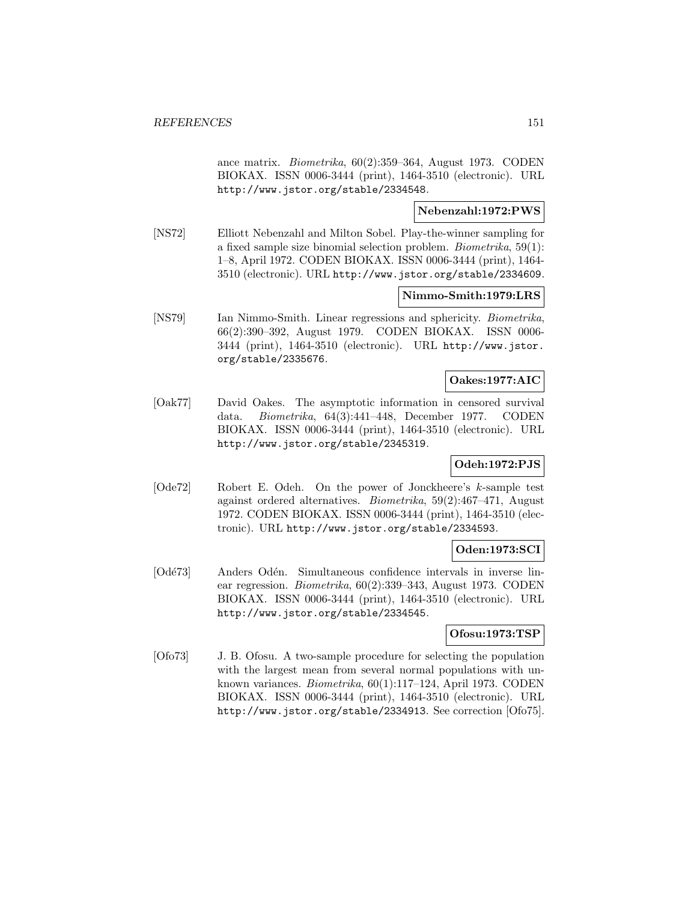ance matrix. Biometrika, 60(2):359–364, August 1973. CODEN BIOKAX. ISSN 0006-3444 (print), 1464-3510 (electronic). URL http://www.jstor.org/stable/2334548.

# **Nebenzahl:1972:PWS**

[NS72] Elliott Nebenzahl and Milton Sobel. Play-the-winner sampling for a fixed sample size binomial selection problem. Biometrika, 59(1): 1–8, April 1972. CODEN BIOKAX. ISSN 0006-3444 (print), 1464- 3510 (electronic). URL http://www.jstor.org/stable/2334609.

### **Nimmo-Smith:1979:LRS**

[NS79] Ian Nimmo-Smith. Linear regressions and sphericity. *Biometrika*, 66(2):390–392, August 1979. CODEN BIOKAX. ISSN 0006- 3444 (print), 1464-3510 (electronic). URL http://www.jstor. org/stable/2335676.

# **Oakes:1977:AIC**

[Oak77] David Oakes. The asymptotic information in censored survival data. Biometrika, 64(3):441–448, December 1977. CODEN BIOKAX. ISSN 0006-3444 (print), 1464-3510 (electronic). URL http://www.jstor.org/stable/2345319.

# **Odeh:1972:PJS**

[Ode72] Robert E. Odeh. On the power of Jonckheere's k-sample test against ordered alternatives. Biometrika, 59(2):467–471, August 1972. CODEN BIOKAX. ISSN 0006-3444 (print), 1464-3510 (electronic). URL http://www.jstor.org/stable/2334593.

#### **Oden:1973:SCI**

[Odé73] Anders Odén. Simultaneous confidence intervals in inverse linear regression. Biometrika, 60(2):339–343, August 1973. CODEN BIOKAX. ISSN 0006-3444 (print), 1464-3510 (electronic). URL http://www.jstor.org/stable/2334545.

# **Ofosu:1973:TSP**

[Ofo73] J. B. Ofosu. A two-sample procedure for selecting the population with the largest mean from several normal populations with unknown variances. Biometrika, 60(1):117–124, April 1973. CODEN BIOKAX. ISSN 0006-3444 (print), 1464-3510 (electronic). URL http://www.jstor.org/stable/2334913. See correction [Ofo75].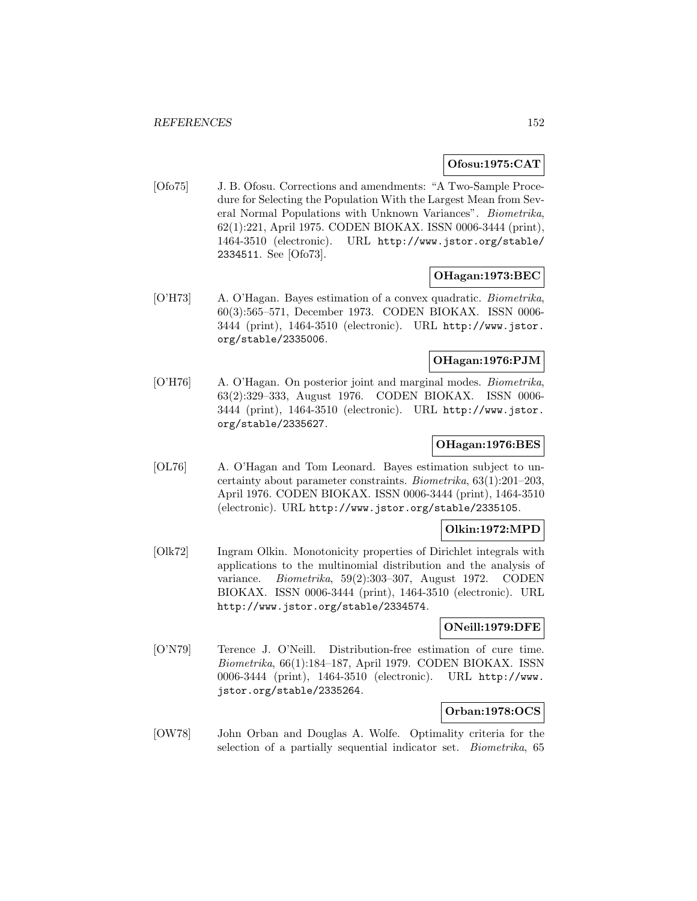# **Ofosu:1975:CAT**

[Ofo75] J. B. Ofosu. Corrections and amendments: "A Two-Sample Procedure for Selecting the Population With the Largest Mean from Several Normal Populations with Unknown Variances". Biometrika, 62(1):221, April 1975. CODEN BIOKAX. ISSN 0006-3444 (print), 1464-3510 (electronic). URL http://www.jstor.org/stable/ 2334511. See [Ofo73].

# **OHagan:1973:BEC**

[O'H73] A. O'Hagan. Bayes estimation of a convex quadratic. Biometrika, 60(3):565–571, December 1973. CODEN BIOKAX. ISSN 0006- 3444 (print), 1464-3510 (electronic). URL http://www.jstor. org/stable/2335006.

# **OHagan:1976:PJM**

[O'H76] A. O'Hagan. On posterior joint and marginal modes. Biometrika, 63(2):329–333, August 1976. CODEN BIOKAX. ISSN 0006- 3444 (print), 1464-3510 (electronic). URL http://www.jstor. org/stable/2335627.

# **OHagan:1976:BES**

[OL76] A. O'Hagan and Tom Leonard. Bayes estimation subject to uncertainty about parameter constraints. Biometrika, 63(1):201–203, April 1976. CODEN BIOKAX. ISSN 0006-3444 (print), 1464-3510 (electronic). URL http://www.jstor.org/stable/2335105.

# **Olkin:1972:MPD**

[Olk72] Ingram Olkin. Monotonicity properties of Dirichlet integrals with applications to the multinomial distribution and the analysis of variance. Biometrika, 59(2):303–307, August 1972. CODEN BIOKAX. ISSN 0006-3444 (print), 1464-3510 (electronic). URL http://www.jstor.org/stable/2334574.

# **ONeill:1979:DFE**

[O'N79] Terence J. O'Neill. Distribution-free estimation of cure time. Biometrika, 66(1):184–187, April 1979. CODEN BIOKAX. ISSN 0006-3444 (print), 1464-3510 (electronic). URL http://www. jstor.org/stable/2335264.

# **Orban:1978:OCS**

[OW78] John Orban and Douglas A. Wolfe. Optimality criteria for the selection of a partially sequential indicator set. Biometrika, 65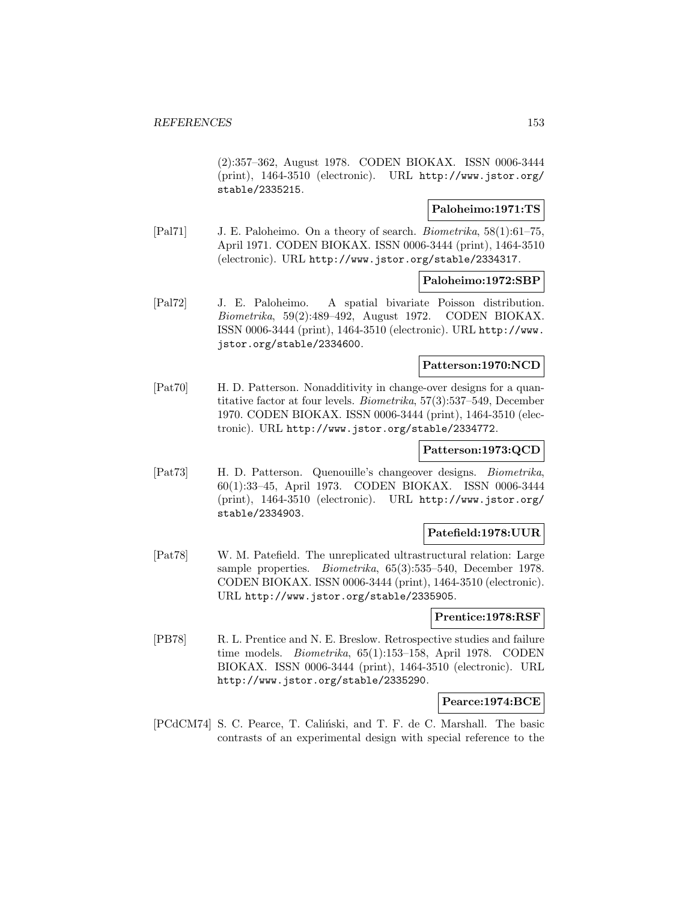(2):357–362, August 1978. CODEN BIOKAX. ISSN 0006-3444 (print), 1464-3510 (electronic). URL http://www.jstor.org/ stable/2335215.

# **Paloheimo:1971:TS**

[Pal71] J. E. Paloheimo. On a theory of search. Biometrika, 58(1):61–75, April 1971. CODEN BIOKAX. ISSN 0006-3444 (print), 1464-3510 (electronic). URL http://www.jstor.org/stable/2334317.

#### **Paloheimo:1972:SBP**

[Pal72] J. E. Paloheimo. A spatial bivariate Poisson distribution. Biometrika, 59(2):489–492, August 1972. CODEN BIOKAX. ISSN 0006-3444 (print), 1464-3510 (electronic). URL http://www. jstor.org/stable/2334600.

#### **Patterson:1970:NCD**

[Pat70] H. D. Patterson. Nonadditivity in change-over designs for a quantitative factor at four levels. Biometrika, 57(3):537–549, December 1970. CODEN BIOKAX. ISSN 0006-3444 (print), 1464-3510 (electronic). URL http://www.jstor.org/stable/2334772.

# **Patterson:1973:QCD**

[Pat73] H. D. Patterson. Quenouille's changeover designs. Biometrika, 60(1):33–45, April 1973. CODEN BIOKAX. ISSN 0006-3444 (print), 1464-3510 (electronic). URL http://www.jstor.org/ stable/2334903.

# **Patefield:1978:UUR**

[Pat78] W. M. Patefield. The unreplicated ultrastructural relation: Large sample properties. Biometrika, 65(3):535–540, December 1978. CODEN BIOKAX. ISSN 0006-3444 (print), 1464-3510 (electronic). URL http://www.jstor.org/stable/2335905.

### **Prentice:1978:RSF**

[PB78] R. L. Prentice and N. E. Breslow. Retrospective studies and failure time models. Biometrika, 65(1):153–158, April 1978. CODEN BIOKAX. ISSN 0006-3444 (print), 1464-3510 (electronic). URL http://www.jstor.org/stable/2335290.

# **Pearce:1974:BCE**

[PCdCM74] S. C. Pearce, T. Caliński, and T. F. de C. Marshall. The basic contrasts of an experimental design with special reference to the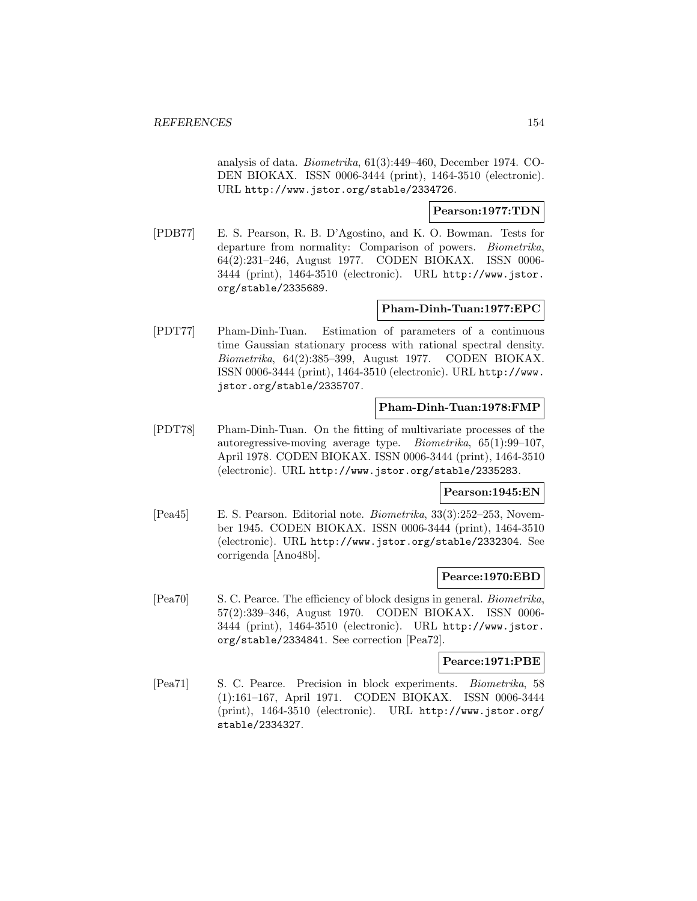analysis of data. Biometrika, 61(3):449–460, December 1974. CO-DEN BIOKAX. ISSN 0006-3444 (print), 1464-3510 (electronic). URL http://www.jstor.org/stable/2334726.

### **Pearson:1977:TDN**

[PDB77] E. S. Pearson, R. B. D'Agostino, and K. O. Bowman. Tests for departure from normality: Comparison of powers. Biometrika, 64(2):231–246, August 1977. CODEN BIOKAX. ISSN 0006- 3444 (print), 1464-3510 (electronic). URL http://www.jstor. org/stable/2335689.

# **Pham-Dinh-Tuan:1977:EPC**

[PDT77] Pham-Dinh-Tuan. Estimation of parameters of a continuous time Gaussian stationary process with rational spectral density. Biometrika, 64(2):385–399, August 1977. CODEN BIOKAX. ISSN 0006-3444 (print), 1464-3510 (electronic). URL http://www. jstor.org/stable/2335707.

#### **Pham-Dinh-Tuan:1978:FMP**

[PDT78] Pham-Dinh-Tuan. On the fitting of multivariate processes of the autoregressive-moving average type. Biometrika, 65(1):99–107, April 1978. CODEN BIOKAX. ISSN 0006-3444 (print), 1464-3510 (electronic). URL http://www.jstor.org/stable/2335283.

# **Pearson:1945:EN**

[Pea45] E. S. Pearson. Editorial note. Biometrika, 33(3):252–253, November 1945. CODEN BIOKAX. ISSN 0006-3444 (print), 1464-3510 (electronic). URL http://www.jstor.org/stable/2332304. See corrigenda [Ano48b].

# **Pearce:1970:EBD**

[Pea70] S. C. Pearce. The efficiency of block designs in general. Biometrika, 57(2):339–346, August 1970. CODEN BIOKAX. ISSN 0006- 3444 (print), 1464-3510 (electronic). URL http://www.jstor. org/stable/2334841. See correction [Pea72].

#### **Pearce:1971:PBE**

[Pea71] S. C. Pearce. Precision in block experiments. Biometrika, 58 (1):161–167, April 1971. CODEN BIOKAX. ISSN 0006-3444 (print), 1464-3510 (electronic). URL http://www.jstor.org/ stable/2334327.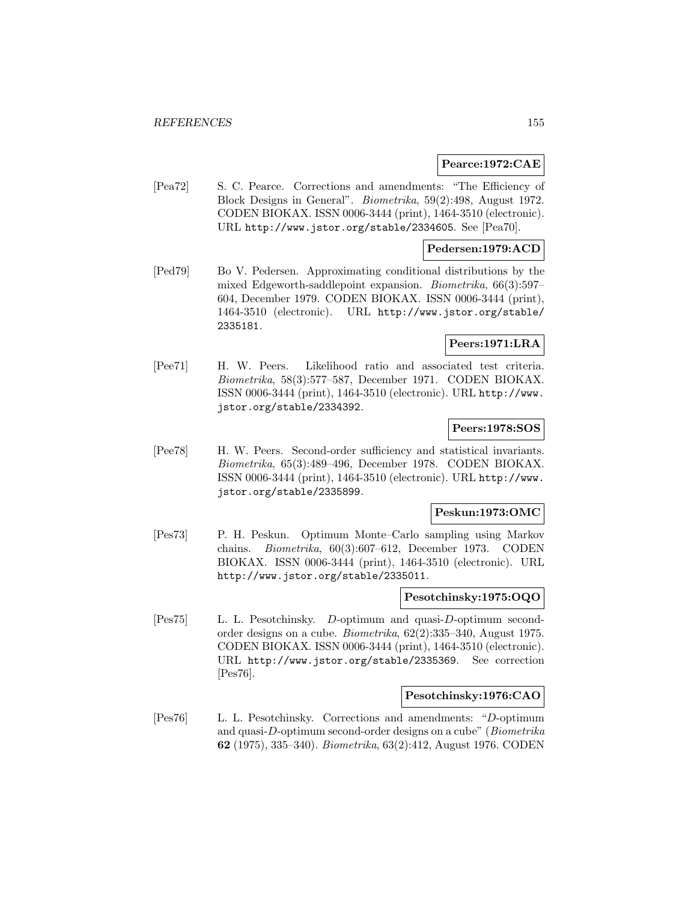#### **Pearce:1972:CAE**

[Pea72] S. C. Pearce. Corrections and amendments: "The Efficiency of Block Designs in General". Biometrika, 59(2):498, August 1972. CODEN BIOKAX. ISSN 0006-3444 (print), 1464-3510 (electronic). URL http://www.jstor.org/stable/2334605. See [Pea70].

# **Pedersen:1979:ACD**

[Ped79] Bo V. Pedersen. Approximating conditional distributions by the mixed Edgeworth-saddlepoint expansion. Biometrika, 66(3):597– 604, December 1979. CODEN BIOKAX. ISSN 0006-3444 (print), 1464-3510 (electronic). URL http://www.jstor.org/stable/ 2335181.

# **Peers:1971:LRA**

[Pee71] H. W. Peers. Likelihood ratio and associated test criteria. Biometrika, 58(3):577–587, December 1971. CODEN BIOKAX. ISSN 0006-3444 (print), 1464-3510 (electronic). URL http://www. jstor.org/stable/2334392.

# **Peers:1978:SOS**

[Pee78] H. W. Peers. Second-order sufficiency and statistical invariants. Biometrika, 65(3):489–496, December 1978. CODEN BIOKAX. ISSN 0006-3444 (print), 1464-3510 (electronic). URL http://www. jstor.org/stable/2335899.

# **Peskun:1973:OMC**

[Pes73] P. H. Peskun. Optimum Monte–Carlo sampling using Markov chains. Biometrika, 60(3):607–612, December 1973. CODEN BIOKAX. ISSN 0006-3444 (print), 1464-3510 (electronic). URL http://www.jstor.org/stable/2335011.

#### **Pesotchinsky:1975:OQO**

[Pes75] L. L. Pesotchinsky. D-optimum and quasi-D-optimum secondorder designs on a cube. Biometrika, 62(2):335–340, August 1975. CODEN BIOKAX. ISSN 0006-3444 (print), 1464-3510 (electronic). URL http://www.jstor.org/stable/2335369. See correction [Pes76].

# **Pesotchinsky:1976:CAO**

[Pes76] L. L. Pesotchinsky. Corrections and amendments: "D-optimum and quasi-D-optimum second-order designs on a cube" (Biometrika **62** (1975), 335–340). Biometrika, 63(2):412, August 1976. CODEN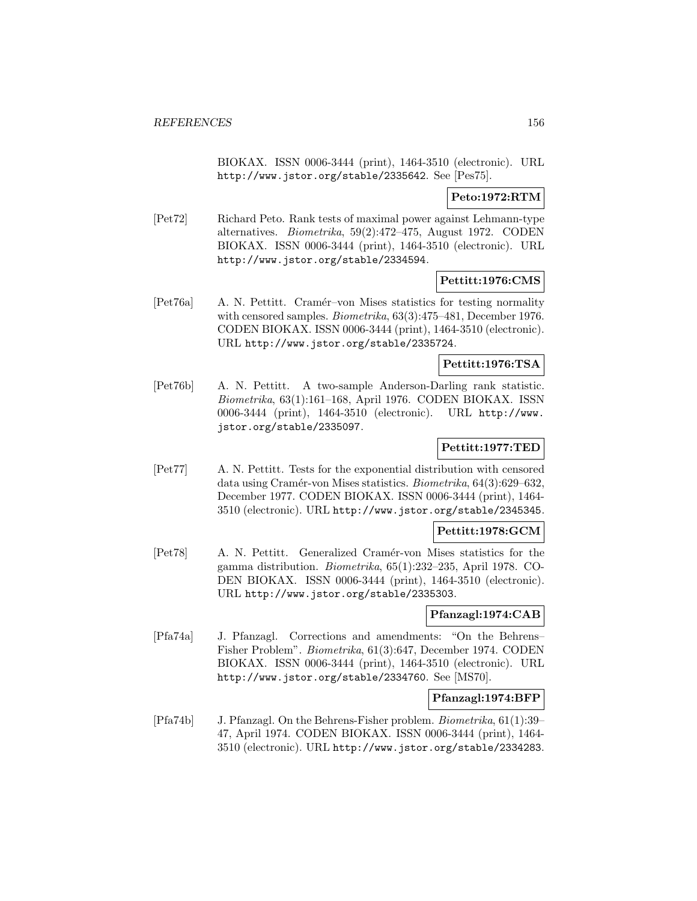BIOKAX. ISSN 0006-3444 (print), 1464-3510 (electronic). URL http://www.jstor.org/stable/2335642. See [Pes75].

# **Peto:1972:RTM**

[Pet72] Richard Peto. Rank tests of maximal power against Lehmann-type alternatives. Biometrika, 59(2):472–475, August 1972. CODEN BIOKAX. ISSN 0006-3444 (print), 1464-3510 (electronic). URL http://www.jstor.org/stable/2334594.

# **Pettitt:1976:CMS**

[Pet76a] A. N. Pettitt. Cram´er–von Mises statistics for testing normality with censored samples. Biometrika, 63(3):475–481, December 1976. CODEN BIOKAX. ISSN 0006-3444 (print), 1464-3510 (electronic). URL http://www.jstor.org/stable/2335724.

# **Pettitt:1976:TSA**

[Pet76b] A. N. Pettitt. A two-sample Anderson-Darling rank statistic. Biometrika, 63(1):161–168, April 1976. CODEN BIOKAX. ISSN 0006-3444 (print), 1464-3510 (electronic). URL http://www. jstor.org/stable/2335097.

# **Pettitt:1977:TED**

[Pet77] A. N. Pettitt. Tests for the exponential distribution with censored data using Cramér-von Mises statistics. Biometrika,  $64(3):629-632$ , December 1977. CODEN BIOKAX. ISSN 0006-3444 (print), 1464- 3510 (electronic). URL http://www.jstor.org/stable/2345345.

# **Pettitt:1978:GCM**

[Pet78] A. N. Pettitt. Generalized Cram´er-von Mises statistics for the gamma distribution. Biometrika, 65(1):232–235, April 1978. CO-DEN BIOKAX. ISSN 0006-3444 (print), 1464-3510 (electronic). URL http://www.jstor.org/stable/2335303.

#### **Pfanzagl:1974:CAB**

[Pfa74a] J. Pfanzagl. Corrections and amendments: "On the Behrens– Fisher Problem". Biometrika, 61(3):647, December 1974. CODEN BIOKAX. ISSN 0006-3444 (print), 1464-3510 (electronic). URL http://www.jstor.org/stable/2334760. See [MS70].

# **Pfanzagl:1974:BFP**

[Pfa74b] J. Pfanzagl. On the Behrens-Fisher problem. Biometrika, 61(1):39– 47, April 1974. CODEN BIOKAX. ISSN 0006-3444 (print), 1464- 3510 (electronic). URL http://www.jstor.org/stable/2334283.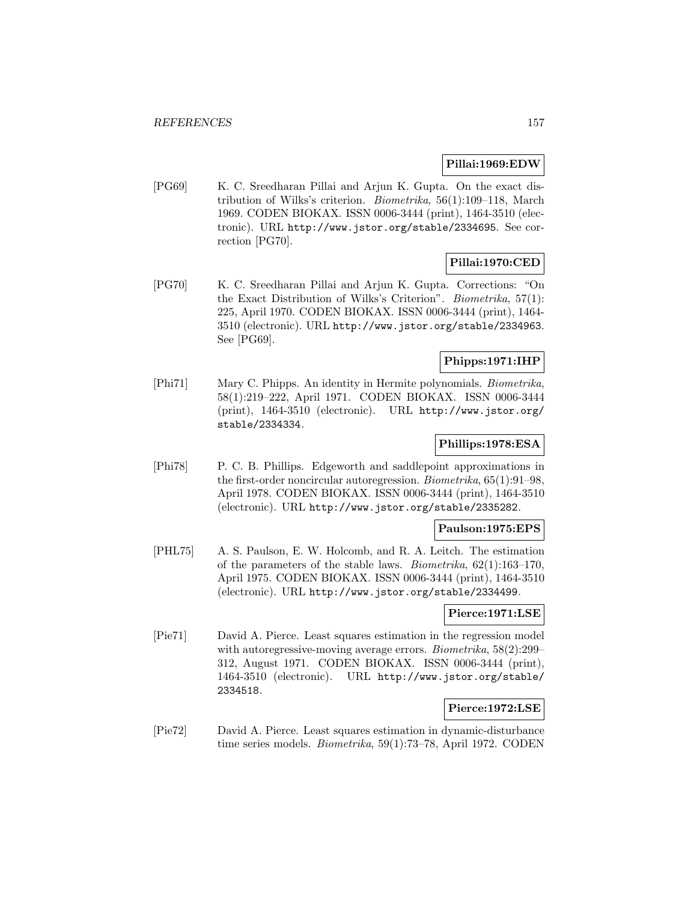# **Pillai:1969:EDW**

[PG69] K. C. Sreedharan Pillai and Arjun K. Gupta. On the exact distribution of Wilks's criterion. Biometrika, 56(1):109–118, March 1969. CODEN BIOKAX. ISSN 0006-3444 (print), 1464-3510 (electronic). URL http://www.jstor.org/stable/2334695. See correction [PG70].

# **Pillai:1970:CED**

[PG70] K. C. Sreedharan Pillai and Arjun K. Gupta. Corrections: "On the Exact Distribution of Wilks's Criterion". Biometrika, 57(1): 225, April 1970. CODEN BIOKAX. ISSN 0006-3444 (print), 1464- 3510 (electronic). URL http://www.jstor.org/stable/2334963. See [PG69].

# **Phipps:1971:IHP**

[Phi71] Mary C. Phipps. An identity in Hermite polynomials. Biometrika, 58(1):219–222, April 1971. CODEN BIOKAX. ISSN 0006-3444 (print), 1464-3510 (electronic). URL http://www.jstor.org/ stable/2334334.

# **Phillips:1978:ESA**

[Phi78] P. C. B. Phillips. Edgeworth and saddlepoint approximations in the first-order noncircular autoregression. Biometrika, 65(1):91–98, April 1978. CODEN BIOKAX. ISSN 0006-3444 (print), 1464-3510 (electronic). URL http://www.jstor.org/stable/2335282.

# **Paulson:1975:EPS**

[PHL75] A. S. Paulson, E. W. Holcomb, and R. A. Leitch. The estimation of the parameters of the stable laws. Biometrika, 62(1):163–170, April 1975. CODEN BIOKAX. ISSN 0006-3444 (print), 1464-3510 (electronic). URL http://www.jstor.org/stable/2334499.

# **Pierce:1971:LSE**

[Pie71] David A. Pierce. Least squares estimation in the regression model with autoregressive-moving average errors. Biometrika, 58(2):299– 312, August 1971. CODEN BIOKAX. ISSN 0006-3444 (print), 1464-3510 (electronic). URL http://www.jstor.org/stable/ 2334518.

# **Pierce:1972:LSE**

[Pie72] David A. Pierce. Least squares estimation in dynamic-disturbance time series models. Biometrika, 59(1):73–78, April 1972. CODEN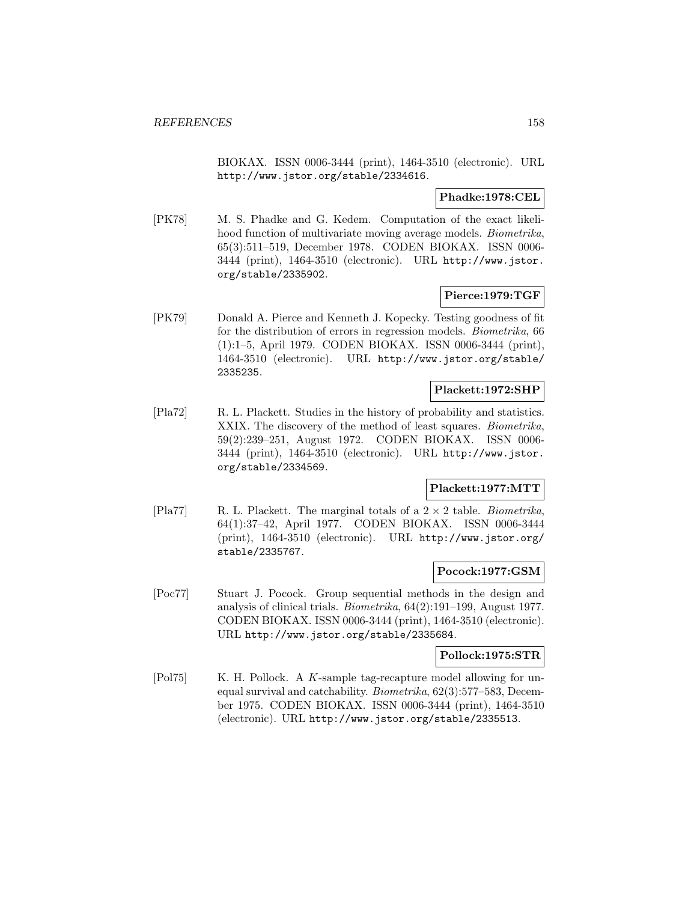BIOKAX. ISSN 0006-3444 (print), 1464-3510 (electronic). URL http://www.jstor.org/stable/2334616.

# **Phadke:1978:CEL**

[PK78] M. S. Phadke and G. Kedem. Computation of the exact likelihood function of multivariate moving average models. *Biometrika*, 65(3):511–519, December 1978. CODEN BIOKAX. ISSN 0006- 3444 (print), 1464-3510 (electronic). URL http://www.jstor. org/stable/2335902.

# **Pierce:1979:TGF**

[PK79] Donald A. Pierce and Kenneth J. Kopecky. Testing goodness of fit for the distribution of errors in regression models. Biometrika, 66 (1):1–5, April 1979. CODEN BIOKAX. ISSN 0006-3444 (print), 1464-3510 (electronic). URL http://www.jstor.org/stable/ 2335235.

# **Plackett:1972:SHP**

[Pla72] R. L. Plackett. Studies in the history of probability and statistics. XXIX. The discovery of the method of least squares. Biometrika, 59(2):239–251, August 1972. CODEN BIOKAX. ISSN 0006- 3444 (print), 1464-3510 (electronic). URL http://www.jstor. org/stable/2334569.

# **Plackett:1977:MTT**

[Pla77] R. L. Plackett. The marginal totals of a  $2 \times 2$  table. *Biometrika*, 64(1):37–42, April 1977. CODEN BIOKAX. ISSN 0006-3444 (print), 1464-3510 (electronic). URL http://www.jstor.org/ stable/2335767.

# **Pocock:1977:GSM**

[Poc77] Stuart J. Pocock. Group sequential methods in the design and analysis of clinical trials. Biometrika, 64(2):191–199, August 1977. CODEN BIOKAX. ISSN 0006-3444 (print), 1464-3510 (electronic). URL http://www.jstor.org/stable/2335684.

# **Pollock:1975:STR**

[Pol75] K. H. Pollock. A K-sample tag-recapture model allowing for unequal survival and catchability. Biometrika, 62(3):577–583, December 1975. CODEN BIOKAX. ISSN 0006-3444 (print), 1464-3510 (electronic). URL http://www.jstor.org/stable/2335513.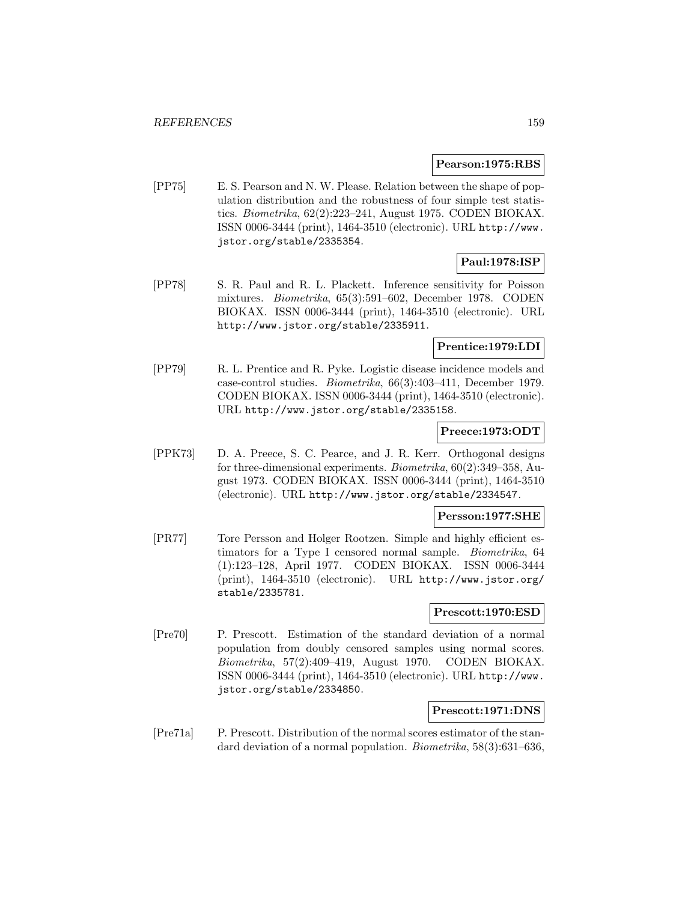#### **Pearson:1975:RBS**

[PP75] E. S. Pearson and N. W. Please. Relation between the shape of population distribution and the robustness of four simple test statistics. Biometrika, 62(2):223–241, August 1975. CODEN BIOKAX. ISSN 0006-3444 (print), 1464-3510 (electronic). URL http://www. jstor.org/stable/2335354.

# **Paul:1978:ISP**

[PP78] S. R. Paul and R. L. Plackett. Inference sensitivity for Poisson mixtures. Biometrika, 65(3):591–602, December 1978. CODEN BIOKAX. ISSN 0006-3444 (print), 1464-3510 (electronic). URL http://www.jstor.org/stable/2335911.

# **Prentice:1979:LDI**

[PP79] R. L. Prentice and R. Pyke. Logistic disease incidence models and case-control studies. Biometrika, 66(3):403–411, December 1979. CODEN BIOKAX. ISSN 0006-3444 (print), 1464-3510 (electronic). URL http://www.jstor.org/stable/2335158.

# **Preece:1973:ODT**

[PPK73] D. A. Preece, S. C. Pearce, and J. R. Kerr. Orthogonal designs for three-dimensional experiments. Biometrika, 60(2):349–358, August 1973. CODEN BIOKAX. ISSN 0006-3444 (print), 1464-3510 (electronic). URL http://www.jstor.org/stable/2334547.

# **Persson:1977:SHE**

[PR77] Tore Persson and Holger Rootzen. Simple and highly efficient estimators for a Type I censored normal sample. Biometrika, 64 (1):123–128, April 1977. CODEN BIOKAX. ISSN 0006-3444 (print), 1464-3510 (electronic). URL http://www.jstor.org/ stable/2335781.

#### **Prescott:1970:ESD**

[Pre70] P. Prescott. Estimation of the standard deviation of a normal population from doubly censored samples using normal scores. Biometrika, 57(2):409–419, August 1970. CODEN BIOKAX. ISSN 0006-3444 (print), 1464-3510 (electronic). URL http://www. jstor.org/stable/2334850.

# **Prescott:1971:DNS**

[Pre71a] P. Prescott. Distribution of the normal scores estimator of the standard deviation of a normal population. *Biometrika*, 58(3):631–636,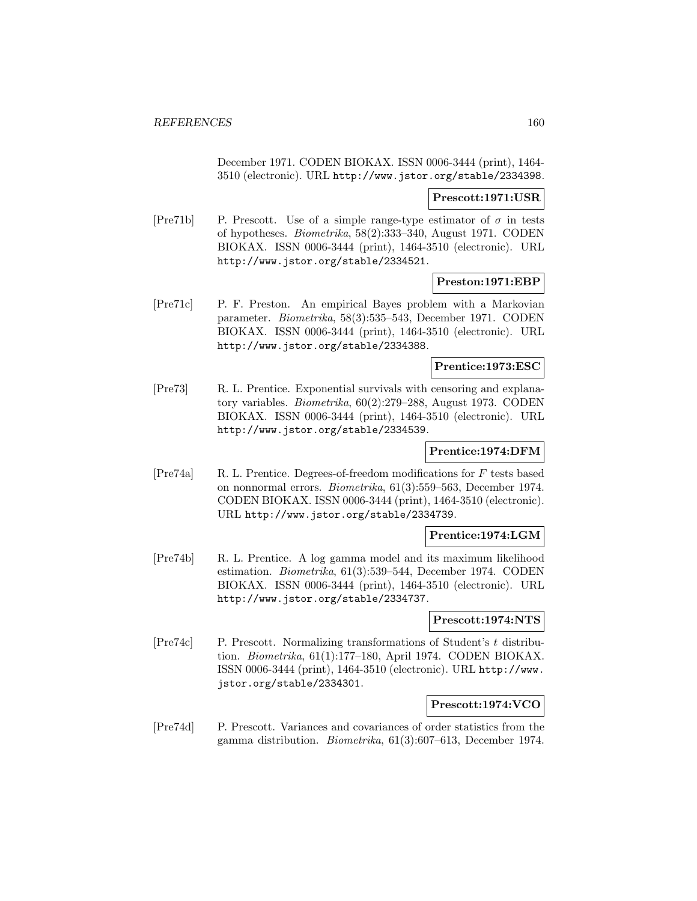December 1971. CODEN BIOKAX. ISSN 0006-3444 (print), 1464- 3510 (electronic). URL http://www.jstor.org/stable/2334398.

# **Prescott:1971:USR**

[Pre71b] P. Prescott. Use of a simple range-type estimator of  $\sigma$  in tests of hypotheses. Biometrika, 58(2):333–340, August 1971. CODEN BIOKAX. ISSN 0006-3444 (print), 1464-3510 (electronic). URL http://www.jstor.org/stable/2334521.

# **Preston:1971:EBP**

[Pre71c] P. F. Preston. An empirical Bayes problem with a Markovian parameter. Biometrika, 58(3):535–543, December 1971. CODEN BIOKAX. ISSN 0006-3444 (print), 1464-3510 (electronic). URL http://www.jstor.org/stable/2334388.

# **Prentice:1973:ESC**

[Pre73] R. L. Prentice. Exponential survivals with censoring and explanatory variables. Biometrika, 60(2):279–288, August 1973. CODEN BIOKAX. ISSN 0006-3444 (print), 1464-3510 (electronic). URL http://www.jstor.org/stable/2334539.

# **Prentice:1974:DFM**

[Pre74a] R. L. Prentice. Degrees-of-freedom modifications for F tests based on nonnormal errors. Biometrika, 61(3):559–563, December 1974. CODEN BIOKAX. ISSN 0006-3444 (print), 1464-3510 (electronic). URL http://www.jstor.org/stable/2334739.

# **Prentice:1974:LGM**

[Pre74b] R. L. Prentice. A log gamma model and its maximum likelihood estimation. Biometrika, 61(3):539–544, December 1974. CODEN BIOKAX. ISSN 0006-3444 (print), 1464-3510 (electronic). URL http://www.jstor.org/stable/2334737.

# **Prescott:1974:NTS**

[Pre74c] P. Prescott. Normalizing transformations of Student's t distribution. Biometrika, 61(1):177–180, April 1974. CODEN BIOKAX. ISSN 0006-3444 (print), 1464-3510 (electronic). URL http://www. jstor.org/stable/2334301.

# **Prescott:1974:VCO**

[Pre74d] P. Prescott. Variances and covariances of order statistics from the gamma distribution. Biometrika, 61(3):607–613, December 1974.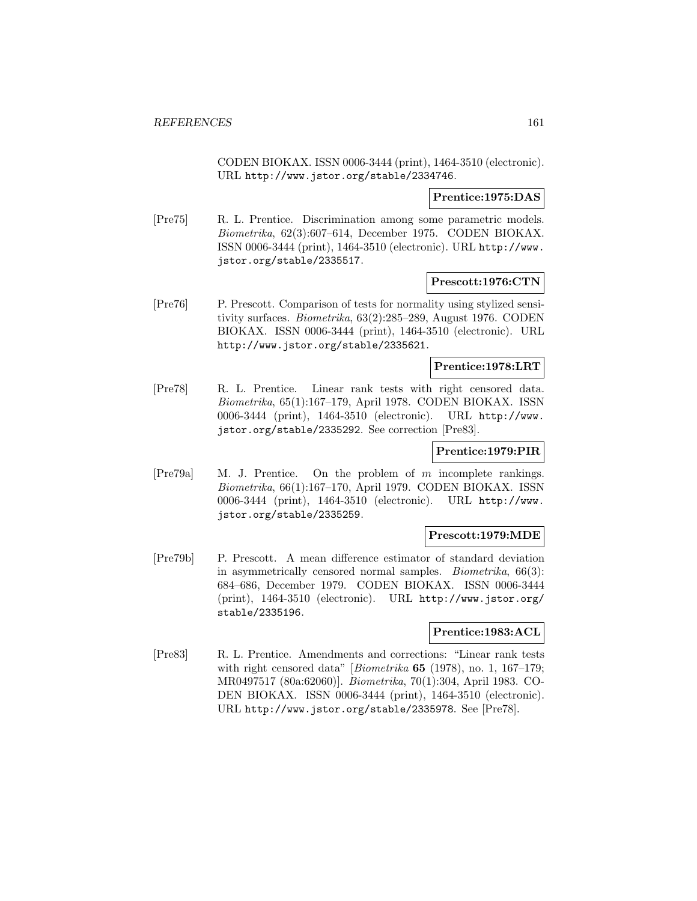CODEN BIOKAX. ISSN 0006-3444 (print), 1464-3510 (electronic). URL http://www.jstor.org/stable/2334746.

# **Prentice:1975:DAS**

[Pre75] R. L. Prentice. Discrimination among some parametric models. Biometrika, 62(3):607–614, December 1975. CODEN BIOKAX. ISSN 0006-3444 (print), 1464-3510 (electronic). URL http://www. jstor.org/stable/2335517.

# **Prescott:1976:CTN**

[Pre76] P. Prescott. Comparison of tests for normality using stylized sensitivity surfaces. Biometrika, 63(2):285–289, August 1976. CODEN BIOKAX. ISSN 0006-3444 (print), 1464-3510 (electronic). URL http://www.jstor.org/stable/2335621.

# **Prentice:1978:LRT**

[Pre78] R. L. Prentice. Linear rank tests with right censored data. Biometrika, 65(1):167–179, April 1978. CODEN BIOKAX. ISSN 0006-3444 (print), 1464-3510 (electronic). URL http://www. jstor.org/stable/2335292. See correction [Pre83].

# **Prentice:1979:PIR**

[Pre79a] M. J. Prentice. On the problem of m incomplete rankings. Biometrika, 66(1):167–170, April 1979. CODEN BIOKAX. ISSN 0006-3444 (print), 1464-3510 (electronic). URL http://www. jstor.org/stable/2335259.

# **Prescott:1979:MDE**

[Pre79b] P. Prescott. A mean difference estimator of standard deviation in asymmetrically censored normal samples. Biometrika, 66(3): 684–686, December 1979. CODEN BIOKAX. ISSN 0006-3444 (print), 1464-3510 (electronic). URL http://www.jstor.org/ stable/2335196.

# **Prentice:1983:ACL**

[Pre83] R. L. Prentice. Amendments and corrections: "Linear rank tests with right censored data" [Biometrika **65** (1978), no. 1, 167–179; MR0497517 (80a:62060)]. Biometrika, 70(1):304, April 1983. CO-DEN BIOKAX. ISSN 0006-3444 (print), 1464-3510 (electronic). URL http://www.jstor.org/stable/2335978. See [Pre78].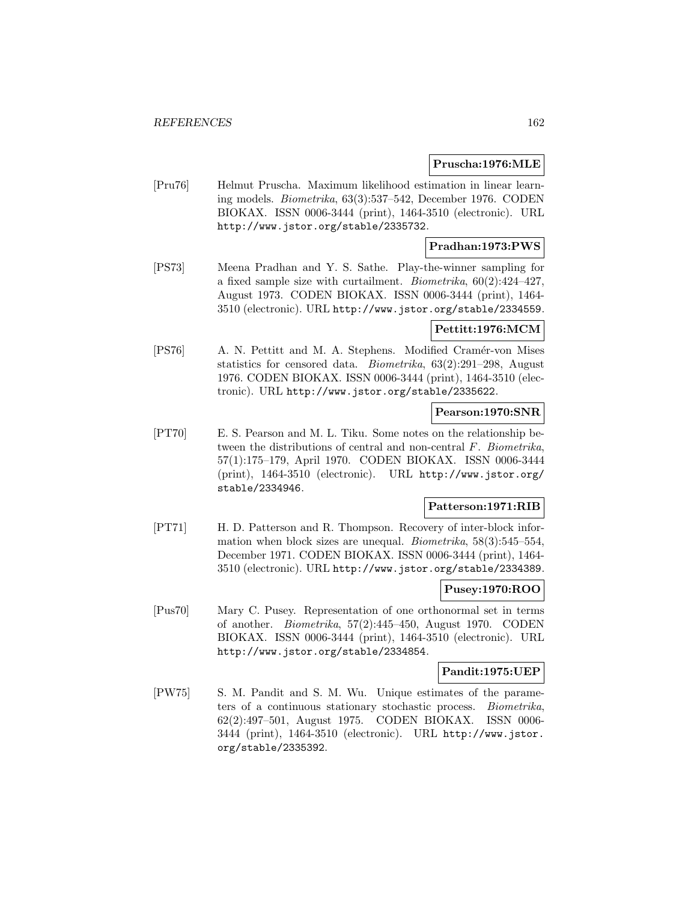# **Pruscha:1976:MLE**

[Pru76] Helmut Pruscha. Maximum likelihood estimation in linear learning models. Biometrika, 63(3):537–542, December 1976. CODEN BIOKAX. ISSN 0006-3444 (print), 1464-3510 (electronic). URL http://www.jstor.org/stable/2335732.

# **Pradhan:1973:PWS**

[PS73] Meena Pradhan and Y. S. Sathe. Play-the-winner sampling for a fixed sample size with curtailment. Biometrika, 60(2):424–427, August 1973. CODEN BIOKAX. ISSN 0006-3444 (print), 1464- 3510 (electronic). URL http://www.jstor.org/stable/2334559.

# **Pettitt:1976:MCM**

[PS76] A. N. Pettitt and M. A. Stephens. Modified Cramér-von Mises statistics for censored data. Biometrika, 63(2):291–298, August 1976. CODEN BIOKAX. ISSN 0006-3444 (print), 1464-3510 (electronic). URL http://www.jstor.org/stable/2335622.

# **Pearson:1970:SNR**

[PT70] E. S. Pearson and M. L. Tiku. Some notes on the relationship between the distributions of central and non-central F. Biometrika, 57(1):175–179, April 1970. CODEN BIOKAX. ISSN 0006-3444 (print), 1464-3510 (electronic). URL http://www.jstor.org/ stable/2334946.

# **Patterson:1971:RIB**

[PT71] H. D. Patterson and R. Thompson. Recovery of inter-block information when block sizes are unequal. Biometrika,  $58(3):545-554$ , December 1971. CODEN BIOKAX. ISSN 0006-3444 (print), 1464- 3510 (electronic). URL http://www.jstor.org/stable/2334389.

# **Pusey:1970:ROO**

[Pus70] Mary C. Pusey. Representation of one orthonormal set in terms of another. Biometrika, 57(2):445–450, August 1970. CODEN BIOKAX. ISSN 0006-3444 (print), 1464-3510 (electronic). URL http://www.jstor.org/stable/2334854.

#### **Pandit:1975:UEP**

[PW75] S. M. Pandit and S. M. Wu. Unique estimates of the parameters of a continuous stationary stochastic process. Biometrika, 62(2):497–501, August 1975. CODEN BIOKAX. ISSN 0006- 3444 (print), 1464-3510 (electronic). URL http://www.jstor. org/stable/2335392.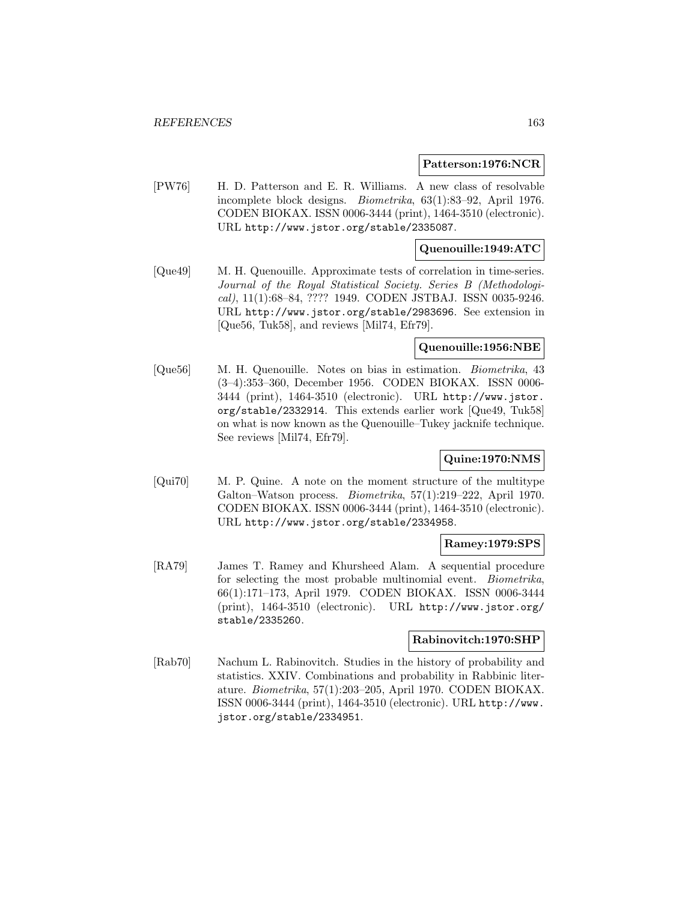#### **Patterson:1976:NCR**

[PW76] H. D. Patterson and E. R. Williams. A new class of resolvable incomplete block designs. Biometrika, 63(1):83–92, April 1976. CODEN BIOKAX. ISSN 0006-3444 (print), 1464-3510 (electronic). URL http://www.jstor.org/stable/2335087.

# **Quenouille:1949:ATC**

[Que49] M. H. Quenouille. Approximate tests of correlation in time-series. Journal of the Royal Statistical Society. Series B (Methodological), 11(1):68–84, ???? 1949. CODEN JSTBAJ. ISSN 0035-9246. URL http://www.jstor.org/stable/2983696. See extension in [Que56, Tuk58], and reviews [Mil74, Efr79].

# **Quenouille:1956:NBE**

[Que56] M. H. Quenouille. Notes on bias in estimation. Biometrika, 43 (3–4):353–360, December 1956. CODEN BIOKAX. ISSN 0006- 3444 (print), 1464-3510 (electronic). URL http://www.jstor. org/stable/2332914. This extends earlier work [Que49, Tuk58] on what is now known as the Quenouille–Tukey jacknife technique. See reviews [Mil74, Efr79].

# **Quine:1970:NMS**

[Qui70] M. P. Quine. A note on the moment structure of the multitype Galton–Watson process. Biometrika, 57(1):219–222, April 1970. CODEN BIOKAX. ISSN 0006-3444 (print), 1464-3510 (electronic). URL http://www.jstor.org/stable/2334958.

# **Ramey:1979:SPS**

[RA79] James T. Ramey and Khursheed Alam. A sequential procedure for selecting the most probable multinomial event. Biometrika, 66(1):171–173, April 1979. CODEN BIOKAX. ISSN 0006-3444 (print), 1464-3510 (electronic). URL http://www.jstor.org/ stable/2335260.

# **Rabinovitch:1970:SHP**

[Rab70] Nachum L. Rabinovitch. Studies in the history of probability and statistics. XXIV. Combinations and probability in Rabbinic literature. Biometrika, 57(1):203–205, April 1970. CODEN BIOKAX. ISSN 0006-3444 (print), 1464-3510 (electronic). URL http://www. jstor.org/stable/2334951.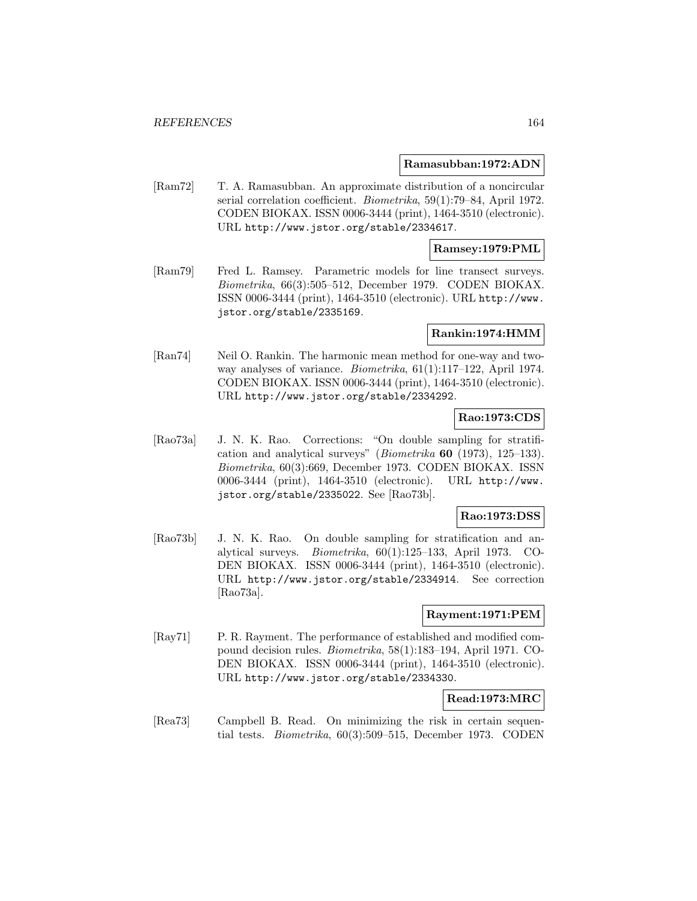#### **Ramasubban:1972:ADN**

[Ram72] T. A. Ramasubban. An approximate distribution of a noncircular serial correlation coefficient. Biometrika, 59(1):79–84, April 1972. CODEN BIOKAX. ISSN 0006-3444 (print), 1464-3510 (electronic). URL http://www.jstor.org/stable/2334617.

## **Ramsey:1979:PML**

[Ram79] Fred L. Ramsey. Parametric models for line transect surveys. Biometrika, 66(3):505–512, December 1979. CODEN BIOKAX. ISSN 0006-3444 (print), 1464-3510 (electronic). URL http://www. jstor.org/stable/2335169.

# **Rankin:1974:HMM**

[Ran74] Neil O. Rankin. The harmonic mean method for one-way and twoway analyses of variance. Biometrika, 61(1):117–122, April 1974. CODEN BIOKAX. ISSN 0006-3444 (print), 1464-3510 (electronic). URL http://www.jstor.org/stable/2334292.

# **Rao:1973:CDS**

[Rao73a] J. N. K. Rao. Corrections: "On double sampling for stratification and analytical surveys" (Biometrika **60** (1973), 125–133). Biometrika, 60(3):669, December 1973. CODEN BIOKAX. ISSN 0006-3444 (print), 1464-3510 (electronic). URL http://www. jstor.org/stable/2335022. See [Rao73b].

# **Rao:1973:DSS**

[Rao73b] J. N. K. Rao. On double sampling for stratification and analytical surveys. Biometrika, 60(1):125–133, April 1973. CO-DEN BIOKAX. ISSN 0006-3444 (print), 1464-3510 (electronic). URL http://www.jstor.org/stable/2334914. See correction [Rao73a].

#### **Rayment:1971:PEM**

[Ray71] P. R. Rayment. The performance of established and modified compound decision rules. Biometrika, 58(1):183–194, April 1971. CO-DEN BIOKAX. ISSN 0006-3444 (print), 1464-3510 (electronic). URL http://www.jstor.org/stable/2334330.

#### **Read:1973:MRC**

[Rea73] Campbell B. Read. On minimizing the risk in certain sequential tests. Biometrika, 60(3):509–515, December 1973. CODEN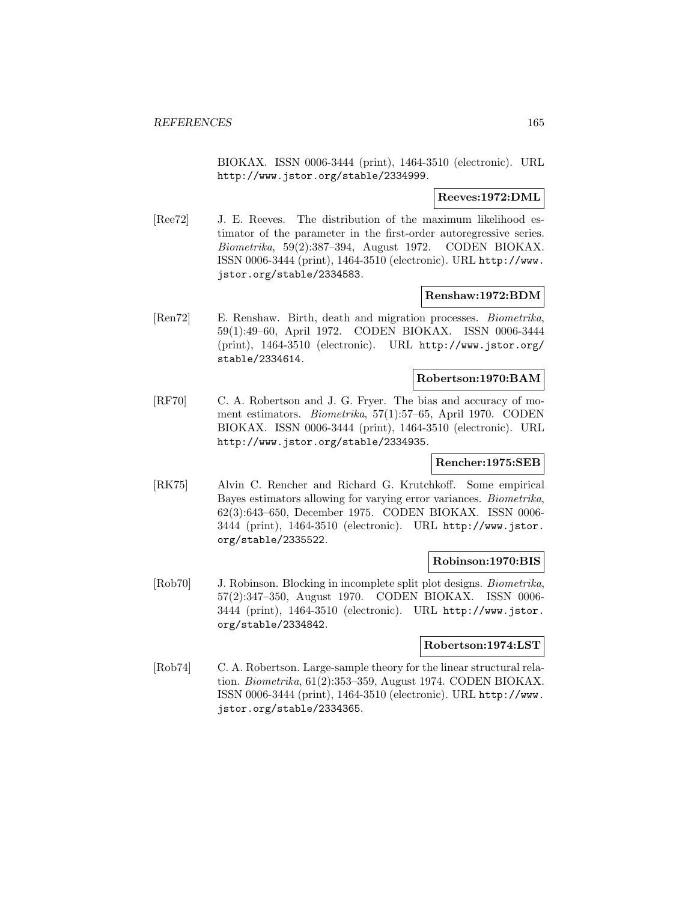BIOKAX. ISSN 0006-3444 (print), 1464-3510 (electronic). URL http://www.jstor.org/stable/2334999.

# **Reeves:1972:DML**

[Ree72] J. E. Reeves. The distribution of the maximum likelihood estimator of the parameter in the first-order autoregressive series. Biometrika, 59(2):387–394, August 1972. CODEN BIOKAX. ISSN 0006-3444 (print), 1464-3510 (electronic). URL http://www. jstor.org/stable/2334583.

# **Renshaw:1972:BDM**

[Ren72] E. Renshaw. Birth, death and migration processes. Biometrika, 59(1):49–60, April 1972. CODEN BIOKAX. ISSN 0006-3444 (print), 1464-3510 (electronic). URL http://www.jstor.org/ stable/2334614.

# **Robertson:1970:BAM**

[RF70] C. A. Robertson and J. G. Fryer. The bias and accuracy of moment estimators. Biometrika, 57(1):57–65, April 1970. CODEN BIOKAX. ISSN 0006-3444 (print), 1464-3510 (electronic). URL http://www.jstor.org/stable/2334935.

# **Rencher:1975:SEB**

[RK75] Alvin C. Rencher and Richard G. Krutchkoff. Some empirical Bayes estimators allowing for varying error variances. Biometrika, 62(3):643–650, December 1975. CODEN BIOKAX. ISSN 0006- 3444 (print), 1464-3510 (electronic). URL http://www.jstor. org/stable/2335522.

# **Robinson:1970:BIS**

[Rob70] J. Robinson. Blocking in incomplete split plot designs. Biometrika, 57(2):347–350, August 1970. CODEN BIOKAX. ISSN 0006- 3444 (print), 1464-3510 (electronic). URL http://www.jstor. org/stable/2334842.

#### **Robertson:1974:LST**

[Rob74] C. A. Robertson. Large-sample theory for the linear structural relation. Biometrika, 61(2):353–359, August 1974. CODEN BIOKAX. ISSN 0006-3444 (print), 1464-3510 (electronic). URL http://www. jstor.org/stable/2334365.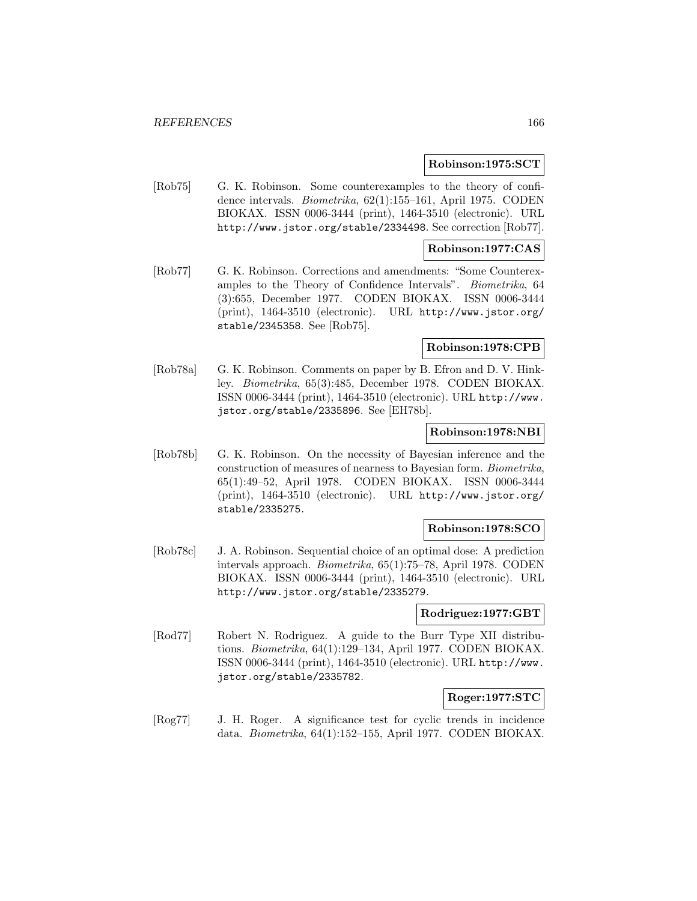#### **Robinson:1975:SCT**

[Rob75] G. K. Robinson. Some counterexamples to the theory of confidence intervals. Biometrika, 62(1):155–161, April 1975. CODEN BIOKAX. ISSN 0006-3444 (print), 1464-3510 (electronic). URL http://www.jstor.org/stable/2334498. See correction [Rob77].

# **Robinson:1977:CAS**

[Rob77] G. K. Robinson. Corrections and amendments: "Some Counterexamples to the Theory of Confidence Intervals". Biometrika, 64 (3):655, December 1977. CODEN BIOKAX. ISSN 0006-3444 (print), 1464-3510 (electronic). URL http://www.jstor.org/ stable/2345358. See [Rob75].

#### **Robinson:1978:CPB**

[Rob78a] G. K. Robinson. Comments on paper by B. Efron and D. V. Hinkley. Biometrika, 65(3):485, December 1978. CODEN BIOKAX. ISSN 0006-3444 (print), 1464-3510 (electronic). URL http://www. jstor.org/stable/2335896. See [EH78b].

# **Robinson:1978:NBI**

[Rob78b] G. K. Robinson. On the necessity of Bayesian inference and the construction of measures of nearness to Bayesian form. Biometrika, 65(1):49–52, April 1978. CODEN BIOKAX. ISSN 0006-3444 (print), 1464-3510 (electronic). URL http://www.jstor.org/ stable/2335275.

# **Robinson:1978:SCO**

[Rob78c] J. A. Robinson. Sequential choice of an optimal dose: A prediction intervals approach. Biometrika, 65(1):75–78, April 1978. CODEN BIOKAX. ISSN 0006-3444 (print), 1464-3510 (electronic). URL http://www.jstor.org/stable/2335279.

#### **Rodriguez:1977:GBT**

[Rod77] Robert N. Rodriguez. A guide to the Burr Type XII distributions. Biometrika, 64(1):129–134, April 1977. CODEN BIOKAX. ISSN 0006-3444 (print), 1464-3510 (electronic). URL http://www. jstor.org/stable/2335782.

#### **Roger:1977:STC**

[Rog77] J. H. Roger. A significance test for cyclic trends in incidence data. Biometrika, 64(1):152–155, April 1977. CODEN BIOKAX.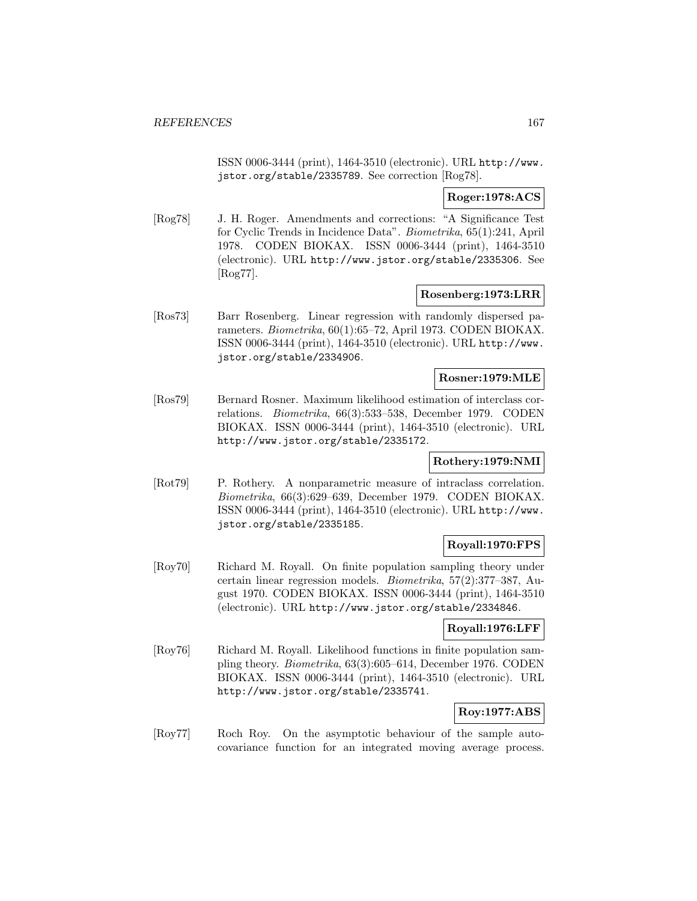ISSN 0006-3444 (print), 1464-3510 (electronic). URL http://www. jstor.org/stable/2335789. See correction [Rog78].

# **Roger:1978:ACS**

[Rog78] J. H. Roger. Amendments and corrections: "A Significance Test for Cyclic Trends in Incidence Data". Biometrika, 65(1):241, April 1978. CODEN BIOKAX. ISSN 0006-3444 (print), 1464-3510 (electronic). URL http://www.jstor.org/stable/2335306. See [Rog77].

# **Rosenberg:1973:LRR**

[Ros73] Barr Rosenberg. Linear regression with randomly dispersed parameters. Biometrika, 60(1):65–72, April 1973. CODEN BIOKAX. ISSN 0006-3444 (print), 1464-3510 (electronic). URL http://www. jstor.org/stable/2334906.

# **Rosner:1979:MLE**

[Ros79] Bernard Rosner. Maximum likelihood estimation of interclass correlations. Biometrika, 66(3):533–538, December 1979. CODEN BIOKAX. ISSN 0006-3444 (print), 1464-3510 (electronic). URL http://www.jstor.org/stable/2335172.

# **Rothery:1979:NMI**

[Rot79] P. Rothery. A nonparametric measure of intraclass correlation. Biometrika, 66(3):629–639, December 1979. CODEN BIOKAX. ISSN 0006-3444 (print), 1464-3510 (electronic). URL http://www. jstor.org/stable/2335185.

# **Royall:1970:FPS**

[Roy70] Richard M. Royall. On finite population sampling theory under certain linear regression models. Biometrika, 57(2):377–387, August 1970. CODEN BIOKAX. ISSN 0006-3444 (print), 1464-3510 (electronic). URL http://www.jstor.org/stable/2334846.

# **Royall:1976:LFF**

[Roy76] Richard M. Royall. Likelihood functions in finite population sampling theory. Biometrika, 63(3):605–614, December 1976. CODEN BIOKAX. ISSN 0006-3444 (print), 1464-3510 (electronic). URL http://www.jstor.org/stable/2335741.

# **Roy:1977:ABS**

[Roy77] Roch Roy. On the asymptotic behaviour of the sample autocovariance function for an integrated moving average process.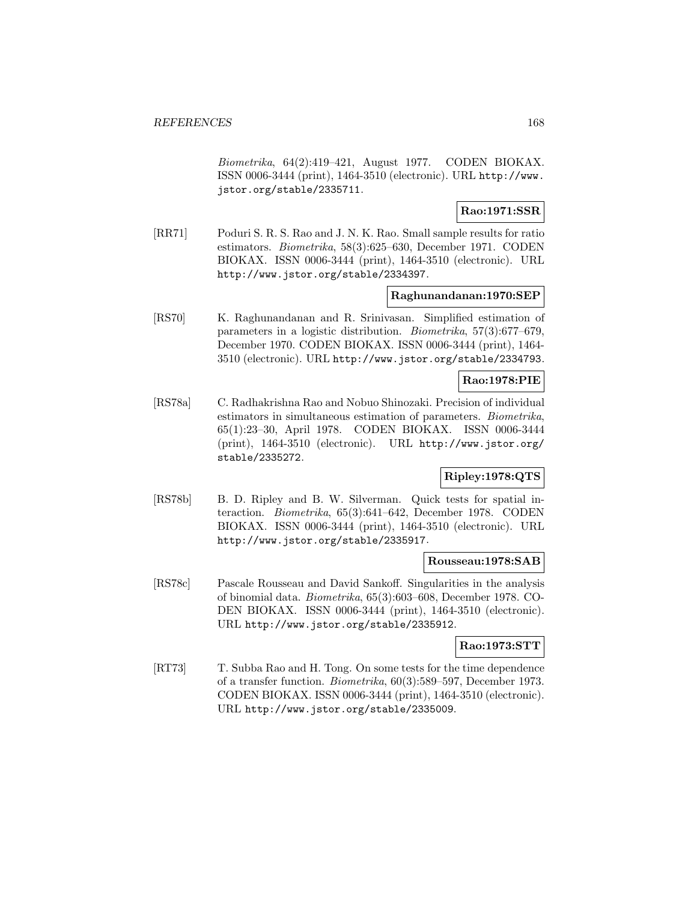Biometrika, 64(2):419–421, August 1977. CODEN BIOKAX. ISSN 0006-3444 (print), 1464-3510 (electronic). URL http://www. jstor.org/stable/2335711.

# **Rao:1971:SSR**

[RR71] Poduri S. R. S. Rao and J. N. K. Rao. Small sample results for ratio estimators. Biometrika, 58(3):625–630, December 1971. CODEN BIOKAX. ISSN 0006-3444 (print), 1464-3510 (electronic). URL http://www.jstor.org/stable/2334397.

# **Raghunandanan:1970:SEP**

[RS70] K. Raghunandanan and R. Srinivasan. Simplified estimation of parameters in a logistic distribution. Biometrika, 57(3):677–679, December 1970. CODEN BIOKAX. ISSN 0006-3444 (print), 1464- 3510 (electronic). URL http://www.jstor.org/stable/2334793.

# **Rao:1978:PIE**

[RS78a] C. Radhakrishna Rao and Nobuo Shinozaki. Precision of individual estimators in simultaneous estimation of parameters. Biometrika, 65(1):23–30, April 1978. CODEN BIOKAX. ISSN 0006-3444 (print), 1464-3510 (electronic). URL http://www.jstor.org/ stable/2335272.

# **Ripley:1978:QTS**

[RS78b] B. D. Ripley and B. W. Silverman. Quick tests for spatial interaction. Biometrika, 65(3):641–642, December 1978. CODEN BIOKAX. ISSN 0006-3444 (print), 1464-3510 (electronic). URL http://www.jstor.org/stable/2335917.

# **Rousseau:1978:SAB**

[RS78c] Pascale Rousseau and David Sankoff. Singularities in the analysis of binomial data. Biometrika, 65(3):603–608, December 1978. CO-DEN BIOKAX. ISSN 0006-3444 (print), 1464-3510 (electronic). URL http://www.jstor.org/stable/2335912.

# **Rao:1973:STT**

[RT73] T. Subba Rao and H. Tong. On some tests for the time dependence of a transfer function. Biometrika, 60(3):589–597, December 1973. CODEN BIOKAX. ISSN 0006-3444 (print), 1464-3510 (electronic). URL http://www.jstor.org/stable/2335009.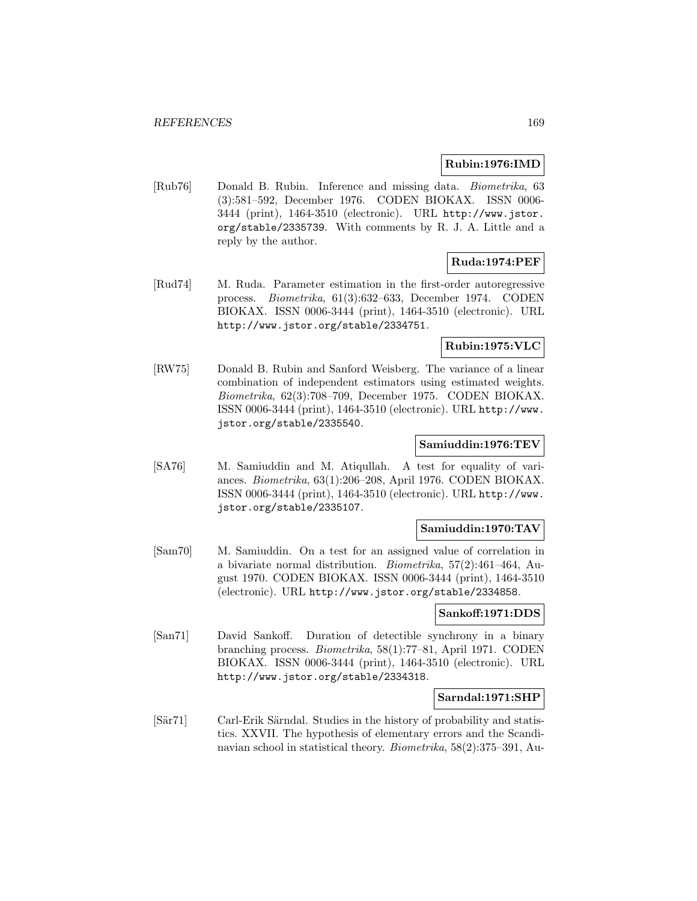### **Rubin:1976:IMD**

[Rub76] Donald B. Rubin. Inference and missing data. Biometrika, 63 (3):581–592, December 1976. CODEN BIOKAX. ISSN 0006- 3444 (print), 1464-3510 (electronic). URL http://www.jstor. org/stable/2335739. With comments by R. J. A. Little and a reply by the author.

# **Ruda:1974:PEF**

[Rud74] M. Ruda. Parameter estimation in the first-order autoregressive process. Biometrika, 61(3):632–633, December 1974. CODEN BIOKAX. ISSN 0006-3444 (print), 1464-3510 (electronic). URL http://www.jstor.org/stable/2334751.

# **Rubin:1975:VLC**

[RW75] Donald B. Rubin and Sanford Weisberg. The variance of a linear combination of independent estimators using estimated weights. Biometrika, 62(3):708–709, December 1975. CODEN BIOKAX. ISSN 0006-3444 (print), 1464-3510 (electronic). URL http://www. jstor.org/stable/2335540.

#### **Samiuddin:1976:TEV**

[SA76] M. Samiuddin and M. Atiqullah. A test for equality of variances. Biometrika, 63(1):206–208, April 1976. CODEN BIOKAX. ISSN 0006-3444 (print), 1464-3510 (electronic). URL http://www. jstor.org/stable/2335107.

# **Samiuddin:1970:TAV**

[Sam70] M. Samiuddin. On a test for an assigned value of correlation in a bivariate normal distribution. Biometrika, 57(2):461–464, August 1970. CODEN BIOKAX. ISSN 0006-3444 (print), 1464-3510 (electronic). URL http://www.jstor.org/stable/2334858.

#### **Sankoff:1971:DDS**

[San71] David Sankoff. Duration of detectible synchrony in a binary branching process. Biometrika, 58(1):77–81, April 1971. CODEN BIOKAX. ISSN 0006-3444 (print), 1464-3510 (electronic). URL http://www.jstor.org/stable/2334318.

# **Sarndal:1971:SHP**

[Sär71] Carl-Erik Särndal. Studies in the history of probability and statistics. XXVII. The hypothesis of elementary errors and the Scandinavian school in statistical theory. Biometrika, 58(2):375–391, Au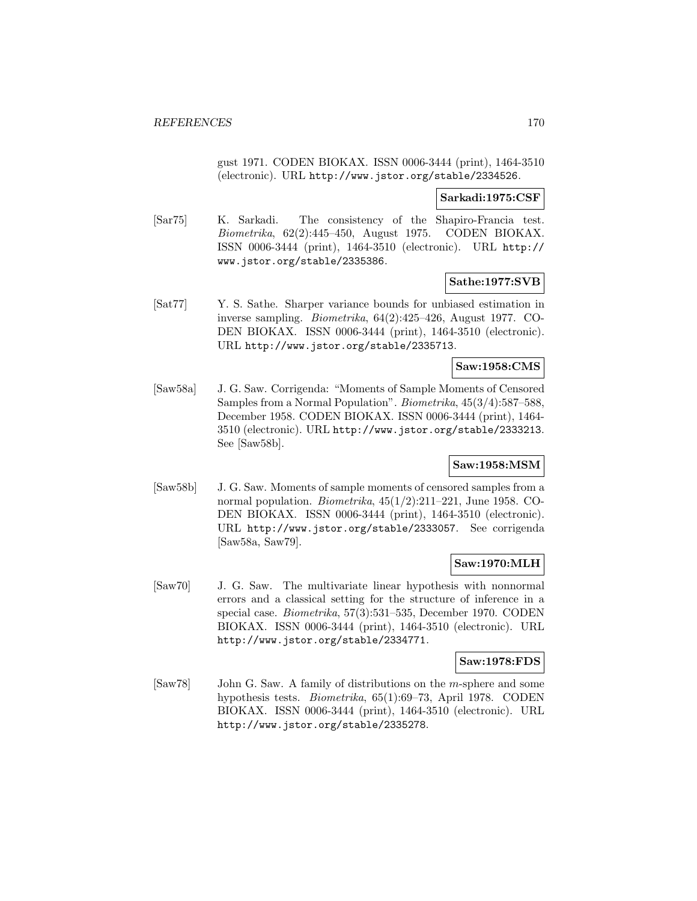gust 1971. CODEN BIOKAX. ISSN 0006-3444 (print), 1464-3510 (electronic). URL http://www.jstor.org/stable/2334526.

### **Sarkadi:1975:CSF**

[Sar75] K. Sarkadi. The consistency of the Shapiro-Francia test. Biometrika, 62(2):445–450, August 1975. CODEN BIOKAX. ISSN 0006-3444 (print), 1464-3510 (electronic). URL http:// www.jstor.org/stable/2335386.

# **Sathe:1977:SVB**

[Sat77] Y. S. Sathe. Sharper variance bounds for unbiased estimation in inverse sampling. Biometrika, 64(2):425–426, August 1977. CO-DEN BIOKAX. ISSN 0006-3444 (print), 1464-3510 (electronic). URL http://www.jstor.org/stable/2335713.

# **Saw:1958:CMS**

[Saw58a] J. G. Saw. Corrigenda: "Moments of Sample Moments of Censored Samples from a Normal Population". Biometrika, 45(3/4):587–588, December 1958. CODEN BIOKAX. ISSN 0006-3444 (print), 1464- 3510 (electronic). URL http://www.jstor.org/stable/2333213. See [Saw58b].

### **Saw:1958:MSM**

[Saw58b] J. G. Saw. Moments of sample moments of censored samples from a normal population. Biometrika, 45(1/2):211–221, June 1958. CO-DEN BIOKAX. ISSN 0006-3444 (print), 1464-3510 (electronic). URL http://www.jstor.org/stable/2333057. See corrigenda [Saw58a, Saw79].

# **Saw:1970:MLH**

[Saw70] J. G. Saw. The multivariate linear hypothesis with nonnormal errors and a classical setting for the structure of inference in a special case. Biometrika, 57(3):531–535, December 1970. CODEN BIOKAX. ISSN 0006-3444 (print), 1464-3510 (electronic). URL http://www.jstor.org/stable/2334771.

### **Saw:1978:FDS**

[Saw78] John G. Saw. A family of distributions on the m-sphere and some hypothesis tests. Biometrika, 65(1):69–73, April 1978. CODEN BIOKAX. ISSN 0006-3444 (print), 1464-3510 (electronic). URL http://www.jstor.org/stable/2335278.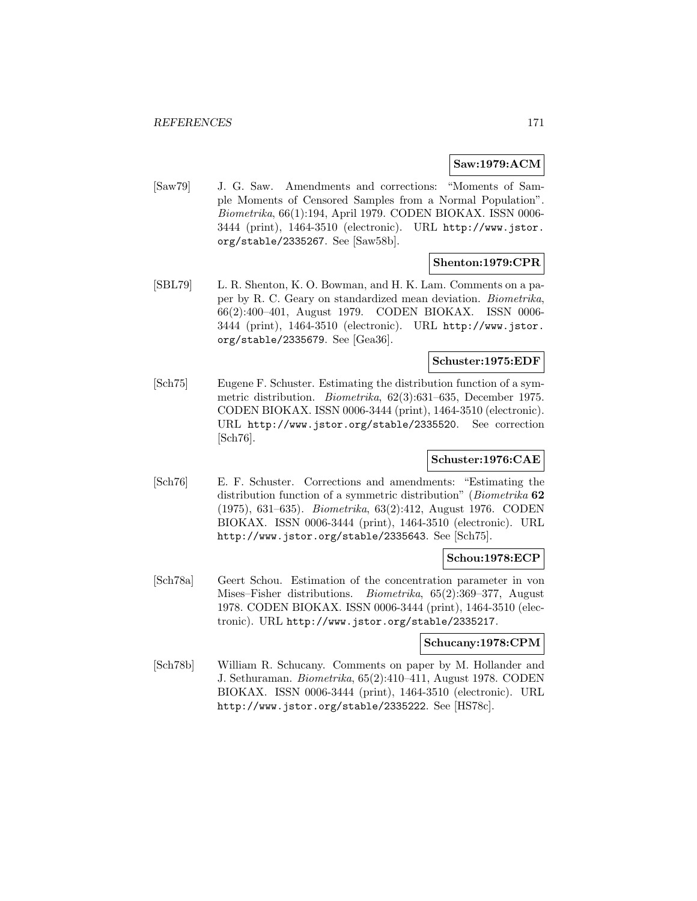#### **Saw:1979:ACM**

[Saw79] J. G. Saw. Amendments and corrections: "Moments of Sample Moments of Censored Samples from a Normal Population". Biometrika, 66(1):194, April 1979. CODEN BIOKAX. ISSN 0006- 3444 (print), 1464-3510 (electronic). URL http://www.jstor. org/stable/2335267. See [Saw58b].

# **Shenton:1979:CPR**

[SBL79] L. R. Shenton, K. O. Bowman, and H. K. Lam. Comments on a paper by R. C. Geary on standardized mean deviation. Biometrika, 66(2):400–401, August 1979. CODEN BIOKAX. ISSN 0006- 3444 (print), 1464-3510 (electronic). URL http://www.jstor. org/stable/2335679. See [Gea36].

# **Schuster:1975:EDF**

[Sch75] Eugene F. Schuster. Estimating the distribution function of a symmetric distribution. Biometrika, 62(3):631–635, December 1975. CODEN BIOKAX. ISSN 0006-3444 (print), 1464-3510 (electronic). URL http://www.jstor.org/stable/2335520. See correction [Sch76].

# **Schuster:1976:CAE**

[Sch76] E. F. Schuster. Corrections and amendments: "Estimating the distribution function of a symmetric distribution" (Biometrika **62** (1975), 631–635). Biometrika, 63(2):412, August 1976. CODEN BIOKAX. ISSN 0006-3444 (print), 1464-3510 (electronic). URL http://www.jstor.org/stable/2335643. See [Sch75].

# **Schou:1978:ECP**

[Sch78a] Geert Schou. Estimation of the concentration parameter in von Mises–Fisher distributions. Biometrika, 65(2):369–377, August 1978. CODEN BIOKAX. ISSN 0006-3444 (print), 1464-3510 (electronic). URL http://www.jstor.org/stable/2335217.

#### **Schucany:1978:CPM**

[Sch78b] William R. Schucany. Comments on paper by M. Hollander and J. Sethuraman. Biometrika, 65(2):410–411, August 1978. CODEN BIOKAX. ISSN 0006-3444 (print), 1464-3510 (electronic). URL http://www.jstor.org/stable/2335222. See [HS78c].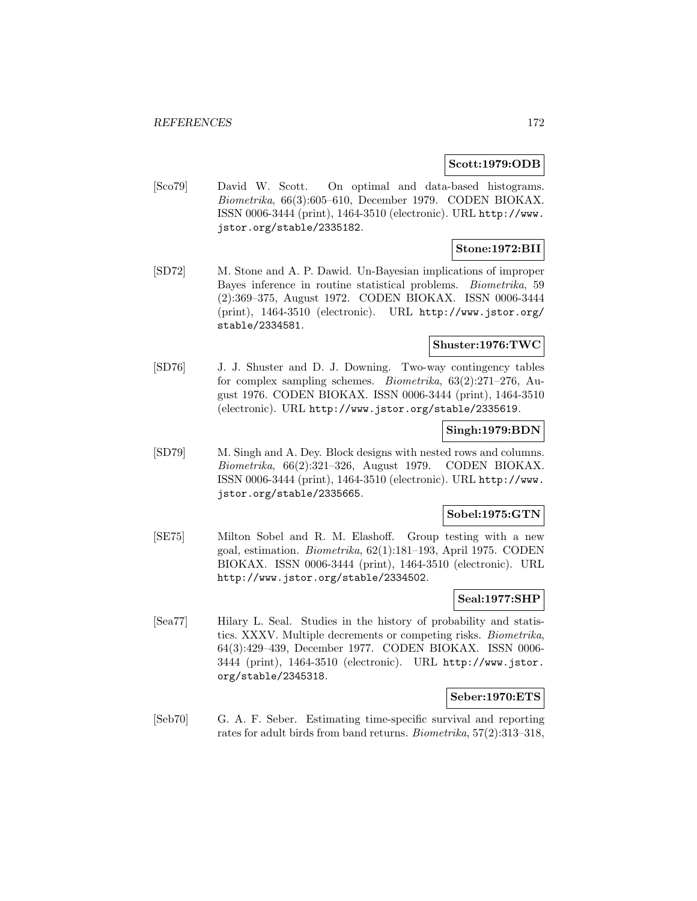# **Scott:1979:ODB**

[Sco79] David W. Scott. On optimal and data-based histograms. Biometrika, 66(3):605–610, December 1979. CODEN BIOKAX. ISSN 0006-3444 (print), 1464-3510 (electronic). URL http://www. jstor.org/stable/2335182.

# **Stone:1972:BII**

[SD72] M. Stone and A. P. Dawid. Un-Bayesian implications of improper Bayes inference in routine statistical problems. Biometrika, 59 (2):369–375, August 1972. CODEN BIOKAX. ISSN 0006-3444 (print), 1464-3510 (electronic). URL http://www.jstor.org/ stable/2334581.

# **Shuster:1976:TWC**

[SD76] J. J. Shuster and D. J. Downing. Two-way contingency tables for complex sampling schemes. Biometrika, 63(2):271–276, August 1976. CODEN BIOKAX. ISSN 0006-3444 (print), 1464-3510 (electronic). URL http://www.jstor.org/stable/2335619.

# **Singh:1979:BDN**

[SD79] M. Singh and A. Dey. Block designs with nested rows and columns. Biometrika, 66(2):321–326, August 1979. CODEN BIOKAX. ISSN 0006-3444 (print), 1464-3510 (electronic). URL http://www. jstor.org/stable/2335665.

# **Sobel:1975:GTN**

[SE75] Milton Sobel and R. M. Elashoff. Group testing with a new goal, estimation. Biometrika, 62(1):181–193, April 1975. CODEN BIOKAX. ISSN 0006-3444 (print), 1464-3510 (electronic). URL http://www.jstor.org/stable/2334502.

# **Seal:1977:SHP**

[Sea77] Hilary L. Seal. Studies in the history of probability and statistics. XXXV. Multiple decrements or competing risks. Biometrika, 64(3):429–439, December 1977. CODEN BIOKAX. ISSN 0006- 3444 (print), 1464-3510 (electronic). URL http://www.jstor. org/stable/2345318.

#### **Seber:1970:ETS**

[Seb70] G. A. F. Seber. Estimating time-specific survival and reporting rates for adult birds from band returns. Biometrika, 57(2):313–318,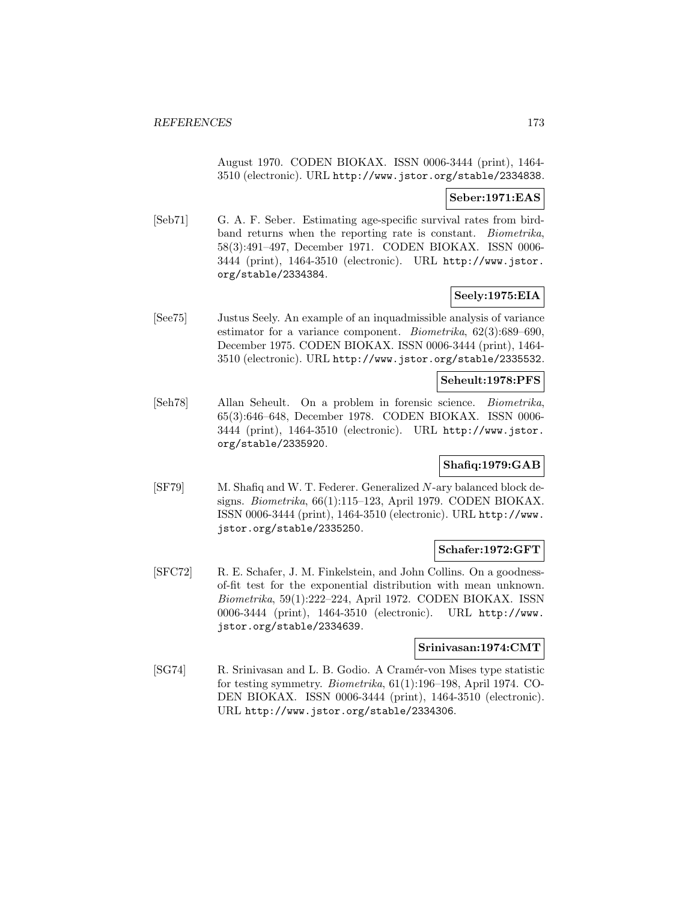August 1970. CODEN BIOKAX. ISSN 0006-3444 (print), 1464- 3510 (electronic). URL http://www.jstor.org/stable/2334838.

# **Seber:1971:EAS**

[Seb71] G. A. F. Seber. Estimating age-specific survival rates from birdband returns when the reporting rate is constant. Biometrika, 58(3):491–497, December 1971. CODEN BIOKAX. ISSN 0006- 3444 (print), 1464-3510 (electronic). URL http://www.jstor. org/stable/2334384.

# **Seely:1975:EIA**

[See75] Justus Seely. An example of an inquadmissible analysis of variance estimator for a variance component. Biometrika, 62(3):689–690, December 1975. CODEN BIOKAX. ISSN 0006-3444 (print), 1464- 3510 (electronic). URL http://www.jstor.org/stable/2335532.

# **Seheult:1978:PFS**

[Seh78] Allan Seheult. On a problem in forensic science. Biometrika, 65(3):646–648, December 1978. CODEN BIOKAX. ISSN 0006- 3444 (print), 1464-3510 (electronic). URL http://www.jstor. org/stable/2335920.

# **Shafiq:1979:GAB**

[SF79] M. Shafiq and W. T. Federer. Generalized N-ary balanced block designs. Biometrika, 66(1):115–123, April 1979. CODEN BIOKAX. ISSN 0006-3444 (print), 1464-3510 (electronic). URL http://www. jstor.org/stable/2335250.

### **Schafer:1972:GFT**

[SFC72] R. E. Schafer, J. M. Finkelstein, and John Collins. On a goodnessof-fit test for the exponential distribution with mean unknown. Biometrika, 59(1):222–224, April 1972. CODEN BIOKAX. ISSN 0006-3444 (print), 1464-3510 (electronic). URL http://www. jstor.org/stable/2334639.

#### **Srinivasan:1974:CMT**

[SG74] R. Srinivasan and L. B. Godio. A Cramér-von Mises type statistic for testing symmetry. Biometrika, 61(1):196–198, April 1974. CO-DEN BIOKAX. ISSN 0006-3444 (print), 1464-3510 (electronic). URL http://www.jstor.org/stable/2334306.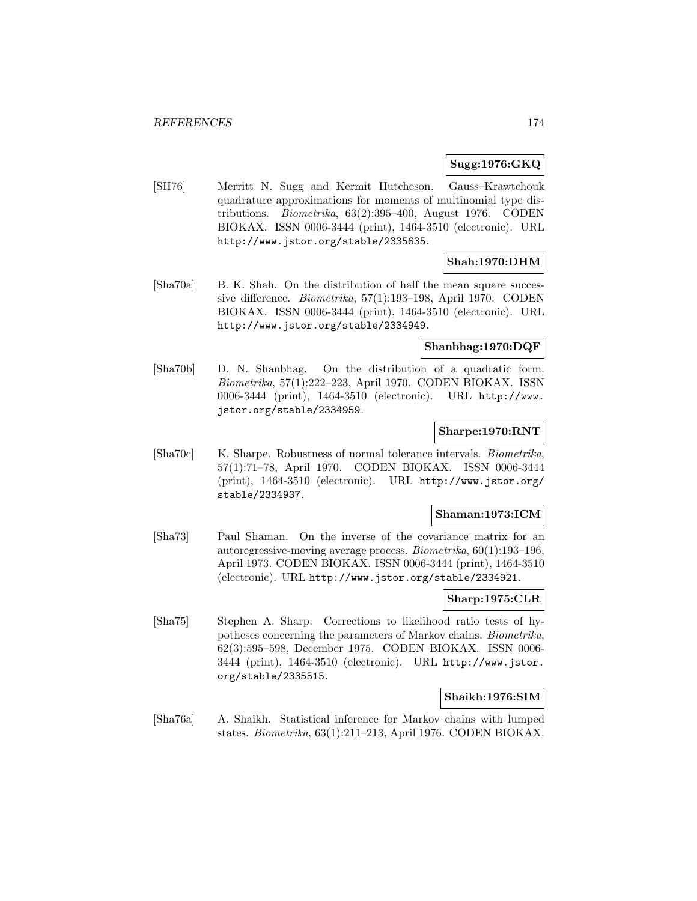### **Sugg:1976:GKQ**

[SH76] Merritt N. Sugg and Kermit Hutcheson. Gauss–Krawtchouk quadrature approximations for moments of multinomial type distributions. Biometrika, 63(2):395–400, August 1976. CODEN BIOKAX. ISSN 0006-3444 (print), 1464-3510 (electronic). URL http://www.jstor.org/stable/2335635.

# **Shah:1970:DHM**

[Sha70a] B. K. Shah. On the distribution of half the mean square successive difference. Biometrika, 57(1):193–198, April 1970. CODEN BIOKAX. ISSN 0006-3444 (print), 1464-3510 (electronic). URL http://www.jstor.org/stable/2334949.

### **Shanbhag:1970:DQF**

[Sha70b] D. N. Shanbhag. On the distribution of a quadratic form. Biometrika, 57(1):222–223, April 1970. CODEN BIOKAX. ISSN 0006-3444 (print), 1464-3510 (electronic). URL http://www. jstor.org/stable/2334959.

# **Sharpe:1970:RNT**

[Sha70c] K. Sharpe. Robustness of normal tolerance intervals. Biometrika, 57(1):71–78, April 1970. CODEN BIOKAX. ISSN 0006-3444 (print), 1464-3510 (electronic). URL http://www.jstor.org/ stable/2334937.

#### **Shaman:1973:ICM**

[Sha73] Paul Shaman. On the inverse of the covariance matrix for an autoregressive-moving average process. Biometrika, 60(1):193–196, April 1973. CODEN BIOKAX. ISSN 0006-3444 (print), 1464-3510 (electronic). URL http://www.jstor.org/stable/2334921.

# **Sharp:1975:CLR**

[Sha75] Stephen A. Sharp. Corrections to likelihood ratio tests of hypotheses concerning the parameters of Markov chains. Biometrika, 62(3):595–598, December 1975. CODEN BIOKAX. ISSN 0006- 3444 (print), 1464-3510 (electronic). URL http://www.jstor. org/stable/2335515.

#### **Shaikh:1976:SIM**

[Sha76a] A. Shaikh. Statistical inference for Markov chains with lumped states. Biometrika, 63(1):211–213, April 1976. CODEN BIOKAX.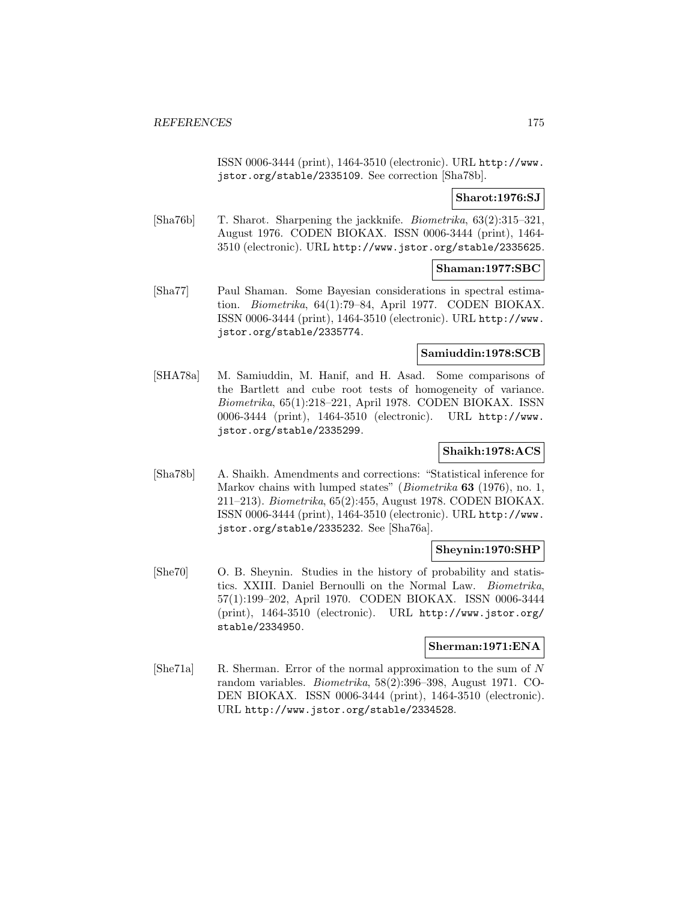ISSN 0006-3444 (print), 1464-3510 (electronic). URL http://www. jstor.org/stable/2335109. See correction [Sha78b].

# **Sharot:1976:SJ**

[Sha76b] T. Sharot. Sharpening the jackknife. Biometrika, 63(2):315–321, August 1976. CODEN BIOKAX. ISSN 0006-3444 (print), 1464- 3510 (electronic). URL http://www.jstor.org/stable/2335625.

# **Shaman:1977:SBC**

[Sha77] Paul Shaman. Some Bayesian considerations in spectral estimation. Biometrika, 64(1):79–84, April 1977. CODEN BIOKAX. ISSN 0006-3444 (print), 1464-3510 (electronic). URL http://www. jstor.org/stable/2335774.

#### **Samiuddin:1978:SCB**

[SHA78a] M. Samiuddin, M. Hanif, and H. Asad. Some comparisons of the Bartlett and cube root tests of homogeneity of variance. Biometrika, 65(1):218–221, April 1978. CODEN BIOKAX. ISSN 0006-3444 (print), 1464-3510 (electronic). URL http://www. jstor.org/stable/2335299.

# **Shaikh:1978:ACS**

[Sha78b] A. Shaikh. Amendments and corrections: "Statistical inference for Markov chains with lumped states" (Biometrika **63** (1976), no. 1, 211–213). Biometrika, 65(2):455, August 1978. CODEN BIOKAX. ISSN 0006-3444 (print), 1464-3510 (electronic). URL http://www. jstor.org/stable/2335232. See [Sha76a].

# **Sheynin:1970:SHP**

[She70] O. B. Sheynin. Studies in the history of probability and statistics. XXIII. Daniel Bernoulli on the Normal Law. Biometrika, 57(1):199–202, April 1970. CODEN BIOKAX. ISSN 0006-3444 (print), 1464-3510 (electronic). URL http://www.jstor.org/ stable/2334950.

# **Sherman:1971:ENA**

[She71a] R. Sherman. Error of the normal approximation to the sum of N random variables. Biometrika, 58(2):396–398, August 1971. CO-DEN BIOKAX. ISSN 0006-3444 (print), 1464-3510 (electronic). URL http://www.jstor.org/stable/2334528.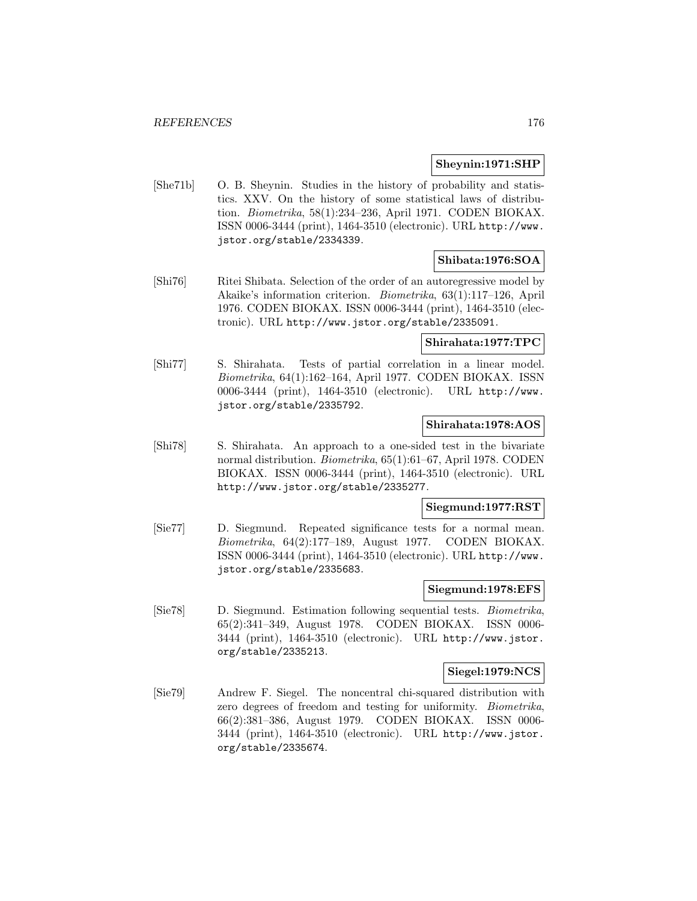### **Sheynin:1971:SHP**

[She71b] O. B. Sheynin. Studies in the history of probability and statistics. XXV. On the history of some statistical laws of distribution. Biometrika, 58(1):234–236, April 1971. CODEN BIOKAX. ISSN 0006-3444 (print), 1464-3510 (electronic). URL http://www. jstor.org/stable/2334339.

# **Shibata:1976:SOA**

[Shi76] Ritei Shibata. Selection of the order of an autoregressive model by Akaike's information criterion. Biometrika, 63(1):117–126, April 1976. CODEN BIOKAX. ISSN 0006-3444 (print), 1464-3510 (electronic). URL http://www.jstor.org/stable/2335091.

# **Shirahata:1977:TPC**

[Shi77] S. Shirahata. Tests of partial correlation in a linear model. Biometrika, 64(1):162–164, April 1977. CODEN BIOKAX. ISSN 0006-3444 (print), 1464-3510 (electronic). URL http://www. jstor.org/stable/2335792.

# **Shirahata:1978:AOS**

[Shi78] S. Shirahata. An approach to a one-sided test in the bivariate normal distribution. Biometrika, 65(1):61–67, April 1978. CODEN BIOKAX. ISSN 0006-3444 (print), 1464-3510 (electronic). URL http://www.jstor.org/stable/2335277.

# **Siegmund:1977:RST**

[Sie77] D. Siegmund. Repeated significance tests for a normal mean. Biometrika, 64(2):177–189, August 1977. CODEN BIOKAX. ISSN 0006-3444 (print), 1464-3510 (electronic). URL http://www. jstor.org/stable/2335683.

### **Siegmund:1978:EFS**

[Sie78] D. Siegmund. Estimation following sequential tests. Biometrika, 65(2):341–349, August 1978. CODEN BIOKAX. ISSN 0006- 3444 (print), 1464-3510 (electronic). URL http://www.jstor. org/stable/2335213.

# **Siegel:1979:NCS**

[Sie79] Andrew F. Siegel. The noncentral chi-squared distribution with zero degrees of freedom and testing for uniformity. Biometrika, 66(2):381–386, August 1979. CODEN BIOKAX. ISSN 0006- 3444 (print), 1464-3510 (electronic). URL http://www.jstor. org/stable/2335674.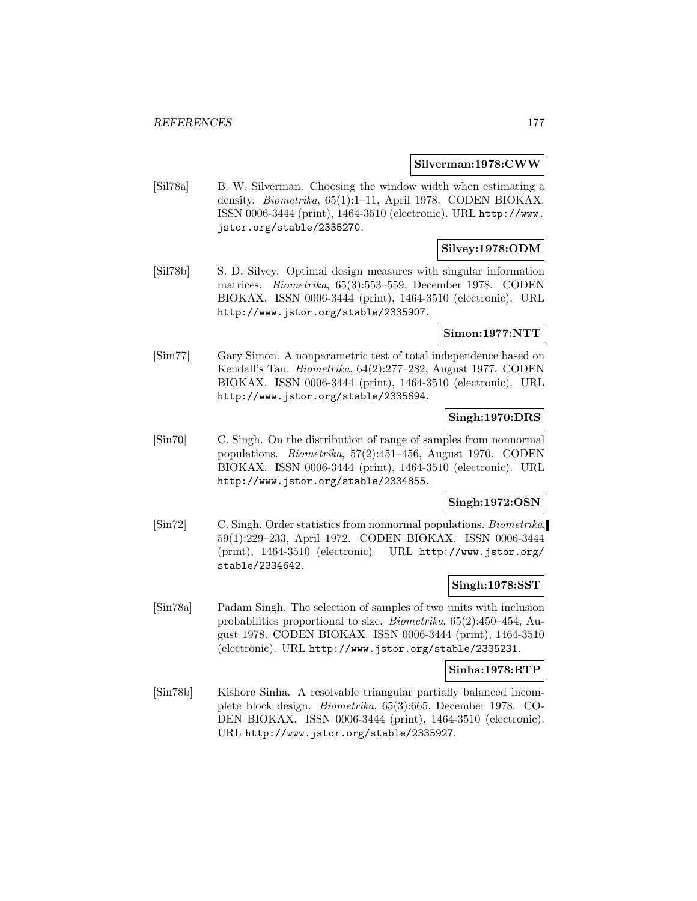#### **Silverman:1978:CWW**

[Sil78a] B. W. Silverman. Choosing the window width when estimating a density. Biometrika, 65(1):1–11, April 1978. CODEN BIOKAX. ISSN 0006-3444 (print), 1464-3510 (electronic). URL http://www. jstor.org/stable/2335270.

# **Silvey:1978:ODM**

[Sil78b] S. D. Silvey. Optimal design measures with singular information matrices. Biometrika, 65(3):553–559, December 1978. CODEN BIOKAX. ISSN 0006-3444 (print), 1464-3510 (electronic). URL http://www.jstor.org/stable/2335907.

#### **Simon:1977:NTT**

[Sim77] Gary Simon. A nonparametric test of total independence based on Kendall's Tau. Biometrika, 64(2):277–282, August 1977. CODEN BIOKAX. ISSN 0006-3444 (print), 1464-3510 (electronic). URL http://www.jstor.org/stable/2335694.

# **Singh:1970:DRS**

[Sin70] C. Singh. On the distribution of range of samples from nonnormal populations. Biometrika, 57(2):451–456, August 1970. CODEN BIOKAX. ISSN 0006-3444 (print), 1464-3510 (electronic). URL http://www.jstor.org/stable/2334855.

# **Singh:1972:OSN**

[Sin72] C. Singh. Order statistics from nonnormal populations. Biometrika, 59(1):229–233, April 1972. CODEN BIOKAX. ISSN 0006-3444 (print), 1464-3510 (electronic). URL http://www.jstor.org/ stable/2334642.

# **Singh:1978:SST**

[Sin78a] Padam Singh. The selection of samples of two units with inclusion probabilities proportional to size. Biometrika, 65(2):450–454, August 1978. CODEN BIOKAX. ISSN 0006-3444 (print), 1464-3510 (electronic). URL http://www.jstor.org/stable/2335231.

# **Sinha:1978:RTP**

[Sin78b] Kishore Sinha. A resolvable triangular partially balanced incomplete block design. Biometrika, 65(3):665, December 1978. CO-DEN BIOKAX. ISSN 0006-3444 (print), 1464-3510 (electronic). URL http://www.jstor.org/stable/2335927.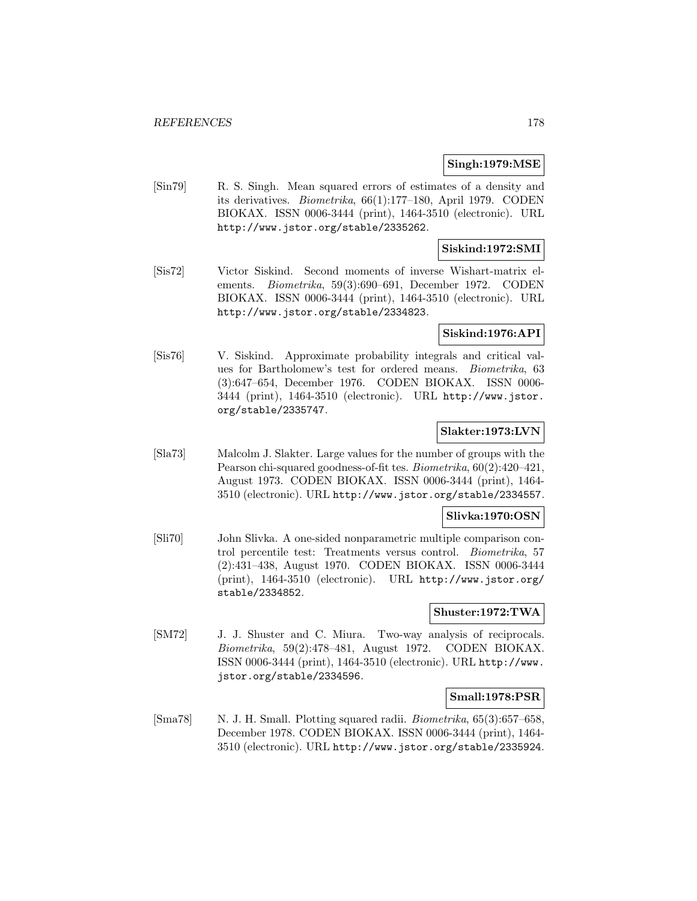# **Singh:1979:MSE**

[Sin79] R. S. Singh. Mean squared errors of estimates of a density and its derivatives. Biometrika, 66(1):177–180, April 1979. CODEN BIOKAX. ISSN 0006-3444 (print), 1464-3510 (electronic). URL http://www.jstor.org/stable/2335262.

# **Siskind:1972:SMI**

[Sis72] Victor Siskind. Second moments of inverse Wishart-matrix elements. Biometrika, 59(3):690–691, December 1972. CODEN BIOKAX. ISSN 0006-3444 (print), 1464-3510 (electronic). URL http://www.jstor.org/stable/2334823.

#### **Siskind:1976:API**

[Sis76] V. Siskind. Approximate probability integrals and critical values for Bartholomew's test for ordered means. Biometrika, 63 (3):647–654, December 1976. CODEN BIOKAX. ISSN 0006- 3444 (print), 1464-3510 (electronic). URL http://www.jstor. org/stable/2335747.

# **Slakter:1973:LVN**

[Sla73] Malcolm J. Slakter. Large values for the number of groups with the Pearson chi-squared goodness-of-fit tes. Biometrika, 60(2):420–421, August 1973. CODEN BIOKAX. ISSN 0006-3444 (print), 1464- 3510 (electronic). URL http://www.jstor.org/stable/2334557.

# **Slivka:1970:OSN**

[Sli70] John Slivka. A one-sided nonparametric multiple comparison control percentile test: Treatments versus control. Biometrika, 57 (2):431–438, August 1970. CODEN BIOKAX. ISSN 0006-3444 (print), 1464-3510 (electronic). URL http://www.jstor.org/ stable/2334852.

#### **Shuster:1972:TWA**

[SM72] J. J. Shuster and C. Miura. Two-way analysis of reciprocals. Biometrika, 59(2):478–481, August 1972. CODEN BIOKAX. ISSN 0006-3444 (print), 1464-3510 (electronic). URL http://www. jstor.org/stable/2334596.

#### **Small:1978:PSR**

[Sma78] N. J. H. Small. Plotting squared radii. *Biometrika*, 65(3):657–658, December 1978. CODEN BIOKAX. ISSN 0006-3444 (print), 1464- 3510 (electronic). URL http://www.jstor.org/stable/2335924.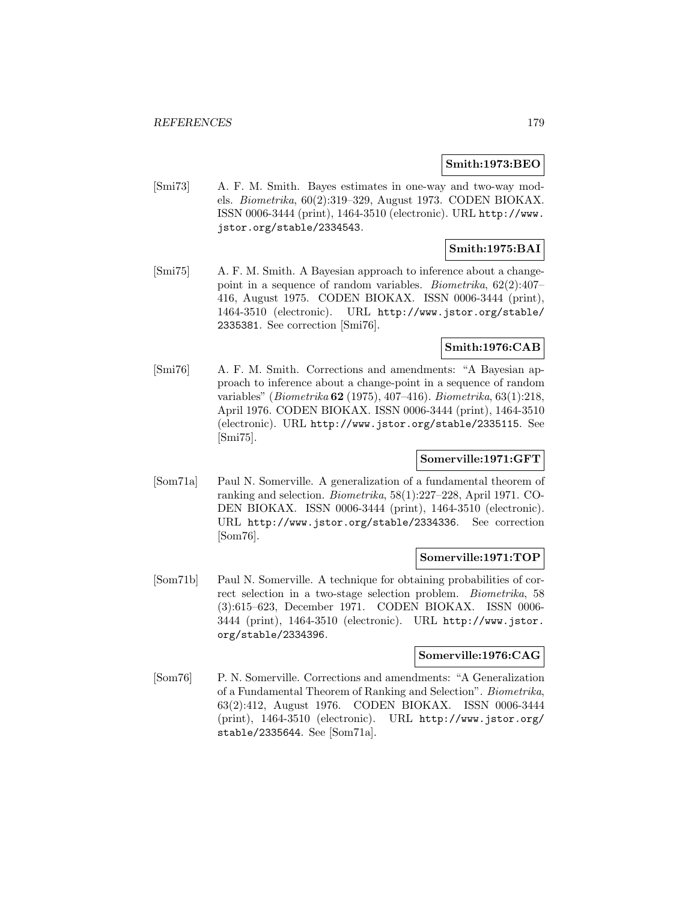### **Smith:1973:BEO**

[Smi73] A. F. M. Smith. Bayes estimates in one-way and two-way models. Biometrika, 60(2):319–329, August 1973. CODEN BIOKAX. ISSN 0006-3444 (print), 1464-3510 (electronic). URL http://www. jstor.org/stable/2334543.

# **Smith:1975:BAI**

[Smi75] A. F. M. Smith. A Bayesian approach to inference about a changepoint in a sequence of random variables. Biometrika, 62(2):407– 416, August 1975. CODEN BIOKAX. ISSN 0006-3444 (print), 1464-3510 (electronic). URL http://www.jstor.org/stable/ 2335381. See correction [Smi76].

# **Smith:1976:CAB**

[Smi76] A. F. M. Smith. Corrections and amendments: "A Bayesian approach to inference about a change-point in a sequence of random variables" (Biometrika **62** (1975), 407–416). Biometrika, 63(1):218, April 1976. CODEN BIOKAX. ISSN 0006-3444 (print), 1464-3510 (electronic). URL http://www.jstor.org/stable/2335115. See [Smi75].

# **Somerville:1971:GFT**

[Som71a] Paul N. Somerville. A generalization of a fundamental theorem of ranking and selection. Biometrika, 58(1):227–228, April 1971. CO-DEN BIOKAX. ISSN 0006-3444 (print), 1464-3510 (electronic). URL http://www.jstor.org/stable/2334336. See correction [Som76].

# **Somerville:1971:TOP**

[Som71b] Paul N. Somerville. A technique for obtaining probabilities of correct selection in a two-stage selection problem. Biometrika, 58 (3):615–623, December 1971. CODEN BIOKAX. ISSN 0006- 3444 (print), 1464-3510 (electronic). URL http://www.jstor. org/stable/2334396.

# **Somerville:1976:CAG**

[Som76] P. N. Somerville. Corrections and amendments: "A Generalization of a Fundamental Theorem of Ranking and Selection". Biometrika, 63(2):412, August 1976. CODEN BIOKAX. ISSN 0006-3444 (print), 1464-3510 (electronic). URL http://www.jstor.org/ stable/2335644. See [Som71a].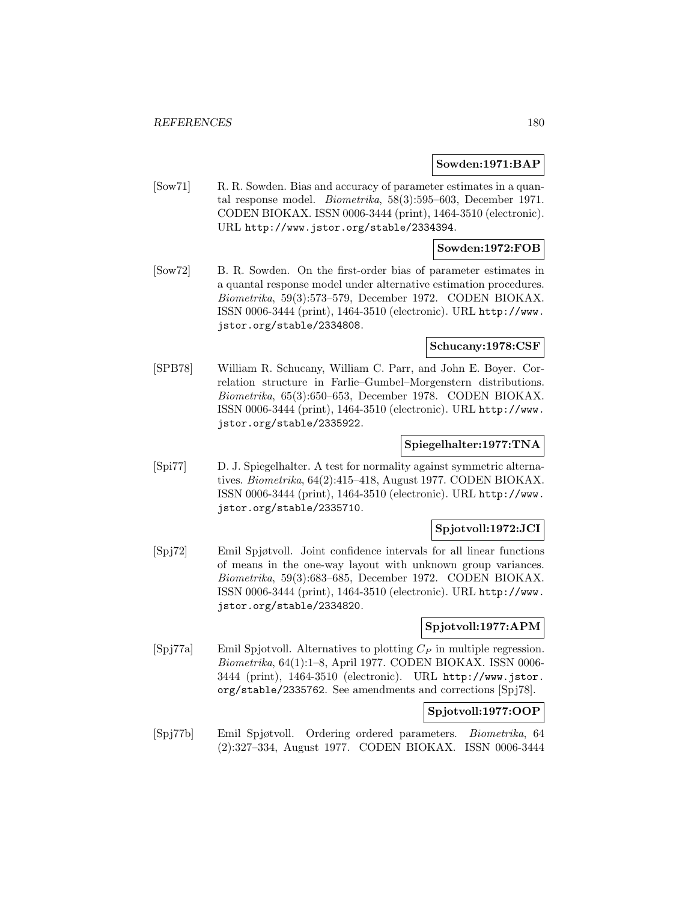### **Sowden:1971:BAP**

[Sow71] R. R. Sowden. Bias and accuracy of parameter estimates in a quantal response model. Biometrika, 58(3):595–603, December 1971. CODEN BIOKAX. ISSN 0006-3444 (print), 1464-3510 (electronic). URL http://www.jstor.org/stable/2334394.

## **Sowden:1972:FOB**

[Sow72] B. R. Sowden. On the first-order bias of parameter estimates in a quantal response model under alternative estimation procedures. Biometrika, 59(3):573–579, December 1972. CODEN BIOKAX. ISSN 0006-3444 (print), 1464-3510 (electronic). URL http://www. jstor.org/stable/2334808.

### **Schucany:1978:CSF**

[SPB78] William R. Schucany, William C. Parr, and John E. Boyer. Correlation structure in Farlie–Gumbel–Morgenstern distributions. Biometrika, 65(3):650–653, December 1978. CODEN BIOKAX. ISSN 0006-3444 (print), 1464-3510 (electronic). URL http://www. jstor.org/stable/2335922.

#### **Spiegelhalter:1977:TNA**

[Spi77] D. J. Spiegelhalter. A test for normality against symmetric alternatives. Biometrika, 64(2):415–418, August 1977. CODEN BIOKAX. ISSN 0006-3444 (print), 1464-3510 (electronic). URL http://www. jstor.org/stable/2335710.

# **Spjotvoll:1972:JCI**

[Spj72] Emil Spjøtvoll. Joint confidence intervals for all linear functions of means in the one-way layout with unknown group variances. Biometrika, 59(3):683–685, December 1972. CODEN BIOKAX. ISSN 0006-3444 (print), 1464-3510 (electronic). URL http://www. jstor.org/stable/2334820.

# **Spjotvoll:1977:APM**

[Spj77a] Emil Spjotvoll. Alternatives to plotting  $C_P$  in multiple regression. Biometrika, 64(1):1–8, April 1977. CODEN BIOKAX. ISSN 0006- 3444 (print), 1464-3510 (electronic). URL http://www.jstor. org/stable/2335762. See amendments and corrections [Spj78].

# **Spjotvoll:1977:OOP**

[Spj77b] Emil Spjøtvoll. Ordering ordered parameters. Biometrika, 64 (2):327–334, August 1977. CODEN BIOKAX. ISSN 0006-3444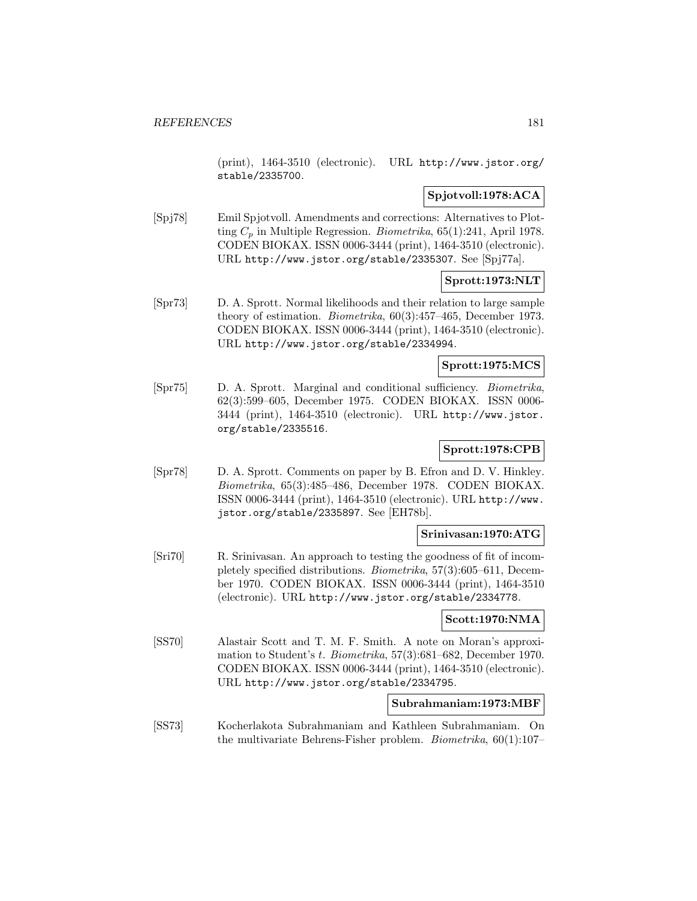(print), 1464-3510 (electronic). URL http://www.jstor.org/ stable/2335700.

## **Spjotvoll:1978:ACA**

[Spj78] Emil Spjotvoll. Amendments and corrections: Alternatives to Plotting  $C_p$  in Multiple Regression. *Biometrika*, 65(1):241, April 1978. CODEN BIOKAX. ISSN 0006-3444 (print), 1464-3510 (electronic). URL http://www.jstor.org/stable/2335307. See [Spj77a].

## **Sprott:1973:NLT**

[Spr73] D. A. Sprott. Normal likelihoods and their relation to large sample theory of estimation. Biometrika, 60(3):457–465, December 1973. CODEN BIOKAX. ISSN 0006-3444 (print), 1464-3510 (electronic). URL http://www.jstor.org/stable/2334994.

## **Sprott:1975:MCS**

[Spr75] D. A. Sprott. Marginal and conditional sufficiency. Biometrika, 62(3):599–605, December 1975. CODEN BIOKAX. ISSN 0006- 3444 (print), 1464-3510 (electronic). URL http://www.jstor. org/stable/2335516.

## **Sprott:1978:CPB**

[Spr78] D. A. Sprott. Comments on paper by B. Efron and D. V. Hinkley. Biometrika, 65(3):485–486, December 1978. CODEN BIOKAX. ISSN 0006-3444 (print), 1464-3510 (electronic). URL http://www. jstor.org/stable/2335897. See [EH78b].

### **Srinivasan:1970:ATG**

[Sri70] R. Srinivasan. An approach to testing the goodness of fit of incompletely specified distributions. Biometrika, 57(3):605–611, December 1970. CODEN BIOKAX. ISSN 0006-3444 (print), 1464-3510 (electronic). URL http://www.jstor.org/stable/2334778.

### **Scott:1970:NMA**

[SS70] Alastair Scott and T. M. F. Smith. A note on Moran's approximation to Student's t. Biometrika, 57(3):681–682, December 1970. CODEN BIOKAX. ISSN 0006-3444 (print), 1464-3510 (electronic). URL http://www.jstor.org/stable/2334795.

### **Subrahmaniam:1973:MBF**

[SS73] Kocherlakota Subrahmaniam and Kathleen Subrahmaniam. On the multivariate Behrens-Fisher problem. Biometrika, 60(1):107–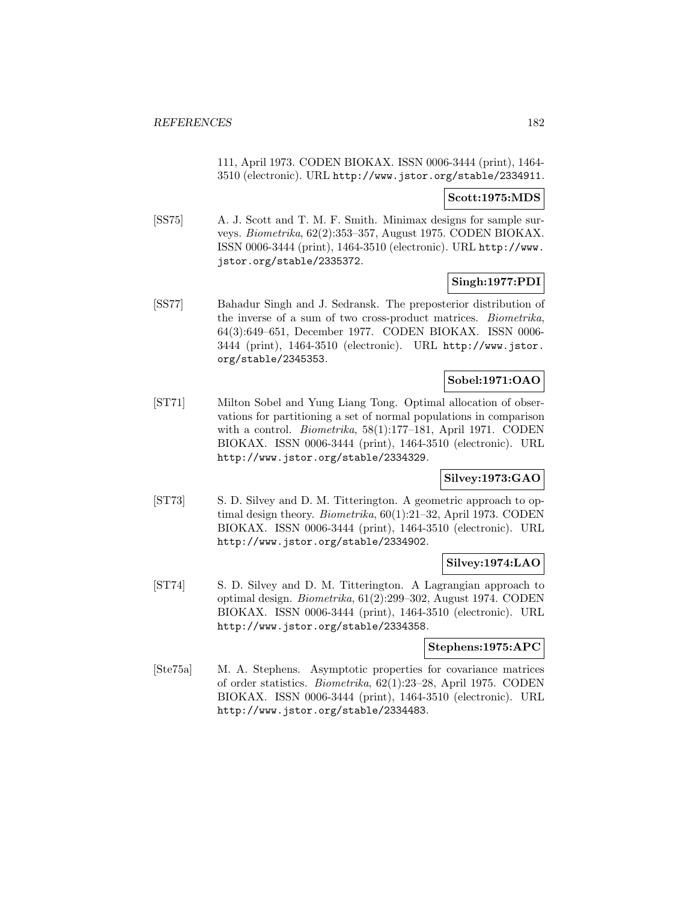111, April 1973. CODEN BIOKAX. ISSN 0006-3444 (print), 1464- 3510 (electronic). URL http://www.jstor.org/stable/2334911.

### **Scott:1975:MDS**

[SS75] A. J. Scott and T. M. F. Smith. Minimax designs for sample surveys. Biometrika, 62(2):353–357, August 1975. CODEN BIOKAX. ISSN 0006-3444 (print), 1464-3510 (electronic). URL http://www. jstor.org/stable/2335372.

## **Singh:1977:PDI**

[SS77] Bahadur Singh and J. Sedransk. The preposterior distribution of the inverse of a sum of two cross-product matrices. Biometrika, 64(3):649–651, December 1977. CODEN BIOKAX. ISSN 0006- 3444 (print), 1464-3510 (electronic). URL http://www.jstor. org/stable/2345353.

## **Sobel:1971:OAO**

[ST71] Milton Sobel and Yung Liang Tong. Optimal allocation of observations for partitioning a set of normal populations in comparison with a control. Biometrika, 58(1):177–181, April 1971. CODEN BIOKAX. ISSN 0006-3444 (print), 1464-3510 (electronic). URL http://www.jstor.org/stable/2334329.

## **Silvey:1973:GAO**

[ST73] S. D. Silvey and D. M. Titterington. A geometric approach to optimal design theory. Biometrika, 60(1):21–32, April 1973. CODEN BIOKAX. ISSN 0006-3444 (print), 1464-3510 (electronic). URL http://www.jstor.org/stable/2334902.

## **Silvey:1974:LAO**

[ST74] S. D. Silvey and D. M. Titterington. A Lagrangian approach to optimal design. Biometrika, 61(2):299–302, August 1974. CODEN BIOKAX. ISSN 0006-3444 (print), 1464-3510 (electronic). URL http://www.jstor.org/stable/2334358.

### **Stephens:1975:APC**

[Ste75a] M. A. Stephens. Asymptotic properties for covariance matrices of order statistics. Biometrika, 62(1):23–28, April 1975. CODEN BIOKAX. ISSN 0006-3444 (print), 1464-3510 (electronic). URL http://www.jstor.org/stable/2334483.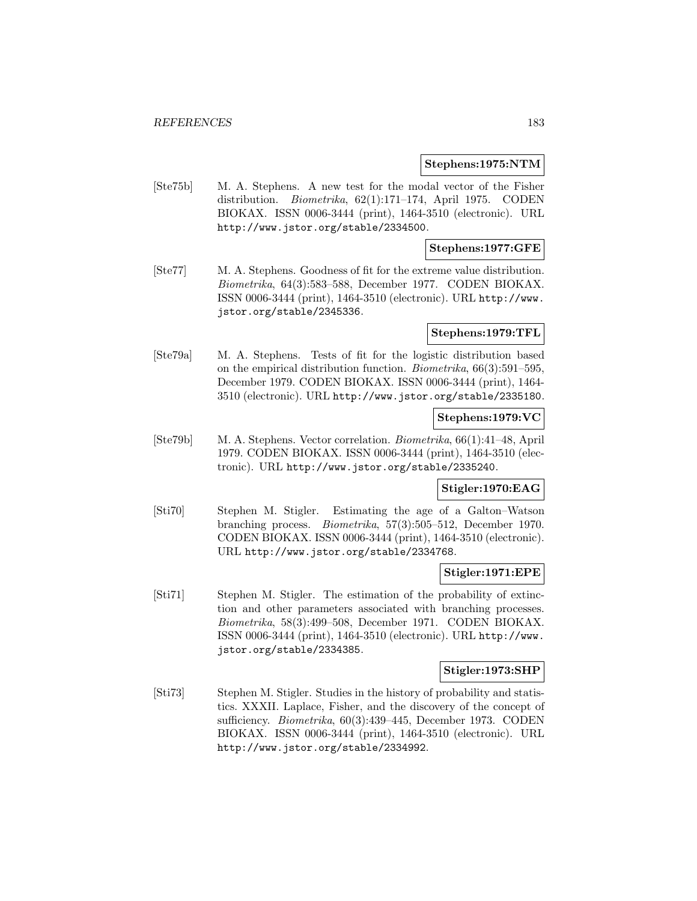#### **Stephens:1975:NTM**

[Ste75b] M. A. Stephens. A new test for the modal vector of the Fisher distribution. Biometrika, 62(1):171–174, April 1975. CODEN BIOKAX. ISSN 0006-3444 (print), 1464-3510 (electronic). URL http://www.jstor.org/stable/2334500.

## **Stephens:1977:GFE**

[Ste77] M. A. Stephens. Goodness of fit for the extreme value distribution. Biometrika, 64(3):583–588, December 1977. CODEN BIOKAX. ISSN 0006-3444 (print), 1464-3510 (electronic). URL http://www. jstor.org/stable/2345336.

#### **Stephens:1979:TFL**

[Ste79a] M. A. Stephens. Tests of fit for the logistic distribution based on the empirical distribution function. Biometrika, 66(3):591–595, December 1979. CODEN BIOKAX. ISSN 0006-3444 (print), 1464- 3510 (electronic). URL http://www.jstor.org/stable/2335180.

### **Stephens:1979:VC**

[Ste79b] M. A. Stephens. Vector correlation. Biometrika, 66(1):41–48, April 1979. CODEN BIOKAX. ISSN 0006-3444 (print), 1464-3510 (electronic). URL http://www.jstor.org/stable/2335240.

## **Stigler:1970:EAG**

[Sti70] Stephen M. Stigler. Estimating the age of a Galton–Watson branching process. Biometrika, 57(3):505–512, December 1970. CODEN BIOKAX. ISSN 0006-3444 (print), 1464-3510 (electronic). URL http://www.jstor.org/stable/2334768.

### **Stigler:1971:EPE**

[Sti71] Stephen M. Stigler. The estimation of the probability of extinction and other parameters associated with branching processes. Biometrika, 58(3):499–508, December 1971. CODEN BIOKAX. ISSN 0006-3444 (print), 1464-3510 (electronic). URL http://www. jstor.org/stable/2334385.

### **Stigler:1973:SHP**

[Sti73] Stephen M. Stigler. Studies in the history of probability and statistics. XXXII. Laplace, Fisher, and the discovery of the concept of sufficiency. Biometrika, 60(3):439–445, December 1973. CODEN BIOKAX. ISSN 0006-3444 (print), 1464-3510 (electronic). URL http://www.jstor.org/stable/2334992.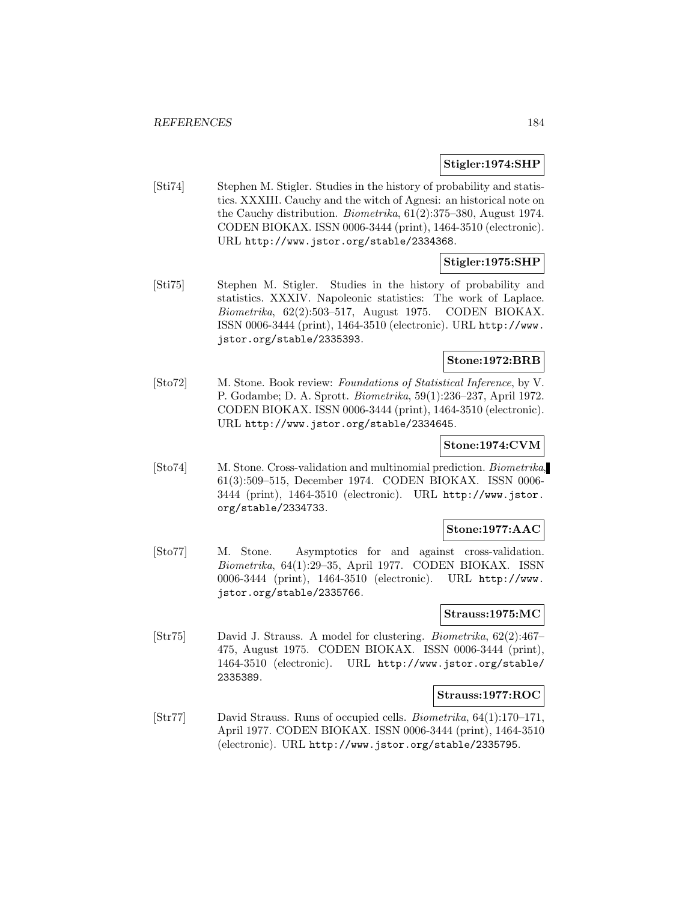### **Stigler:1974:SHP**

[Sti74] Stephen M. Stigler. Studies in the history of probability and statistics. XXXIII. Cauchy and the witch of Agnesi: an historical note on the Cauchy distribution. Biometrika, 61(2):375–380, August 1974. CODEN BIOKAX. ISSN 0006-3444 (print), 1464-3510 (electronic). URL http://www.jstor.org/stable/2334368.

## **Stigler:1975:SHP**

[Sti75] Stephen M. Stigler. Studies in the history of probability and statistics. XXXIV. Napoleonic statistics: The work of Laplace. Biometrika, 62(2):503–517, August 1975. CODEN BIOKAX. ISSN 0006-3444 (print), 1464-3510 (electronic). URL http://www. jstor.org/stable/2335393.

## **Stone:1972:BRB**

[Sto72] M. Stone. Book review: Foundations of Statistical Inference, by V. P. Godambe; D. A. Sprott. Biometrika, 59(1):236–237, April 1972. CODEN BIOKAX. ISSN 0006-3444 (print), 1464-3510 (electronic). URL http://www.jstor.org/stable/2334645.

### **Stone:1974:CVM**

[Sto74] M. Stone. Cross-validation and multinomial prediction. Biometrika, 61(3):509–515, December 1974. CODEN BIOKAX. ISSN 0006- 3444 (print), 1464-3510 (electronic). URL http://www.jstor. org/stable/2334733.

### **Stone:1977:AAC**

[Sto77] M. Stone. Asymptotics for and against cross-validation. Biometrika, 64(1):29–35, April 1977. CODEN BIOKAX. ISSN 0006-3444 (print), 1464-3510 (electronic). URL http://www. jstor.org/stable/2335766.

#### **Strauss:1975:MC**

[Str75] David J. Strauss. A model for clustering. Biometrika, 62(2):467– 475, August 1975. CODEN BIOKAX. ISSN 0006-3444 (print), 1464-3510 (electronic). URL http://www.jstor.org/stable/ 2335389.

### **Strauss:1977:ROC**

[Str77] David Strauss. Runs of occupied cells. Biometrika, 64(1):170–171, April 1977. CODEN BIOKAX. ISSN 0006-3444 (print), 1464-3510 (electronic). URL http://www.jstor.org/stable/2335795.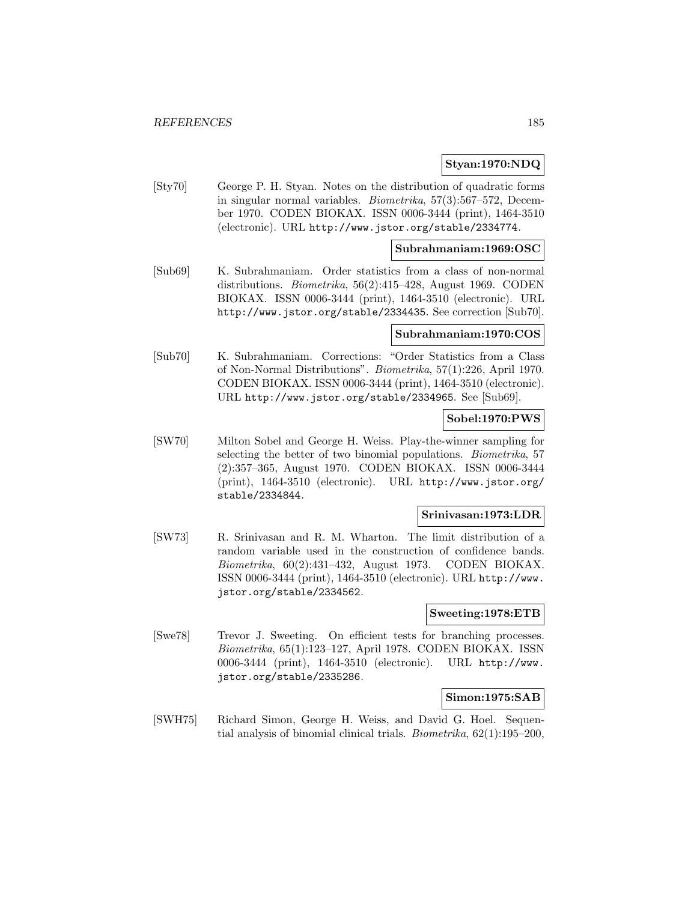## **Styan:1970:NDQ**

[Sty70] George P. H. Styan. Notes on the distribution of quadratic forms in singular normal variables. Biometrika, 57(3):567–572, December 1970. CODEN BIOKAX. ISSN 0006-3444 (print), 1464-3510 (electronic). URL http://www.jstor.org/stable/2334774.

#### **Subrahmaniam:1969:OSC**

[Sub69] K. Subrahmaniam. Order statistics from a class of non-normal distributions. Biometrika, 56(2):415–428, August 1969. CODEN BIOKAX. ISSN 0006-3444 (print), 1464-3510 (electronic). URL http://www.jstor.org/stable/2334435. See correction [Sub70].

#### **Subrahmaniam:1970:COS**

[Sub70] K. Subrahmaniam. Corrections: "Order Statistics from a Class of Non-Normal Distributions". Biometrika, 57(1):226, April 1970. CODEN BIOKAX. ISSN 0006-3444 (print), 1464-3510 (electronic). URL http://www.jstor.org/stable/2334965. See [Sub69].

## **Sobel:1970:PWS**

[SW70] Milton Sobel and George H. Weiss. Play-the-winner sampling for selecting the better of two binomial populations. Biometrika, 57 (2):357–365, August 1970. CODEN BIOKAX. ISSN 0006-3444 (print), 1464-3510 (electronic). URL http://www.jstor.org/ stable/2334844.

#### **Srinivasan:1973:LDR**

[SW73] R. Srinivasan and R. M. Wharton. The limit distribution of a random variable used in the construction of confidence bands. Biometrika, 60(2):431–432, August 1973. CODEN BIOKAX. ISSN 0006-3444 (print), 1464-3510 (electronic). URL http://www. jstor.org/stable/2334562.

## **Sweeting:1978:ETB**

[Swe78] Trevor J. Sweeting. On efficient tests for branching processes. Biometrika, 65(1):123–127, April 1978. CODEN BIOKAX. ISSN 0006-3444 (print), 1464-3510 (electronic). URL http://www. jstor.org/stable/2335286.

### **Simon:1975:SAB**

[SWH75] Richard Simon, George H. Weiss, and David G. Hoel. Sequential analysis of binomial clinical trials. Biometrika, 62(1):195–200,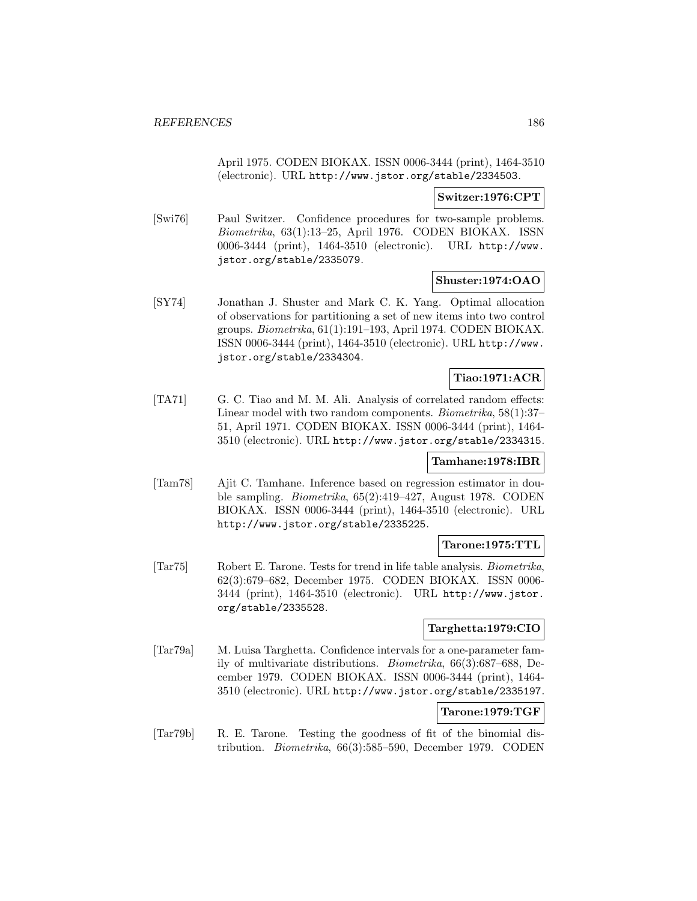April 1975. CODEN BIOKAX. ISSN 0006-3444 (print), 1464-3510 (electronic). URL http://www.jstor.org/stable/2334503.

#### **Switzer:1976:CPT**

[Swi76] Paul Switzer. Confidence procedures for two-sample problems. Biometrika, 63(1):13–25, April 1976. CODEN BIOKAX. ISSN 0006-3444 (print), 1464-3510 (electronic). URL http://www. jstor.org/stable/2335079.

## **Shuster:1974:OAO**

[SY74] Jonathan J. Shuster and Mark C. K. Yang. Optimal allocation of observations for partitioning a set of new items into two control groups. Biometrika, 61(1):191–193, April 1974. CODEN BIOKAX. ISSN 0006-3444 (print), 1464-3510 (electronic). URL http://www. jstor.org/stable/2334304.

#### **Tiao:1971:ACR**

[TA71] G. C. Tiao and M. M. Ali. Analysis of correlated random effects: Linear model with two random components. Biometrika, 58(1):37– 51, April 1971. CODEN BIOKAX. ISSN 0006-3444 (print), 1464- 3510 (electronic). URL http://www.jstor.org/stable/2334315.

#### **Tamhane:1978:IBR**

[Tam78] Ajit C. Tamhane. Inference based on regression estimator in double sampling. Biometrika, 65(2):419–427, August 1978. CODEN BIOKAX. ISSN 0006-3444 (print), 1464-3510 (electronic). URL http://www.jstor.org/stable/2335225.

## **Tarone:1975:TTL**

[Tar75] Robert E. Tarone. Tests for trend in life table analysis. Biometrika, 62(3):679–682, December 1975. CODEN BIOKAX. ISSN 0006- 3444 (print), 1464-3510 (electronic). URL http://www.jstor. org/stable/2335528.

## **Targhetta:1979:CIO**

[Tar79a] M. Luisa Targhetta. Confidence intervals for a one-parameter family of multivariate distributions. Biometrika, 66(3):687–688, December 1979. CODEN BIOKAX. ISSN 0006-3444 (print), 1464- 3510 (electronic). URL http://www.jstor.org/stable/2335197.

## **Tarone:1979:TGF**

[Tar79b] R. E. Tarone. Testing the goodness of fit of the binomial distribution. Biometrika, 66(3):585–590, December 1979. CODEN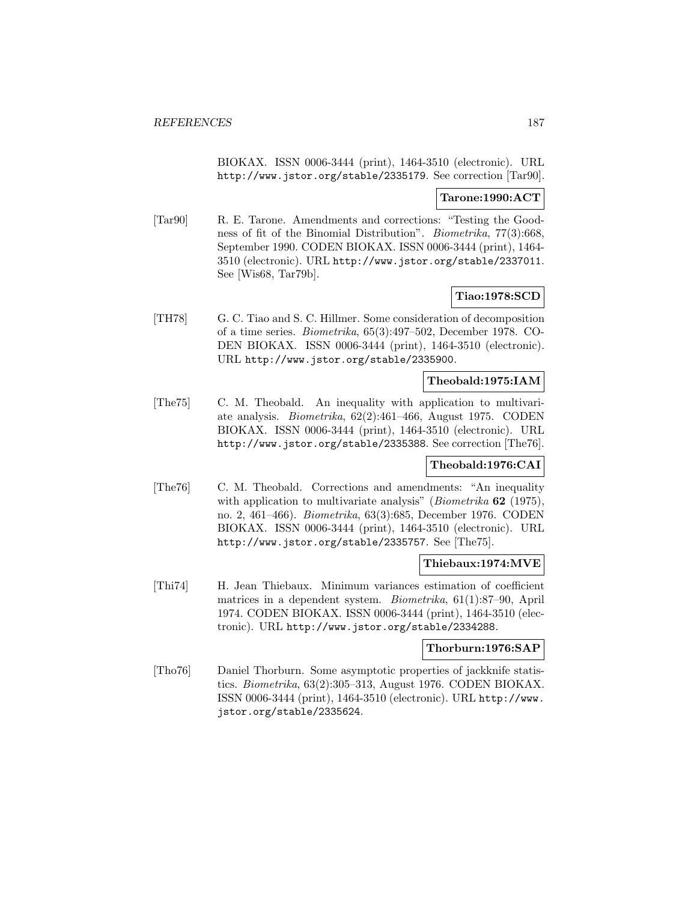BIOKAX. ISSN 0006-3444 (print), 1464-3510 (electronic). URL http://www.jstor.org/stable/2335179. See correction [Tar90].

## **Tarone:1990:ACT**

[Tar90] R. E. Tarone. Amendments and corrections: "Testing the Goodness of fit of the Binomial Distribution". Biometrika, 77(3):668, September 1990. CODEN BIOKAX. ISSN 0006-3444 (print), 1464- 3510 (electronic). URL http://www.jstor.org/stable/2337011. See [Wis68, Tar79b].

## **Tiao:1978:SCD**

[TH78] G. C. Tiao and S. C. Hillmer. Some consideration of decomposition of a time series. Biometrika, 65(3):497–502, December 1978. CO-DEN BIOKAX. ISSN 0006-3444 (print), 1464-3510 (electronic). URL http://www.jstor.org/stable/2335900.

### **Theobald:1975:IAM**

[The75] C. M. Theobald. An inequality with application to multivariate analysis. Biometrika, 62(2):461–466, August 1975. CODEN BIOKAX. ISSN 0006-3444 (print), 1464-3510 (electronic). URL http://www.jstor.org/stable/2335388. See correction [The76].

### **Theobald:1976:CAI**

[The76] C. M. Theobald. Corrections and amendments: "An inequality with application to multivariate analysis" (*Biometrika* **62** (1975), no. 2, 461–466). Biometrika, 63(3):685, December 1976. CODEN BIOKAX. ISSN 0006-3444 (print), 1464-3510 (electronic). URL http://www.jstor.org/stable/2335757. See [The75].

## **Thiebaux:1974:MVE**

[Thi74] H. Jean Thiebaux. Minimum variances estimation of coefficient matrices in a dependent system. Biometrika, 61(1):87–90, April 1974. CODEN BIOKAX. ISSN 0006-3444 (print), 1464-3510 (electronic). URL http://www.jstor.org/stable/2334288.

### **Thorburn:1976:SAP**

[Tho76] Daniel Thorburn. Some asymptotic properties of jackknife statistics. Biometrika, 63(2):305–313, August 1976. CODEN BIOKAX. ISSN 0006-3444 (print), 1464-3510 (electronic). URL http://www. jstor.org/stable/2335624.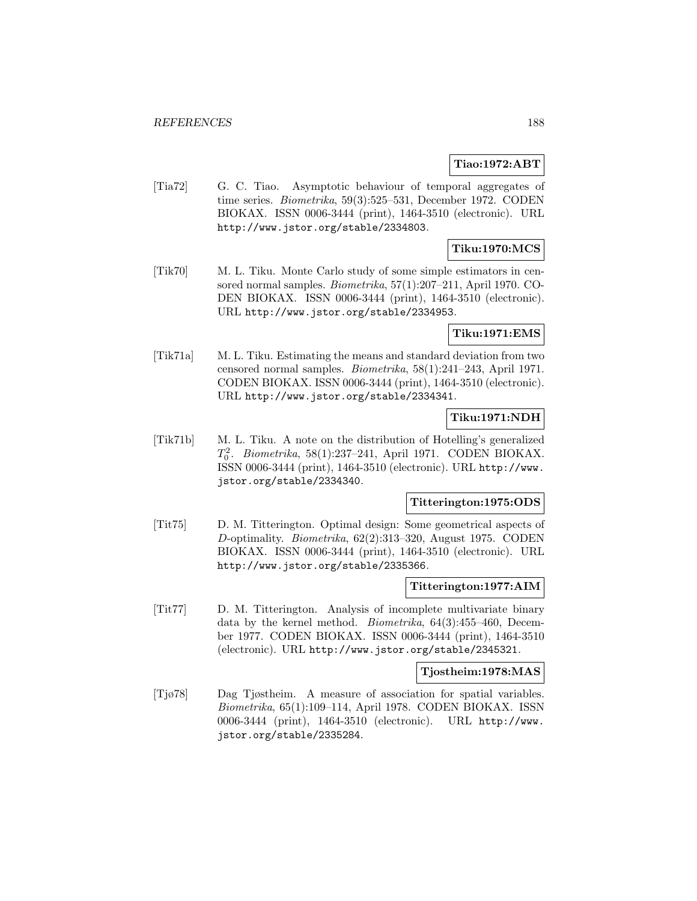### **Tiao:1972:ABT**

[Tia72] G. C. Tiao. Asymptotic behaviour of temporal aggregates of time series. Biometrika, 59(3):525–531, December 1972. CODEN BIOKAX. ISSN 0006-3444 (print), 1464-3510 (electronic). URL http://www.jstor.org/stable/2334803.

## **Tiku:1970:MCS**

[Tik70] M. L. Tiku. Monte Carlo study of some simple estimators in censored normal samples. Biometrika, 57(1):207–211, April 1970. CO-DEN BIOKAX. ISSN 0006-3444 (print), 1464-3510 (electronic). URL http://www.jstor.org/stable/2334953.

### **Tiku:1971:EMS**

[Tik71a] M. L. Tiku. Estimating the means and standard deviation from two censored normal samples. Biometrika, 58(1):241–243, April 1971. CODEN BIOKAX. ISSN 0006-3444 (print), 1464-3510 (electronic). URL http://www.jstor.org/stable/2334341.

### **Tiku:1971:NDH**

[Tik71b] M. L. Tiku. A note on the distribution of Hotelling's generalized  $T_0^2$ . Biometrika, 58(1):237–241, April 1971. CODEN BIOKAX. ISSN 0006-3444 (print), 1464-3510 (electronic). URL http://www. jstor.org/stable/2334340.

#### **Titterington:1975:ODS**

[Tit75] D. M. Titterington. Optimal design: Some geometrical aspects of D-optimality. Biometrika, 62(2):313–320, August 1975. CODEN BIOKAX. ISSN 0006-3444 (print), 1464-3510 (electronic). URL http://www.jstor.org/stable/2335366.

#### **Titterington:1977:AIM**

[Tit77] D. M. Titterington. Analysis of incomplete multivariate binary data by the kernel method. Biometrika, 64(3):455–460, December 1977. CODEN BIOKAX. ISSN 0006-3444 (print), 1464-3510 (electronic). URL http://www.jstor.org/stable/2345321.

#### **Tjostheim:1978:MAS**

[Tjø78] Dag Tjøstheim. A measure of association for spatial variables. Biometrika, 65(1):109–114, April 1978. CODEN BIOKAX. ISSN 0006-3444 (print), 1464-3510 (electronic). URL http://www. jstor.org/stable/2335284.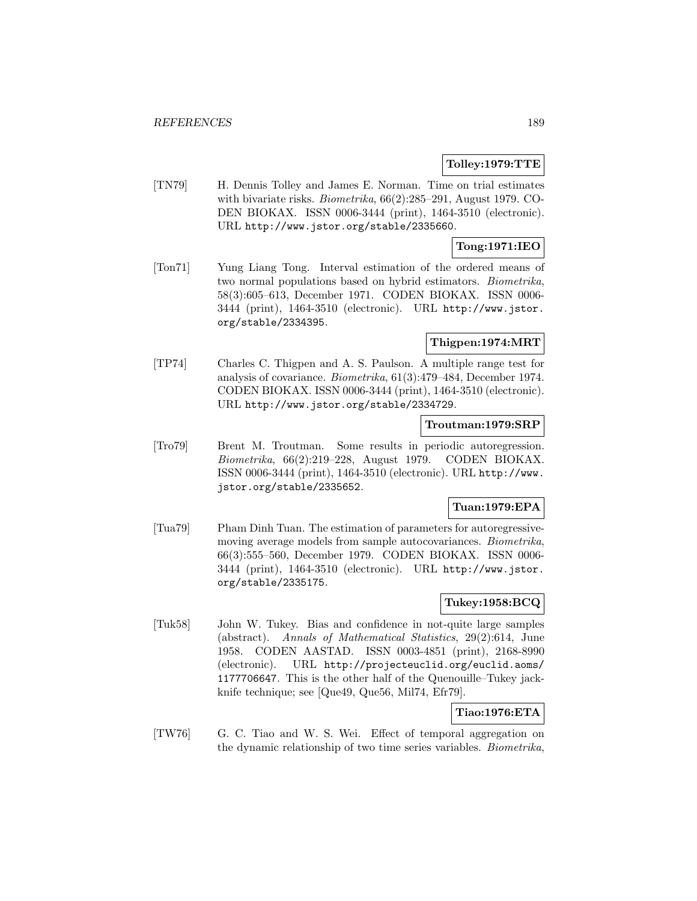## **Tolley:1979:TTE**

[TN79] H. Dennis Tolley and James E. Norman. Time on trial estimates with bivariate risks. Biometrika, 66(2):285–291, August 1979. CO-DEN BIOKAX. ISSN 0006-3444 (print), 1464-3510 (electronic). URL http://www.jstor.org/stable/2335660.

## **Tong:1971:IEO**

[Ton71] Yung Liang Tong. Interval estimation of the ordered means of two normal populations based on hybrid estimators. Biometrika, 58(3):605–613, December 1971. CODEN BIOKAX. ISSN 0006- 3444 (print), 1464-3510 (electronic). URL http://www.jstor. org/stable/2334395.

## **Thigpen:1974:MRT**

[TP74] Charles C. Thigpen and A. S. Paulson. A multiple range test for analysis of covariance. Biometrika, 61(3):479–484, December 1974. CODEN BIOKAX. ISSN 0006-3444 (print), 1464-3510 (electronic). URL http://www.jstor.org/stable/2334729.

### **Troutman:1979:SRP**

[Tro79] Brent M. Troutman. Some results in periodic autoregression. Biometrika, 66(2):219–228, August 1979. CODEN BIOKAX. ISSN 0006-3444 (print), 1464-3510 (electronic). URL http://www. jstor.org/stable/2335652.

## **Tuan:1979:EPA**

[Tua79] Pham Dinh Tuan. The estimation of parameters for autoregressivemoving average models from sample autocovariances. Biometrika, 66(3):555–560, December 1979. CODEN BIOKAX. ISSN 0006- 3444 (print), 1464-3510 (electronic). URL http://www.jstor. org/stable/2335175.

## **Tukey:1958:BCQ**

[Tuk58] John W. Tukey. Bias and confidence in not-quite large samples (abstract). Annals of Mathematical Statistics, 29(2):614, June 1958. CODEN AASTAD. ISSN 0003-4851 (print), 2168-8990 (electronic). URL http://projecteuclid.org/euclid.aoms/ 1177706647. This is the other half of the Quenouille–Tukey jackknife technique; see [Que49, Que56, Mil74, Efr79].

# **Tiao:1976:ETA**

[TW76] G. C. Tiao and W. S. Wei. Effect of temporal aggregation on the dynamic relationship of two time series variables. Biometrika,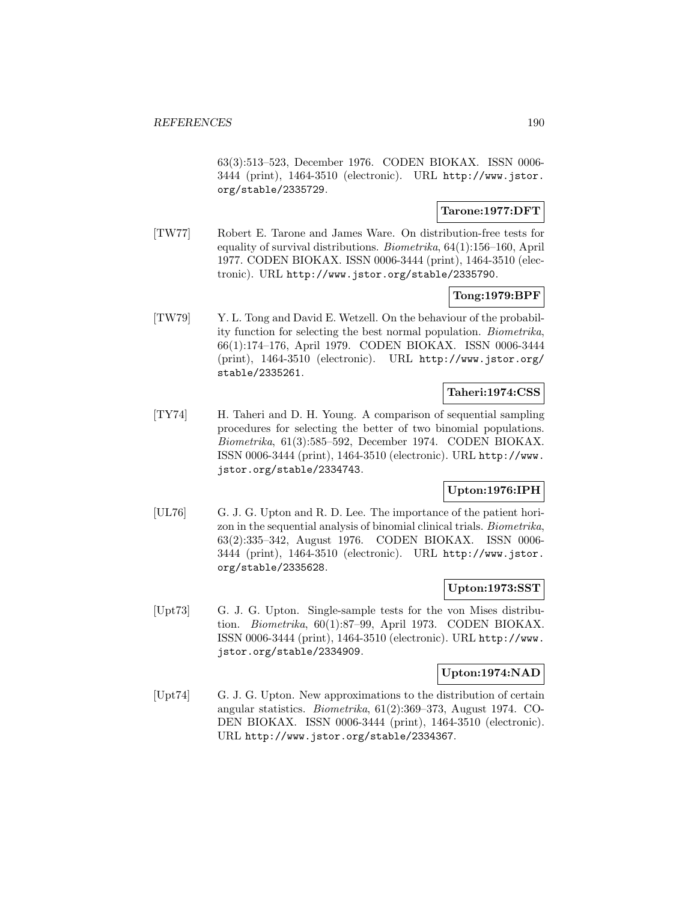63(3):513–523, December 1976. CODEN BIOKAX. ISSN 0006- 3444 (print), 1464-3510 (electronic). URL http://www.jstor. org/stable/2335729.

## **Tarone:1977:DFT**

[TW77] Robert E. Tarone and James Ware. On distribution-free tests for equality of survival distributions. Biometrika, 64(1):156–160, April 1977. CODEN BIOKAX. ISSN 0006-3444 (print), 1464-3510 (electronic). URL http://www.jstor.org/stable/2335790.

## **Tong:1979:BPF**

[TW79] Y. L. Tong and David E. Wetzell. On the behaviour of the probability function for selecting the best normal population. Biometrika, 66(1):174–176, April 1979. CODEN BIOKAX. ISSN 0006-3444 (print), 1464-3510 (electronic). URL http://www.jstor.org/ stable/2335261.

## **Taheri:1974:CSS**

[TY74] H. Taheri and D. H. Young. A comparison of sequential sampling procedures for selecting the better of two binomial populations. Biometrika, 61(3):585–592, December 1974. CODEN BIOKAX. ISSN 0006-3444 (print), 1464-3510 (electronic). URL http://www. jstor.org/stable/2334743.

## **Upton:1976:IPH**

[UL76] G. J. G. Upton and R. D. Lee. The importance of the patient horizon in the sequential analysis of binomial clinical trials. Biometrika, 63(2):335–342, August 1976. CODEN BIOKAX. ISSN 0006- 3444 (print), 1464-3510 (electronic). URL http://www.jstor. org/stable/2335628.

## **Upton:1973:SST**

[Upt73] G. J. G. Upton. Single-sample tests for the von Mises distribution. Biometrika, 60(1):87–99, April 1973. CODEN BIOKAX. ISSN 0006-3444 (print), 1464-3510 (electronic). URL http://www. jstor.org/stable/2334909.

#### **Upton:1974:NAD**

[Upt74] G. J. G. Upton. New approximations to the distribution of certain angular statistics. Biometrika, 61(2):369–373, August 1974. CO-DEN BIOKAX. ISSN 0006-3444 (print), 1464-3510 (electronic). URL http://www.jstor.org/stable/2334367.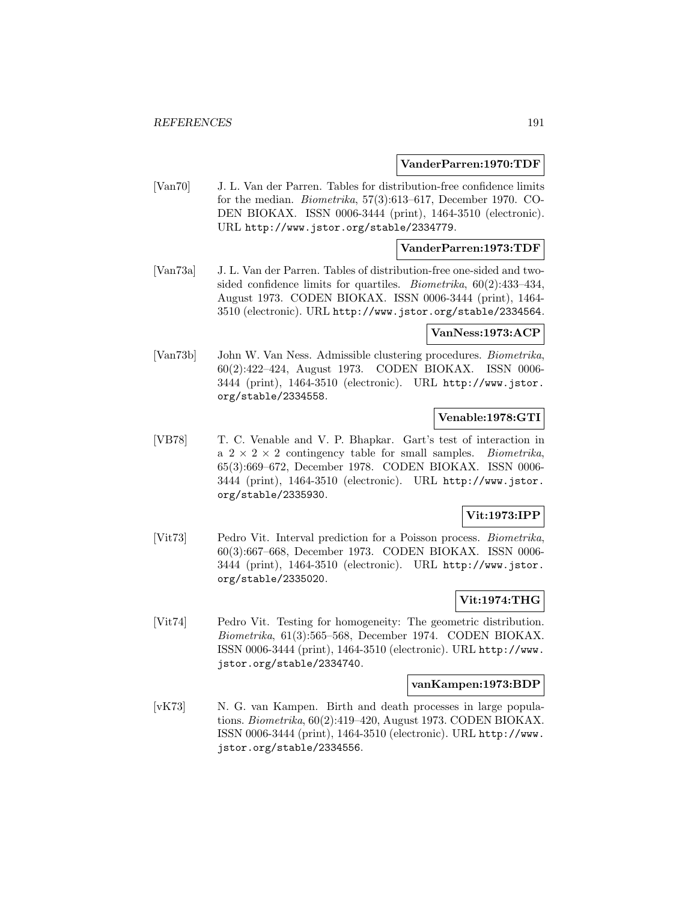#### **VanderParren:1970:TDF**

[Van70] J. L. Van der Parren. Tables for distribution-free confidence limits for the median. Biometrika, 57(3):613–617, December 1970. CO-DEN BIOKAX. ISSN 0006-3444 (print), 1464-3510 (electronic). URL http://www.jstor.org/stable/2334779.

## **VanderParren:1973:TDF**

[Van73a] J. L. Van der Parren. Tables of distribution-free one-sided and twosided confidence limits for quartiles. Biometrika, 60(2):433–434, August 1973. CODEN BIOKAX. ISSN 0006-3444 (print), 1464- 3510 (electronic). URL http://www.jstor.org/stable/2334564.

#### **VanNess:1973:ACP**

[Van73b] John W. Van Ness. Admissible clustering procedures. Biometrika, 60(2):422–424, August 1973. CODEN BIOKAX. ISSN 0006- 3444 (print), 1464-3510 (electronic). URL http://www.jstor. org/stable/2334558.

## **Venable:1978:GTI**

[VB78] T. C. Venable and V. P. Bhapkar. Gart's test of interaction in a  $2 \times 2 \times 2$  contingency table for small samples. *Biometrika*, 65(3):669–672, December 1978. CODEN BIOKAX. ISSN 0006- 3444 (print), 1464-3510 (electronic). URL http://www.jstor. org/stable/2335930.

## **Vit:1973:IPP**

[Vit73] Pedro Vit. Interval prediction for a Poisson process. Biometrika, 60(3):667–668, December 1973. CODEN BIOKAX. ISSN 0006- 3444 (print), 1464-3510 (electronic). URL http://www.jstor. org/stable/2335020.

# **Vit:1974:THG**

[Vit74] Pedro Vit. Testing for homogeneity: The geometric distribution. Biometrika, 61(3):565–568, December 1974. CODEN BIOKAX. ISSN 0006-3444 (print), 1464-3510 (electronic). URL http://www. jstor.org/stable/2334740.

#### **vanKampen:1973:BDP**

[vK73] N. G. van Kampen. Birth and death processes in large populations. Biometrika, 60(2):419–420, August 1973. CODEN BIOKAX. ISSN 0006-3444 (print), 1464-3510 (electronic). URL http://www. jstor.org/stable/2334556.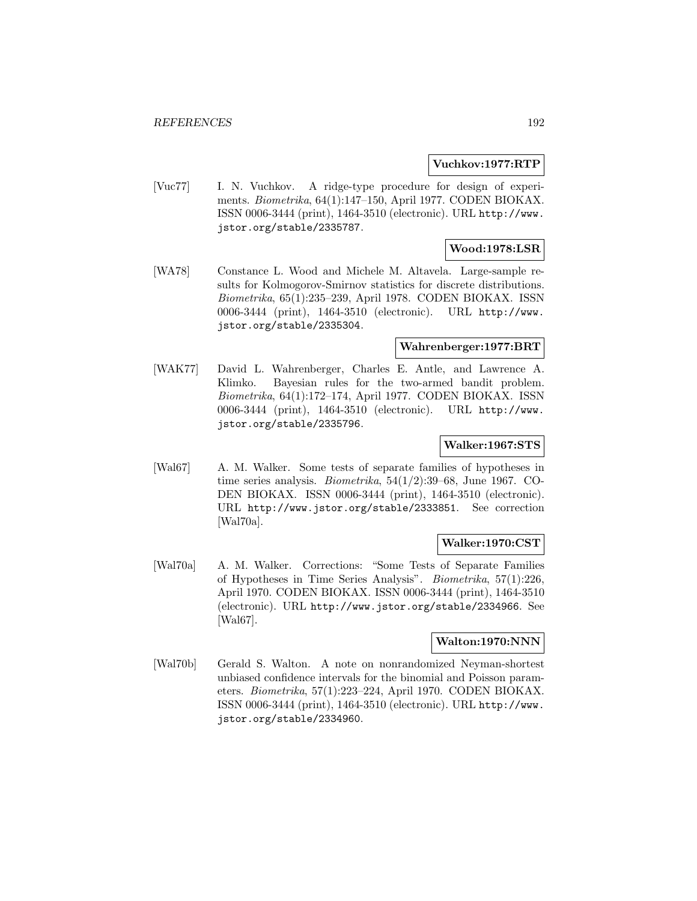### **Vuchkov:1977:RTP**

[Vuc77] I. N. Vuchkov. A ridge-type procedure for design of experiments. Biometrika, 64(1):147–150, April 1977. CODEN BIOKAX. ISSN 0006-3444 (print), 1464-3510 (electronic). URL http://www. jstor.org/stable/2335787.

## **Wood:1978:LSR**

[WA78] Constance L. Wood and Michele M. Altavela. Large-sample results for Kolmogorov-Smirnov statistics for discrete distributions. Biometrika, 65(1):235–239, April 1978. CODEN BIOKAX. ISSN 0006-3444 (print), 1464-3510 (electronic). URL http://www. jstor.org/stable/2335304.

#### **Wahrenberger:1977:BRT**

[WAK77] David L. Wahrenberger, Charles E. Antle, and Lawrence A. Klimko. Bayesian rules for the two-armed bandit problem. Biometrika, 64(1):172–174, April 1977. CODEN BIOKAX. ISSN 0006-3444 (print), 1464-3510 (electronic). URL http://www. jstor.org/stable/2335796.

## **Walker:1967:STS**

[Wal67] A. M. Walker. Some tests of separate families of hypotheses in time series analysis. Biometrika, 54(1/2):39–68, June 1967. CO-DEN BIOKAX. ISSN 0006-3444 (print), 1464-3510 (electronic). URL http://www.jstor.org/stable/2333851. See correction [Wal70a].

## **Walker:1970:CST**

[Wal70a] A. M. Walker. Corrections: "Some Tests of Separate Families of Hypotheses in Time Series Analysis". Biometrika, 57(1):226, April 1970. CODEN BIOKAX. ISSN 0006-3444 (print), 1464-3510 (electronic). URL http://www.jstor.org/stable/2334966. See [Wal67].

## **Walton:1970:NNN**

[Wal70b] Gerald S. Walton. A note on nonrandomized Neyman-shortest unbiased confidence intervals for the binomial and Poisson parameters. Biometrika, 57(1):223–224, April 1970. CODEN BIOKAX. ISSN 0006-3444 (print), 1464-3510 (electronic). URL http://www. jstor.org/stable/2334960.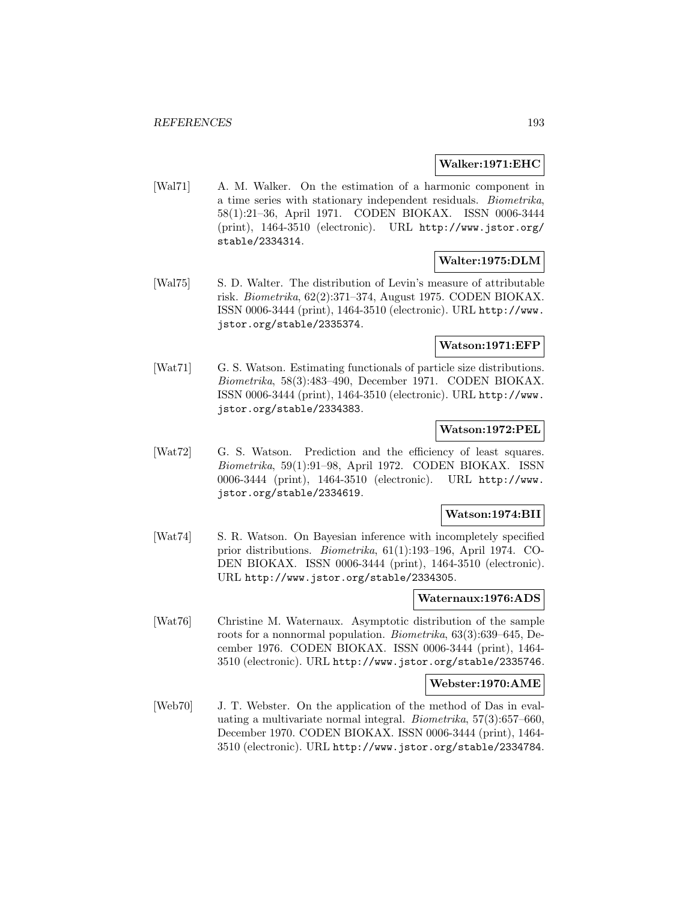#### **Walker:1971:EHC**

[Wal71] A. M. Walker. On the estimation of a harmonic component in a time series with stationary independent residuals. Biometrika, 58(1):21–36, April 1971. CODEN BIOKAX. ISSN 0006-3444 (print), 1464-3510 (electronic). URL http://www.jstor.org/ stable/2334314.

#### **Walter:1975:DLM**

[Wal75] S. D. Walter. The distribution of Levin's measure of attributable risk. Biometrika, 62(2):371–374, August 1975. CODEN BIOKAX. ISSN 0006-3444 (print), 1464-3510 (electronic). URL http://www. jstor.org/stable/2335374.

### **Watson:1971:EFP**

[Wat71] G. S. Watson. Estimating functionals of particle size distributions. Biometrika, 58(3):483–490, December 1971. CODEN BIOKAX. ISSN 0006-3444 (print), 1464-3510 (electronic). URL http://www. jstor.org/stable/2334383.

#### **Watson:1972:PEL**

[Wat72] G. S. Watson. Prediction and the efficiency of least squares. Biometrika, 59(1):91–98, April 1972. CODEN BIOKAX. ISSN 0006-3444 (print), 1464-3510 (electronic). URL http://www. jstor.org/stable/2334619.

#### **Watson:1974:BII**

[Wat74] S. R. Watson. On Bayesian inference with incompletely specified prior distributions. Biometrika, 61(1):193–196, April 1974. CO-DEN BIOKAX. ISSN 0006-3444 (print), 1464-3510 (electronic). URL http://www.jstor.org/stable/2334305.

### **Waternaux:1976:ADS**

[Wat76] Christine M. Waternaux. Asymptotic distribution of the sample roots for a nonnormal population. Biometrika, 63(3):639–645, December 1976. CODEN BIOKAX. ISSN 0006-3444 (print), 1464- 3510 (electronic). URL http://www.jstor.org/stable/2335746.

### **Webster:1970:AME**

[Web70] J. T. Webster. On the application of the method of Das in evaluating a multivariate normal integral. Biometrika, 57(3):657–660, December 1970. CODEN BIOKAX. ISSN 0006-3444 (print), 1464- 3510 (electronic). URL http://www.jstor.org/stable/2334784.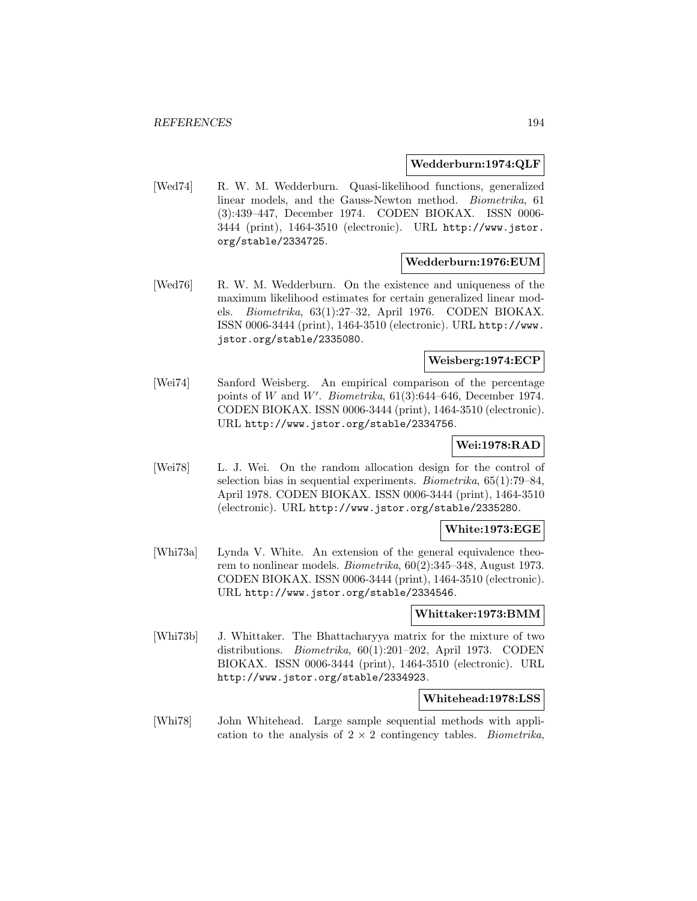### **Wedderburn:1974:QLF**

[Wed74] R. W. M. Wedderburn. Quasi-likelihood functions, generalized linear models, and the Gauss-Newton method. Biometrika, 61 (3):439–447, December 1974. CODEN BIOKAX. ISSN 0006- 3444 (print), 1464-3510 (electronic). URL http://www.jstor. org/stable/2334725.

## **Wedderburn:1976:EUM**

[Wed76] R. W. M. Wedderburn. On the existence and uniqueness of the maximum likelihood estimates for certain generalized linear models. Biometrika, 63(1):27–32, April 1976. CODEN BIOKAX. ISSN 0006-3444 (print), 1464-3510 (electronic). URL http://www. jstor.org/stable/2335080.

## **Weisberg:1974:ECP**

[Wei74] Sanford Weisberg. An empirical comparison of the percentage points of W and W'. Biometrika,  $61(3):644-646$ , December 1974. CODEN BIOKAX. ISSN 0006-3444 (print), 1464-3510 (electronic). URL http://www.jstor.org/stable/2334756.

## **Wei:1978:RAD**

[Wei78] L. J. Wei. On the random allocation design for the control of selection bias in sequential experiments. Biometrika, 65(1):79–84, April 1978. CODEN BIOKAX. ISSN 0006-3444 (print), 1464-3510 (electronic). URL http://www.jstor.org/stable/2335280.

## **White:1973:EGE**

[Whi73a] Lynda V. White. An extension of the general equivalence theorem to nonlinear models. Biometrika, 60(2):345–348, August 1973. CODEN BIOKAX. ISSN 0006-3444 (print), 1464-3510 (electronic). URL http://www.jstor.org/stable/2334546.

#### **Whittaker:1973:BMM**

[Whi73b] J. Whittaker. The Bhattacharyya matrix for the mixture of two distributions. Biometrika, 60(1):201–202, April 1973. CODEN BIOKAX. ISSN 0006-3444 (print), 1464-3510 (electronic). URL http://www.jstor.org/stable/2334923.

#### **Whitehead:1978:LSS**

[Whi78] John Whitehead. Large sample sequential methods with application to the analysis of  $2 \times 2$  contingency tables. *Biometrika*,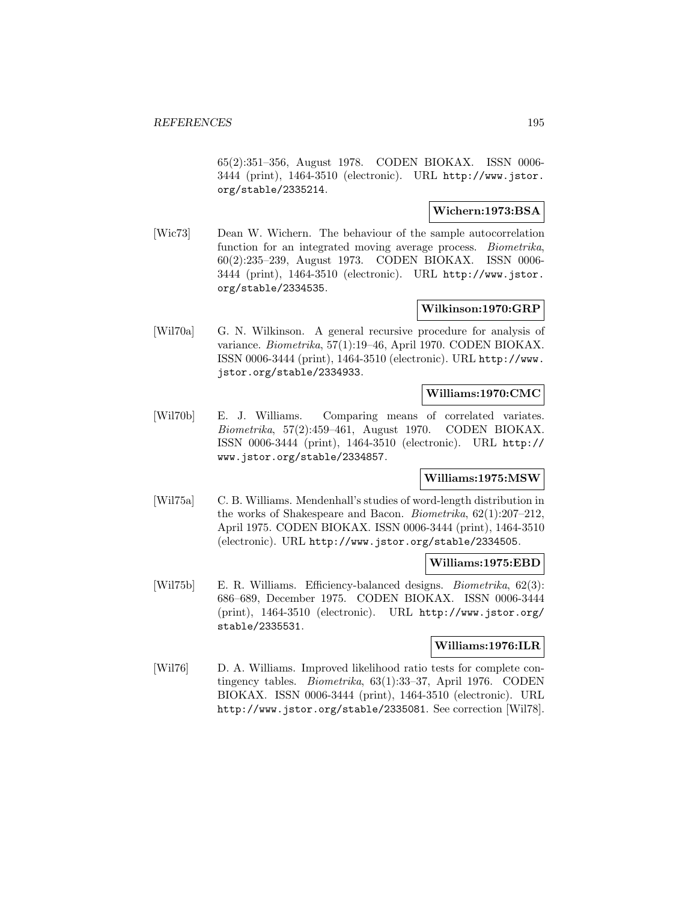65(2):351–356, August 1978. CODEN BIOKAX. ISSN 0006- 3444 (print), 1464-3510 (electronic). URL http://www.jstor. org/stable/2335214.

## **Wichern:1973:BSA**

[Wic73] Dean W. Wichern. The behaviour of the sample autocorrelation function for an integrated moving average process. Biometrika, 60(2):235–239, August 1973. CODEN BIOKAX. ISSN 0006- 3444 (print), 1464-3510 (electronic). URL http://www.jstor. org/stable/2334535.

## **Wilkinson:1970:GRP**

[Wil70a] G. N. Wilkinson. A general recursive procedure for analysis of variance. Biometrika, 57(1):19–46, April 1970. CODEN BIOKAX. ISSN 0006-3444 (print), 1464-3510 (electronic). URL http://www. jstor.org/stable/2334933.

### **Williams:1970:CMC**

[Wil70b] E. J. Williams. Comparing means of correlated variates. Biometrika, 57(2):459–461, August 1970. CODEN BIOKAX. ISSN 0006-3444 (print), 1464-3510 (electronic). URL http:// www.jstor.org/stable/2334857.

### **Williams:1975:MSW**

[Wil75a] C. B. Williams. Mendenhall's studies of word-length distribution in the works of Shakespeare and Bacon. Biometrika, 62(1):207–212, April 1975. CODEN BIOKAX. ISSN 0006-3444 (print), 1464-3510 (electronic). URL http://www.jstor.org/stable/2334505.

## **Williams:1975:EBD**

[Wil75b] E. R. Williams. Efficiency-balanced designs. Biometrika, 62(3): 686–689, December 1975. CODEN BIOKAX. ISSN 0006-3444 (print), 1464-3510 (electronic). URL http://www.jstor.org/ stable/2335531.

## **Williams:1976:ILR**

[Wil76] D. A. Williams. Improved likelihood ratio tests for complete contingency tables. Biometrika, 63(1):33–37, April 1976. CODEN BIOKAX. ISSN 0006-3444 (print), 1464-3510 (electronic). URL http://www.jstor.org/stable/2335081. See correction [Wil78].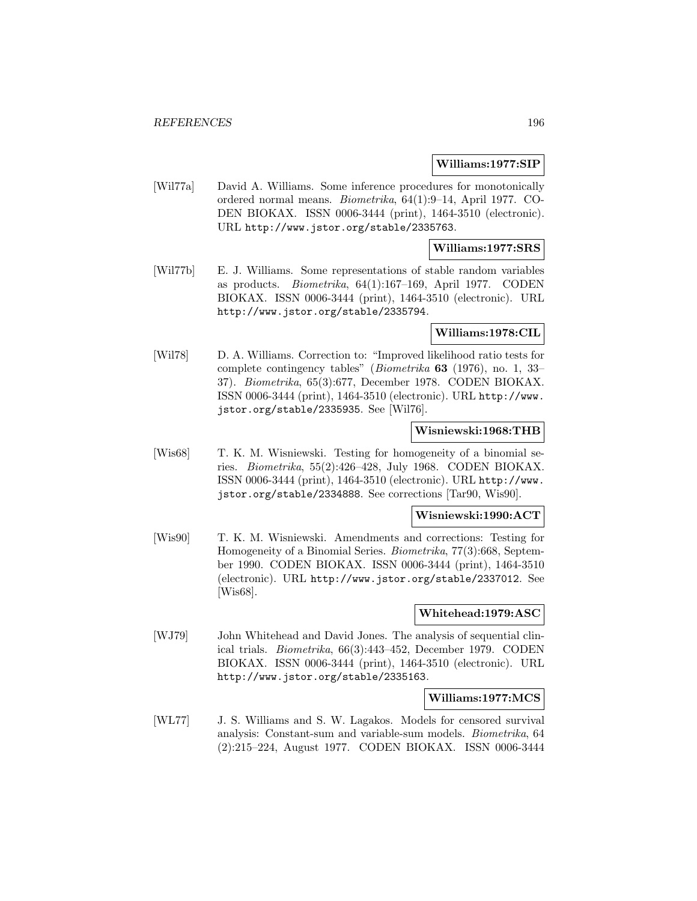#### **Williams:1977:SIP**

[Wil77a] David A. Williams. Some inference procedures for monotonically ordered normal means. Biometrika, 64(1):9–14, April 1977. CO-DEN BIOKAX. ISSN 0006-3444 (print), 1464-3510 (electronic). URL http://www.jstor.org/stable/2335763.

## **Williams:1977:SRS**

[Wil77b] E. J. Williams. Some representations of stable random variables as products. Biometrika, 64(1):167–169, April 1977. CODEN BIOKAX. ISSN 0006-3444 (print), 1464-3510 (electronic). URL http://www.jstor.org/stable/2335794.

### **Williams:1978:CIL**

[Wil78] D. A. Williams. Correction to: "Improved likelihood ratio tests for complete contingency tables" (Biometrika **63** (1976), no. 1, 33– 37). Biometrika, 65(3):677, December 1978. CODEN BIOKAX. ISSN 0006-3444 (print), 1464-3510 (electronic). URL http://www. jstor.org/stable/2335935. See [Wil76].

## **Wisniewski:1968:THB**

[Wis68] T. K. M. Wisniewski. Testing for homogeneity of a binomial series. Biometrika, 55(2):426–428, July 1968. CODEN BIOKAX. ISSN 0006-3444 (print), 1464-3510 (electronic). URL http://www. jstor.org/stable/2334888. See corrections [Tar90, Wis90].

#### **Wisniewski:1990:ACT**

[Wis90] T. K. M. Wisniewski. Amendments and corrections: Testing for Homogeneity of a Binomial Series. Biometrika, 77(3):668, September 1990. CODEN BIOKAX. ISSN 0006-3444 (print), 1464-3510 (electronic). URL http://www.jstor.org/stable/2337012. See [Wis68].

### **Whitehead:1979:ASC**

[WJ79] John Whitehead and David Jones. The analysis of sequential clinical trials. Biometrika, 66(3):443–452, December 1979. CODEN BIOKAX. ISSN 0006-3444 (print), 1464-3510 (electronic). URL http://www.jstor.org/stable/2335163.

#### **Williams:1977:MCS**

[WL77] J. S. Williams and S. W. Lagakos. Models for censored survival analysis: Constant-sum and variable-sum models. Biometrika, 64 (2):215–224, August 1977. CODEN BIOKAX. ISSN 0006-3444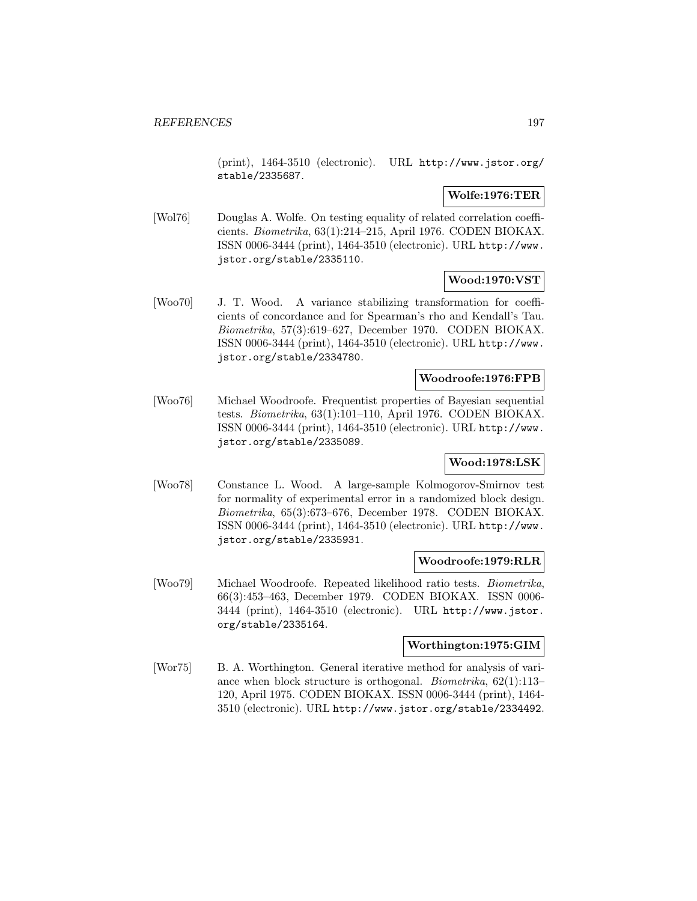(print), 1464-3510 (electronic). URL http://www.jstor.org/ stable/2335687.

## **Wolfe:1976:TER**

[Wol76] Douglas A. Wolfe. On testing equality of related correlation coefficients. Biometrika, 63(1):214–215, April 1976. CODEN BIOKAX. ISSN 0006-3444 (print), 1464-3510 (electronic). URL http://www. jstor.org/stable/2335110.

## **Wood:1970:VST**

[Woo70] J. T. Wood. A variance stabilizing transformation for coefficients of concordance and for Spearman's rho and Kendall's Tau. Biometrika, 57(3):619–627, December 1970. CODEN BIOKAX. ISSN 0006-3444 (print), 1464-3510 (electronic). URL http://www. jstor.org/stable/2334780.

## **Woodroofe:1976:FPB**

[Woo76] Michael Woodroofe. Frequentist properties of Bayesian sequential tests. Biometrika, 63(1):101–110, April 1976. CODEN BIOKAX. ISSN 0006-3444 (print), 1464-3510 (electronic). URL http://www. jstor.org/stable/2335089.

## **Wood:1978:LSK**

[Woo78] Constance L. Wood. A large-sample Kolmogorov-Smirnov test for normality of experimental error in a randomized block design. Biometrika, 65(3):673–676, December 1978. CODEN BIOKAX. ISSN 0006-3444 (print), 1464-3510 (electronic). URL http://www. jstor.org/stable/2335931.

### **Woodroofe:1979:RLR**

[Woo79] Michael Woodroofe. Repeated likelihood ratio tests. Biometrika, 66(3):453–463, December 1979. CODEN BIOKAX. ISSN 0006- 3444 (print), 1464-3510 (electronic). URL http://www.jstor. org/stable/2335164.

### **Worthington:1975:GIM**

[Wor75] B. A. Worthington. General iterative method for analysis of variance when block structure is orthogonal. Biometrika, 62(1):113– 120, April 1975. CODEN BIOKAX. ISSN 0006-3444 (print), 1464- 3510 (electronic). URL http://www.jstor.org/stable/2334492.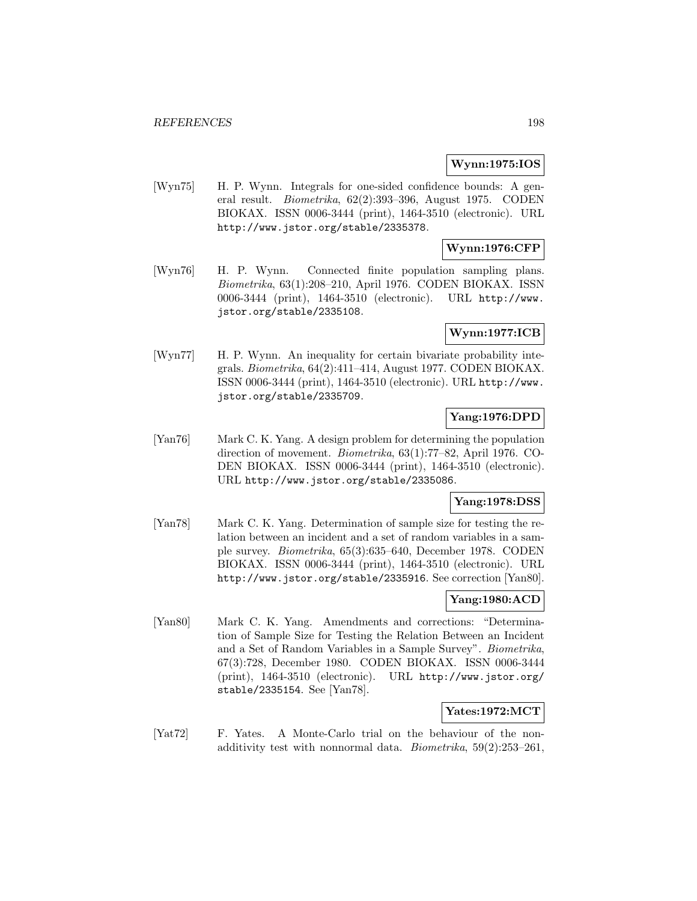## **Wynn:1975:IOS**

[Wyn75] H. P. Wynn. Integrals for one-sided confidence bounds: A general result. Biometrika, 62(2):393–396, August 1975. CODEN BIOKAX. ISSN 0006-3444 (print), 1464-3510 (electronic). URL http://www.jstor.org/stable/2335378.

## **Wynn:1976:CFP**

[Wyn76] H. P. Wynn. Connected finite population sampling plans. Biometrika, 63(1):208–210, April 1976. CODEN BIOKAX. ISSN 0006-3444 (print), 1464-3510 (electronic). URL http://www. jstor.org/stable/2335108.

## **Wynn:1977:ICB**

[Wyn77] H. P. Wynn. An inequality for certain bivariate probability integrals. Biometrika, 64(2):411–414, August 1977. CODEN BIOKAX. ISSN 0006-3444 (print), 1464-3510 (electronic). URL http://www. jstor.org/stable/2335709.

## **Yang:1976:DPD**

[Yan76] Mark C. K. Yang. A design problem for determining the population direction of movement. Biometrika, 63(1):77–82, April 1976. CO-DEN BIOKAX. ISSN 0006-3444 (print), 1464-3510 (electronic). URL http://www.jstor.org/stable/2335086.

## **Yang:1978:DSS**

[Yan78] Mark C. K. Yang. Determination of sample size for testing the relation between an incident and a set of random variables in a sample survey. Biometrika, 65(3):635–640, December 1978. CODEN BIOKAX. ISSN 0006-3444 (print), 1464-3510 (electronic). URL http://www.jstor.org/stable/2335916. See correction [Yan80].

## **Yang:1980:ACD**

[Yan80] Mark C. K. Yang. Amendments and corrections: "Determination of Sample Size for Testing the Relation Between an Incident and a Set of Random Variables in a Sample Survey". Biometrika, 67(3):728, December 1980. CODEN BIOKAX. ISSN 0006-3444 (print), 1464-3510 (electronic). URL http://www.jstor.org/ stable/2335154. See [Yan78].

### **Yates:1972:MCT**

[Yat72] F. Yates. A Monte-Carlo trial on the behaviour of the nonadditivity test with nonnormal data. Biometrika, 59(2):253–261,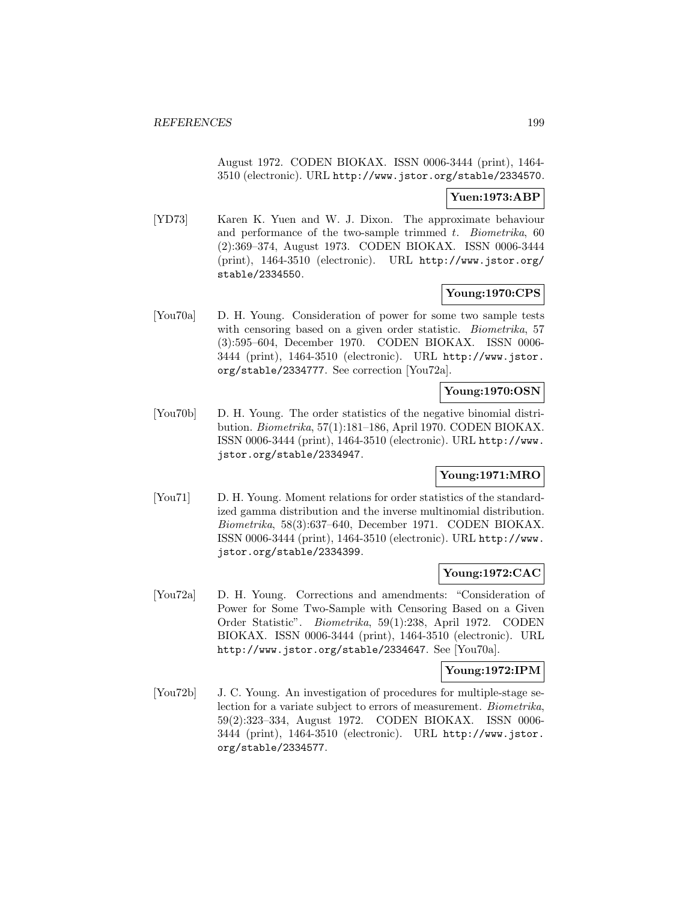August 1972. CODEN BIOKAX. ISSN 0006-3444 (print), 1464- 3510 (electronic). URL http://www.jstor.org/stable/2334570.

## **Yuen:1973:ABP**

[YD73] Karen K. Yuen and W. J. Dixon. The approximate behaviour and performance of the two-sample trimmed  $t$ . Biometrika, 60 (2):369–374, August 1973. CODEN BIOKAX. ISSN 0006-3444 (print), 1464-3510 (electronic). URL http://www.jstor.org/ stable/2334550.

## **Young:1970:CPS**

[You70a] D. H. Young. Consideration of power for some two sample tests with censoring based on a given order statistic. *Biometrika*, 57 (3):595–604, December 1970. CODEN BIOKAX. ISSN 0006- 3444 (print), 1464-3510 (electronic). URL http://www.jstor. org/stable/2334777. See correction [You72a].

## **Young:1970:OSN**

[You70b] D. H. Young. The order statistics of the negative binomial distribution. Biometrika, 57(1):181–186, April 1970. CODEN BIOKAX. ISSN 0006-3444 (print), 1464-3510 (electronic). URL http://www. jstor.org/stable/2334947.

## **Young:1971:MRO**

[You71] D. H. Young. Moment relations for order statistics of the standardized gamma distribution and the inverse multinomial distribution. Biometrika, 58(3):637–640, December 1971. CODEN BIOKAX. ISSN 0006-3444 (print), 1464-3510 (electronic). URL http://www. jstor.org/stable/2334399.

### **Young:1972:CAC**

[You72a] D. H. Young. Corrections and amendments: "Consideration of Power for Some Two-Sample with Censoring Based on a Given Order Statistic". Biometrika, 59(1):238, April 1972. CODEN BIOKAX. ISSN 0006-3444 (print), 1464-3510 (electronic). URL http://www.jstor.org/stable/2334647. See [You70a].

### **Young:1972:IPM**

[You72b] J. C. Young. An investigation of procedures for multiple-stage selection for a variate subject to errors of measurement. Biometrika, 59(2):323–334, August 1972. CODEN BIOKAX. ISSN 0006- 3444 (print), 1464-3510 (electronic). URL http://www.jstor. org/stable/2334577.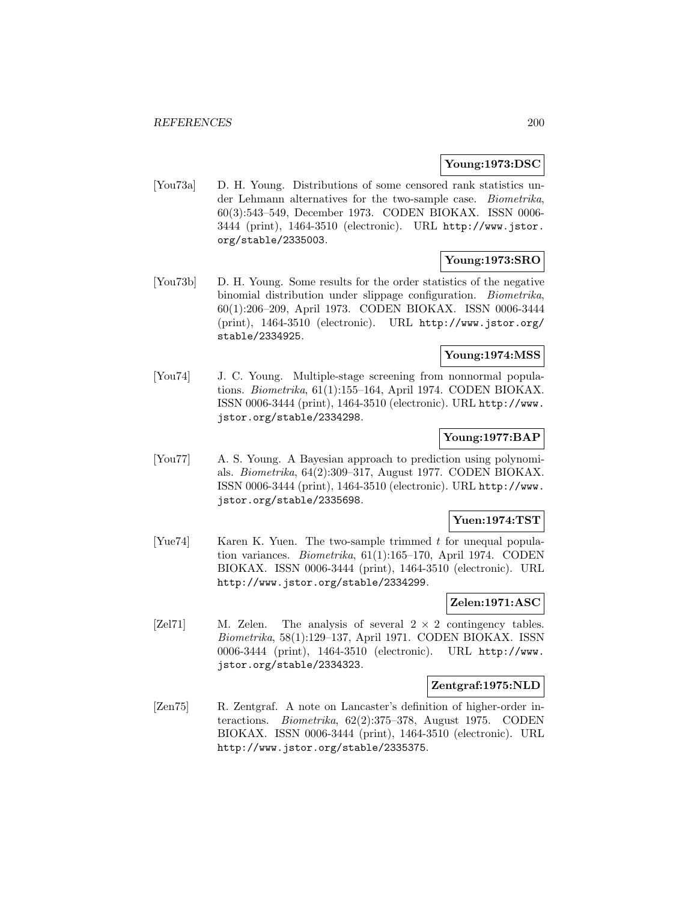## **Young:1973:DSC**

[You73a] D. H. Young. Distributions of some censored rank statistics under Lehmann alternatives for the two-sample case. Biometrika, 60(3):543–549, December 1973. CODEN BIOKAX. ISSN 0006- 3444 (print), 1464-3510 (electronic). URL http://www.jstor. org/stable/2335003.

## **Young:1973:SRO**

[You73b] D. H. Young. Some results for the order statistics of the negative binomial distribution under slippage configuration. Biometrika, 60(1):206–209, April 1973. CODEN BIOKAX. ISSN 0006-3444 (print), 1464-3510 (electronic). URL http://www.jstor.org/ stable/2334925.

## **Young:1974:MSS**

[You74] J. C. Young. Multiple-stage screening from nonnormal populations. Biometrika, 61(1):155–164, April 1974. CODEN BIOKAX. ISSN 0006-3444 (print), 1464-3510 (electronic). URL http://www. jstor.org/stable/2334298.

## **Young:1977:BAP**

[You77] A. S. Young. A Bayesian approach to prediction using polynomials. Biometrika, 64(2):309–317, August 1977. CODEN BIOKAX. ISSN 0006-3444 (print), 1464-3510 (electronic). URL http://www. jstor.org/stable/2335698.

## **Yuen:1974:TST**

[Yue74] Karen K. Yuen. The two-sample trimmed t for unequal population variances. Biometrika, 61(1):165–170, April 1974. CODEN BIOKAX. ISSN 0006-3444 (print), 1464-3510 (electronic). URL http://www.jstor.org/stable/2334299.

## **Zelen:1971:ASC**

[Zel71] M. Zelen. The analysis of several  $2 \times 2$  contingency tables. Biometrika, 58(1):129–137, April 1971. CODEN BIOKAX. ISSN 0006-3444 (print), 1464-3510 (electronic). URL http://www. jstor.org/stable/2334323.

#### **Zentgraf:1975:NLD**

[Zen75] R. Zentgraf. A note on Lancaster's definition of higher-order interactions. Biometrika, 62(2):375–378, August 1975. CODEN BIOKAX. ISSN 0006-3444 (print), 1464-3510 (electronic). URL http://www.jstor.org/stable/2335375.